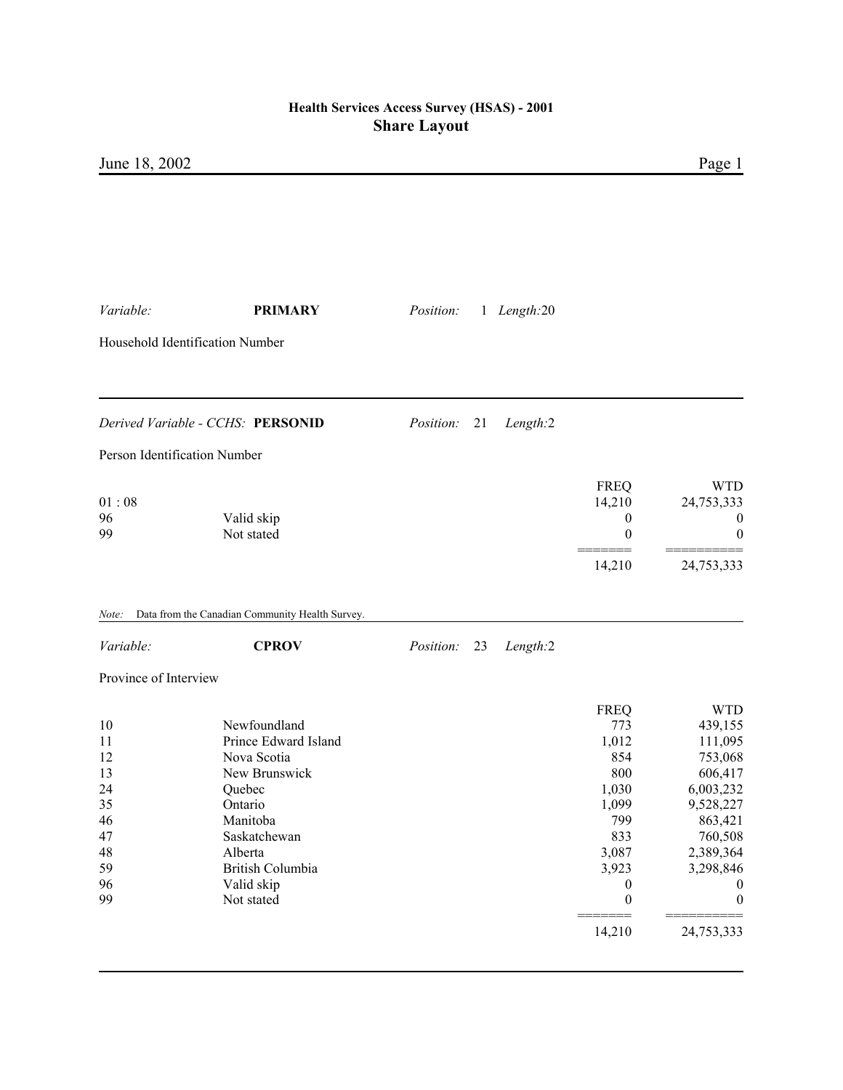| Variable:                                                            | <b>PRIMARY</b>                                                                                                                                                                   | Position:        |    | 1 Length:20 |                                                                                                                                               |                                                                                                                                                                                    |  |
|----------------------------------------------------------------------|----------------------------------------------------------------------------------------------------------------------------------------------------------------------------------|------------------|----|-------------|-----------------------------------------------------------------------------------------------------------------------------------------------|------------------------------------------------------------------------------------------------------------------------------------------------------------------------------------|--|
| Household Identification Number                                      |                                                                                                                                                                                  |                  |    |             |                                                                                                                                               |                                                                                                                                                                                    |  |
|                                                                      | Derived Variable - CCHS: PERSONID                                                                                                                                                | Position:        | 21 | Length:2    |                                                                                                                                               |                                                                                                                                                                                    |  |
| Person Identification Number                                         |                                                                                                                                                                                  |                  |    |             |                                                                                                                                               |                                                                                                                                                                                    |  |
| 01:08<br>96<br>99                                                    | Valid skip<br>Not stated                                                                                                                                                         |                  |    |             | <b>FREQ</b><br>14,210<br>$\theta$<br>$\boldsymbol{0}$                                                                                         | <b>WTD</b><br>24,753,333<br>$\boldsymbol{0}$<br>$\boldsymbol{0}$                                                                                                                   |  |
|                                                                      |                                                                                                                                                                                  |                  |    |             | 14,210                                                                                                                                        | 24,753,333                                                                                                                                                                         |  |
| Note:                                                                | Data from the Canadian Community Health Survey.                                                                                                                                  |                  |    |             |                                                                                                                                               |                                                                                                                                                                                    |  |
| Variable:                                                            | <b>CPROV</b>                                                                                                                                                                     | <i>Position:</i> | 23 | Length:2    |                                                                                                                                               |                                                                                                                                                                                    |  |
| Province of Interview                                                |                                                                                                                                                                                  |                  |    |             |                                                                                                                                               |                                                                                                                                                                                    |  |
| 10<br>11<br>12<br>13<br>24<br>35<br>46<br>47<br>48<br>59<br>96<br>99 | Newfoundland<br>Prince Edward Island<br>Nova Scotia<br>New Brunswick<br>Quebec<br>Ontario<br>Manitoba<br>Saskatchewan<br>Alberta<br>British Columbia<br>Valid skip<br>Not stated |                  |    |             | <b>FREQ</b><br>773<br>1,012<br>854<br>800<br>1,030<br>1,099<br>799<br>833<br>3,087<br>3,923<br>$\boldsymbol{0}$<br>$\boldsymbol{0}$<br>14,210 | <b>WTD</b><br>439,155<br>111,095<br>753,068<br>606,417<br>6,003,232<br>9,528,227<br>863,421<br>760,508<br>2,389,364<br>3,298,846<br>$\boldsymbol{0}$<br>$\mathbf{0}$<br>24,753,333 |  |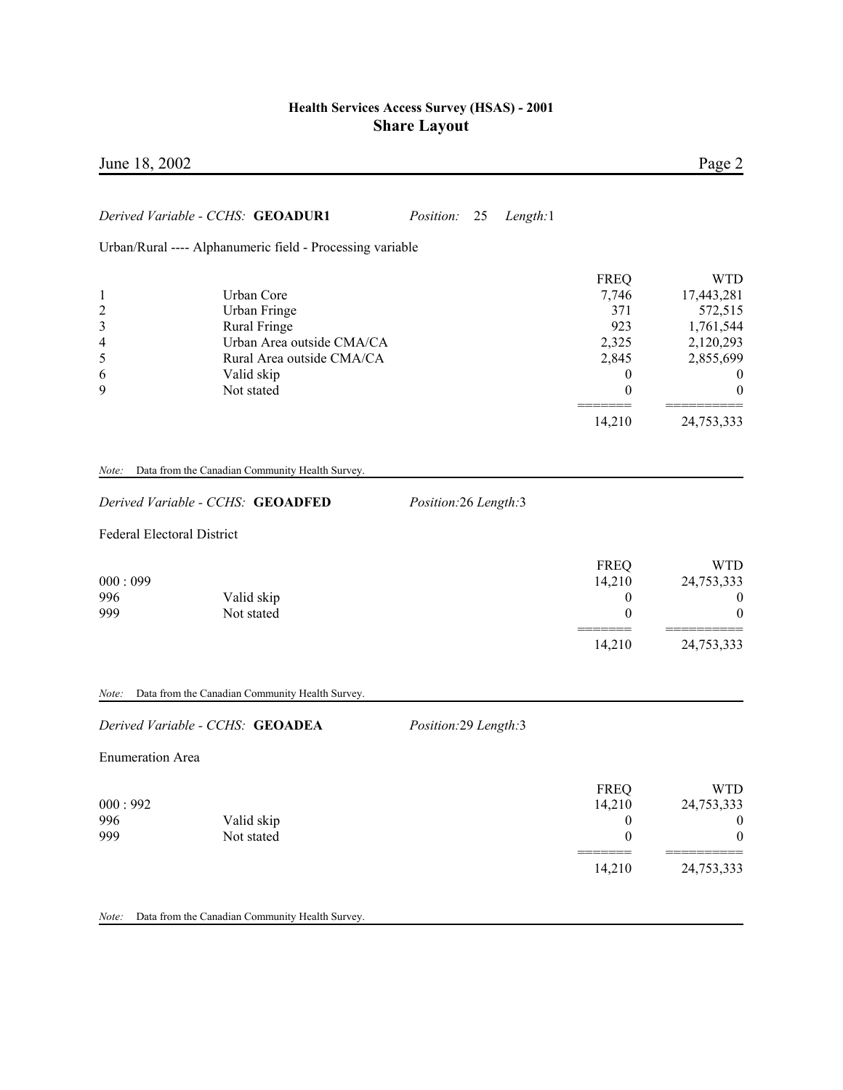| June 18, 2002                                                                                                                                                                                      |                                                                                    | Page 2                                                                                              |
|----------------------------------------------------------------------------------------------------------------------------------------------------------------------------------------------------|------------------------------------------------------------------------------------|-----------------------------------------------------------------------------------------------------|
| Derived Variable - CCHS: GEOADUR1<br><i>Position:</i><br>25<br>Length:1                                                                                                                            |                                                                                    |                                                                                                     |
| Urban/Rural ---- Alphanumeric field - Processing variable                                                                                                                                          |                                                                                    |                                                                                                     |
| Urban Core<br>$\mathbf{1}$<br>$\overline{c}$<br>Urban Fringe<br>3<br><b>Rural Fringe</b><br>Urban Area outside CMA/CA<br>4<br>5<br>Rural Area outside CMA/CA<br>Valid skip<br>6<br>9<br>Not stated | <b>FREQ</b><br>7,746<br>371<br>923<br>2,325<br>2,845<br>$\overline{0}$<br>$\theta$ | <b>WTD</b><br>17,443,281<br>572,515<br>1,761,544<br>2,120,293<br>2,855,699<br>$\boldsymbol{0}$<br>0 |
|                                                                                                                                                                                                    | 14,210                                                                             | 24,753,333                                                                                          |
| Data from the Canadian Community Health Survey.<br>Note:                                                                                                                                           |                                                                                    |                                                                                                     |
| Derived Variable - CCHS: GEOADFED<br>Position:26 Length:3                                                                                                                                          |                                                                                    |                                                                                                     |
| Federal Electoral District                                                                                                                                                                         |                                                                                    |                                                                                                     |
| 000:099<br>996<br>Valid skip<br>Not stated<br>999                                                                                                                                                  | <b>FREQ</b><br>14,210<br>$\boldsymbol{0}$<br>$\theta$<br>14,210                    | <b>WTD</b><br>24,753,333<br>0<br>0<br>24,753,333                                                    |
| Data from the Canadian Community Health Survey.<br>Note:                                                                                                                                           |                                                                                    |                                                                                                     |
| Derived Variable - CCHS: GEOADEA<br>Position:29 Length:3                                                                                                                                           |                                                                                    |                                                                                                     |
| <b>Enumeration Area</b>                                                                                                                                                                            |                                                                                    |                                                                                                     |
| 000:992<br>996<br>Valid skip<br>999<br>Not stated                                                                                                                                                  | <b>FREQ</b><br>14,210<br>$\boldsymbol{0}$<br>$\boldsymbol{0}$                      | <b>WTD</b><br>24,753,333<br>0<br>0                                                                  |
|                                                                                                                                                                                                    | 14,210                                                                             | 24,753,333                                                                                          |
| Data from the Canadian Community Health Survey.<br>Note:                                                                                                                                           |                                                                                    |                                                                                                     |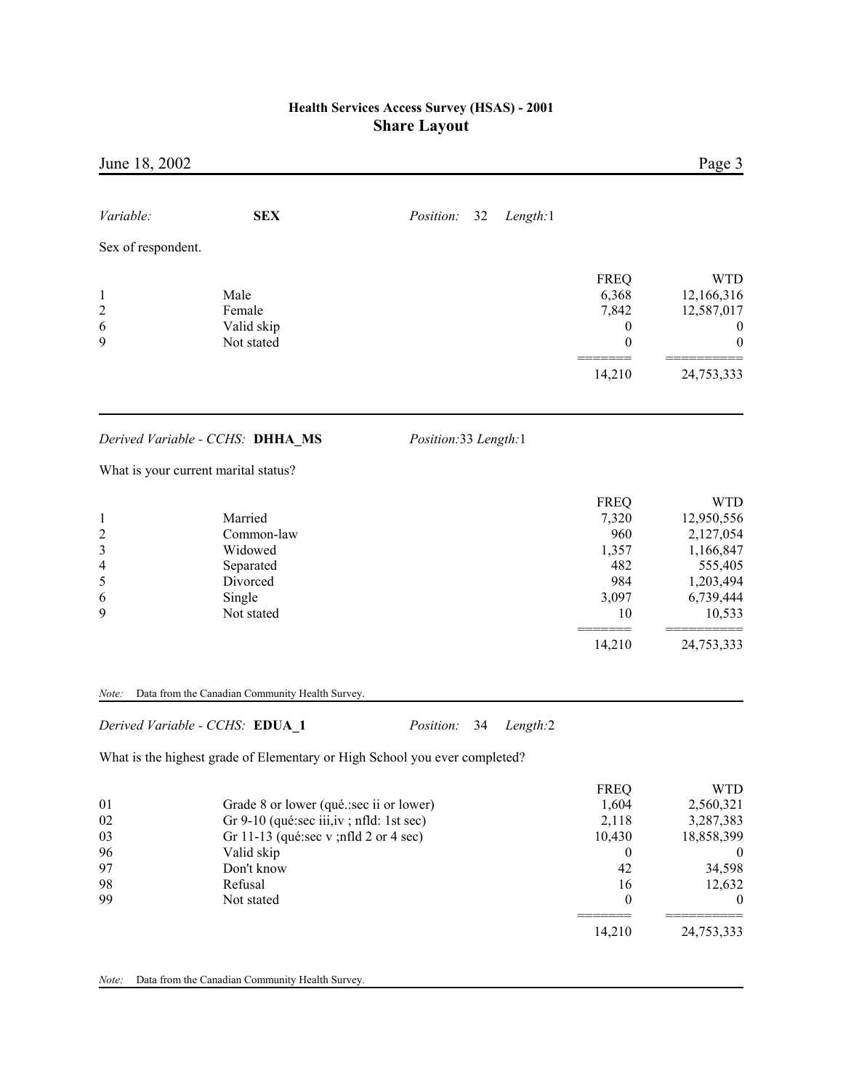| June 18, 2002                  |                                                                            |                                    |                  | Page 3                   |
|--------------------------------|----------------------------------------------------------------------------|------------------------------------|------------------|--------------------------|
| Variable:                      | <b>SEX</b>                                                                 | Position:<br>32<br>Length:1        |                  |                          |
| Sex of respondent.             |                                                                            |                                    |                  |                          |
|                                |                                                                            |                                    | <b>FREQ</b>      | <b>WTD</b>               |
| $\mathbf{1}$<br>$\overline{c}$ | Male<br>Female                                                             |                                    | 6,368<br>7,842   | 12,166,316<br>12,587,017 |
| 6                              | Valid skip                                                                 |                                    | $\boldsymbol{0}$ | $\boldsymbol{0}$         |
| 9                              | Not stated                                                                 |                                    | $\boldsymbol{0}$ | 0                        |
|                                |                                                                            |                                    | 14,210           | 24,753,333               |
|                                | Derived Variable - CCHS: DHHA MS                                           | Position:33 Length:1               |                  |                          |
|                                | What is your current marital status?                                       |                                    |                  |                          |
|                                |                                                                            |                                    | <b>FREQ</b>      | <b>WTD</b>               |
| $\mathbf{1}$                   | Married                                                                    |                                    | 7,320            | 12,950,556               |
| $\overline{\mathbf{c}}$        | Common-law                                                                 |                                    | 960              | 2,127,054                |
| 3                              | Widowed                                                                    |                                    | 1,357            | 1,166,847                |
| 4                              | Separated                                                                  |                                    | 482              | 555,405                  |
| 5                              | Divorced                                                                   |                                    | 984              | 1,203,494                |
| 6<br>9                         | Single<br>Not stated                                                       |                                    | 3,097<br>10      | 6,739,444<br>10,533      |
|                                |                                                                            |                                    | 14,210           | 24,753,333               |
| Note:                          | Data from the Canadian Community Health Survey.                            |                                    |                  |                          |
|                                | Derived Variable - CCHS: EDUA_1                                            | 34<br>Length:2<br><i>Position:</i> |                  |                          |
|                                | What is the highest grade of Elementary or High School you ever completed? |                                    |                  |                          |
|                                |                                                                            |                                    | <b>FREQ</b>      | <b>WTD</b>               |
| 01                             | Grade 8 or lower (qué.:sec ii or lower)                                    |                                    | 1,604            | 2,560,321                |
| 02                             | Gr 9-10 (qué:sec iii, iv; nfld: 1st sec)                                   |                                    | 2,118            | 3,287,383                |
| 03                             | Gr 11-13 (qué:sec v; nfld 2 or 4 sec)                                      |                                    | 10,430           | 18,858,399               |
| 96                             | Valid skip                                                                 |                                    | $\boldsymbol{0}$ | $\boldsymbol{0}$         |
| 97                             | Don't know                                                                 |                                    | 42               | 34,598                   |
| 98                             | Refusal                                                                    |                                    | 16               | 12,632                   |
| 99                             | Not stated                                                                 |                                    | $\boldsymbol{0}$ | $\boldsymbol{0}$         |
|                                |                                                                            |                                    | 14,210           | 24,753,333               |
|                                |                                                                            |                                    |                  |                          |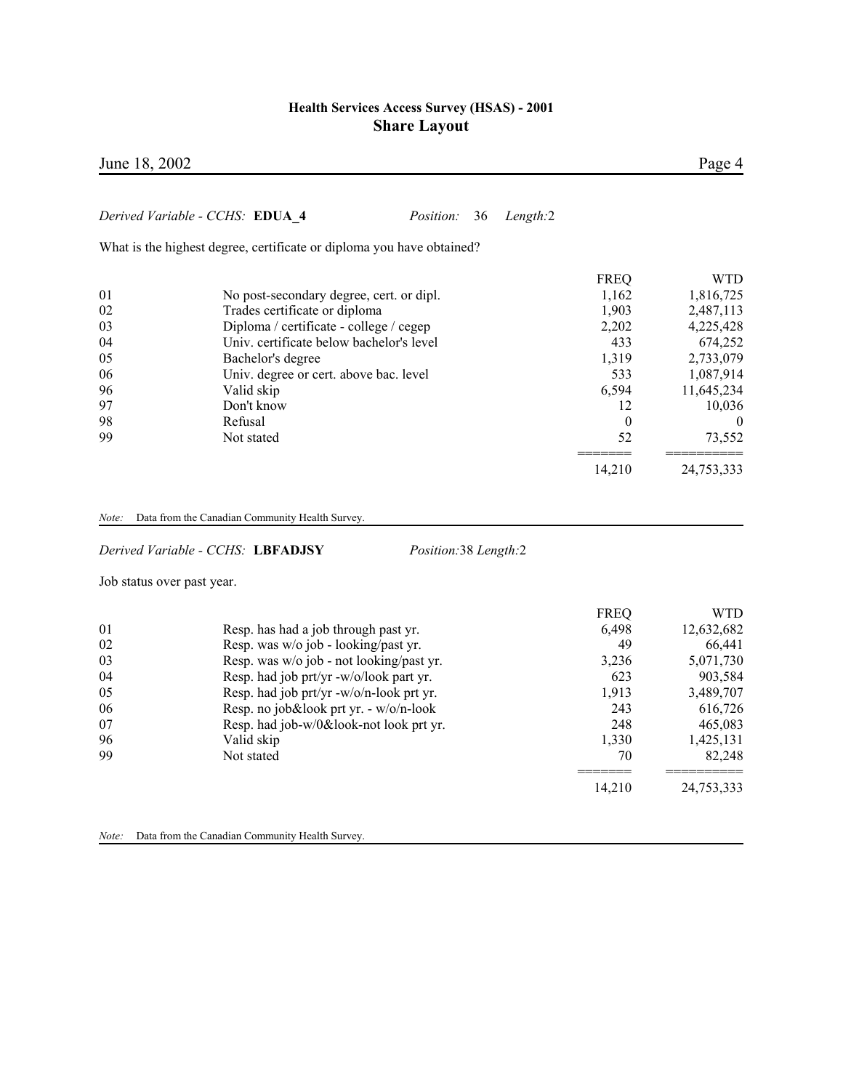|       | June 18, 2002                                                         |                  | Page 4     |
|-------|-----------------------------------------------------------------------|------------------|------------|
|       | Derived Variable - CCHS: EDUA 4<br><i>Position:</i><br>36<br>Length:2 |                  |            |
|       |                                                                       |                  |            |
|       | What is the highest degree, certificate or diploma you have obtained? |                  |            |
|       |                                                                       | <b>FREQ</b>      | <b>WTD</b> |
| 01    | No post-secondary degree, cert. or dipl.                              | 1,162            | 1,816,725  |
| 02    | Trades certificate or diploma                                         | 1,903            | 2,487,113  |
| 03    | Diploma / certificate - college / cegep                               | 2,202            | 4,225,428  |
| 04    | Univ. certificate below bachelor's level                              | 433              | 674,252    |
| 05    | Bachelor's degree                                                     | 1,319            | 2,733,079  |
| 06    | Univ. degree or cert. above bac. level                                | 533              | 1,087,914  |
| 96    | Valid skip                                                            | 6,594            | 11,645,234 |
| 97    | Don't know                                                            | 12               | 10,036     |
| 98    | Refusal                                                               | $\boldsymbol{0}$ | $\theta$   |
| 99    | Not stated                                                            | 52               | 73,552     |
|       |                                                                       | 14,210           | 24,753,333 |
| Note: | Data from the Canadian Community Health Survey.                       |                  |            |
|       | Derived Variable - CCHS: LBFADJSY<br>Position:38 Length:2             |                  |            |
|       | Job status over past year.                                            |                  |            |
|       |                                                                       | <b>FREQ</b>      | <b>WTD</b> |
| 01    | Resp. has had a job through past yr.                                  | 6,498            | 12,632,682 |
| 02    | Resp. was w/o job - looking/past yr.                                  | 49               | 66,441     |
| 03    | Resp. was w/o job - not looking/past yr.                              | 3,236            | 5,071,730  |
| 04    | Resp. had job prt/yr -w/o/look part yr.                               | 623              | 903,584    |
| 05    | Resp. had job prt/yr -w/o/n-look prt yr.                              | 1,913            | 3,489,707  |
| 06    | Resp. no job&look prt yr. - w/o/n-look                                | 243              | 616,726    |
| 07    | Resp. had job-w/0&look-not look prt yr.                               | 248              | 465,083    |

96 Valid skip 1,330 1,425,131 99 Not stated 70 82,248

======= ==========

14,210 24,753,333

*Note:* Data from the Canadian Community Health Survey.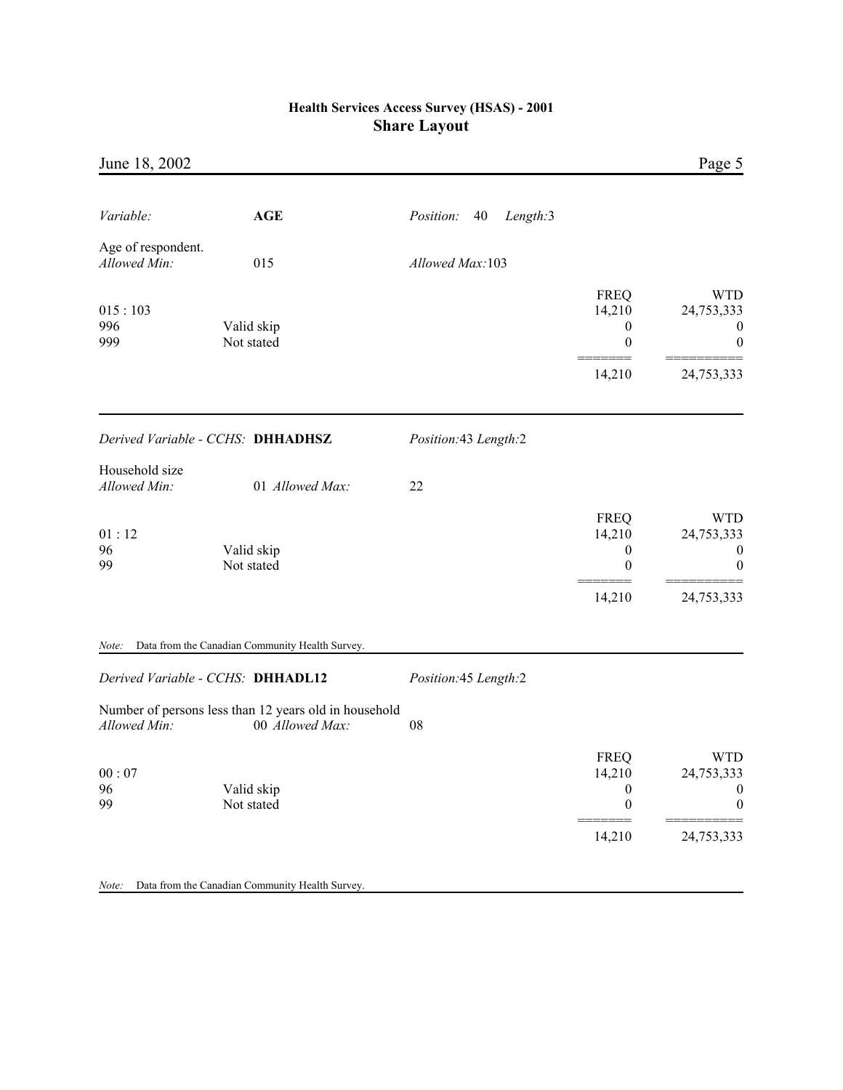| June 18, 2002                      |                                                                          |                             |                                                                         | Page 5                                                                 |
|------------------------------------|--------------------------------------------------------------------------|-----------------------------|-------------------------------------------------------------------------|------------------------------------------------------------------------|
|                                    |                                                                          |                             |                                                                         |                                                                        |
| Variable:                          | <b>AGE</b>                                                               | Position:<br>Length:3<br>40 |                                                                         |                                                                        |
| Age of respondent.<br>Allowed Min: | 015                                                                      | Allowed Max:103             |                                                                         |                                                                        |
| 015:103<br>996<br>999              | Valid skip<br>Not stated                                                 |                             | <b>FREQ</b><br>14,210<br>$\boldsymbol{0}$<br>$\boldsymbol{0}$<br>14,210 | <b>WTD</b><br>24,753,333<br>$\bf{0}$<br>$\boldsymbol{0}$<br>24,753,333 |
|                                    | Derived Variable - CCHS: DHHADHSZ                                        | Position:43 Length:2        |                                                                         |                                                                        |
| Household size<br>Allowed Min:     | 01 Allowed Max:                                                          | 22                          |                                                                         |                                                                        |
| 01:12<br>96<br>99                  | Valid skip<br>Not stated                                                 |                             | <b>FREQ</b><br>14,210<br>$\boldsymbol{0}$<br>0                          | <b>WTD</b><br>24,753,333<br>$\boldsymbol{0}$<br>$\theta$               |
|                                    |                                                                          |                             | 14,210                                                                  | 24,753,333                                                             |
| Note:                              | Data from the Canadian Community Health Survey.                          |                             |                                                                         |                                                                        |
|                                    | Derived Variable - CCHS: DHHADL12                                        | Position:45 Length:2        |                                                                         |                                                                        |
| Allowed Min:                       | Number of persons less than 12 years old in household<br>00 Allowed Max: | 08                          |                                                                         |                                                                        |
| 00:07<br>96<br>99                  | Valid skip<br>Not stated                                                 |                             | <b>FREQ</b><br>14,210<br>$\boldsymbol{0}$<br>$\boldsymbol{0}$           | <b>WTD</b><br>24,753,333<br>0<br>$\boldsymbol{0}$                      |
|                                    |                                                                          |                             | 14,210                                                                  | 24,753,333                                                             |
| Note:                              | Data from the Canadian Community Health Survey.                          |                             |                                                                         |                                                                        |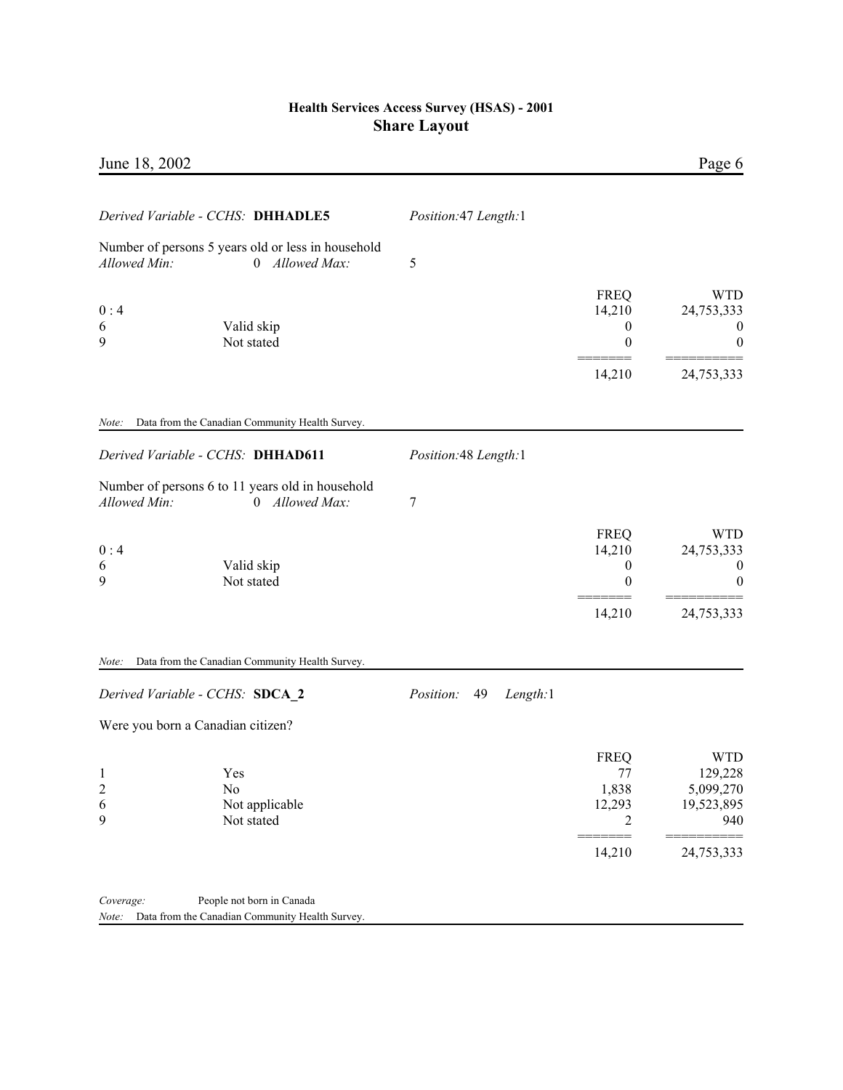| June 18, 2002                                                                                      |                             |                                                     | Page 6                                                                |
|----------------------------------------------------------------------------------------------------|-----------------------------|-----------------------------------------------------|-----------------------------------------------------------------------|
|                                                                                                    |                             |                                                     |                                                                       |
| Derived Variable - CCHS: DHHADLE5                                                                  | Position: 47 Length: 1      |                                                     |                                                                       |
| Number of persons 5 years old or less in household<br>Allowed Min:<br>0 Allowed Max:               | 5                           |                                                     |                                                                       |
| 0:4<br>Valid skip<br>6<br>9<br>Not stated                                                          |                             | <b>FREQ</b><br>14,210<br>$\boldsymbol{0}$<br>0      | <b>WTD</b><br>24,753,333<br>$\bf{0}$<br>$\boldsymbol{0}$              |
|                                                                                                    |                             | 14,210                                              | 24,753,333                                                            |
| Data from the Canadian Community Health Survey.<br>Note:                                           |                             |                                                     |                                                                       |
| Derived Variable - CCHS: DHHAD611                                                                  | Position:48 Length:1        |                                                     |                                                                       |
| Number of persons 6 to 11 years old in household<br>Allowed Min:<br>0 Allowed Max:                 | 7                           |                                                     |                                                                       |
| 0:4<br>Valid skip<br>6<br>9<br>Not stated                                                          |                             | <b>FREQ</b><br>14,210<br>$\boldsymbol{0}$<br>0      | <b>WTD</b><br>24,753,333<br>$\boldsymbol{0}$<br>$\boldsymbol{0}$      |
|                                                                                                    |                             | 14,210                                              | 24,753,333                                                            |
| Data from the Canadian Community Health Survey.<br>Note:                                           |                             |                                                     |                                                                       |
| Derived Variable - CCHS: SDCA 2                                                                    | Position:<br>49<br>Length:1 |                                                     |                                                                       |
| Were you born a Canadian citizen?                                                                  |                             |                                                     |                                                                       |
| 1<br>Yes<br>$\overline{c}$<br>No<br>6<br>Not applicable<br>9<br>Not stated                         |                             | <b>FREQ</b><br>77<br>1,838<br>12,293<br>2<br>14,210 | <b>WTD</b><br>129,228<br>5,099,270<br>19,523,895<br>940<br>24,753,333 |
| Coverage:<br>People not born in Canada<br>Data from the Canadian Community Health Survey.<br>Note: |                             |                                                     |                                                                       |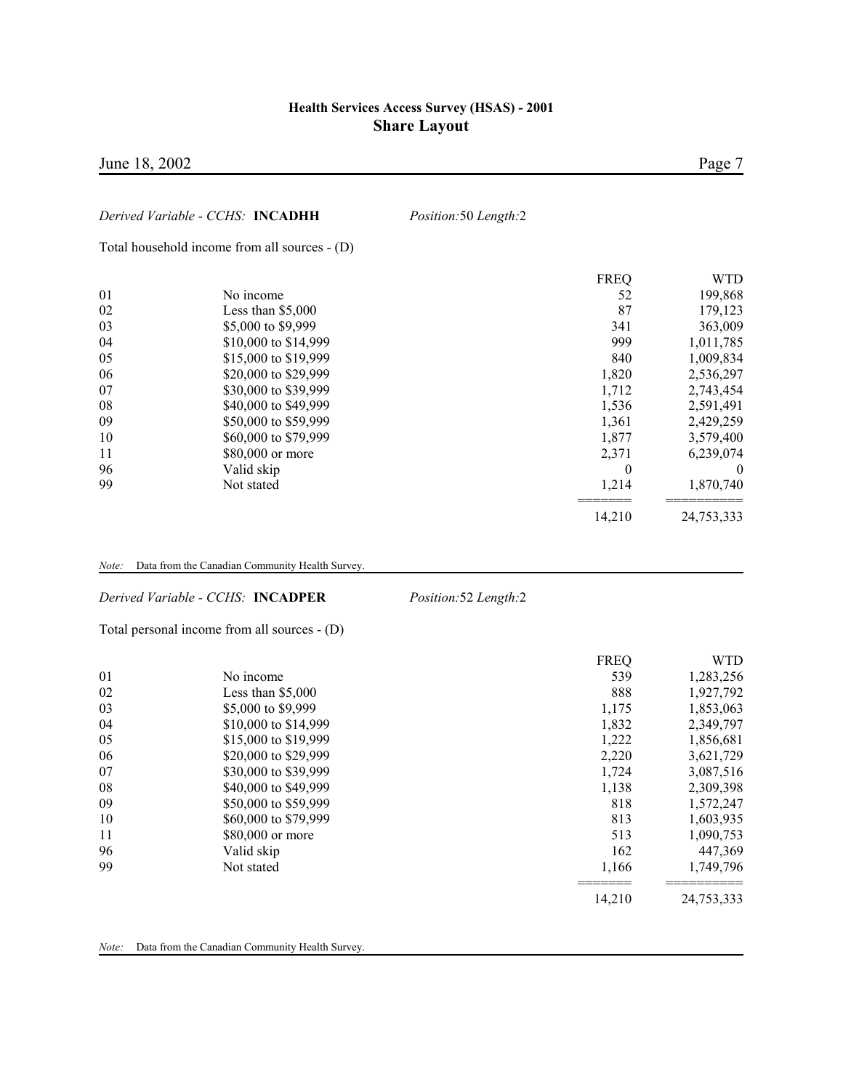| June 18, 2002 |                                               |                      |                  | Page 7     |
|---------------|-----------------------------------------------|----------------------|------------------|------------|
|               | Derived Variable - CCHS: INCADHH              | Position:50 Length:2 |                  |            |
|               | Total household income from all sources - (D) |                      |                  |            |
|               |                                               |                      | <b>FREQ</b>      | <b>WTD</b> |
| 01            | No income                                     |                      | 52               | 199,868    |
| 02            | Less than $$5,000$                            |                      | 87               | 179,123    |
| 03            | \$5,000 to \$9,999                            |                      | 341              | 363,009    |
| 04            | \$10,000 to \$14,999                          |                      | 999              | 1,011,785  |
| 05            | \$15,000 to \$19,999                          |                      | 840              | 1,009,834  |
| 06            | \$20,000 to \$29,999                          |                      | 1,820            | 2,536,297  |
| 07            | \$30,000 to \$39,999                          |                      | 1,712            | 2,743,454  |
| 08            | \$40,000 to \$49,999                          |                      | 1,536            | 2,591,491  |
| 09            | \$50,000 to \$59,999                          |                      | 1,361            | 2,429,259  |
| 10            | \$60,000 to \$79,999                          |                      | 1,877            | 3,579,400  |
| 11            | \$80,000 or more                              |                      | 2,371            | 6,239,074  |
| 96            | Valid skip                                    |                      | $\boldsymbol{0}$ |            |
| 99            | Not stated                                    |                      | 1,214            | 1,870,740  |
|               |                                               |                      | 14,210           | 24,753,333 |
|               |                                               |                      |                  |            |

*Note:* Data from the Canadian Community Health Survey.

*Derived Variable - CCHS:* **INCADPER** *Position:*52 *Length:*2

Total personal income from all sources - (D)

|    |                      | <b>FREQ</b> | <b>WTD</b> |
|----|----------------------|-------------|------------|
| 01 | No income            | 539         | 1,283,256  |
| 02 | Less than $$5,000$   | 888         | 1,927,792  |
| 03 | \$5,000 to \$9,999   | 1,175       | 1,853,063  |
| 04 | \$10,000 to \$14,999 | 1,832       | 2,349,797  |
| 05 | \$15,000 to \$19,999 | 1,222       | 1,856,681  |
| 06 | \$20,000 to \$29,999 | 2,220       | 3,621,729  |
| 07 | \$30,000 to \$39,999 | 1,724       | 3,087,516  |
| 08 | \$40,000 to \$49,999 | 1,138       | 2,309,398  |
| 09 | \$50,000 to \$59,999 | 818         | 1,572,247  |
| 10 | \$60,000 to \$79,999 | 813         | 1,603,935  |
| 11 | \$80,000 or more     | 513         | 1,090,753  |
| 96 | Valid skip           | 162         | 447,369    |
| 99 | Not stated           | 1,166       | 1,749,796  |
|    |                      | 14.210      | 24,753,333 |

*Note:* Data from the Canadian Community Health Survey.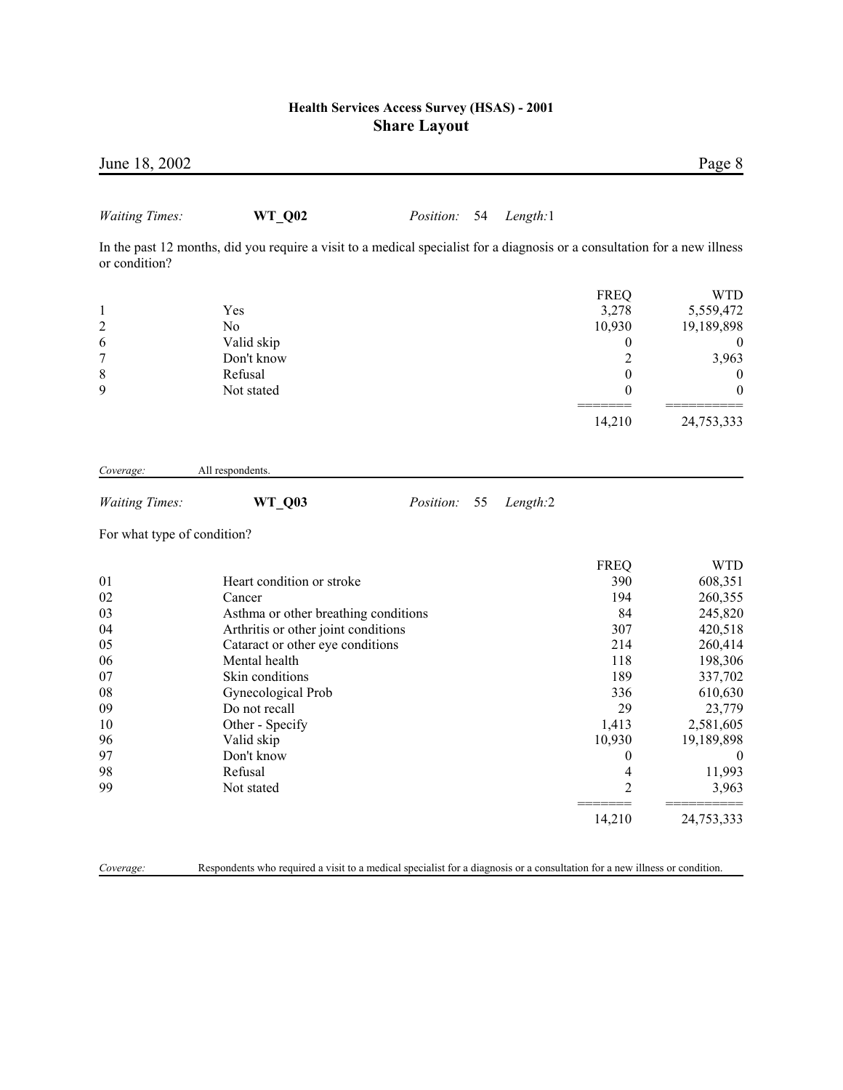| June 18, 2002               |                                                                                                                            |                  |    |          |                          | Page 8           |
|-----------------------------|----------------------------------------------------------------------------------------------------------------------------|------------------|----|----------|--------------------------|------------------|
| <b>Waiting Times:</b>       | WT_Q02                                                                                                                     | Position:        | 54 | Length:1 |                          |                  |
| or condition?               | In the past 12 months, did you require a visit to a medical specialist for a diagnosis or a consultation for a new illness |                  |    |          |                          |                  |
|                             |                                                                                                                            |                  |    |          | <b>FREQ</b>              | <b>WTD</b>       |
| $\mathbf{1}$                | Yes                                                                                                                        |                  |    |          | 3,278                    | 5,559,472        |
| $\overline{\mathbf{c}}$     | N <sub>o</sub>                                                                                                             |                  |    |          | 10,930                   | 19,189,898       |
| 6                           | Valid skip                                                                                                                 |                  |    |          | $\boldsymbol{0}$         | $\boldsymbol{0}$ |
| 7                           | Don't know                                                                                                                 |                  |    |          | $\overline{c}$           | 3,963            |
| 8                           | Refusal                                                                                                                    |                  |    |          | $\boldsymbol{0}$         | $\boldsymbol{0}$ |
| 9                           | Not stated                                                                                                                 |                  |    |          | 0                        | $\boldsymbol{0}$ |
|                             |                                                                                                                            |                  |    |          | 14,210                   | 24,753,333       |
| Coverage:                   | All respondents.                                                                                                           |                  |    |          |                          |                  |
| <b>Waiting Times:</b>       | WT_Q03                                                                                                                     | <i>Position:</i> | 55 | Length:2 |                          |                  |
| For what type of condition? |                                                                                                                            |                  |    |          |                          |                  |
|                             |                                                                                                                            |                  |    |          | <b>FREQ</b>              | <b>WTD</b>       |
| 01                          | Heart condition or stroke                                                                                                  |                  |    |          | 390                      | 608,351          |
| 02                          | Cancer                                                                                                                     |                  |    |          | 194                      | 260,355          |
| 03                          | Asthma or other breathing conditions                                                                                       |                  |    |          | 84                       | 245,820          |
| 04                          | Arthritis or other joint conditions                                                                                        |                  |    |          | 307                      | 420,518          |
| 05                          | Cataract or other eye conditions                                                                                           |                  |    |          | 214                      | 260,414          |
| 06                          | Mental health                                                                                                              |                  |    |          | 118                      | 198,306          |
| 07                          | Skin conditions                                                                                                            |                  |    |          | 189                      | 337,702          |
| 08                          | Gynecological Prob                                                                                                         |                  |    |          | 336                      | 610,630          |
| 09                          | Do not recall                                                                                                              |                  |    |          | 29                       | 23,779           |
| 10                          | Other - Specify                                                                                                            |                  |    |          | 1,413                    | 2,581,605        |
| 96                          | Valid skip                                                                                                                 |                  |    |          | 10,930                   | 19,189,898       |
| 97                          | Don't know                                                                                                                 |                  |    |          | $\boldsymbol{0}$         | $\boldsymbol{0}$ |
| 98                          | Refusal                                                                                                                    |                  |    |          | $\overline{\mathcal{A}}$ | 11,993           |
| 99                          | Not stated                                                                                                                 |                  |    |          | $\overline{c}$           | 3,963            |
|                             |                                                                                                                            |                  |    |          | 14,210                   | 24,753,333       |
| Coverage:                   | Respondents who required a visit to a medical specialist for a diagnosis or a consultation for a new illness or condition. |                  |    |          |                          |                  |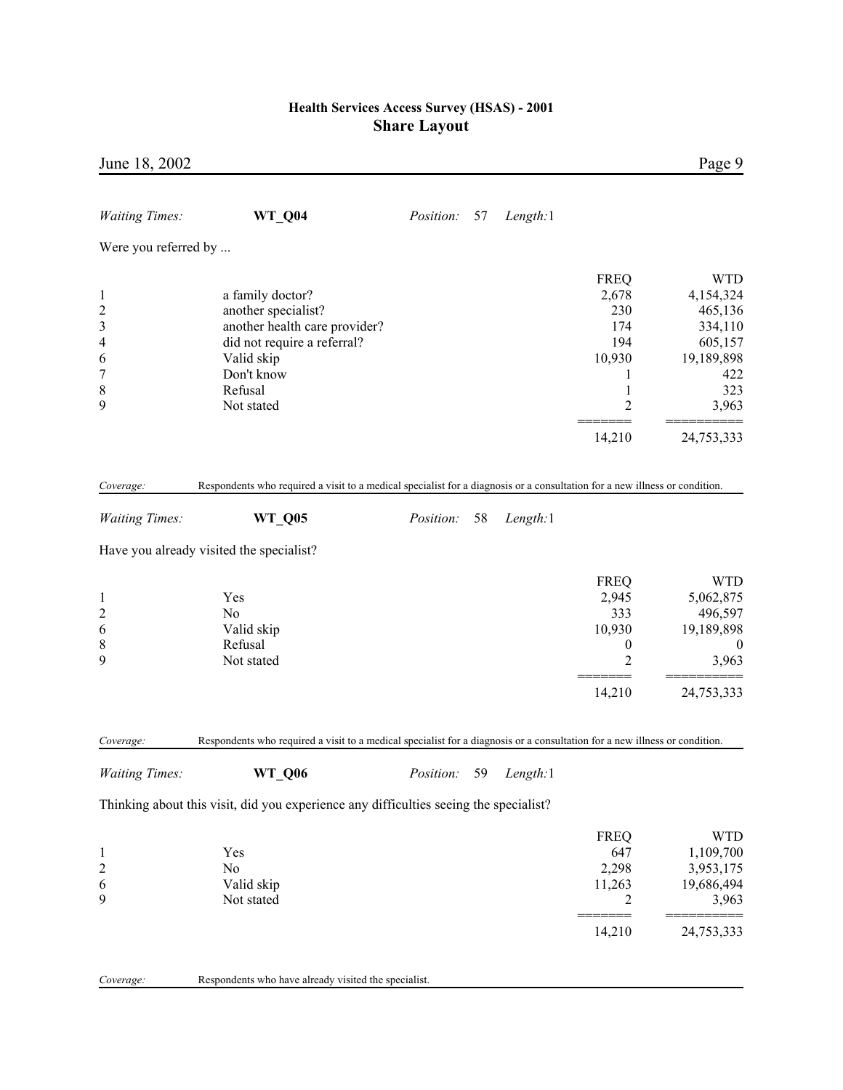| June 18, 2002                                                                      |                                                                                                                                             |                  |    |          |                                                                | Page 9                                                                        |
|------------------------------------------------------------------------------------|---------------------------------------------------------------------------------------------------------------------------------------------|------------------|----|----------|----------------------------------------------------------------|-------------------------------------------------------------------------------|
| <b>Waiting Times:</b>                                                              | WT_Q04                                                                                                                                      | Position:        | 57 | Length:1 |                                                                |                                                                               |
| Were you referred by                                                               |                                                                                                                                             |                  |    |          |                                                                |                                                                               |
| $\mathbf{1}$<br>$\overline{\mathbf{c}}$<br>3<br>$\overline{\mathcal{A}}$<br>6<br>7 | a family doctor?<br>another specialist?<br>another health care provider?<br>did not require a referral?<br>Valid skip<br>Don't know         |                  |    |          | <b>FREQ</b><br>2,678<br>230<br>174<br>194<br>10,930<br>1       | <b>WTD</b><br>4,154,324<br>465,136<br>334,110<br>605,157<br>19,189,898<br>422 |
| $\,$ $\,$<br>9                                                                     | Refusal<br>Not stated                                                                                                                       |                  |    |          | $\mathbf{1}$<br>2                                              | 323<br>3,963                                                                  |
|                                                                                    |                                                                                                                                             |                  |    |          | 14,210                                                         | 24,753,333                                                                    |
| Coverage:                                                                          | Respondents who required a visit to a medical specialist for a diagnosis or a consultation for a new illness or condition.                  |                  |    |          |                                                                |                                                                               |
| <b>Waiting Times:</b>                                                              | <b>WT_Q05</b>                                                                                                                               | <i>Position:</i> | 58 | Length:1 |                                                                |                                                                               |
|                                                                                    | Have you already visited the specialist?                                                                                                    |                  |    |          |                                                                |                                                                               |
| $\mathbf{1}$<br>$\overline{c}$<br>6<br>$\,$ 8 $\,$<br>9                            | Yes<br>N <sub>0</sub><br>Valid skip<br>Refusal<br>Not stated                                                                                |                  |    |          | <b>FREQ</b><br>2,945<br>333<br>10,930<br>$\boldsymbol{0}$<br>2 | <b>WTD</b><br>5,062,875<br>496,597<br>19,189,898<br>$\boldsymbol{0}$<br>3,963 |
|                                                                                    |                                                                                                                                             |                  |    |          | 14,210                                                         | 24,753,333                                                                    |
| Coverage:<br><b>Waiting Times:</b>                                                 | Respondents who required a visit to a medical specialist for a diagnosis or a consultation for a new illness or condition.<br><b>WT_Q06</b> | Position:        | 59 | Length:1 |                                                                |                                                                               |
|                                                                                    | Thinking about this visit, did you experience any difficulties seeing the specialist?                                                       |                  |    |          |                                                                |                                                                               |
| $\mathbf{1}$<br>$\overline{c}$<br>6<br>9                                           | Yes<br>No<br>Valid skip<br>Not stated                                                                                                       |                  |    |          | <b>FREQ</b><br>647<br>2,298<br>11,263<br>2                     | <b>WTD</b><br>1,109,700<br>3,953,175<br>19,686,494<br>3,963                   |
|                                                                                    |                                                                                                                                             |                  |    |          | 14,210                                                         | 24,753,333                                                                    |
| Coverage:                                                                          | Respondents who have already visited the specialist.                                                                                        |                  |    |          |                                                                |                                                                               |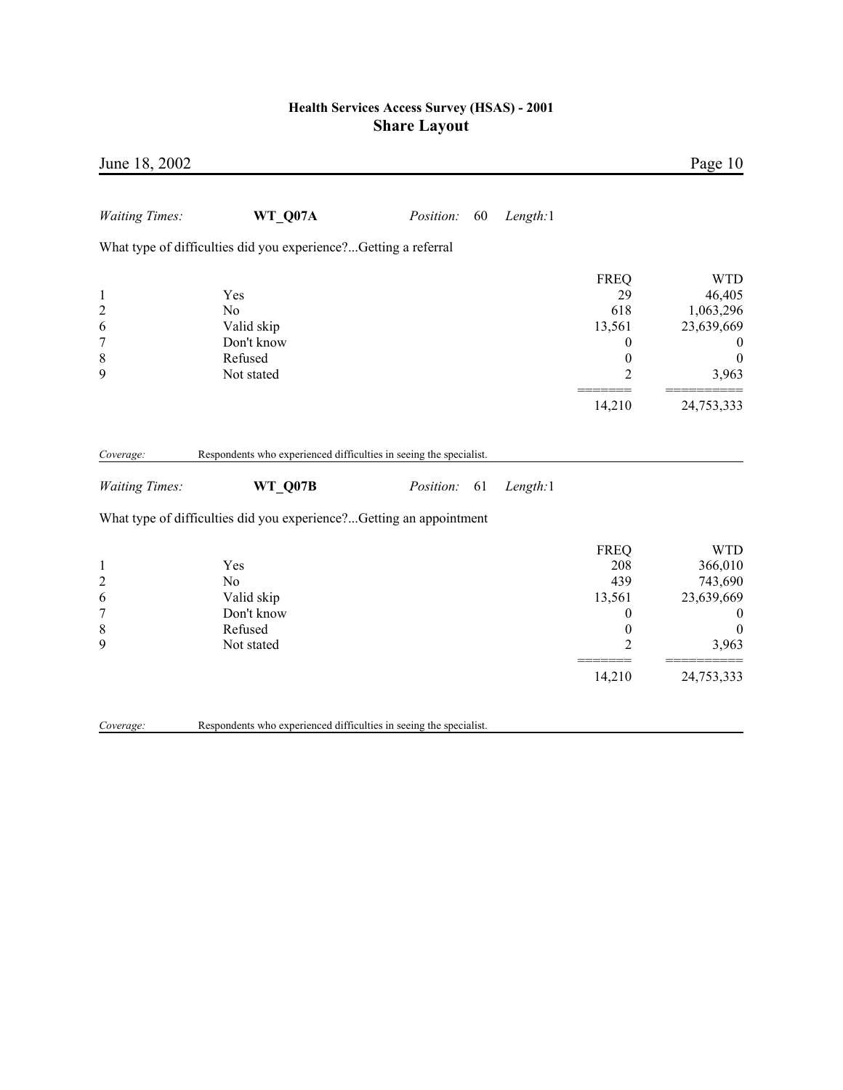| June 18, 2002                                                             |                                                                            |                 |          |                                                                                         | Page 10                                                                                                        |
|---------------------------------------------------------------------------|----------------------------------------------------------------------------|-----------------|----------|-----------------------------------------------------------------------------------------|----------------------------------------------------------------------------------------------------------------|
| <b>Waiting Times:</b>                                                     | WT_Q07A                                                                    | Position:<br>60 | Length:1 |                                                                                         |                                                                                                                |
|                                                                           | What type of difficulties did you experience?Getting a referral            |                 |          |                                                                                         |                                                                                                                |
| $\mathbf{1}$<br>$\overline{c}$<br>6<br>$\overline{7}$<br>$\,$ 8 $\,$<br>9 | Yes<br>N <sub>0</sub><br>Valid skip<br>Don't know<br>Refused<br>Not stated |                 |          | <b>FREQ</b><br>29<br>618<br>13,561<br>0<br>$\boldsymbol{0}$<br>$\overline{2}$<br>14,210 | <b>WTD</b><br>46,405<br>1,063,296<br>23,639,669<br>$\boldsymbol{0}$<br>$\boldsymbol{0}$<br>3,963<br>24,753,333 |
| Coverage:                                                                 | Respondents who experienced difficulties in seeing the specialist.         |                 |          |                                                                                         |                                                                                                                |
| <b>Waiting Times:</b>                                                     | WT Q07B                                                                    | Position:<br>61 | Length:1 |                                                                                         |                                                                                                                |
|                                                                           | What type of difficulties did you experience?Getting an appointment        |                 |          |                                                                                         |                                                                                                                |
| $\mathbf{1}$<br>$\overline{c}$<br>6<br>$\overline{7}$<br>8<br>9           | Yes<br>No<br>Valid skip<br>Don't know<br>Refused<br>Not stated             |                 |          | <b>FREQ</b><br>208<br>439<br>13,561<br>0<br>$\boldsymbol{0}$<br>2<br>14,210             | <b>WTD</b><br>366,010<br>743,690<br>23,639,669<br>$\bf{0}$<br>$\boldsymbol{0}$<br>3,963<br>24,753,333          |
| Coverage:                                                                 | Respondents who experienced difficulties in seeing the specialist.         |                 |          |                                                                                         |                                                                                                                |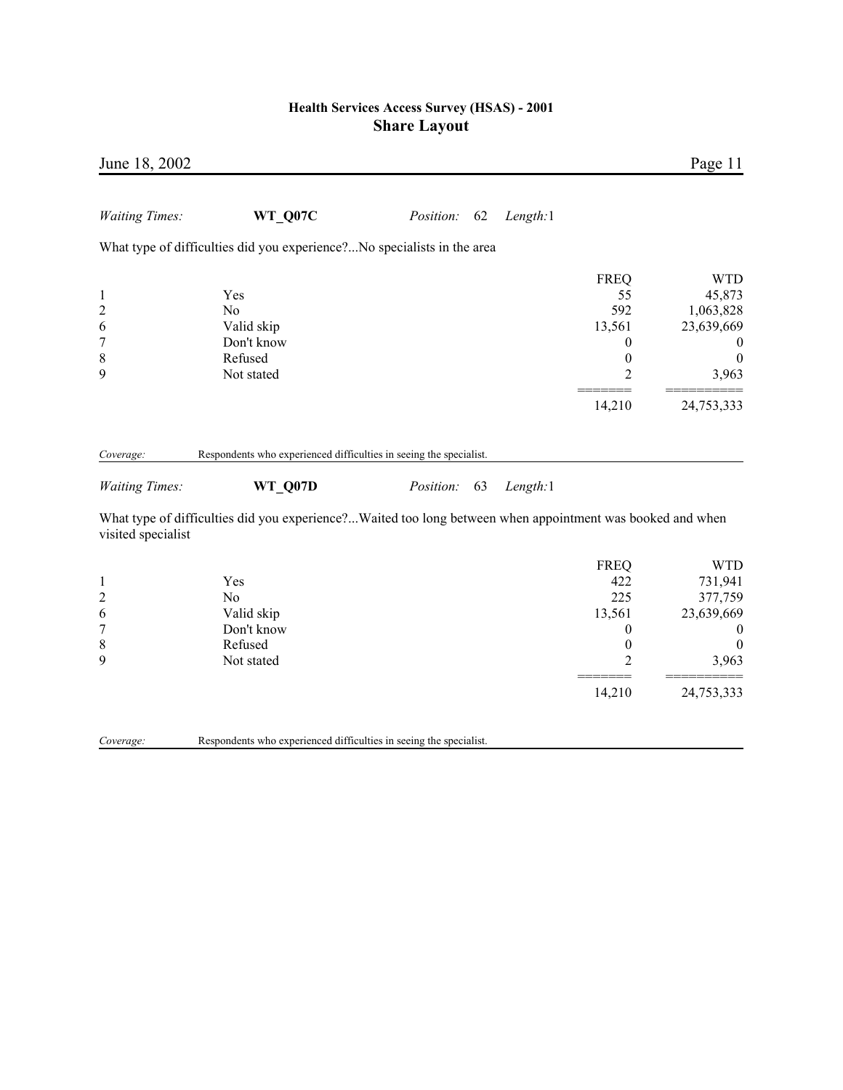| June 18, 2002                  |                                                                                                           |           |    |          |                                                | Page 11                            |
|--------------------------------|-----------------------------------------------------------------------------------------------------------|-----------|----|----------|------------------------------------------------|------------------------------------|
| <b>Waiting Times:</b>          | WT Q07C                                                                                                   | Position: | 62 | Length:1 |                                                |                                    |
|                                | What type of difficulties did you experience?No specialists in the area                                   |           |    |          |                                                |                                    |
| $\mathbf{1}$<br>$\overline{c}$ | Yes<br>No                                                                                                 |           |    |          | <b>FREQ</b><br>55<br>592                       | <b>WTD</b><br>45,873<br>1,063,828  |
| 6<br>$\overline{7}$<br>8       | Valid skip<br>Don't know<br>Refused                                                                       |           |    |          | 13,561<br>$\boldsymbol{0}$<br>$\boldsymbol{0}$ | 23,639,669<br>$\bf{0}$<br>$\theta$ |
| 9                              | Not stated                                                                                                |           |    |          | $\overline{2}$                                 | 3,963                              |
|                                |                                                                                                           |           |    |          | 14,210                                         | 24,753,333                         |
| Coverage:                      | Respondents who experienced difficulties in seeing the specialist.                                        |           |    |          |                                                |                                    |
| <b>Waiting Times:</b>          | WT_Q07D                                                                                                   | Position: | 63 | Length:1 |                                                |                                    |
| visited specialist             | What type of difficulties did you experience?Waited too long between when appointment was booked and when |           |    |          |                                                |                                    |
| $\mathbf{1}$                   | Yes                                                                                                       |           |    |          | <b>FREQ</b><br>422                             | <b>WTD</b><br>731,941              |
| $\overline{c}$                 | No                                                                                                        |           |    |          | 225                                            | 377,759                            |
| 6                              | Valid skip                                                                                                |           |    |          | 13,561                                         | 23,639,669                         |
| 7                              | Don't know                                                                                                |           |    |          | $\boldsymbol{0}$                               | $\boldsymbol{0}$                   |
| 8<br>9                         | Refused<br>Not stated                                                                                     |           |    |          | $\boldsymbol{0}$<br>2                          | $\boldsymbol{0}$<br>3,963          |
|                                |                                                                                                           |           |    |          | 14,210                                         | 24,753,333                         |
|                                |                                                                                                           |           |    |          |                                                |                                    |

*Coverage:* Respondents who experienced difficulties in seeing the specialist.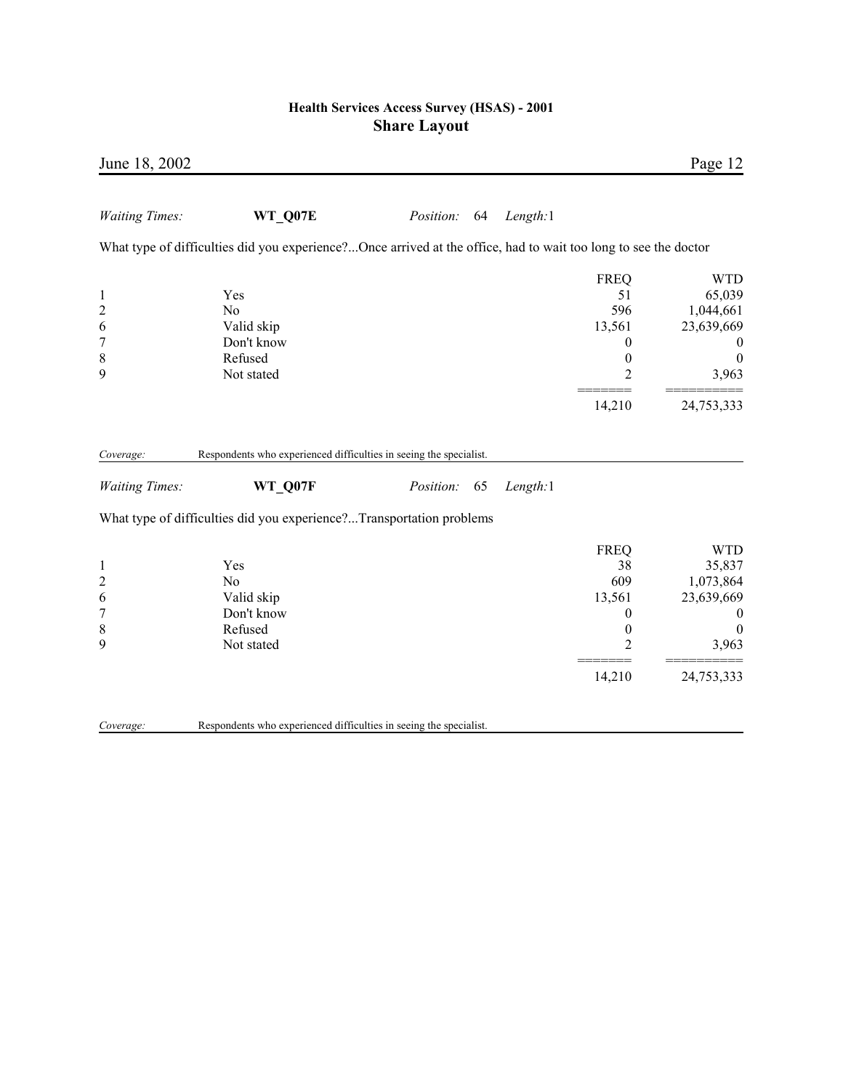| June 18, 2002                                                           |                                                                                                                 |              |    |          |                                                                                              | Page 12                                                                                          |
|-------------------------------------------------------------------------|-----------------------------------------------------------------------------------------------------------------|--------------|----|----------|----------------------------------------------------------------------------------------------|--------------------------------------------------------------------------------------------------|
| <b>Waiting Times:</b>                                                   | WT Q07E                                                                                                         | Position: 64 |    | Length:1 |                                                                                              |                                                                                                  |
|                                                                         | What type of difficulties did you experience?Once arrived at the office, had to wait too long to see the doctor |              |    |          |                                                                                              |                                                                                                  |
| $\mathbf{1}$<br>$\overline{c}$<br>6<br>$\overline{7}$<br>$\,$ $\,$<br>9 | Yes<br>N <sub>0</sub><br>Valid skip<br>Don't know<br>Refused<br>Not stated                                      |              |    |          | <b>FREQ</b><br>51<br>596<br>13,561<br>$\boldsymbol{0}$<br>$\boldsymbol{0}$<br>$\overline{2}$ | <b>WTD</b><br>65,039<br>1,044,661<br>23,639,669<br>$\boldsymbol{0}$<br>$\boldsymbol{0}$<br>3,963 |
|                                                                         |                                                                                                                 |              |    |          | 14,210                                                                                       | 24,753,333                                                                                       |
| Coverage:                                                               | Respondents who experienced difficulties in seeing the specialist.                                              |              |    |          |                                                                                              |                                                                                                  |
| <b>Waiting Times:</b>                                                   | WT_Q07F                                                                                                         | Position:    | 65 | Length:1 |                                                                                              |                                                                                                  |
|                                                                         | What type of difficulties did you experience?Transportation problems                                            |              |    |          |                                                                                              |                                                                                                  |
| $\mathbf{1}$<br>$\overline{c}$<br>6<br>$\overline{7}$<br>$\,$ $\,$<br>9 | Yes<br>No<br>Valid skip<br>Don't know<br>Refused<br>Not stated                                                  |              |    |          | <b>FREQ</b><br>38<br>609<br>13,561<br>$\boldsymbol{0}$<br>$\boldsymbol{0}$<br>$\overline{2}$ | <b>WTD</b><br>35,837<br>1,073,864<br>23,639,669<br>$\boldsymbol{0}$<br>$\overline{0}$<br>3,963   |
|                                                                         |                                                                                                                 |              |    |          | 14,210                                                                                       | 24,753,333                                                                                       |
| Coverage:                                                               | Respondents who experienced difficulties in seeing the specialist.                                              |              |    |          |                                                                                              |                                                                                                  |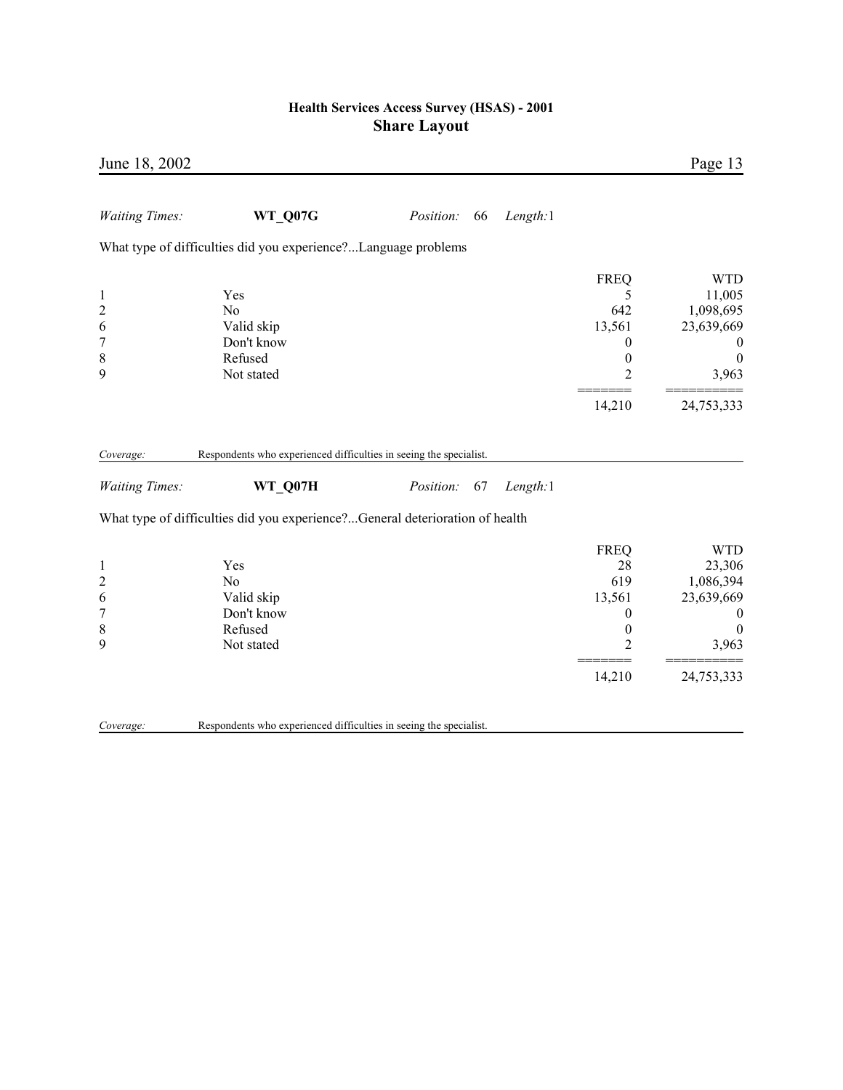| June 18, 2002                                                             |                                                                              |           |    |          |                                                                                                       | Page 13                                                                                                        |
|---------------------------------------------------------------------------|------------------------------------------------------------------------------|-----------|----|----------|-------------------------------------------------------------------------------------------------------|----------------------------------------------------------------------------------------------------------------|
| <b>Waiting Times:</b>                                                     | WT_Q07G                                                                      | Position: | 66 | Length:1 |                                                                                                       |                                                                                                                |
|                                                                           | What type of difficulties did you experience?Language problems               |           |    |          |                                                                                                       |                                                                                                                |
| $\mathbf{1}$<br>$\overline{c}$<br>6<br>$\overline{7}$<br>$\,$ 8 $\,$<br>9 | Yes<br>N <sub>o</sub><br>Valid skip<br>Don't know<br>Refused<br>Not stated   |           |    |          | <b>FREQ</b><br>5<br>642<br>13,561<br>$\boldsymbol{0}$<br>$\boldsymbol{0}$<br>$\overline{2}$<br>14,210 | <b>WTD</b><br>11,005<br>1,098,695<br>23,639,669<br>$\boldsymbol{0}$<br>$\boldsymbol{0}$<br>3,963<br>24,753,333 |
| Coverage:                                                                 | Respondents who experienced difficulties in seeing the specialist.           |           |    |          |                                                                                                       |                                                                                                                |
| <b>Waiting Times:</b>                                                     | WT_Q07H                                                                      | Position: | 67 | Length:1 |                                                                                                       |                                                                                                                |
|                                                                           | What type of difficulties did you experience?General deterioration of health |           |    |          |                                                                                                       |                                                                                                                |
| $\mathbf{1}$<br>$\overline{c}$<br>6<br>$\overline{7}$<br>$\,$ $\,$<br>9   | Yes<br>N <sub>o</sub><br>Valid skip<br>Don't know<br>Refused<br>Not stated   |           |    |          | <b>FREQ</b><br>28<br>619<br>13,561<br>$\boldsymbol{0}$<br>$\boldsymbol{0}$<br>2                       | <b>WTD</b><br>23,306<br>1,086,394<br>23,639,669<br>$\boldsymbol{0}$<br>$\boldsymbol{0}$<br>3,963               |
|                                                                           |                                                                              |           |    |          | 14,210                                                                                                | 24,753,333                                                                                                     |
| Coverage:                                                                 | Respondents who experienced difficulties in seeing the specialist.           |           |    |          |                                                                                                       |                                                                                                                |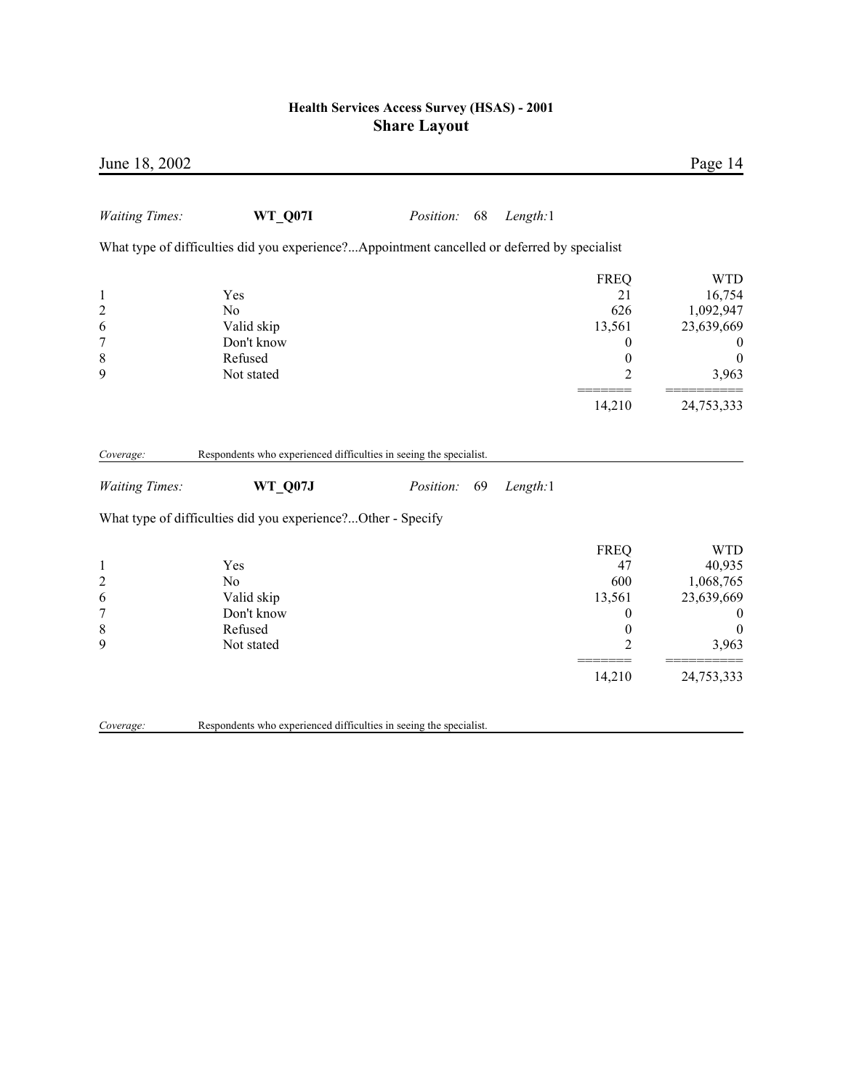| June 18, 2002                                                |                                                                                              |                  |    |          |                                                                                           | Page 14                                                                                                        |
|--------------------------------------------------------------|----------------------------------------------------------------------------------------------|------------------|----|----------|-------------------------------------------------------------------------------------------|----------------------------------------------------------------------------------------------------------------|
| <b>Waiting Times:</b>                                        | WT_Q07I                                                                                      | <i>Position:</i> | 68 | Length:1 |                                                                                           |                                                                                                                |
|                                                              | What type of difficulties did you experience?Appointment cancelled or deferred by specialist |                  |    |          |                                                                                           |                                                                                                                |
| $\mathbf{1}$<br>$\overline{c}$<br>6<br>7<br>$\,$ 8 $\,$<br>9 | Yes<br>N <sub>0</sub><br>Valid skip<br>Don't know<br>Refused<br>Not stated                   |                  |    |          | <b>FREQ</b><br>21<br>626<br>13,561<br>$\boldsymbol{0}$<br>$\boldsymbol{0}$<br>2           | <b>WTD</b><br>16,754<br>1,092,947<br>23,639,669<br>$\boldsymbol{0}$<br>$\boldsymbol{0}$<br>3,963               |
|                                                              |                                                                                              |                  |    |          | 14,210                                                                                    | 24,753,333                                                                                                     |
| Coverage:                                                    | Respondents who experienced difficulties in seeing the specialist.                           |                  |    |          |                                                                                           |                                                                                                                |
| <b>Waiting Times:</b>                                        | <b>WT Q07J</b>                                                                               | Position:        | 69 | Length:1 |                                                                                           |                                                                                                                |
|                                                              | What type of difficulties did you experience?Other - Specify                                 |                  |    |          |                                                                                           |                                                                                                                |
| $\mathbf{1}$<br>$\overline{c}$<br>6<br>7<br>8<br>9           | Yes<br>N <sub>o</sub><br>Valid skip<br>Don't know<br>Refused<br>Not stated                   |                  |    |          | <b>FREQ</b><br>47<br>600<br>13,561<br>$\boldsymbol{0}$<br>$\boldsymbol{0}$<br>2<br>14,210 | <b>WTD</b><br>40,935<br>1,068,765<br>23,639,669<br>$\boldsymbol{0}$<br>$\boldsymbol{0}$<br>3,963<br>24,753,333 |
| Coverage:                                                    | Respondents who experienced difficulties in seeing the specialist.                           |                  |    |          |                                                                                           |                                                                                                                |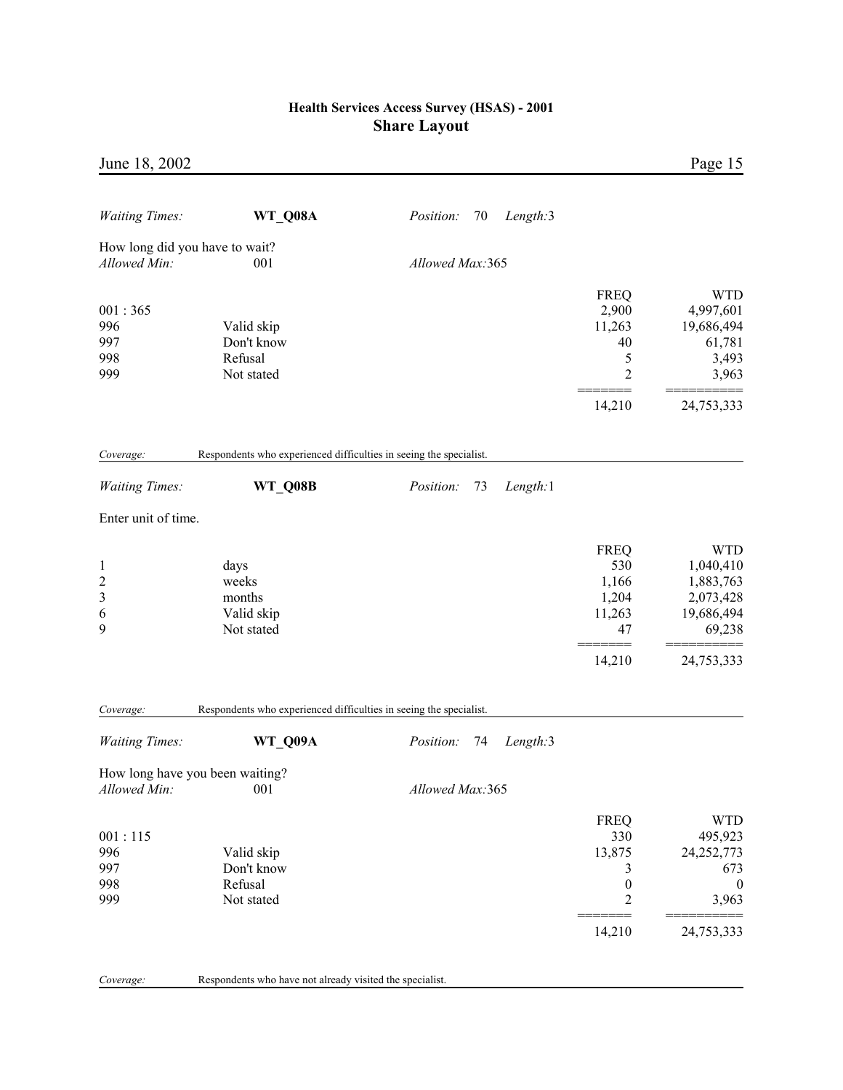| June 18, 2002                                          |                                                                               |                                    |                                                                                   | Page 15                                                                               |
|--------------------------------------------------------|-------------------------------------------------------------------------------|------------------------------------|-----------------------------------------------------------------------------------|---------------------------------------------------------------------------------------|
| <b>Waiting Times:</b>                                  | WT_Q08A                                                                       | Position:<br>70<br>Length:3        |                                                                                   |                                                                                       |
| How long did you have to wait?                         |                                                                               |                                    |                                                                                   |                                                                                       |
| Allowed Min:                                           | 001                                                                           | Allowed Max:365                    |                                                                                   |                                                                                       |
| 001:365<br>996<br>997<br>998<br>999                    | Valid skip<br>Don't know<br>Refusal<br>Not stated                             |                                    | <b>FREQ</b><br>2,900<br>11,263<br>40<br>5<br>$\overline{c}$                       | <b>WTD</b><br>4,997,601<br>19,686,494<br>61,781<br>3,493<br>3,963                     |
|                                                        |                                                                               |                                    | 14,210                                                                            | 24,753,333                                                                            |
| Coverage:<br><b>Waiting Times:</b>                     | Respondents who experienced difficulties in seeing the specialist.<br>WT_Q08B | 73<br>Length:1<br><i>Position:</i> |                                                                                   |                                                                                       |
| Enter unit of time.                                    |                                                                               |                                    |                                                                                   |                                                                                       |
| $\mathbf{1}$<br>$\overline{\mathbf{c}}$<br>3<br>6<br>9 | days<br>weeks<br>months<br>Valid skip<br>Not stated                           |                                    | <b>FREQ</b><br>530<br>1,166<br>1,204<br>11,263<br>47                              | <b>WTD</b><br>1,040,410<br>1,883,763<br>2,073,428<br>19,686,494<br>69,238             |
|                                                        |                                                                               |                                    | 14,210                                                                            | 24,753,333                                                                            |
| Coverage:                                              | Respondents who experienced difficulties in seeing the specialist.            |                                    |                                                                                   |                                                                                       |
| <b>Waiting Times:</b>                                  | WT_Q09A                                                                       | <i>Position:</i><br>74<br>Length:3 |                                                                                   |                                                                                       |
| How long have you been waiting?<br>Allowed Min:        | 001                                                                           | Allowed Max:365                    |                                                                                   |                                                                                       |
| 001:115<br>996<br>997<br>998<br>999                    | Valid skip<br>Don't know<br>Refusal<br>Not stated                             |                                    | <b>FREQ</b><br>330<br>13,875<br>3<br>$\boldsymbol{0}$<br>$\overline{2}$<br>14,210 | <b>WTD</b><br>495,923<br>24,252,773<br>673<br>$\boldsymbol{0}$<br>3,963<br>24,753,333 |
| Coverage:                                              | Respondents who have not already visited the specialist.                      |                                    |                                                                                   |                                                                                       |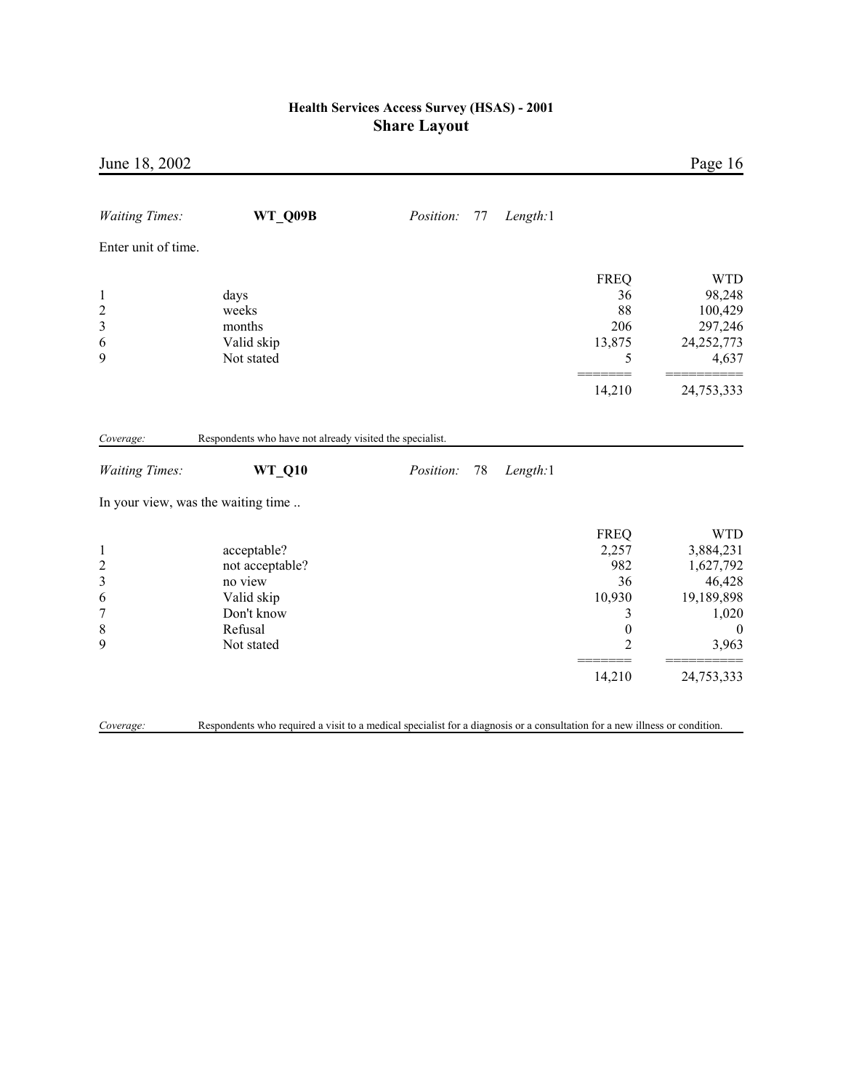|            |                                                                                                                                                                 |                                                          |          |                                                                                                  | Page 16                                                                                                  |
|------------|-----------------------------------------------------------------------------------------------------------------------------------------------------------------|----------------------------------------------------------|----------|--------------------------------------------------------------------------------------------------|----------------------------------------------------------------------------------------------------------|
| WT Q09B    | Position:                                                                                                                                                       | 77                                                       | Length:1 |                                                                                                  |                                                                                                          |
|            |                                                                                                                                                                 |                                                          |          |                                                                                                  |                                                                                                          |
| Valid skip |                                                                                                                                                                 |                                                          |          | <b>FREQ</b><br>36<br>88<br>206<br>13,875<br>5                                                    | <b>WTD</b><br>98,248<br>100,429<br>297,246<br>24,252,773<br>4,637                                        |
|            |                                                                                                                                                                 |                                                          |          | 14,210                                                                                           | 24,753,333                                                                                               |
| WT_Q10     | Position:                                                                                                                                                       | 78                                                       | Length:1 |                                                                                                  |                                                                                                          |
| Valid skip |                                                                                                                                                                 |                                                          |          | <b>FREQ</b><br>2,257<br>982<br>36<br>10,930<br>3<br>$\boldsymbol{0}$<br>$\overline{2}$<br>14,210 | <b>WTD</b><br>3,884,231<br>1,627,792<br>46,428<br>19,189,898<br>1,020<br>$\theta$<br>3,963<br>24,753,333 |
|            | days<br>weeks<br>months<br>Not stated<br>In your view, was the waiting time<br>acceptable?<br>not acceptable?<br>no view<br>Don't know<br>Refusal<br>Not stated | Respondents who have not already visited the specialist. |          |                                                                                                  |                                                                                                          |

*Coverage:* Respondents who required a visit to a medical specialist for a diagnosis or a consultation for a new illness or condition.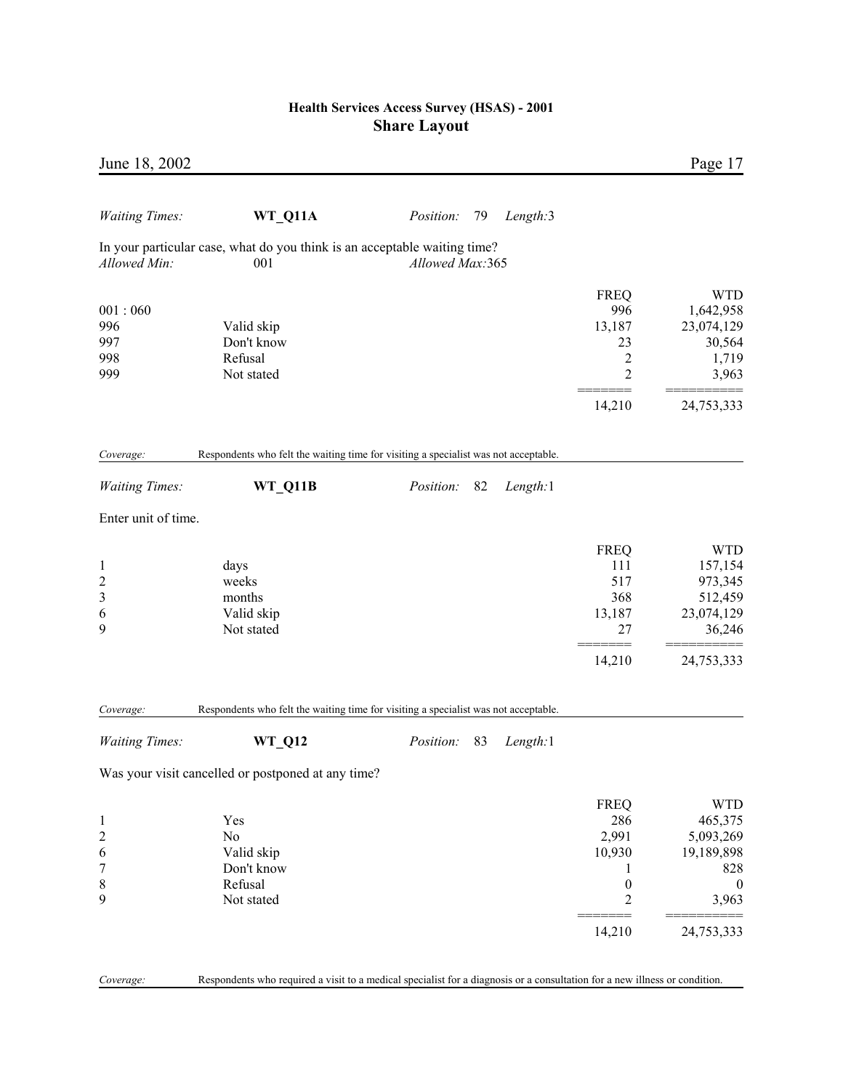| June 18, 2002                                      |                                                                                                                            |                  |    |          |                                                                                            | Page 17                                                                                          |
|----------------------------------------------------|----------------------------------------------------------------------------------------------------------------------------|------------------|----|----------|--------------------------------------------------------------------------------------------|--------------------------------------------------------------------------------------------------|
| <b>Waiting Times:</b>                              | WT_Q11A                                                                                                                    | Position:        | 79 | Length:3 |                                                                                            |                                                                                                  |
| Allowed Min:                                       | In your particular case, what do you think is an acceptable waiting time?<br>001                                           | Allowed Max:365  |    |          |                                                                                            |                                                                                                  |
| 001:060<br>996<br>997<br>998<br>999                | Valid skip<br>Don't know<br>Refusal<br>Not stated                                                                          |                  |    |          | <b>FREQ</b><br>996<br>13,187<br>23<br>2<br>2                                               | <b>WTD</b><br>1,642,958<br>23,074,129<br>30,564<br>1,719<br>3,963                                |
|                                                    |                                                                                                                            |                  |    |          | 14,210                                                                                     | 24,753,333                                                                                       |
| Coverage:                                          | Respondents who felt the waiting time for visiting a specialist was not acceptable.                                        |                  |    |          |                                                                                            |                                                                                                  |
| <b>Waiting Times:</b>                              | WT_Q11B                                                                                                                    | <i>Position:</i> | 82 | Length:1 |                                                                                            |                                                                                                  |
| Enter unit of time.                                |                                                                                                                            |                  |    |          |                                                                                            |                                                                                                  |
| $\mathbf{1}$<br>$\overline{c}$<br>3<br>6<br>9      | days<br>weeks<br>months<br>Valid skip<br>Not stated                                                                        |                  |    |          | <b>FREQ</b><br>111<br>517<br>368<br>13,187<br>27<br>------<br>14,210                       | <b>WTD</b><br>157,154<br>973,345<br>512,459<br>23,074,129<br>36,246<br>24,753,333                |
| Coverage:                                          | Respondents who felt the waiting time for visiting a specialist was not acceptable.                                        |                  |    |          |                                                                                            |                                                                                                  |
| <b>Waiting Times:</b>                              | <b>WT_Q12</b>                                                                                                              | Position:        | 83 | Length:1 |                                                                                            |                                                                                                  |
|                                                    | Was your visit cancelled or postponed at any time?                                                                         |                  |    |          |                                                                                            |                                                                                                  |
| $\mathbf{1}$<br>$\overline{c}$<br>6<br>7<br>8<br>9 | Yes<br>N <sub>o</sub><br>Valid skip<br>Don't know<br>Refusal<br>Not stated                                                 |                  |    |          | <b>FREQ</b><br>286<br>2,991<br>10,930<br>1<br>$\boldsymbol{0}$<br>$\overline{2}$<br>14,210 | <b>WTD</b><br>465,375<br>5,093,269<br>19,189,898<br>828<br>$\overline{0}$<br>3,963<br>24,753,333 |
| Coverage:                                          | Respondents who required a visit to a medical specialist for a diagnosis or a consultation for a new illness or condition. |                  |    |          |                                                                                            |                                                                                                  |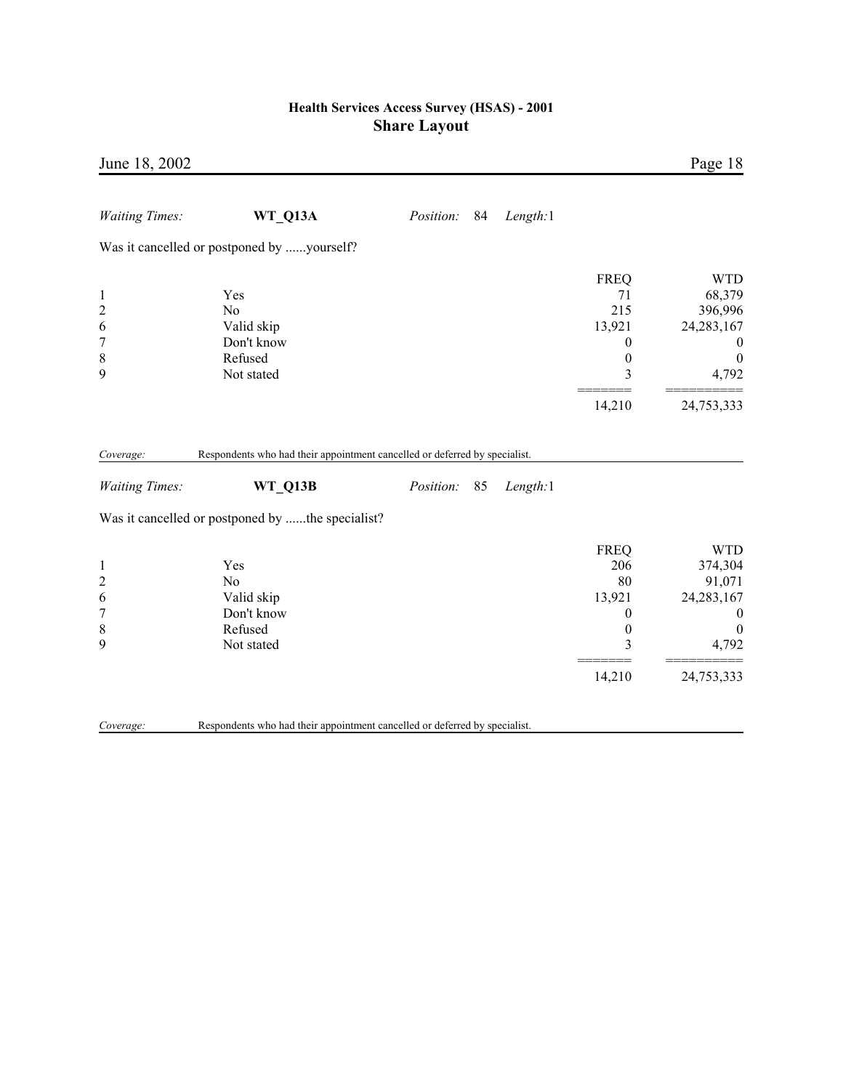| June 18, 2002                                                                      |                                                                            |           |    |          |                                                                                           | Page 18                                                                                                        |
|------------------------------------------------------------------------------------|----------------------------------------------------------------------------|-----------|----|----------|-------------------------------------------------------------------------------------------|----------------------------------------------------------------------------------------------------------------|
| <b>Waiting Times:</b>                                                              | WT_Q13A                                                                    | Position: | 84 | Length:1 |                                                                                           |                                                                                                                |
|                                                                                    | Was it cancelled or postponed by yourself?                                 |           |    |          |                                                                                           |                                                                                                                |
| $\mathbf{1}$<br>$\overline{c}$<br>6<br>$\overline{7}$<br>8<br>9                    | Yes<br>No<br>Valid skip<br>Don't know<br>Refused<br>Not stated             |           |    |          | <b>FREQ</b><br>71<br>215<br>13,921<br>0<br>$\boldsymbol{0}$<br>3                          | <b>WTD</b><br>68,379<br>396,996<br>24, 283, 167<br>0<br>$\boldsymbol{0}$<br>4,792                              |
|                                                                                    |                                                                            |           |    |          | 14,210                                                                                    | 24,753,333                                                                                                     |
| Coverage:                                                                          | Respondents who had their appointment cancelled or deferred by specialist. |           |    |          |                                                                                           |                                                                                                                |
| <b>Waiting Times:</b>                                                              | WT Q13B                                                                    | Position: | 85 | Length:1 |                                                                                           |                                                                                                                |
|                                                                                    | Was it cancelled or postponed by the specialist?                           |           |    |          |                                                                                           |                                                                                                                |
| $\mathbf{1}$<br>$\overline{\mathbf{c}}$<br>6<br>$\overline{7}$<br>$\,$ 8 $\,$<br>9 | Yes<br>No<br>Valid skip<br>Don't know<br>Refused<br>Not stated             |           |    |          | <b>FREQ</b><br>206<br>80<br>13,921<br>$\boldsymbol{0}$<br>$\boldsymbol{0}$<br>3<br>14,210 | <b>WTD</b><br>374,304<br>91,071<br>24, 283, 167<br>$\boldsymbol{0}$<br>$\boldsymbol{0}$<br>4,792<br>24,753,333 |
| Coverage:                                                                          | Respondents who had their appointment cancelled or deferred by specialist. |           |    |          |                                                                                           |                                                                                                                |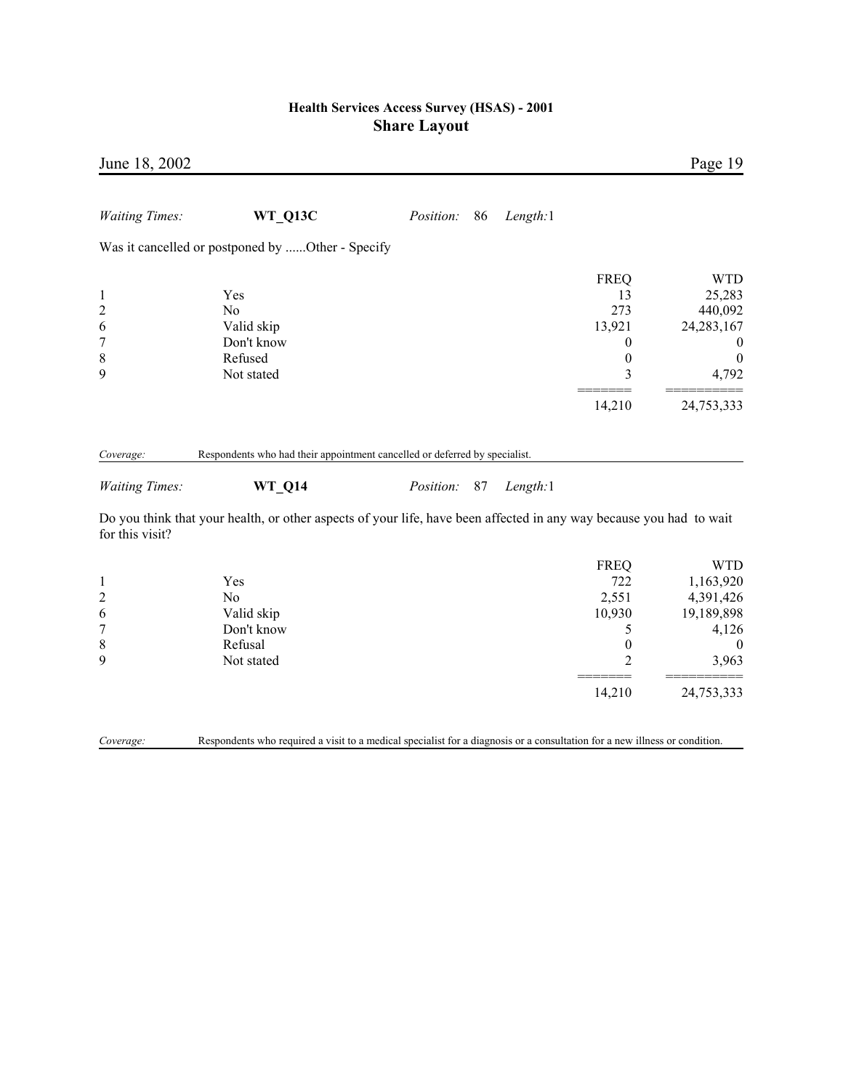| June 18, 2002                                                               |                                                                                                                            |           |    |          |                                                                                            | Page 19                                                                                                |
|-----------------------------------------------------------------------------|----------------------------------------------------------------------------------------------------------------------------|-----------|----|----------|--------------------------------------------------------------------------------------------|--------------------------------------------------------------------------------------------------------|
| <b>Waiting Times:</b>                                                       | WT Q13C                                                                                                                    | Position: | 86 | Length:1 |                                                                                            |                                                                                                        |
|                                                                             | Was it cancelled or postponed by Other - Specify                                                                           |           |    |          |                                                                                            |                                                                                                        |
| $\mathbf{1}$<br>$\overline{c}$<br>6<br>$\boldsymbol{7}$<br>$\,$ 8 $\,$<br>9 | Yes<br>No<br>Valid skip<br>Don't know<br>Refused<br>Not stated                                                             |           |    |          | <b>FREQ</b><br>13<br>273<br>13,921<br>0<br>$\boldsymbol{0}$<br>3<br>14,210                 | <b>WTD</b><br>25,283<br>440,092<br>24, 283, 167<br>$\boldsymbol{0}$<br>$\theta$<br>4,792<br>24,753,333 |
| Coverage:                                                                   | Respondents who had their appointment cancelled or deferred by specialist.                                                 |           |    |          |                                                                                            |                                                                                                        |
| <b>Waiting Times:</b>                                                       | <b>WT_Q14</b>                                                                                                              | Position: | 87 | Length:1 |                                                                                            |                                                                                                        |
| for this visit?                                                             | Do you think that your health, or other aspects of your life, have been affected in any way because you had to wait        |           |    |          |                                                                                            |                                                                                                        |
| $\mathbf{1}$<br>$\overline{c}$<br>6<br>$\sqrt{ }$<br>$\,$ $\,$<br>9         | Yes<br>N <sub>0</sub><br>Valid skip<br>Don't know<br>Refusal<br>Not stated                                                 |           |    |          | <b>FREQ</b><br>722<br>2,551<br>10,930<br>5<br>$\boldsymbol{0}$<br>$\overline{2}$<br>14,210 | <b>WTD</b><br>1,163,920<br>4,391,426<br>19,189,898<br>4,126<br>$\overline{0}$<br>3,963<br>24,753,333   |
| Coverage:                                                                   | Respondents who required a visit to a medical specialist for a diagnosis or a consultation for a new illness or condition. |           |    |          |                                                                                            |                                                                                                        |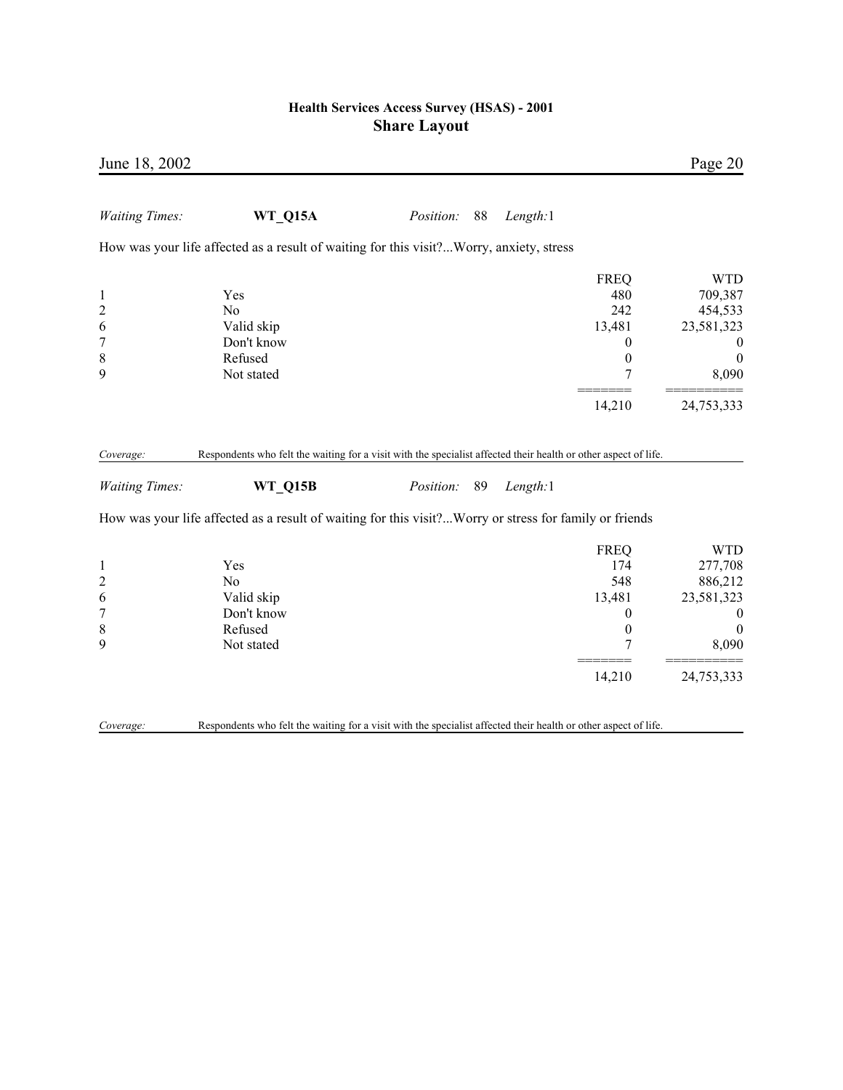| June 18, 2002                                                            |                                                                                                                                                                                                                                             |                  |    |          |                                                                                  | Page 20                                                                                         |
|--------------------------------------------------------------------------|---------------------------------------------------------------------------------------------------------------------------------------------------------------------------------------------------------------------------------------------|------------------|----|----------|----------------------------------------------------------------------------------|-------------------------------------------------------------------------------------------------|
| <b>Waiting Times:</b>                                                    | WT_Q15A                                                                                                                                                                                                                                     | <i>Position:</i> | 88 | Length:1 |                                                                                  |                                                                                                 |
|                                                                          | How was your life affected as a result of waiting for this visit? Worry, anxiety, stress                                                                                                                                                    |                  |    |          |                                                                                  |                                                                                                 |
| $\mathbf{1}$<br>$\overline{c}$<br>6<br>7<br>8<br>9                       | Yes<br>No<br>Valid skip<br>Don't know<br>Refused<br>Not stated                                                                                                                                                                              |                  |    |          | <b>FREQ</b><br>480<br>242<br>13,481<br>0<br>$\boldsymbol{0}$<br>7                | <b>WTD</b><br>709,387<br>454,533<br>23,581,323<br>$\overline{0}$<br>$\boldsymbol{0}$<br>8,090   |
|                                                                          |                                                                                                                                                                                                                                             |                  |    |          | 14,210                                                                           | 24,753,333                                                                                      |
| Coverage:<br><b>Waiting Times:</b>                                       | Respondents who felt the waiting for a visit with the specialist affected their health or other aspect of life.<br><b>WT Q15B</b><br>How was your life affected as a result of waiting for this visit?Worry or stress for family or friends | <i>Position:</i> | 89 | Length:1 |                                                                                  |                                                                                                 |
| $\mathbf{1}$<br>$\overline{\mathbf{c}}$<br>6<br>$\overline{7}$<br>8<br>9 | Yes<br>N <sub>o</sub><br>Valid skip<br>Don't know<br>Refused<br>Not stated                                                                                                                                                                  |                  |    |          | <b>FREQ</b><br>174<br>548<br>13,481<br>$\boldsymbol{0}$<br>$\boldsymbol{0}$<br>7 | <b>WTD</b><br>277,708<br>886,212<br>23,581,323<br>$\boldsymbol{0}$<br>$\boldsymbol{0}$<br>8,090 |
|                                                                          |                                                                                                                                                                                                                                             |                  |    |          | 14,210                                                                           | 24,753,333                                                                                      |
| Coverage:                                                                | Respondents who felt the waiting for a visit with the specialist affected their health or other aspect of life.                                                                                                                             |                  |    |          |                                                                                  |                                                                                                 |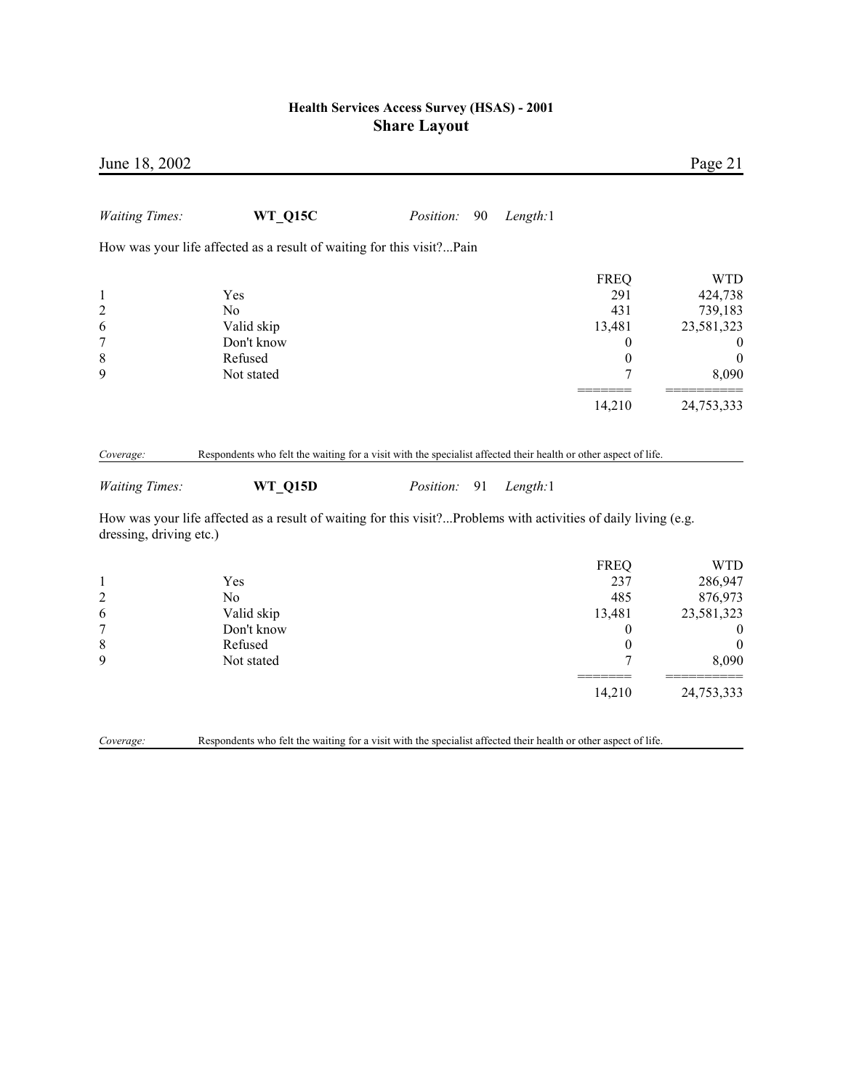| June 18, 2002                      |                                                                                                                                   |           |    |          |                  | Page 21          |
|------------------------------------|-----------------------------------------------------------------------------------------------------------------------------------|-----------|----|----------|------------------|------------------|
| <b>Waiting Times:</b>              | <b>WT Q15C</b>                                                                                                                    | Position: | 90 | Length:1 |                  |                  |
|                                    | How was your life affected as a result of waiting for this visit?Pain                                                             |           |    |          |                  |                  |
|                                    |                                                                                                                                   |           |    |          | <b>FREQ</b>      | <b>WTD</b>       |
| $\mathbf{1}$                       | Yes                                                                                                                               |           |    |          | 291              | 424,738          |
| $\overline{c}$                     | N <sub>0</sub>                                                                                                                    |           |    |          | 431              | 739,183          |
| 6                                  | Valid skip                                                                                                                        |           |    |          | 13,481           | 23,581,323       |
| $\boldsymbol{7}$                   | Don't know                                                                                                                        |           |    |          | 0                | $\boldsymbol{0}$ |
| $\,$ $\,$                          | Refused                                                                                                                           |           |    |          | $\boldsymbol{0}$ | $\boldsymbol{0}$ |
| 9                                  | Not stated                                                                                                                        |           |    |          | 7                | 8,090            |
|                                    |                                                                                                                                   |           |    |          | 14,210           | 24,753,333       |
| Coverage:<br><b>Waiting Times:</b> | Respondents who felt the waiting for a visit with the specialist affected their health or other aspect of life.<br><b>WT Q15D</b> | Position: | 91 | Length:1 |                  |                  |
| dressing, driving etc.)            | How was your life affected as a result of waiting for this visit?Problems with activities of daily living (e.g.                   |           |    |          |                  |                  |
|                                    |                                                                                                                                   |           |    |          | <b>FREQ</b>      | <b>WTD</b>       |
| $\mathbf{1}$                       | Yes                                                                                                                               |           |    |          | 237              | 286,947          |
| $\overline{c}$                     | N <sub>0</sub>                                                                                                                    |           |    |          | 485              | 876,973          |
| 6                                  | Valid skip                                                                                                                        |           |    |          | 13,481           | 23,581,323       |
| $\boldsymbol{7}$                   | Don't know                                                                                                                        |           |    |          | 0                | $\mathbf{0}$     |
| $\,$ 8 $\,$                        | Refused                                                                                                                           |           |    |          | $\mathbf{0}$     | $\mathbf{0}$     |
| 9                                  | Not stated                                                                                                                        |           |    |          | 7                | 8,090            |
|                                    |                                                                                                                                   |           |    |          | 14,210           | 24,753,333       |
| Coverage:                          | Respondents who felt the waiting for a visit with the specialist affected their health or other aspect of life.                   |           |    |          |                  |                  |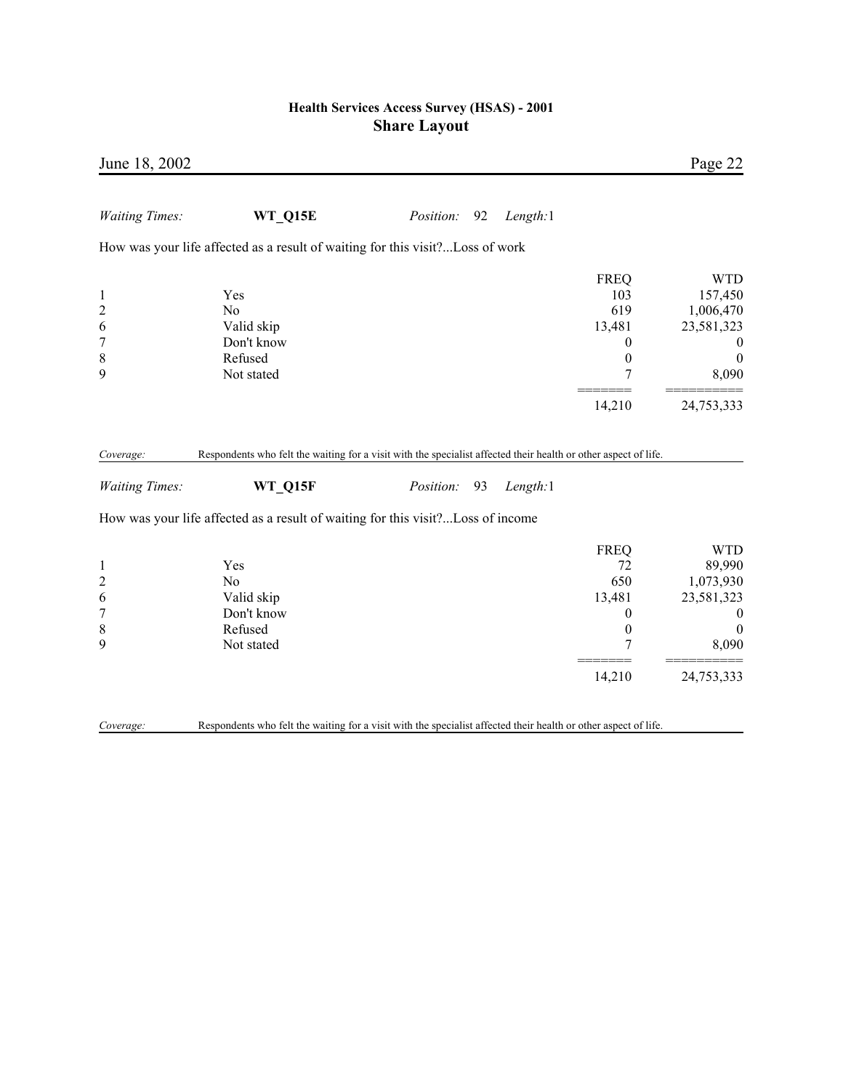| June 18, 2002                                                   |                                                                                                                                                                                                               |                  |    |          |                                                                                  | Page 22                                                                                   |
|-----------------------------------------------------------------|---------------------------------------------------------------------------------------------------------------------------------------------------------------------------------------------------------------|------------------|----|----------|----------------------------------------------------------------------------------|-------------------------------------------------------------------------------------------|
| <b>Waiting Times:</b>                                           | WT_Q15E                                                                                                                                                                                                       | <i>Position:</i> | 92 | Length:1 |                                                                                  |                                                                                           |
|                                                                 | How was your life affected as a result of waiting for this visit?Loss of work                                                                                                                                 |                  |    |          |                                                                                  |                                                                                           |
| $\mathbf{1}$<br>$\overline{c}$<br>6<br>$\overline{7}$<br>8<br>9 | Yes<br>No<br>Valid skip<br>Don't know<br>Refused<br>Not stated                                                                                                                                                |                  |    |          | <b>FREQ</b><br>103<br>619<br>13,481<br>$\boldsymbol{0}$<br>$\boldsymbol{0}$<br>7 | <b>WTD</b><br>157,450<br>1,006,470<br>23,581,323<br>$\theta$<br>$\boldsymbol{0}$<br>8,090 |
|                                                                 |                                                                                                                                                                                                               |                  |    |          | 14,210                                                                           | 24,753,333                                                                                |
| Coverage:<br><b>Waiting Times:</b>                              | Respondents who felt the waiting for a visit with the specialist affected their health or other aspect of life.<br>WT_Q15F<br>How was your life affected as a result of waiting for this visit?Loss of income | Position:        | 93 | Length:1 |                                                                                  |                                                                                           |
|                                                                 |                                                                                                                                                                                                               |                  |    |          |                                                                                  | <b>WTD</b>                                                                                |
| $\mathbf{1}$<br>$\overline{c}$<br>6<br>$\overline{7}$<br>8<br>9 | Yes<br>N <sub>0</sub><br>Valid skip<br>Don't know<br>Refused<br>Not stated                                                                                                                                    |                  |    |          | <b>FREQ</b><br>72<br>650<br>13,481<br>$\boldsymbol{0}$<br>$\boldsymbol{0}$<br>7  | 89,990<br>1,073,930<br>23,581,323<br>$\boldsymbol{0}$<br>$\boldsymbol{0}$<br>8,090        |
|                                                                 |                                                                                                                                                                                                               |                  |    |          | 14,210                                                                           | 24,753,333                                                                                |
| Coverage:                                                       | Respondents who felt the waiting for a visit with the specialist affected their health or other aspect of life.                                                                                               |                  |    |          |                                                                                  |                                                                                           |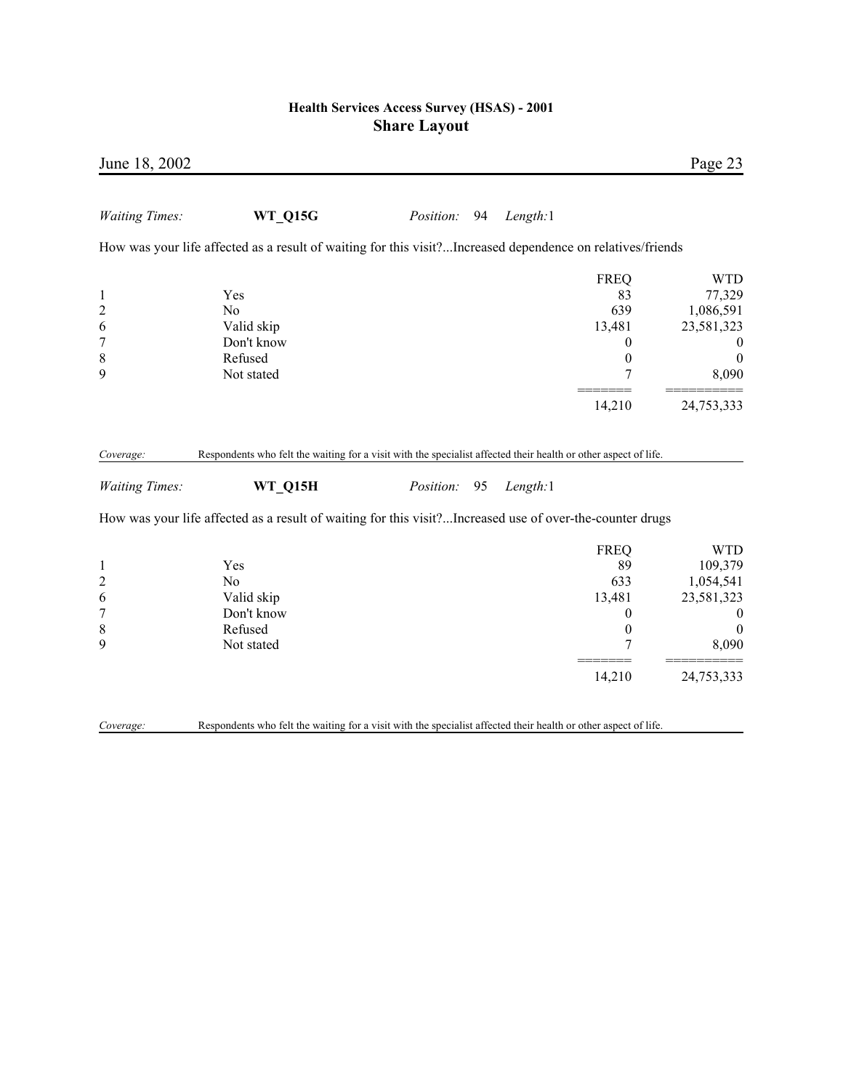| Page 23          |                  |          |                 |                                                                                                                 | June 18, 2002                  |
|------------------|------------------|----------|-----------------|-----------------------------------------------------------------------------------------------------------------|--------------------------------|
|                  |                  | Length:1 | Position:<br>94 | <b>WT_Q15G</b>                                                                                                  | <b>Waiting Times:</b>          |
|                  |                  |          |                 | How was your life affected as a result of waiting for this visit?Increased dependence on relatives/friends      |                                |
| <b>WTD</b>       | <b>FREQ</b>      |          |                 |                                                                                                                 |                                |
| 77,329           | 83               |          |                 | Yes                                                                                                             | $\mathbf{1}$                   |
| 1,086,591        | 639              |          |                 | No                                                                                                              | $\overline{c}$                 |
| 23,581,323       | 13,481           |          |                 | Valid skip                                                                                                      | 6                              |
| $\bf{0}$         | $\boldsymbol{0}$ |          |                 | Don't know                                                                                                      | 7                              |
| $\boldsymbol{0}$ | $\boldsymbol{0}$ |          |                 | Refused                                                                                                         | $\,$ 8 $\,$                    |
| 8,090            | 7                |          |                 | Not stated                                                                                                      | 9                              |
| 24,753,333       | 14,210           |          |                 |                                                                                                                 |                                |
|                  |                  |          |                 | Respondents who felt the waiting for a visit with the specialist affected their health or other aspect of life. |                                |
|                  |                  | Length:1 | Position:<br>95 | WT_Q15H                                                                                                         | <b>Waiting Times:</b>          |
|                  |                  |          |                 | How was your life affected as a result of waiting for this visit?Increased use of over-the-counter drugs        |                                |
| <b>WTD</b>       | <b>FREQ</b>      |          |                 |                                                                                                                 | Coverage:                      |
| 109,379          | 89               |          |                 | Yes                                                                                                             |                                |
| 1,054,541        | 633              |          |                 | No                                                                                                              | $\mathbf{1}$<br>$\overline{c}$ |
| 23,581,323       | 13,481           |          |                 | Valid skip                                                                                                      | 6                              |
| $\boldsymbol{0}$ | $\theta$         |          |                 | Don't know                                                                                                      | $\overline{7}$                 |
| $\mathbf{0}$     | $\boldsymbol{0}$ |          |                 | Refused                                                                                                         |                                |
| 8,090            | 7                |          |                 | Not stated                                                                                                      |                                |
| 24,753,333       | 14,210           |          |                 |                                                                                                                 | $\,$ 8 $\,$<br>9               |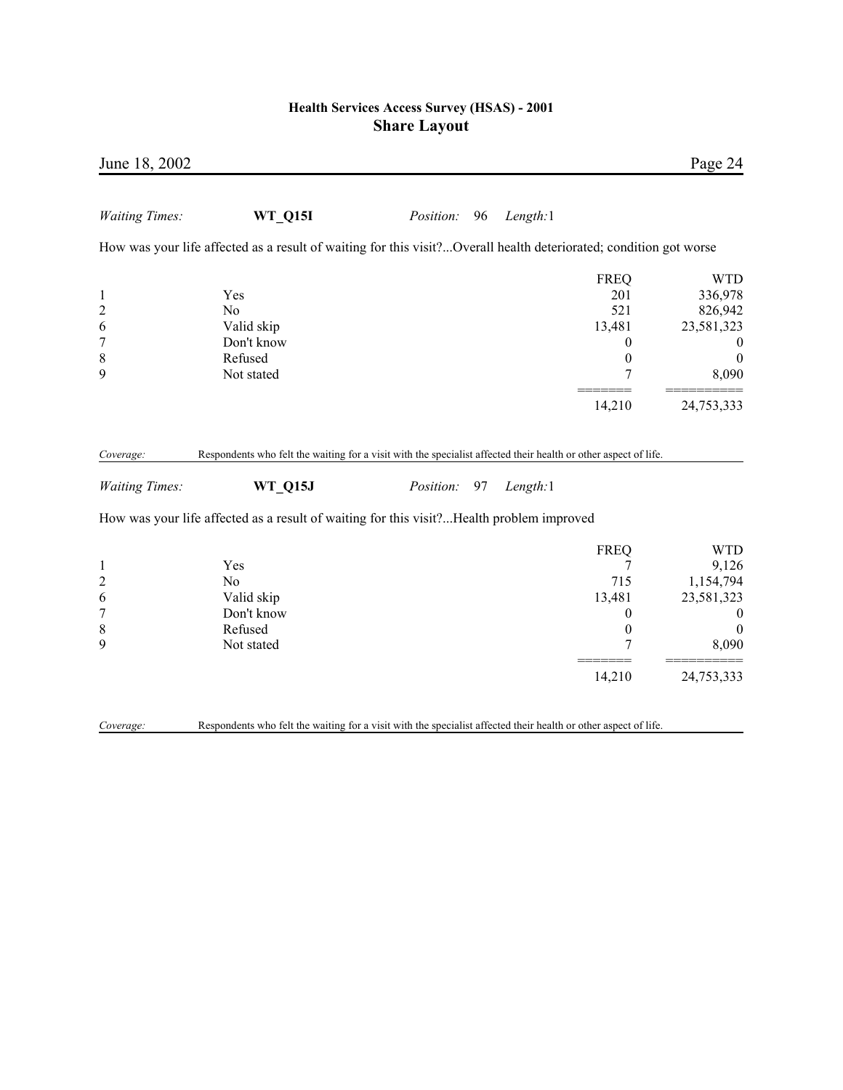| June 18, 2002                                                   |                                                                                                                                   |                  |    |          |                                                                                | Page 24                                                                                         |
|-----------------------------------------------------------------|-----------------------------------------------------------------------------------------------------------------------------------|------------------|----|----------|--------------------------------------------------------------------------------|-------------------------------------------------------------------------------------------------|
| <b>Waiting Times:</b>                                           | <b>WT_Q15I</b>                                                                                                                    | <i>Position:</i> | 96 | Length:1 |                                                                                |                                                                                                 |
|                                                                 | How was your life affected as a result of waiting for this visit?Overall health deteriorated; condition got worse                 |                  |    |          |                                                                                |                                                                                                 |
| $\mathbf{1}$<br>$\overline{c}$<br>6<br>$\overline{7}$<br>8<br>9 | Yes<br>No<br>Valid skip<br>Don't know<br>Refused<br>Not stated                                                                    |                  |    |          | <b>FREQ</b><br>201<br>521<br>13,481<br>$\theta$<br>$\boldsymbol{0}$<br>7       | <b>WTD</b><br>336,978<br>826,942<br>23,581,323<br>$\boldsymbol{0}$<br>$\boldsymbol{0}$<br>8,090 |
|                                                                 |                                                                                                                                   |                  |    |          | 14,210                                                                         | 24,753,333                                                                                      |
| Coverage:<br><b>Waiting Times:</b>                              | Respondents who felt the waiting for a visit with the specialist affected their health or other aspect of life.<br><b>WT_Q15J</b> | Position:        | 97 | Length:1 |                                                                                |                                                                                                 |
|                                                                 | How was your life affected as a result of waiting for this visit?Health problem improved                                          |                  |    |          |                                                                                |                                                                                                 |
| $\mathbf{1}$<br>$\overline{\mathbf{c}}$<br>6<br>7<br>8<br>9     | Yes<br>No<br>Valid skip<br>Don't know<br>Refused<br>Not stated                                                                    |                  |    |          | <b>FREQ</b><br>7<br>715<br>13,481<br>$\boldsymbol{0}$<br>$\boldsymbol{0}$<br>7 | <b>WTD</b><br>9,126<br>1,154,794<br>23,581,323<br>$\boldsymbol{0}$<br>$\theta$<br>8,090         |
|                                                                 |                                                                                                                                   |                  |    |          | 14,210                                                                         | 24,753,333                                                                                      |
| Coverage:                                                       | Respondents who felt the waiting for a visit with the specialist affected their health or other aspect of life.                   |                  |    |          |                                                                                |                                                                                                 |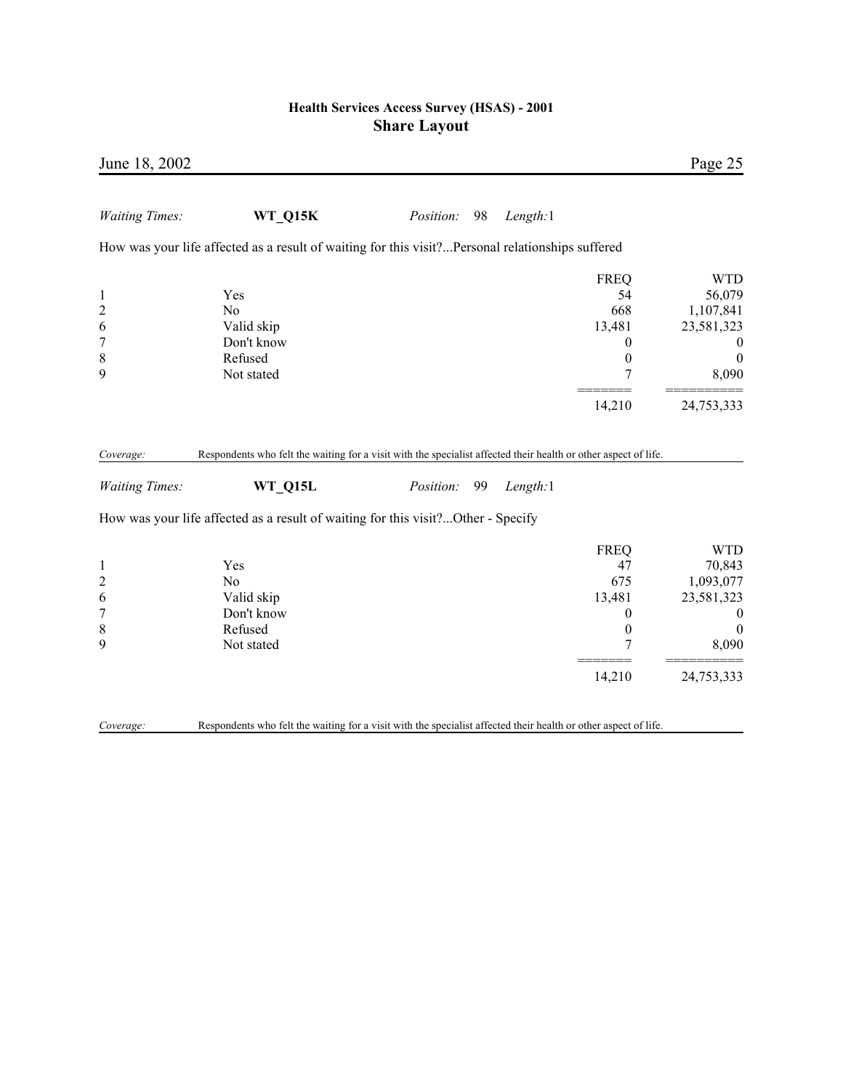| June 18, 2002                    |                                                                                                                 |           |    |          |                   | Page 25             |
|----------------------------------|-----------------------------------------------------------------------------------------------------------------|-----------|----|----------|-------------------|---------------------|
| <b>Waiting Times:</b>            | WT_Q15K                                                                                                         | Position: | 98 | Length:1 |                   |                     |
|                                  | How was your life affected as a result of waiting for this visit?Personal relationships suffered                |           |    |          |                   |                     |
|                                  |                                                                                                                 |           |    |          | <b>FREQ</b>       | <b>WTD</b>          |
| $\mathbf{1}$                     | Yes                                                                                                             |           |    |          | 54                | 56,079              |
| $\overline{c}$                   | No                                                                                                              |           |    |          | 668               | 1,107,841           |
| 6                                | Valid skip                                                                                                      |           |    |          | 13,481            | 23,581,323          |
| $\boldsymbol{7}$                 | Don't know                                                                                                      |           |    |          | 0                 | $\boldsymbol{0}$    |
| 8                                | Refused                                                                                                         |           |    |          | $\boldsymbol{0}$  | $\boldsymbol{0}$    |
| 9                                | Not stated                                                                                                      |           |    |          | 7                 | 8,090               |
|                                  |                                                                                                                 |           |    |          | 14,210            | 24,753,333          |
| <b>Waiting Times:</b>            | WT Q15L<br>How was your life affected as a result of waiting for this visit?Other - Specify                     | Position: | 99 | Length:1 |                   |                     |
|                                  |                                                                                                                 |           |    |          |                   |                     |
|                                  | Yes                                                                                                             |           |    |          | <b>FREQ</b><br>47 | <b>WTD</b>          |
| $\mathbf{1}$<br>$\boldsymbol{2}$ | No                                                                                                              |           |    |          | 675               | 70,843<br>1,093,077 |
| 6                                | Valid skip                                                                                                      |           |    |          | 13,481            | 23,581,323          |
| $\boldsymbol{7}$                 | Don't know                                                                                                      |           |    |          | 0                 | $\boldsymbol{0}$    |
| $\,$ 8 $\,$                      | Refused                                                                                                         |           |    |          | $\boldsymbol{0}$  | $\theta$            |
| 9                                | Not stated                                                                                                      |           |    |          | 7                 | 8,090               |
|                                  |                                                                                                                 |           |    |          | 14,210            | 24,753,333          |
| Coverage:                        | Respondents who felt the waiting for a visit with the specialist affected their health or other aspect of life. |           |    |          |                   |                     |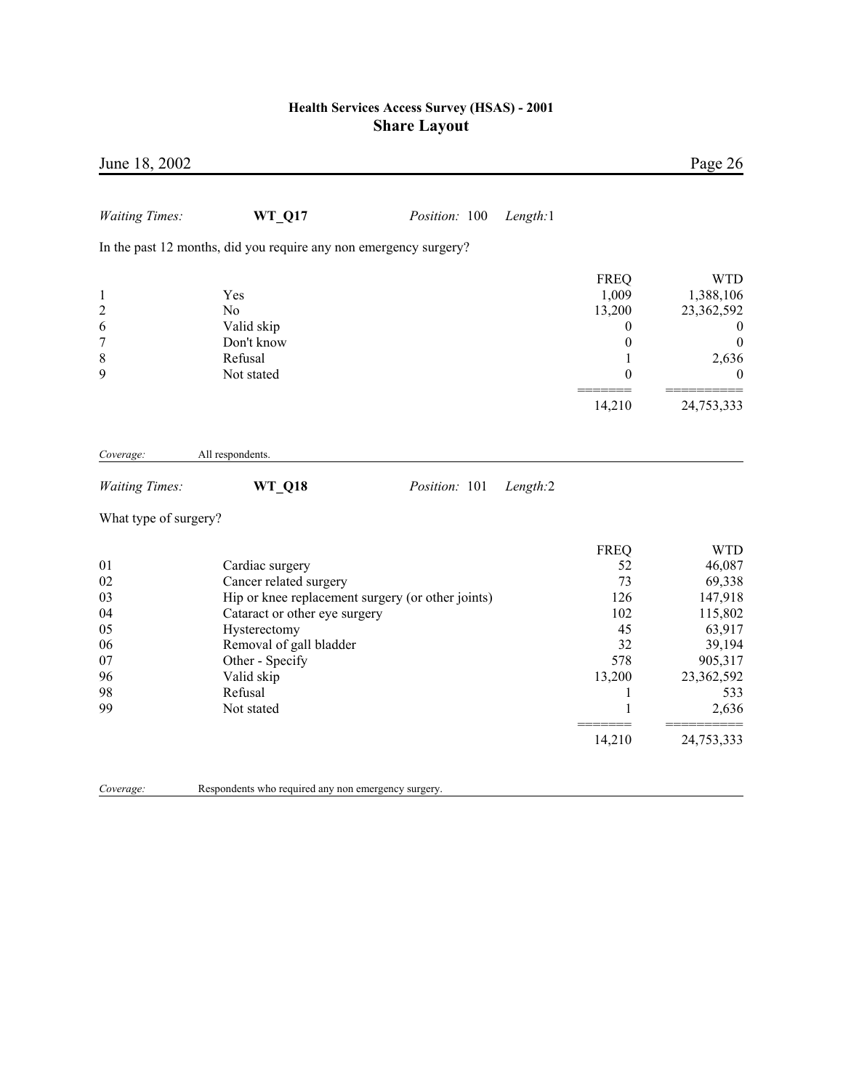| June 18, 2002                                                |                                                                   |                                                   |          |                                                                                        | Page 26                                                                        |
|--------------------------------------------------------------|-------------------------------------------------------------------|---------------------------------------------------|----------|----------------------------------------------------------------------------------------|--------------------------------------------------------------------------------|
| <b>Waiting Times:</b>                                        | <b>WT_Q17</b>                                                     | Position: 100                                     | Length:1 |                                                                                        |                                                                                |
|                                                              | In the past 12 months, did you require any non emergency surgery? |                                                   |          |                                                                                        |                                                                                |
| $\mathbf{1}$<br>$\overline{c}$<br>6<br>$\boldsymbol{7}$<br>8 | Yes<br>N <sub>o</sub><br>Valid skip<br>Don't know<br>Refusal      |                                                   |          | <b>FREQ</b><br>1,009<br>13,200<br>$\boldsymbol{0}$<br>$\boldsymbol{0}$<br>$\mathbf{1}$ | <b>WTD</b><br>1,388,106<br>23,362,592<br>$\bf{0}$<br>$\boldsymbol{0}$<br>2,636 |
| 9                                                            | Not stated                                                        |                                                   |          | $\theta$                                                                               | $\theta$                                                                       |
|                                                              |                                                                   |                                                   |          | 14,210                                                                                 | 24,753,333                                                                     |
| Coverage:                                                    | All respondents.                                                  |                                                   |          |                                                                                        |                                                                                |
| <b>Waiting Times:</b>                                        | <b>WT_Q18</b>                                                     | Position: 101                                     | Length:2 |                                                                                        |                                                                                |
| What type of surgery?                                        |                                                                   |                                                   |          |                                                                                        |                                                                                |
| 01                                                           | Cardiac surgery                                                   |                                                   |          | <b>FREQ</b><br>52                                                                      | <b>WTD</b><br>46,087                                                           |
| 02<br>03<br>04                                               | Cancer related surgery<br>Cataract or other eye surgery           | Hip or knee replacement surgery (or other joints) |          | 73<br>126<br>102                                                                       | 69,338<br>147,918<br>115,802                                                   |
| 05<br>06<br>07                                               | Hysterectomy<br>Removal of gall bladder<br>Other - Specify        |                                                   |          | 45<br>32<br>578                                                                        | 63,917<br>39,194<br>905,317                                                    |
| 96<br>98<br>99                                               | Valid skip<br>Refusal<br>Not stated                               |                                                   |          | 13,200<br>1<br>1                                                                       | 23,362,592<br>533<br>2,636                                                     |
|                                                              |                                                                   |                                                   |          | 14,210                                                                                 | 24,753,333                                                                     |
|                                                              |                                                                   |                                                   |          |                                                                                        |                                                                                |

*Coverage:* Respondents who required any non emergency surgery.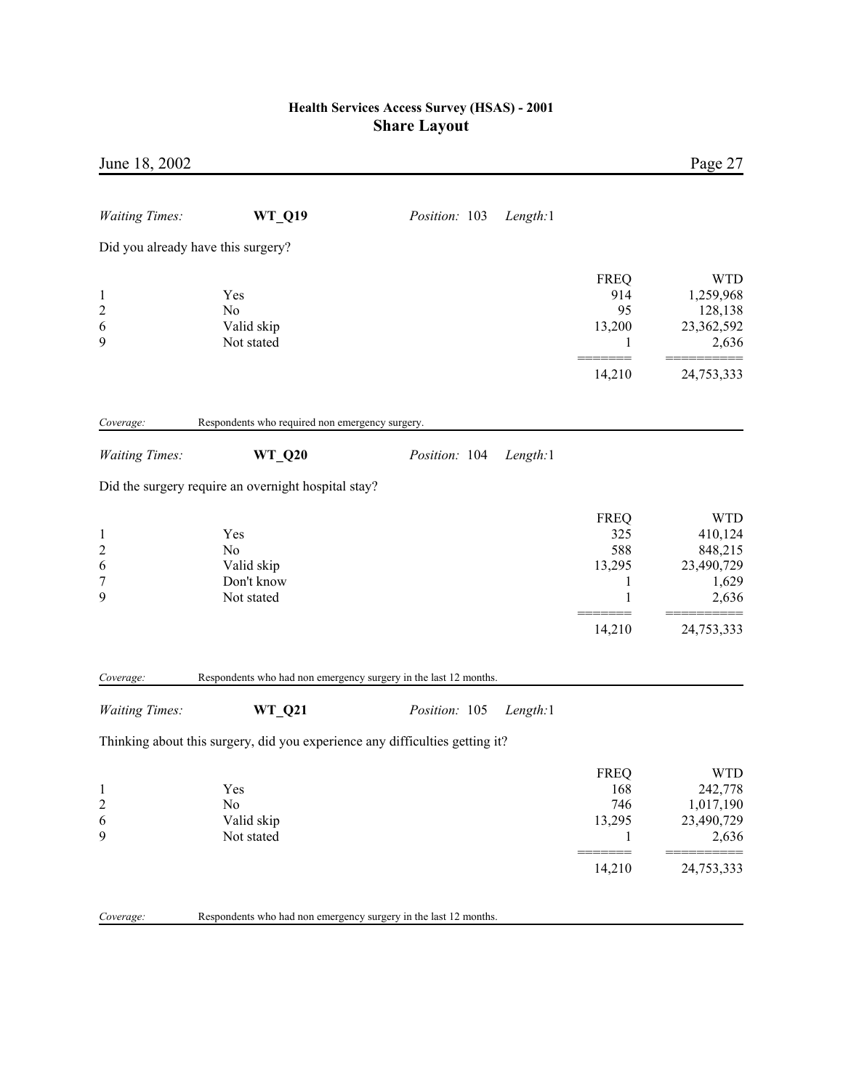| June 18, 2002                                              |                                                                                   |                           |                                                              | Page 27                                                                 |
|------------------------------------------------------------|-----------------------------------------------------------------------------------|---------------------------|--------------------------------------------------------------|-------------------------------------------------------------------------|
| <b>Waiting Times:</b>                                      | <b>WT_Q19</b>                                                                     | Position: 103<br>Length:1 |                                                              |                                                                         |
|                                                            | Did you already have this surgery?                                                |                           |                                                              |                                                                         |
| $\mathbf{1}$<br>$\overline{c}$<br>6<br>9                   | Yes<br>No<br>Valid skip<br>Not stated                                             |                           | <b>FREQ</b><br>914<br>95<br>13,200<br>1                      | <b>WTD</b><br>1,259,968<br>128,138<br>23,362,592<br>2,636               |
|                                                            |                                                                                   |                           | 14,210                                                       | 24,753,333                                                              |
| Coverage:                                                  | Respondents who required non emergency surgery.                                   |                           |                                                              |                                                                         |
| <b>Waiting Times:</b>                                      | <b>WT_Q20</b>                                                                     | Position: 104<br>Length:1 |                                                              |                                                                         |
|                                                            | Did the surgery require an overnight hospital stay?                               |                           |                                                              |                                                                         |
| $\mathbf{1}$<br>$\overline{c}$<br>6<br>$\overline{7}$<br>9 | Yes<br>No<br>Valid skip<br>Don't know<br>Not stated                               |                           | <b>FREQ</b><br>325<br>588<br>13,295<br>1<br>1                | <b>WTD</b><br>410,124<br>848,215<br>23,490,729<br>1,629<br>2,636        |
|                                                            |                                                                                   |                           | 14,210                                                       | 24,753,333                                                              |
| Coverage:<br><b>Waiting Times:</b>                         | Respondents who had non emergency surgery in the last 12 months.<br><b>WT_Q21</b> | Position: 105<br>Length:1 |                                                              |                                                                         |
|                                                            | Thinking about this surgery, did you experience any difficulties getting it?      |                           |                                                              |                                                                         |
| $\mathbf{1}$<br>$\overline{c}$<br>6<br>9                   | Yes<br>No<br>Valid skip<br>Not stated                                             |                           | <b>FREQ</b><br>168<br>746<br>13,295<br>1<br>======<br>14,210 | <b>WTD</b><br>242,778<br>1,017,190<br>23,490,729<br>2,636<br>24,753,333 |
| Coverage:                                                  | Respondents who had non emergency surgery in the last 12 months.                  |                           |                                                              |                                                                         |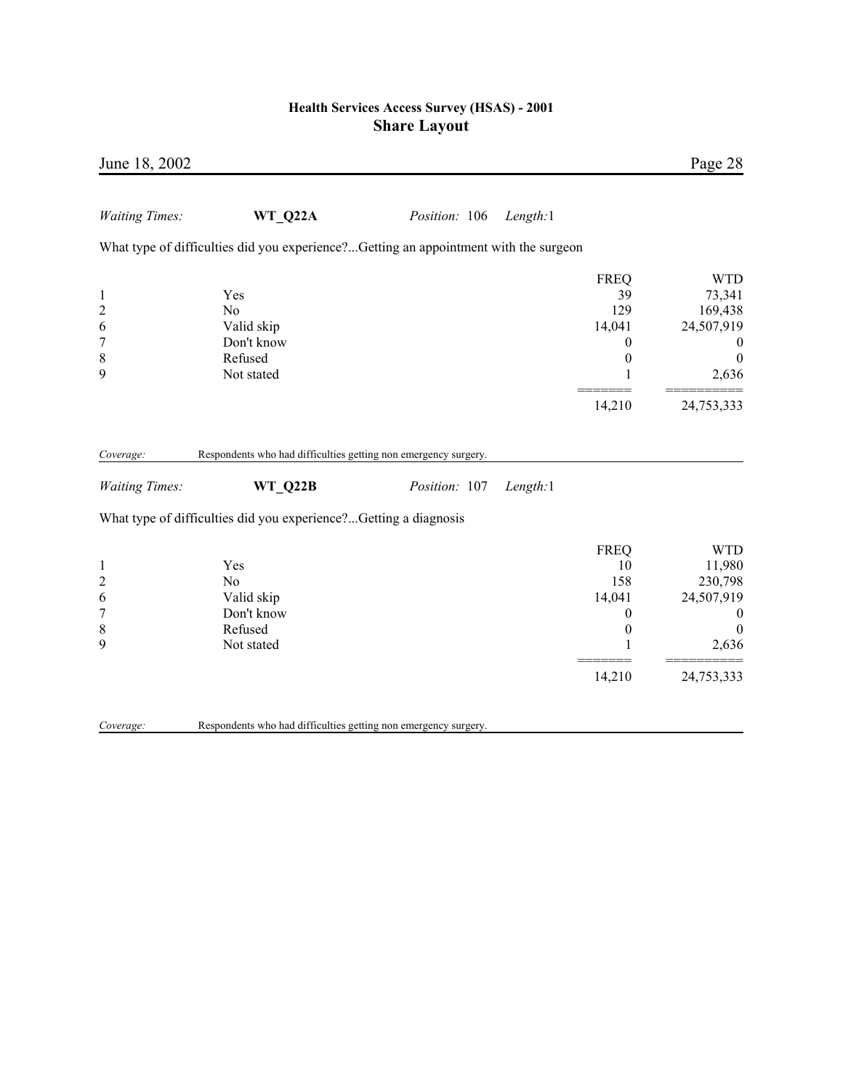| June 18, 2002                                                   |                                                                                      |               |          |                                                                                      | Page 28                                                                                              |
|-----------------------------------------------------------------|--------------------------------------------------------------------------------------|---------------|----------|--------------------------------------------------------------------------------------|------------------------------------------------------------------------------------------------------|
| <b>Waiting Times:</b>                                           | WT Q22A                                                                              | Position: 106 | Length:1 |                                                                                      |                                                                                                      |
|                                                                 | What type of difficulties did you experience?Getting an appointment with the surgeon |               |          |                                                                                      |                                                                                                      |
| $\mathbf{1}$<br>$\overline{c}$<br>6<br>$\overline{7}$<br>8<br>9 | Yes<br>N <sub>0</sub><br>Valid skip<br>Don't know<br>Refused<br>Not stated           |               |          | <b>FREQ</b><br>39<br>129<br>14,041<br>$\overline{0}$<br>$\boldsymbol{0}$             | <b>WTD</b><br>73,341<br>169,438<br>24,507,919<br>$\boldsymbol{0}$<br>$\boldsymbol{0}$<br>2,636       |
|                                                                 |                                                                                      |               |          | 14,210                                                                               | 24,753,333                                                                                           |
| Coverage:                                                       | Respondents who had difficulties getting non emergency surgery.                      |               |          |                                                                                      |                                                                                                      |
| <b>Waiting Times:</b>                                           | <b>WT Q22B</b>                                                                       | Position: 107 | Length:1 |                                                                                      |                                                                                                      |
|                                                                 | What type of difficulties did you experience?Getting a diagnosis                     |               |          |                                                                                      |                                                                                                      |
| $\mathbf{1}$<br>$\overline{c}$<br>6<br>$\overline{7}$<br>8<br>9 | Yes<br>N <sub>o</sub><br>Valid skip<br>Don't know<br>Refused<br>Not stated           |               |          | <b>FREQ</b><br>10<br>158<br>14,041<br>$\boldsymbol{0}$<br>$\boldsymbol{0}$<br>14,210 | <b>WTD</b><br>11,980<br>230,798<br>24,507,919<br>$\theta$<br>$\boldsymbol{0}$<br>2,636<br>24,753,333 |
| Coverage:                                                       | Respondents who had difficulties getting non emergency surgery.                      |               |          |                                                                                      |                                                                                                      |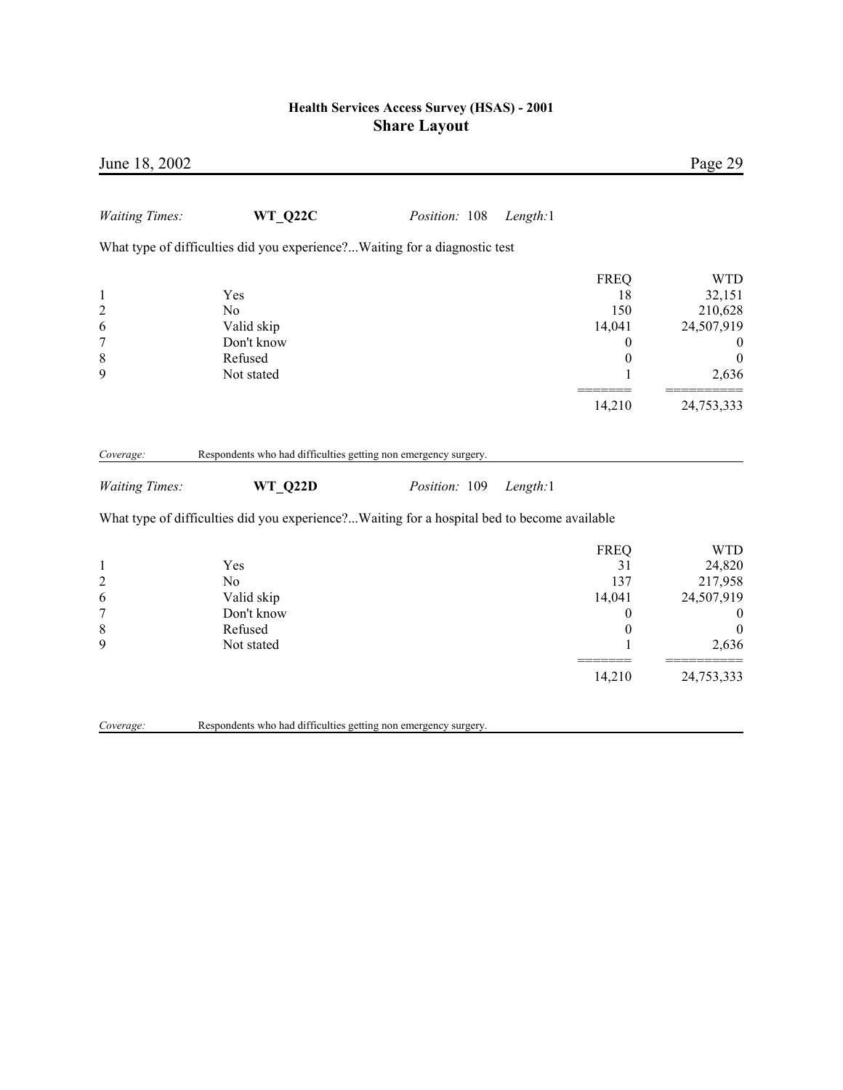| June 18, 2002                                                             |                                                                                             |               |          |                                                                                 | Page 29                                                                                        |
|---------------------------------------------------------------------------|---------------------------------------------------------------------------------------------|---------------|----------|---------------------------------------------------------------------------------|------------------------------------------------------------------------------------------------|
| <b>Waiting Times:</b>                                                     | <b>WT Q22C</b>                                                                              | Position: 108 | Length:1 |                                                                                 |                                                                                                |
|                                                                           | What type of difficulties did you experience? Waiting for a diagnostic test                 |               |          |                                                                                 |                                                                                                |
| $\mathbf{1}$<br>$\overline{c}$<br>6<br>$\overline{7}$<br>$\,$ $\,$<br>9   | Yes<br>N <sub>0</sub><br>Valid skip<br>Don't know<br>Refused<br>Not stated                  |               |          | <b>FREQ</b><br>18<br>150<br>14,041<br>$\boldsymbol{0}$<br>$\boldsymbol{0}$<br>1 | <b>WTD</b><br>32,151<br>210,628<br>24,507,919<br>$\boldsymbol{0}$<br>$\boldsymbol{0}$<br>2,636 |
|                                                                           |                                                                                             |               |          | 14,210                                                                          | 24,753,333                                                                                     |
| Coverage:                                                                 | Respondents who had difficulties getting non emergency surgery.                             |               |          |                                                                                 |                                                                                                |
| <b>Waiting Times:</b>                                                     | WT_Q22D                                                                                     | Position: 109 | Length:1 |                                                                                 |                                                                                                |
|                                                                           | What type of difficulties did you experience?Waiting for a hospital bed to become available |               |          |                                                                                 |                                                                                                |
| $\mathbf{1}$<br>$\overline{c}$<br>6<br>$\overline{7}$<br>$\,$ 8 $\,$<br>9 | Yes<br>N <sub>o</sub><br>Valid skip<br>Don't know<br>Refused<br>Not stated                  |               |          | <b>FREQ</b><br>31<br>137<br>14,041<br>$\boldsymbol{0}$<br>$\boldsymbol{0}$<br>1 | <b>WTD</b><br>24,820<br>217,958<br>24,507,919<br>$\overline{0}$<br>$\theta$<br>2,636           |
|                                                                           |                                                                                             |               |          | 14,210                                                                          | 24,753,333                                                                                     |
| Coverage:                                                                 | Respondents who had difficulties getting non emergency surgery.                             |               |          |                                                                                 |                                                                                                |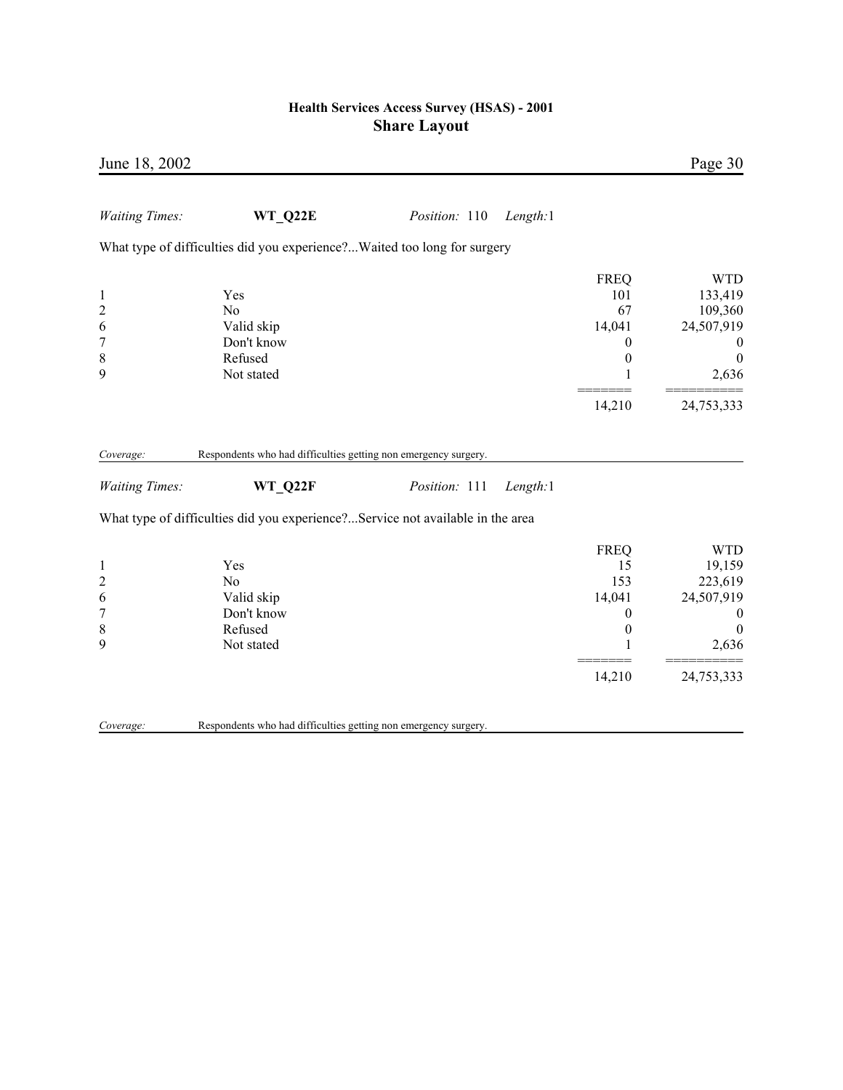| June 18, 2002                                                           |                                                                                |               |          |                                                                            | Page 30                                                                                                      |
|-------------------------------------------------------------------------|--------------------------------------------------------------------------------|---------------|----------|----------------------------------------------------------------------------|--------------------------------------------------------------------------------------------------------------|
| <b>Waiting Times:</b>                                                   | WT Q22E                                                                        | Position: 110 | Length:1 |                                                                            |                                                                                                              |
|                                                                         | What type of difficulties did you experience?Waited too long for surgery       |               |          |                                                                            |                                                                                                              |
| $\mathbf{1}$<br>$\overline{c}$<br>6<br>$\overline{7}$<br>$\,$ $\,$<br>9 | Yes<br>N <sub>0</sub><br>Valid skip<br>Don't know<br>Refused<br>Not stated     |               |          | <b>FREQ</b><br>101<br>67<br>14,041<br>0<br>$\boldsymbol{0}$<br>1           | <b>WTD</b><br>133,419<br>109,360<br>24,507,919<br>$\boldsymbol{0}$<br>$\boldsymbol{0}$<br>2,636              |
|                                                                         |                                                                                |               |          | 14,210                                                                     | 24,753,333                                                                                                   |
| Coverage:                                                               | Respondents who had difficulties getting non emergency surgery.                |               |          |                                                                            |                                                                                                              |
| <b>Waiting Times:</b>                                                   | WT_Q22F                                                                        | Position: 111 | Length:1 |                                                                            |                                                                                                              |
|                                                                         | What type of difficulties did you experience?Service not available in the area |               |          |                                                                            |                                                                                                              |
| $\mathbf{1}$<br>$\overline{c}$<br>6<br>$\overline{7}$<br>$\,$ $\,$<br>9 | Yes<br>N <sub>0</sub><br>Valid skip<br>Don't know<br>Refused<br>Not stated     |               |          | <b>FREQ</b><br>15<br>153<br>14,041<br>0<br>$\boldsymbol{0}$<br>1<br>14,210 | <b>WTD</b><br>19,159<br>223,619<br>24,507,919<br>$\boldsymbol{0}$<br>$\boldsymbol{0}$<br>2,636<br>24,753,333 |
| Coverage:                                                               | Respondents who had difficulties getting non emergency surgery.                |               |          |                                                                            |                                                                                                              |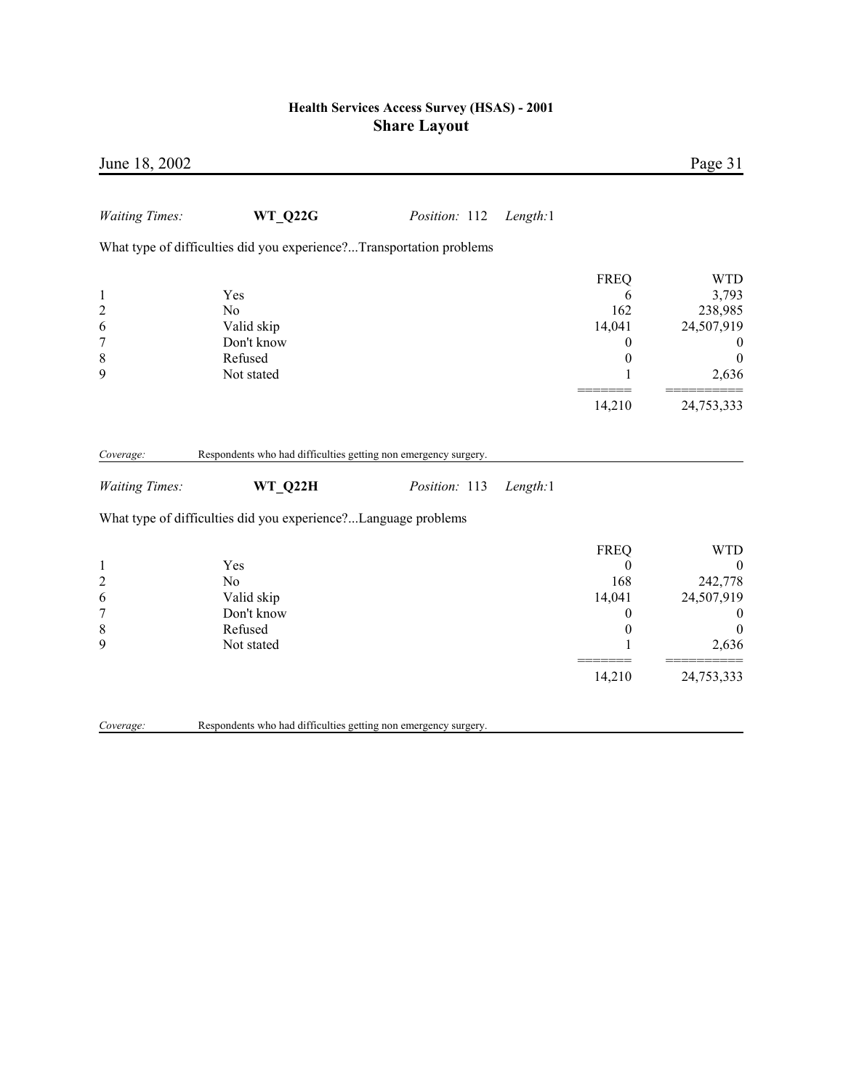| June 18, 2002                                                             |                                                                            |               |          |                                                                                 | Page 31                                                                                                      |
|---------------------------------------------------------------------------|----------------------------------------------------------------------------|---------------|----------|---------------------------------------------------------------------------------|--------------------------------------------------------------------------------------------------------------|
| <b>Waiting Times:</b>                                                     | <b>WT Q22G</b>                                                             | Position: 112 | Length:1 |                                                                                 |                                                                                                              |
|                                                                           | What type of difficulties did you experience?Transportation problems       |               |          |                                                                                 |                                                                                                              |
| $\mathbf{1}$<br>$\overline{c}$<br>6<br>$\boldsymbol{7}$<br>$\,$ $\,$<br>9 | Yes<br>N <sub>o</sub><br>Valid skip<br>Don't know<br>Refused<br>Not stated |               |          | <b>FREQ</b><br>6<br>162<br>14,041<br>0<br>$\boldsymbol{0}$<br>1                 | <b>WTD</b><br>3,793<br>238,985<br>24,507,919<br>$\bf{0}$<br>$\overline{0}$<br>2,636                          |
|                                                                           |                                                                            |               |          | 14,210                                                                          | 24,753,333                                                                                                   |
| Coverage:                                                                 | Respondents who had difficulties getting non emergency surgery.            |               |          |                                                                                 |                                                                                                              |
| <b>Waiting Times:</b>                                                     | WT Q22H                                                                    | Position: 113 | Length:1 |                                                                                 |                                                                                                              |
|                                                                           | What type of difficulties did you experience?Language problems             |               |          |                                                                                 |                                                                                                              |
| $\mathbf{1}$<br>$\overline{c}$<br>6<br>$\overline{7}$<br>$\,$ 8 $\,$<br>9 | Yes<br>N <sub>o</sub><br>Valid skip<br>Don't know<br>Refused<br>Not stated |               |          | <b>FREQ</b><br>$\mathbf{0}$<br>168<br>14,041<br>0<br>$\boldsymbol{0}$<br>14,210 | <b>WTD</b><br>$\boldsymbol{0}$<br>242,778<br>24,507,919<br>$\bf{0}$<br>$\overline{0}$<br>2,636<br>24,753,333 |
| Coverage:                                                                 | Respondents who had difficulties getting non emergency surgery.            |               |          |                                                                                 |                                                                                                              |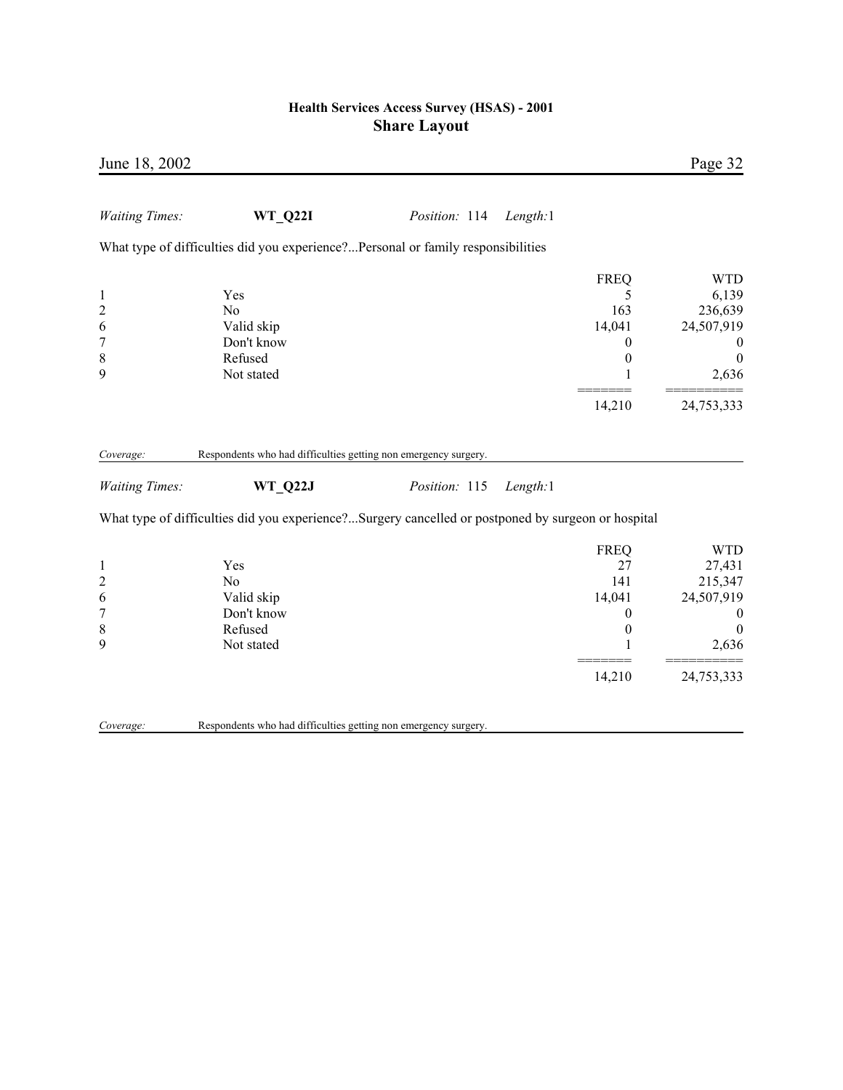| June 18, 2002                                                     |                                                                                                    |               |          |                                                                                 | Page 32                                                                                                     |
|-------------------------------------------------------------------|----------------------------------------------------------------------------------------------------|---------------|----------|---------------------------------------------------------------------------------|-------------------------------------------------------------------------------------------------------------|
| <b>Waiting Times:</b>                                             | <b>WT Q22I</b>                                                                                     | Position: 114 | Length:1 |                                                                                 |                                                                                                             |
|                                                                   | What type of difficulties did you experience?Personal or family responsibilities                   |               |          |                                                                                 |                                                                                                             |
| $\mathbf{1}$<br>$\overline{c}$<br>6<br>$\overline{7}$<br>8<br>9   | Yes<br>N <sub>o</sub><br>Valid skip<br>Don't know<br>Refused<br>Not stated                         |               |          | <b>FREQ</b><br>5<br>163<br>14,041<br>0<br>$\boldsymbol{0}$<br>1<br>14,210       | <b>WTD</b><br>6,139<br>236,639<br>24,507,919<br>$\boldsymbol{0}$<br>$\boldsymbol{0}$<br>2,636<br>24,753,333 |
| Coverage:                                                         | Respondents who had difficulties getting non emergency surgery.                                    |               |          |                                                                                 |                                                                                                             |
| <b>Waiting Times:</b>                                             | <b>WT Q22J</b>                                                                                     | Position: 115 | Length:1 |                                                                                 |                                                                                                             |
|                                                                   | What type of difficulties did you experience?Surgery cancelled or postponed by surgeon or hospital |               |          |                                                                                 |                                                                                                             |
| $\mathbf{1}$<br>$\overline{c}$<br>6<br>$\boldsymbol{7}$<br>8<br>9 | Yes<br>N <sub>o</sub><br>Valid skip<br>Don't know<br>Refused<br>Not stated                         |               |          | <b>FREQ</b><br>27<br>141<br>14,041<br>$\boldsymbol{0}$<br>$\boldsymbol{0}$<br>1 | <b>WTD</b><br>27,431<br>215,347<br>24,507,919<br>$\boldsymbol{0}$<br>$\theta$<br>2,636                      |
|                                                                   |                                                                                                    |               |          | 14,210                                                                          | 24,753,333                                                                                                  |
| Coverage:                                                         | Respondents who had difficulties getting non emergency surgery.                                    |               |          |                                                                                 |                                                                                                             |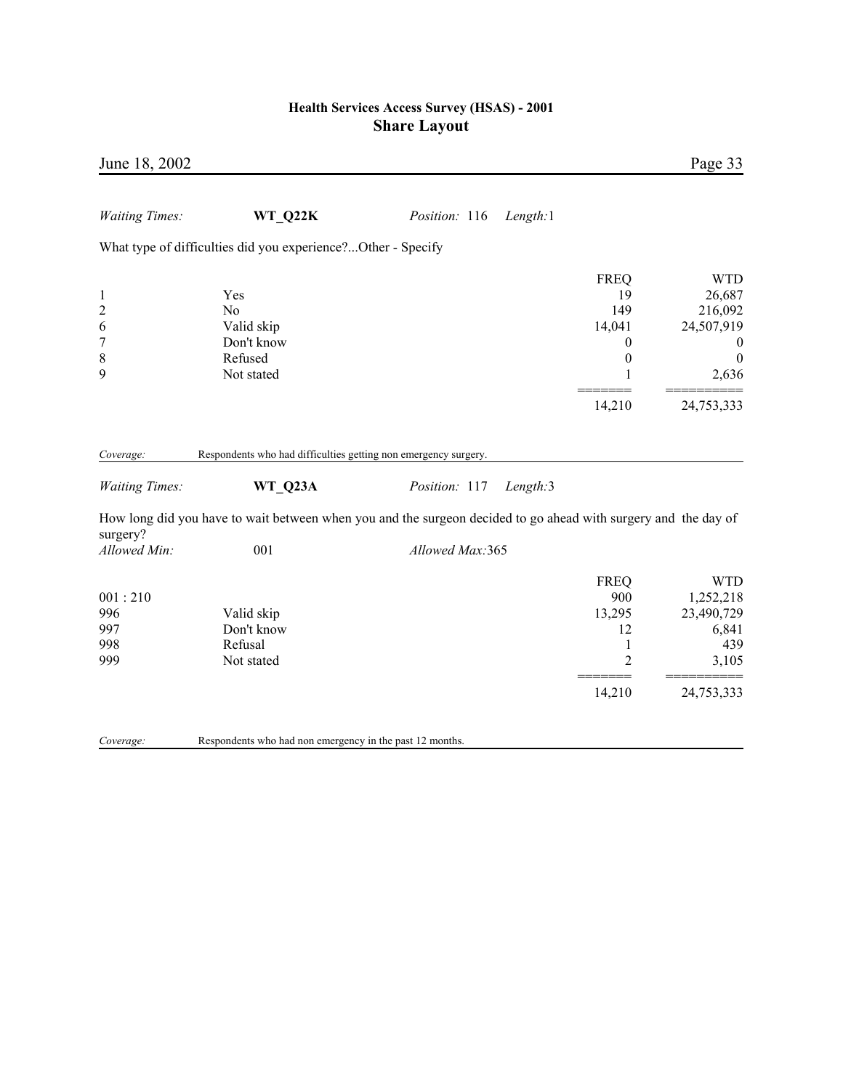| June 18, 2002                                                           |                                                                                                                                                                                              |                 |                                        | Page 33                                                                                                                                   |
|-------------------------------------------------------------------------|----------------------------------------------------------------------------------------------------------------------------------------------------------------------------------------------|-----------------|----------------------------------------|-------------------------------------------------------------------------------------------------------------------------------------------|
| <b>Waiting Times:</b>                                                   | WT Q22K                                                                                                                                                                                      | Position: 116   | Length:1                               |                                                                                                                                           |
|                                                                         | What type of difficulties did you experience?Other - Specify                                                                                                                                 |                 |                                        |                                                                                                                                           |
| $\mathbf{1}$<br>$\overline{c}$<br>6<br>$\overline{7}$<br>$\,$ $\,$<br>9 | Yes<br>N <sub>0</sub><br>Valid skip<br>Don't know<br>Refused<br>Not stated                                                                                                                   |                 | <b>FREQ</b><br>149<br>14,041           | <b>WTD</b><br>19<br>26,687<br>216,092<br>24,507,919<br>$\boldsymbol{0}$<br>$\theta$<br>$\boldsymbol{0}$<br>$\boldsymbol{0}$<br>1<br>2,636 |
|                                                                         |                                                                                                                                                                                              |                 | 14,210                                 | 24,753,333                                                                                                                                |
| Coverage:<br><b>Waiting Times:</b>                                      | Respondents who had difficulties getting non emergency surgery.<br>WT Q23A<br>How long did you have to wait between when you and the surgeon decided to go ahead with surgery and the day of | Position: 117   | Length:3                               |                                                                                                                                           |
| surgery?<br>Allowed Min:                                                | 001                                                                                                                                                                                          | Allowed Max:365 |                                        |                                                                                                                                           |
| 001:210<br>996<br>997<br>998<br>999                                     | Valid skip<br>Don't know<br>Refusal<br>Not stated                                                                                                                                            |                 | <b>FREQ</b><br>900<br>13,295<br>14,210 | <b>WTD</b><br>1,252,218<br>23,490,729<br>12<br>6,841<br>439<br>1<br>$\overline{2}$<br>3,105<br>24,753,333                                 |
|                                                                         |                                                                                                                                                                                              |                 |                                        |                                                                                                                                           |
| Coverage:                                                               | Respondents who had non emergency in the past 12 months.                                                                                                                                     |                 |                                        |                                                                                                                                           |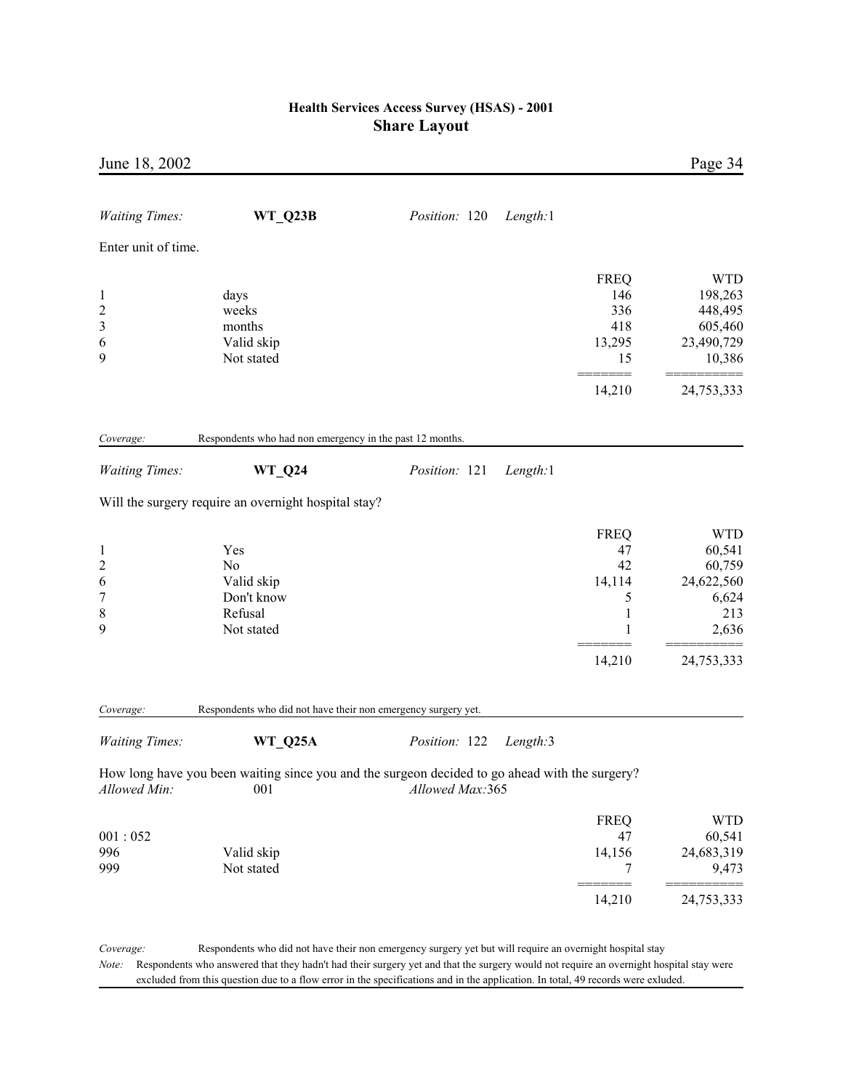| June 18, 2002                                      |                                                                                                                                                                                                                                                    |                 |          |                                                  | Page 34                                                               |
|----------------------------------------------------|----------------------------------------------------------------------------------------------------------------------------------------------------------------------------------------------------------------------------------------------------|-----------------|----------|--------------------------------------------------|-----------------------------------------------------------------------|
| <b>Waiting Times:</b>                              | WT_Q23B                                                                                                                                                                                                                                            | Position: 120   | Length:1 |                                                  |                                                                       |
| Enter unit of time.                                |                                                                                                                                                                                                                                                    |                 |          |                                                  |                                                                       |
| $\mathbf{1}$<br>$\overline{c}$<br>3<br>6<br>9      | days<br>weeks<br>months<br>Valid skip<br>Not stated                                                                                                                                                                                                |                 |          | <b>FREQ</b><br>146<br>336<br>418<br>13,295<br>15 | <b>WTD</b><br>198,263<br>448,495<br>605,460<br>23,490,729<br>10,386   |
|                                                    |                                                                                                                                                                                                                                                    |                 |          | 14,210                                           | 24,753,333                                                            |
| Coverage:                                          | Respondents who had non emergency in the past 12 months.                                                                                                                                                                                           |                 |          |                                                  |                                                                       |
| <b>Waiting Times:</b>                              | $WT_Q24$                                                                                                                                                                                                                                           | Position: 121   | Length:1 |                                                  |                                                                       |
|                                                    | Will the surgery require an overnight hospital stay?                                                                                                                                                                                               |                 |          |                                                  |                                                                       |
| $\mathbf{1}$<br>$\overline{c}$<br>6<br>7<br>8<br>9 | Yes<br>N <sub>0</sub><br>Valid skip<br>Don't know<br>Refusal<br>Not stated                                                                                                                                                                         |                 |          | <b>FREQ</b><br>47<br>42<br>14,114<br>5<br>1<br>1 | <b>WTD</b><br>60,541<br>60,759<br>24,622,560<br>6,624<br>213<br>2,636 |
|                                                    |                                                                                                                                                                                                                                                    |                 |          | 14,210                                           | 24,753,333                                                            |
| Coverage:                                          | Respondents who did not have their non emergency surgery yet.                                                                                                                                                                                      |                 |          |                                                  |                                                                       |
| <b>Waiting Times:</b>                              | WT_Q25A                                                                                                                                                                                                                                            | Position: 122   | Length:3 |                                                  |                                                                       |
| Allowed Min:                                       | How long have you been waiting since you and the surgeon decided to go ahead with the surgery?<br>001                                                                                                                                              | Allowed Max:365 |          |                                                  |                                                                       |
| 001:052<br>996<br>999                              | Valid skip<br>Not stated                                                                                                                                                                                                                           |                 |          | <b>FREQ</b><br>47<br>14,156<br>7                 | <b>WTD</b><br>60,541<br>24,683,319<br>9,473                           |
|                                                    |                                                                                                                                                                                                                                                    |                 |          | 14,210                                           | 24,753,333                                                            |
| Coverage:<br>Note:                                 | Respondents who did not have their non emergency surgery yet but will require an overnight hospital stay<br>Respondents who answered that they hadn't had their surgery yet and that the surgery would not require an overnight hospital stay were |                 |          |                                                  |                                                                       |

excluded from this question due to a flow error in the specifications and in the application. In total, 49 records were exluded.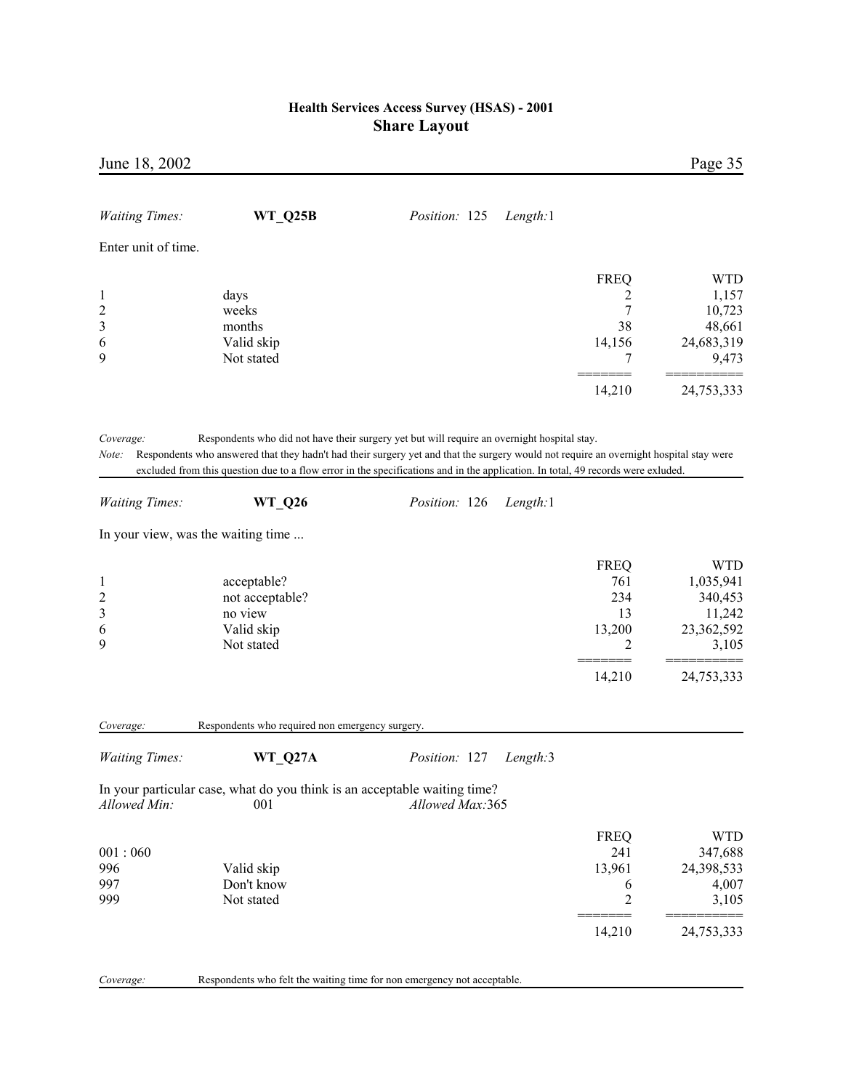| June 18, 2002                                          |                                                                                  |                                                                                                                                                                                                                                                                                                                                                                                                               |                                                     | Page 35                                                             |
|--------------------------------------------------------|----------------------------------------------------------------------------------|---------------------------------------------------------------------------------------------------------------------------------------------------------------------------------------------------------------------------------------------------------------------------------------------------------------------------------------------------------------------------------------------------------------|-----------------------------------------------------|---------------------------------------------------------------------|
| <b>Waiting Times:</b>                                  | WT_Q25B                                                                          | Position: 125<br>Length:1                                                                                                                                                                                                                                                                                                                                                                                     |                                                     |                                                                     |
| Enter unit of time.                                    |                                                                                  |                                                                                                                                                                                                                                                                                                                                                                                                               |                                                     |                                                                     |
| $\mathbf{1}$<br>$\overline{\mathbf{c}}$<br>3<br>6<br>9 | days<br>weeks<br>months<br>Valid skip<br>Not stated                              |                                                                                                                                                                                                                                                                                                                                                                                                               | <b>FREQ</b><br>2<br>7<br>38<br>14,156<br>7          | <b>WTD</b><br>1,157<br>10,723<br>48,661<br>24,683,319<br>9,473      |
|                                                        |                                                                                  |                                                                                                                                                                                                                                                                                                                                                                                                               | 14,210                                              | 24,753,333                                                          |
| Note:<br><b>Waiting Times:</b>                         | <b>WT_Q26</b><br>In your view, was the waiting time                              | Respondents who did not have their surgery yet but will require an overnight hospital stay.<br>Respondents who answered that they hadn't had their surgery yet and that the surgery would not require an overnight hospital stay were<br>excluded from this question due to a flow error in the specifications and in the application. In total, 49 records were exluded.<br><i>Position:</i> 126<br>Length:1 |                                                     |                                                                     |
|                                                        |                                                                                  |                                                                                                                                                                                                                                                                                                                                                                                                               |                                                     |                                                                     |
| $\mathbf{1}$<br>$\overline{c}$<br>3<br>6<br>9          | acceptable?<br>not acceptable?<br>no view<br>Valid skip<br>Not stated            |                                                                                                                                                                                                                                                                                                                                                                                                               | <b>FREQ</b><br>761<br>234<br>13<br>13,200<br>2      | <b>WTD</b><br>1,035,941<br>340,453<br>11,242<br>23,362,592<br>3,105 |
|                                                        |                                                                                  |                                                                                                                                                                                                                                                                                                                                                                                                               | 14,210                                              | 24,753,333                                                          |
| Coverage:                                              | Respondents who required non emergency surgery.                                  |                                                                                                                                                                                                                                                                                                                                                                                                               |                                                     |                                                                     |
| <b>Waiting Times:</b>                                  | WT Q27A                                                                          | Position: 127<br>Length:3                                                                                                                                                                                                                                                                                                                                                                                     |                                                     |                                                                     |
| Allowed Min:                                           | In your particular case, what do you think is an acceptable waiting time?<br>001 | Allowed Max:365                                                                                                                                                                                                                                                                                                                                                                                               |                                                     |                                                                     |
| 001:060<br>996<br>997<br>999                           | Valid skip<br>Don't know<br>Not stated                                           |                                                                                                                                                                                                                                                                                                                                                                                                               | <b>FREQ</b><br>241<br>13,961<br>6<br>$\overline{c}$ | <b>WTD</b><br>347,688<br>24,398,533<br>4,007<br>3,105               |
|                                                        |                                                                                  |                                                                                                                                                                                                                                                                                                                                                                                                               | 14,210                                              | 24,753,333                                                          |
| Coverage:                                              | Respondents who felt the waiting time for non emergency not acceptable.          |                                                                                                                                                                                                                                                                                                                                                                                                               |                                                     |                                                                     |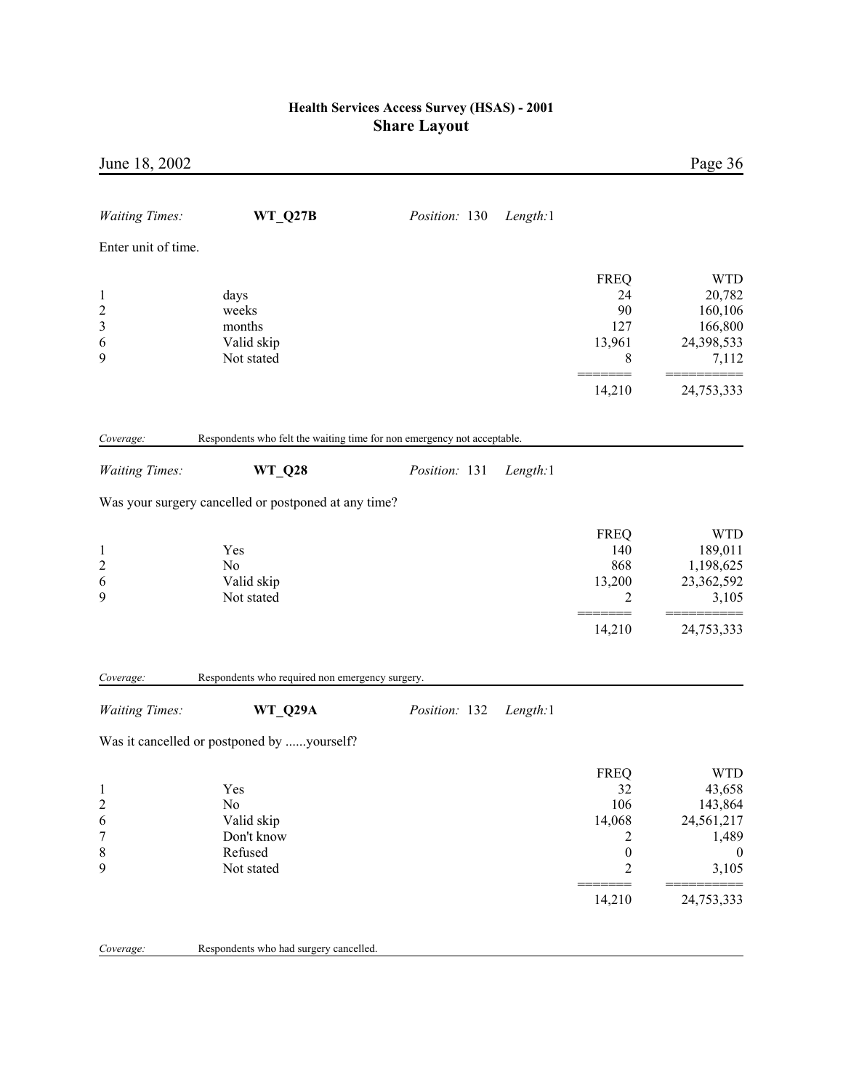| June 18, 2002           |                                                                         |                      |          |                       | Page 36                   |
|-------------------------|-------------------------------------------------------------------------|----------------------|----------|-----------------------|---------------------------|
| <b>Waiting Times:</b>   | WT_Q27B                                                                 | <i>Position:</i> 130 | Length:1 |                       |                           |
| Enter unit of time.     |                                                                         |                      |          |                       |                           |
|                         |                                                                         |                      |          |                       |                           |
|                         |                                                                         |                      |          | <b>FREQ</b>           | <b>WTD</b>                |
| $\mathbf{1}$            | days                                                                    |                      |          | 24                    | 20,782                    |
| $\overline{\mathbf{c}}$ | weeks                                                                   |                      |          | 90                    | 160,106                   |
| 3                       | months                                                                  |                      |          | 127                   | 166,800                   |
| 6                       | Valid skip                                                              |                      |          | 13,961                | 24,398,533                |
| 9                       | Not stated                                                              |                      |          | 8                     | 7,112                     |
|                         |                                                                         |                      |          | 14,210                | 24,753,333                |
| Coverage:               | Respondents who felt the waiting time for non emergency not acceptable. |                      |          |                       |                           |
| <b>Waiting Times:</b>   | <b>WT_Q28</b>                                                           | Position: 131        | Length:1 |                       |                           |
|                         | Was your surgery cancelled or postponed at any time?                    |                      |          |                       |                           |
|                         |                                                                         |                      |          |                       |                           |
|                         |                                                                         |                      |          | <b>FREQ</b>           | <b>WTD</b>                |
| $\mathbf{1}$            | Yes                                                                     |                      |          | 140                   | 189,011                   |
| $\overline{\mathbf{c}}$ | No                                                                      |                      |          | 868                   | 1,198,625                 |
| 6                       | Valid skip                                                              |                      |          | 13,200                | 23,362,592                |
| 9                       | Not stated                                                              |                      |          | 2<br>=====            | 3,105                     |
|                         |                                                                         |                      |          | 14,210                | 24,753,333                |
| Coverage:               | Respondents who required non emergency surgery.                         |                      |          |                       |                           |
| <b>Waiting Times:</b>   | WT_Q29A                                                                 | Position: 132        | Length:1 |                       |                           |
|                         | Was it cancelled or postponed by yourself?                              |                      |          |                       |                           |
|                         |                                                                         |                      |          |                       |                           |
|                         |                                                                         |                      |          | FREQ                  | <b>WTD</b>                |
| $\mathbf{1}$            | Yes                                                                     |                      |          | 32                    | 43,658                    |
| $\overline{c}$          | No                                                                      |                      |          | 106                   | 143,864                   |
| 6                       | Valid skip                                                              |                      |          | 14,068                | 24,561,217                |
| 7                       | Don't know<br>Refused                                                   |                      |          | 2<br>$\boldsymbol{0}$ | 1,489                     |
| 8<br>9                  | Not stated                                                              |                      |          | $\overline{2}$        | $\boldsymbol{0}$<br>3,105 |
|                         |                                                                         |                      |          | 14,210                | 24,753,333                |
|                         |                                                                         |                      |          |                       |                           |
| Coverage:               | Respondents who had surgery cancelled.                                  |                      |          |                       |                           |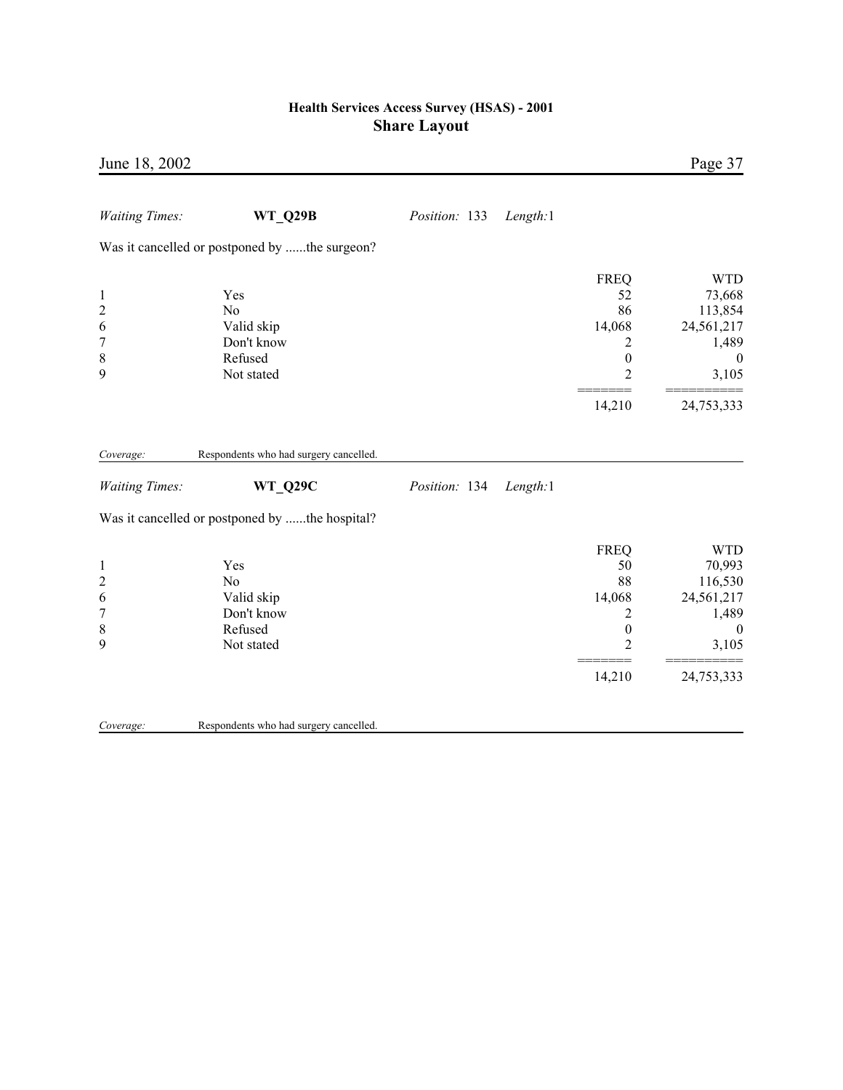| June 18, 2002                                                               |                                                                            |               |          |                                                                                        | Page 37                                                                                         |
|-----------------------------------------------------------------------------|----------------------------------------------------------------------------|---------------|----------|----------------------------------------------------------------------------------------|-------------------------------------------------------------------------------------------------|
| <b>Waiting Times:</b>                                                       | <b>WT Q29B</b>                                                             | Position: 133 | Length:1 |                                                                                        |                                                                                                 |
|                                                                             | Was it cancelled or postponed by the surgeon?                              |               |          |                                                                                        |                                                                                                 |
| $\mathbf{1}$<br>$\overline{c}$<br>6<br>$\overline{7}$<br>8<br>9             | Yes<br>N <sub>o</sub><br>Valid skip<br>Don't know<br>Refused<br>Not stated |               |          | <b>FREQ</b><br>52<br>86<br>14,068<br>2<br>$\boldsymbol{0}$<br>$\overline{2}$           | <b>WTD</b><br>73,668<br>113,854<br>24,561,217<br>1,489<br>$\boldsymbol{0}$<br>3,105             |
|                                                                             |                                                                            |               |          | 14,210                                                                                 | 24,753,333                                                                                      |
| Coverage:                                                                   | Respondents who had surgery cancelled.                                     |               |          |                                                                                        |                                                                                                 |
| <b>Waiting Times:</b>                                                       | WT_Q29C                                                                    | Position: 134 | Length:1 |                                                                                        |                                                                                                 |
|                                                                             | Was it cancelled or postponed by the hospital?                             |               |          |                                                                                        |                                                                                                 |
| $\mathbf{1}$<br>$\overline{c}$<br>6<br>$\boldsymbol{7}$<br>$\,$ 8 $\,$<br>9 | Yes<br>No<br>Valid skip<br>Don't know<br>Refused<br>Not stated             |               |          | <b>FREQ</b><br>50<br>88<br>14,068<br>2<br>$\boldsymbol{0}$<br>$\overline{2}$<br>14,210 | <b>WTD</b><br>70,993<br>116,530<br>24,561,217<br>1,489<br>$\overline{0}$<br>3,105<br>24,753,333 |
| Coverage:                                                                   | Respondents who had surgery cancelled.                                     |               |          |                                                                                        |                                                                                                 |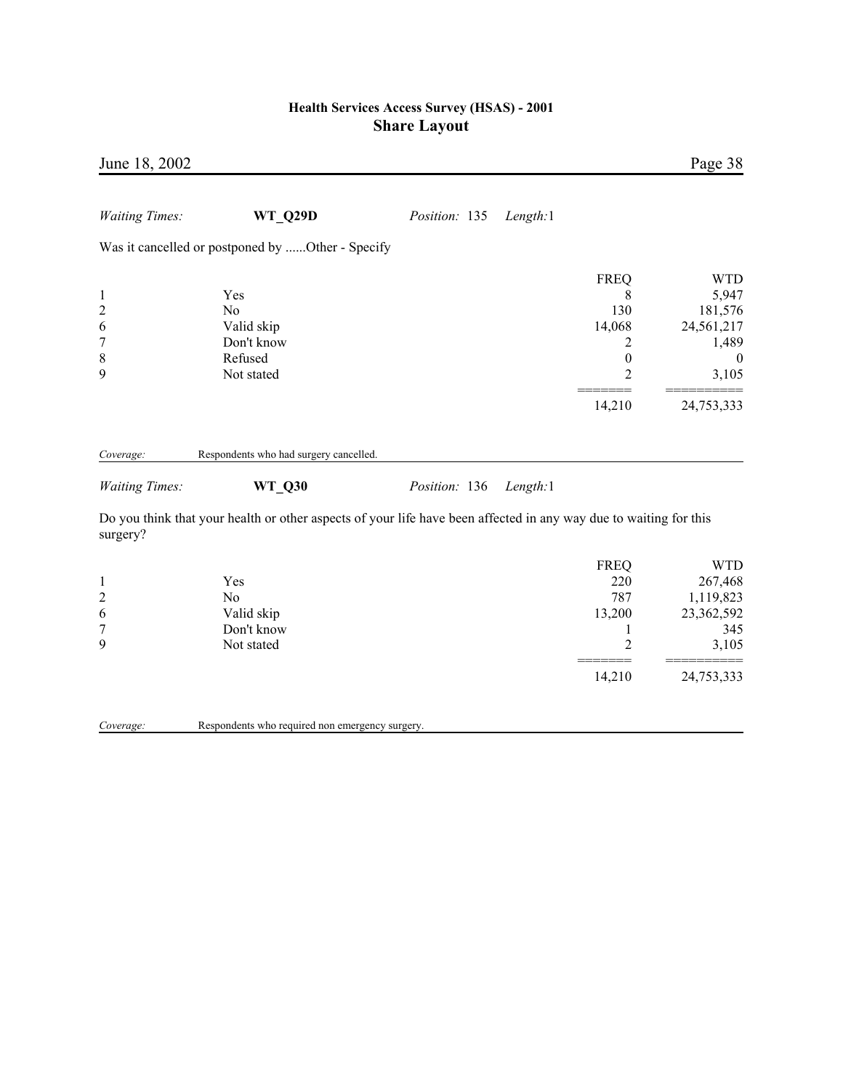| June 18, 2002         |                                                                                                                   |               |          |                  | Page 38        |
|-----------------------|-------------------------------------------------------------------------------------------------------------------|---------------|----------|------------------|----------------|
| <b>Waiting Times:</b> | <b>WT Q29D</b>                                                                                                    | Position: 135 | Length:1 |                  |                |
|                       | Was it cancelled or postponed by Other - Specify                                                                  |               |          |                  |                |
|                       |                                                                                                                   |               |          | <b>FREQ</b>      | <b>WTD</b>     |
| $\mathbf{1}$          | Yes                                                                                                               |               |          | 8                | 5,947          |
| $\overline{c}$        | N <sub>o</sub>                                                                                                    |               |          | 130              | 181,576        |
| 6                     | Valid skip                                                                                                        |               |          | 14,068           | 24,561,217     |
| 7                     | Don't know                                                                                                        |               |          | 2                | 1,489          |
| $\,$ $\,$             | Refused                                                                                                           |               |          | $\boldsymbol{0}$ | $\overline{0}$ |
| 9                     | Not stated                                                                                                        |               |          | $\overline{2}$   | 3,105          |
|                       |                                                                                                                   |               |          | 14,210           | 24,753,333     |
| Coverage:             | Respondents who had surgery cancelled.                                                                            |               |          |                  |                |
| <b>Waiting Times:</b> | <b>WT Q30</b>                                                                                                     | Position: 136 | Length:1 |                  |                |
| surgery?              | Do you think that your health or other aspects of your life have been affected in any way due to waiting for this |               |          |                  |                |
|                       |                                                                                                                   |               |          | <b>FREQ</b>      | <b>WTD</b>     |
| $\mathbf{1}$          | Yes                                                                                                               |               |          | 220              | 267,468        |
| $\overline{c}$        | N <sub>0</sub>                                                                                                    |               |          | 787              | 1,119,823      |
| $\sqrt{6}$            | Valid skip                                                                                                        |               |          | 13,200           | 23,362,592     |
| $\sqrt{ }$            | Don't know                                                                                                        |               |          | 1                | 345            |
| 9                     | Not stated                                                                                                        |               |          | $\overline{c}$   | 3,105          |
|                       |                                                                                                                   |               |          | 14,210           | 24,753,333     |
| Coverage:             | Respondents who required non emergency surgery.                                                                   |               |          |                  |                |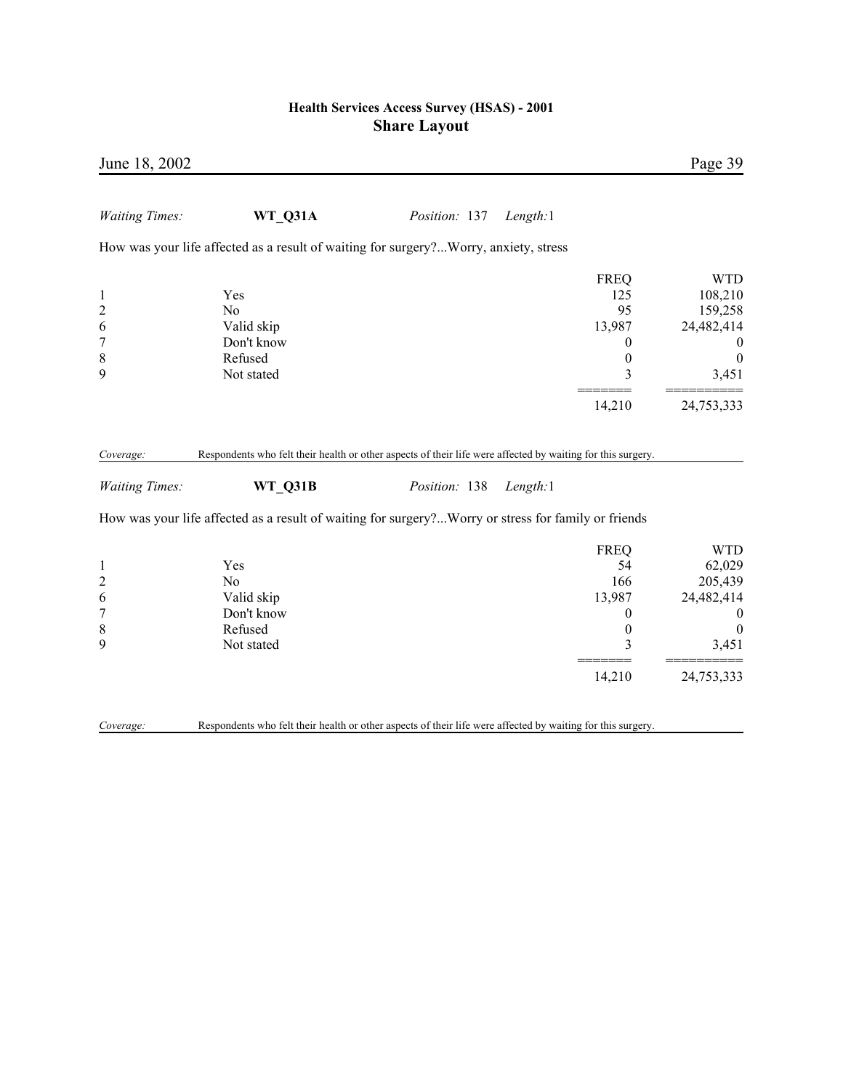|                                                                                                                                             |          |               |            | June 18, 2002         |
|---------------------------------------------------------------------------------------------------------------------------------------------|----------|---------------|------------|-----------------------|
|                                                                                                                                             | Length:1 | Position: 137 | WT Q31A    | <b>Waiting Times:</b> |
| How was your life affected as a result of waiting for surgery?Worry, anxiety, stress                                                        |          |               |            |                       |
| <b>WTD</b><br><b>FREQ</b><br>125<br>108,210<br>Yes                                                                                          |          |               |            | $\mathbf{1}$          |
| 95<br>159,258<br>N <sub>o</sub>                                                                                                             |          |               |            | $\overline{c}$        |
| 13,987<br>24,482,414<br>Valid skip                                                                                                          |          |               |            | 6                     |
| Don't know<br>0                                                                                                                             |          |               |            | $\overline{7}$        |
| Refused<br>$\boldsymbol{0}$<br>$\boldsymbol{0}$                                                                                             |          |               |            | 8                     |
| Not stated<br>3<br>3,451                                                                                                                    |          |               |            | 9                     |
| 14,210<br>24,753,333                                                                                                                        |          |               |            |                       |
| WT Q31B<br>Position: 138<br>Length:1<br>How was your life affected as a result of waiting for surgery?Worry or stress for family or friends |          |               |            | <b>Waiting Times:</b> |
| <b>WTD</b>                                                                                                                                  |          |               |            |                       |
| <b>FREQ</b><br>54<br>62,029<br>Yes                                                                                                          |          |               |            | $\mathbf{1}$          |
| 166<br>205,439<br>N <sub>0</sub>                                                                                                            |          |               |            | $\overline{c}$        |
|                                                                                                                                             | 13,987   |               | Valid skip | 6                     |
|                                                                                                                                             |          |               | Don't know | $\boldsymbol{7}$      |
| 24,482,414                                                                                                                                  |          |               |            |                       |
| $\boldsymbol{0}$<br>$\boldsymbol{0}$<br>Refused<br>$\boldsymbol{0}$<br>$\boldsymbol{0}$                                                     |          |               |            | $\,$ 8 $\,$           |
| 3<br>Not stated<br>3,451                                                                                                                    |          |               |            | 9                     |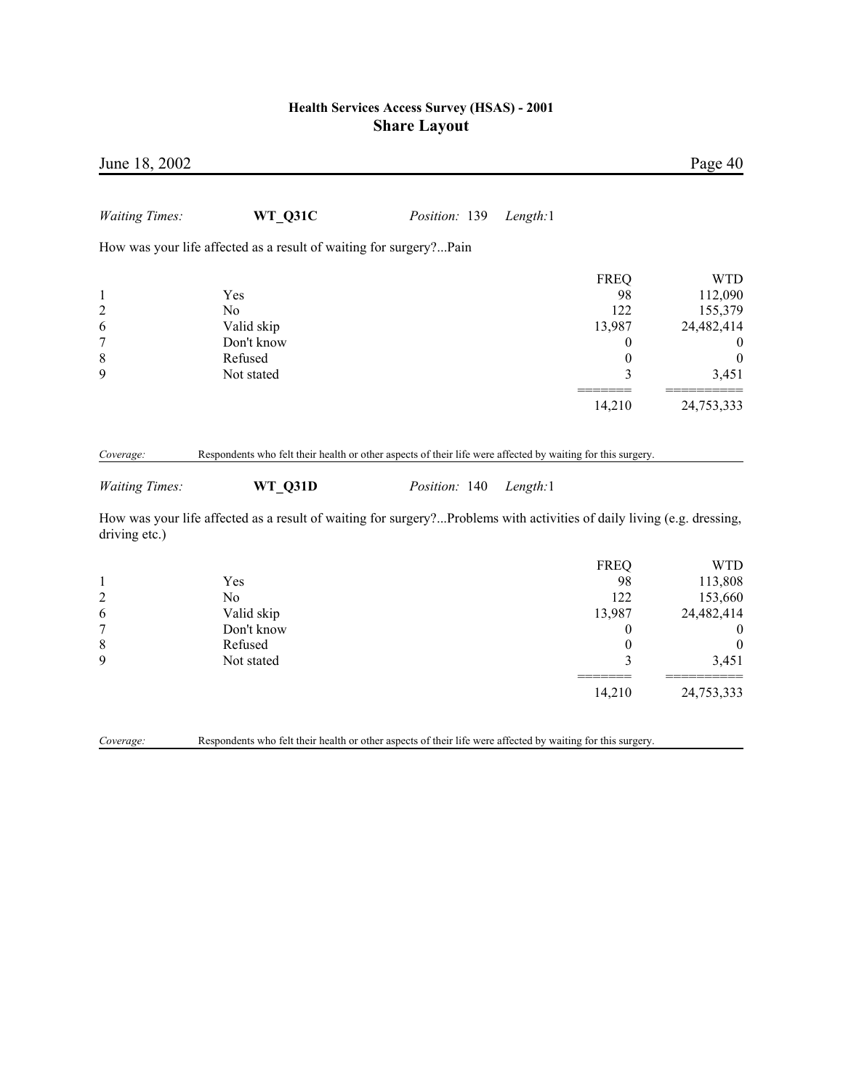| June 18, 2002                                                           |                                                                                                                                                                                                                                                  |               |                                                                                 | Page 40                                                                                         |
|-------------------------------------------------------------------------|--------------------------------------------------------------------------------------------------------------------------------------------------------------------------------------------------------------------------------------------------|---------------|---------------------------------------------------------------------------------|-------------------------------------------------------------------------------------------------|
| <b>Waiting Times:</b>                                                   | WT_Q31C                                                                                                                                                                                                                                          | Position: 139 | Length:1                                                                        |                                                                                                 |
|                                                                         | How was your life affected as a result of waiting for surgery?Pain                                                                                                                                                                               |               |                                                                                 |                                                                                                 |
| $\mathbf{1}$<br>$\overline{c}$<br>6<br>$\overline{7}$<br>$\,$ $\,$<br>9 | Yes<br>N <sub>0</sub><br>Valid skip<br>Don't know<br>Refused<br>Not stated                                                                                                                                                                       |               | <b>FREQ</b><br>98<br>122<br>13,987<br>$\boldsymbol{0}$<br>$\boldsymbol{0}$<br>3 | <b>WTD</b><br>112,090<br>155,379<br>24,482,414<br>$\boldsymbol{0}$<br>$\boldsymbol{0}$<br>3,451 |
|                                                                         |                                                                                                                                                                                                                                                  |               | 14,210                                                                          | 24,753,333                                                                                      |
| Coverage:<br><b>Waiting Times:</b><br>driving etc.)                     | Respondents who felt their health or other aspects of their life were affected by waiting for this surgery.<br>WT_Q31D<br>How was your life affected as a result of waiting for surgery?Problems with activities of daily living (e.g. dressing, | Position: 140 | Length:1                                                                        |                                                                                                 |
| $\mathbf{1}$<br>$\overline{c}$<br>6<br>$\sqrt{ }$<br>$\,8\,$<br>9       | Yes<br>No<br>Valid skip<br>Don't know<br>Refused<br>Not stated                                                                                                                                                                                   |               | <b>FREQ</b><br>98<br>122<br>13,987<br>$\boldsymbol{0}$<br>$\boldsymbol{0}$<br>3 | <b>WTD</b><br>113,808<br>153,660<br>24,482,414<br>$\boldsymbol{0}$<br>$\boldsymbol{0}$<br>3,451 |
| Coverage:                                                               | Respondents who felt their health or other aspects of their life were affected by waiting for this surgery.                                                                                                                                      |               | 14,210                                                                          | 24,753,333                                                                                      |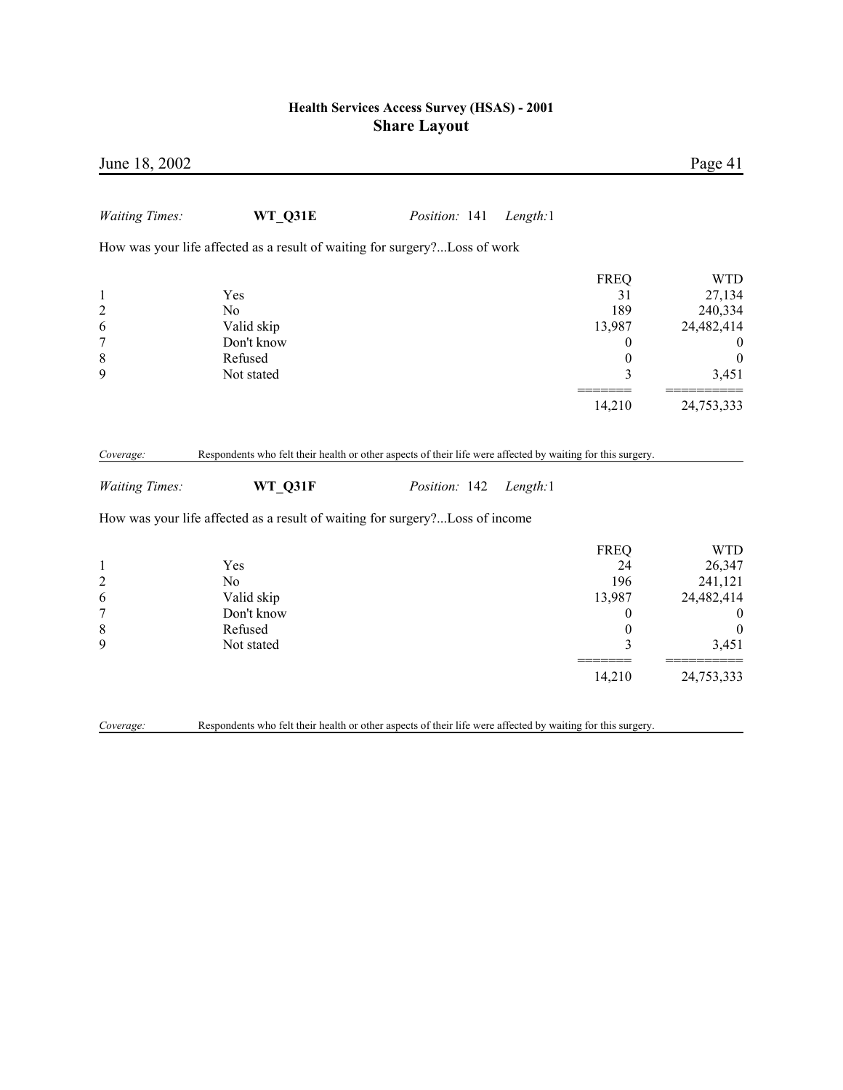| June 18, 2002                                                               |                                                                                                                                                                                                        |               |          |                                                                               | Page 41                                                                                        |
|-----------------------------------------------------------------------------|--------------------------------------------------------------------------------------------------------------------------------------------------------------------------------------------------------|---------------|----------|-------------------------------------------------------------------------------|------------------------------------------------------------------------------------------------|
| <b>Waiting Times:</b>                                                       | WT_Q31E                                                                                                                                                                                                | Position: 141 | Length:1 |                                                                               |                                                                                                |
|                                                                             | How was your life affected as a result of waiting for surgery?Loss of work                                                                                                                             |               |          |                                                                               |                                                                                                |
| $\mathbf{1}$<br>$\overline{c}$<br>6<br>$\boldsymbol{7}$<br>$\,$ 8 $\,$<br>9 | Yes<br>N <sub>0</sub><br>Valid skip<br>Don't know<br>Refused<br>Not stated                                                                                                                             |               |          | <b>FREQ</b><br>31<br>189<br>13,987<br>$\overline{0}$<br>$\boldsymbol{0}$<br>3 | <b>WTD</b><br>27,134<br>240,334<br>24,482,414<br>$\bf{0}$<br>$\boldsymbol{0}$<br>3,451         |
|                                                                             |                                                                                                                                                                                                        |               |          | 14,210                                                                        | 24,753,333                                                                                     |
| Coverage:<br><b>Waiting Times:</b>                                          | Respondents who felt their health or other aspects of their life were affected by waiting for this surgery.<br>WT Q31F<br>How was your life affected as a result of waiting for surgery?Loss of income | Position: 142 | Length:1 |                                                                               |                                                                                                |
|                                                                             |                                                                                                                                                                                                        |               |          | <b>FREQ</b>                                                                   | <b>WTD</b>                                                                                     |
| $\mathbf{1}$<br>$\overline{c}$<br>6<br>$\overline{7}$<br>$\,$ $\,$<br>9     | Yes<br>N <sub>o</sub><br>Valid skip<br>Don't know<br>Refused<br>Not stated                                                                                                                             |               |          | 24<br>196<br>13,987<br>$\theta$<br>$\boldsymbol{0}$<br>3<br>14,210            | 26,347<br>241,121<br>24,482,414<br>$\boldsymbol{0}$<br>$\boldsymbol{0}$<br>3,451<br>24,753,333 |
| Coverage:                                                                   | Respondents who felt their health or other aspects of their life were affected by waiting for this surgery.                                                                                            |               |          |                                                                               |                                                                                                |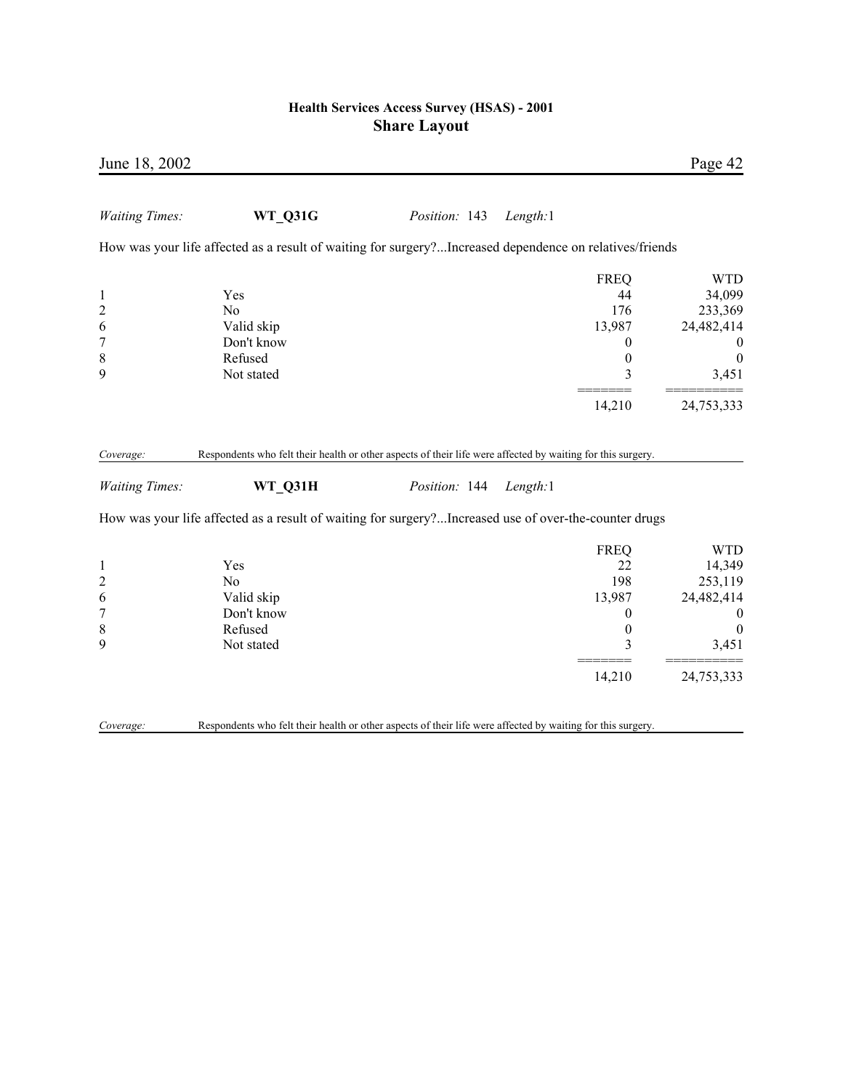| June 18, 2002         |                                                                                                         |               |                  | Page 42                                                                                                      |
|-----------------------|---------------------------------------------------------------------------------------------------------|---------------|------------------|--------------------------------------------------------------------------------------------------------------|
| <b>Waiting Times:</b> | WT_Q31G                                                                                                 | Position: 143 | Length:1         |                                                                                                              |
|                       | How was your life affected as a result of waiting for surgery?Increased dependence on relatives/friends |               |                  |                                                                                                              |
|                       |                                                                                                         |               | <b>FREQ</b>      | <b>WTD</b>                                                                                                   |
| $\mathbf{1}$          | Yes                                                                                                     |               | 44               | 34,099                                                                                                       |
| $\overline{c}$        | N <sub>o</sub>                                                                                          |               | 176              | 233,369                                                                                                      |
| 6                     | Valid skip                                                                                              |               | 13,987           | 24,482,414                                                                                                   |
| 7                     | Don't know                                                                                              |               | $\boldsymbol{0}$ | $\boldsymbol{0}$                                                                                             |
| 8                     | Refused                                                                                                 |               | $\boldsymbol{0}$ | $\boldsymbol{0}$                                                                                             |
| 9                     | Not stated                                                                                              |               | 3                | 3,451                                                                                                        |
|                       |                                                                                                         |               | 14,210           | 24,753,333                                                                                                   |
|                       |                                                                                                         |               |                  | Respondents who felt their health or other aspects of their life were affected by waiting for this surgery.  |
| <b>Waiting Times:</b> | WT Q31H                                                                                                 | Position: 144 | Length:1         |                                                                                                              |
|                       | How was your life affected as a result of waiting for surgery?Increased use of over-the-counter drugs   |               |                  |                                                                                                              |
|                       |                                                                                                         |               | <b>FREQ</b>      |                                                                                                              |
| $\mathbf{1}$          | Yes                                                                                                     |               | 22               |                                                                                                              |
| $\boldsymbol{2}$      | N <sub>o</sub>                                                                                          |               | 198              |                                                                                                              |
| 6                     | Valid skip                                                                                              |               | 13,987           |                                                                                                              |
| $\overline{7}$        | Don't know                                                                                              |               | $\boldsymbol{0}$ |                                                                                                              |
| $\,$ 8 $\,$           | Refused                                                                                                 |               | $\boldsymbol{0}$ |                                                                                                              |
| 9                     | Not stated                                                                                              |               | 3                |                                                                                                              |
|                       |                                                                                                         |               | 14,210           | <b>WTD</b><br>14,349<br>253,119<br>24,482,414<br>$\boldsymbol{0}$<br>$\boldsymbol{0}$<br>3,451<br>24,753,333 |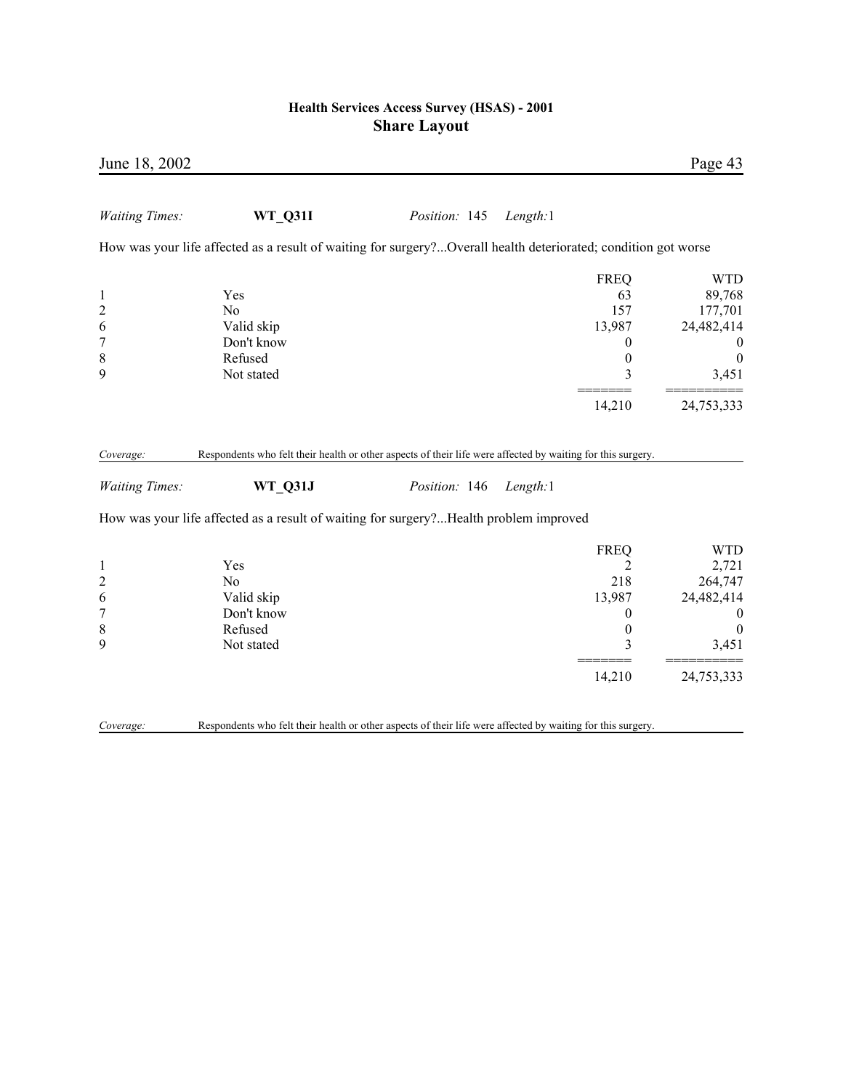| June 18, 2002                                                   |                                                                                                                        |               |          |                                                                                | Page 43                                                                                              |
|-----------------------------------------------------------------|------------------------------------------------------------------------------------------------------------------------|---------------|----------|--------------------------------------------------------------------------------|------------------------------------------------------------------------------------------------------|
| <b>Waiting Times:</b>                                           | <b>WT Q31I</b>                                                                                                         | Position: 145 | Length:1 |                                                                                |                                                                                                      |
|                                                                 | How was your life affected as a result of waiting for surgery?Overall health deteriorated; condition got worse         |               |          |                                                                                |                                                                                                      |
| $\mathbf{1}$<br>$\overline{c}$<br>6<br>$\overline{7}$<br>8<br>9 | Yes<br>No<br>Valid skip<br>Don't know<br>Refused<br>Not stated                                                         |               |          | <b>FREQ</b><br>63<br>157<br>13,987<br>0<br>$\boldsymbol{0}$<br>3<br>14,210     | <b>WTD</b><br>89,768<br>177,701<br>24,482,414<br>$\bf{0}$<br>$\boldsymbol{0}$<br>3,451<br>24,753,333 |
| Coverage:<br><b>Waiting Times:</b>                              | Respondents who felt their health or other aspects of their life were affected by waiting for this surgery.<br>WT Q31J | Position: 146 | Length:1 |                                                                                |                                                                                                      |
|                                                                 | How was your life affected as a result of waiting for surgery?Health problem improved                                  |               |          |                                                                                |                                                                                                      |
| $\mathbf{1}$<br>$\overline{\mathbf{c}}$<br>6<br>7<br>8<br>9     | Yes<br>N <sub>0</sub><br>Valid skip<br>Don't know<br>Refused<br>Not stated                                             |               |          | <b>FREQ</b><br>2<br>218<br>13,987<br>$\boldsymbol{0}$<br>$\boldsymbol{0}$<br>3 | <b>WTD</b><br>2,721<br>264,747<br>24,482,414<br>$\boldsymbol{0}$<br>$\boldsymbol{0}$<br>3,451        |
|                                                                 |                                                                                                                        |               |          | 14,210                                                                         | 24,753,333                                                                                           |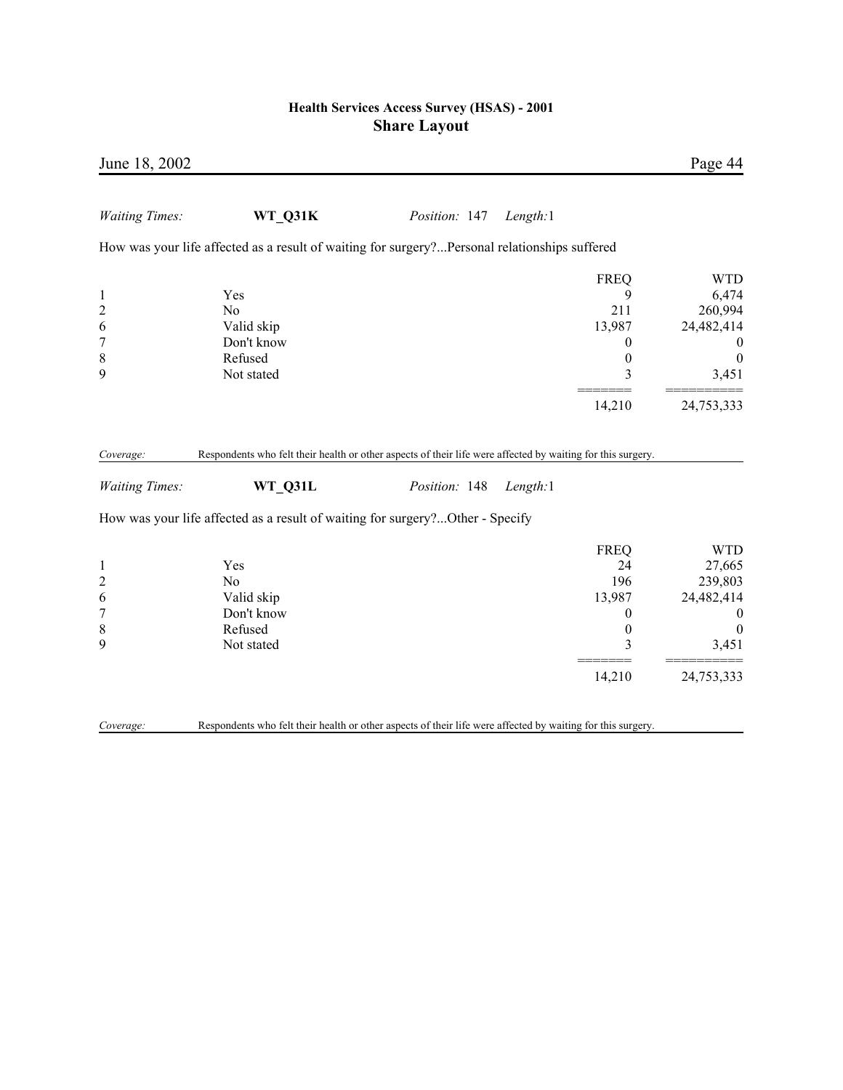| June 18, 2002                                                                 |                                                                                                                        |               |                                                                  | Page 44                                                                                        |
|-------------------------------------------------------------------------------|------------------------------------------------------------------------------------------------------------------------|---------------|------------------------------------------------------------------|------------------------------------------------------------------------------------------------|
| <b>Waiting Times:</b>                                                         | WT_Q31K                                                                                                                | Position: 147 | Length:1                                                         |                                                                                                |
|                                                                               | How was your life affected as a result of waiting for surgery?Personal relationships suffered                          |               |                                                                  |                                                                                                |
| $\mathbf{1}$<br>$\overline{\mathbf{c}}$<br>6<br>$\overline{7}$<br>$\,$ 8 $\,$ | Yes<br>N <sub>0</sub><br>Valid skip<br>Don't know<br>Refused                                                           |               | <b>FREQ</b><br>9<br>211<br>13,987<br>0<br>$\boldsymbol{0}$       | <b>WTD</b><br>6,474<br>260,994<br>24,482,414<br>$\theta$<br>$\boldsymbol{0}$                   |
| 9                                                                             | Not stated                                                                                                             |               | 3                                                                | 3,451                                                                                          |
|                                                                               |                                                                                                                        |               | 14,210                                                           | 24,753,333                                                                                     |
| Coverage:<br><b>Waiting Times:</b>                                            | Respondents who felt their health or other aspects of their life were affected by waiting for this surgery.<br>WT Q31L | Position: 148 | Length:1                                                         |                                                                                                |
|                                                                               | How was your life affected as a result of waiting for surgery?Other - Specify                                          |               |                                                                  |                                                                                                |
| $\mathbf{1}$<br>$\overline{c}$<br>6<br>$\sqrt{ }$<br>$\,$ 8 $\,$<br>9         | Yes<br>No<br>Valid skip<br>Don't know<br>Refused<br>Not stated                                                         |               | <b>FREQ</b><br>24<br>196<br>13,987<br>0<br>$\boldsymbol{0}$<br>3 | <b>WTD</b><br>27,665<br>239,803<br>24,482,414<br>$\boldsymbol{0}$<br>$\boldsymbol{0}$<br>3,451 |
|                                                                               |                                                                                                                        |               | 14,210                                                           | 24,753,333                                                                                     |
| Coverage:                                                                     | Respondents who felt their health or other aspects of their life were affected by waiting for this surgery.            |               |                                                                  |                                                                                                |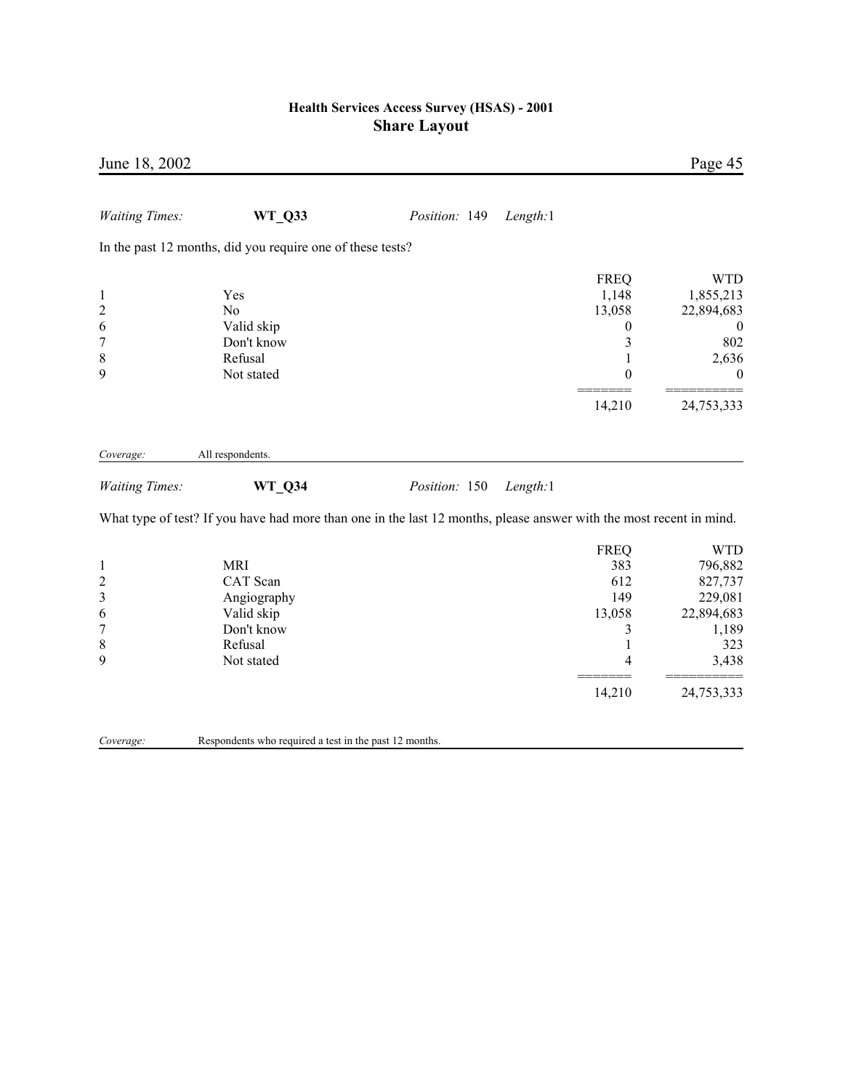| June 18, 2002                                                    |                                                                                                                     |               |          |                                                                      | Page 45                                                                            |
|------------------------------------------------------------------|---------------------------------------------------------------------------------------------------------------------|---------------|----------|----------------------------------------------------------------------|------------------------------------------------------------------------------------|
| <b>Waiting Times:</b>                                            | WT_Q33                                                                                                              | Position: 149 | Length:1 |                                                                      |                                                                                    |
|                                                                  | In the past 12 months, did you require one of these tests?                                                          |               |          |                                                                      |                                                                                    |
| $\mathbf{1}$<br>$\overline{c}$<br>6<br>$\overline{7}$<br>8       | Yes<br>No<br>Valid skip<br>Don't know<br>Refusal                                                                    |               |          | <b>FREQ</b><br>1,148<br>13,058<br>0<br>3<br>$\mathbf{1}$             | <b>WTD</b><br>1,855,213<br>22,894,683<br>$\boldsymbol{0}$<br>802<br>2,636          |
| 9                                                                | Not stated                                                                                                          |               |          | $\boldsymbol{0}$                                                     | $\theta$                                                                           |
|                                                                  |                                                                                                                     |               |          | 14,210                                                               | 24,753,333                                                                         |
| Coverage:                                                        | All respondents.                                                                                                    |               |          |                                                                      |                                                                                    |
| <b>Waiting Times:</b>                                            | WT_Q34                                                                                                              | Position: 150 | Length:1 |                                                                      |                                                                                    |
|                                                                  | What type of test? If you have had more than one in the last 12 months, please answer with the most recent in mind. |               |          |                                                                      |                                                                                    |
| $\mathbf{1}$<br>$\overline{\mathbf{c}}$<br>3<br>6<br>7<br>8<br>9 | <b>MRI</b><br>CAT Scan<br>Angiography<br>Valid skip<br>Don't know<br>Refusal<br>Not stated                          |               |          | <b>FREQ</b><br>383<br>612<br>149<br>13,058<br>3<br>$\mathbf{1}$<br>4 | <b>WTD</b><br>796,882<br>827,737<br>229,081<br>22,894,683<br>1,189<br>323<br>3,438 |
|                                                                  |                                                                                                                     |               |          | 14,210                                                               | 24,753,333                                                                         |
| Coverage:                                                        | Respondents who required a test in the past 12 months.                                                              |               |          |                                                                      |                                                                                    |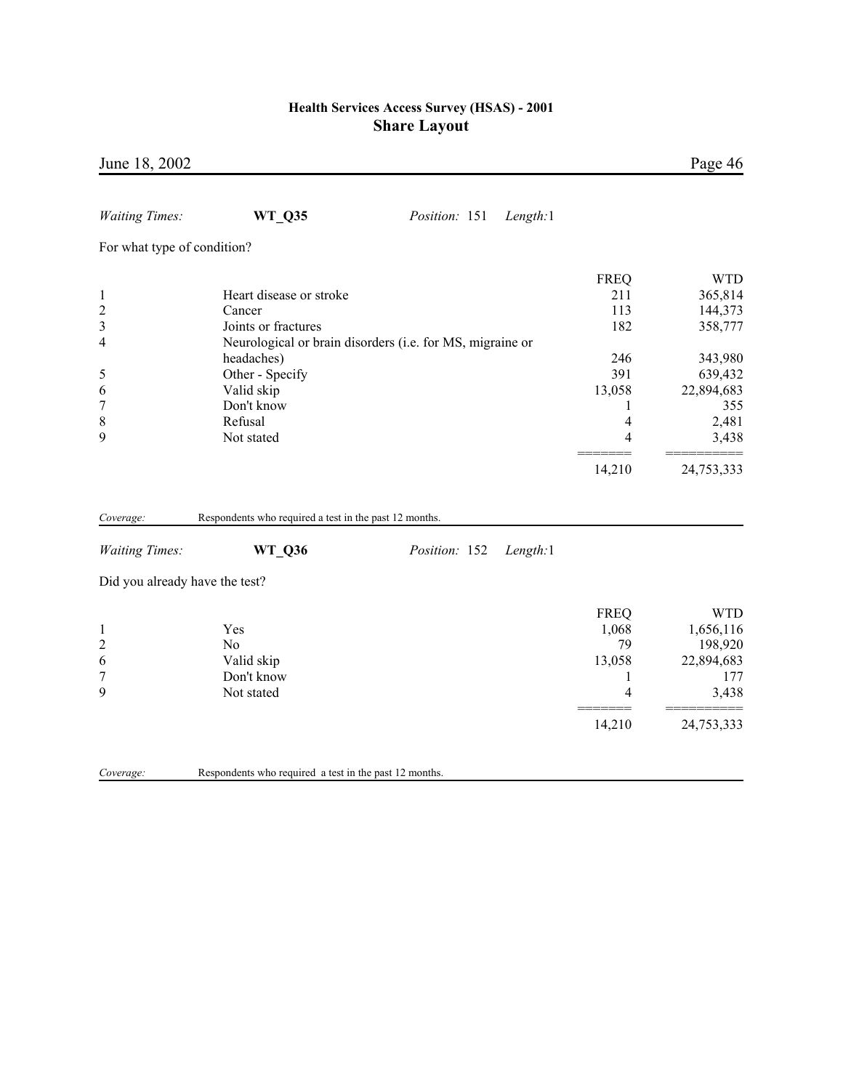| June 18, 2002                  |                                                           |               |          |             | Page 46            |
|--------------------------------|-----------------------------------------------------------|---------------|----------|-------------|--------------------|
| <b>Waiting Times:</b>          | <b>WT_Q35</b>                                             | Position: 151 | Length:1 |             |                    |
| For what type of condition?    |                                                           |               |          |             |                    |
|                                |                                                           |               |          |             |                    |
|                                |                                                           |               |          | <b>FREQ</b> | <b>WTD</b>         |
| $\mathbf{1}$                   | Heart disease or stroke<br>Cancer                         |               |          | 211<br>113  | 365,814            |
| $\overline{c}$<br>3            | Joints or fractures                                       |               |          | 182         | 144,373<br>358,777 |
| 4                              | Neurological or brain disorders (i.e. for MS, migraine or |               |          |             |                    |
|                                | headaches)                                                |               |          | 246         | 343,980            |
| 5                              | Other - Specify                                           |               |          | 391         | 639,432            |
| 6                              | Valid skip                                                |               |          | 13,058      | 22,894,683         |
| 7                              | Don't know                                                |               |          | 1           | 355                |
| 8                              | Refusal                                                   |               |          | 4           | 2,481              |
| 9                              | Not stated                                                |               |          | 4           | 3,438              |
|                                |                                                           |               |          | 14,210      | 24,753,333         |
| Coverage:                      | Respondents who required a test in the past 12 months.    |               |          |             |                    |
| <b>Waiting Times:</b>          | WT_Q36                                                    | Position: 152 | Length:1 |             |                    |
| Did you already have the test? |                                                           |               |          |             |                    |
|                                |                                                           |               |          | <b>FREQ</b> | <b>WTD</b>         |
| $\mathbf{1}$                   | Yes                                                       |               |          | 1,068       | 1,656,116          |
| $\overline{c}$                 | N <sub>o</sub>                                            |               |          | 79          | 198,920            |
| 6                              | Valid skip                                                |               |          | 13,058      | 22,894,683         |
| $\overline{7}$                 | Don't know                                                |               |          | 1           | 177                |
| 9                              | Not stated                                                |               |          | 4           | 3,438              |
|                                |                                                           |               |          | 14,210      | 24,753,333         |
| Coverage:                      | Respondents who required a test in the past 12 months.    |               |          |             |                    |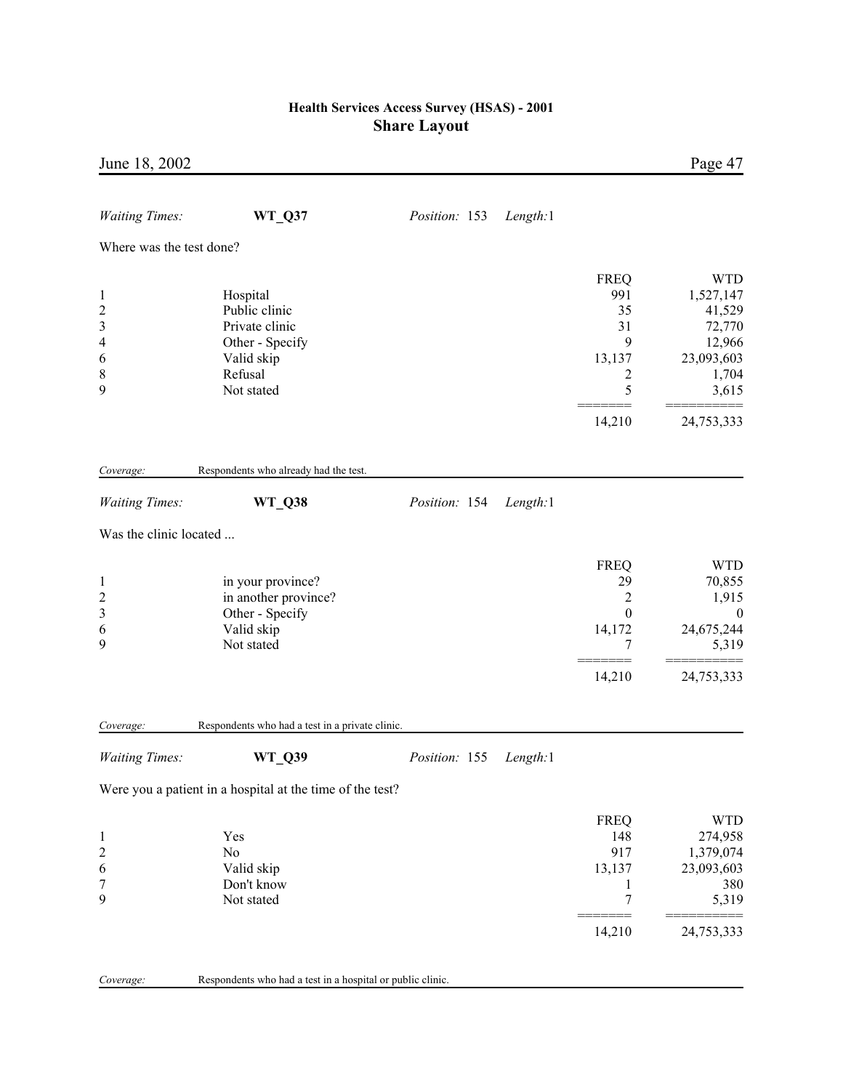| June 18, 2002                                                                 |                                                                                                       |               |          |                                                                         | Page 47                                                                               |
|-------------------------------------------------------------------------------|-------------------------------------------------------------------------------------------------------|---------------|----------|-------------------------------------------------------------------------|---------------------------------------------------------------------------------------|
| <b>Waiting Times:</b>                                                         | <b>WT_Q37</b>                                                                                         | Position: 153 | Length:1 |                                                                         |                                                                                       |
| Where was the test done?                                                      |                                                                                                       |               |          |                                                                         |                                                                                       |
| $\mathbf{1}$<br>$\overline{\mathbf{c}}$<br>3<br>$\overline{4}$<br>6<br>8<br>9 | Hospital<br>Public clinic<br>Private clinic<br>Other - Specify<br>Valid skip<br>Refusal<br>Not stated |               |          | <b>FREQ</b><br>991<br>35<br>31<br>9<br>13,137<br>2<br>5                 | <b>WTD</b><br>1,527,147<br>41,529<br>72,770<br>12,966<br>23,093,603<br>1,704<br>3,615 |
|                                                                               |                                                                                                       |               |          | 14,210                                                                  | 24,753,333                                                                            |
| Coverage:                                                                     | Respondents who already had the test.                                                                 |               |          |                                                                         |                                                                                       |
| <b>Waiting Times:</b>                                                         | <b>WT_Q38</b>                                                                                         | Position: 154 | Length:1 |                                                                         |                                                                                       |
| Was the clinic located                                                        |                                                                                                       |               |          |                                                                         |                                                                                       |
| $\mathbf{1}$<br>$\overline{\mathbf{c}}$<br>3<br>6<br>9                        | in your province?<br>in another province?<br>Other - Specify<br>Valid skip<br>Not stated              |               |          | <b>FREQ</b><br>29<br>$\overline{c}$<br>$\boldsymbol{0}$<br>14,172<br>7  | <b>WTD</b><br>70,855<br>1,915<br>$\boldsymbol{0}$<br>24,675,244<br>5,319              |
|                                                                               |                                                                                                       |               |          | 14,210                                                                  | 24,753,333                                                                            |
| Coverage:                                                                     | Respondents who had a test in a private clinic.                                                       |               |          |                                                                         |                                                                                       |
| <b>Waiting Times:</b>                                                         | <b>WT_Q39</b>                                                                                         | Position: 155 | Length:1 |                                                                         |                                                                                       |
|                                                                               | Were you a patient in a hospital at the time of the test?                                             |               |          |                                                                         |                                                                                       |
| $\mathbf{1}$<br>$\overline{c}$<br>6<br>7<br>9                                 | Yes<br>No<br>Valid skip<br>Don't know<br>Not stated                                                   |               |          | <b>FREQ</b><br>148<br>917<br>13,137<br>$\mathbf{1}$<br>$\boldsymbol{7}$ | <b>WTD</b><br>274,958<br>1,379,074<br>23,093,603<br>380<br>5,319                      |
|                                                                               |                                                                                                       |               |          | 14,210                                                                  | 24,753,333                                                                            |
| Coverage:                                                                     | Respondents who had a test in a hospital or public clinic.                                            |               |          |                                                                         |                                                                                       |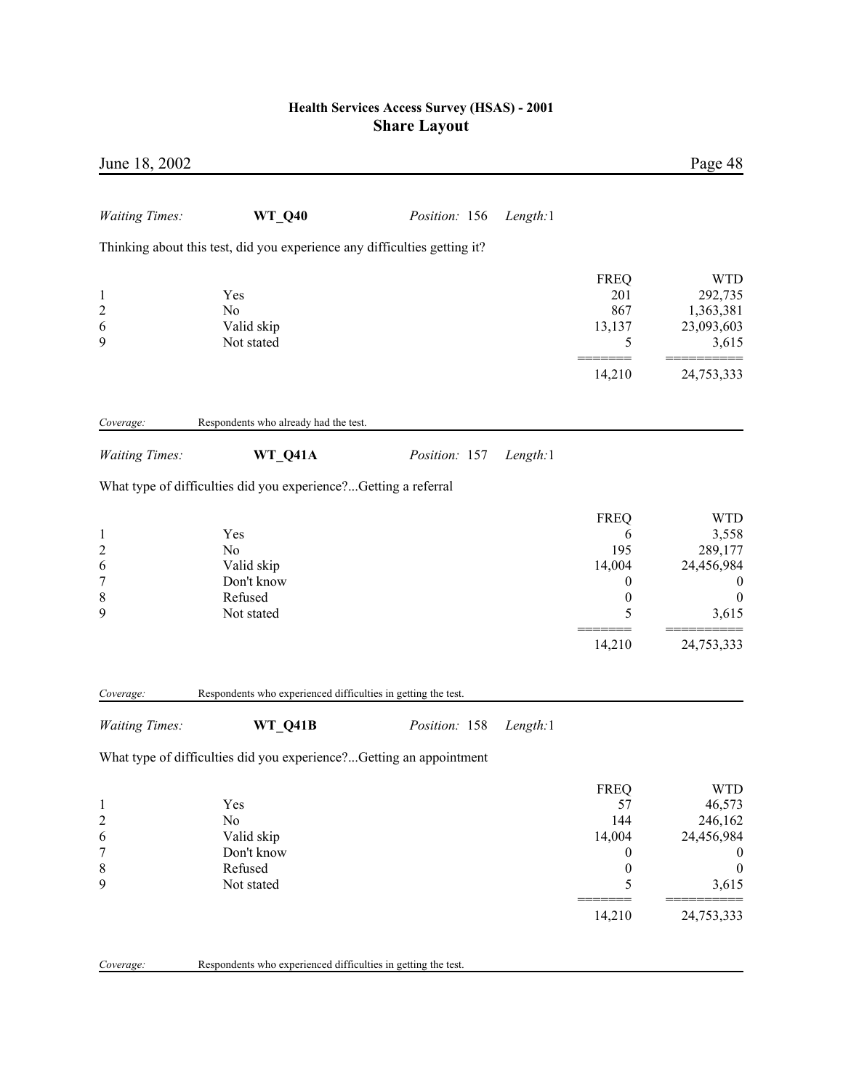| June 18, 2002                                               |                                                                           |               |          |                                                                                          | Page 48                                                                                                      |
|-------------------------------------------------------------|---------------------------------------------------------------------------|---------------|----------|------------------------------------------------------------------------------------------|--------------------------------------------------------------------------------------------------------------|
| <b>Waiting Times:</b>                                       | <b>WT_Q40</b>                                                             | Position: 156 | Length:1 |                                                                                          |                                                                                                              |
|                                                             | Thinking about this test, did you experience any difficulties getting it? |               |          |                                                                                          |                                                                                                              |
| $\mathbf{1}$<br>$\overline{c}$<br>6<br>9                    | Yes<br>No<br>Valid skip<br>Not stated                                     |               |          | <b>FREQ</b><br>201<br>867<br>13,137<br>5                                                 | <b>WTD</b><br>292,735<br>1,363,381<br>23,093,603<br>3,615                                                    |
|                                                             |                                                                           |               |          | 14,210                                                                                   | 24,753,333                                                                                                   |
| Coverage:                                                   | Respondents who already had the test.                                     |               |          |                                                                                          |                                                                                                              |
| <b>Waiting Times:</b>                                       | WT_Q41A                                                                   | Position: 157 | Length:1 |                                                                                          |                                                                                                              |
|                                                             | What type of difficulties did you experience?Getting a referral           |               |          |                                                                                          |                                                                                                              |
| $\mathbf{1}$<br>$\overline{\mathbf{c}}$<br>6<br>7<br>8<br>9 | Yes<br>No<br>Valid skip<br>Don't know<br>Refused<br>Not stated            |               |          | <b>FREQ</b><br>6<br>195<br>14,004<br>$\boldsymbol{0}$<br>$\boldsymbol{0}$<br>5<br>14,210 | <b>WTD</b><br>3,558<br>289,177<br>24,456,984<br>$\boldsymbol{0}$<br>$\boldsymbol{0}$<br>3,615<br>24,753,333  |
| Coverage:                                                   | Respondents who experienced difficulties in getting the test.             |               |          |                                                                                          |                                                                                                              |
| <b>Waiting Times:</b>                                       | <b>WT Q41B</b>                                                            | Position: 158 | Length:1 |                                                                                          |                                                                                                              |
|                                                             | What type of difficulties did you experience?Getting an appointment       |               |          |                                                                                          |                                                                                                              |
| $\mathbf{1}$<br>$\overline{\mathbf{c}}$<br>6<br>7<br>8<br>9 | Yes<br>No<br>Valid skip<br>Don't know<br>Refused<br>Not stated            |               |          | <b>FREQ</b><br>57<br>144<br>14,004<br>0<br>$\boldsymbol{0}$<br>5<br>14,210               | <b>WTD</b><br>46,573<br>246,162<br>24,456,984<br>$\boldsymbol{0}$<br>$\boldsymbol{0}$<br>3,615<br>24,753,333 |
| Coverage:                                                   | Respondents who experienced difficulties in getting the test.             |               |          |                                                                                          |                                                                                                              |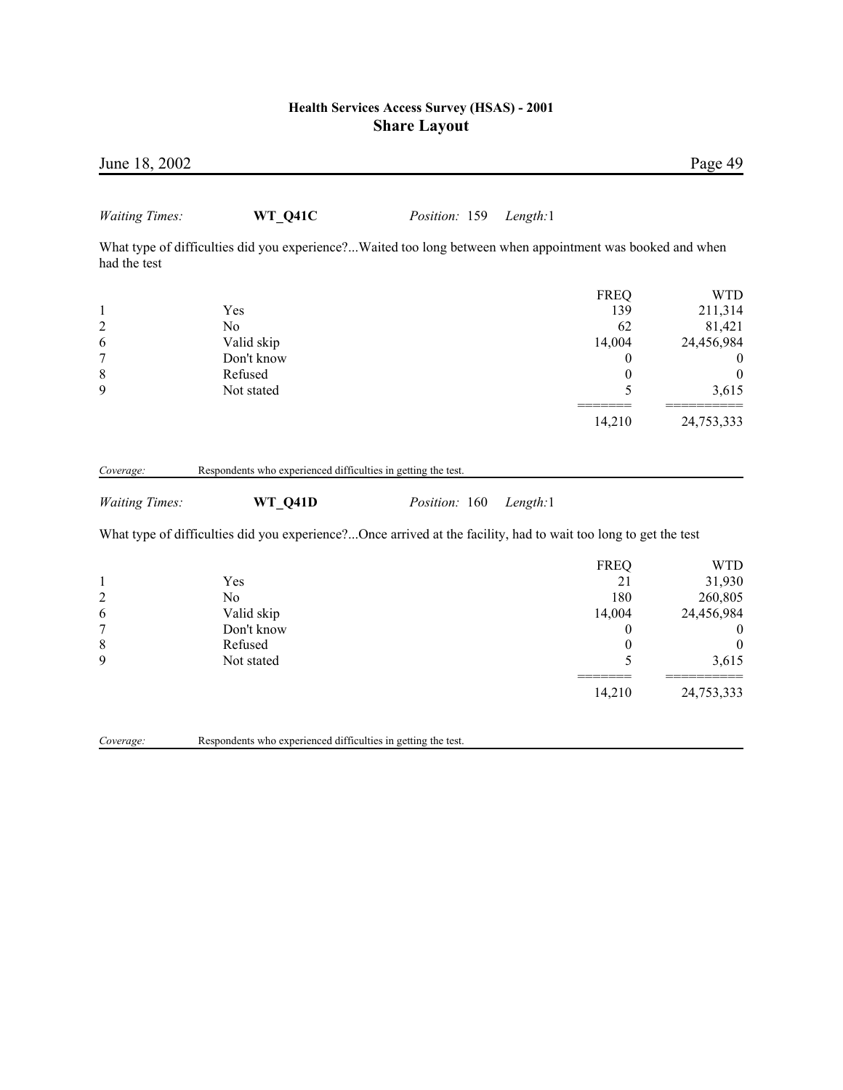| June 18, 2002           |                                                                                                                 |               |          |                  | Page 49          |
|-------------------------|-----------------------------------------------------------------------------------------------------------------|---------------|----------|------------------|------------------|
| <b>Waiting Times:</b>   | WT_Q41C                                                                                                         | Position: 159 | Length:1 |                  |                  |
| had the test            | What type of difficulties did you experience?Waited too long between when appointment was booked and when       |               |          |                  |                  |
|                         |                                                                                                                 |               |          | <b>FREQ</b>      | <b>WTD</b>       |
| 1                       | Yes                                                                                                             |               |          | 139              | 211,314          |
| $\overline{\mathbf{c}}$ | N <sub>0</sub>                                                                                                  |               |          | 62               | 81,421           |
| 6                       | Valid skip                                                                                                      |               |          | 14,004           | 24,456,984       |
| $\overline{7}$          | Don't know                                                                                                      |               |          | $\mathbf{0}$     | $\cup$           |
| 8                       | Refused                                                                                                         |               |          | 0                | $\boldsymbol{0}$ |
| 9                       | Not stated                                                                                                      |               |          | 5                | 3,615            |
|                         |                                                                                                                 |               |          | 14,210           | 24,753,333       |
| Coverage:               | Respondents who experienced difficulties in getting the test.                                                   |               |          |                  |                  |
| <b>Waiting Times:</b>   | WT Q41D                                                                                                         | Position: 160 | Length:1 |                  |                  |
|                         | What type of difficulties did you experience?Once arrived at the facility, had to wait too long to get the test |               |          |                  |                  |
|                         |                                                                                                                 |               |          | <b>FREQ</b>      | <b>WTD</b>       |
| $\mathbf{l}$            | Yes                                                                                                             |               |          | 21               | 31,930           |
| $\overline{\mathbf{c}}$ | N <sub>0</sub>                                                                                                  |               |          | 180              | 260,805          |
| 6                       | Valid skip                                                                                                      |               |          | 14,004           | 24,456,984       |
| 7                       | Don't know                                                                                                      |               |          | $\boldsymbol{0}$ | 0                |
| 8                       | Refused                                                                                                         |               |          | $\boldsymbol{0}$ | $\Omega$         |
| 9                       | Not stated                                                                                                      |               |          | 5                | 3,615            |
|                         |                                                                                                                 |               |          | 14,210           | 24,753,333       |
|                         |                                                                                                                 |               |          |                  |                  |

*Coverage:* Respondents who experienced difficulties in getting the test.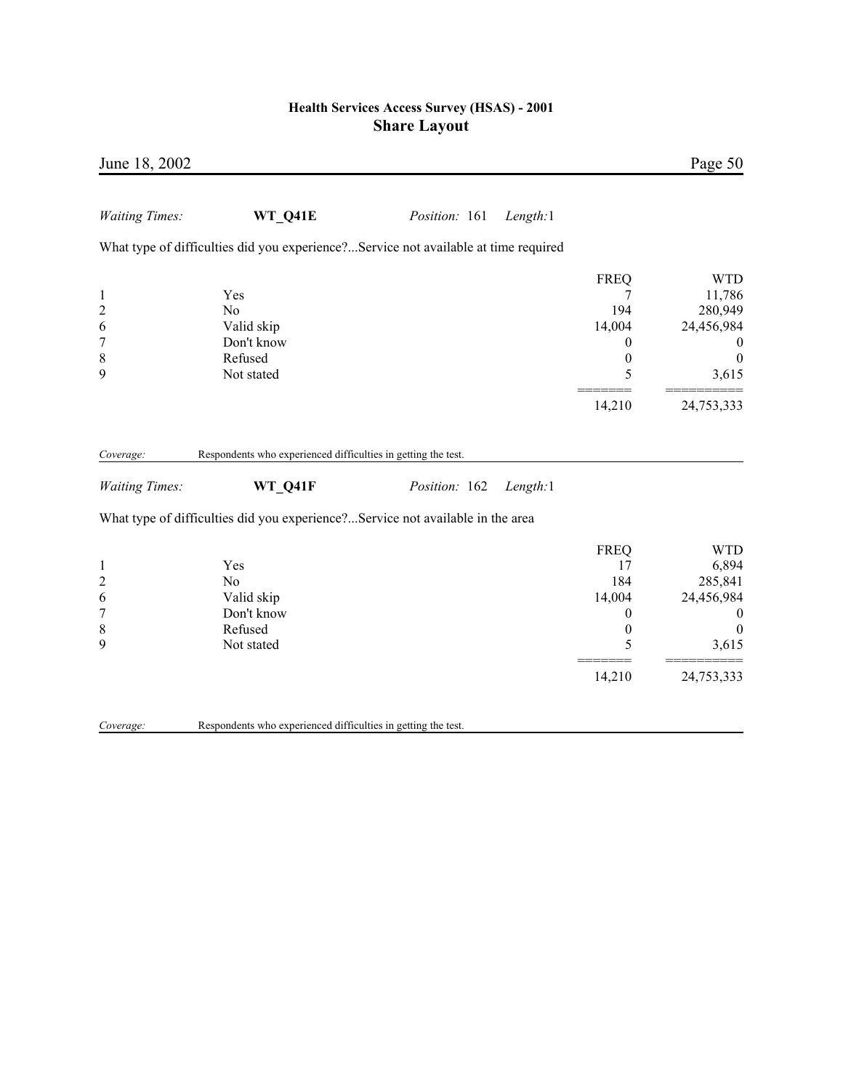| June 18, 2002                                                     |                                                                                                                                                            |               |          |                                                                                 | Page 50                                                                        |
|-------------------------------------------------------------------|------------------------------------------------------------------------------------------------------------------------------------------------------------|---------------|----------|---------------------------------------------------------------------------------|--------------------------------------------------------------------------------|
| <b>Waiting Times:</b>                                             | WT_Q41E                                                                                                                                                    | Position: 161 | Length:1 |                                                                                 |                                                                                |
|                                                                   | What type of difficulties did you experience?Service not available at time required                                                                        |               |          |                                                                                 |                                                                                |
| $\mathbf{1}$<br>$\overline{c}$<br>6<br>$\boldsymbol{7}$<br>8<br>9 | Yes<br>N <sub>o</sub><br>Valid skip<br>Don't know<br>Refused<br>Not stated                                                                                 |               |          | <b>FREQ</b><br>7<br>194<br>14,004<br>$\boldsymbol{0}$<br>$\boldsymbol{0}$<br>5  | <b>WTD</b><br>11,786<br>280,949<br>24,456,984<br>$\theta$<br>$\Omega$<br>3,615 |
|                                                                   |                                                                                                                                                            |               |          | 14,210                                                                          | 24,753,333                                                                     |
| Coverage:<br><b>Waiting Times:</b>                                | Respondents who experienced difficulties in getting the test.<br>WT_Q41F<br>What type of difficulties did you experience?Service not available in the area | Position: 162 | Length:1 |                                                                                 |                                                                                |
|                                                                   |                                                                                                                                                            |               |          |                                                                                 |                                                                                |
| $\mathbf{1}$<br>$\overline{c}$<br>6<br>$\overline{7}$<br>8<br>9   | Yes<br>No<br>Valid skip<br>Don't know<br>Refused<br>Not stated                                                                                             |               |          | <b>FREQ</b><br>17<br>184<br>14,004<br>$\boldsymbol{0}$<br>$\boldsymbol{0}$<br>5 | <b>WTD</b><br>6,894<br>285,841<br>24,456,984<br>0<br>$\theta$<br>3,615         |
|                                                                   |                                                                                                                                                            |               |          | 14,210                                                                          | 24,753,333                                                                     |
| Coverage:                                                         | Respondents who experienced difficulties in getting the test.                                                                                              |               |          |                                                                                 |                                                                                |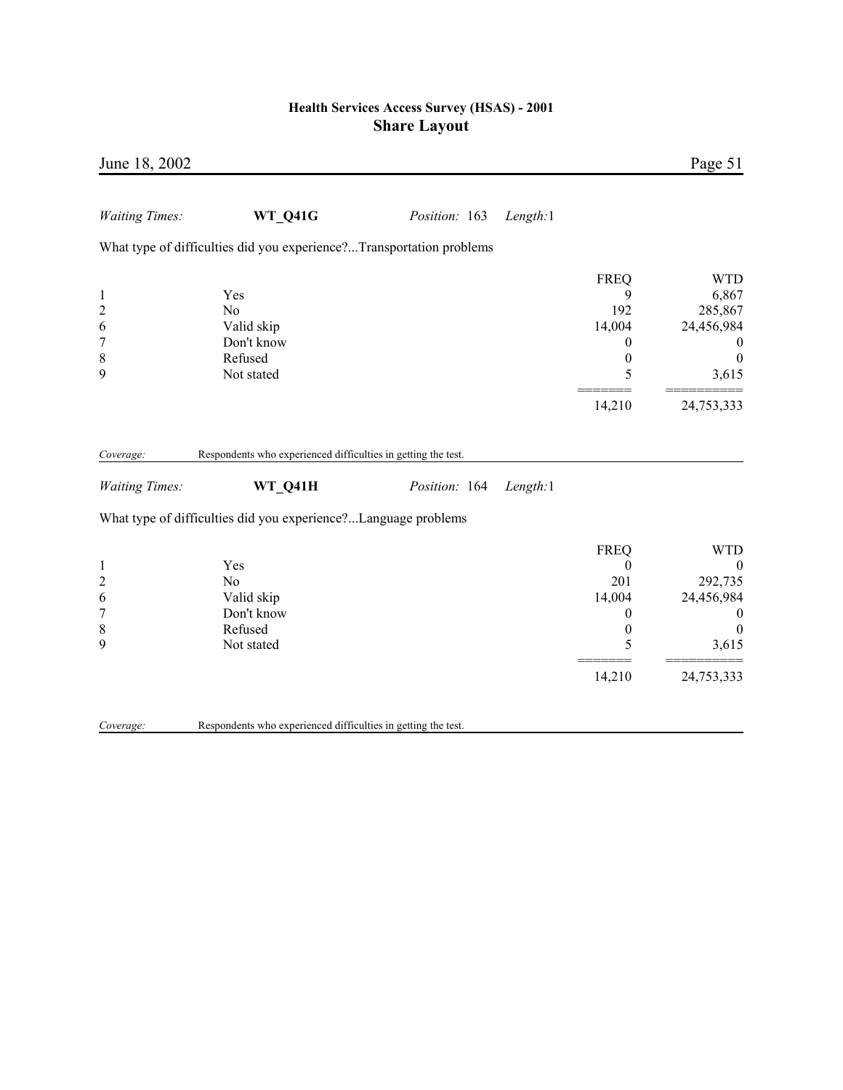| June 18, 2002                                                             |                                                                            |               |          |                                                                                          | Page 51                                                                                                 |
|---------------------------------------------------------------------------|----------------------------------------------------------------------------|---------------|----------|------------------------------------------------------------------------------------------|---------------------------------------------------------------------------------------------------------|
| <b>Waiting Times:</b>                                                     | <b>WT_Q41G</b>                                                             | Position: 163 | Length:1 |                                                                                          |                                                                                                         |
|                                                                           | What type of difficulties did you experience?Transportation problems       |               |          |                                                                                          |                                                                                                         |
| $\mathbf{1}$<br>$\overline{c}$<br>6<br>$\overline{7}$<br>$\,$ $\,$<br>9   | Yes<br>No<br>Valid skip<br>Don't know<br>Refused<br>Not stated             |               |          | <b>FREQ</b><br>9<br>192<br>14,004<br>0<br>$\boldsymbol{0}$<br>5<br>14,210                | <b>WTD</b><br>6,867<br>285,867<br>24,456,984<br>$\overline{0}$<br>$\overline{0}$<br>3,615<br>24,753,333 |
| Coverage:                                                                 | Respondents who experienced difficulties in getting the test.              |               |          |                                                                                          |                                                                                                         |
| <b>Waiting Times:</b>                                                     | WT_Q41H                                                                    | Position: 164 | Length:1 |                                                                                          |                                                                                                         |
|                                                                           | What type of difficulties did you experience?Language problems             |               |          |                                                                                          |                                                                                                         |
| $\mathbf{1}$<br>$\overline{c}$<br>6<br>$\overline{7}$<br>$\,$ 8 $\,$<br>9 | Yes<br>N <sub>0</sub><br>Valid skip<br>Don't know<br>Refused<br>Not stated |               |          | <b>FREQ</b><br>$\boldsymbol{0}$<br>201<br>14,004<br>0<br>$\boldsymbol{0}$<br>5<br>14,210 | <b>WTD</b><br>$\boldsymbol{0}$<br>292,735<br>24,456,984<br>$\theta$<br>$\theta$<br>3,615<br>24,753,333  |
| Coverage:                                                                 | Respondents who experienced difficulties in getting the test.              |               |          |                                                                                          |                                                                                                         |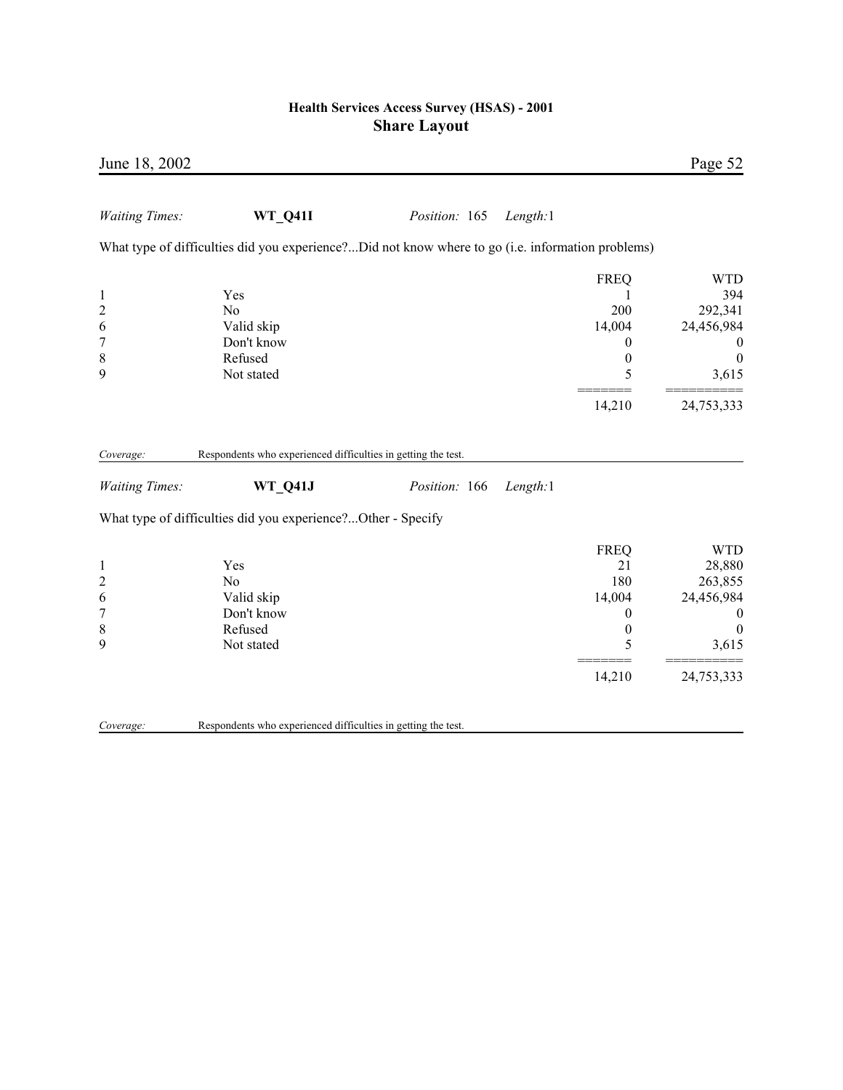| June 18, 2002                                                               |                                                                                                   |               |          |                                                                            | Page 52                                                                                                      |
|-----------------------------------------------------------------------------|---------------------------------------------------------------------------------------------------|---------------|----------|----------------------------------------------------------------------------|--------------------------------------------------------------------------------------------------------------|
| <b>Waiting Times:</b>                                                       | <b>WT Q41I</b>                                                                                    | Position: 165 | Length:1 |                                                                            |                                                                                                              |
|                                                                             | What type of difficulties did you experience?Did not know where to go (i.e. information problems) |               |          |                                                                            |                                                                                                              |
| $\mathbf{1}$<br>$\overline{c}$<br>6<br>$\boldsymbol{7}$<br>$\,$ 8 $\,$<br>9 | Yes<br>N <sub>0</sub><br>Valid skip<br>Don't know<br>Refused<br>Not stated                        |               |          | <b>FREQ</b><br>200<br>14,004<br>0<br>$\boldsymbol{0}$<br>5                 | <b>WTD</b><br>394<br>292,341<br>24,456,984<br>$\bf{0}$<br>$\boldsymbol{0}$<br>3,615                          |
|                                                                             |                                                                                                   |               |          | 14,210                                                                     | 24,753,333                                                                                                   |
| Coverage:                                                                   | Respondents who experienced difficulties in getting the test.                                     |               |          |                                                                            |                                                                                                              |
| <b>Waiting Times:</b>                                                       | WT Q41J                                                                                           | Position: 166 | Length:1 |                                                                            |                                                                                                              |
|                                                                             | What type of difficulties did you experience?Other - Specify                                      |               |          |                                                                            |                                                                                                              |
| $\mathbf{1}$<br>$\overline{c}$<br>6<br>$\boldsymbol{7}$<br>8<br>9           | Yes<br>No<br>Valid skip<br>Don't know<br>Refused<br>Not stated                                    |               |          | <b>FREQ</b><br>21<br>180<br>14,004<br>0<br>$\boldsymbol{0}$<br>5<br>14,210 | <b>WTD</b><br>28,880<br>263,855<br>24,456,984<br>$\boldsymbol{0}$<br>$\boldsymbol{0}$<br>3,615<br>24,753,333 |
| Coverage:                                                                   | Respondents who experienced difficulties in getting the test.                                     |               |          |                                                                            |                                                                                                              |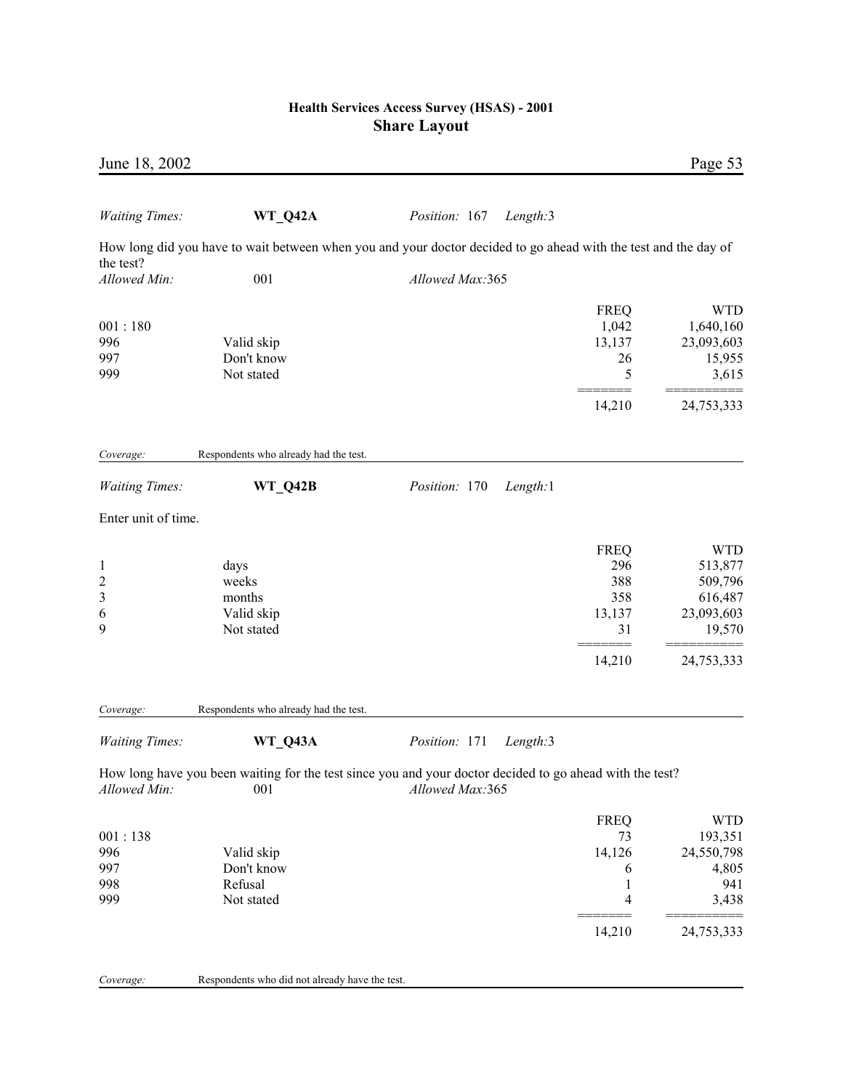| June 18, 2002                                 |                                                     |                                                                                                                             |                                                      | Page 53                                                                    |
|-----------------------------------------------|-----------------------------------------------------|-----------------------------------------------------------------------------------------------------------------------------|------------------------------------------------------|----------------------------------------------------------------------------|
| <b>Waiting Times:</b>                         | WT_Q42A                                             | Position: 167<br>Length:3                                                                                                   |                                                      |                                                                            |
|                                               |                                                     | How long did you have to wait between when you and your doctor decided to go ahead with the test and the day of             |                                                      |                                                                            |
| the test?<br>Allowed Min:                     | 001                                                 | Allowed Max:365                                                                                                             |                                                      |                                                                            |
| 001:180<br>996<br>997<br>999                  | Valid skip<br>Don't know<br>Not stated              |                                                                                                                             | <b>FREQ</b><br>1,042<br>13,137<br>26<br>5            | <b>WTD</b><br>1,640,160<br>23,093,603<br>15,955<br>3,615                   |
|                                               |                                                     |                                                                                                                             | 14,210                                               | 24,753,333                                                                 |
| Coverage:                                     | Respondents who already had the test.               |                                                                                                                             |                                                      |                                                                            |
| <b>Waiting Times:</b>                         | WT_Q42B                                             | Position: 170<br>Length:1                                                                                                   |                                                      |                                                                            |
| Enter unit of time.                           |                                                     |                                                                                                                             |                                                      |                                                                            |
| $\mathbf{1}$<br>$\overline{c}$<br>3<br>6<br>9 | days<br>weeks<br>months<br>Valid skip<br>Not stated |                                                                                                                             | <b>FREQ</b><br>296<br>388<br>358<br>13,137<br>31     | <b>WTD</b><br>513,877<br>509,796<br>616,487<br>23,093,603<br>19,570        |
|                                               |                                                     |                                                                                                                             | =====<br>14,210                                      | 24,753,333                                                                 |
| Coverage:                                     | Respondents who already had the test.               |                                                                                                                             |                                                      |                                                                            |
| <b>Waiting Times:</b>                         | WT Q43A                                             | Position: 171<br>Length:3                                                                                                   |                                                      |                                                                            |
| Allowed Min:                                  | 001                                                 | How long have you been waiting for the test since you and your doctor decided to go ahead with the test?<br>Allowed Max:365 |                                                      |                                                                            |
| 001:138<br>996<br>997<br>998<br>999           | Valid skip<br>Don't know<br>Refusal<br>Not stated   |                                                                                                                             | <b>FREQ</b><br>73<br>14,126<br>6<br>1<br>4<br>14,210 | <b>WTD</b><br>193,351<br>24,550,798<br>4,805<br>941<br>3,438<br>24,753,333 |

|  | Coverage: | Respondents who did not already have the test. |
|--|-----------|------------------------------------------------|
|--|-----------|------------------------------------------------|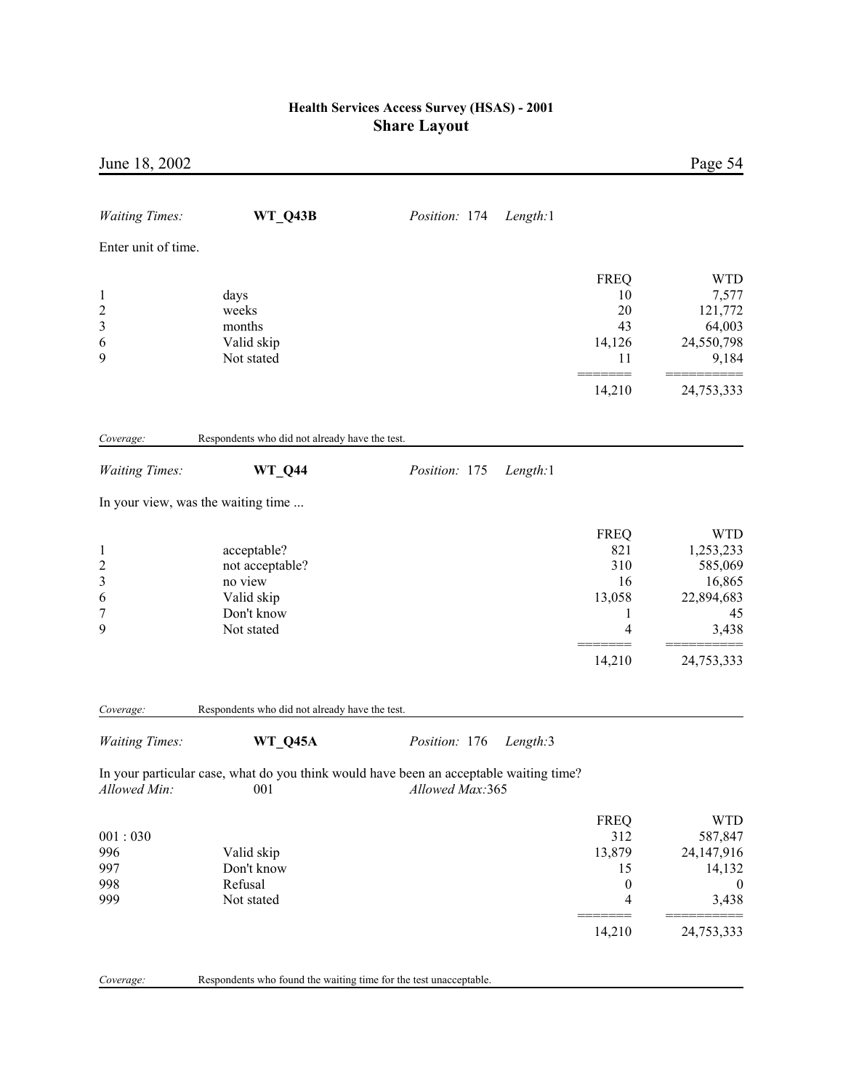| June 18, 2002                                               |                                                                                     |                                                                                                           |                                                             | Page 54                                                                    |
|-------------------------------------------------------------|-------------------------------------------------------------------------------------|-----------------------------------------------------------------------------------------------------------|-------------------------------------------------------------|----------------------------------------------------------------------------|
| <b>Waiting Times:</b>                                       | WT_Q43B                                                                             | Position: 174<br>Length:1                                                                                 |                                                             |                                                                            |
| Enter unit of time.                                         |                                                                                     |                                                                                                           |                                                             |                                                                            |
| $\mathbf{1}$<br>$\overline{c}$                              | days<br>weeks                                                                       |                                                                                                           | <b>FREQ</b><br>10<br>20                                     | <b>WTD</b><br>7,577<br>121,772                                             |
| 3<br>6<br>9                                                 | months<br>Valid skip<br>Not stated                                                  |                                                                                                           | 43<br>14,126<br>11                                          | 64,003<br>24,550,798<br>9,184                                              |
|                                                             |                                                                                     |                                                                                                           | 14,210                                                      | 24,753,333                                                                 |
| Coverage:                                                   | Respondents who did not already have the test.                                      |                                                                                                           |                                                             |                                                                            |
| <b>Waiting Times:</b>                                       | WT_Q44                                                                              | Length:1<br>Position: 175                                                                                 |                                                             |                                                                            |
|                                                             | In your view, was the waiting time                                                  |                                                                                                           |                                                             |                                                                            |
| $\mathbf{1}$<br>$\overline{\mathbf{c}}$<br>3<br>6<br>7<br>9 | acceptable?<br>not acceptable?<br>no view<br>Valid skip<br>Don't know<br>Not stated |                                                                                                           | <b>FREQ</b><br>821<br>310<br>16<br>13,058<br>1<br>4         | <b>WTD</b><br>1,253,233<br>585,069<br>16,865<br>22,894,683<br>45<br>3,438  |
|                                                             |                                                                                     |                                                                                                           | 14,210                                                      | 24,753,333                                                                 |
| Coverage:                                                   | Respondents who did not already have the test.                                      |                                                                                                           |                                                             |                                                                            |
| <b>Waiting Times:</b>                                       | WT_Q45A                                                                             | Position: 176<br>Length:3                                                                                 |                                                             |                                                                            |
| Allowed Min:                                                | 001                                                                                 | In your particular case, what do you think would have been an acceptable waiting time?<br>Allowed Max:365 |                                                             |                                                                            |
| 001:030<br>996<br>997<br>998<br>999                         | Valid skip<br>Don't know<br>Refusal<br>Not stated                                   |                                                                                                           | <b>FREQ</b><br>312<br>13,879<br>15<br>$\boldsymbol{0}$<br>4 | <b>WTD</b><br>587,847<br>24,147,916<br>14,132<br>$\boldsymbol{0}$<br>3,438 |
|                                                             |                                                                                     |                                                                                                           | 14,210                                                      | 24,753,333                                                                 |
| Coverage:                                                   | Respondents who found the waiting time for the test unacceptable.                   |                                                                                                           |                                                             |                                                                            |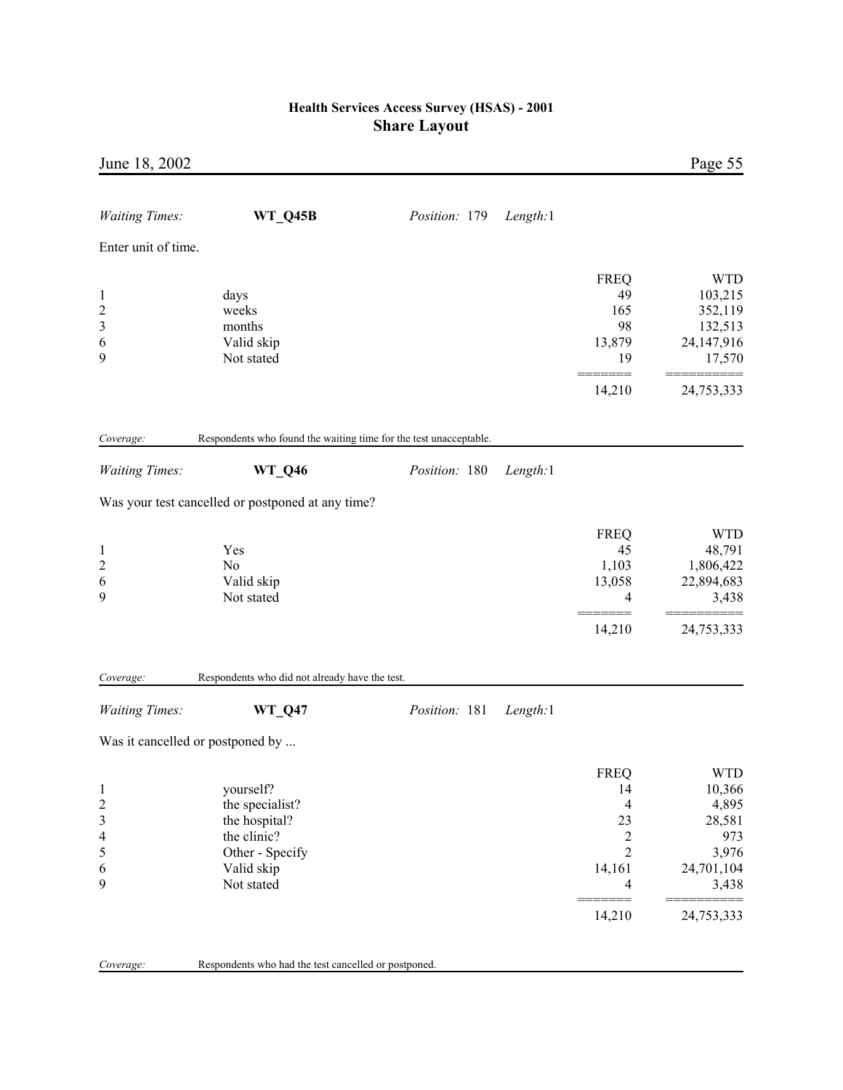| June 18, 2002                                                                  |                                                                                                             |               |          |                                                                                 | Page 55                                                                        |
|--------------------------------------------------------------------------------|-------------------------------------------------------------------------------------------------------------|---------------|----------|---------------------------------------------------------------------------------|--------------------------------------------------------------------------------|
| <b>Waiting Times:</b>                                                          | WT_Q45B                                                                                                     | Position: 179 | Length:1 |                                                                                 |                                                                                |
| Enter unit of time.                                                            |                                                                                                             |               |          |                                                                                 |                                                                                |
| $\mathbf{1}$<br>$\overline{c}$<br>3<br>6<br>9                                  | days<br>weeks<br>months<br>Valid skip<br>Not stated                                                         |               |          | <b>FREQ</b><br>49<br>165<br>98<br>13,879<br>19                                  | <b>WTD</b><br>103,215<br>352,119<br>132,513<br>24,147,916<br>17,570            |
|                                                                                |                                                                                                             |               |          | 14,210                                                                          | 24,753,333                                                                     |
| Coverage:                                                                      | Respondents who found the waiting time for the test unacceptable.                                           |               |          |                                                                                 |                                                                                |
| <b>Waiting Times:</b>                                                          | <b>WT_Q46</b>                                                                                               | Position: 180 | Length:1 |                                                                                 |                                                                                |
|                                                                                | Was your test cancelled or postponed at any time?                                                           |               |          |                                                                                 |                                                                                |
| $\mathbf{1}$<br>$\overline{c}$<br>6<br>9                                       | Yes<br>No<br>Valid skip<br>Not stated                                                                       |               |          | <b>FREQ</b><br>45<br>1,103<br>13,058<br>4                                       | <b>WTD</b><br>48,791<br>1,806,422<br>22,894,683<br>3,438                       |
|                                                                                |                                                                                                             |               |          | $=$<br>14,210                                                                   | 24,753,333                                                                     |
| Coverage:                                                                      | Respondents who did not already have the test.                                                              |               |          |                                                                                 |                                                                                |
| <b>Waiting Times:</b>                                                          | <b>WT_Q47</b>                                                                                               | Position: 181 | Length:1 |                                                                                 |                                                                                |
|                                                                                | Was it cancelled or postponed by                                                                            |               |          |                                                                                 |                                                                                |
| $\mathbf{1}$<br>$\overline{c}$<br>3<br>$\overline{\mathcal{L}}$<br>5<br>6<br>9 | yourself?<br>the specialist?<br>the hospital?<br>the clinic?<br>Other - Specify<br>Valid skip<br>Not stated |               |          | <b>FREQ</b><br>14<br>4<br>23<br>$\overline{c}$<br>$\overline{c}$<br>14,161<br>4 | <b>WTD</b><br>10,366<br>4,895<br>28,581<br>973<br>3,976<br>24,701,104<br>3,438 |
|                                                                                |                                                                                                             |               |          | 14,210                                                                          | 24,753,333                                                                     |
| Coverage:                                                                      | Respondents who had the test cancelled or postponed.                                                        |               |          |                                                                                 |                                                                                |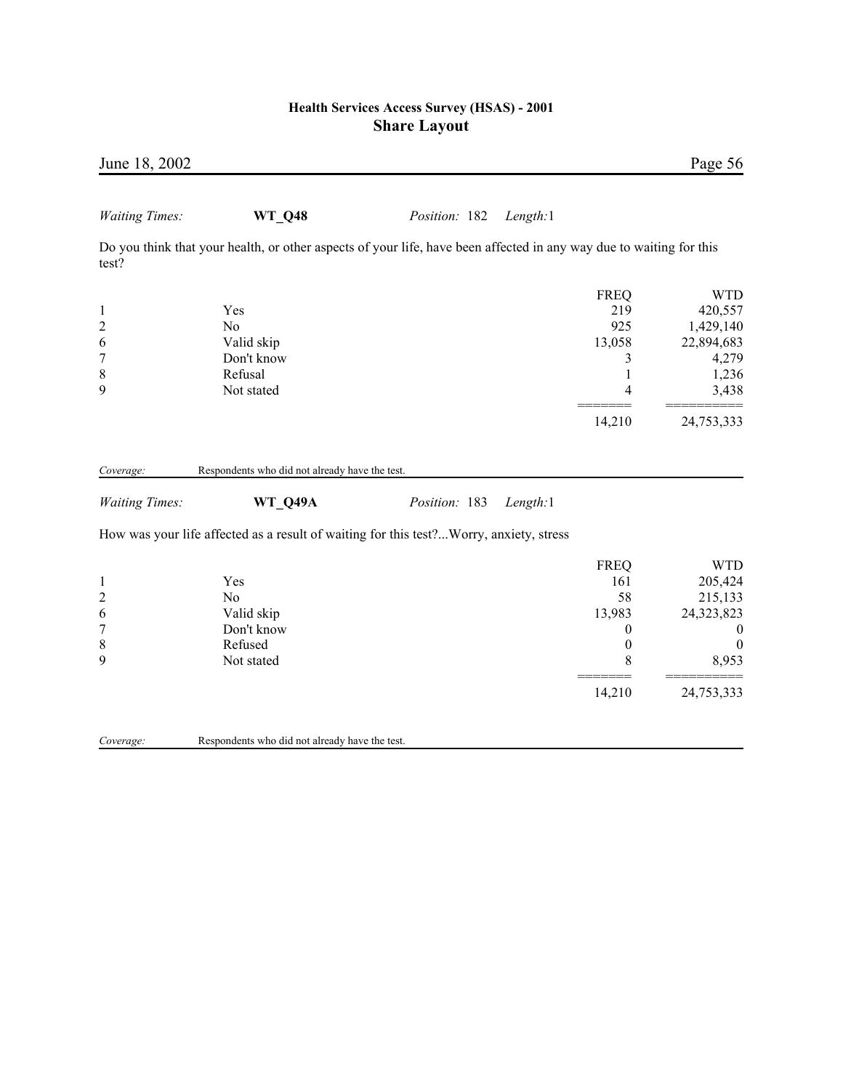| June 18, 2002                                                         |                                                                                                                     |               |          |                                                                                           | Page 56                                                                                               |
|-----------------------------------------------------------------------|---------------------------------------------------------------------------------------------------------------------|---------------|----------|-------------------------------------------------------------------------------------------|-------------------------------------------------------------------------------------------------------|
| <b>Waiting Times:</b>                                                 | <b>WT_Q48</b>                                                                                                       | Position: 182 | Length:1 |                                                                                           |                                                                                                       |
| test?                                                                 | Do you think that your health, or other aspects of your life, have been affected in any way due to waiting for this |               |          |                                                                                           |                                                                                                       |
| $\mathbf{1}$<br>$\overline{c}$<br>6<br>$\tau$                         | Yes<br>N <sub>o</sub><br>Valid skip<br>Don't know<br>Refusal                                                        |               |          | <b>FREQ</b><br>219<br>925<br>13,058<br>3<br>$\mathbf{1}$                                  | <b>WTD</b><br>420,557<br>1,429,140<br>22,894,683<br>4,279                                             |
| $\,$ $\,$<br>9                                                        | Not stated                                                                                                          |               |          | $\overline{4}$<br>14,210                                                                  | 1,236<br>3,438<br>24,753,333                                                                          |
| Coverage:<br><b>Waiting Times:</b>                                    | Respondents who did not already have the test.<br>WT_Q49A                                                           | Position: 183 | Length:1 |                                                                                           |                                                                                                       |
|                                                                       | How was your life affected as a result of waiting for this test?Worry, anxiety, stress                              |               |          |                                                                                           |                                                                                                       |
| $\mathbf{1}$<br>$\overline{c}$<br>6<br>$\overline{7}$<br>$\,8\,$<br>9 | Yes<br>N <sub>o</sub><br>Valid skip<br>Don't know<br>Refused<br>Not stated                                          |               |          | <b>FREQ</b><br>161<br>58<br>13,983<br>$\boldsymbol{0}$<br>$\boldsymbol{0}$<br>8<br>14,210 | <b>WTD</b><br>205,424<br>215,133<br>24,323,823<br>$\boldsymbol{0}$<br>$\theta$<br>8,953<br>24,753,333 |
| Coverage:                                                             | Respondents who did not already have the test.                                                                      |               |          |                                                                                           |                                                                                                       |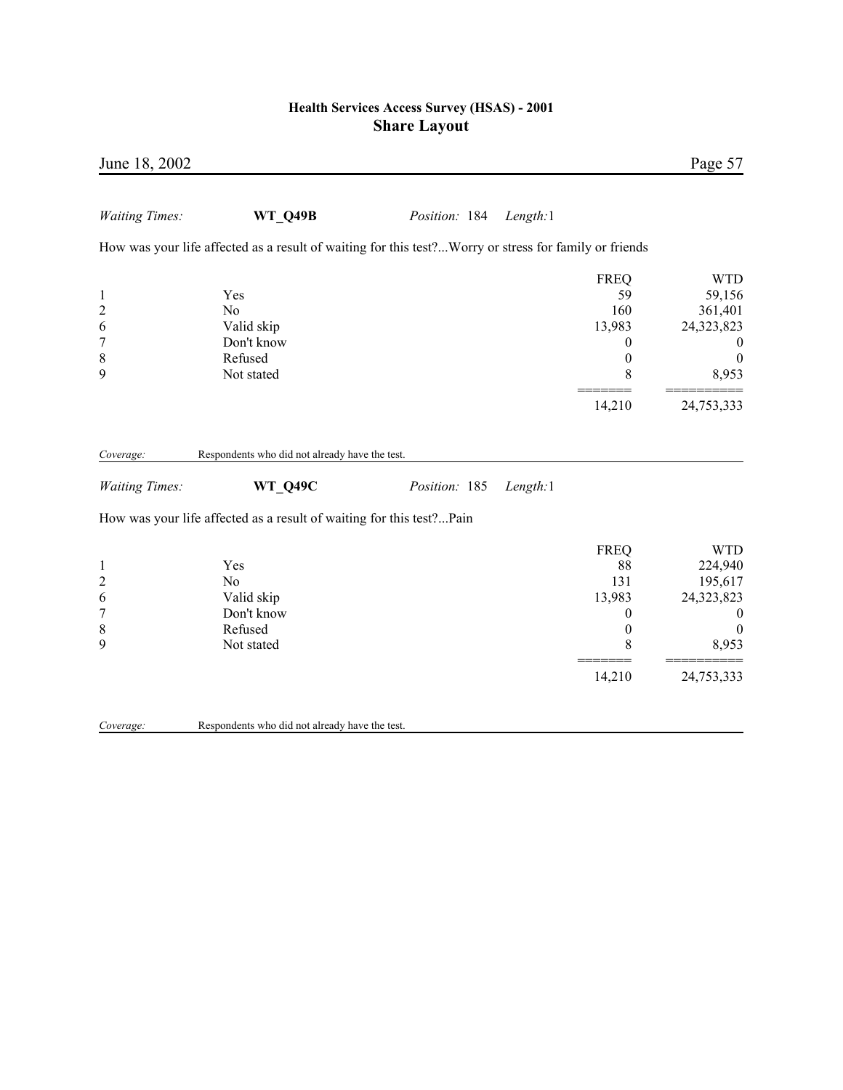| June 18, 2002                                                     |                                                                                                        |               |          |                                                                                           | Page 57                                                                                                       |
|-------------------------------------------------------------------|--------------------------------------------------------------------------------------------------------|---------------|----------|-------------------------------------------------------------------------------------------|---------------------------------------------------------------------------------------------------------------|
| <b>Waiting Times:</b>                                             | <b>WT Q49B</b>                                                                                         | Position: 184 | Length:1 |                                                                                           |                                                                                                               |
|                                                                   | How was your life affected as a result of waiting for this test? Worry or stress for family or friends |               |          |                                                                                           |                                                                                                               |
| $\mathbf{1}$<br>$\overline{\mathbf{c}}$<br>6<br>$\overline{7}$    | Yes<br>N <sub>0</sub><br>Valid skip<br>Don't know                                                      |               |          | <b>FREQ</b><br>59<br>160<br>13,983<br>$\boldsymbol{0}$                                    | <b>WTD</b><br>59,156<br>361,401<br>24,323,823<br>$\boldsymbol{0}$                                             |
| $\,$ $\,$<br>9                                                    | Refused<br>Not stated                                                                                  |               |          | $\boldsymbol{0}$<br>8                                                                     | $\boldsymbol{0}$<br>8,953                                                                                     |
|                                                                   |                                                                                                        |               |          | 14,210                                                                                    | 24,753,333                                                                                                    |
| Coverage:                                                         | Respondents who did not already have the test.                                                         |               |          |                                                                                           |                                                                                                               |
| <b>Waiting Times:</b>                                             | <b>WT Q49C</b>                                                                                         | Position: 185 | Length:1 |                                                                                           |                                                                                                               |
|                                                                   | How was your life affected as a result of waiting for this test?Pain                                   |               |          |                                                                                           |                                                                                                               |
| $\mathbf{1}$<br>$\overline{2}$<br>6<br>$\boldsymbol{7}$<br>8<br>9 | Yes<br>N <sub>o</sub><br>Valid skip<br>Don't know<br>Refused<br>Not stated                             |               |          | <b>FREQ</b><br>88<br>131<br>13,983<br>$\boldsymbol{0}$<br>$\boldsymbol{0}$<br>8<br>14,210 | <b>WTD</b><br>224,940<br>195,617<br>24,323,823<br>$\boldsymbol{0}$<br>$\boldsymbol{0}$<br>8,953<br>24,753,333 |
| Coverage:                                                         | Respondents who did not already have the test.                                                         |               |          |                                                                                           |                                                                                                               |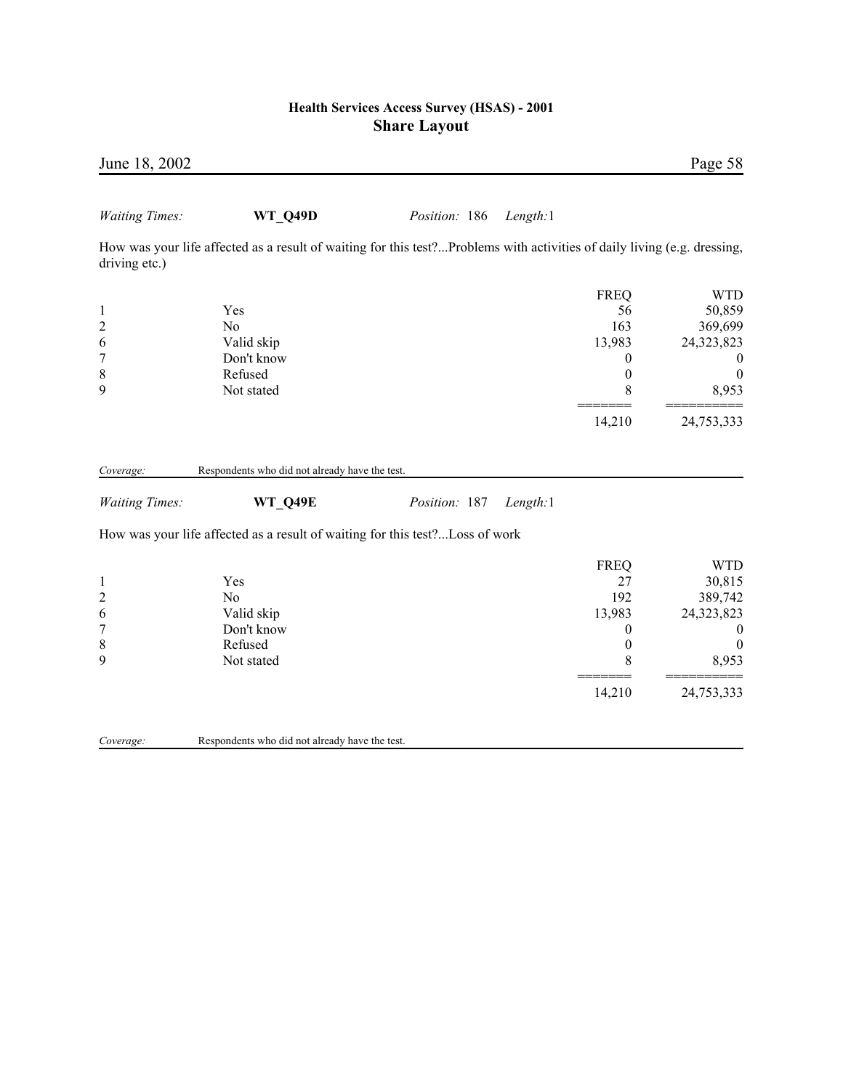| June 18, 2002                                                           |                                                                                                                          |               |                                                                                           | Page 58                                                                                                      |
|-------------------------------------------------------------------------|--------------------------------------------------------------------------------------------------------------------------|---------------|-------------------------------------------------------------------------------------------|--------------------------------------------------------------------------------------------------------------|
| <b>Waiting Times:</b>                                                   | <b>WT Q49D</b>                                                                                                           | Position: 186 | Length:1                                                                                  |                                                                                                              |
| driving etc.)                                                           | How was your life affected as a result of waiting for this test?Problems with activities of daily living (e.g. dressing, |               |                                                                                           |                                                                                                              |
| $\mathbf{1}$<br>$\overline{2}$<br>6<br>$\overline{7}$<br>$\,$ $\,$<br>9 | Yes<br>N <sub>o</sub><br>Valid skip<br>Don't know<br>Refused<br>Not stated                                               |               | <b>FREQ</b><br>56<br>163<br>13,983<br>0<br>$\boldsymbol{0}$<br>8                          | <b>WTD</b><br>50,859<br>369,699<br>24,323,823<br>$\boldsymbol{0}$<br>$\boldsymbol{0}$<br>8,953               |
|                                                                         |                                                                                                                          |               | 14,210                                                                                    | 24,753,333                                                                                                   |
| Coverage:                                                               | Respondents who did not already have the test.                                                                           |               |                                                                                           |                                                                                                              |
| <b>Waiting Times:</b>                                                   | <b>WT Q49E</b><br>How was your life affected as a result of waiting for this test?Loss of work                           | Position: 187 | Length:1                                                                                  |                                                                                                              |
| $\mathbf{1}$<br>$\boldsymbol{2}$<br>6<br>$\boldsymbol{7}$<br>8<br>9     | Yes<br>N <sub>o</sub><br>Valid skip<br>Don't know<br>Refused<br>Not stated                                               |               | <b>FREQ</b><br>27<br>192<br>13,983<br>$\boldsymbol{0}$<br>$\boldsymbol{0}$<br>8<br>14,210 | <b>WTD</b><br>30,815<br>389,742<br>24,323,823<br>$\boldsymbol{0}$<br>$\boldsymbol{0}$<br>8,953<br>24,753,333 |
| Coverage:                                                               | Respondents who did not already have the test.                                                                           |               |                                                                                           |                                                                                                              |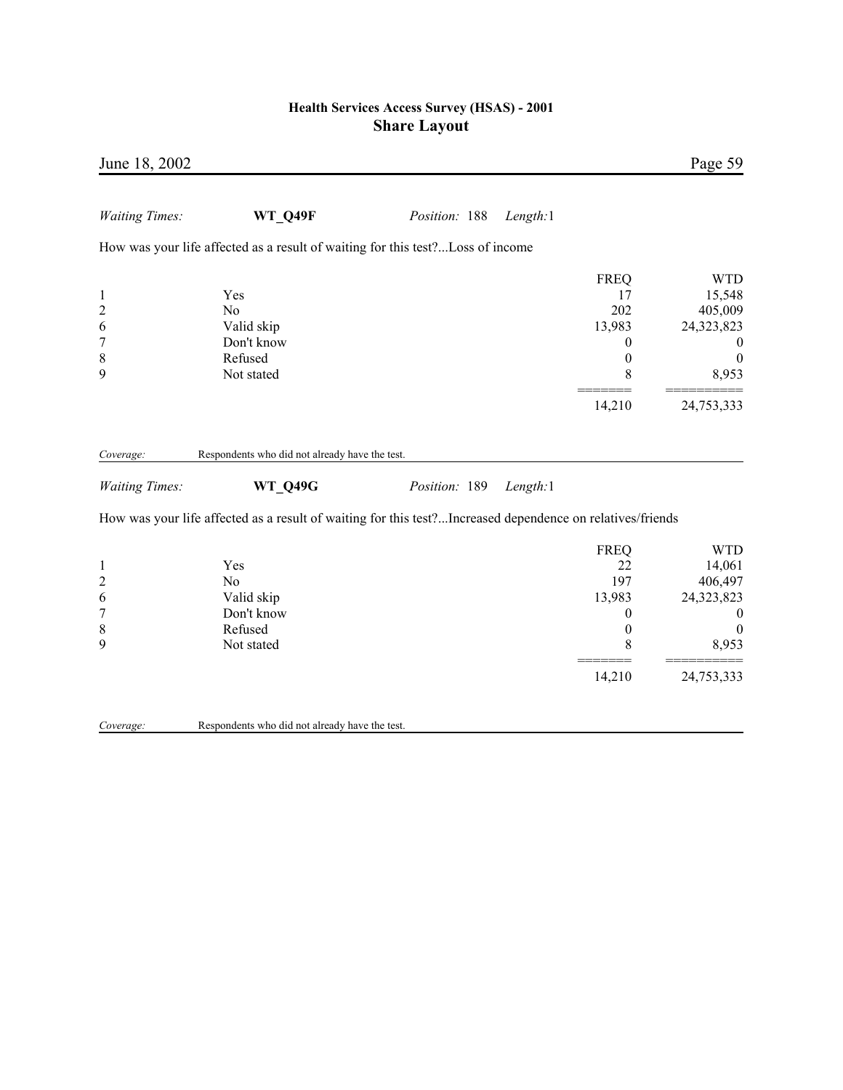| June 18, 2002                                                             |                                                                                                                             |               |          |                                                                  | Page 59                                                                                        |
|---------------------------------------------------------------------------|-----------------------------------------------------------------------------------------------------------------------------|---------------|----------|------------------------------------------------------------------|------------------------------------------------------------------------------------------------|
| <b>Waiting Times:</b>                                                     | <b>WT Q49F</b>                                                                                                              | Position: 188 | Length:1 |                                                                  |                                                                                                |
|                                                                           | How was your life affected as a result of waiting for this test?Loss of income                                              |               |          |                                                                  |                                                                                                |
| $\mathbf{1}$<br>$\overline{c}$<br>6<br>$\overline{7}$<br>$\,$ 8 $\,$<br>9 | Yes<br>N <sub>0</sub><br>Valid skip<br>Don't know<br>Refused<br>Not stated                                                  |               |          | <b>FREQ</b><br>17<br>202<br>13,983<br>0<br>$\boldsymbol{0}$<br>8 | <b>WTD</b><br>15,548<br>405,009<br>24,323,823<br>$\boldsymbol{0}$<br>$\theta$<br>8,953         |
|                                                                           |                                                                                                                             |               |          | 14,210                                                           | 24,753,333                                                                                     |
| Coverage:                                                                 | Respondents who did not already have the test.                                                                              |               |          |                                                                  |                                                                                                |
| <b>Waiting Times:</b>                                                     | <b>WT_Q49G</b><br>How was your life affected as a result of waiting for this test?Increased dependence on relatives/friends | Position: 189 | Length:1 |                                                                  |                                                                                                |
| $\mathbf{1}$<br>$\overline{c}$<br>6<br>$\overline{7}$<br>8<br>9           | Yes<br>N <sub>0</sub><br>Valid skip<br>Don't know<br>Refused<br>Not stated                                                  |               |          | <b>FREQ</b><br>22<br>197<br>13,983<br>0<br>$\overline{0}$<br>8   | <b>WTD</b><br>14,061<br>406,497<br>24,323,823<br>$\boldsymbol{0}$<br>$\boldsymbol{0}$<br>8,953 |
|                                                                           |                                                                                                                             |               |          | 14,210                                                           | 24,753,333                                                                                     |
| Coverage:                                                                 | Respondents who did not already have the test.                                                                              |               |          |                                                                  |                                                                                                |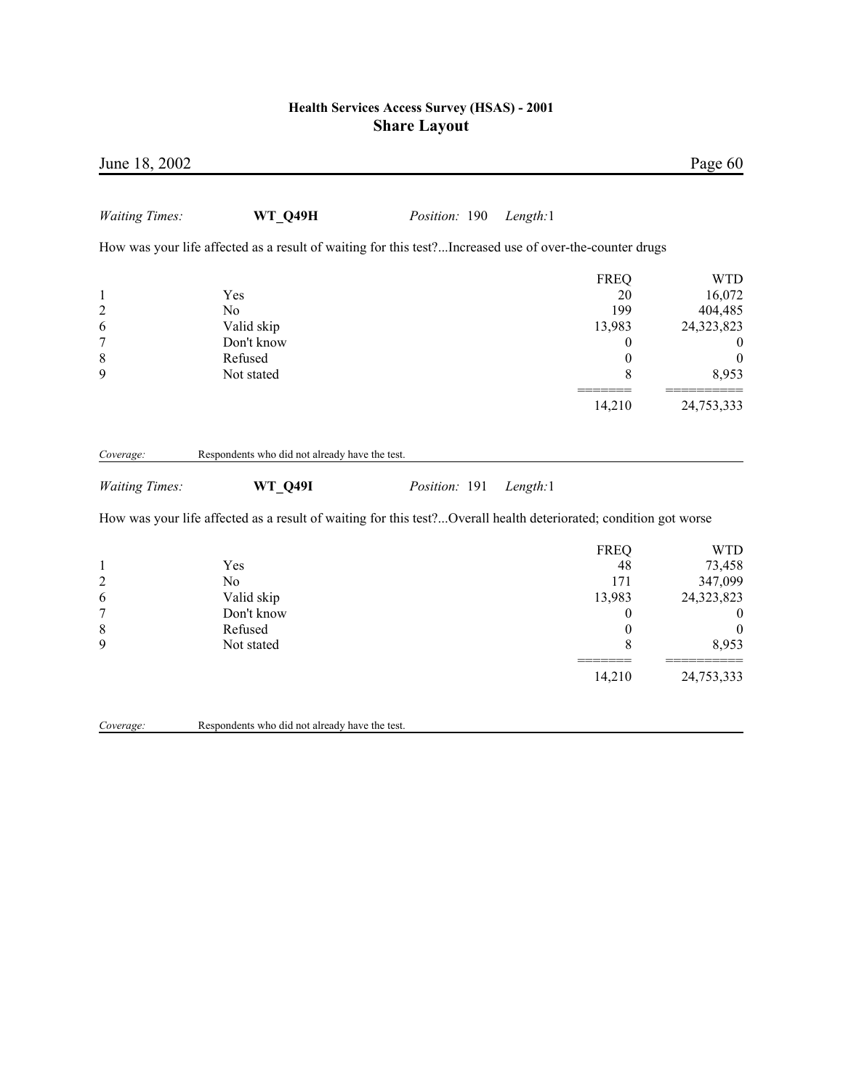| June 18, 2002                                                |                                                                                                                  |               |          |                                                                                 | Page 60                                                                                      |
|--------------------------------------------------------------|------------------------------------------------------------------------------------------------------------------|---------------|----------|---------------------------------------------------------------------------------|----------------------------------------------------------------------------------------------|
| <b>Waiting Times:</b>                                        | <b>WT Q49H</b>                                                                                                   | Position: 190 | Length:1 |                                                                                 |                                                                                              |
|                                                              | How was your life affected as a result of waiting for this test?Increased use of over-the-counter drugs          |               |          |                                                                                 |                                                                                              |
| $\mathbf{1}$<br>$\overline{c}$<br>6<br>7<br>$\,$ 8 $\,$<br>9 | Yes<br>N <sub>0</sub><br>Valid skip<br>Don't know<br>Refused<br>Not stated                                       |               |          | <b>FREQ</b><br>20<br>199<br>13,983<br>0<br>$\boldsymbol{0}$<br>8                | <b>WTD</b><br>16,072<br>404,485<br>24,323,823<br>$\boldsymbol{0}$<br>$\overline{0}$<br>8,953 |
|                                                              |                                                                                                                  |               |          | 14,210                                                                          | 24,753,333                                                                                   |
| Coverage:<br><b>Waiting Times:</b>                           | Respondents who did not already have the test.<br><b>WT_Q49I</b>                                                 | Position: 191 | Length:1 |                                                                                 |                                                                                              |
|                                                              | How was your life affected as a result of waiting for this test?Overall health deteriorated; condition got worse |               |          |                                                                                 |                                                                                              |
| $\mathbf{1}$<br>$\overline{\mathbf{c}}$<br>6<br>7<br>8<br>9  | Yes<br>N <sub>0</sub><br>Valid skip<br>Don't know<br>Refused<br>Not stated                                       |               |          | <b>FREQ</b><br>48<br>171<br>13,983<br>$\boldsymbol{0}$<br>$\boldsymbol{0}$<br>8 | <b>WTD</b><br>73,458<br>347,099<br>24,323,823<br>$\boldsymbol{0}$<br>$\overline{0}$<br>8,953 |
|                                                              |                                                                                                                  |               |          | 14,210                                                                          | 24,753,333                                                                                   |
| Coverage:                                                    | Respondents who did not already have the test.                                                                   |               |          |                                                                                 |                                                                                              |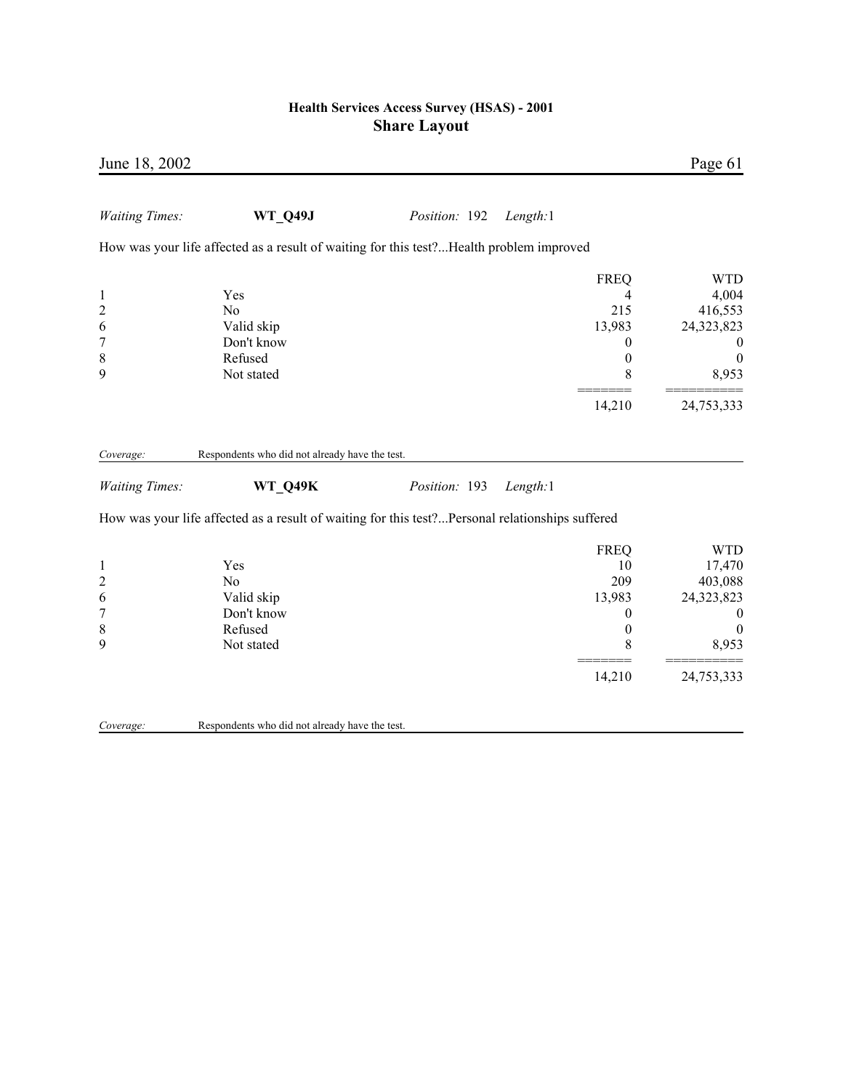| June 18, 2002                                               |                                                                                                                   |               |          |                                                                                 | Page 61                                                                                       |
|-------------------------------------------------------------|-------------------------------------------------------------------------------------------------------------------|---------------|----------|---------------------------------------------------------------------------------|-----------------------------------------------------------------------------------------------|
| <b>Waiting Times:</b>                                       | <b>WT Q49J</b>                                                                                                    | Position: 192 | Length:1 |                                                                                 |                                                                                               |
|                                                             | How was your life affected as a result of waiting for this test?Health problem improved                           |               |          |                                                                                 |                                                                                               |
| $\mathbf{1}$<br>$\overline{c}$<br>6<br>7<br>8<br>9          | Yes<br>N <sub>o</sub><br>Valid skip<br>Don't know<br>Refused<br>Not stated                                        |               |          | <b>FREQ</b><br>4<br>215<br>13,983<br>$\boldsymbol{0}$<br>$\boldsymbol{0}$<br>8  | <b>WTD</b><br>4,004<br>416,553<br>24,323,823<br>$\boldsymbol{0}$<br>$\boldsymbol{0}$<br>8,953 |
|                                                             |                                                                                                                   |               |          | 14,210                                                                          | 24,753,333                                                                                    |
| Coverage:                                                   | Respondents who did not already have the test.                                                                    |               |          |                                                                                 |                                                                                               |
| <b>Waiting Times:</b>                                       | <b>WT_Q49K</b><br>How was your life affected as a result of waiting for this test?Personal relationships suffered | Position: 193 | Length:1 |                                                                                 |                                                                                               |
| $\mathbf{1}$<br>$\overline{\mathbf{c}}$<br>6<br>7<br>8<br>9 | Yes<br>No<br>Valid skip<br>Don't know<br>Refused<br>Not stated                                                    |               |          | <b>FREQ</b><br>10<br>209<br>13,983<br>$\boldsymbol{0}$<br>$\boldsymbol{0}$<br>8 | <b>WTD</b><br>17,470<br>403,088<br>24,323,823<br>$\boldsymbol{0}$<br>$\overline{0}$<br>8,953  |
|                                                             |                                                                                                                   |               |          | 14,210                                                                          | 24,753,333                                                                                    |
| Coverage:                                                   | Respondents who did not already have the test.                                                                    |               |          |                                                                                 |                                                                                               |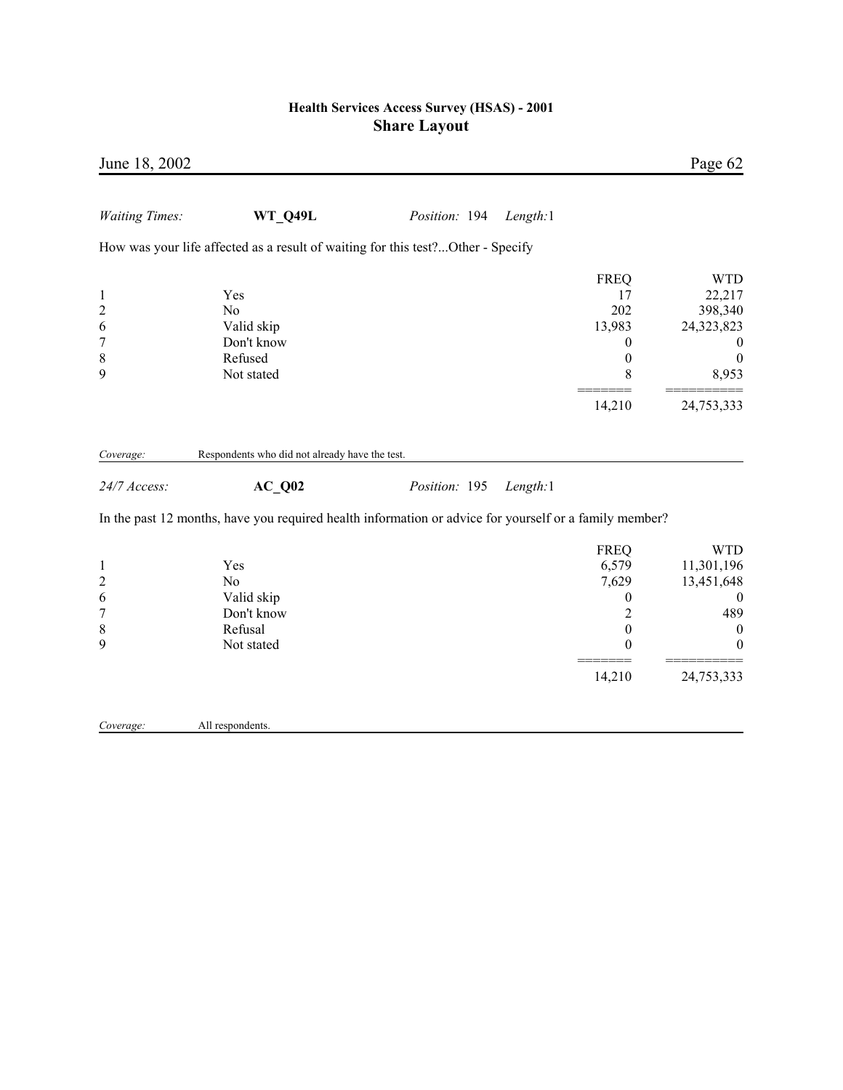| June 18, 2002                                                           |                                                                                                        |               |          |                                                                                              | Page 62                                                                                                   |
|-------------------------------------------------------------------------|--------------------------------------------------------------------------------------------------------|---------------|----------|----------------------------------------------------------------------------------------------|-----------------------------------------------------------------------------------------------------------|
| <b>Waiting Times:</b>                                                   | <b>WT Q49L</b>                                                                                         | Position: 194 | Length:1 |                                                                                              |                                                                                                           |
|                                                                         | How was your life affected as a result of waiting for this test?Other - Specify                        |               |          |                                                                                              |                                                                                                           |
| $\mathbf{1}$<br>$\overline{c}$<br>6<br>7<br>$\,$ 8 $\,$                 | Yes<br>N <sub>0</sub><br>Valid skip<br>Don't know<br>Refused                                           |               |          | <b>FREQ</b><br>17<br>202<br>13,983<br>$\boldsymbol{0}$<br>$\boldsymbol{0}$                   | <b>WTD</b><br>22,217<br>398,340<br>24,323,823<br>$\boldsymbol{0}$<br>$\boldsymbol{0}$                     |
| 9                                                                       | Not stated                                                                                             |               |          | 8                                                                                            | 8,953                                                                                                     |
|                                                                         |                                                                                                        |               |          | 14,210                                                                                       | 24,753,333                                                                                                |
| Coverage:                                                               | Respondents who did not already have the test.                                                         |               |          |                                                                                              |                                                                                                           |
| 24/7 Access:                                                            | $AC_Q02$                                                                                               | Position: 195 | Length:1 |                                                                                              |                                                                                                           |
|                                                                         | In the past 12 months, have you required health information or advice for yourself or a family member? |               |          |                                                                                              |                                                                                                           |
| $\mathbf{1}$<br>$\overline{c}$<br>6<br>$\overline{7}$<br>$\,$ $\,$<br>9 | Yes<br>N <sub>o</sub><br>Valid skip<br>Don't know<br>Refusal<br>Not stated                             |               |          | <b>FREQ</b><br>6,579<br>7,629<br>$\boldsymbol{0}$<br>$\overline{c}$<br>$\boldsymbol{0}$<br>0 | <b>WTD</b><br>11,301,196<br>13,451,648<br>$\boldsymbol{0}$<br>489<br>$\boldsymbol{0}$<br>$\boldsymbol{0}$ |
|                                                                         |                                                                                                        |               |          | 14,210                                                                                       | 24,753,333                                                                                                |
| Coverage:                                                               | All respondents.                                                                                       |               |          |                                                                                              |                                                                                                           |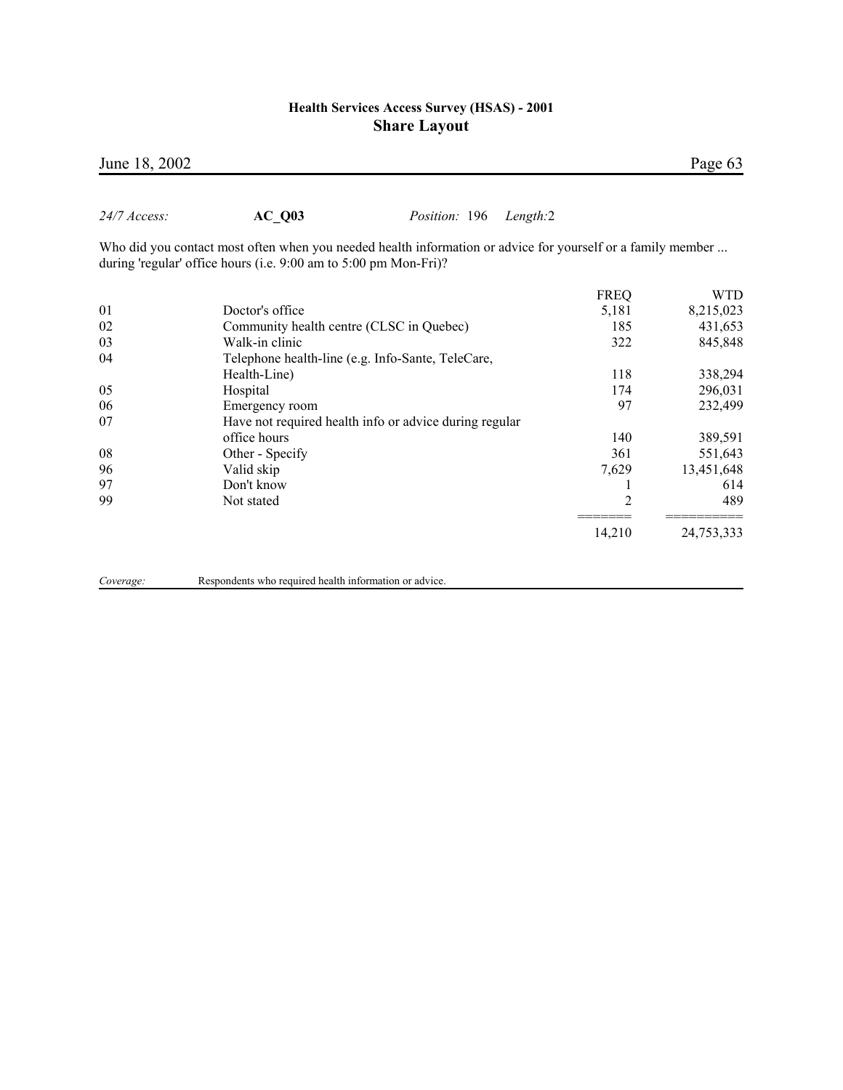| $24/7$ Access: | AC Q03                                                                                                                                                                          | <i>Position:</i> 196 | Length:2 |                |            |
|----------------|---------------------------------------------------------------------------------------------------------------------------------------------------------------------------------|----------------------|----------|----------------|------------|
|                | Who did you contact most often when you needed health information or advice for yourself or a family member<br>during 'regular' office hours (i.e. 9:00 am to 5:00 pm Mon-Fri)? |                      |          |                |            |
|                |                                                                                                                                                                                 |                      |          | <b>FREQ</b>    | <b>WTD</b> |
| 01             | Doctor's office                                                                                                                                                                 |                      |          | 5,181          | 8,215,023  |
| 02             | Community health centre (CLSC in Quebec)                                                                                                                                        |                      |          | 185            | 431,653    |
| 03             | Walk-in clinic                                                                                                                                                                  |                      |          | 322            | 845,848    |
| 04             | Telephone health-line (e.g. Info-Sante, TeleCare,                                                                                                                               |                      |          |                |            |
|                | Health-Line)                                                                                                                                                                    |                      |          | 118            | 338,294    |
| 05             | Hospital                                                                                                                                                                        |                      |          | 174            | 296,031    |
| 06             | Emergency room                                                                                                                                                                  |                      |          | 97             | 232,499    |
| 07             | Have not required health info or advice during regular                                                                                                                          |                      |          |                |            |
|                | office hours                                                                                                                                                                    |                      |          | 140            | 389,591    |
| 08             | Other - Specify                                                                                                                                                                 |                      |          | 361            | 551,643    |
| 96             | Valid skip                                                                                                                                                                      |                      |          | 7,629          | 13,451,648 |
| 97             | Don't know                                                                                                                                                                      |                      |          |                | 614        |
| 99             | Not stated                                                                                                                                                                      |                      |          | $\overline{2}$ | 489        |
|                |                                                                                                                                                                                 |                      |          | 14,210         | 24,753,333 |
|                |                                                                                                                                                                                 |                      |          |                |            |

*Coverage:* Respondents who required health information or advice.

**June 18, 2002** Page 63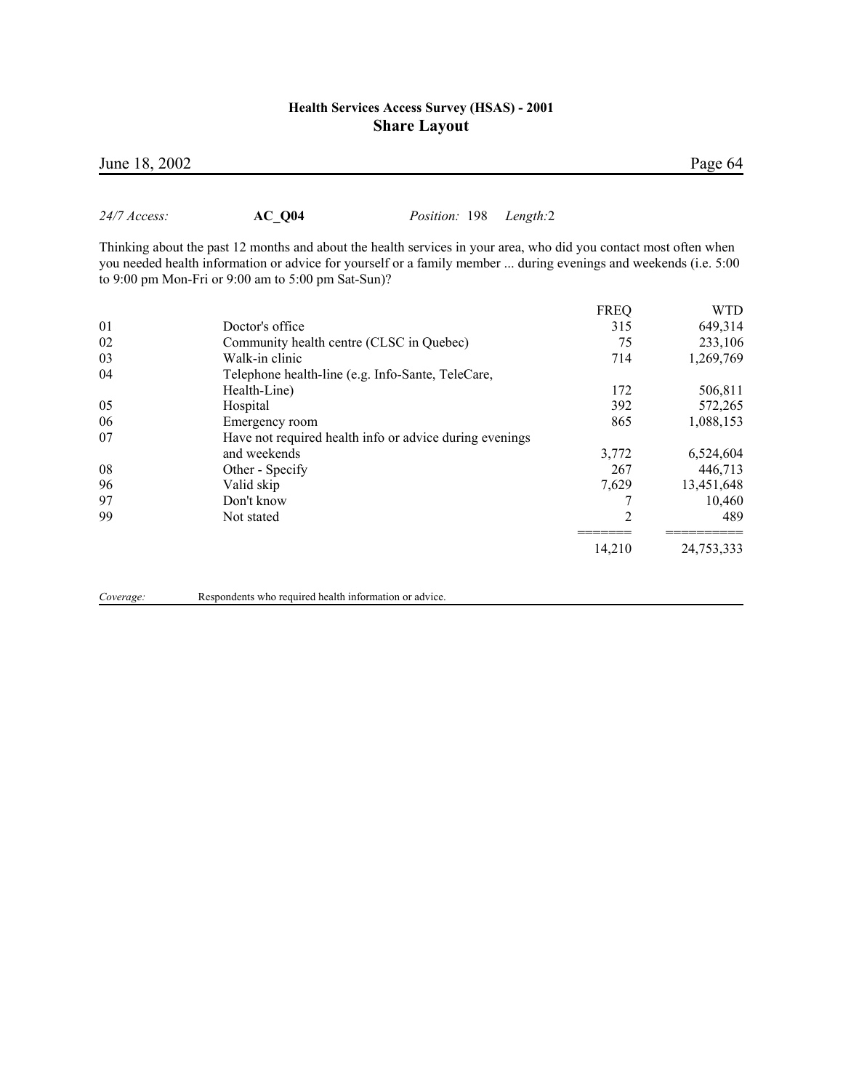| to 9:00 pm Mon-Fri or 9:00 am to 5:00 pm Sat-Sun)?      |             |            |
|---------------------------------------------------------|-------------|------------|
|                                                         | <b>FREQ</b> | <b>WTD</b> |
| Doctor's office                                         | 315         | 649,314    |
| Community health centre (CLSC in Quebec)                | 75          | 233,106    |
| Walk-in clinic                                          | 714         | 1,269,769  |
| Telephone health-line (e.g. Info-Sante, TeleCare,       |             |            |
| Health-Line)                                            | 172         | 506,811    |
| Hospital                                                | 392         | 572,265    |
| Emergency room                                          | 865         | 1,088,153  |
| Have not required health info or advice during evenings |             |            |
| and weekends                                            | 3,772       | 6,524,604  |
| Other - Specify                                         | 267         | 446,713    |
| Valid skip                                              | 7,629       | 13,451,648 |
| Don't know                                              |             | 10,460     |
| Not stated                                              | 2           | 489        |
|                                                         | 14,210      | 24,753,333 |
|                                                         |             |            |

*24/7 Access:* **AC\_Q04** *Position:* 198 *Length:*2

Thinking about the past 12 months and about the health services in your area, who did you contact most often when you needed health information or advice for yourself or a family member ... during evenings and weekends (i.e. 5:00<br>to 9:00 pm Mon-Eri or 9:00 pm to 5:00 pm Sat-Sun)? to  $9:00$  pm Mon-Fri or  $9:00$  am

*Coverage:* Respondents who required health information or advice.

June 18, 2002 Page 64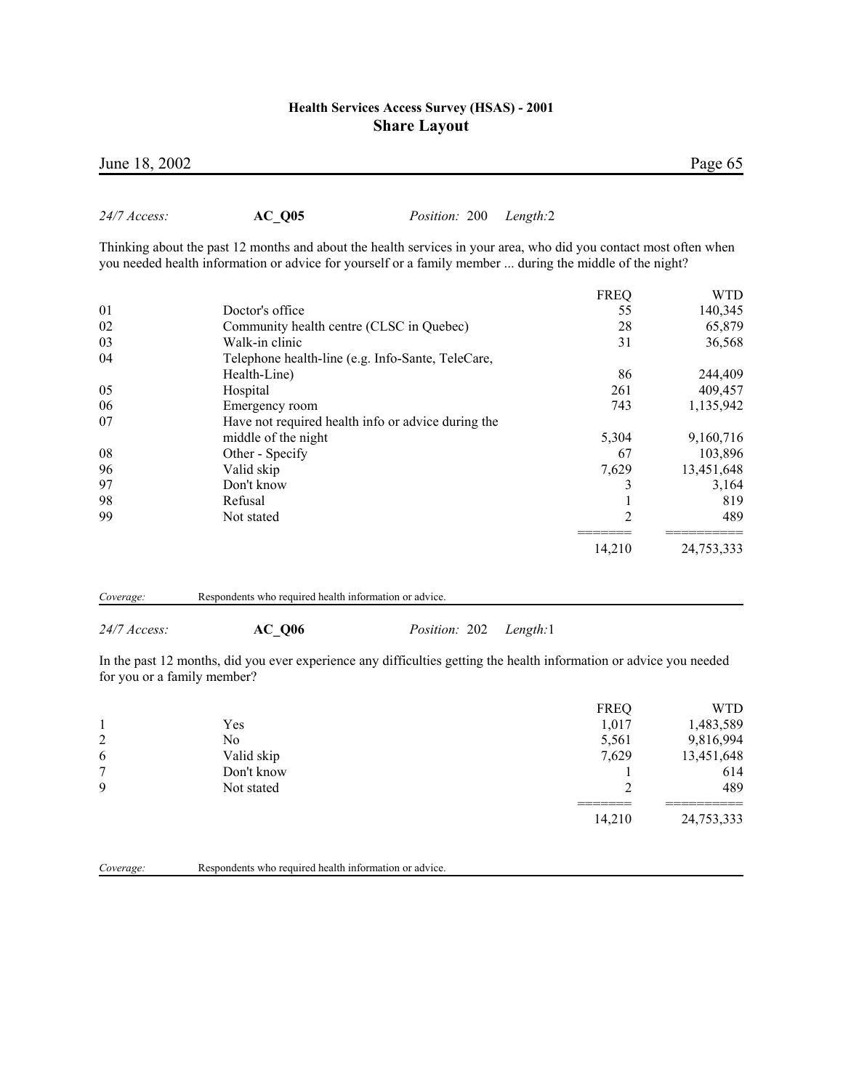Thinking about the past 12 months and about the health services in your area, who did you contact most often when

you needed health information or advice for yourself or a family member ... during the middle of the night?

|                                                    | <b>FREQ</b> | <b>WTD</b> |
|----------------------------------------------------|-------------|------------|
| Doctor's office                                    | 55          | 140,345    |
| Community health centre (CLSC in Quebec)           | 28          | 65,879     |
| Walk-in clinic                                     | 31          | 36,568     |
| Telephone health-line (e.g. Info-Sante, TeleCare,  |             |            |
| Health-Line)                                       | 86          | 244,409    |
| Hospital                                           | 261         | 409,457    |
| Emergency room                                     | 743         | 1,135,942  |
| Have not required health info or advice during the |             |            |
| middle of the night                                | 5,304       | 9,160,716  |
| Other - Specify                                    | 67          | 103,896    |
| Valid skip                                         | 7,629       | 13,451,648 |
| Don't know                                         |             | 3,164      |
| Refusal                                            |             | 819        |
| Not stated                                         | 2           | 489        |
|                                                    |             | 24,753,333 |
|                                                    |             | 14,210     |

| Coverage: | Respondents who required health information or advice. |
|-----------|--------------------------------------------------------|

*24/7 Access:* **AC\_Q06** *Position:* 202 *Length:*1

*24/7 Access:* **AC\_Q05** *Position:* 200 *Length:*2

In the past 12 months, did you ever experience any difficulties getting the health information or advice you needed for you or a family member?

|                | Yes        | <b>FREQ</b><br>1,017 | WTD<br>1,483,589 |
|----------------|------------|----------------------|------------------|
| $\overline{2}$ | No         | 5,561                | 9,816,994        |
| 6              | Valid skip | 7,629                | 13,451,648       |
| 7              | Don't know |                      | 614              |
| 9              | Not stated | ◠                    | 489              |
|                |            | 14,210               | 24,753,333       |

*Coverage:* Respondents who required health information or advice.

June 18, 2002 Page 65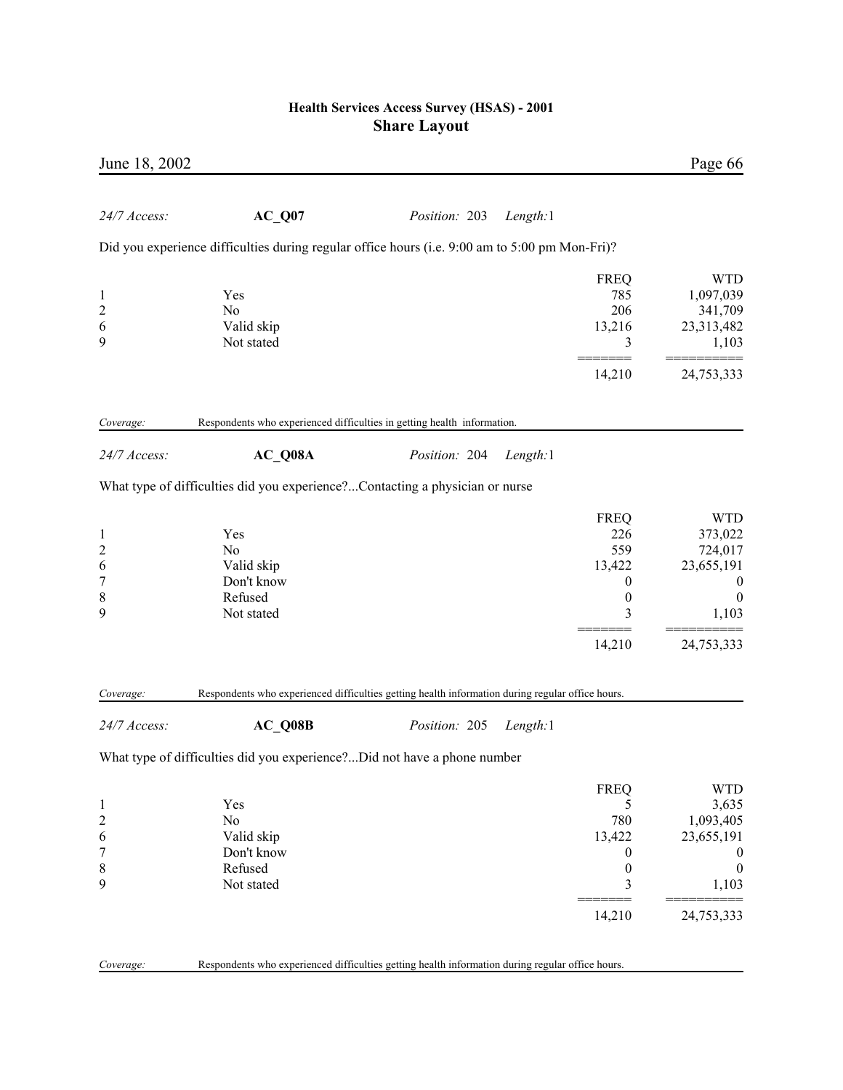| June 18, 2002                                                             |                                                                                                  |               |          |                                                                                          | Page 66                                                                                               |
|---------------------------------------------------------------------------|--------------------------------------------------------------------------------------------------|---------------|----------|------------------------------------------------------------------------------------------|-------------------------------------------------------------------------------------------------------|
| 24/7 Access:                                                              | $AC_Q07$                                                                                         | Position: 203 | Length:1 |                                                                                          |                                                                                                       |
|                                                                           | Did you experience difficulties during regular office hours (i.e. 9:00 am to 5:00 pm Mon-Fri)?   |               |          |                                                                                          |                                                                                                       |
| $\mathbf{1}$<br>$\overline{c}$<br>6<br>9                                  | Yes<br>N <sub>0</sub><br>Valid skip<br>Not stated                                                |               |          | <b>FREQ</b><br>785<br>206<br>13,216<br>3                                                 | <b>WTD</b><br>1,097,039<br>341,709<br>23,313,482<br>1,103                                             |
|                                                                           |                                                                                                  |               |          | 14,210                                                                                   | 24,753,333                                                                                            |
| Coverage:                                                                 | Respondents who experienced difficulties in getting health information.                          |               |          |                                                                                          |                                                                                                       |
| 24/7 Access:                                                              | $AC_Q08A$                                                                                        | Position: 204 | Length:1 |                                                                                          |                                                                                                       |
|                                                                           | What type of difficulties did you experience?Contacting a physician or nurse                     |               |          |                                                                                          |                                                                                                       |
| $\mathbf{1}$<br>$\overline{c}$<br>6<br>$\boldsymbol{7}$<br>$\,$ $\,$<br>9 | Yes<br>N <sub>0</sub><br>Valid skip<br>Don't know<br>Refused<br>Not stated                       |               |          | <b>FREQ</b><br>226<br>559<br>13,422<br>0<br>$\boldsymbol{0}$<br>3<br>14,210              | <b>WTD</b><br>373,022<br>724,017<br>23,655,191<br>$\boldsymbol{0}$<br>$\theta$<br>1,103<br>24,753,333 |
| Coverage:                                                                 | Respondents who experienced difficulties getting health information during regular office hours. |               |          |                                                                                          |                                                                                                       |
| 24/7 Access:                                                              | AC Q08B                                                                                          | Position: 205 | Length:1 |                                                                                          |                                                                                                       |
|                                                                           | What type of difficulties did you experience?Did not have a phone number                         |               |          |                                                                                          |                                                                                                       |
| 1<br>$\overline{c}$<br>6<br>7<br>8<br>9                                   | Yes<br>N <sub>0</sub><br>Valid skip<br>Don't know<br>Refused<br>Not stated                       |               |          | <b>FREQ</b><br>5<br>780<br>13,422<br>$\boldsymbol{0}$<br>$\boldsymbol{0}$<br>3<br>14,210 | <b>WTD</b><br>3,635<br>1,093,405<br>23,655,191<br>$\theta$<br>$\boldsymbol{0}$<br>1,103<br>24,753,333 |
| Coverage:                                                                 | Respondents who experienced difficulties getting health information during regular office hours. |               |          |                                                                                          |                                                                                                       |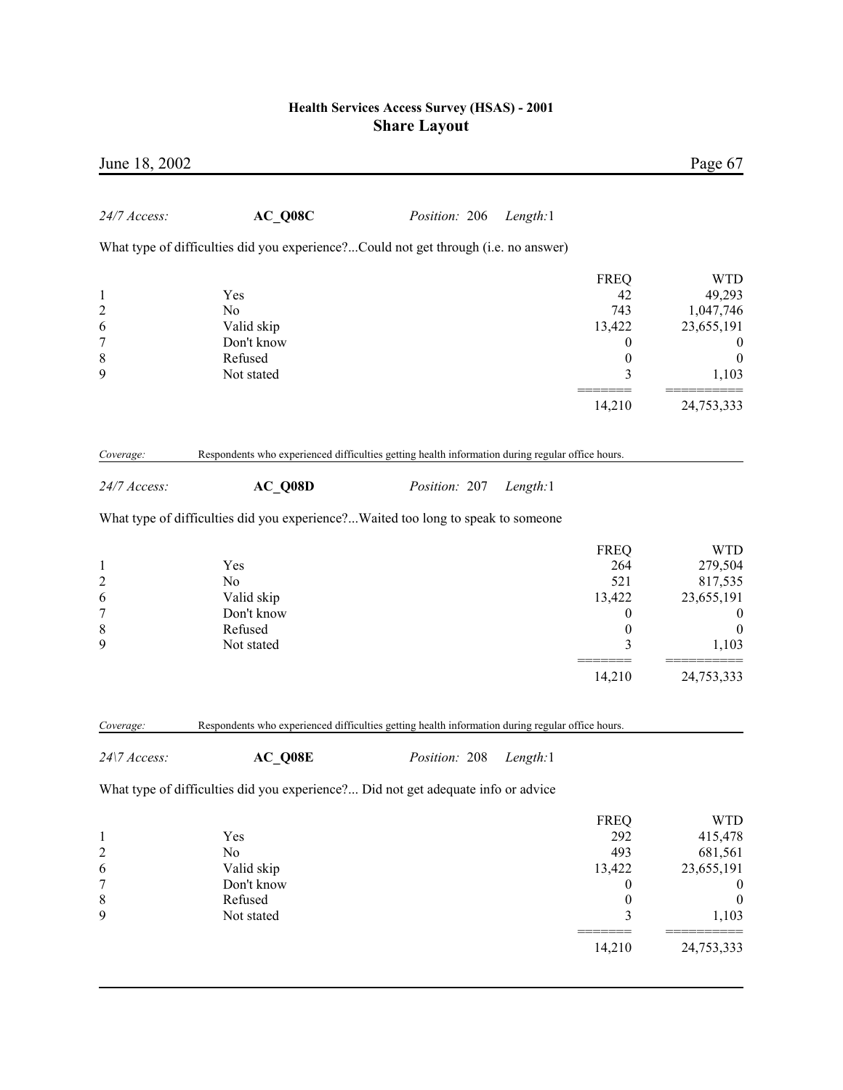|                                                                                            |          |               |                                                                            | June 18, 2002                                                                                                                                                                                                                                                                                                                                                                                                                                                         |
|--------------------------------------------------------------------------------------------|----------|---------------|----------------------------------------------------------------------------|-----------------------------------------------------------------------------------------------------------------------------------------------------------------------------------------------------------------------------------------------------------------------------------------------------------------------------------------------------------------------------------------------------------------------------------------------------------------------|
|                                                                                            | Length:1 | Position: 206 | $AC_Q08C$                                                                  | 24/7 Access:                                                                                                                                                                                                                                                                                                                                                                                                                                                          |
|                                                                                            |          |               |                                                                            |                                                                                                                                                                                                                                                                                                                                                                                                                                                                       |
| <b>FREQ</b><br>42<br>743<br>13,422<br>$\theta$<br>$\boldsymbol{0}$<br>3                    |          |               | Yes<br>N <sub>0</sub><br>Valid skip<br>Don't know<br>Refused<br>Not stated | $\mathbf{1}$<br>$\overline{\mathbf{c}}$<br>6<br>$\overline{7}$<br>8<br>9                                                                                                                                                                                                                                                                                                                                                                                              |
| 14,210                                                                                     |          |               |                                                                            |                                                                                                                                                                                                                                                                                                                                                                                                                                                                       |
|                                                                                            |          |               |                                                                            | Coverage:                                                                                                                                                                                                                                                                                                                                                                                                                                                             |
|                                                                                            | Length:1 | Position: 207 | AC Q08D                                                                    | 24/7 Access:                                                                                                                                                                                                                                                                                                                                                                                                                                                          |
|                                                                                            |          |               |                                                                            |                                                                                                                                                                                                                                                                                                                                                                                                                                                                       |
| <b>FREQ</b><br>264<br>521<br>13,422<br>$\boldsymbol{0}$<br>$\boldsymbol{0}$<br>3           |          |               | Yes<br>No<br>Valid skip<br>Don't know<br>Refused<br>Not stated             | $\mathbf{1}$<br>$\overline{c}$<br>6<br>$\overline{7}$<br>8<br>9                                                                                                                                                                                                                                                                                                                                                                                                       |
| 14,210                                                                                     |          |               |                                                                            |                                                                                                                                                                                                                                                                                                                                                                                                                                                                       |
|                                                                                            |          |               |                                                                            | Coverage:                                                                                                                                                                                                                                                                                                                                                                                                                                                             |
|                                                                                            | Length:1 | Position: 208 | AC_Q08E                                                                    | 24\7 Access:                                                                                                                                                                                                                                                                                                                                                                                                                                                          |
|                                                                                            |          |               |                                                                            |                                                                                                                                                                                                                                                                                                                                                                                                                                                                       |
| <b>FREQ</b><br>292<br>493<br>13,422<br>$\boldsymbol{0}$<br>$\boldsymbol{0}$<br>3<br>14,210 |          |               | Yes<br>No<br>Valid skip<br>Don't know<br>Refused<br>Not stated             | $\mathbf{1}$<br>$\overline{c}$<br>6<br>7<br>8<br>9                                                                                                                                                                                                                                                                                                                                                                                                                    |
|                                                                                            |          |               |                                                                            | What type of difficulties did you experience?Could not get through (i.e. no answer)<br>Respondents who experienced difficulties getting health information during regular office hours.<br>What type of difficulties did you experience? Waited too long to speak to someone<br>Respondents who experienced difficulties getting health information during regular office hours.<br>What type of difficulties did you experience? Did not get adequate info or advice |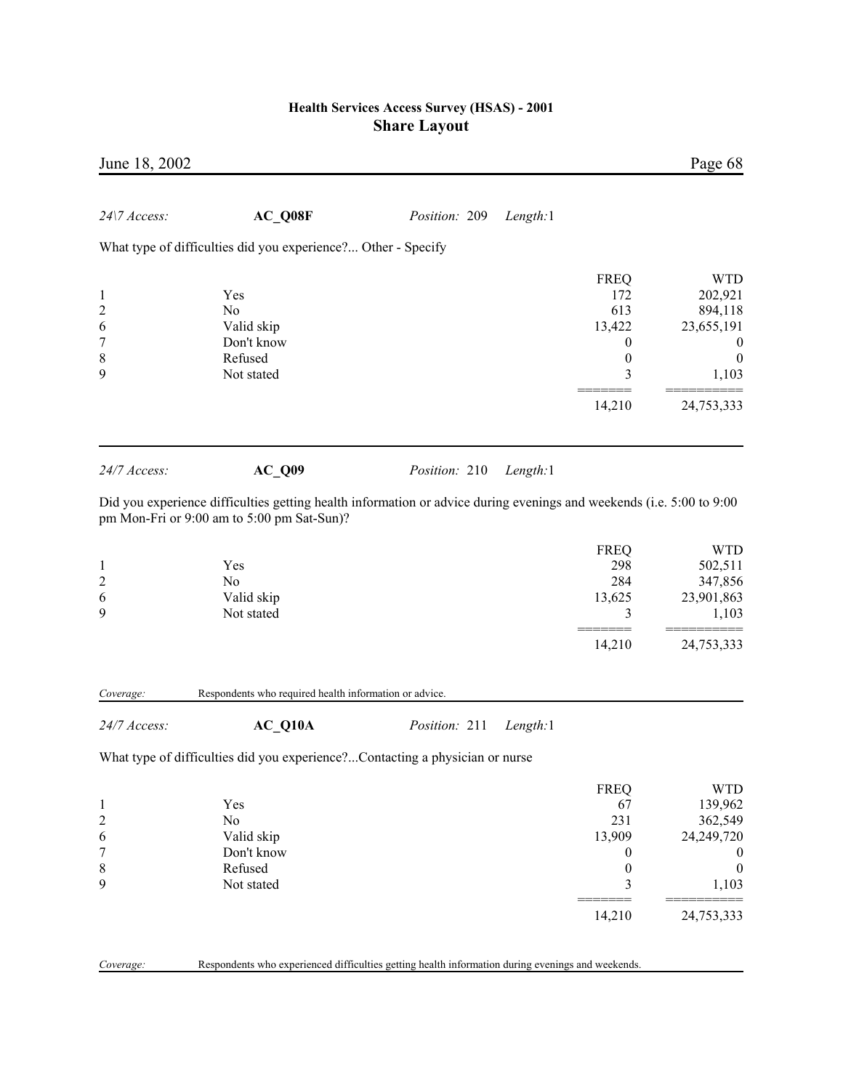| June 18, 2002                                                            |                                                                                         |                                                                                                                                                   |                                                                                                        | Page 68                                                                                   |
|--------------------------------------------------------------------------|-----------------------------------------------------------------------------------------|---------------------------------------------------------------------------------------------------------------------------------------------------|--------------------------------------------------------------------------------------------------------|-------------------------------------------------------------------------------------------|
| 24\7 Access:                                                             | AC_Q08F                                                                                 | Position: 209<br>Length:1                                                                                                                         |                                                                                                        |                                                                                           |
|                                                                          | What type of difficulties did you experience? Other - Specify                           |                                                                                                                                                   |                                                                                                        |                                                                                           |
| $\mathbf{1}$<br>$\overline{\mathbf{c}}$<br>6<br>$\overline{7}$<br>8<br>9 | Yes<br>N <sub>0</sub><br>Valid skip<br>Don't know<br>Refused<br>Not stated              |                                                                                                                                                   | <b>FREQ</b><br>172<br>613<br>13,422<br>$\boldsymbol{0}$<br>$\boldsymbol{0}$<br>3                       | <b>WTD</b><br>202,921<br>894,118<br>23,655,191<br>U<br>$\boldsymbol{0}$<br>1,103          |
|                                                                          |                                                                                         |                                                                                                                                                   | 14,210                                                                                                 | 24,753,333                                                                                |
| 24/7 Access:                                                             | $AC_Q09$<br>pm Mon-Fri or 9:00 am to 5:00 pm Sat-Sun)?                                  | Position: 210<br>Length:1<br>Did you experience difficulties getting health information or advice during evenings and weekends (i.e. 5:00 to 9:00 |                                                                                                        |                                                                                           |
| $\mathbf 1$<br>$\overline{\mathbf{c}}$<br>6<br>9                         | Yes<br>No<br>Valid skip<br>Not stated                                                   |                                                                                                                                                   | <b>FREQ</b><br>298<br>284<br>13,625<br>3                                                               | <b>WTD</b><br>502,511<br>347,856<br>23,901,863<br>1,103                                   |
|                                                                          |                                                                                         |                                                                                                                                                   | 14,210                                                                                                 | 24,753,333                                                                                |
| Coverage:                                                                | Respondents who required health information or advice.                                  |                                                                                                                                                   |                                                                                                        |                                                                                           |
| 24/7 Access:                                                             | AC Q10A<br>What type of difficulties did you experience?Contacting a physician or nurse | Position: 211<br>Length:1                                                                                                                         |                                                                                                        |                                                                                           |
| 1<br>$\overline{\mathbf{c}}$<br>6<br>7<br>8<br>9                         | Yes<br>No<br>Valid skip<br>Don't know<br>Refused<br>Not stated                          |                                                                                                                                                   | <b>FREQ</b><br>67<br>231<br>13,909<br>$\boldsymbol{0}$<br>$\boldsymbol{0}$<br>$\mathfrak{Z}$<br>14,210 | <b>WTD</b><br>139,962<br>362,549<br>24,249,720<br>$\boldsymbol{0}$<br>1,103<br>24,753,333 |

*Coverage:* Respondents who experienced difficulties getting health information during evenings and weekends.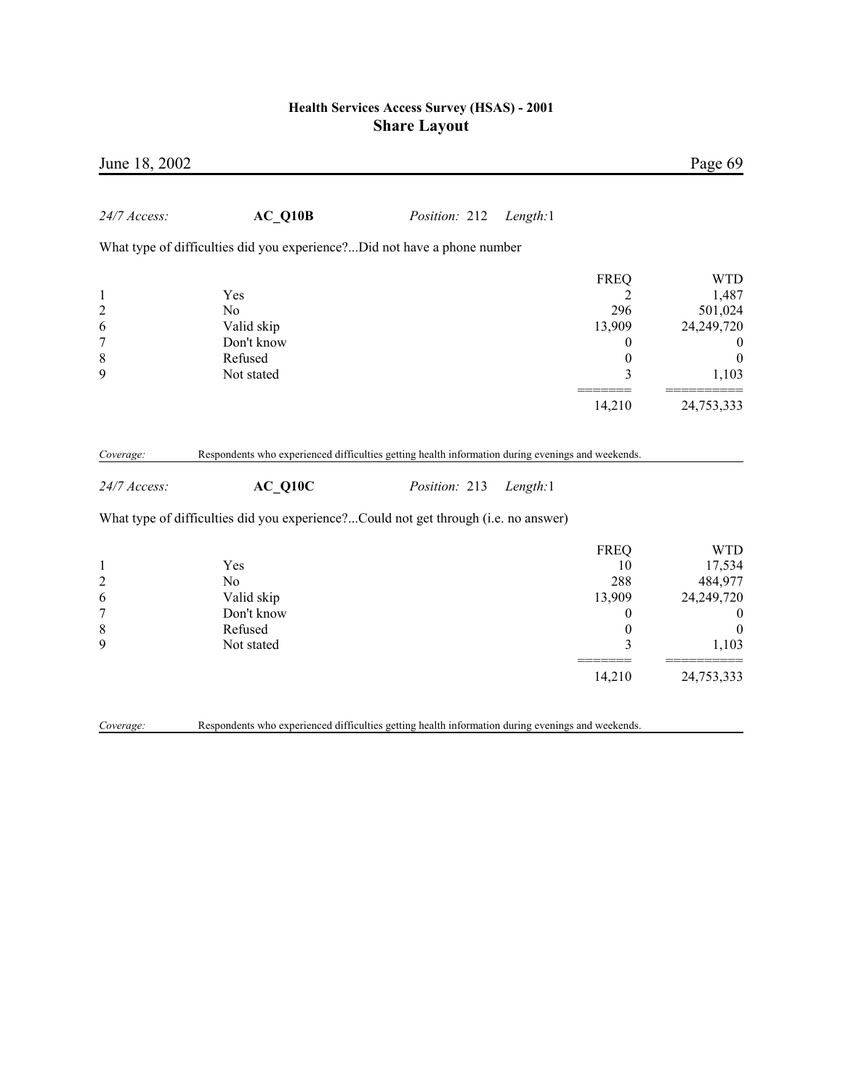| June 18, 2002             |                                                                                                                |               |                  | Page 69          |
|---------------------------|----------------------------------------------------------------------------------------------------------------|---------------|------------------|------------------|
| 24/7 Access:              | $AC_Q10B$                                                                                                      | Position: 212 | Length:1         |                  |
|                           | What type of difficulties did you experience?Did not have a phone number                                       |               |                  |                  |
|                           |                                                                                                                |               | <b>FREQ</b>      | <b>WTD</b>       |
| $\mathbf{1}$              | Yes                                                                                                            |               | 2                | 1,487            |
| $\overline{c}$            | N <sub>0</sub>                                                                                                 |               | 296              | 501,024          |
| 6                         | Valid skip                                                                                                     |               | 13,909           | 24,249,720       |
| $\overline{7}$            | Don't know                                                                                                     |               | $\theta$         | $\boldsymbol{0}$ |
| 8                         | Refused                                                                                                        |               | $\boldsymbol{0}$ | $\boldsymbol{0}$ |
| 9                         | Not stated                                                                                                     |               | 3                | 1,103            |
|                           |                                                                                                                |               | 14,210           | 24,753,333       |
| Coverage:<br>24/7 Access: | Respondents who experienced difficulties getting health information during evenings and weekends.<br>$AC_Q10C$ | Position: 213 | Length:1         |                  |
|                           | What type of difficulties did you experience?Could not get through (i.e. no answer)                            |               |                  |                  |
|                           |                                                                                                                |               | <b>FREQ</b>      | <b>WTD</b>       |
| $\mathbf{1}$              | Yes                                                                                                            |               | 10               | 17,534           |
| $\overline{c}$            | N <sub>0</sub>                                                                                                 |               | 288              | 484,977          |
| 6                         | Valid skip                                                                                                     |               | 13,909           | 24,249,720       |
| $\overline{7}$            | Don't know                                                                                                     |               | $\boldsymbol{0}$ | $\boldsymbol{0}$ |
| $\,$ $\,$                 | Refused                                                                                                        |               | $\boldsymbol{0}$ | $\boldsymbol{0}$ |
| 9                         | Not stated                                                                                                     |               | 3                | 1,103            |
|                           |                                                                                                                |               | 14,210           | 24,753,333       |
| Coverage:                 | Respondents who experienced difficulties getting health information during evenings and weekends.              |               |                  |                  |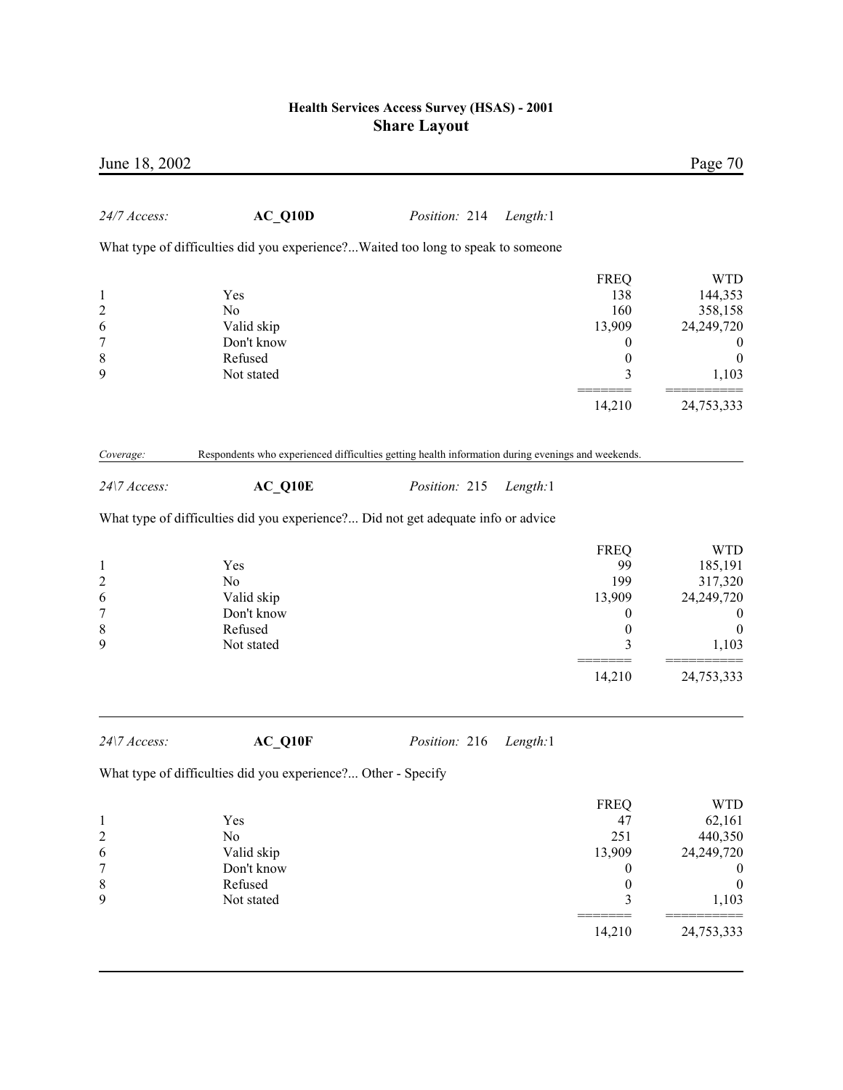| June 18, 2002                                                            |                                                                                                   |               |          |                                                                                  | Page 70                                                                                 |
|--------------------------------------------------------------------------|---------------------------------------------------------------------------------------------------|---------------|----------|----------------------------------------------------------------------------------|-----------------------------------------------------------------------------------------|
| 24/7 Access:                                                             | $AC_Q10D$                                                                                         | Position: 214 | Length:1 |                                                                                  |                                                                                         |
|                                                                          | What type of difficulties did you experience?Waited too long to speak to someone                  |               |          |                                                                                  |                                                                                         |
| $\mathbf{1}$<br>$\overline{\mathbf{c}}$<br>6<br>$\overline{7}$<br>8<br>9 | Yes<br>N <sub>0</sub><br>Valid skip<br>Don't know<br>Refused<br>Not stated                        |               |          | <b>FREQ</b><br>138<br>160<br>13,909<br>$\boldsymbol{0}$<br>$\boldsymbol{0}$<br>3 | <b>WTD</b><br>144,353<br>358,158<br>24,249,720<br>$\bf{0}$<br>$\boldsymbol{0}$<br>1,103 |
|                                                                          |                                                                                                   |               |          | 14,210                                                                           | 24,753,333                                                                              |
| Coverage:                                                                | Respondents who experienced difficulties getting health information during evenings and weekends. |               |          |                                                                                  |                                                                                         |
| 24\7 Access:                                                             | $AC_Q10E$                                                                                         | Position: 215 | Length:1 |                                                                                  |                                                                                         |
|                                                                          | What type of difficulties did you experience? Did not get adequate info or advice                 |               |          |                                                                                  |                                                                                         |
|                                                                          |                                                                                                   |               |          | <b>FREQ</b>                                                                      | <b>WTD</b>                                                                              |
| $\mathbf{1}$                                                             | Yes                                                                                               |               |          | 99                                                                               | 185,191                                                                                 |
| $\overline{\mathbf{c}}$                                                  | N <sub>0</sub>                                                                                    |               |          | 199                                                                              | 317,320                                                                                 |
| 6                                                                        | Valid skip                                                                                        |               |          | 13,909                                                                           | 24,249,720                                                                              |
| $\overline{7}$                                                           | Don't know                                                                                        |               |          | 0                                                                                | $\boldsymbol{0}$                                                                        |
| 8                                                                        | Refused                                                                                           |               |          | $\boldsymbol{0}$                                                                 | $\theta$                                                                                |
| 9                                                                        | Not stated                                                                                        |               |          | 3                                                                                | 1,103                                                                                   |
|                                                                          |                                                                                                   |               |          | 14,210                                                                           | 24,753,333                                                                              |
| 24\7 Access:                                                             | $AC_Q10F$                                                                                         | Position: 216 | Length:1 |                                                                                  |                                                                                         |
|                                                                          | What type of difficulties did you experience? Other - Specify                                     |               |          |                                                                                  |                                                                                         |
|                                                                          |                                                                                                   |               |          | <b>FREQ</b>                                                                      | <b>WTD</b>                                                                              |
| $\mathbf{1}$                                                             | Yes                                                                                               |               |          | 47                                                                               | 62,161                                                                                  |
| $\overline{\mathbf{c}}$                                                  | No                                                                                                |               |          | 251                                                                              | 440,350                                                                                 |
| 6                                                                        | Valid skip                                                                                        |               |          | 13,909                                                                           | 24,249,720                                                                              |
| 7                                                                        | Don't know                                                                                        |               |          | 0                                                                                | $\boldsymbol{0}$                                                                        |
| 8                                                                        | Refused                                                                                           |               |          | $\boldsymbol{0}$                                                                 | $\boldsymbol{0}$                                                                        |
| 9                                                                        | Not stated                                                                                        |               |          | 3                                                                                | 1,103                                                                                   |

 ======= ========== 24,753,333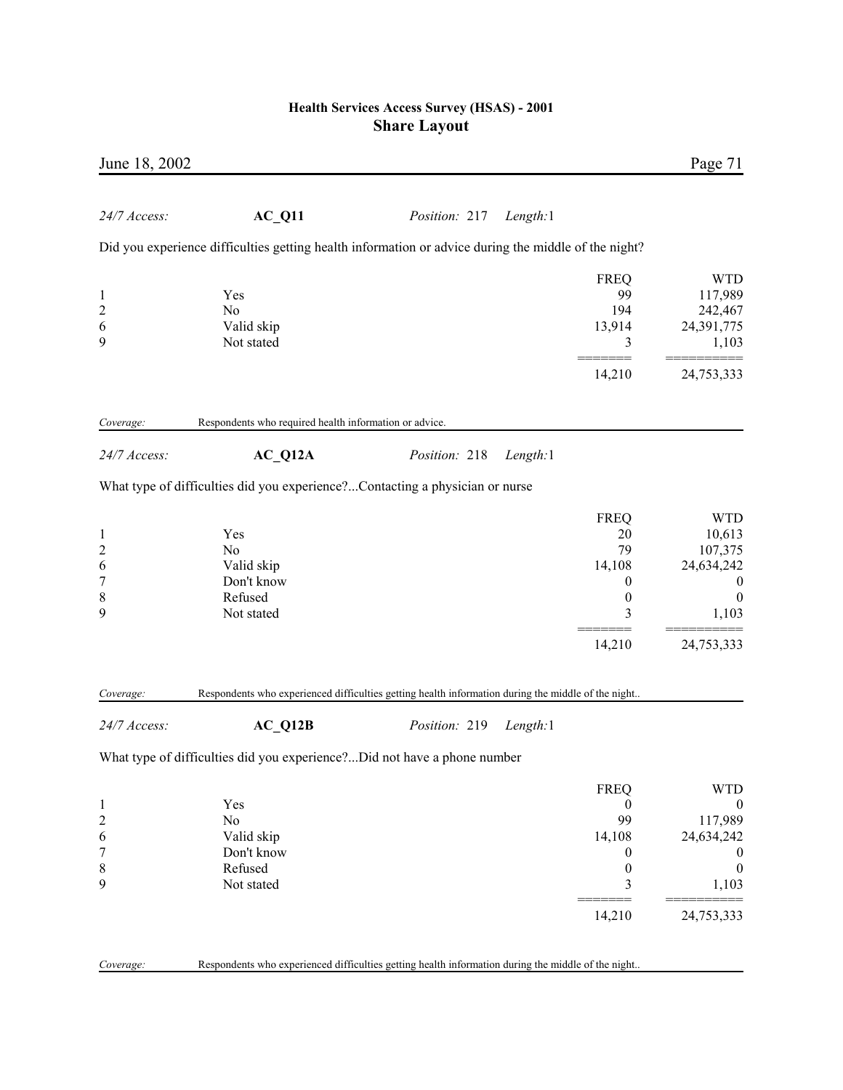| June 18, 2002                                                            |                                                                              |                                                                                                      |                                                                                                | Page 71                                                                                                        |
|--------------------------------------------------------------------------|------------------------------------------------------------------------------|------------------------------------------------------------------------------------------------------|------------------------------------------------------------------------------------------------|----------------------------------------------------------------------------------------------------------------|
| 24/7 Access:                                                             | AC Q11                                                                       | Position: 217<br>Length:1                                                                            |                                                                                                |                                                                                                                |
|                                                                          |                                                                              | Did you experience difficulties getting health information or advice during the middle of the night? |                                                                                                |                                                                                                                |
| $\mathbf{1}$<br>$\overline{c}$<br>6<br>9                                 | Yes<br>N <sub>0</sub><br>Valid skip<br>Not stated                            |                                                                                                      | <b>FREQ</b><br>99<br>194<br>13,914<br>3                                                        | <b>WTD</b><br>117,989<br>242,467<br>24,391,775<br>1,103                                                        |
|                                                                          |                                                                              |                                                                                                      | 14,210                                                                                         | 24,753,333                                                                                                     |
| Coverage:                                                                | Respondents who required health information or advice.                       |                                                                                                      |                                                                                                |                                                                                                                |
| 24/7 Access:                                                             | $AC_Q12A$                                                                    | Position: 218<br>Length:1                                                                            |                                                                                                |                                                                                                                |
|                                                                          | What type of difficulties did you experience?Contacting a physician or nurse |                                                                                                      |                                                                                                |                                                                                                                |
| $\mathbf{1}$<br>$\overline{\mathbf{c}}$<br>6<br>7<br>8<br>9<br>Coverage: | Yes<br>N <sub>0</sub><br>Valid skip<br>Don't know<br>Refused<br>Not stated   | Respondents who experienced difficulties getting health information during the middle of the night   | <b>FREQ</b><br>20<br>79<br>14,108<br>$\boldsymbol{0}$<br>$\boldsymbol{0}$<br>3<br>14,210       | <b>WTD</b><br>10,613<br>107,375<br>24,634,242<br>$\theta$<br>$\boldsymbol{0}$<br>1,103<br>24,753,333           |
| 24/7 Access:                                                             | AC Q12B                                                                      | Position: 219<br>Length:1                                                                            |                                                                                                |                                                                                                                |
|                                                                          | What type of difficulties did you experience?Did not have a phone number     |                                                                                                      |                                                                                                |                                                                                                                |
| $\mathbf{1}$<br>$\overline{c}$<br>6<br>7<br>8<br>9                       | Yes<br>No<br>Valid skip<br>Don't know<br>Refused<br>Not stated               |                                                                                                      | <b>FREQ</b><br>$\bf{0}$<br>99<br>14,108<br>$\boldsymbol{0}$<br>$\boldsymbol{0}$<br>3<br>14,210 | <b>WTD</b><br>$\boldsymbol{0}$<br>117,989<br>24,634,242<br>$\theta$<br>$\boldsymbol{0}$<br>1,103<br>24,753,333 |
| Coverage:                                                                |                                                                              | Respondents who experienced difficulties getting health information during the middle of the night   |                                                                                                |                                                                                                                |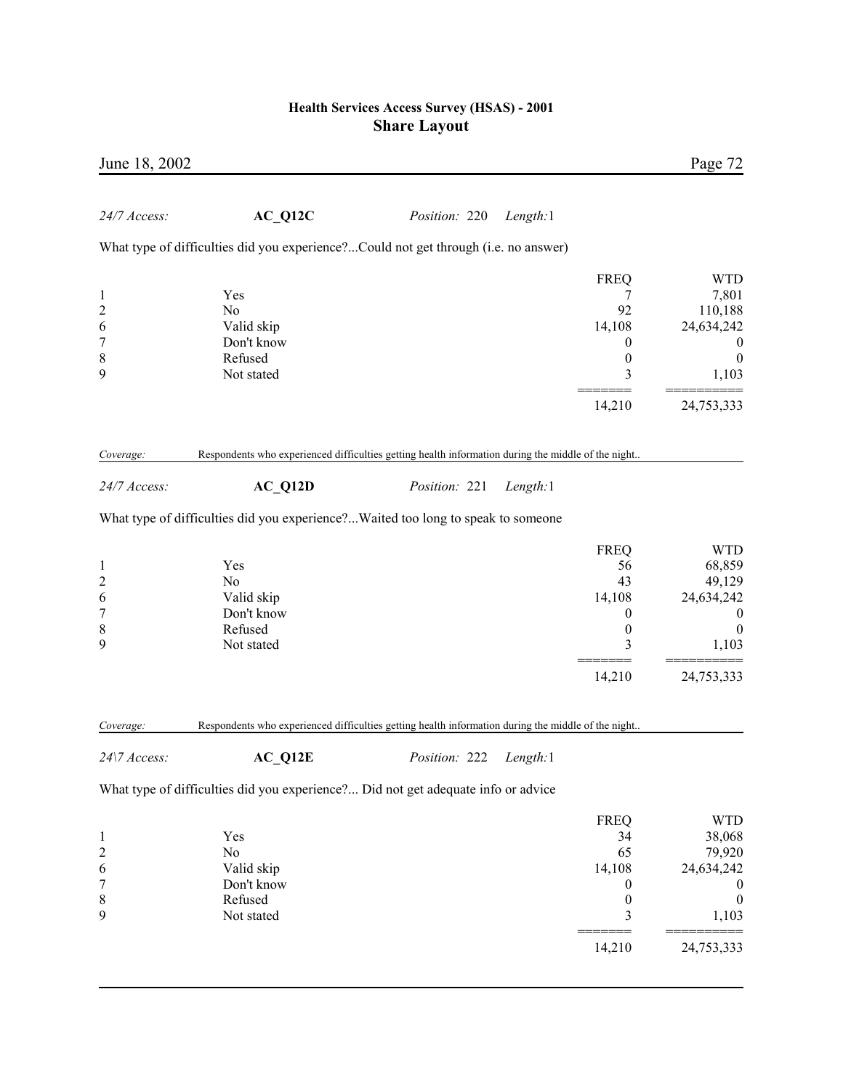| June 18, 2002                                                            |                                                                                                                 |               |          |                                                                                          | Page 72                                                                                                     |
|--------------------------------------------------------------------------|-----------------------------------------------------------------------------------------------------------------|---------------|----------|------------------------------------------------------------------------------------------|-------------------------------------------------------------------------------------------------------------|
| 24/7 Access:                                                             | $AC_Q12C$                                                                                                       | Position: 220 | Length:1 |                                                                                          |                                                                                                             |
|                                                                          | What type of difficulties did you experience?Could not get through (i.e. no answer)                             |               |          |                                                                                          |                                                                                                             |
| $\mathbf{1}$<br>$\overline{\mathbf{c}}$<br>6<br>$\overline{7}$<br>8<br>9 | Yes<br>N <sub>0</sub><br>Valid skip<br>Don't know<br>Refused<br>Not stated                                      |               |          | <b>FREQ</b><br>7<br>92<br>14,108<br>$\theta$<br>$\boldsymbol{0}$<br>3                    | <b>WTD</b><br>7,801<br>110,188<br>24,634,242<br>$\bf{0}$<br>$\boldsymbol{0}$<br>1,103                       |
|                                                                          |                                                                                                                 |               |          | 14,210                                                                                   | 24,753,333                                                                                                  |
| Coverage:                                                                | Respondents who experienced difficulties getting health information during the middle of the night              |               |          |                                                                                          |                                                                                                             |
| 24/7 Access:                                                             | $AC_Q12D$                                                                                                       | Position: 221 | Length:1 |                                                                                          |                                                                                                             |
|                                                                          | What type of difficulties did you experience?Waited too long to speak to someone                                |               |          |                                                                                          |                                                                                                             |
| $\mathbf{1}$<br>$\overline{c}$<br>6<br>$\overline{7}$<br>8<br>9          | Yes<br>No<br>Valid skip<br>Don't know<br>Refused<br>Not stated                                                  |               |          | <b>FREQ</b><br>56<br>43<br>14,108<br>$\boldsymbol{0}$<br>$\boldsymbol{0}$<br>3<br>14,210 | <b>WTD</b><br>68,859<br>49,129<br>24,634,242<br>$\boldsymbol{0}$<br>$\boldsymbol{0}$<br>1,103<br>24,753,333 |
|                                                                          |                                                                                                                 |               |          |                                                                                          |                                                                                                             |
| Coverage:<br>24\7 Access:                                                | Respondents who experienced difficulties getting health information during the middle of the night<br>$AC_Q12E$ | Position: 222 | Length:1 |                                                                                          |                                                                                                             |
|                                                                          | What type of difficulties did you experience? Did not get adequate info or advice                               |               |          |                                                                                          |                                                                                                             |
| 1<br>$\overline{\mathbf{c}}$<br>6<br>7<br>8<br>9                         | Yes<br>No<br>Valid skip<br>Don't know<br>Refused<br>Not stated                                                  |               |          | <b>FREQ</b><br>34<br>65<br>14,108<br>$\boldsymbol{0}$<br>$\boldsymbol{0}$<br>3<br>14,210 | <b>WTD</b><br>38,068<br>79,920<br>24,634,242<br>$\boldsymbol{0}$<br>$\boldsymbol{0}$<br>1,103<br>24,753,333 |
|                                                                          |                                                                                                                 |               |          |                                                                                          |                                                                                                             |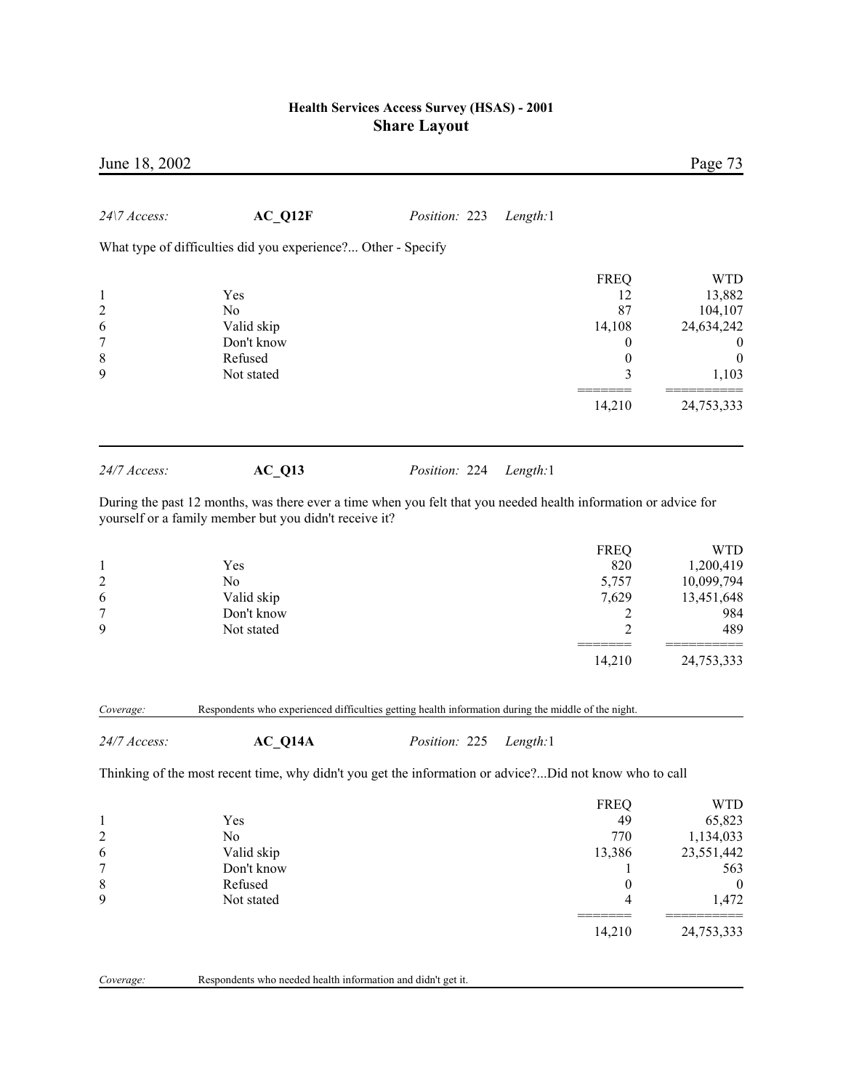| June 18, 2002                                                            |                                                                    |                                                                                                                                              |                                                                 | Page 73                                                                                        |
|--------------------------------------------------------------------------|--------------------------------------------------------------------|----------------------------------------------------------------------------------------------------------------------------------------------|-----------------------------------------------------------------|------------------------------------------------------------------------------------------------|
| 24\7 Access:                                                             | AC Q12F                                                            | Position: 223<br>Length:1                                                                                                                    |                                                                 |                                                                                                |
|                                                                          | What type of difficulties did you experience? Other - Specify      |                                                                                                                                              |                                                                 |                                                                                                |
| $\mathbf{1}$<br>$\overline{\mathbf{c}}$<br>6<br>$\overline{7}$<br>8<br>9 | Yes<br>No<br>Valid skip<br>Don't know<br>Refused<br>Not stated     |                                                                                                                                              | <b>FREQ</b><br>12<br>87<br>14,108<br>0<br>$\boldsymbol{0}$<br>3 | <b>WTD</b><br>13,882<br>104,107<br>24,634,242<br>$\boldsymbol{0}$<br>$\boldsymbol{0}$<br>1,103 |
|                                                                          |                                                                    |                                                                                                                                              | 14,210                                                          | 24,753,333                                                                                     |
| 24/7 Access:                                                             | $AC_Q13$<br>yourself or a family member but you didn't receive it? | Position: 224<br>Length:1<br>During the past 12 months, was there ever a time when you felt that you needed health information or advice for |                                                                 |                                                                                                |
| $\mathbf{1}$<br>$\overline{\mathbf{c}}$<br>6<br>7<br>9                   | Yes<br>No<br>Valid skip<br>Don't know<br>Not stated                |                                                                                                                                              | <b>FREQ</b><br>820<br>5,757<br>7,629<br>2<br>2<br>14,210        | <b>WTD</b><br>1,200,419<br>10,099,794<br>13,451,648<br>984<br>489<br>24,753,333                |
| Coverage:                                                                |                                                                    | Respondents who experienced difficulties getting health information during the middle of the night.                                          |                                                                 |                                                                                                |
| 24/7 Access:                                                             | $AC_Q14A$                                                          | Position: 225<br>Length:1                                                                                                                    |                                                                 |                                                                                                |
|                                                                          |                                                                    | Thinking of the most recent time, why didn't you get the information or advice?Did not know who to call                                      |                                                                 |                                                                                                |
| $\mathbf{1}$<br>$\overline{c}$<br>6<br>7<br>8                            | Yes<br>No<br>Valid skip<br>Don't know<br>Refused                   |                                                                                                                                              | <b>FREQ</b><br>49<br>770<br>13,386<br>1<br>$\boldsymbol{0}$     | <b>WTD</b><br>65,823<br>1,134,033<br>23,551,442<br>563<br>$\boldsymbol{0}$                     |
| 9                                                                        | Not stated                                                         |                                                                                                                                              | 4                                                               | 1,472                                                                                          |

 ======= ========== 14,210 24,753,333

| Coverage: | Respondents who needed health information and didn't get it. |  |  |
|-----------|--------------------------------------------------------------|--|--|
|           |                                                              |  |  |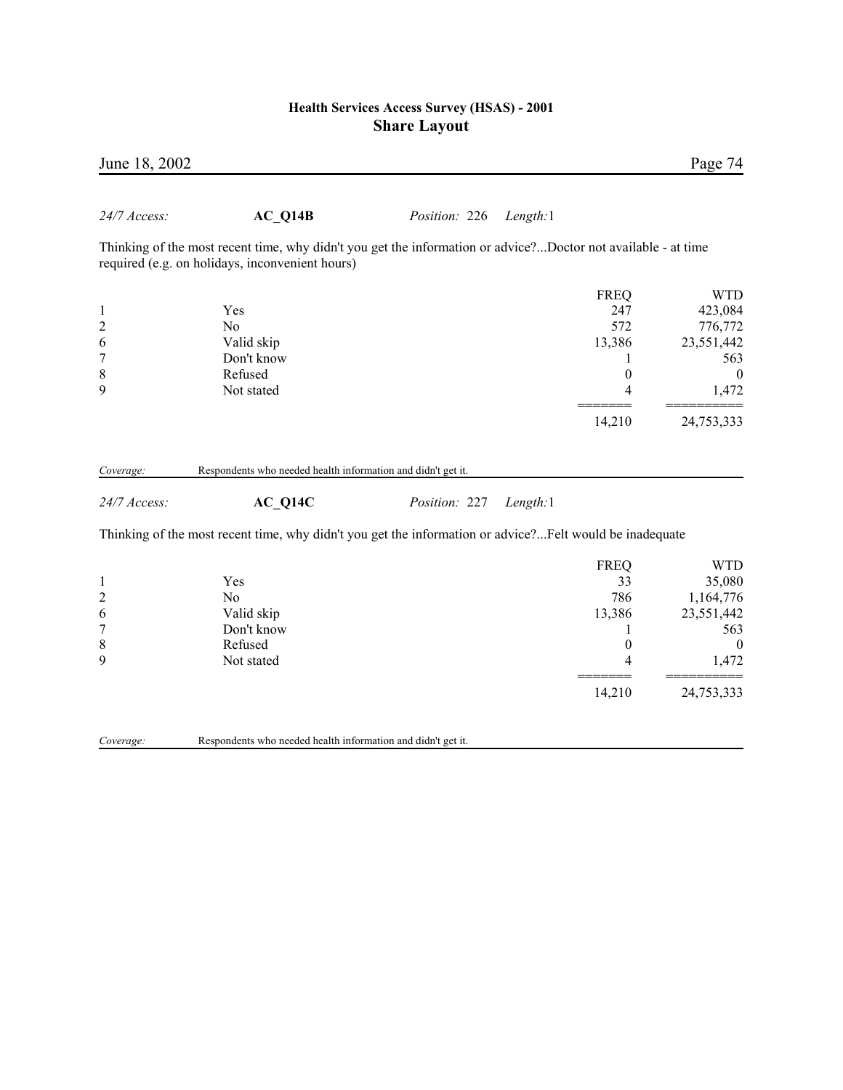| June 18, 2002             |                                                                                                                                                                  |               |          |                  | Page 74          |
|---------------------------|------------------------------------------------------------------------------------------------------------------------------------------------------------------|---------------|----------|------------------|------------------|
| 24/7 Access:              | $AC_Q14B$                                                                                                                                                        | Position: 226 | Length:1 |                  |                  |
|                           | Thinking of the most recent time, why didn't you get the information or advice?Doctor not available - at time<br>required (e.g. on holidays, inconvenient hours) |               |          |                  |                  |
|                           |                                                                                                                                                                  |               |          | <b>FREQ</b>      | <b>WTD</b>       |
| $\mathbf{1}$              | Yes                                                                                                                                                              |               |          | 247              | 423,084          |
| $\overline{c}$            | N <sub>0</sub>                                                                                                                                                   |               |          | 572              | 776,772          |
| 6                         | Valid skip                                                                                                                                                       |               |          | 13,386           | 23,551,442       |
| 7                         | Don't know                                                                                                                                                       |               |          | 1                | 563              |
| 8                         | Refused                                                                                                                                                          |               |          | $\boldsymbol{0}$ | $\boldsymbol{0}$ |
| 9                         | Not stated                                                                                                                                                       |               |          | 4                | 1,472            |
|                           |                                                                                                                                                                  |               |          | 14,210           | 24,753,333       |
| Coverage:<br>24/7 Access: | Respondents who needed health information and didn't get it.<br>$AC_Q14C$                                                                                        | Position: 227 | Length:1 |                  |                  |
|                           | Thinking of the most recent time, why didn't you get the information or advice?Felt would be inadequate                                                          |               |          |                  |                  |
|                           |                                                                                                                                                                  |               |          | <b>FREQ</b>      | <b>WTD</b>       |
| $\mathbf{1}$              | Yes                                                                                                                                                              |               |          | 33               | 35,080           |
| $\overline{c}$            | N <sub>0</sub>                                                                                                                                                   |               |          | 786              | 1,164,776        |
| 6                         | Valid skip                                                                                                                                                       |               |          | 13,386           | 23,551,442       |
| $\overline{7}$            | Don't know                                                                                                                                                       |               |          | 1                | 563              |
| $\,$ 8 $\,$               | Refused                                                                                                                                                          |               |          | $\boldsymbol{0}$ | $\theta$         |
| 9                         | Not stated                                                                                                                                                       |               |          | 4                | 1,472            |
|                           |                                                                                                                                                                  |               |          | 14,210           | 24,753,333       |
|                           |                                                                                                                                                                  |               |          |                  |                  |

*Coverage:* Respondents who needed health information and didn't get it.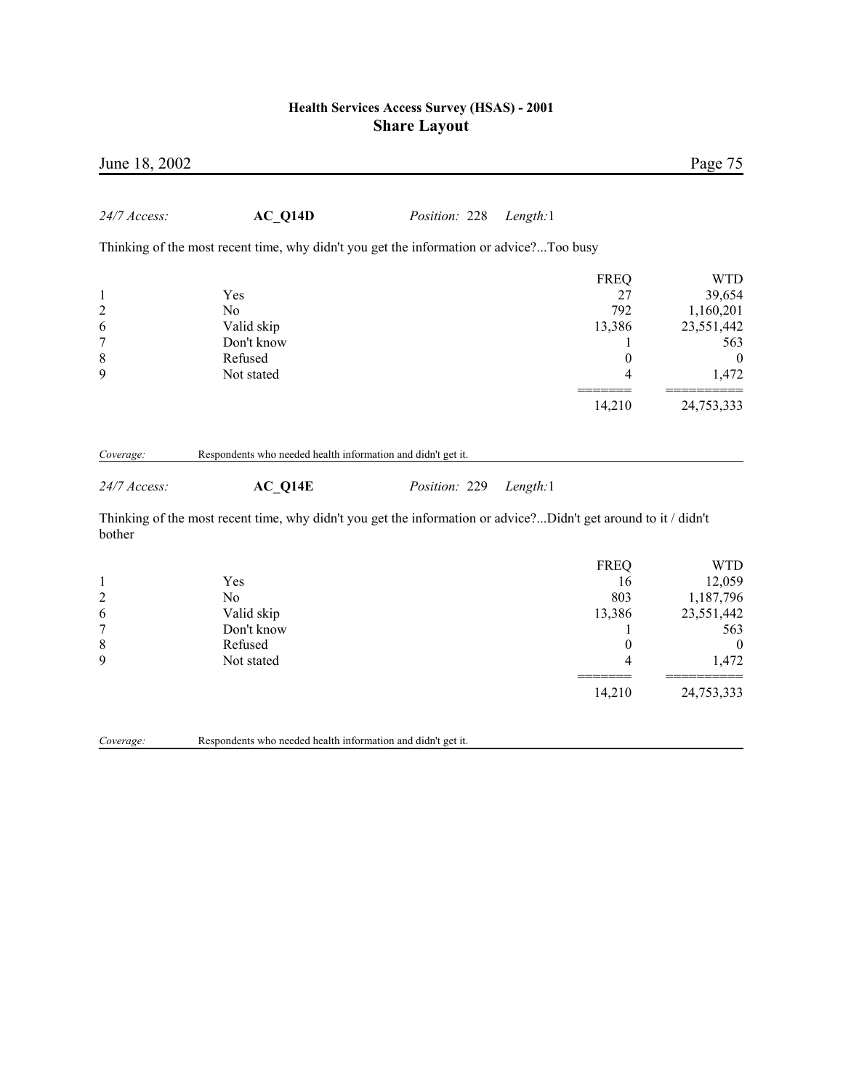| June 18, 2002                                                     |                                                                                                                 |               |          |                                                                          | Page 75                                                                                           |
|-------------------------------------------------------------------|-----------------------------------------------------------------------------------------------------------------|---------------|----------|--------------------------------------------------------------------------|---------------------------------------------------------------------------------------------------|
| 24/7 Access:                                                      | AC Q14D                                                                                                         | Position: 228 | Length:1 |                                                                          |                                                                                                   |
|                                                                   | Thinking of the most recent time, why didn't you get the information or advice?Too busy                         |               |          |                                                                          |                                                                                                   |
| $\mathbf{1}$<br>$\overline{c}$<br>6<br>$\boldsymbol{7}$<br>8<br>9 | Yes<br>N <sub>o</sub><br>Valid skip<br>Don't know<br>Refused<br>Not stated                                      |               |          | <b>FREQ</b><br>27<br>792<br>13,386<br>$\boldsymbol{0}$<br>4              | <b>WTD</b><br>39,654<br>1,160,201<br>23,551,442<br>563<br>$\boldsymbol{0}$<br>1,472               |
|                                                                   |                                                                                                                 |               |          | 14,210                                                                   | 24,753,333                                                                                        |
| Coverage:                                                         | Respondents who needed health information and didn't get it.                                                    |               |          |                                                                          |                                                                                                   |
| 24/7 Access:                                                      | AC Q14E                                                                                                         | Position: 229 | Length:1 |                                                                          |                                                                                                   |
| bother                                                            | Thinking of the most recent time, why didn't you get the information or advice?Didn't get around to it / didn't |               |          |                                                                          |                                                                                                   |
| $\mathbf{1}$<br>$\overline{c}$<br>6<br>$\overline{7}$<br>8<br>9   | Yes<br>No<br>Valid skip<br>Don't know<br>Refused<br>Not stated                                                  |               |          | <b>FREQ</b><br>16<br>803<br>13,386<br>1<br>$\overline{0}$<br>4<br>14,210 | <b>WTD</b><br>12,059<br>1,187,796<br>23,551,442<br>563<br>$\boldsymbol{0}$<br>1,472<br>24,753,333 |

*Coverage:* Respondents who needed health information and didn't get it.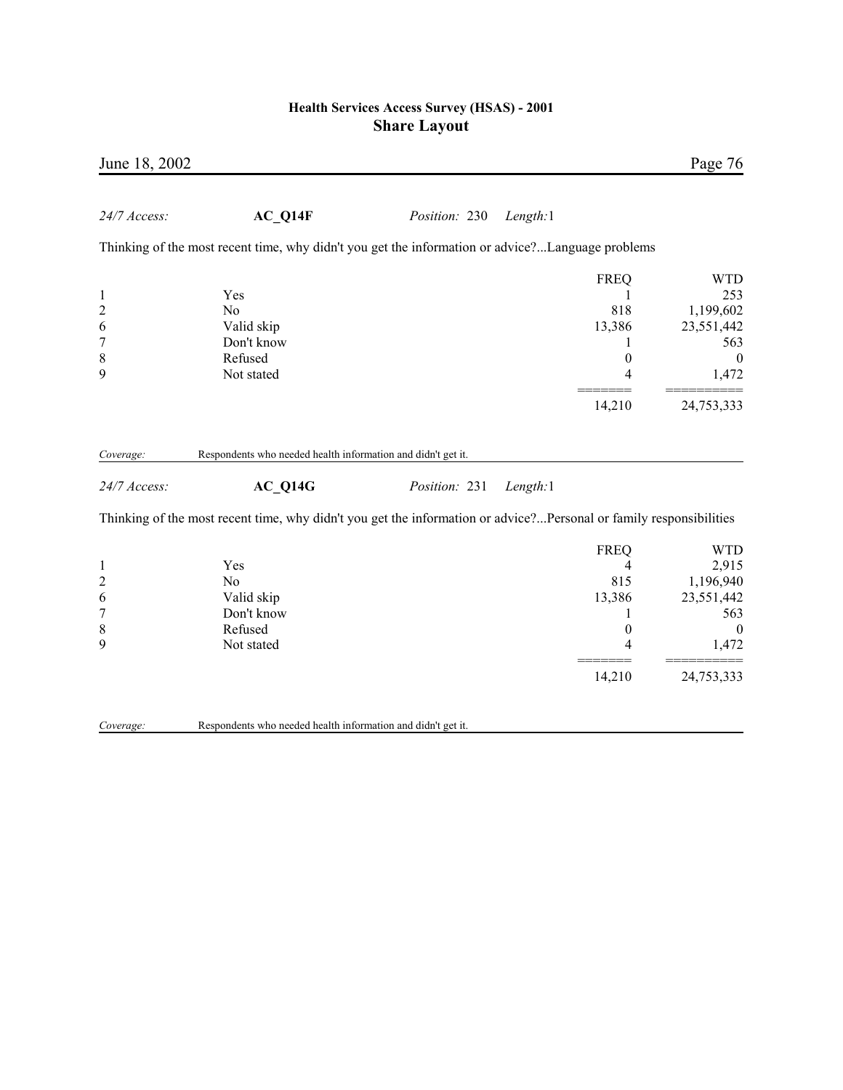| June 18, 2002             |                                                                                                                    |               |          |                  | Page 76          |
|---------------------------|--------------------------------------------------------------------------------------------------------------------|---------------|----------|------------------|------------------|
| 24/7 Access:              | AC Q14F                                                                                                            | Position: 230 | Length:1 |                  |                  |
|                           | Thinking of the most recent time, why didn't you get the information or advice?Language problems                   |               |          |                  |                  |
|                           |                                                                                                                    |               |          | <b>FREQ</b>      | <b>WTD</b>       |
| $\mathbf{1}$              | Yes                                                                                                                |               |          | 1                | 253              |
| $\overline{\mathbf{c}}$   | N <sub>0</sub>                                                                                                     |               |          | 818              | 1,199,602        |
| 6                         | Valid skip                                                                                                         |               |          | 13,386           | 23,551,442       |
| 7                         | Don't know                                                                                                         |               |          | 1                | 563              |
| 8                         | Refused                                                                                                            |               |          | $\boldsymbol{0}$ | $\boldsymbol{0}$ |
| 9                         | Not stated                                                                                                         |               |          | 4                | 1,472            |
|                           |                                                                                                                    |               |          | 14,210           | 24,753,333       |
| Coverage:<br>24/7 Access: | Respondents who needed health information and didn't get it.<br>AC Q14G                                            | Position: 231 | Length:1 |                  |                  |
|                           | Thinking of the most recent time, why didn't you get the information or advice?Personal or family responsibilities |               |          |                  |                  |
|                           |                                                                                                                    |               |          | <b>FREQ</b>      | <b>WTD</b>       |
| $\mathbf{1}$              | Yes                                                                                                                |               |          | $\overline{4}$   | 2,915            |
| $\overline{c}$            | No                                                                                                                 |               |          | 815              | 1,196,940        |
| 6                         | Valid skip                                                                                                         |               |          | 13,386           | 23,551,442       |
| 7                         | Don't know                                                                                                         |               |          | 1                | 563              |
| 8                         | Refused                                                                                                            |               |          | $\boldsymbol{0}$ | $\boldsymbol{0}$ |
| 9                         | Not stated                                                                                                         |               |          | 4                | 1,472            |
|                           |                                                                                                                    |               |          | 14,210           | 24,753,333       |
| Coverage:                 | Respondents who needed health information and didn't get it.                                                       |               |          |                  |                  |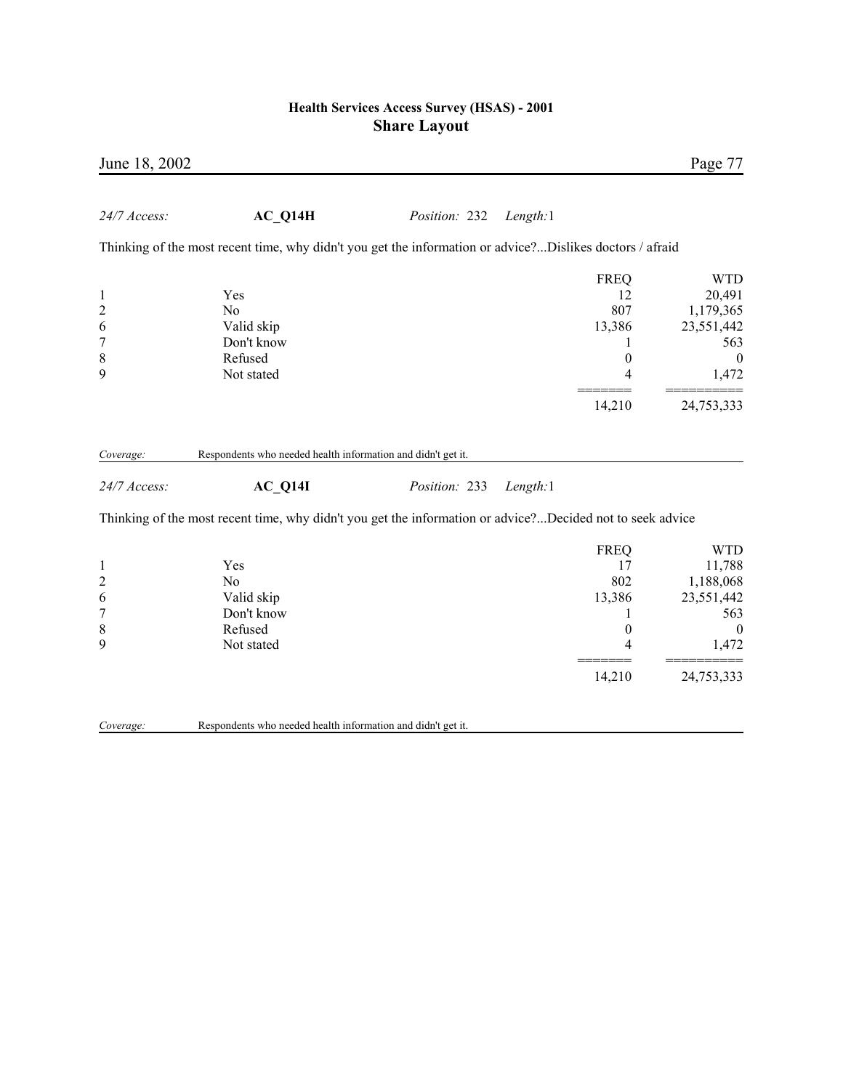| June 18, 2002                                                            |                                                                                                                                                                                      |               |          |                                                                            | Page 77                                                                                           |
|--------------------------------------------------------------------------|--------------------------------------------------------------------------------------------------------------------------------------------------------------------------------------|---------------|----------|----------------------------------------------------------------------------|---------------------------------------------------------------------------------------------------|
| 24/7 Access:                                                             | AC Q14H                                                                                                                                                                              | Position: 232 | Length:1 |                                                                            |                                                                                                   |
|                                                                          | Thinking of the most recent time, why didn't you get the information or advice?Dislikes doctors / afraid                                                                             |               |          |                                                                            |                                                                                                   |
| $\mathbf{1}$<br>$\overline{c}$<br>6<br>$\overline{7}$<br>8<br>9          | Yes<br>No<br>Valid skip<br>Don't know<br>Refused<br>Not stated                                                                                                                       |               |          | <b>FREQ</b><br>12<br>807<br>13,386<br>1<br>$\overline{0}$<br>4             | <b>WTD</b><br>20,491<br>1,179,365<br>23,551,442<br>563<br>$\boldsymbol{0}$<br>1,472               |
|                                                                          |                                                                                                                                                                                      |               |          | 14,210                                                                     | 24,753,333                                                                                        |
| Coverage:<br>24/7 Access:                                                | Respondents who needed health information and didn't get it.<br>AC Q14I<br>Thinking of the most recent time, why didn't you get the information or advice?Decided not to seek advice | Position: 233 | Length:1 |                                                                            |                                                                                                   |
| $\mathbf{1}$<br>$\overline{\mathbf{c}}$<br>6<br>$\overline{7}$<br>8<br>9 | Yes<br>No<br>Valid skip<br>Don't know<br>Refused<br>Not stated                                                                                                                       |               |          | <b>FREQ</b><br>17<br>802<br>13,386<br>1<br>$\boldsymbol{0}$<br>4<br>14,210 | <b>WTD</b><br>11,788<br>1,188,068<br>23,551,442<br>563<br>$\boldsymbol{0}$<br>1,472<br>24,753,333 |
| Coverage:                                                                | Respondents who needed health information and didn't get it.                                                                                                                         |               |          |                                                                            |                                                                                                   |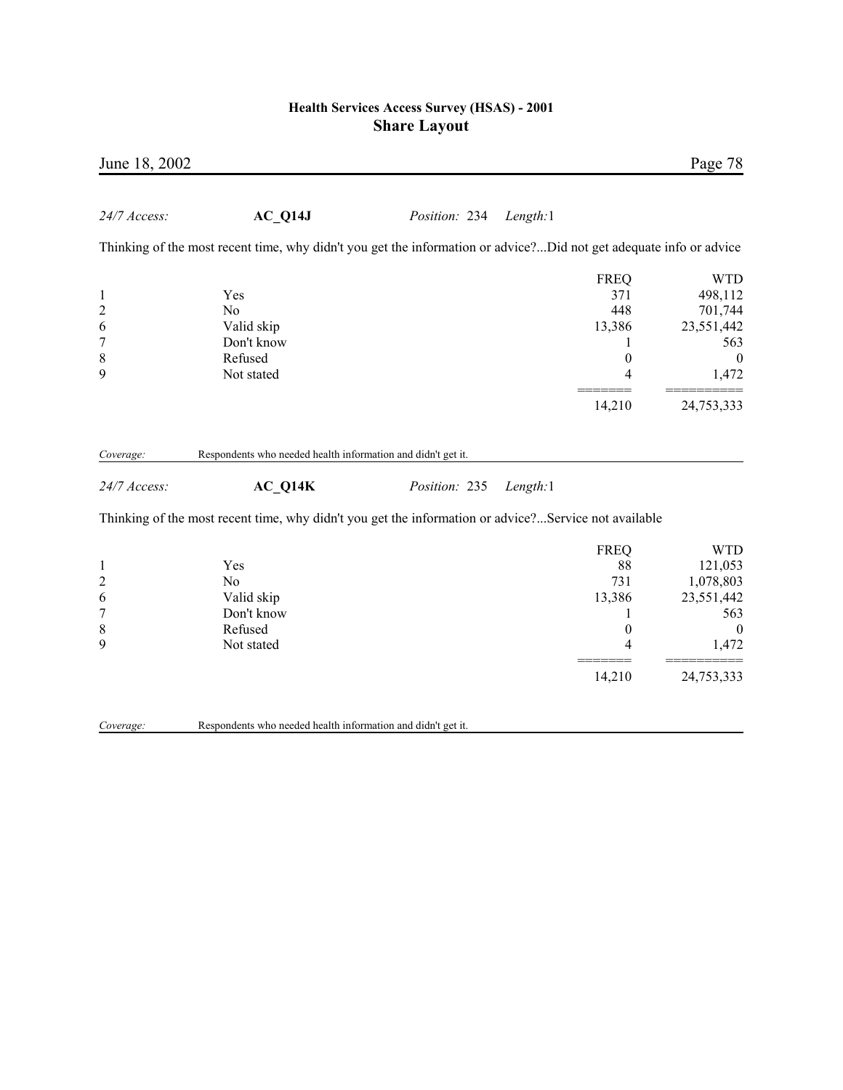| June 18, 2002                                 |                                                                                                                    |               |          |                                                              | Page 78                                                                   |
|-----------------------------------------------|--------------------------------------------------------------------------------------------------------------------|---------------|----------|--------------------------------------------------------------|---------------------------------------------------------------------------|
| 24/7 Access:                                  | AC Q14J                                                                                                            | Position: 234 | Length:1 |                                                              |                                                                           |
|                                               | Thinking of the most recent time, why didn't you get the information or advice?Did not get adequate info or advice |               |          |                                                              |                                                                           |
| $\mathbf{1}$<br>$\overline{c}$<br>6<br>7<br>8 | Yes<br>N <sub>o</sub><br>Valid skip<br>Don't know<br>Refused                                                       |               |          | <b>FREQ</b><br>371<br>448<br>13,386<br>1<br>$\boldsymbol{0}$ | <b>WTD</b><br>498,112<br>701,744<br>23,551,442<br>563<br>$\boldsymbol{0}$ |
| 9                                             | Not stated                                                                                                         |               |          | 4                                                            | 1,472                                                                     |
|                                               |                                                                                                                    |               |          | 14,210                                                       | 24,753,333                                                                |
| Coverage:                                     | Respondents who needed health information and didn't get it.                                                       |               |          |                                                              |                                                                           |
| 24/7 Access:                                  | $AC_Q14K$                                                                                                          | Position: 235 | Length:1 |                                                              |                                                                           |
|                                               | Thinking of the most recent time, why didn't you get the information or advice?Service not available               |               |          |                                                              |                                                                           |
|                                               | Yes                                                                                                                |               |          | <b>FREQ</b><br>88                                            | <b>WTD</b>                                                                |
| $\mathbf{1}$<br>$\overline{c}$                | N <sub>0</sub>                                                                                                     |               |          | 731                                                          | 121,053<br>1,078,803                                                      |
| 6                                             | Valid skip                                                                                                         |               |          | 13,386                                                       | 23,551,442                                                                |
| 7                                             | Don't know                                                                                                         |               |          | 1                                                            | 563                                                                       |
| 8                                             | Refused                                                                                                            |               |          | $\boldsymbol{0}$                                             | $\boldsymbol{0}$                                                          |
| 9                                             | Not stated                                                                                                         |               |          | 4                                                            | 1,472                                                                     |
|                                               |                                                                                                                    |               |          | 14,210                                                       | 24,753,333                                                                |
| Coverage:                                     | Respondents who needed health information and didn't get it.                                                       |               |          |                                                              |                                                                           |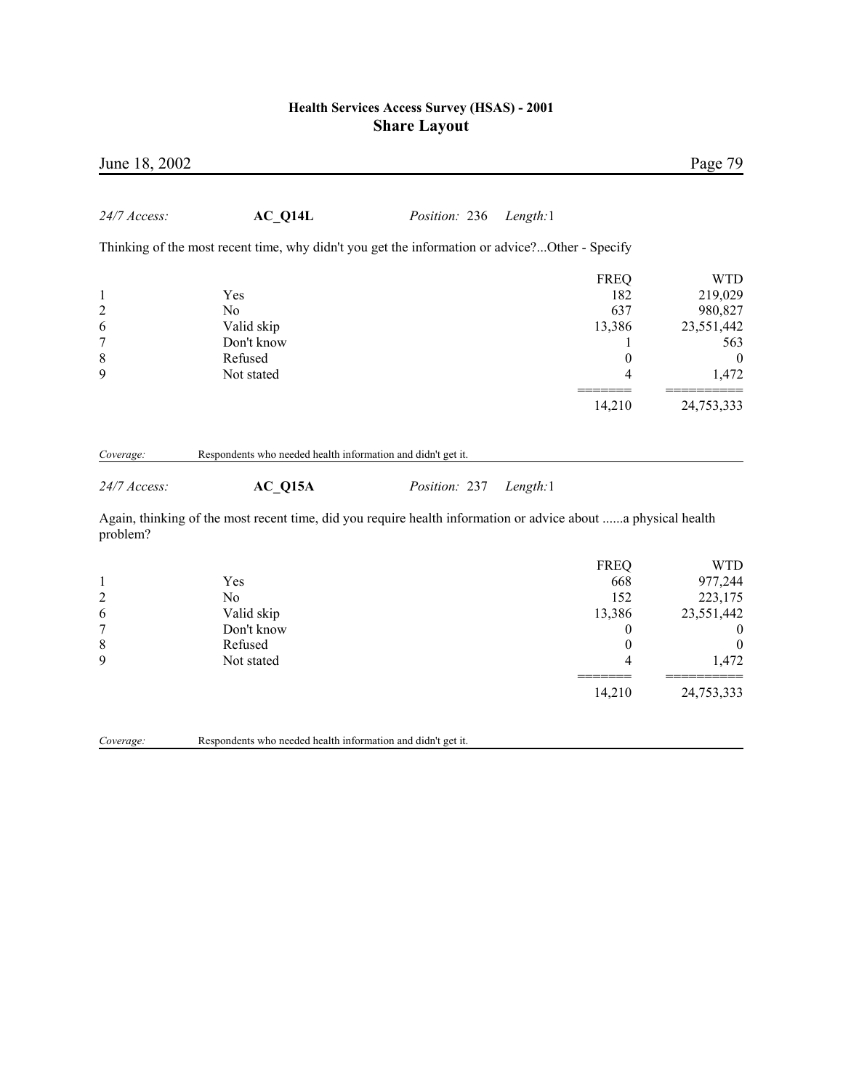| June 18, 2002                                    |                                                                                                               |               |                                                                                            | Page 79                                                                                                     |
|--------------------------------------------------|---------------------------------------------------------------------------------------------------------------|---------------|--------------------------------------------------------------------------------------------|-------------------------------------------------------------------------------------------------------------|
| 24/7 Access:                                     | AC Q14L                                                                                                       | Position: 236 | Length:1                                                                                   |                                                                                                             |
|                                                  | Thinking of the most recent time, why didn't you get the information or advice?Other - Specify                |               |                                                                                            |                                                                                                             |
| 1<br>$\overline{\mathbf{c}}$<br>6<br>7<br>8<br>9 | Yes<br>N <sub>0</sub><br>Valid skip<br>Don't know<br>Refused<br>Not stated                                    |               | <b>FREQ</b><br>182<br>637<br>13,386<br>$\boldsymbol{0}$<br>4                               | <b>WTD</b><br>219,029<br>980,827<br>23,551,442<br>563<br>$\boldsymbol{0}$<br>1,472                          |
|                                                  |                                                                                                               |               | 14,210                                                                                     | 24,753,333                                                                                                  |
| Coverage:<br>24/7 Access:                        | Respondents who needed health information and didn't get it.<br>$AC_Q15A$                                     | Position: 237 | Length:1                                                                                   |                                                                                                             |
| problem?                                         | Again, thinking of the most recent time, did you require health information or advice about a physical health |               |                                                                                            |                                                                                                             |
| 1<br>$\overline{\mathbf{c}}$<br>6<br>7<br>8<br>9 | Yes<br>N <sub>0</sub><br>Valid skip<br>Don't know<br>Refused<br>Not stated                                    |               | <b>FREQ</b><br>668<br>152<br>13,386<br>$\boldsymbol{0}$<br>$\boldsymbol{0}$<br>4<br>14,210 | <b>WTD</b><br>977,244<br>223,175<br>23,551,442<br>$\boldsymbol{0}$<br>$\overline{0}$<br>1,472<br>24,753,333 |

*Coverage:* Respondents who needed health information and didn't get it.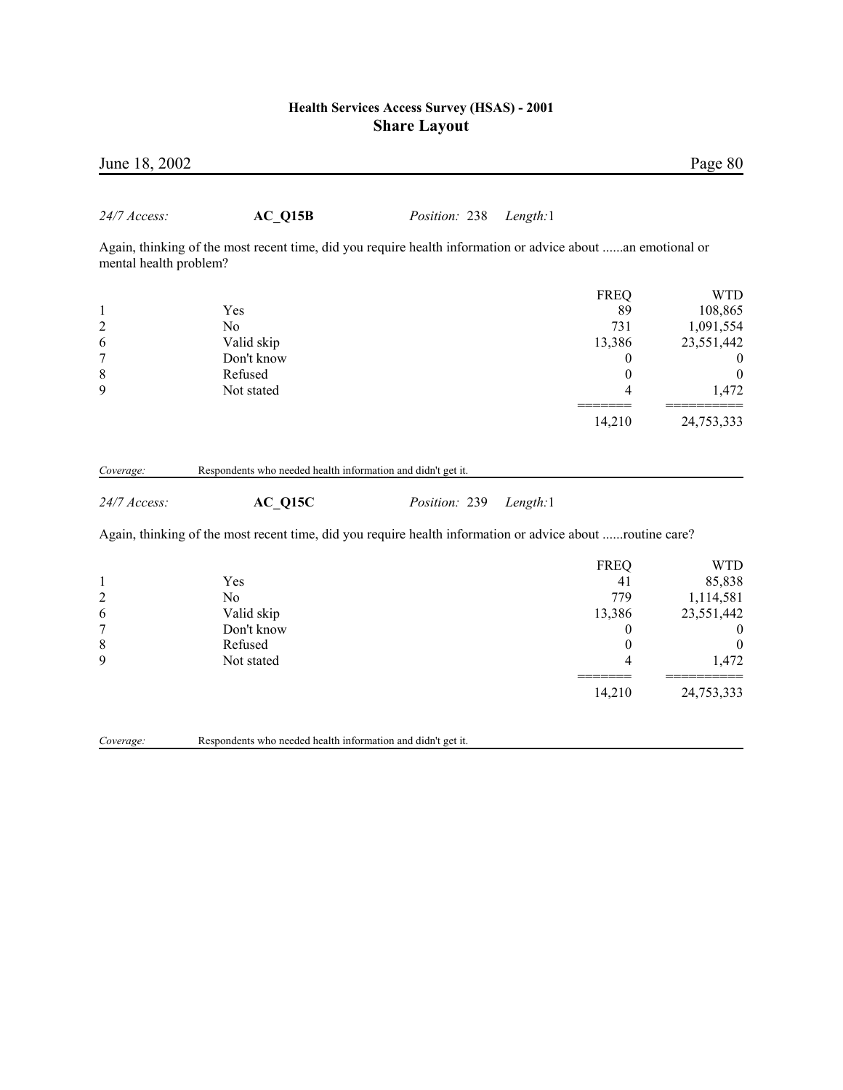| June 18, 2002             |                                                                                                             |               |          |                  | Page 80          |
|---------------------------|-------------------------------------------------------------------------------------------------------------|---------------|----------|------------------|------------------|
| 24/7 Access:              | $AC_Q15B$                                                                                                   | Position: 238 | Length:1 |                  |                  |
| mental health problem?    | Again, thinking of the most recent time, did you require health information or advice about an emotional or |               |          |                  |                  |
|                           |                                                                                                             |               |          | <b>FREQ</b>      | <b>WTD</b>       |
| $\mathbf{1}$              | Yes                                                                                                         |               |          | 89               | 108,865          |
| $\overline{c}$            | N <sub>0</sub>                                                                                              |               |          | 731              | 1,091,554        |
| 6                         | Valid skip                                                                                                  |               |          | 13,386           | 23,551,442       |
| 7                         | Don't know                                                                                                  |               |          | $\overline{0}$   | $\theta$         |
| 8                         | Refused                                                                                                     |               |          | $\boldsymbol{0}$ | $\boldsymbol{0}$ |
| 9                         | Not stated                                                                                                  |               |          | 4                | 1,472            |
|                           |                                                                                                             |               |          | 14,210           | 24,753,333       |
| Coverage:<br>24/7 Access: | Respondents who needed health information and didn't get it.<br>AC Q15C                                     | Position: 239 | Length:1 |                  |                  |
|                           | Again, thinking of the most recent time, did you require health information or advice about routine care?   |               |          |                  |                  |
|                           |                                                                                                             |               |          | <b>FREQ</b>      | <b>WTD</b>       |
| $\mathbf{1}$              | Yes                                                                                                         |               |          | 41               | 85,838           |
| $\overline{\mathbf{c}}$   | No                                                                                                          |               |          | 779              | 1,114,581        |
| 6                         | Valid skip                                                                                                  |               |          | 13,386           | 23,551,442       |
| $\overline{7}$            | Don't know                                                                                                  |               |          | $\boldsymbol{0}$ | $\boldsymbol{0}$ |
| 8                         | Refused                                                                                                     |               |          | $\boldsymbol{0}$ | $\boldsymbol{0}$ |
| 9                         | Not stated                                                                                                  |               |          | 4                | 1,472            |
|                           |                                                                                                             |               |          | 14,210           | 24,753,333       |
|                           |                                                                                                             |               |          |                  |                  |

**Coverage:** Respondents who needed health information and didn't get it.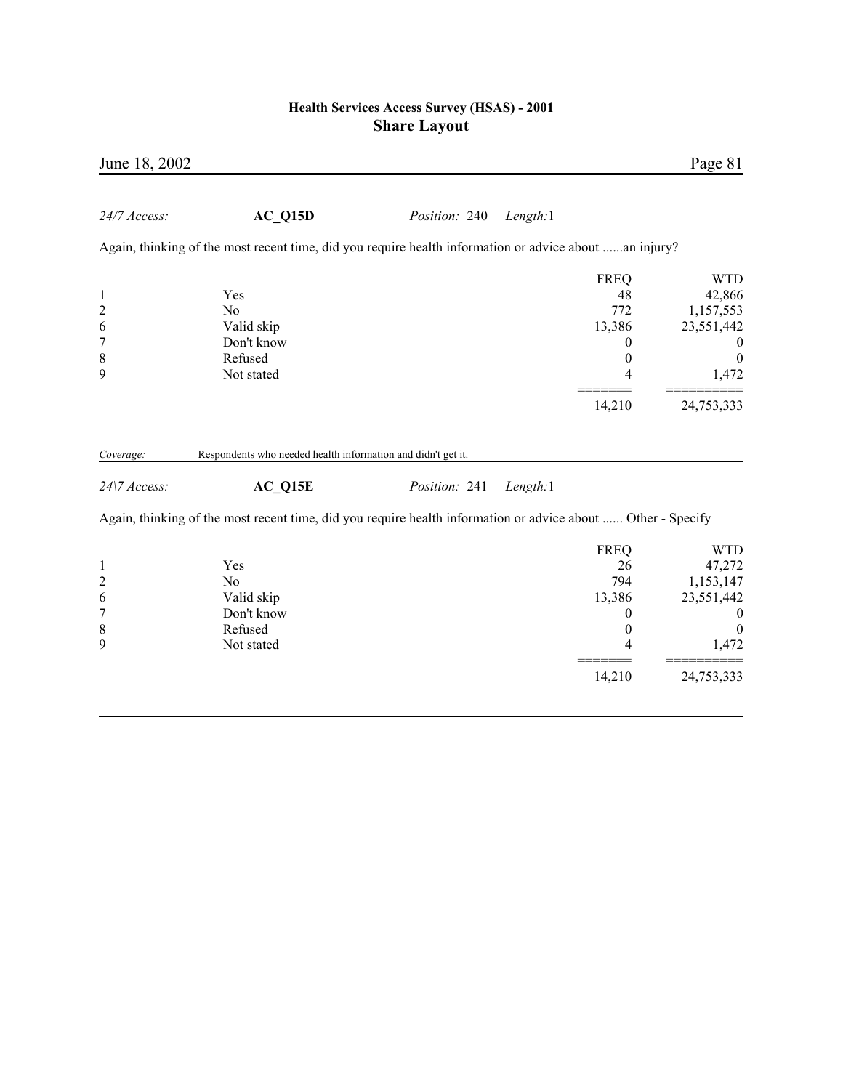| June 18, 2002             |                                                                                                              |               |          |             | Page 81          |
|---------------------------|--------------------------------------------------------------------------------------------------------------|---------------|----------|-------------|------------------|
| 24/7 Access:              | $AC_Q15D$                                                                                                    | Position: 240 | Length:1 |             |                  |
|                           | Again, thinking of the most recent time, did you require health information or advice about an injury?       |               |          |             |                  |
|                           |                                                                                                              |               |          | <b>FREQ</b> | <b>WTD</b>       |
| $\mathbf{1}$              | Yes                                                                                                          |               |          | 48          | 42,866           |
| $\overline{c}$            | N <sub>o</sub>                                                                                               |               |          | 772         | 1,157,553        |
| 6                         | Valid skip                                                                                                   |               |          | 13,386      | 23,551,442       |
| 7                         | Don't know                                                                                                   |               |          | 0           | $\boldsymbol{0}$ |
| 8                         | Refused                                                                                                      |               |          | $\theta$    | $\boldsymbol{0}$ |
| 9                         | Not stated                                                                                                   |               |          | 4           | 1,472            |
|                           |                                                                                                              |               |          | 14,210      | 24,753,333       |
| Coverage:<br>24\7 Access: | Respondents who needed health information and didn't get it.<br>AC Q15E                                      | Position: 241 | Length:1 |             |                  |
|                           | Again, thinking of the most recent time, did you require health information or advice about  Other - Specify |               |          |             |                  |
|                           |                                                                                                              |               |          | <b>FREQ</b> | <b>WTD</b>       |
| $\mathbf{1}$              | Yes                                                                                                          |               |          | 26          | 47,272           |
| $\overline{c}$            | N <sub>o</sub>                                                                                               |               |          | 794         | 1,153,147        |
| 6                         | Valid skip                                                                                                   |               |          | 13,386      | 23,551,442       |
| 7                         | Don't know                                                                                                   |               |          | 0           | $\boldsymbol{0}$ |
| 8                         | Refused                                                                                                      |               |          | $\theta$    | $\boldsymbol{0}$ |
| 9                         | Not stated                                                                                                   |               |          | 4           | 1,472            |
|                           |                                                                                                              |               |          | 14,210      | 24,753,333       |
|                           |                                                                                                              |               |          |             |                  |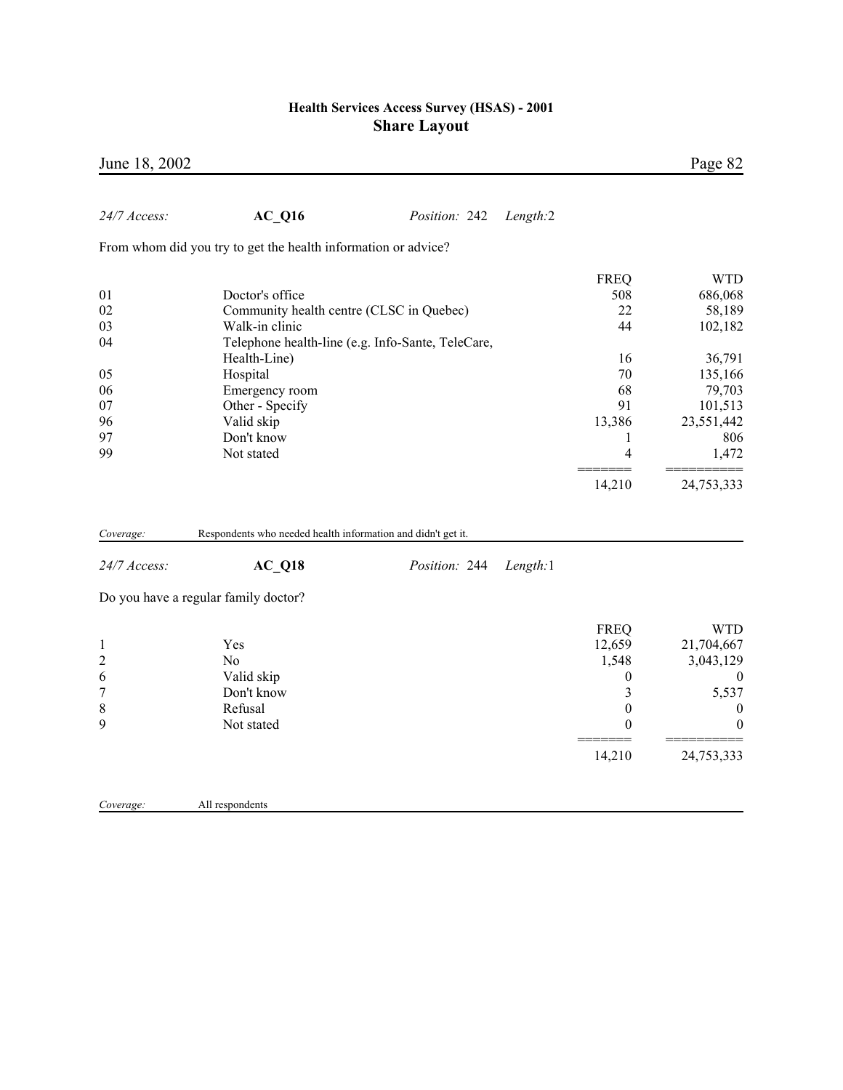| June 18, 2002       |                                                                |                                                   |          |                       | Page 82               |
|---------------------|----------------------------------------------------------------|---------------------------------------------------|----------|-----------------------|-----------------------|
| 24/7 Access:        | $AC_Q16$                                                       | Position: 242                                     | Length:2 |                       |                       |
|                     | From whom did you try to get the health information or advice? |                                                   |          |                       |                       |
|                     |                                                                |                                                   |          | <b>FREQ</b>           | <b>WTD</b>            |
| 01                  | Doctor's office                                                |                                                   |          | 508                   | 686,068               |
| 02                  | Community health centre (CLSC in Quebec)                       |                                                   |          | 22                    | 58,189                |
| 03                  | Walk-in clinic                                                 |                                                   |          | 44                    | 102,182               |
| 04                  |                                                                | Telephone health-line (e.g. Info-Sante, TeleCare, |          |                       |                       |
|                     | Health-Line)                                                   |                                                   |          | 16                    | 36,791                |
| 05                  | Hospital                                                       |                                                   |          | 70                    | 135,166               |
| 06                  | Emergency room                                                 |                                                   |          | 68                    | 79,703                |
| 07                  | Other - Specify                                                |                                                   |          | 91                    | 101,513               |
| 96                  | Valid skip                                                     |                                                   |          | 13,386                | 23,551,442            |
| 97                  | Don't know                                                     |                                                   |          | $\mathbf{1}$          | 806                   |
| 99                  | Not stated                                                     |                                                   |          | 4                     | 1,472                 |
|                     |                                                                |                                                   |          | 14,210                | 24,753,333            |
| Coverage:           | Respondents who needed health information and didn't get it.   |                                                   |          |                       |                       |
| 24/7 Access:        | $AC_Q18$                                                       | Position: 244                                     | Length:1 |                       |                       |
|                     | Do you have a regular family doctor?                           |                                                   |          |                       |                       |
|                     |                                                                |                                                   |          |                       |                       |
|                     |                                                                |                                                   |          | <b>FREQ</b>           | <b>WTD</b>            |
| $\mathbf{1}$        | Yes                                                            |                                                   |          | 12,659                | 21,704,667            |
| $\overline{c}$      | N <sub>o</sub>                                                 |                                                   |          | 1,548                 | 3,043,129             |
| 6                   | Valid skip<br>Don't know                                       |                                                   |          | $\boldsymbol{0}$<br>3 | $\boldsymbol{0}$      |
| $\overline{7}$<br>8 | Refusal                                                        |                                                   |          | $\boldsymbol{0}$      | 5,537                 |
| 9                   | Not stated                                                     |                                                   |          | $\boldsymbol{0}$      | 0<br>$\boldsymbol{0}$ |
|                     |                                                                |                                                   |          | 14,210                | 24,753,333            |
|                     |                                                                |                                                   |          |                       |                       |
| Coverage:           | All respondents                                                |                                                   |          |                       |                       |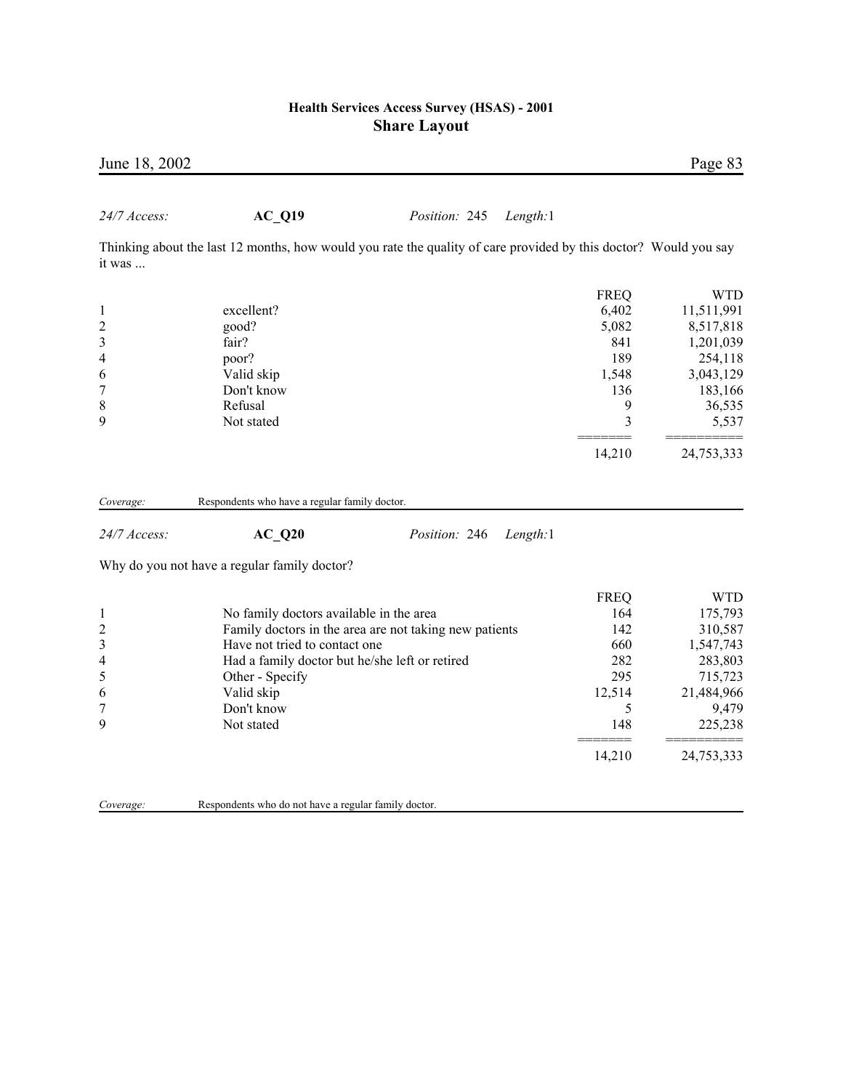| June 18, 2002             |                                                                                                                  |                                                        |          |                    | Page 83              |
|---------------------------|------------------------------------------------------------------------------------------------------------------|--------------------------------------------------------|----------|--------------------|----------------------|
| 24/7 Access:              | <b>AC Q19</b>                                                                                                    | Position: 245                                          | Length:1 |                    |                      |
|                           | Thinking about the last 12 months, how would you rate the quality of care provided by this doctor? Would you say |                                                        |          |                    |                      |
| it was                    |                                                                                                                  |                                                        |          |                    |                      |
|                           |                                                                                                                  |                                                        |          | <b>FREQ</b>        | <b>WTD</b>           |
| 1                         | excellent?                                                                                                       |                                                        |          | 6,402              | 11,511,991           |
|                           | good?                                                                                                            |                                                        |          | 5,082              | 8,517,818            |
| $\frac{2}{3}$             | fair?                                                                                                            |                                                        |          | 841                | 1,201,039            |
| 4                         | poor?                                                                                                            |                                                        |          | 189                | 254,118              |
| 6                         | Valid skip                                                                                                       |                                                        |          | 1,548              | 3,043,129            |
| 7                         | Don't know                                                                                                       |                                                        |          | 136                | 183,166              |
| 8                         | Refusal                                                                                                          |                                                        |          | 9                  | 36,535               |
| 9                         | Not stated                                                                                                       |                                                        |          | 3                  | 5,537                |
|                           |                                                                                                                  |                                                        |          | 14,210             | 24,753,333           |
|                           |                                                                                                                  |                                                        |          |                    |                      |
| Coverage:<br>24/7 Access: | Respondents who have a regular family doctor.<br><b>AC Q20</b>                                                   | Position: 246                                          | Length:1 |                    |                      |
|                           | Why do you not have a regular family doctor?                                                                     |                                                        |          |                    |                      |
|                           |                                                                                                                  |                                                        |          |                    |                      |
|                           |                                                                                                                  |                                                        |          | <b>FREQ</b><br>164 | <b>WTD</b>           |
|                           | No family doctors available in the area                                                                          |                                                        |          | 142                | 175,793              |
| 1                         | Have not tried to contact one                                                                                    | Family doctors in the area are not taking new patients |          | 660                | 310,587<br>1,547,743 |
|                           | Had a family doctor but he/she left or retired                                                                   |                                                        |          | 282                | 283,803              |
| 2<br>3<br>4<br>5          | Other - Specify                                                                                                  |                                                        |          | 295                | 715,723              |
| 6                         | Valid skip                                                                                                       |                                                        |          | 12,514             | 21,484,966           |
| 7                         | Don't know                                                                                                       |                                                        |          | 5                  | 9,479                |
| 9                         | Not stated                                                                                                       |                                                        |          | 148                | 225,238              |

*Coverage:* Respondents who do not have a regular family doctor.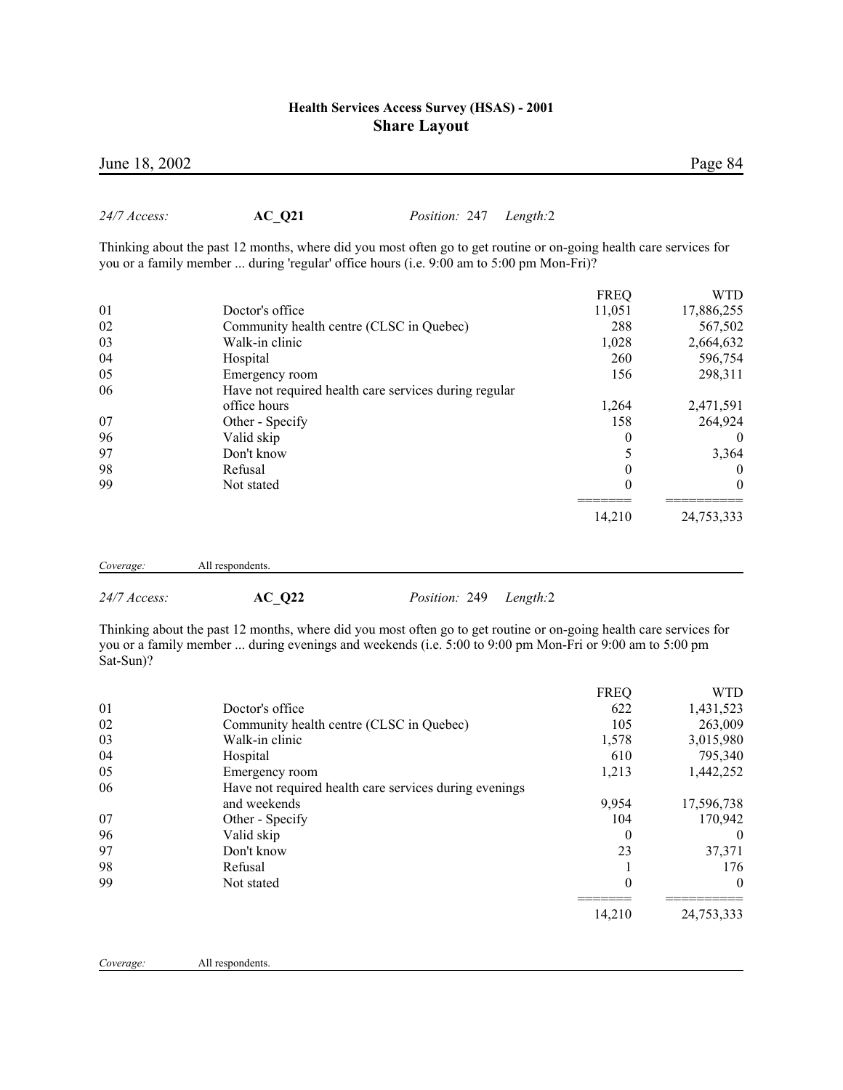|    |                                                       | <b>FREQ</b> | WTD        |
|----|-------------------------------------------------------|-------------|------------|
| 01 | Doctor's office                                       | 11,051      | 17,886,255 |
| 02 | Community health centre (CLSC in Quebec)              | 288         | 567,502    |
| 03 | Walk-in clinic                                        | 1,028       | 2,664,632  |
| 04 | Hospital                                              | 260         | 596,754    |
| 05 | Emergency room                                        | 156         | 298,311    |
| 06 | Have not required health care services during regular |             |            |
|    | office hours                                          | 1,264       | 2,471,591  |
| 07 | Other - Specify                                       | 158         | 264,924    |
| 96 | Valid skip                                            | $\theta$    | $\theta$   |
| 97 | Don't know                                            |             | 3,364      |
| 98 | Refusal                                               |             | 0          |
| 99 | Not stated                                            | 0           | $\theta$   |
|    |                                                       | 14,210      | 24,753,333 |

*Coverage:* All respondents.

*24/7 Access:* **AC\_Q22** *Position:* 249 *Length:*2

Thinking about the past 12 months, where did you most often go to get routine or on-going health care services for you or a family member ... during evenings and weekends (i.e. 5:00 to 9:00 pm Mon-Fri or 9:00 am to 5:00 pm Sat-Sun)?

|    |                                                        | <b>FREQ</b> | <b>WTD</b> |
|----|--------------------------------------------------------|-------------|------------|
| 01 | Doctor's office                                        | 622         | 1,431,523  |
| 02 | Community health centre (CLSC in Quebec)               | 105         | 263,009    |
| 03 | Walk-in clinic                                         | 1,578       | 3,015,980  |
| 04 | Hospital                                               | 610         | 795,340    |
| 05 | Emergency room                                         | 1,213       | 1,442,252  |
| 06 | Have not required health care services during evenings |             |            |
|    | and weekends                                           | 9,954       | 17,596,738 |
| 07 | Other - Specify                                        | 104         | 170,942    |
| 96 | Valid skip                                             | 0           | $\theta$   |
| 97 | Don't know                                             | 23          | 37,371     |
| 98 | Refusal                                                |             | 176        |
| 99 | Not stated                                             | 0           | $\theta$   |
|    |                                                        | 14,210      | 24,753,333 |
|    |                                                        |             |            |

*24/7 Access:* **AC\_Q21** *Position:* 247 *Length:*2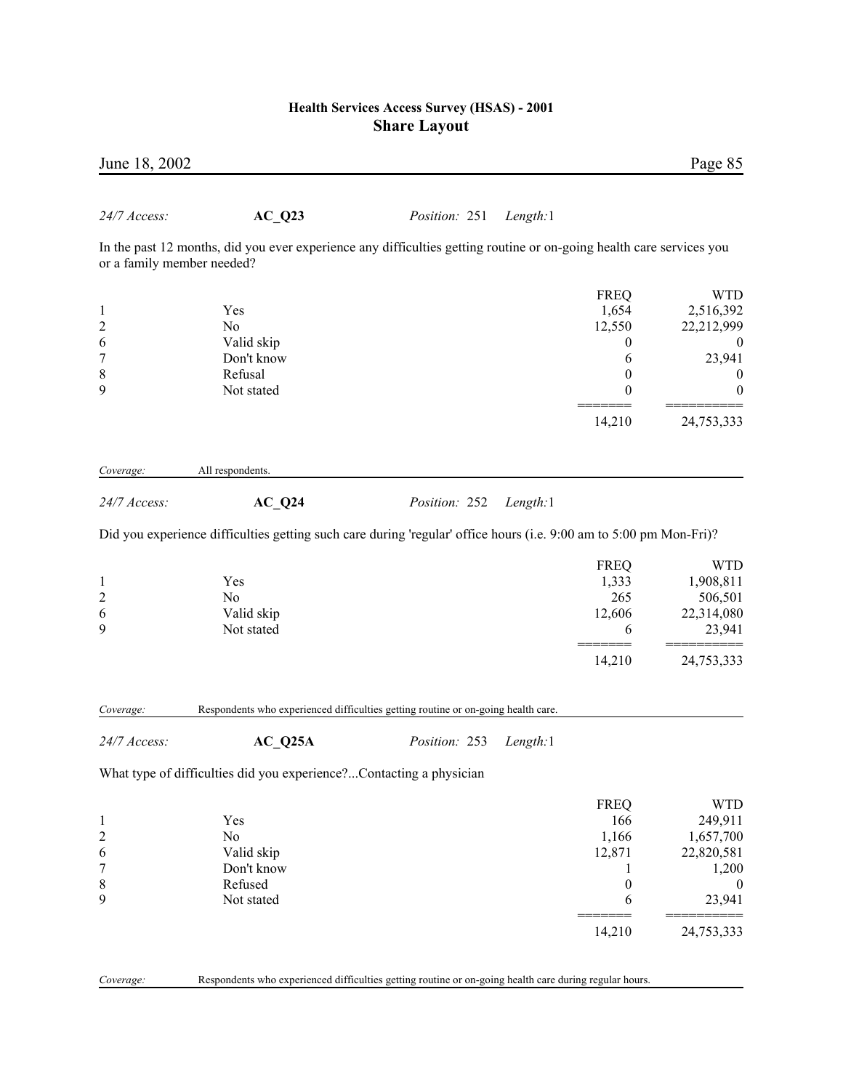| June 18, 2002                                     |                                                                                                                      |               |          |                                            | Page 85                                                    |
|---------------------------------------------------|----------------------------------------------------------------------------------------------------------------------|---------------|----------|--------------------------------------------|------------------------------------------------------------|
| 24/7 Access:                                      | $AC_Q23$                                                                                                             | Position: 251 | Length:1 |                                            |                                                            |
| or a family member needed?                        | In the past 12 months, did you ever experience any difficulties getting routine or on-going health care services you |               |          |                                            |                                                            |
| $\mathbf{1}$<br>$\sqrt{2}$                        | Yes<br>N <sub>0</sub>                                                                                                |               |          | <b>FREQ</b><br>1,654<br>12,550             | <b>WTD</b><br>2,516,392<br>22,212,999                      |
| 6<br>$\overline{7}$<br>$\,$ $\,$                  | Valid skip<br>Don't know<br>Refusal                                                                                  |               |          | 0<br>6<br>$\boldsymbol{0}$                 | $\boldsymbol{0}$<br>23,941<br>$\boldsymbol{0}$             |
| 9                                                 | Not stated                                                                                                           |               |          | $\boldsymbol{0}$<br>14,210                 | $\boldsymbol{0}$<br>24,753,333                             |
| Coverage:                                         | All respondents.                                                                                                     |               |          |                                            |                                                            |
| 24/7 Access:                                      | $AC_Q24$                                                                                                             | Position: 252 | Length:1 |                                            |                                                            |
|                                                   | Did you experience difficulties getting such care during 'regular' office hours (i.e. 9:00 am to 5:00 pm Mon-Fri)?   |               |          |                                            |                                                            |
| $\mathbf{1}$<br>$\overline{\mathbf{c}}$<br>6<br>9 | Yes<br>N <sub>0</sub><br>Valid skip<br>Not stated                                                                    |               |          | <b>FREQ</b><br>1,333<br>265<br>12,606<br>6 | <b>WTD</b><br>1,908,811<br>506,501<br>22,314,080<br>23,941 |
|                                                   |                                                                                                                      |               |          | 14,210                                     | 24,753,333                                                 |
| Coverage:                                         | Respondents who experienced difficulties getting routine or on-going health care.                                    |               |          |                                            |                                                            |
| 24/7 Access:                                      | $AC_Q25A$                                                                                                            | Position: 253 | Length:1 |                                            |                                                            |
|                                                   | What type of difficulties did you experience?Contacting a physician                                                  |               |          |                                            |                                                            |
| $\mathbf{1}$<br>$\overline{c}$                    | Yes<br>No                                                                                                            |               |          | <b>FREQ</b><br>166<br>1,166                | <b>WTD</b><br>249,911<br>1,657,700                         |
| 6<br>7<br>8                                       | Valid skip<br>Don't know<br>Refused                                                                                  |               |          | 12,871<br>1<br>$\boldsymbol{0}$            | 22,820,581<br>1,200<br>$\boldsymbol{0}$                    |
| 9                                                 | Not stated                                                                                                           |               |          | 6                                          | 23,941                                                     |
|                                                   |                                                                                                                      |               |          | 14,210                                     | 24,753,333                                                 |
| Coverage:                                         | Respondents who experienced difficulties getting routine or on-going health care during regular hours.               |               |          |                                            |                                                            |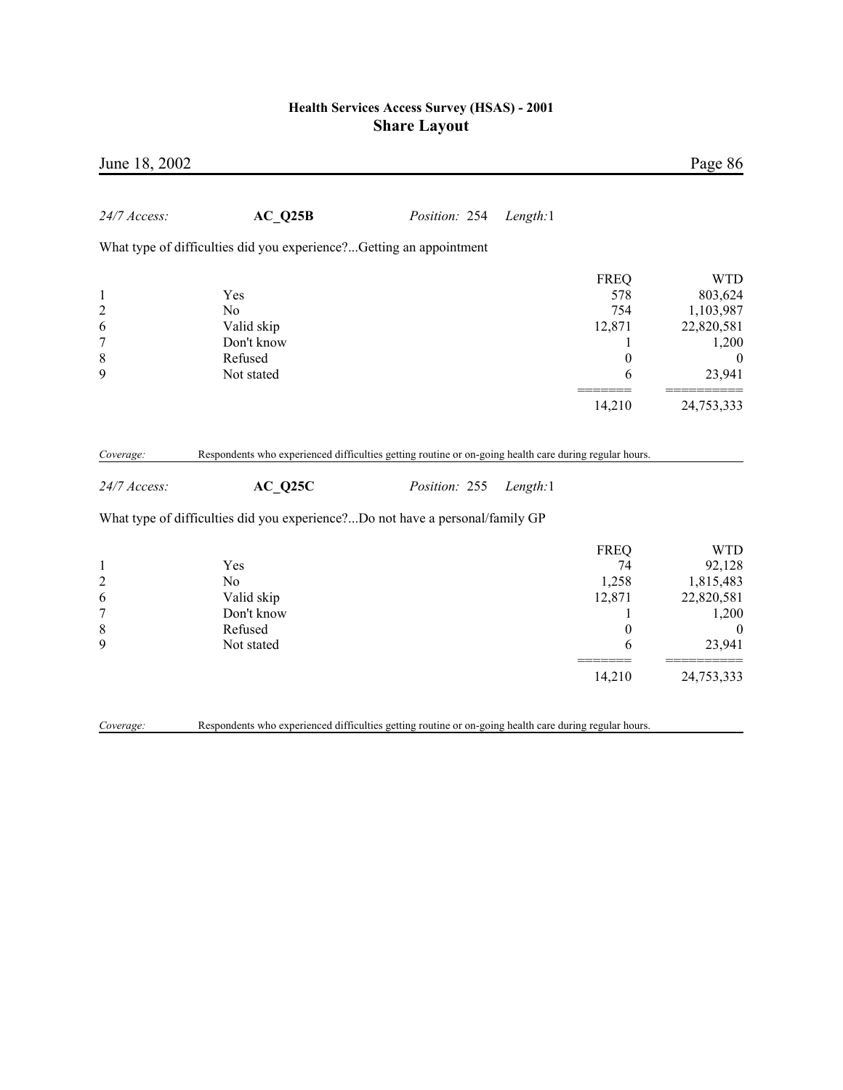| June 18, 2002                                                             |                                                                                                        |               |          |                                                                             | Page 86                                                                                               |
|---------------------------------------------------------------------------|--------------------------------------------------------------------------------------------------------|---------------|----------|-----------------------------------------------------------------------------|-------------------------------------------------------------------------------------------------------|
| 24/7 Access:                                                              | AC Q25B                                                                                                | Position: 254 | Length:1 |                                                                             |                                                                                                       |
|                                                                           | What type of difficulties did you experience?Getting an appointment                                    |               |          |                                                                             |                                                                                                       |
| $\mathbf{1}$<br>$\overline{c}$<br>6<br>$\overline{7}$<br>$\,$ 8 $\,$<br>9 | Yes<br>N <sub>0</sub><br>Valid skip<br>Don't know<br>Refused<br>Not stated                             |               |          | <b>FREQ</b><br>578<br>754<br>12,871<br>1<br>$\boldsymbol{0}$<br>6<br>14,210 | <b>WTD</b><br>803,624<br>1,103,987<br>22,820,581<br>1,200<br>$\boldsymbol{0}$<br>23,941<br>24,753,333 |
| Coverage:                                                                 | Respondents who experienced difficulties getting routine or on-going health care during regular hours. |               |          |                                                                             |                                                                                                       |
| 24/7 Access:                                                              | AC Q25C                                                                                                | Position: 255 | Length:1 |                                                                             |                                                                                                       |
|                                                                           | What type of difficulties did you experience?Do not have a personal/family GP                          |               |          |                                                                             |                                                                                                       |
| $\mathbf{1}$<br>$\overline{c}$<br>6<br>$\overline{7}$<br>8<br>9           | Yes<br>N <sub>0</sub><br>Valid skip<br>Don't know<br>Refused<br>Not stated                             |               |          | <b>FREQ</b><br>74<br>1,258<br>12,871<br>1<br>$\boldsymbol{0}$<br>6          | <b>WTD</b><br>92,128<br>1,815,483<br>22,820,581<br>1,200<br>$\boldsymbol{0}$<br>23,941                |
|                                                                           |                                                                                                        |               |          | 14,210                                                                      | 24,753,333                                                                                            |
| Coverage:                                                                 | Respondents who experienced difficulties getting routine or on-going health care during regular hours. |               |          |                                                                             |                                                                                                       |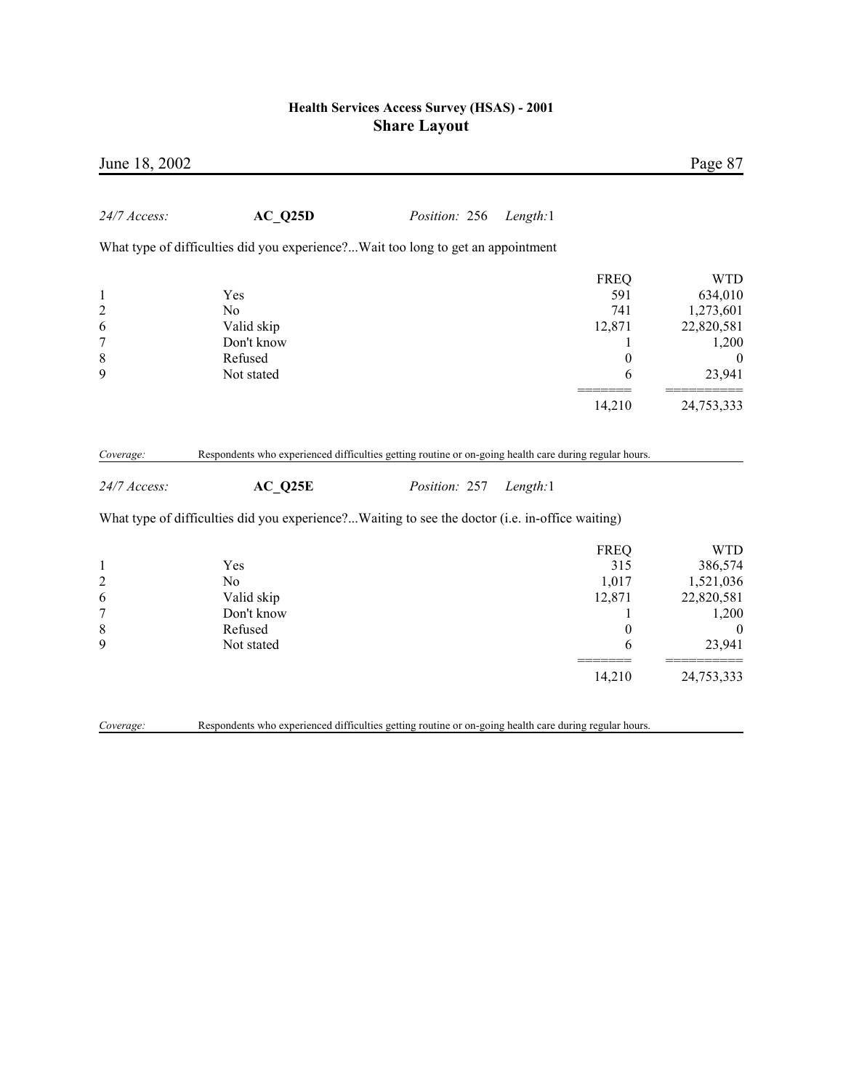| June 18, 2002                                                               |                                                                                                        |               |                                                                             | Page 87                                                                                           |
|-----------------------------------------------------------------------------|--------------------------------------------------------------------------------------------------------|---------------|-----------------------------------------------------------------------------|---------------------------------------------------------------------------------------------------|
| 24/7 Access:                                                                | AC Q25D                                                                                                | Position: 256 | Length:1                                                                    |                                                                                                   |
|                                                                             | What type of difficulties did you experience?Wait too long to get an appointment                       |               |                                                                             |                                                                                                   |
| $\mathbf{1}$<br>$\overline{c}$<br>6<br>$\overline{7}$<br>8<br>9             | Yes<br>N <sub>o</sub><br>Valid skip<br>Don't know<br>Refused<br>Not stated                             |               | <b>FREQ</b><br>591<br>741<br>12,871<br>1<br>$\boldsymbol{0}$<br>6<br>14,210 | <b>WTD</b><br>634,010<br>1,273,601<br>22,820,581<br>1,200<br>$\mathbf{0}$<br>23,941<br>24,753,333 |
| Coverage:                                                                   | Respondents who experienced difficulties getting routine or on-going health care during regular hours. |               |                                                                             |                                                                                                   |
| 24/7 Access:                                                                | AC Q25E                                                                                                | Position: 257 | Length:1                                                                    |                                                                                                   |
|                                                                             | What type of difficulties did you experience?Waiting to see the doctor (i.e. in-office waiting)        |               |                                                                             |                                                                                                   |
| $\mathbf{1}$<br>$\overline{c}$<br>6<br>$\boldsymbol{7}$<br>$\,$ 8 $\,$<br>9 | Yes<br>N <sub>o</sub><br>Valid skip<br>Don't know<br>Refused<br>Not stated                             |               | <b>FREQ</b><br>315<br>1,017<br>12,871<br>1<br>$\boldsymbol{0}$<br>6         | <b>WTD</b><br>386,574<br>1,521,036<br>22,820,581<br>1,200<br>$\boldsymbol{0}$<br>23,941           |
|                                                                             |                                                                                                        |               | 14,210                                                                      | 24,753,333                                                                                        |
| Coverage:                                                                   | Respondents who experienced difficulties getting routine or on-going health care during regular hours. |               |                                                                             |                                                                                                   |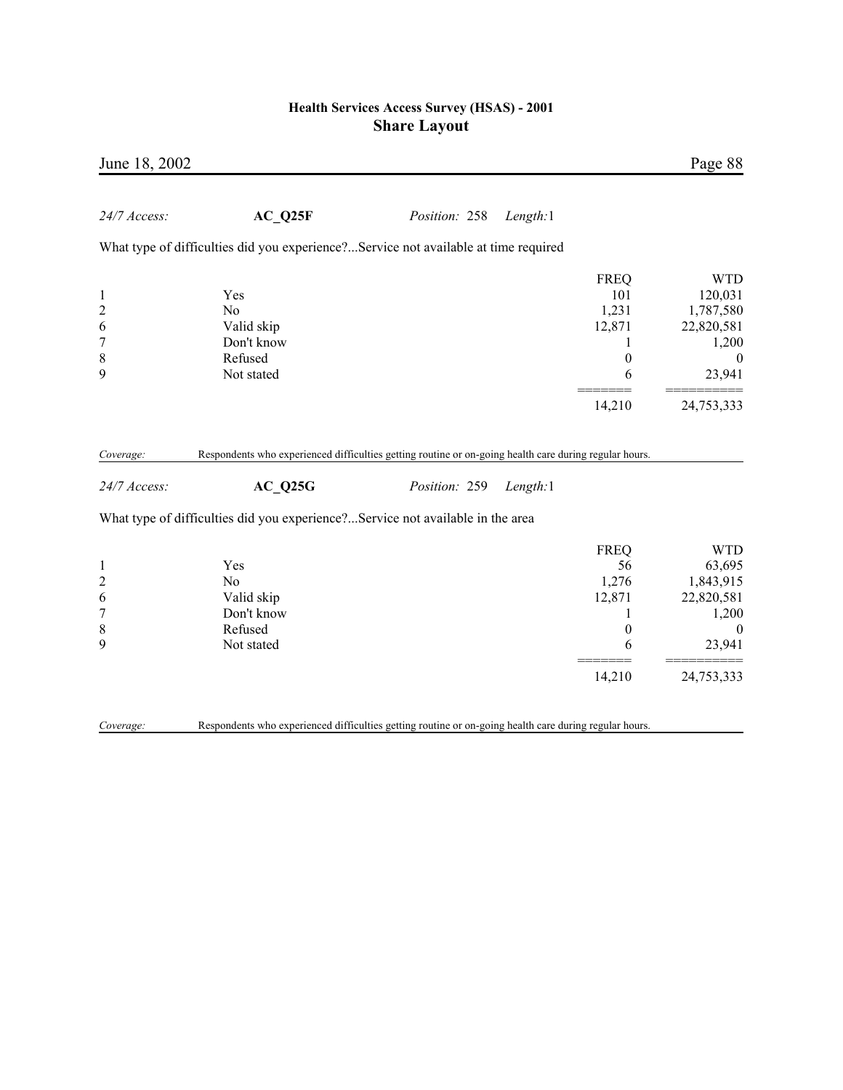| June 18, 2002                                                             |                                                                                                        |               |          |                                                                     | Page 88                                                                                 |
|---------------------------------------------------------------------------|--------------------------------------------------------------------------------------------------------|---------------|----------|---------------------------------------------------------------------|-----------------------------------------------------------------------------------------|
| 24/7 Access:                                                              | AC Q25F                                                                                                | Position: 258 | Length:1 |                                                                     |                                                                                         |
|                                                                           | What type of difficulties did you experience?Service not available at time required                    |               |          |                                                                     |                                                                                         |
| $\mathbf{1}$<br>$\overline{c}$<br>6<br>$\overline{7}$<br>8<br>9           | Yes<br>N <sub>0</sub><br>Valid skip<br>Don't know<br>Refused<br>Not stated                             |               |          | <b>FREQ</b><br>101<br>1,231<br>12,871<br>1<br>$\boldsymbol{0}$<br>6 | <b>WTD</b><br>120,031<br>1,787,580<br>22,820,581<br>1,200<br>$\boldsymbol{0}$<br>23,941 |
|                                                                           |                                                                                                        |               |          | 14,210                                                              | 24,753,333                                                                              |
| Coverage:                                                                 | Respondents who experienced difficulties getting routine or on-going health care during regular hours. |               |          |                                                                     |                                                                                         |
| 24/7 Access:                                                              | AC Q25G                                                                                                | Position: 259 | Length:1 |                                                                     |                                                                                         |
|                                                                           | What type of difficulties did you experience?Service not available in the area                         |               |          |                                                                     |                                                                                         |
| $\mathbf{1}$<br>$\overline{c}$<br>6<br>$\overline{7}$<br>$\,$ 8 $\,$<br>9 | Yes<br>N <sub>0</sub><br>Valid skip<br>Don't know<br>Refused<br>Not stated                             |               |          | <b>FREQ</b><br>56<br>1,276<br>12,871<br>1<br>$\boldsymbol{0}$<br>6  | <b>WTD</b><br>63,695<br>1,843,915<br>22,820,581<br>1,200<br>$\boldsymbol{0}$<br>23,941  |
|                                                                           |                                                                                                        |               |          | 14,210                                                              | 24,753,333                                                                              |
| Coverage:                                                                 | Respondents who experienced difficulties getting routine or on-going health care during regular hours. |               |          |                                                                     |                                                                                         |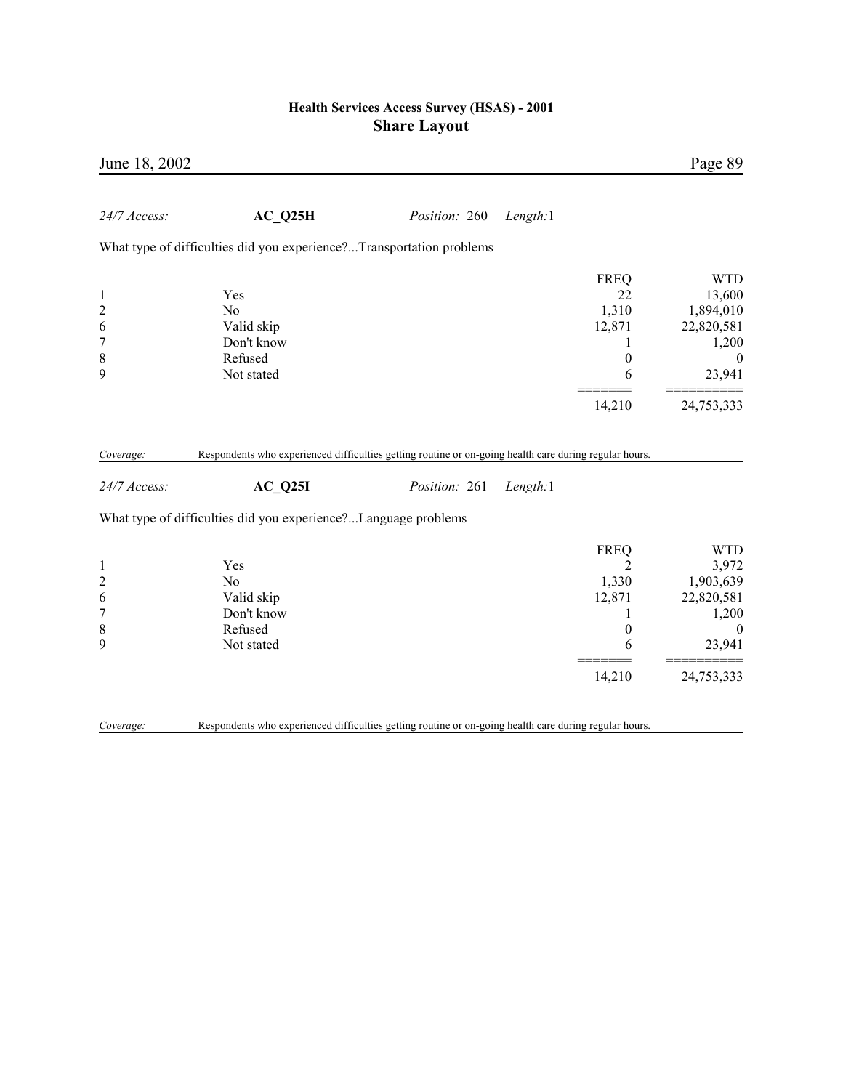| June 18, 2002                                                   |                                                                                                                                                                                     |               |          |                                                                                          | Page 89                                                                                         |
|-----------------------------------------------------------------|-------------------------------------------------------------------------------------------------------------------------------------------------------------------------------------|---------------|----------|------------------------------------------------------------------------------------------|-------------------------------------------------------------------------------------------------|
| 24/7 Access:                                                    | AC Q25H                                                                                                                                                                             | Position: 260 | Length:1 |                                                                                          |                                                                                                 |
|                                                                 | What type of difficulties did you experience?Transportation problems                                                                                                                |               |          |                                                                                          |                                                                                                 |
| $\mathbf{1}$<br>$\overline{c}$<br>6<br>$\overline{7}$<br>8<br>9 | Yes<br>N <sub>o</sub><br>Valid skip<br>Don't know<br>Refused<br>Not stated                                                                                                          |               |          | <b>FREQ</b><br>22<br>1,310<br>12,871<br>1<br>$\boldsymbol{0}$<br>6                       | <b>WTD</b><br>13,600<br>1,894,010<br>22,820,581<br>1,200<br>$\boldsymbol{0}$<br>23,941          |
|                                                                 |                                                                                                                                                                                     |               |          | 14,210                                                                                   | 24,753,333                                                                                      |
| Coverage:<br>24/7 Access:                                       | Respondents who experienced difficulties getting routine or on-going health care during regular hours.<br>AC Q25I<br>What type of difficulties did you experience?Language problems | Position: 261 | Length:1 |                                                                                          |                                                                                                 |
| $\mathbf{1}$<br>$\overline{c}$<br>6<br>$\overline{7}$<br>8<br>9 | Yes<br>No<br>Valid skip<br>Don't know<br>Refused<br>Not stated                                                                                                                      |               |          | <b>FREQ</b><br>$\overline{2}$<br>1,330<br>12,871<br>1<br>$\boldsymbol{0}$<br>6<br>14,210 | <b>WTD</b><br>3,972<br>1,903,639<br>22,820,581<br>1,200<br>$\mathbf{0}$<br>23,941<br>24,753,333 |
| Coverage:                                                       | Respondents who experienced difficulties getting routine or on-going health care during regular hours.                                                                              |               |          |                                                                                          |                                                                                                 |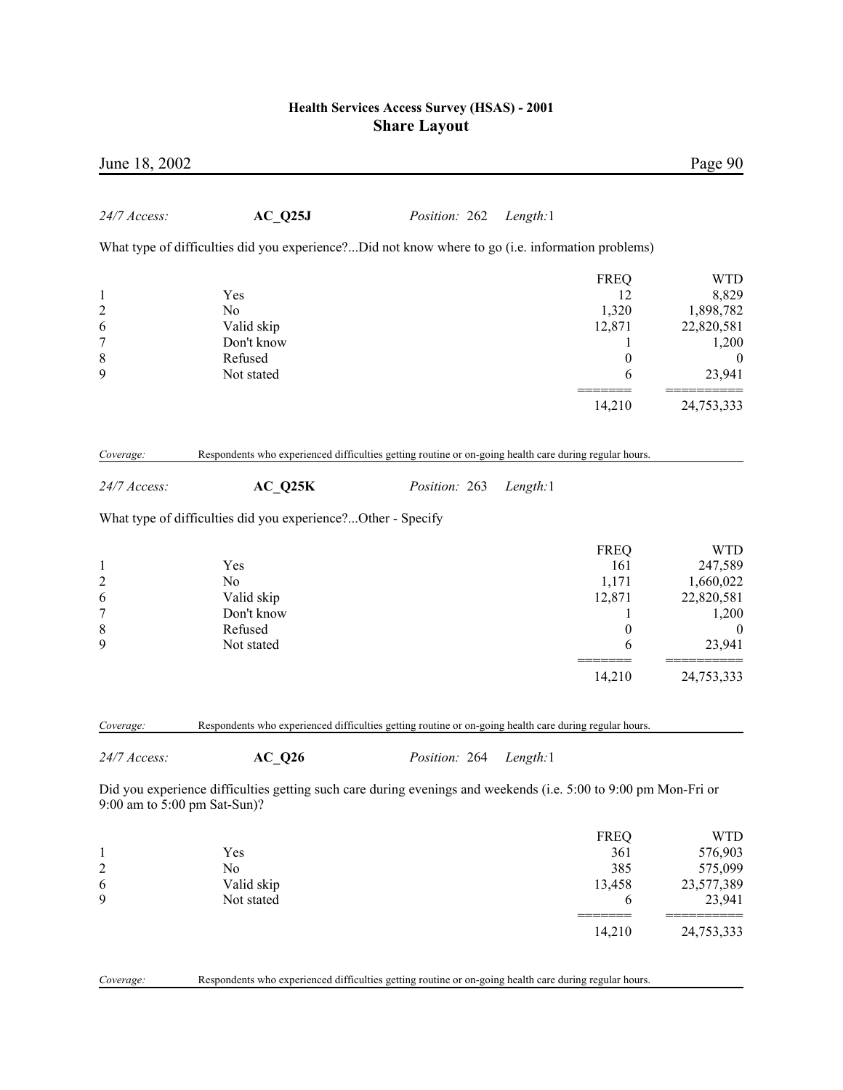| June 18, 2002                |                                                                                                                 |                        |          |             | Page 90          |
|------------------------------|-----------------------------------------------------------------------------------------------------------------|------------------------|----------|-------------|------------------|
| 24/7 Access:                 | $AC_Q25J$                                                                                                       | Position: 262 Length:1 |          |             |                  |
|                              | What type of difficulties did you experience?Did not know where to go (i.e. information problems)               |                        |          |             |                  |
|                              |                                                                                                                 |                        |          | <b>FREQ</b> | <b>WTD</b>       |
| 1                            | Yes                                                                                                             |                        |          | 12          | 8,829            |
| $\overline{\mathbf{c}}$      | N <sub>0</sub>                                                                                                  |                        |          | 1,320       | 1,898,782        |
| 6                            | Valid skip                                                                                                      |                        |          | 12,871      | 22,820,581       |
| $\overline{7}$               | Don't know                                                                                                      |                        |          | 1           | 1,200            |
| 8                            | Refused                                                                                                         |                        |          | $\theta$    | 0                |
| 9                            | Not stated                                                                                                      |                        |          | 6           | 23,941           |
|                              |                                                                                                                 |                        |          |             |                  |
|                              |                                                                                                                 |                        |          | 14,210      | 24,753,333       |
| Coverage:                    | Respondents who experienced difficulties getting routine or on-going health care during regular hours.          |                        |          |             |                  |
|                              |                                                                                                                 |                        |          |             |                  |
| 24/7 Access:                 | $AC_Q25K$                                                                                                       | Position: 263          | Length:1 |             |                  |
|                              | What type of difficulties did you experience?Other - Specify                                                    |                        |          |             |                  |
|                              |                                                                                                                 |                        |          | <b>FREQ</b> | <b>WTD</b>       |
| 1                            | Yes                                                                                                             |                        |          | 161         | 247,589          |
| $\overline{\mathbf{c}}$      | No                                                                                                              |                        |          | 1,171       | 1,660,022        |
| 6                            | Valid skip                                                                                                      |                        |          | 12,871      | 22,820,581       |
| $\overline{7}$               | Don't know                                                                                                      |                        |          | 1           | 1,200            |
| 8                            | Refused                                                                                                         |                        |          | 0           | $\boldsymbol{0}$ |
| 9                            | Not stated                                                                                                      |                        |          | 6           | 23,941           |
|                              |                                                                                                                 |                        |          |             |                  |
|                              |                                                                                                                 |                        |          | 14,210      | 24,753,333       |
| Coverage:                    | Respondents who experienced difficulties getting routine or on-going health care during regular hours.          |                        |          |             |                  |
|                              |                                                                                                                 |                        |          |             |                  |
| 24/7 Access:                 | $AC_Q26$                                                                                                        | Position: 264          | Length:1 |             |                  |
| 9:00 am to 5:00 pm Sat-Sun)? | Did you experience difficulties getting such care during evenings and weekends (i.e. 5:00 to 9:00 pm Mon-Fri or |                        |          |             |                  |
|                              |                                                                                                                 |                        |          | <b>FREQ</b> | <b>WTD</b>       |
| 1                            | Yes                                                                                                             |                        |          | 361         | 576,903          |
| $\overline{c}$               | No                                                                                                              |                        |          | 385         | 575,099          |
| 6                            | Valid skip                                                                                                      |                        |          | 13,458      | 23,577,389       |
| 9                            | Not stated                                                                                                      |                        |          | 6           | 23,941           |
|                              |                                                                                                                 |                        |          | $==$        |                  |
|                              |                                                                                                                 |                        |          | 14,210      | 24,753,333       |

*Coverage:* Respondents who experienced difficulties getting routine or on-going health care during regular hours.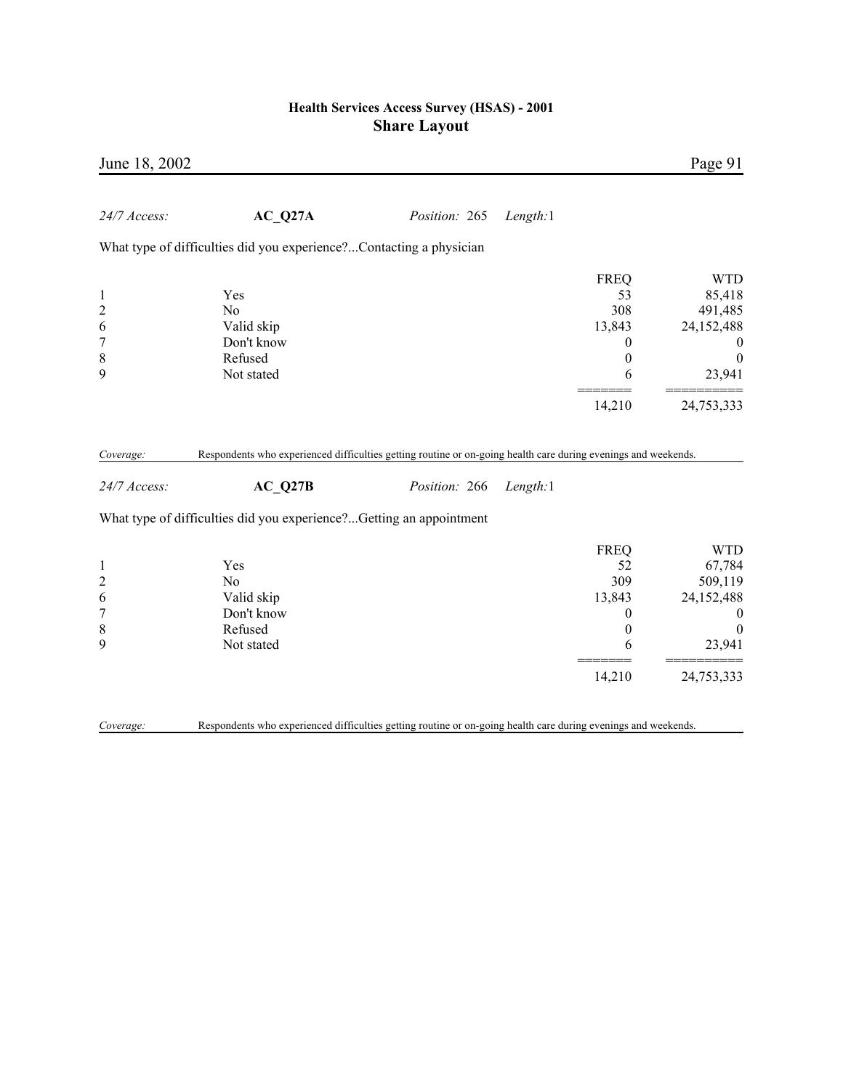| June 18, 2002             |                                                                                                                           |               |          |                  | Page 91          |
|---------------------------|---------------------------------------------------------------------------------------------------------------------------|---------------|----------|------------------|------------------|
| 24/7 Access:              | AC Q27A                                                                                                                   | Position: 265 | Length:1 |                  |                  |
|                           | What type of difficulties did you experience?Contacting a physician                                                       |               |          |                  |                  |
|                           |                                                                                                                           |               |          | <b>FREQ</b>      | <b>WTD</b>       |
| $\mathbf{1}$              | Yes                                                                                                                       |               |          | 53               | 85,418           |
| $\overline{c}$            | N <sub>0</sub>                                                                                                            |               |          | 308              | 491,485          |
| 6                         | Valid skip                                                                                                                |               |          | 13,843           | 24,152,488       |
| $\boldsymbol{7}$          | Don't know                                                                                                                |               |          | 0                | $\bf{0}$         |
| $\,$ $\,$                 | Refused                                                                                                                   |               |          | $\boldsymbol{0}$ | $\boldsymbol{0}$ |
| 9                         | Not stated                                                                                                                |               |          | 6                | 23,941           |
|                           |                                                                                                                           |               |          | 14,210           | 24,753,333       |
| Coverage:<br>24/7 Access: | Respondents who experienced difficulties getting routine or on-going health care during evenings and weekends.<br>AC Q27B | Position: 266 | Length:1 |                  |                  |
|                           | What type of difficulties did you experience?Getting an appointment                                                       |               |          |                  |                  |
|                           |                                                                                                                           |               |          |                  |                  |
|                           |                                                                                                                           |               |          | <b>FREQ</b>      | <b>WTD</b>       |
| $\mathbf{1}$              | Yes                                                                                                                       |               |          | 52               | 67,784           |
| $\overline{c}$            | N <sub>0</sub>                                                                                                            |               |          | 309              | 509,119          |
| 6                         | Valid skip                                                                                                                |               |          | 13,843           | 24,152,488       |
| $\overline{7}$            | Don't know                                                                                                                |               |          | 0                | $\boldsymbol{0}$ |
| $\,$ 8 $\,$               | Refused                                                                                                                   |               |          | $\boldsymbol{0}$ | $\boldsymbol{0}$ |
| 9                         | Not stated                                                                                                                |               |          | 6                | 23,941           |
|                           |                                                                                                                           |               |          | 14,210           | 24,753,333       |
| Coverage:                 | Respondents who experienced difficulties getting routine or on-going health care during evenings and weekends.            |               |          |                  |                  |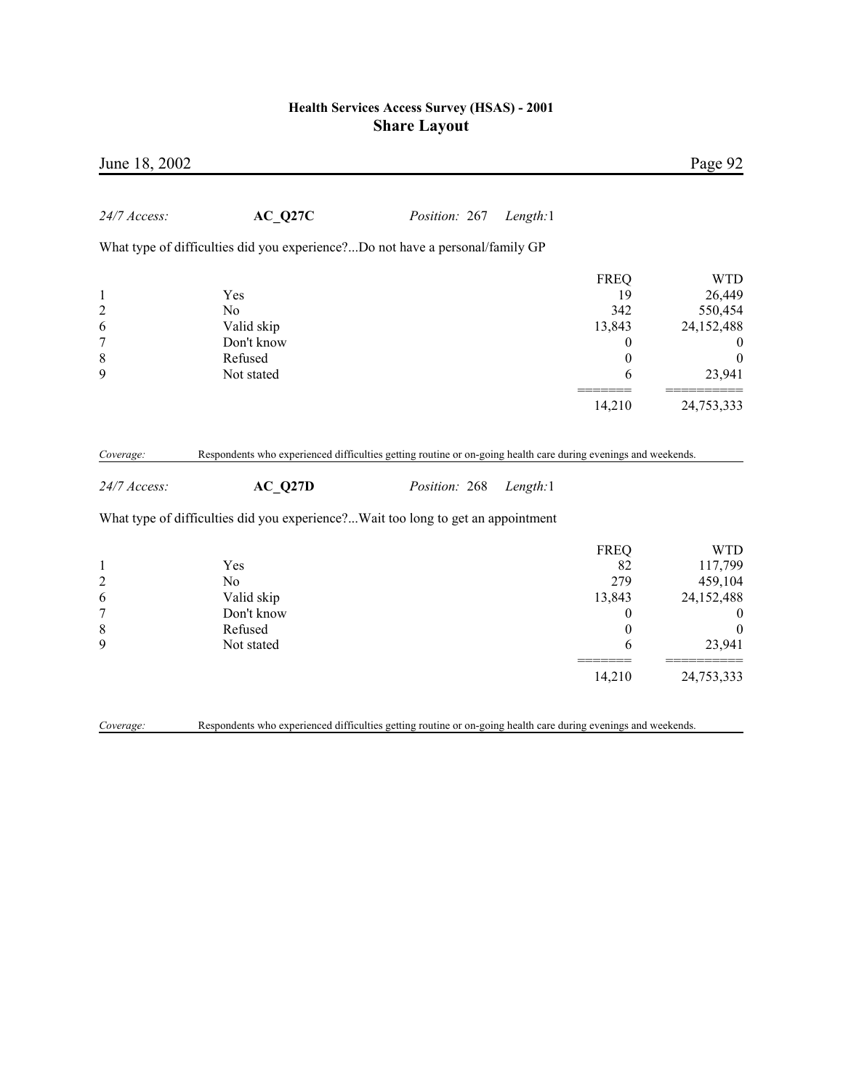| June 18, 2002                                                             |                                                                                                                           |               |          |                                                                  | Page 92                                                                                          |
|---------------------------------------------------------------------------|---------------------------------------------------------------------------------------------------------------------------|---------------|----------|------------------------------------------------------------------|--------------------------------------------------------------------------------------------------|
| 24/7 Access:                                                              | $AC_Q27C$                                                                                                                 | Position: 267 | Length:1 |                                                                  |                                                                                                  |
|                                                                           | What type of difficulties did you experience?Do not have a personal/family GP                                             |               |          |                                                                  |                                                                                                  |
| $\mathbf{1}$<br>$\overline{c}$<br>6<br>7<br>8                             | Yes<br>No<br>Valid skip<br>Don't know<br>Refused                                                                          |               |          | <b>FREQ</b><br>19<br>342<br>13,843<br>0<br>$\boldsymbol{0}$      | <b>WTD</b><br>26,449<br>550,454<br>24,152,488<br>$\theta$<br>$\boldsymbol{0}$                    |
| 9                                                                         | Not stated                                                                                                                |               |          | 6                                                                | 23,941                                                                                           |
|                                                                           |                                                                                                                           |               |          | 14,210                                                           | 24,753,333                                                                                       |
| Coverage:<br>24/7 Access:                                                 | Respondents who experienced difficulties getting routine or on-going health care during evenings and weekends.<br>AC Q27D | Position: 268 | Length:1 |                                                                  |                                                                                                  |
|                                                                           | What type of difficulties did you experience?Wait too long to get an appointment                                          |               |          |                                                                  |                                                                                                  |
| $\mathbf{1}$<br>$\overline{c}$<br>6<br>$\boldsymbol{7}$<br>$\,$ $\,$<br>9 | Yes<br>N <sub>0</sub><br>Valid skip<br>Don't know<br>Refused<br>Not stated                                                |               |          | <b>FREQ</b><br>82<br>279<br>13,843<br>$\boldsymbol{0}$<br>0<br>6 | <b>WTD</b><br>117,799<br>459,104<br>24,152,488<br>$\boldsymbol{0}$<br>$\boldsymbol{0}$<br>23,941 |
|                                                                           |                                                                                                                           |               |          | 14,210                                                           | 24,753,333                                                                                       |
| Coverage:                                                                 | Respondents who experienced difficulties getting routine or on-going health care during evenings and weekends.            |               |          |                                                                  |                                                                                                  |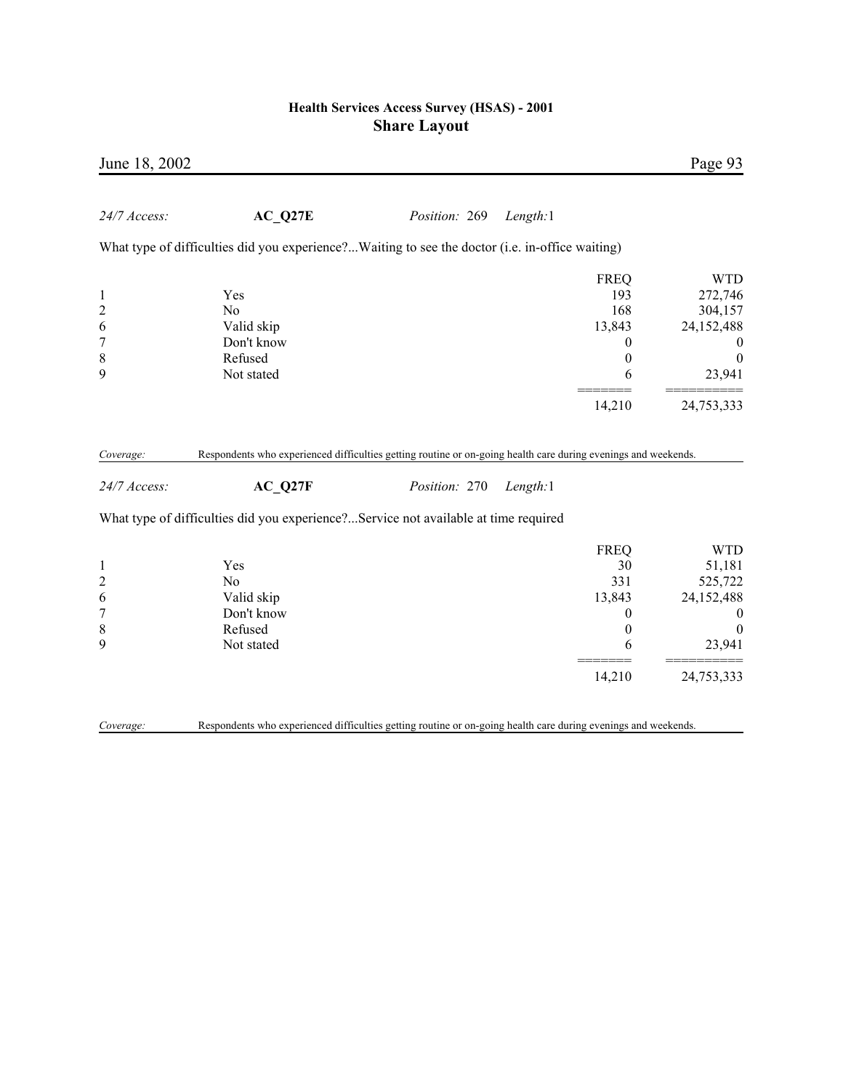| June 18, 2002                                                   |                                                                                                                |                      |                                                                                 | Page 93                                                                                         |
|-----------------------------------------------------------------|----------------------------------------------------------------------------------------------------------------|----------------------|---------------------------------------------------------------------------------|-------------------------------------------------------------------------------------------------|
| 24/7 Access:                                                    | AC Q27E                                                                                                        | <i>Position:</i> 269 | Length:1                                                                        |                                                                                                 |
|                                                                 | What type of difficulties did you experience?Waiting to see the doctor (i.e. in-office waiting)                |                      |                                                                                 |                                                                                                 |
| $\mathbf{1}$<br>$\overline{c}$<br>6<br>$\overline{7}$           | Yes<br>N <sub>0</sub><br>Valid skip<br>Don't know                                                              |                      | <b>FREQ</b><br>193<br>168<br>13,843<br>$\theta$                                 | <b>WTD</b><br>272,746<br>304,157<br>24,152,488<br>$\bf{0}$                                      |
| 8<br>9                                                          | Refused<br>Not stated                                                                                          |                      | $\boldsymbol{0}$<br>6                                                           | $\boldsymbol{0}$<br>23,941                                                                      |
|                                                                 |                                                                                                                |                      | 14,210                                                                          | 24,753,333                                                                                      |
| Coverage:                                                       | Respondents who experienced difficulties getting routine or on-going health care during evenings and weekends. |                      |                                                                                 |                                                                                                 |
| 24/7 Access:                                                    | AC Q27F                                                                                                        | Position: 270        | Length:1                                                                        |                                                                                                 |
|                                                                 | What type of difficulties did you experience?Service not available at time required                            |                      |                                                                                 |                                                                                                 |
| $\mathbf{1}$<br>$\overline{c}$<br>6<br>$\overline{7}$<br>8<br>9 | Yes<br>N <sub>0</sub><br>Valid skip<br>Don't know<br>Refused<br>Not stated                                     |                      | <b>FREQ</b><br>30<br>331<br>13,843<br>$\boldsymbol{0}$<br>$\boldsymbol{0}$<br>6 | <b>WTD</b><br>51,181<br>525,722<br>24,152,488<br>$\boldsymbol{0}$<br>$\boldsymbol{0}$<br>23,941 |
|                                                                 |                                                                                                                |                      | 14,210                                                                          | 24,753,333                                                                                      |
| Coverage:                                                       | Respondents who experienced difficulties getting routine or on-going health care during evenings and weekends. |                      |                                                                                 |                                                                                                 |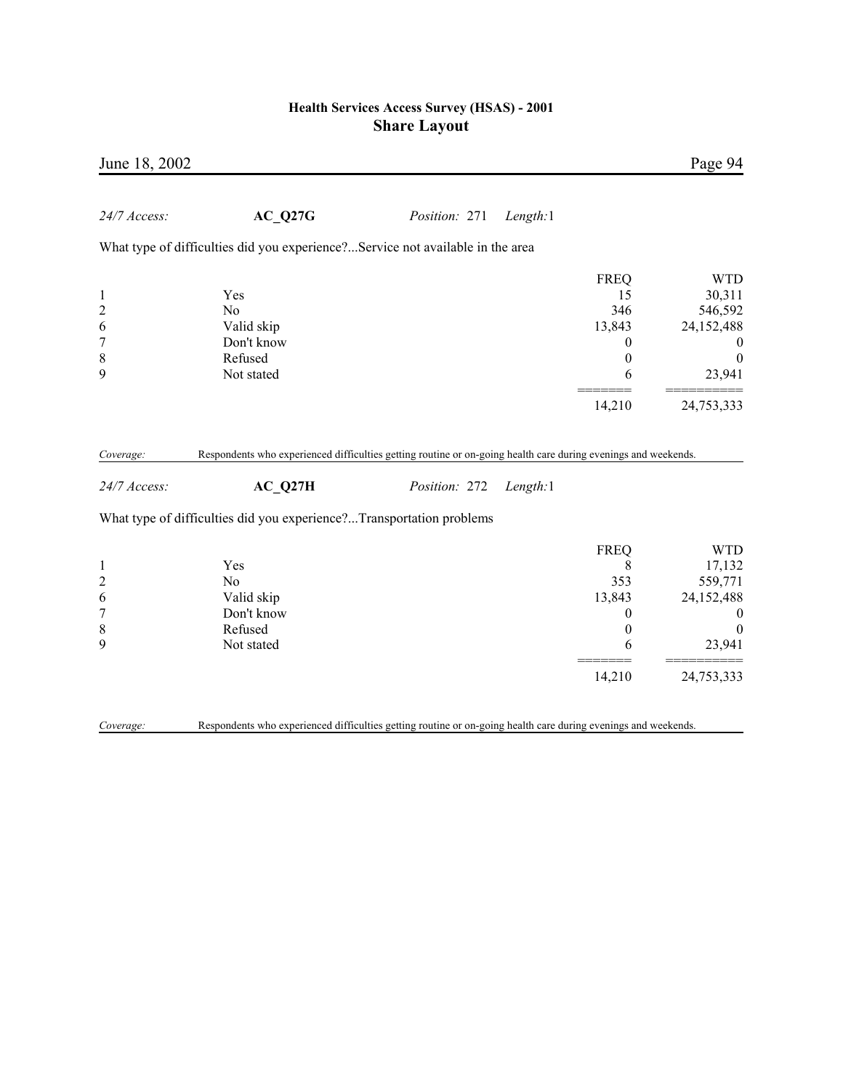| June 18, 2002                                                               |                                                                                                                |               |          |                                                                              | Page 94                                                                                           |
|-----------------------------------------------------------------------------|----------------------------------------------------------------------------------------------------------------|---------------|----------|------------------------------------------------------------------------------|---------------------------------------------------------------------------------------------------|
| 24/7 Access:                                                                | $AC_Q27G$                                                                                                      | Position: 271 | Length:1 |                                                                              |                                                                                                   |
|                                                                             | What type of difficulties did you experience?Service not available in the area                                 |               |          |                                                                              |                                                                                                   |
| $\mathbf{1}$<br>$\overline{c}$<br>6<br>$\overline{7}$<br>$\,$ $\,$          | Yes<br>N <sub>0</sub><br>Valid skip<br>Don't know<br>Refused                                                   |               |          | <b>FREQ</b><br>15<br>346<br>13,843<br>$\boldsymbol{0}$<br>$\boldsymbol{0}$   | <b>WTD</b><br>30,311<br>546,592<br>24,152,488<br>$\mathbf{0}$<br>$\boldsymbol{0}$                 |
| 9                                                                           | Not stated                                                                                                     |               |          | 6                                                                            | 23,941                                                                                            |
|                                                                             |                                                                                                                |               |          | 14,210                                                                       | 24,753,333                                                                                        |
| Coverage:                                                                   | Respondents who experienced difficulties getting routine or on-going health care during evenings and weekends. |               |          |                                                                              |                                                                                                   |
| 24/7 Access:                                                                | AC Q27H                                                                                                        | Position: 272 | Length:1 |                                                                              |                                                                                                   |
|                                                                             | What type of difficulties did you experience?Transportation problems                                           |               |          |                                                                              |                                                                                                   |
| $\mathbf{1}$<br>$\overline{c}$<br>6<br>$\boldsymbol{7}$<br>$\,$ 8 $\,$<br>9 | Yes<br>N <sub>0</sub><br>Valid skip<br>Don't know<br>Refused<br>Not stated                                     |               |          | <b>FREQ</b><br>8<br>353<br>13,843<br>$\theta$<br>$\mathbf{0}$<br>6<br>14,210 | <b>WTD</b><br>17,132<br>559,771<br>24,152,488<br>$\bf{0}$<br>$\mathbf{0}$<br>23,941<br>24,753,333 |
| Coverage:                                                                   | Respondents who experienced difficulties getting routine or on-going health care during evenings and weekends. |               |          |                                                                              |                                                                                                   |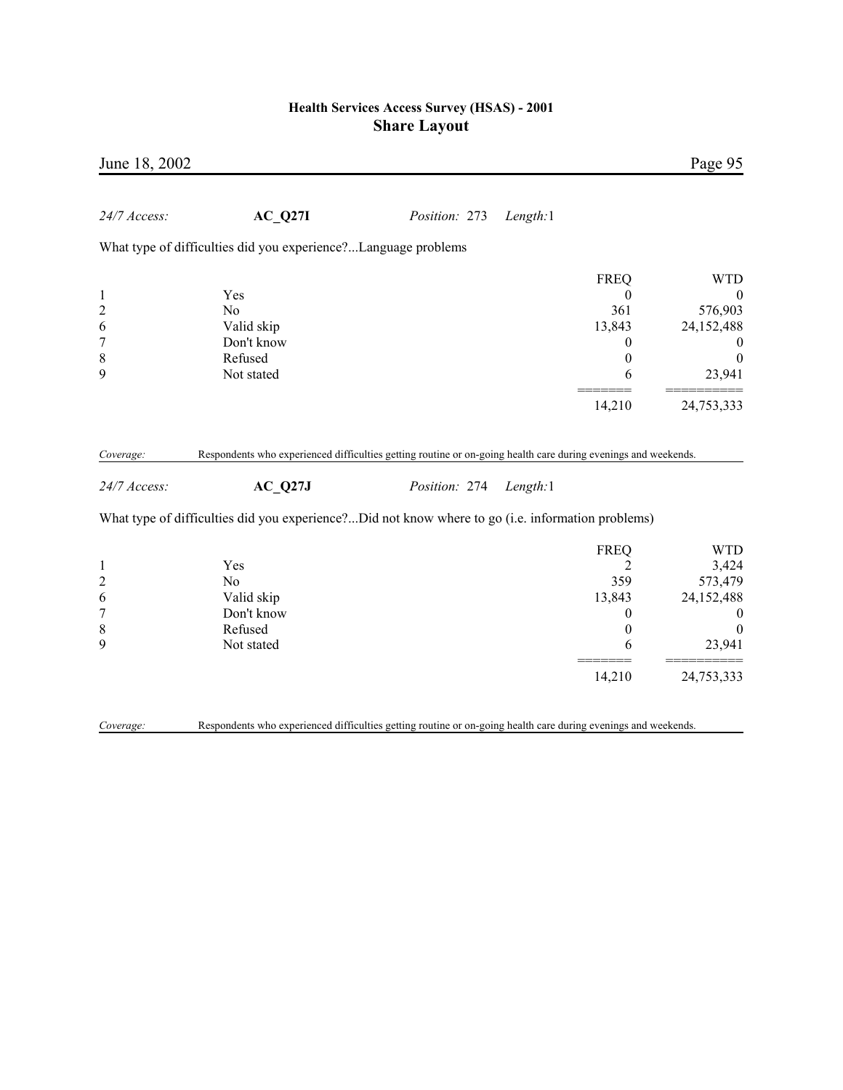|                                                                                                   |          |               | June 18, 2002    |
|---------------------------------------------------------------------------------------------------|----------|---------------|------------------|
| AC Q27I<br>Position: 273<br>Length:1                                                              |          |               | 24/7 Access:     |
| What type of difficulties did you experience?Language problems                                    |          |               |                  |
| <b>WTD</b><br><b>FREQ</b>                                                                         |          |               |                  |
| Yes<br>$\mathbf{0}$<br>$\boldsymbol{0}$                                                           |          |               | 1                |
| 576,903<br>No<br>361                                                                              |          |               | $\overline{c}$   |
| 24,152,488<br>Valid skip<br>13,843                                                                |          |               | 6                |
| Don't know<br>0<br>$\boldsymbol{0}$                                                               |          |               | $\boldsymbol{7}$ |
| Refused<br>$\boldsymbol{0}$<br>$\boldsymbol{0}$                                                   |          |               | $\,$ $\,$        |
| Not stated<br>23,941<br>6                                                                         |          |               | 9                |
| 14,210<br>24,753,333                                                                              |          |               |                  |
|                                                                                                   |          |               |                  |
| $AC_Q27J$                                                                                         | Length:1 | Position: 274 | 24/7 Access:     |
| What type of difficulties did you experience?Did not know where to go (i.e. information problems) |          |               |                  |
| <b>FREQ</b>                                                                                       |          |               |                  |
| <b>WTD</b><br>3,424<br>Yes<br>2                                                                   |          |               | $\mathbf{1}$     |
| 573,479<br>N <sub>o</sub><br>359                                                                  |          |               | $\overline{c}$   |
| Valid skip<br>13,843<br>24,152,488                                                                |          |               | 6                |
| Don't know<br>0<br>$\boldsymbol{0}$                                                               |          |               | $\overline{7}$   |
| Refused<br>$\mathbf{0}$<br>$\boldsymbol{0}$<br>Not stated<br>23,941<br>6                          |          |               | 8<br>9           |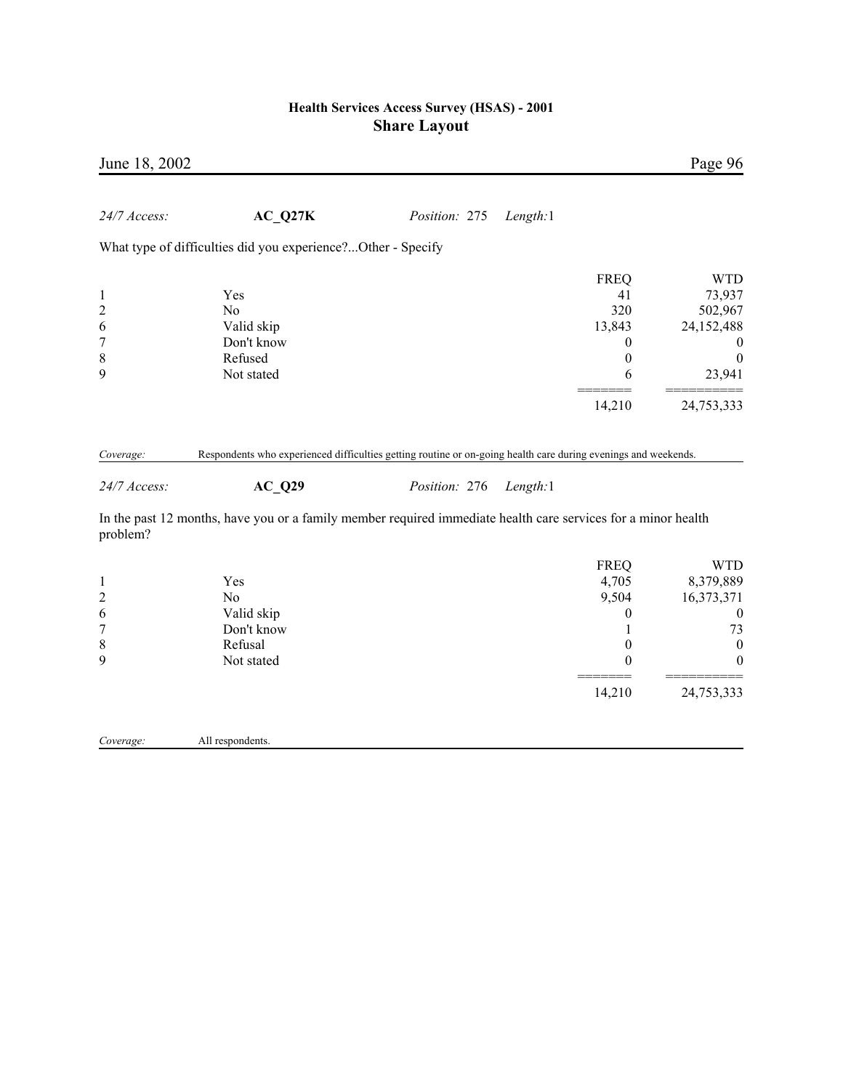| June 18, 2002                                                         |                                                                                                                            |               |          |                                                                                           | Page 96                                                                                                               |
|-----------------------------------------------------------------------|----------------------------------------------------------------------------------------------------------------------------|---------------|----------|-------------------------------------------------------------------------------------------|-----------------------------------------------------------------------------------------------------------------------|
| 24/7 Access:                                                          | AC Q27K                                                                                                                    | Position: 275 | Length:1 |                                                                                           |                                                                                                                       |
|                                                                       | What type of difficulties did you experience?Other - Specify                                                               |               |          |                                                                                           |                                                                                                                       |
| $\mathbf{1}$<br>$\overline{c}$<br>6<br>$\overline{7}$                 | Yes<br>N <sub>0</sub><br>Valid skip<br>Don't know                                                                          |               |          | <b>FREQ</b><br>41<br>320<br>13,843<br>$\boldsymbol{0}$                                    | <b>WTD</b><br>73,937<br>502,967<br>24,152,488<br>$\theta$                                                             |
| $\,$ $\,$<br>9                                                        | Refused<br>Not stated                                                                                                      |               |          | $\boldsymbol{0}$<br>6                                                                     | $\boldsymbol{0}$<br>23,941                                                                                            |
|                                                                       |                                                                                                                            |               |          | 14,210                                                                                    | 24,753,333                                                                                                            |
| Coverage:<br>24/7 Access:                                             | Respondents who experienced difficulties getting routine or on-going health care during evenings and weekends.<br>$AC_Q29$ | Position: 276 | Length:1 |                                                                                           |                                                                                                                       |
| problem?                                                              | In the past 12 months, have you or a family member required immediate health care services for a minor health              |               |          |                                                                                           |                                                                                                                       |
| $\mathbf{1}$<br>$\overline{c}$<br>6<br>$\sqrt{ }$<br>$\,$ 8 $\,$<br>9 | Yes<br>N <sub>0</sub><br>Valid skip<br>Don't know<br>Refusal<br>Not stated                                                 |               |          | <b>FREQ</b><br>4,705<br>9,504<br>$\boldsymbol{0}$<br>1<br>$\boldsymbol{0}$<br>0<br>14,210 | <b>WTD</b><br>8,379,889<br>16,373,371<br>$\boldsymbol{0}$<br>73<br>$\boldsymbol{0}$<br>$\boldsymbol{0}$<br>24,753,333 |
| Coverage:                                                             | All respondents.                                                                                                           |               |          |                                                                                           |                                                                                                                       |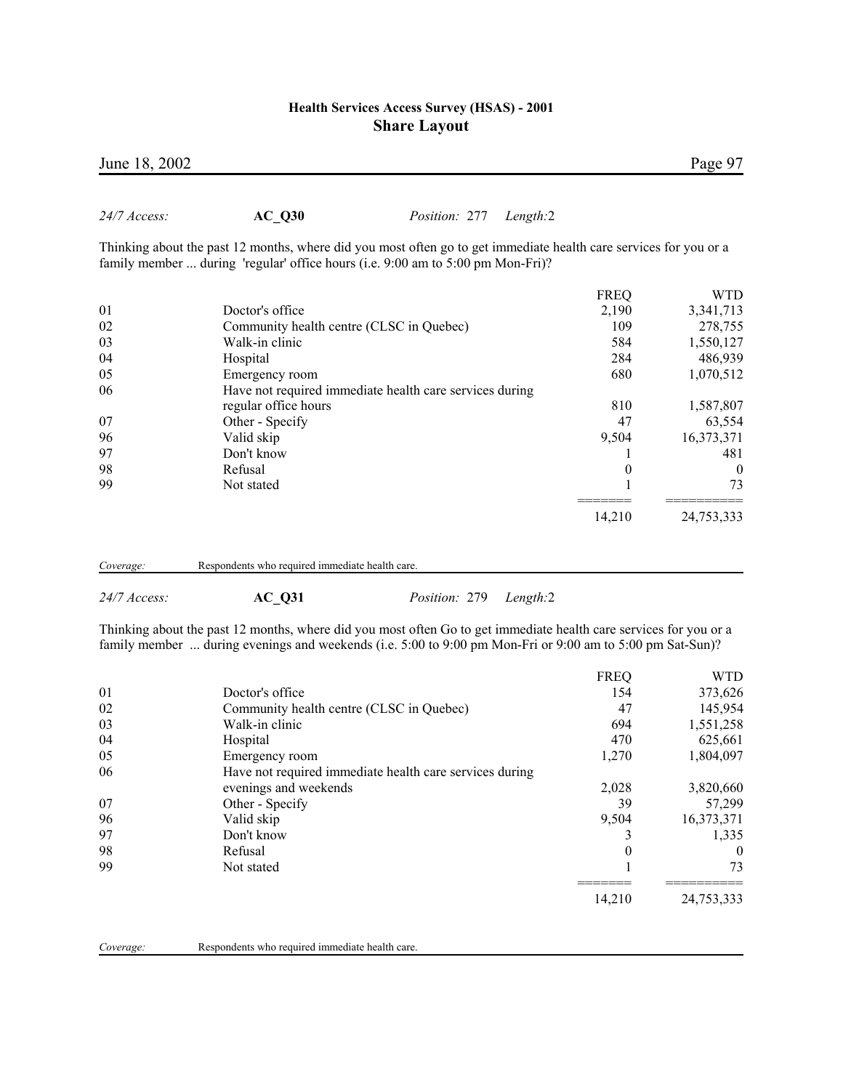*24/7 Access:* **AC\_Q30** *Position:* 277 *Length:*2

|    | Thinking about the past 12 months, where did you most often go to get immediate health care services for you or a<br>family member  during 'regular' office hours (i.e. 9:00 am to 5:00 pm Mon-Fri)? |             |            |
|----|------------------------------------------------------------------------------------------------------------------------------------------------------------------------------------------------------|-------------|------------|
|    |                                                                                                                                                                                                      |             |            |
|    |                                                                                                                                                                                                      | <b>FREQ</b> | WTD        |
| 01 | Doctor's office                                                                                                                                                                                      | 2,190       | 3,341,713  |
| 02 | Community health centre (CLSC in Quebec)                                                                                                                                                             | 109         | 278,755    |
| 03 | Walk-in clinic                                                                                                                                                                                       | 584         | 1,550,127  |
| 04 | Hospital                                                                                                                                                                                             | 284         | 486,939    |
| 05 | Emergency room                                                                                                                                                                                       | 680         | 1,070,512  |
| 06 | Have not required immediate health care services during                                                                                                                                              |             |            |
|    | regular office hours                                                                                                                                                                                 | 810         | 1,587,807  |
| 07 | Other - Specify                                                                                                                                                                                      | 47          | 63,554     |
| 96 | Valid skip                                                                                                                                                                                           | 9.504       | 16,373,371 |
| 97 | Don't know                                                                                                                                                                                           |             | 481        |
| 98 | Refusal                                                                                                                                                                                              | $\theta$    | $\theta$   |
| 99 | Not stated                                                                                                                                                                                           |             | 73         |
|    |                                                                                                                                                                                                      | 14,210      | 24,753,333 |
|    |                                                                                                                                                                                                      |             |            |

| Coverage: |  | Respondents who required immediate health care. |
|-----------|--|-------------------------------------------------|

| $24/7$ Access |  |
|---------------|--|
|               |  |

*24/7 Access:* **AC\_Q31** *Position:* 279 *Length:*2

Thinking about the past 12 months, where did you most often Go to get immediate health care services for you or a family member ... during evenings and weekends (i.e. 5:00 to 9:00 pm Mon-Fri or 9:00 am to 5:00 pm Sat-Sun)?

|    |                                                         | <b>FREQ</b> | <b>WTD</b> |
|----|---------------------------------------------------------|-------------|------------|
| 01 | Doctor's office                                         | 154         | 373,626    |
| 02 | Community health centre (CLSC in Quebec)                | 47          | 145,954    |
| 03 | Walk-in clinic                                          | 694         | 1,551,258  |
| 04 | Hospital                                                | 470         | 625,661    |
| 05 | Emergency room                                          | 1,270       | 1,804,097  |
| 06 | Have not required immediate health care services during |             |            |
|    | evenings and weekends                                   | 2,028       | 3,820,660  |
| 07 | Other - Specify                                         | 39          | 57,299     |
| 96 | Valid skip                                              | 9.504       | 16,373,371 |
| 97 | Don't know                                              |             | 1,335      |
| 98 | Refusal                                                 | $\Omega$    | $\theta$   |
| 99 | Not stated                                              |             | 73         |
|    |                                                         | 14,210      | 24,753,333 |
|    |                                                         |             |            |

| Coverage: |  | Respondents who required immediate health care. |
|-----------|--|-------------------------------------------------|
|-----------|--|-------------------------------------------------|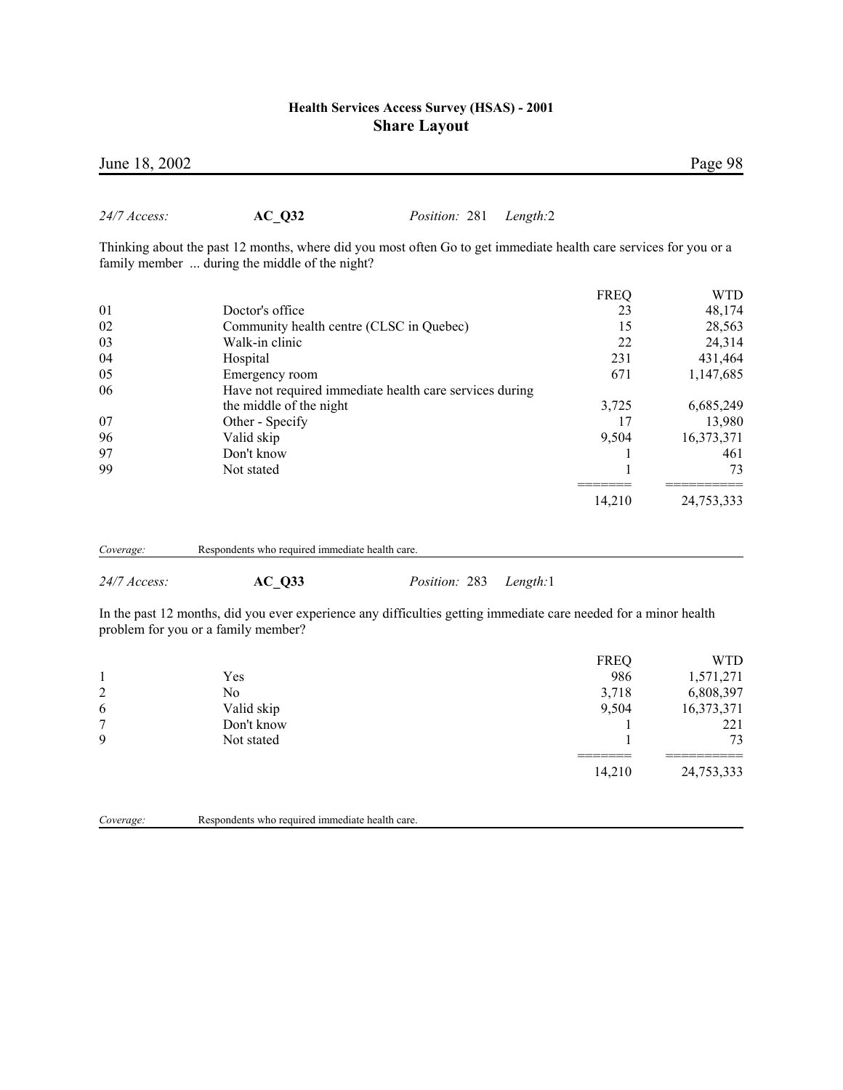| June 18, 2002 |                                                                                                                                                                     |                                                         |          |             | Page 98    |
|---------------|---------------------------------------------------------------------------------------------------------------------------------------------------------------------|---------------------------------------------------------|----------|-------------|------------|
| 24/7 Access:  | $AC_Q32$                                                                                                                                                            | <i>Position:</i> 281                                    | Length:2 |             |            |
|               | Thinking about the past 12 months, where did you most often Go to get immediate health care services for you or a<br>family member  during the middle of the night? |                                                         |          |             |            |
|               |                                                                                                                                                                     |                                                         |          | <b>FREQ</b> | <b>WTD</b> |
| 01            | Doctor's office                                                                                                                                                     |                                                         |          | 23          | 48,174     |
| 02            | Community health centre (CLSC in Quebec)                                                                                                                            |                                                         |          | 15          | 28,563     |
| 03            | Walk-in clinic                                                                                                                                                      |                                                         |          | 22          | 24,314     |
| 04            | Hospital                                                                                                                                                            |                                                         |          | 231         | 431,464    |
| 05            | Emergency room                                                                                                                                                      |                                                         |          | 671         | 1,147,685  |
| 06            |                                                                                                                                                                     | Have not required immediate health care services during |          |             |            |
|               | the middle of the night                                                                                                                                             |                                                         |          | 3,725       | 6,685,249  |
| 07            | Other - Specify                                                                                                                                                     |                                                         |          | 17          | 13,980     |
| 96            | Valid skip                                                                                                                                                          |                                                         |          | 9,504       | 16,373,371 |
| 97            | Don't know                                                                                                                                                          |                                                         |          |             | 461        |
| 99            | Not stated                                                                                                                                                          |                                                         |          |             | 73         |
|               |                                                                                                                                                                     |                                                         |          | 14,210      | 24,753,333 |
| Coverage:     | Respondents who required immediate health care.                                                                                                                     |                                                         |          |             |            |

*24/7 Access:* **AC\_Q33** *Position:* 283 *Length:*1

In the past 12 months, did you ever experience any difficulties getting immediate care needed for a minor health problem for you or a family member?

| 9              | Not stated               | 14,210      | 73<br>24,753,333  |
|----------------|--------------------------|-------------|-------------------|
| 6<br>7         | Valid skip<br>Don't know | 9,504       | 16,373,371<br>221 |
| $\overline{c}$ | No                       | 3,718       | 6,808,397         |
|                | Yes                      | 986         | 1,571,271         |
|                |                          | <b>FREQ</b> | WTD               |

| Coverage: | Respondents who required immediate health care. |  |
|-----------|-------------------------------------------------|--|
|           |                                                 |  |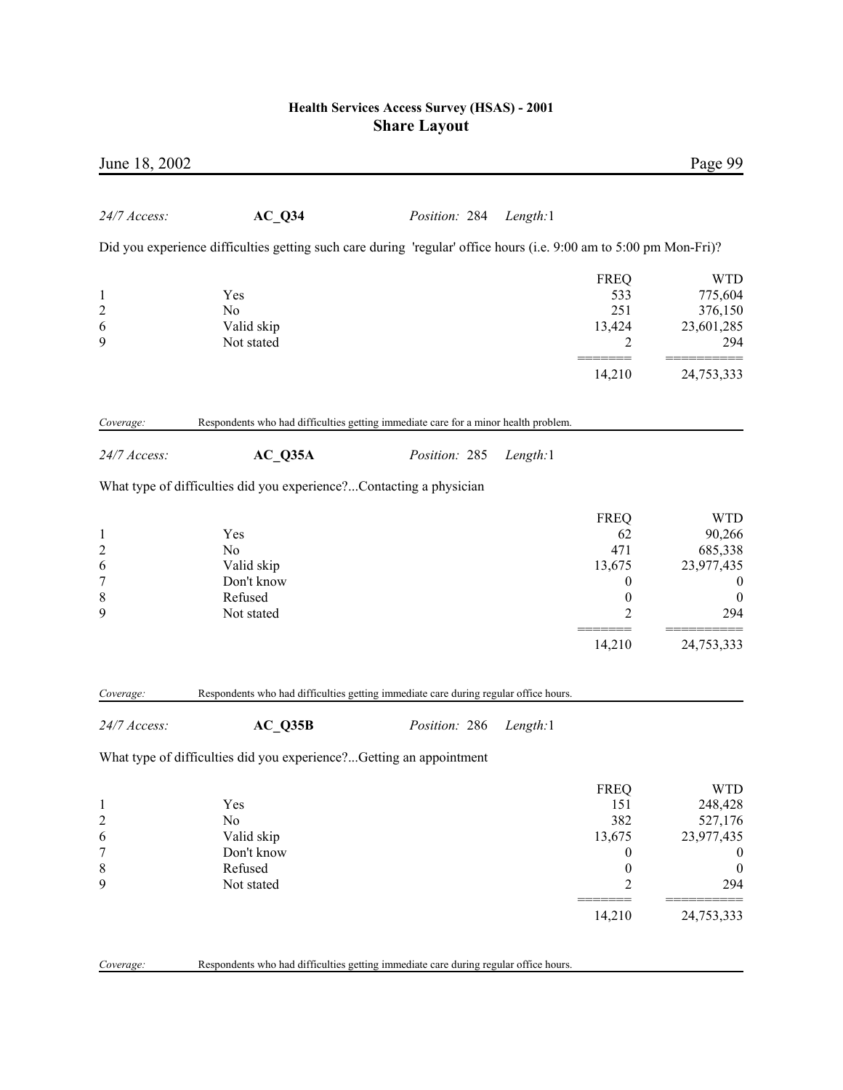| June 18, 2002    |                                                                                                                    |               |          |                  | Page 99          |
|------------------|--------------------------------------------------------------------------------------------------------------------|---------------|----------|------------------|------------------|
| 24/7 Access:     | $AC_Q$ 34                                                                                                          | Position: 284 | Length:1 |                  |                  |
|                  | Did you experience difficulties getting such care during 'regular' office hours (i.e. 9:00 am to 5:00 pm Mon-Fri)? |               |          |                  |                  |
|                  |                                                                                                                    |               |          | <b>FREQ</b>      | <b>WTD</b>       |
| $\mathbf{1}$     | Yes                                                                                                                |               |          | 533              | 775,604          |
| $\overline{c}$   | N <sub>0</sub>                                                                                                     |               |          | 251              | 376,150          |
| 6                | Valid skip                                                                                                         |               |          | 13,424           | 23,601,285       |
| 9                | Not stated                                                                                                         |               |          | 2                | 294              |
|                  |                                                                                                                    |               |          | =====<br>14,210  | 24,753,333       |
| Coverage:        | Respondents who had difficulties getting immediate care for a minor health problem.                                |               |          |                  |                  |
| 24/7 Access:     | $AC_Q35A$                                                                                                          | Position: 285 | Length:1 |                  |                  |
|                  | What type of difficulties did you experience?Contacting a physician                                                |               |          |                  |                  |
|                  |                                                                                                                    |               |          | <b>FREQ</b>      | <b>WTD</b>       |
| $\mathbf{1}$     | Yes                                                                                                                |               |          | 62               | 90,266           |
| $\overline{c}$   | No                                                                                                                 |               |          | 471              | 685,338          |
| 6                | Valid skip                                                                                                         |               |          | 13,675           | 23,977,435       |
| $\boldsymbol{7}$ | Don't know                                                                                                         |               |          | 0                | $\boldsymbol{0}$ |
| $\,$ $\,$        | Refused                                                                                                            |               |          | $\boldsymbol{0}$ | $\boldsymbol{0}$ |
| 9                | Not stated                                                                                                         |               |          | 2                | 294              |
|                  |                                                                                                                    |               |          | 14,210           | 24,753,333       |
| Coverage:        | Respondents who had difficulties getting immediate care during regular office hours.                               |               |          |                  |                  |
| 24/7 Access:     | $AC_Q35B$                                                                                                          | Position: 286 | Length:1 |                  |                  |
|                  | What type of difficulties did you experience?Getting an appointment                                                |               |          |                  |                  |
|                  |                                                                                                                    |               |          | <b>FREQ</b>      | <b>WTD</b>       |
| $\mathbf{1}$     | Yes                                                                                                                |               |          | 151              | 248,428          |
| $\overline{c}$   | No                                                                                                                 |               |          | 382              | 527,176          |
| 6                | Valid skip                                                                                                         |               |          | 13,675           | 23,977,435       |
| 7                | Don't know                                                                                                         |               |          | 0                | $\boldsymbol{0}$ |
| 8                | Refused                                                                                                            |               |          | $\boldsymbol{0}$ | $\boldsymbol{0}$ |
| 9                | Not stated                                                                                                         |               |          | $\overline{c}$   | 294              |
|                  |                                                                                                                    |               |          | 14,210           | 24,753,333       |
| Coverage:        | Respondents who had difficulties getting immediate care during regular office hours.                               |               |          |                  |                  |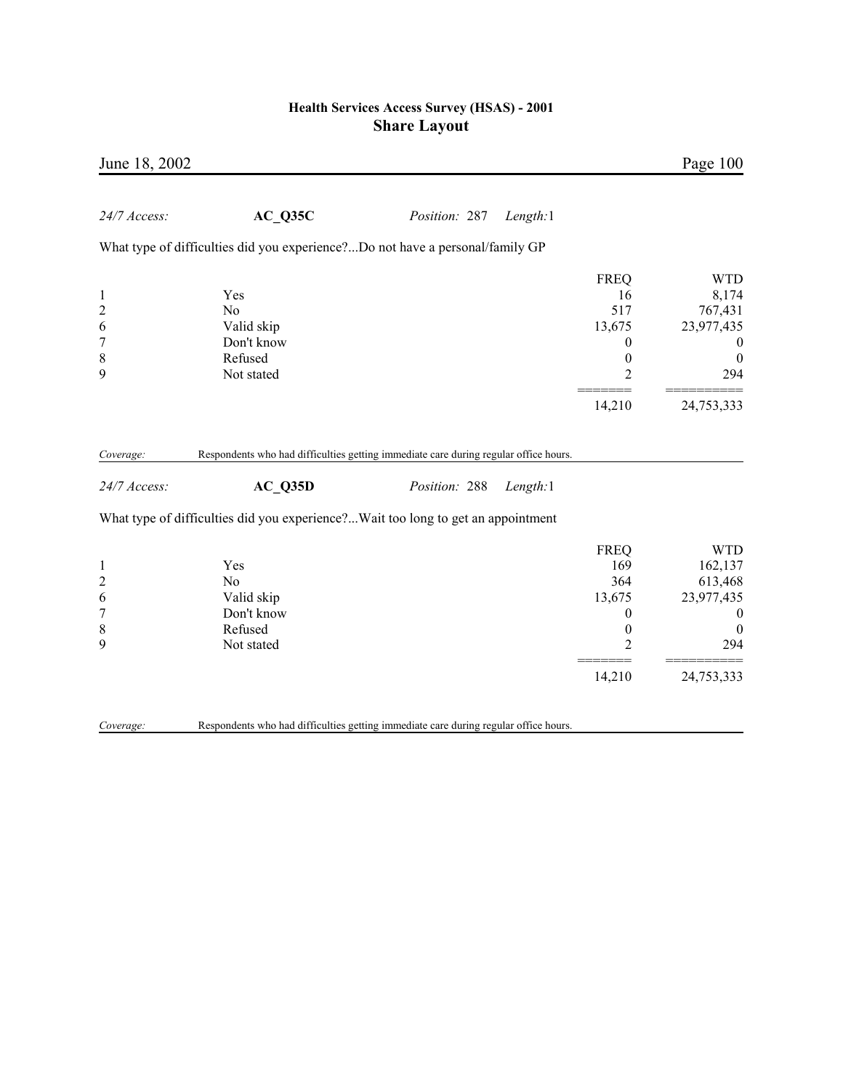| June 18, 2002                                                             |                                                                                                 |               |          |                                                                               | Page 100                                                                                      |
|---------------------------------------------------------------------------|-------------------------------------------------------------------------------------------------|---------------|----------|-------------------------------------------------------------------------------|-----------------------------------------------------------------------------------------------|
| 24/7 Access:                                                              | AC Q35C                                                                                         | Position: 287 | Length:1 |                                                                               |                                                                                               |
|                                                                           | What type of difficulties did you experience?Do not have a personal/family GP                   |               |          |                                                                               |                                                                                               |
| $\mathbf{1}$<br>$\overline{c}$<br>6<br>$\boldsymbol{7}$<br>$\,$ $\,$<br>9 | Yes<br>No<br>Valid skip<br>Don't know<br>Refused<br>Not stated                                  |               |          | <b>FREQ</b><br>16<br>517<br>13,675<br>0<br>$\boldsymbol{0}$<br>$\overline{2}$ | <b>WTD</b><br>8,174<br>767,431<br>23,977,435<br>$\boldsymbol{0}$<br>$\boldsymbol{0}$<br>294   |
|                                                                           |                                                                                                 |               |          | 14,210                                                                        | 24,753,333                                                                                    |
| Coverage:<br>24/7 Access:                                                 | Respondents who had difficulties getting immediate care during regular office hours.<br>AC Q35D | Position: 288 | Length:1 |                                                                               |                                                                                               |
|                                                                           | What type of difficulties did you experience?Wait too long to get an appointment                |               |          |                                                                               |                                                                                               |
| $\mathbf{1}$<br>$\overline{c}$<br>6<br>$\overline{7}$<br>$\,$ 8 $\,$<br>9 | Yes<br>N <sub>0</sub><br>Valid skip<br>Don't know<br>Refused<br>Not stated                      |               |          | <b>FREQ</b><br>169<br>364<br>13,675<br>0<br>0<br>$\overline{c}$               | <b>WTD</b><br>162,137<br>613,468<br>23,977,435<br>$\boldsymbol{0}$<br>$\boldsymbol{0}$<br>294 |
|                                                                           |                                                                                                 |               |          | 14,210                                                                        | 24,753,333                                                                                    |
| Coverage:                                                                 | Respondents who had difficulties getting immediate care during regular office hours.            |               |          |                                                                               |                                                                                               |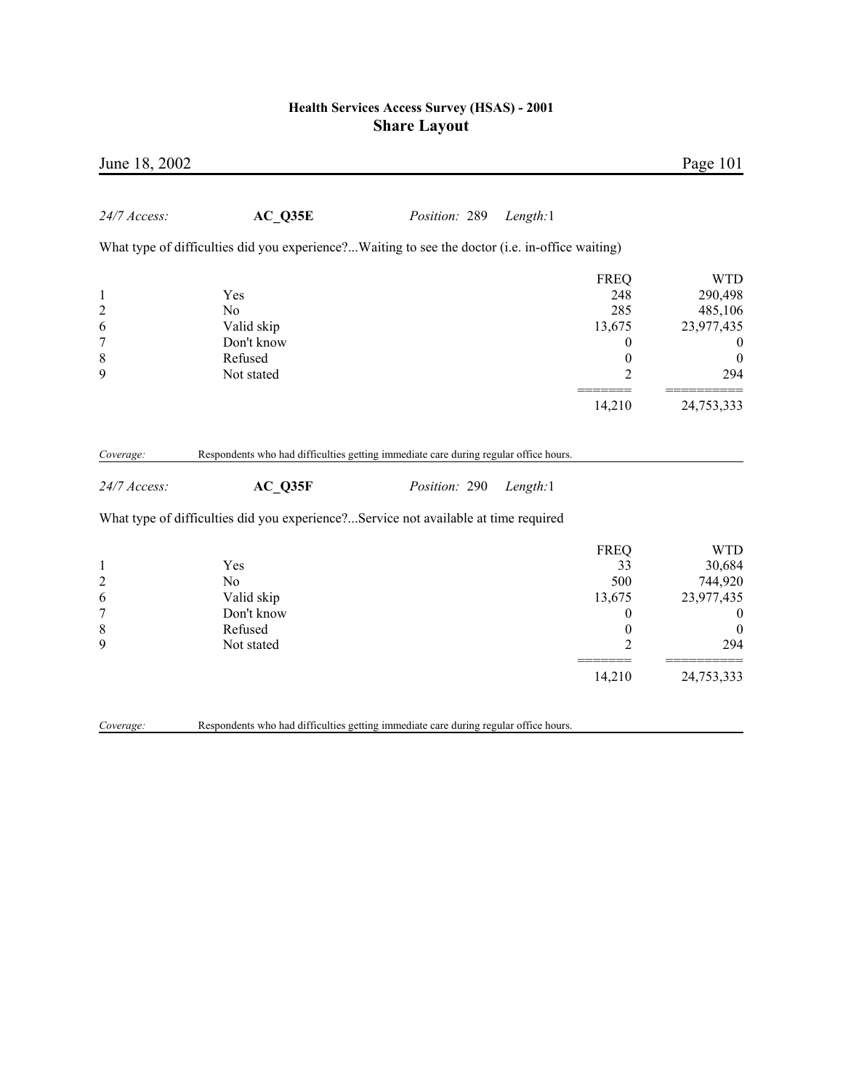| June 18, 2002                                                               |                                                                                                 |               |                                                                                              | Page 101                                                                                     |
|-----------------------------------------------------------------------------|-------------------------------------------------------------------------------------------------|---------------|----------------------------------------------------------------------------------------------|----------------------------------------------------------------------------------------------|
| 24/7 Access:                                                                | AC Q35E                                                                                         | Position: 289 | Length:1                                                                                     |                                                                                              |
|                                                                             | What type of difficulties did you experience?Waiting to see the doctor (i.e. in-office waiting) |               |                                                                                              |                                                                                              |
| $\mathbf{1}$<br>$\overline{c}$<br>6<br>7<br>$\,$ 8 $\,$<br>9                | Yes<br>$\rm No$<br>Valid skip<br>Don't know<br>Refused<br>Not stated                            |               | <b>FREQ</b><br>248<br>285<br>13,675<br>0<br>$\boldsymbol{0}$<br>$\overline{2}$               | <b>WTD</b><br>290,498<br>485,106<br>23,977,435<br>$\boldsymbol{0}$<br>$\theta$<br>294        |
|                                                                             |                                                                                                 |               | 14,210                                                                                       | 24,753,333                                                                                   |
| Coverage:                                                                   | Respondents who had difficulties getting immediate care during regular office hours.            |               |                                                                                              |                                                                                              |
| 24/7 Access:                                                                | AC Q35F                                                                                         | Position: 290 | Length:1                                                                                     |                                                                                              |
|                                                                             | What type of difficulties did you experience?Service not available at time required             |               |                                                                                              |                                                                                              |
| $\mathbf{1}$<br>$\overline{c}$<br>6<br>$\boldsymbol{7}$<br>$\,$ 8 $\,$<br>9 | Yes<br>No<br>Valid skip<br>Don't know<br>Refused<br>Not stated                                  |               | <b>FREQ</b><br>33<br>500<br>13,675<br>$\boldsymbol{0}$<br>$\boldsymbol{0}$<br>$\overline{2}$ | <b>WTD</b><br>30,684<br>744,920<br>23,977,435<br>$\boldsymbol{0}$<br>$\boldsymbol{0}$<br>294 |
|                                                                             |                                                                                                 |               | 14,210                                                                                       | 24,753,333                                                                                   |
| Coverage:                                                                   | Respondents who had difficulties getting immediate care during regular office hours.            |               |                                                                                              |                                                                                              |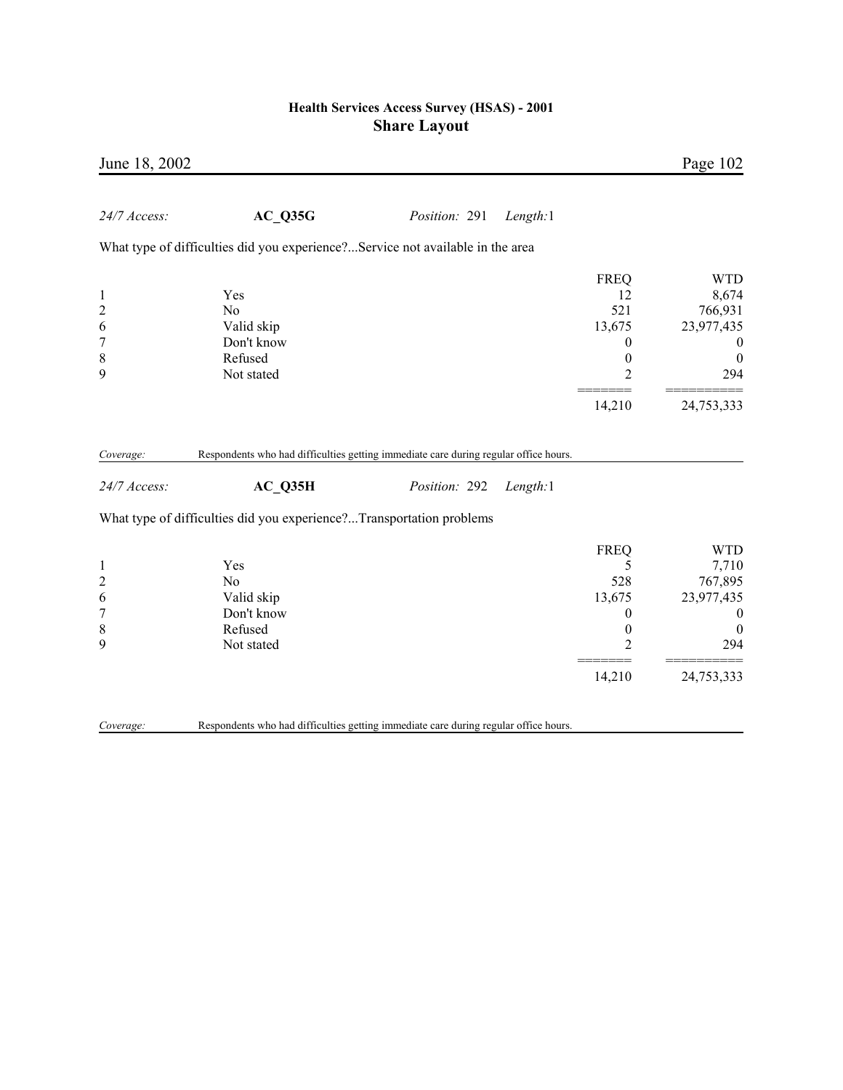| June 18, 2002                                                             |                                                                                      |               |          |                                                                           | Page 102                                                                                          |
|---------------------------------------------------------------------------|--------------------------------------------------------------------------------------|---------------|----------|---------------------------------------------------------------------------|---------------------------------------------------------------------------------------------------|
| 24/7 Access:                                                              | AC Q35G                                                                              | Position: 291 | Length:1 |                                                                           |                                                                                                   |
|                                                                           | What type of difficulties did you experience?Service not available in the area       |               |          |                                                                           |                                                                                                   |
| $\mathbf{1}$<br>$\overline{c}$<br>6<br>$\boldsymbol{7}$<br>$\,$ $\,$<br>9 | Yes<br>N <sub>0</sub><br>Valid skip<br>Don't know<br>Refused<br>Not stated           |               |          | <b>FREQ</b><br>12<br>521<br>13,675<br>0<br>$\boldsymbol{0}$<br>2          | <b>WTD</b><br>8,674<br>766,931<br>23,977,435<br>$\bf{0}$<br>$\boldsymbol{0}$<br>294               |
|                                                                           |                                                                                      |               |          | 14,210                                                                    | 24,753,333                                                                                        |
| Coverage:                                                                 | Respondents who had difficulties getting immediate care during regular office hours. |               |          |                                                                           |                                                                                                   |
| 24/7 Access:                                                              | AC Q35H                                                                              | Position: 292 | Length:1 |                                                                           |                                                                                                   |
|                                                                           | What type of difficulties did you experience?Transportation problems                 |               |          |                                                                           |                                                                                                   |
| $\mathbf{1}$<br>$\overline{c}$<br>6<br>$\overline{7}$<br>$\,$ $\,$<br>9   | Yes<br>N <sub>0</sub><br>Valid skip<br>Don't know<br>Refused<br>Not stated           |               |          | <b>FREQ</b><br>5<br>528<br>13,675<br>0<br>$\boldsymbol{0}$<br>2<br>14,210 | <b>WTD</b><br>7,710<br>767,895<br>23,977,435<br>$\boldsymbol{0}$<br>$\theta$<br>294<br>24,753,333 |
| Coverage:                                                                 | Respondents who had difficulties getting immediate care during regular office hours. |               |          |                                                                           |                                                                                                   |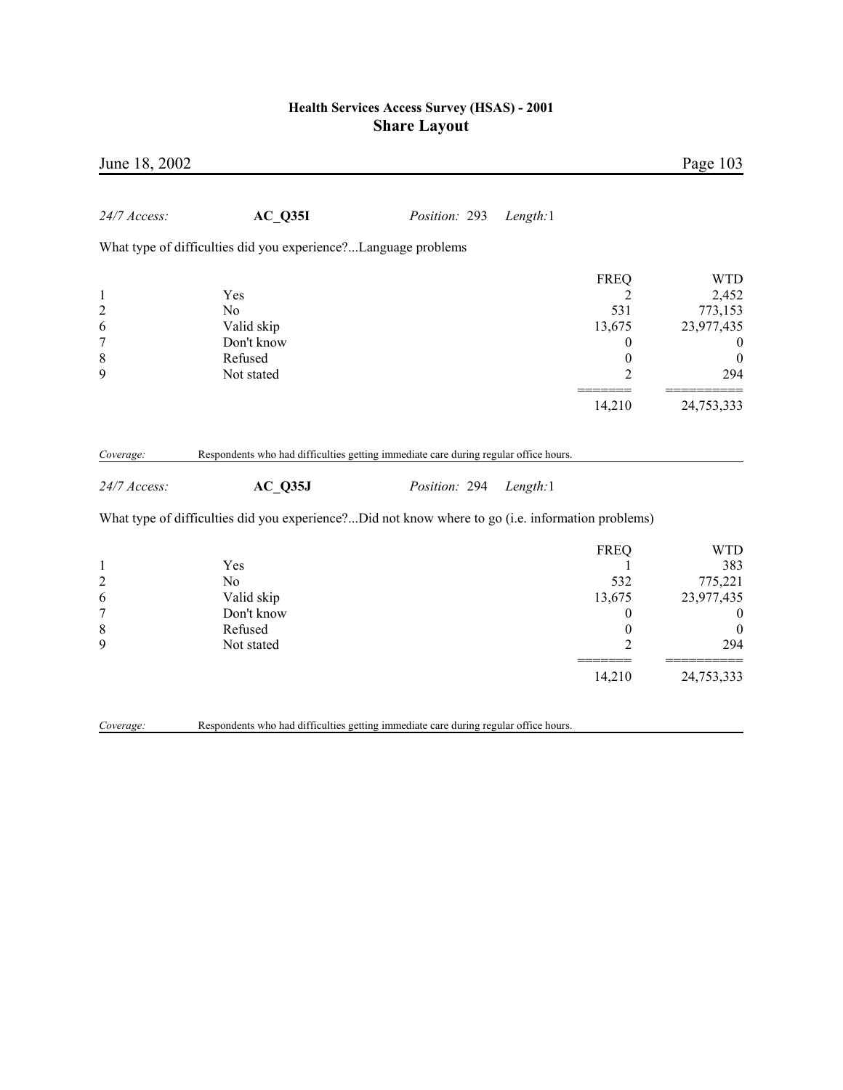| June 18, 2002    |                                                                                                   |               |          |                  | Page 103         |
|------------------|---------------------------------------------------------------------------------------------------|---------------|----------|------------------|------------------|
| 24/7 Access:     | $AC_$ Q35I                                                                                        | Position: 293 | Length:1 |                  |                  |
|                  | What type of difficulties did you experience?Language problems                                    |               |          |                  |                  |
|                  |                                                                                                   |               |          | <b>FREQ</b>      | <b>WTD</b>       |
| $\mathbf{1}$     | Yes                                                                                               |               |          | 2                | 2,452            |
| $\overline{c}$   | N <sub>o</sub>                                                                                    |               |          | 531              | 773,153          |
| 6                | Valid skip                                                                                        |               |          | 13,675           | 23,977,435       |
| $\boldsymbol{7}$ | Don't know                                                                                        |               |          | $\boldsymbol{0}$ | $\boldsymbol{0}$ |
| 8                | Refused                                                                                           |               |          | $\boldsymbol{0}$ | $\boldsymbol{0}$ |
| 9                | Not stated                                                                                        |               |          | $\overline{2}$   | 294              |
|                  |                                                                                                   |               |          | 14,210           | 24,753,333       |
| Coverage:        | Respondents who had difficulties getting immediate care during regular office hours.              |               |          |                  |                  |
| 24/7 Access:     | $AC_$ Q35J                                                                                        | Position: 294 | Length:1 |                  |                  |
|                  | What type of difficulties did you experience?Did not know where to go (i.e. information problems) |               |          |                  |                  |
|                  |                                                                                                   |               |          | <b>FREQ</b>      | <b>WTD</b>       |
| $\mathbf{1}$     | Yes                                                                                               |               |          | 1                | 383              |
| $\overline{c}$   | N <sub>0</sub>                                                                                    |               |          | 532              | 775,221          |
| 6                | Valid skip                                                                                        |               |          | 13,675           | 23,977,435       |
| $\overline{7}$   | Don't know                                                                                        |               |          | $\boldsymbol{0}$ | $\boldsymbol{0}$ |
| 8                | Refused                                                                                           |               |          | $\boldsymbol{0}$ | $\mathbf{0}$     |
| 9                | Not stated                                                                                        |               |          | $\overline{2}$   | 294              |
|                  |                                                                                                   |               |          | 14,210           | 24,753,333       |
|                  |                                                                                                   |               |          |                  |                  |
| Coverage:        | Respondents who had difficulties getting immediate care during regular office hours.              |               |          |                  |                  |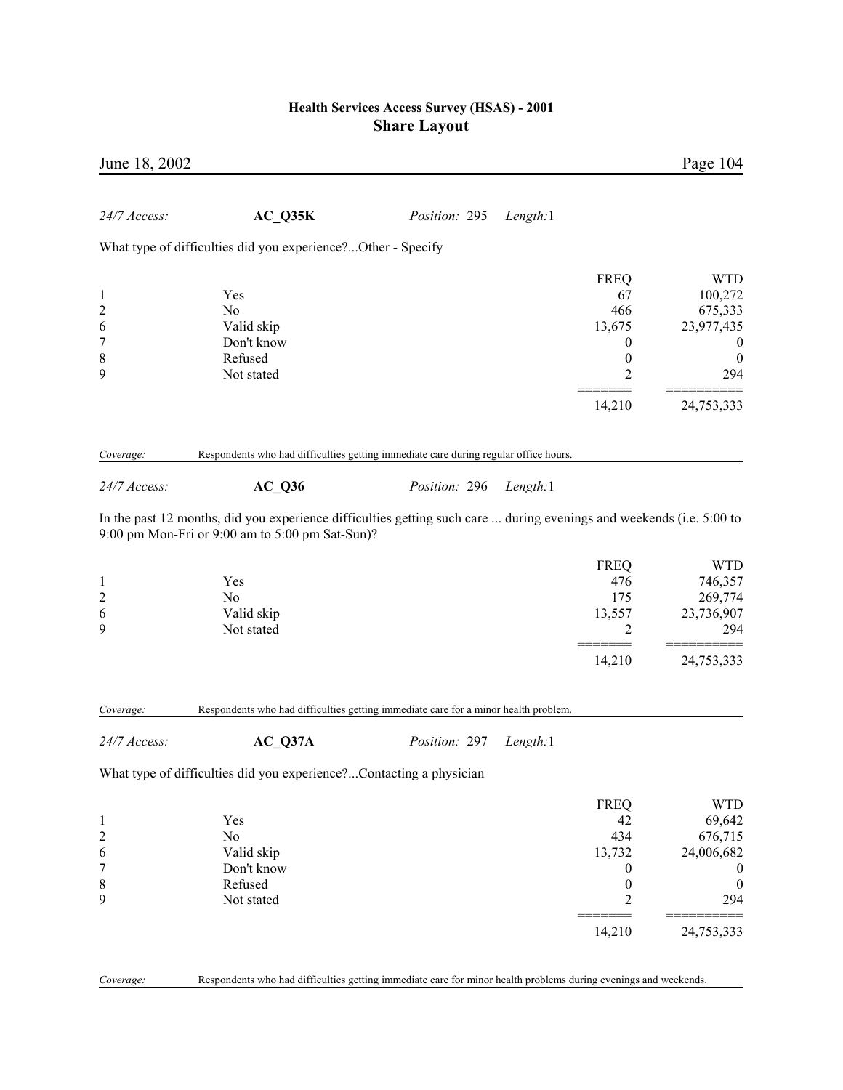| June 18, 2002                 |                                                                                                                                                                         |               |          |                       | Page 104                             |
|-------------------------------|-------------------------------------------------------------------------------------------------------------------------------------------------------------------------|---------------|----------|-----------------------|--------------------------------------|
| 24/7 Access:                  | $AC_Q35K$                                                                                                                                                               | Position: 295 | Length:1 |                       |                                      |
|                               | What type of difficulties did you experience?Other - Specify                                                                                                            |               |          |                       |                                      |
|                               |                                                                                                                                                                         |               |          | <b>FREQ</b>           | <b>WTD</b>                           |
| 1                             | Yes                                                                                                                                                                     |               |          | 67                    | 100,272                              |
|                               | No                                                                                                                                                                      |               |          | 466                   | 675,333                              |
| 2<br>6                        | Valid skip                                                                                                                                                              |               |          | 13,675                | 23,977,435                           |
| 7                             | Don't know                                                                                                                                                              |               |          | $\boldsymbol{0}$      | $\bf{0}$                             |
| 8                             | Refused                                                                                                                                                                 |               |          | $\boldsymbol{0}$      | $\boldsymbol{0}$                     |
| 9                             | Not stated                                                                                                                                                              |               |          | 2                     | 294                                  |
|                               |                                                                                                                                                                         |               |          | 14,210                | 24,753,333                           |
|                               |                                                                                                                                                                         |               |          |                       |                                      |
| Coverage:                     | Respondents who had difficulties getting immediate care during regular office hours.                                                                                    |               |          |                       |                                      |
| 24/7 Access:                  | <b>AC Q36</b>                                                                                                                                                           | Position: 296 | Length:1 |                       |                                      |
|                               | In the past 12 months, did you experience difficulties getting such care  during evenings and weekends (i.e. 5:00 to<br>9:00 pm Mon-Fri or 9:00 am to 5:00 pm Sat-Sun)? |               |          |                       |                                      |
|                               |                                                                                                                                                                         |               |          | <b>FREQ</b>           | <b>WTD</b>                           |
| $\mathbf 1$                   | Yes                                                                                                                                                                     |               |          | 476                   | 746,357                              |
| $\overline{c}$                | No                                                                                                                                                                      |               |          | 175                   | 269,774                              |
| 6                             | Valid skip                                                                                                                                                              |               |          | 13,557                | 23,736,907                           |
| 9                             | Not stated                                                                                                                                                              |               |          | 2                     | 294                                  |
|                               |                                                                                                                                                                         |               |          | 14,210                | 24,753,333                           |
| Coverage:                     | Respondents who had difficulties getting immediate care for a minor health problem.                                                                                     |               |          |                       |                                      |
| 24/7 Access:                  | $AC_Q37A$                                                                                                                                                               | Position: 297 | Length:1 |                       |                                      |
|                               | What type of difficulties did you experience?Contacting a physician                                                                                                     |               |          |                       |                                      |
|                               |                                                                                                                                                                         |               |          |                       |                                      |
|                               |                                                                                                                                                                         |               |          | <b>FREQ</b>           | <b>WTD</b>                           |
| 1                             | Yes                                                                                                                                                                     |               |          | 42                    | 69,642                               |
| $\overline{\mathbf{c}}$       | No                                                                                                                                                                      |               |          | 434                   | 676,715                              |
| 6<br>$\overline{\mathcal{I}}$ | Valid skip<br>Don't know                                                                                                                                                |               |          | 13,732                | 24,006,682                           |
| 8                             | Refused                                                                                                                                                                 |               |          | 0<br>$\boldsymbol{0}$ | $\boldsymbol{0}$<br>$\boldsymbol{0}$ |
| 9                             | Not stated                                                                                                                                                              |               |          | $\overline{c}$        | 294                                  |
|                               |                                                                                                                                                                         |               |          |                       |                                      |
|                               |                                                                                                                                                                         |               |          | 14,210                | 24,753,333                           |
|                               |                                                                                                                                                                         |               |          |                       |                                      |

*Coverage:* Respondents who had difficulties getting immediate care for minor health problems during evenings and weekends.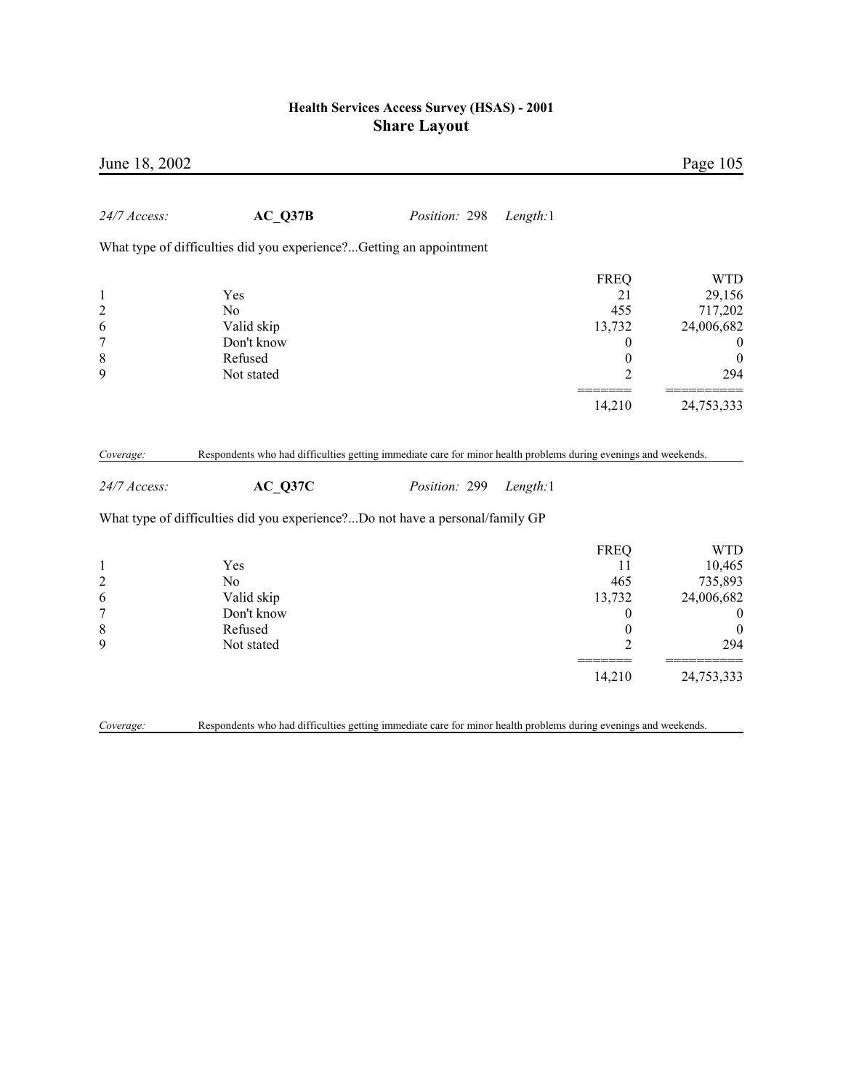| June 18, 2002                                                             |                                                                                                                                                                                                             |               |          |                                                                                          | Page 105                                                                                     |
|---------------------------------------------------------------------------|-------------------------------------------------------------------------------------------------------------------------------------------------------------------------------------------------------------|---------------|----------|------------------------------------------------------------------------------------------|----------------------------------------------------------------------------------------------|
| 24/7 Access:                                                              | AC Q37B                                                                                                                                                                                                     | Position: 298 | Length:1 |                                                                                          |                                                                                              |
|                                                                           | What type of difficulties did you experience?Getting an appointment                                                                                                                                         |               |          |                                                                                          |                                                                                              |
| $\mathbf{1}$<br>$\overline{c}$<br>6<br>$\overline{7}$<br>$\,$ 8 $\,$<br>9 | Yes<br>N <sub>0</sub><br>Valid skip<br>Don't know<br>Refused<br>Not stated                                                                                                                                  |               |          | <b>FREQ</b><br>21<br>455<br>13,732<br>$\mathbf{0}$<br>$\boldsymbol{0}$<br>$\overline{2}$ | <b>WTD</b><br>29,156<br>717,202<br>24,006,682<br>$\boldsymbol{0}$<br>$\boldsymbol{0}$<br>294 |
|                                                                           |                                                                                                                                                                                                             |               |          | 14,210                                                                                   | 24,753,333                                                                                   |
| Coverage:<br>24/7 Access:                                                 | Respondents who had difficulties getting immediate care for minor health problems during evenings and weekends.<br>AC Q37C<br>What type of difficulties did you experience?Do not have a personal/family GP | Position: 299 | Length:1 |                                                                                          |                                                                                              |
|                                                                           |                                                                                                                                                                                                             |               |          | <b>FREQ</b>                                                                              | <b>WTD</b>                                                                                   |
| $\mathbf{1}$                                                              | Yes                                                                                                                                                                                                         |               |          | 11                                                                                       | 10,465                                                                                       |
| $\boldsymbol{2}$                                                          | N <sub>o</sub>                                                                                                                                                                                              |               |          | 465                                                                                      | 735,893                                                                                      |
| 6                                                                         | Valid skip                                                                                                                                                                                                  |               |          | 13,732                                                                                   | 24,006,682                                                                                   |
| $\overline{7}$                                                            | Don't know                                                                                                                                                                                                  |               |          | $\boldsymbol{0}$                                                                         | $\boldsymbol{0}$                                                                             |
| $\,$ $\,$                                                                 | Refused                                                                                                                                                                                                     |               |          | $\boldsymbol{0}$                                                                         | $\boldsymbol{0}$                                                                             |
| 9                                                                         | Not stated                                                                                                                                                                                                  |               |          | $\overline{2}$                                                                           | 294                                                                                          |
|                                                                           |                                                                                                                                                                                                             |               |          | 14,210                                                                                   | 24,753,333                                                                                   |
| Coverage:                                                                 | Respondents who had difficulties getting immediate care for minor health problems during evenings and weekends.                                                                                             |               |          |                                                                                          |                                                                                              |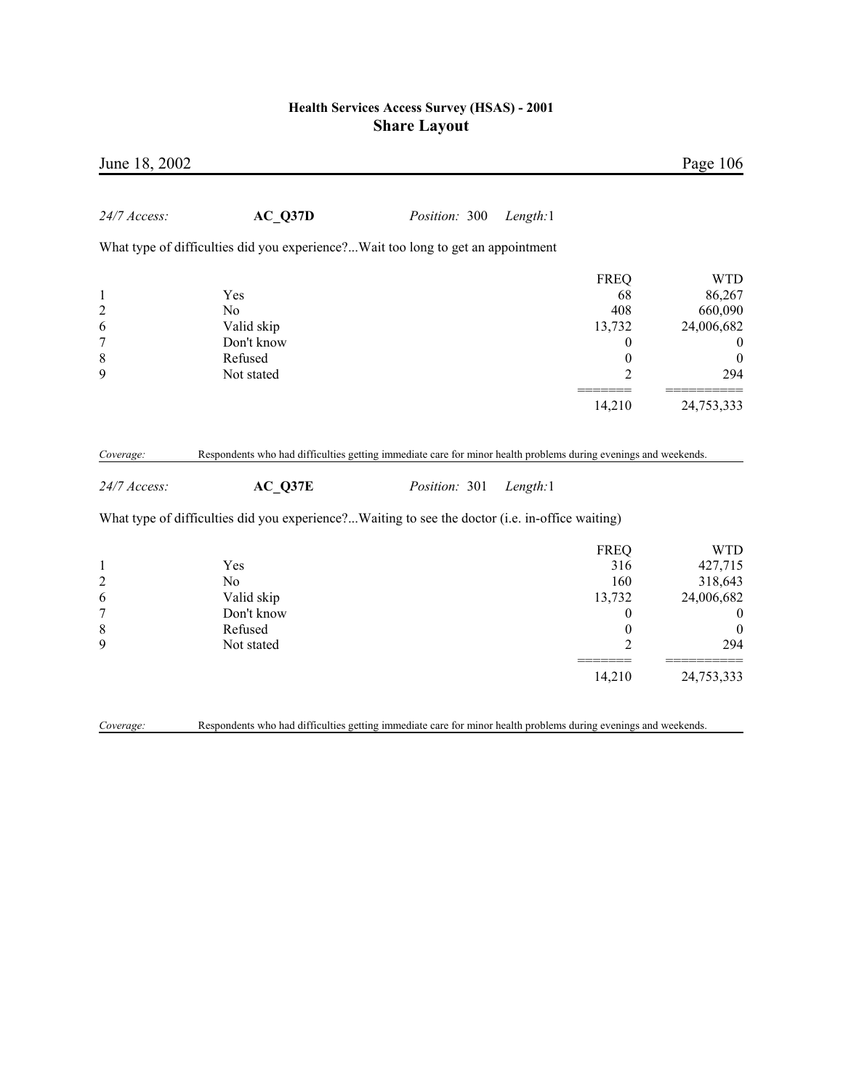| June 18, 2002    |                                                                                                              |               |          |                  | Page 106         |
|------------------|--------------------------------------------------------------------------------------------------------------|---------------|----------|------------------|------------------|
| 24/7 Access:     | AC Q37D                                                                                                      | Position: 300 | Length:1 |                  |                  |
|                  | What type of difficulties did you experience?Wait too long to get an appointment                             |               |          |                  |                  |
|                  |                                                                                                              |               |          | <b>FREQ</b>      | <b>WTD</b>       |
| $\mathbf{1}$     | Yes                                                                                                          |               |          | 68               | 86,267           |
| $\overline{c}$   | N <sub>o</sub>                                                                                               |               |          | 408              | 660,090          |
| 6                | Valid skip                                                                                                   |               |          | 13,732           | 24,006,682       |
| $\overline{7}$   | Don't know                                                                                                   |               |          | $\theta$         | $\boldsymbol{0}$ |
| $\,$ $\,$        | Refused                                                                                                      |               |          | $\boldsymbol{0}$ | $\boldsymbol{0}$ |
| 9                | Not stated                                                                                                   |               |          | $\overline{2}$   | 294              |
|                  |                                                                                                              |               |          | 14,210           | 24,753,333       |
| 24/7 Access:     | $AC_Q37E$<br>What type of difficulties did you experience?Waiting to see the doctor (i.e. in-office waiting) | Position: 301 | Length:1 |                  |                  |
|                  |                                                                                                              |               |          |                  |                  |
|                  |                                                                                                              |               |          | <b>FREQ</b>      | <b>WTD</b>       |
| $\mathbf{1}$     | Yes                                                                                                          |               |          | 316              | 427,715          |
| $\overline{c}$   | N <sub>o</sub>                                                                                               |               |          | 160              | 318,643          |
| 6                | Valid skip                                                                                                   |               |          | 13,732           | 24,006,682       |
| $\boldsymbol{7}$ | Don't know                                                                                                   |               |          | $\boldsymbol{0}$ | $\boldsymbol{0}$ |
| $\,$ $\,$        | Refused                                                                                                      |               |          | $\boldsymbol{0}$ | $\mathbf{0}$     |
| 9                | Not stated                                                                                                   |               |          | $\overline{2}$   | 294              |
|                  |                                                                                                              |               |          |                  |                  |
|                  |                                                                                                              |               |          | 14,210           | 24,753,333       |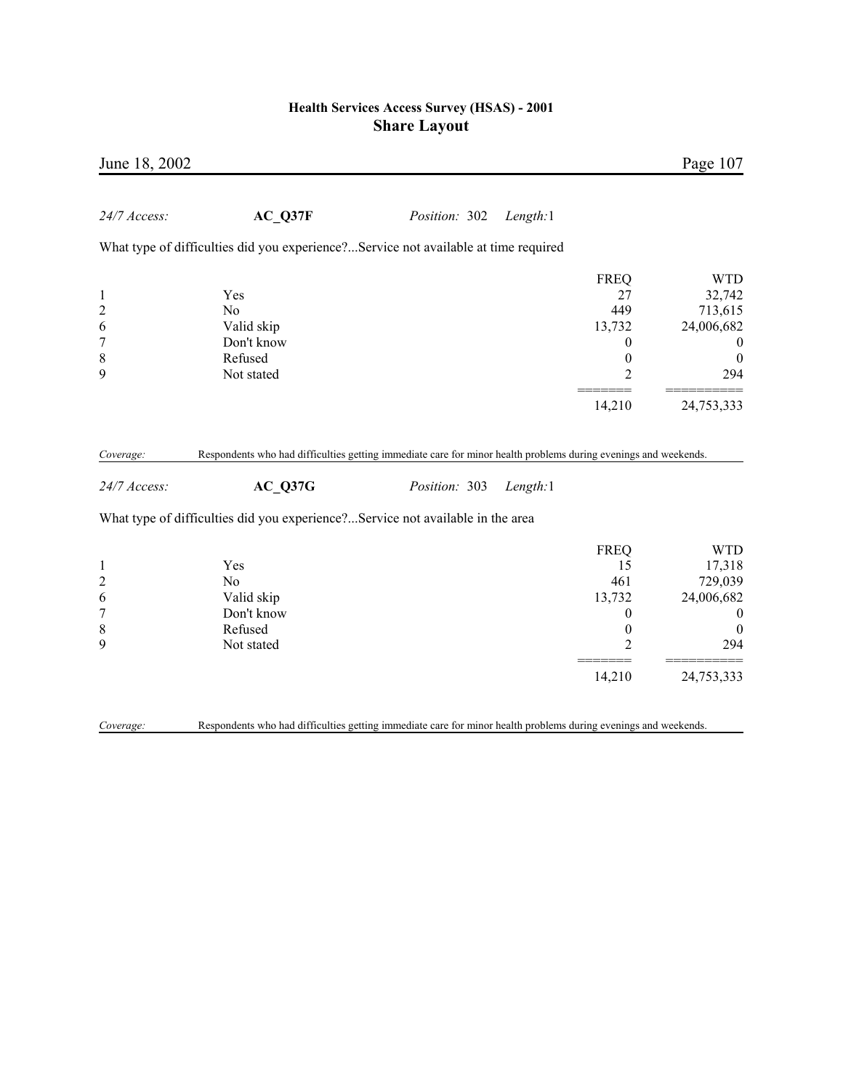| June 18, 2002             |                                                                                                                            |               |          |                  | Page 107         |
|---------------------------|----------------------------------------------------------------------------------------------------------------------------|---------------|----------|------------------|------------------|
| 24/7 Access:              | AC Q37F                                                                                                                    | Position: 302 | Length:1 |                  |                  |
|                           | What type of difficulties did you experience?Service not available at time required                                        |               |          |                  |                  |
|                           |                                                                                                                            |               |          | <b>FREQ</b>      | <b>WTD</b>       |
| $\mathbf{1}$              | Yes                                                                                                                        |               |          | 27               | 32,742           |
| $\overline{c}$            | N <sub>0</sub>                                                                                                             |               |          | 449              | 713,615          |
| 6                         | Valid skip                                                                                                                 |               |          | 13,732           | 24,006,682       |
| $\boldsymbol{7}$          | Don't know                                                                                                                 |               |          | 0                | $\boldsymbol{0}$ |
| 8                         | Refused                                                                                                                    |               |          | $\boldsymbol{0}$ | $\boldsymbol{0}$ |
| 9                         | Not stated                                                                                                                 |               |          | $\overline{2}$   | 294              |
|                           |                                                                                                                            |               |          | 14,210           | 24,753,333       |
| Coverage:<br>24/7 Access: | Respondents who had difficulties getting immediate care for minor health problems during evenings and weekends.<br>AC Q37G | Position: 303 | Length:1 |                  |                  |
|                           | What type of difficulties did you experience?Service not available in the area                                             |               |          |                  |                  |
|                           |                                                                                                                            |               |          | <b>FREQ</b>      | <b>WTD</b>       |
| $\mathbf{1}$              | Yes                                                                                                                        |               |          | 15               | 17,318           |
| $\overline{c}$            | No                                                                                                                         |               |          | 461              | 729,039          |
| 6                         | Valid skip                                                                                                                 |               |          | 13,732           | 24,006,682       |
| $\overline{7}$            | Don't know                                                                                                                 |               |          | $\boldsymbol{0}$ | $\boldsymbol{0}$ |
| $\,$ 8 $\,$               | Refused                                                                                                                    |               |          | $\boldsymbol{0}$ | $\boldsymbol{0}$ |
| 9                         | Not stated                                                                                                                 |               |          | $\overline{2}$   | 294              |
|                           |                                                                                                                            |               |          | 14,210           | 24,753,333       |
| Coverage:                 | Respondents who had difficulties getting immediate care for minor health problems during evenings and weekends.            |               |          |                  |                  |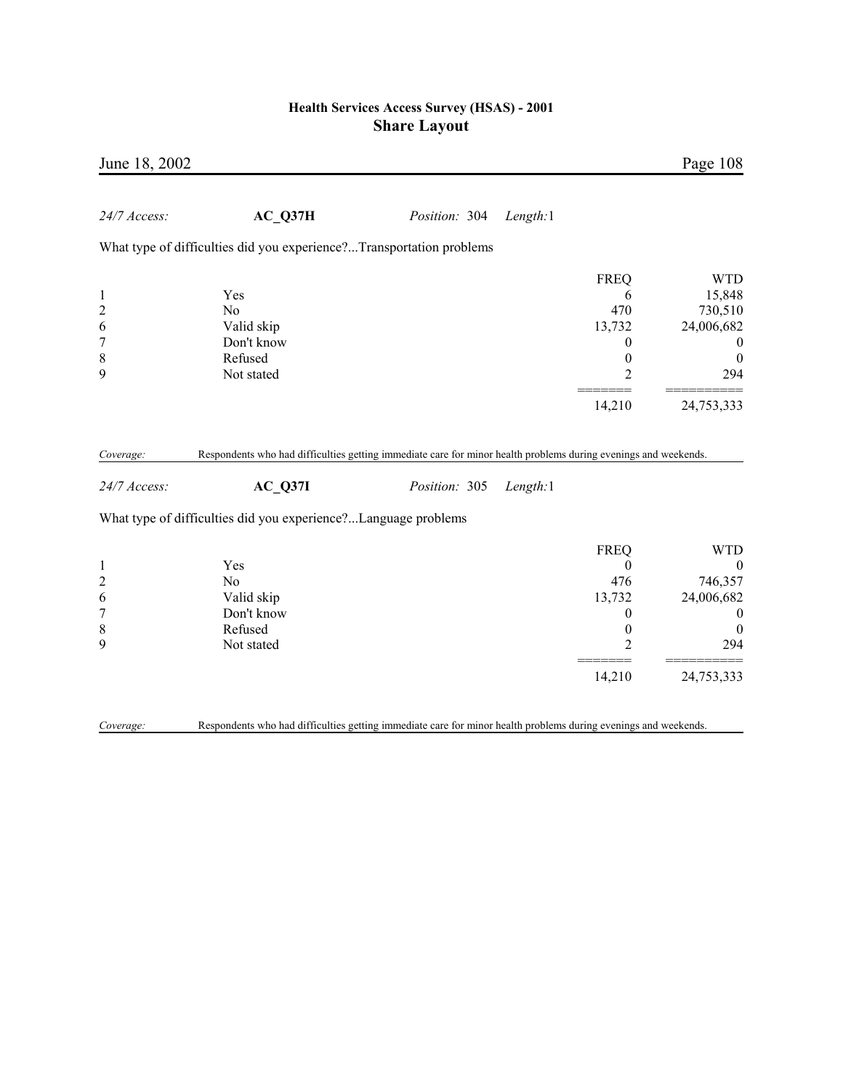| June 18, 2002  |                                                                                                                 |               |          |                  | Page 108         |
|----------------|-----------------------------------------------------------------------------------------------------------------|---------------|----------|------------------|------------------|
| 24/7 Access:   | AC Q37H                                                                                                         | Position: 304 | Length:1 |                  |                  |
|                | What type of difficulties did you experience?Transportation problems                                            |               |          |                  |                  |
|                |                                                                                                                 |               |          | <b>FREQ</b>      | <b>WTD</b>       |
| $\mathbf{1}$   | Yes                                                                                                             |               |          | 6                | 15,848           |
| $\overline{c}$ | No                                                                                                              |               |          | 470              | 730,510          |
| 6              | Valid skip                                                                                                      |               |          | 13,732           | 24,006,682       |
| $\overline{7}$ | Don't know                                                                                                      |               |          | 0                | $\boldsymbol{0}$ |
| 8              | Refused                                                                                                         |               |          | $\boldsymbol{0}$ | $\boldsymbol{0}$ |
| 9              | Not stated                                                                                                      |               |          | 2                | 294              |
|                |                                                                                                                 |               |          | 14,210           | 24,753,333       |
|                |                                                                                                                 |               |          |                  |                  |
| Coverage:      | Respondents who had difficulties getting immediate care for minor health problems during evenings and weekends. |               |          |                  |                  |
| 24/7 Access:   | AC Q37I                                                                                                         | Position: 305 | Length:1 |                  |                  |
|                | What type of difficulties did you experience?Language problems                                                  |               |          |                  |                  |
|                |                                                                                                                 |               |          | <b>FREQ</b>      | <b>WTD</b>       |
| $\mathbf{1}$   | Yes                                                                                                             |               |          | $\theta$         | $\mathbf{0}$     |
| $\overline{c}$ | No                                                                                                              |               |          | 476              | 746,357          |
| 6              | Valid skip                                                                                                      |               |          | 13,732           | 24,006,682       |
| $\overline{7}$ | Don't know                                                                                                      |               |          | 0                | $\boldsymbol{0}$ |
| $\,$ $\,$      | Refused                                                                                                         |               |          | $\boldsymbol{0}$ | $\boldsymbol{0}$ |
| 9              | Not stated                                                                                                      |               |          | 2                | 294              |
|                |                                                                                                                 |               |          | 14,210           | 24,753,333       |
|                |                                                                                                                 |               |          |                  |                  |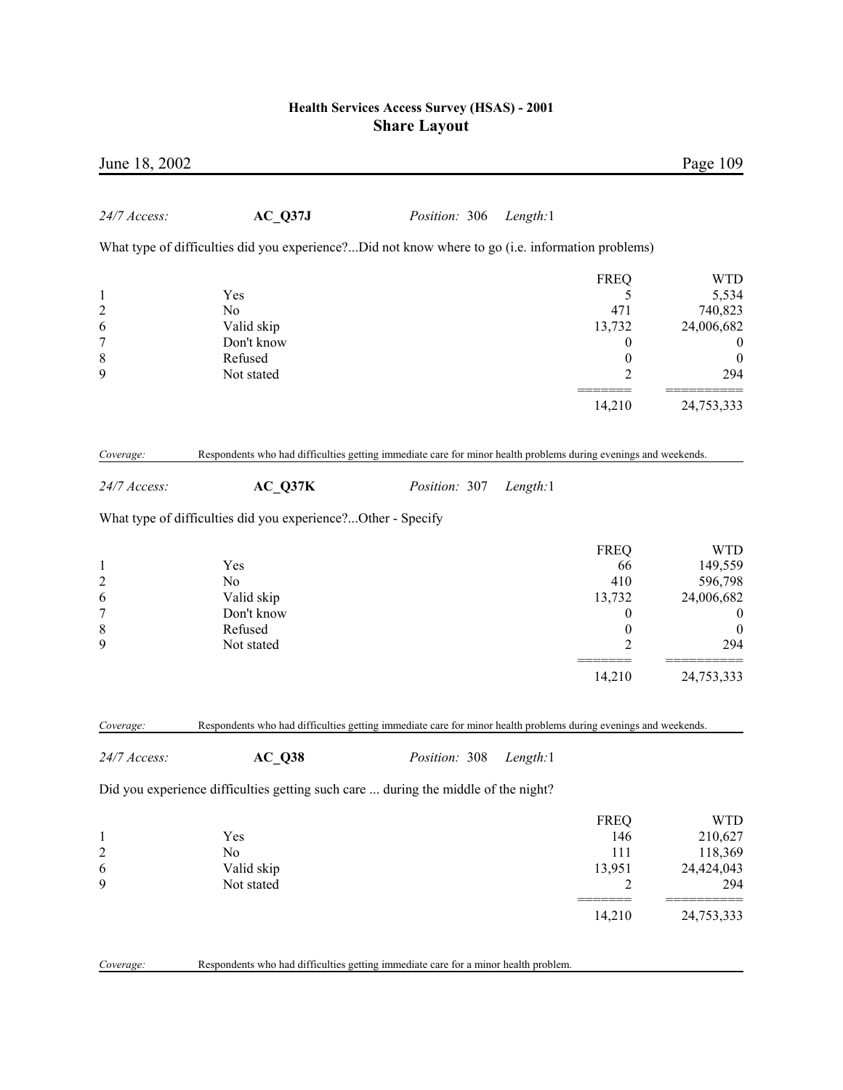| June 18, 2002                                    |                                                                                                                 |               |          |                                                                                              | Page 109                                                                                      |
|--------------------------------------------------|-----------------------------------------------------------------------------------------------------------------|---------------|----------|----------------------------------------------------------------------------------------------|-----------------------------------------------------------------------------------------------|
| 24/7 Access:                                     | $AC_$ Q37J                                                                                                      | Position: 306 | Length:1 |                                                                                              |                                                                                               |
|                                                  | What type of difficulties did you experience?Did not know where to go (i.e. information problems)               |               |          |                                                                                              |                                                                                               |
| 1<br>$\overline{\mathbf{c}}$<br>6<br>7<br>8<br>9 | Yes<br>N <sub>0</sub><br>Valid skip<br>Don't know<br>Refused<br>Not stated                                      |               |          | <b>FREQ</b><br>5<br>471<br>13,732<br>$\bf{0}$<br>$\boldsymbol{0}$<br>2                       | <b>WTD</b><br>5,534<br>740,823<br>24,006,682<br>$\theta$<br>$\boldsymbol{0}$<br>294           |
|                                                  |                                                                                                                 |               |          | 14,210                                                                                       | 24,753,333                                                                                    |
| Coverage:                                        | Respondents who had difficulties getting immediate care for minor health problems during evenings and weekends. |               |          |                                                                                              |                                                                                               |
| 24/7 Access:                                     | $AC_Q37K$                                                                                                       | Position: 307 | Length:1 |                                                                                              |                                                                                               |
|                                                  | What type of difficulties did you experience?Other - Specify                                                    |               |          |                                                                                              |                                                                                               |
| 1<br>2<br>6<br>$\overline{7}$<br>8<br>9          | Yes<br>No<br>Valid skip<br>Don't know<br>Refused<br>Not stated                                                  |               |          | <b>FREQ</b><br>66<br>410<br>13,732<br>$\boldsymbol{0}$<br>$\boldsymbol{0}$<br>$\overline{2}$ | <b>WTD</b><br>149,559<br>596,798<br>24,006,682<br>$\boldsymbol{0}$<br>$\boldsymbol{0}$<br>294 |
|                                                  |                                                                                                                 |               |          | 14,210                                                                                       | 24,753,333                                                                                    |
| Coverage:                                        | Respondents who had difficulties getting immediate care for minor health problems during evenings and weekends. |               |          |                                                                                              |                                                                                               |
| 24/7 Access:                                     | $AC_Q38$                                                                                                        | Position: 308 | Length:1 |                                                                                              |                                                                                               |
|                                                  | Did you experience difficulties getting such care  during the middle of the night?                              |               |          |                                                                                              |                                                                                               |
| $\mathbf 1$<br>2<br>6<br>9                       | Yes<br>No<br>Valid skip<br>Not stated                                                                           |               |          | <b>FREQ</b><br>146<br>111<br>13,951<br>2                                                     | <b>WTD</b><br>210,627<br>118,369<br>24,424,043<br>294                                         |
|                                                  |                                                                                                                 |               |          | 14,210                                                                                       | 24,753,333                                                                                    |
| Coverage:                                        | Respondents who had difficulties getting immediate care for a minor health problem.                             |               |          |                                                                                              |                                                                                               |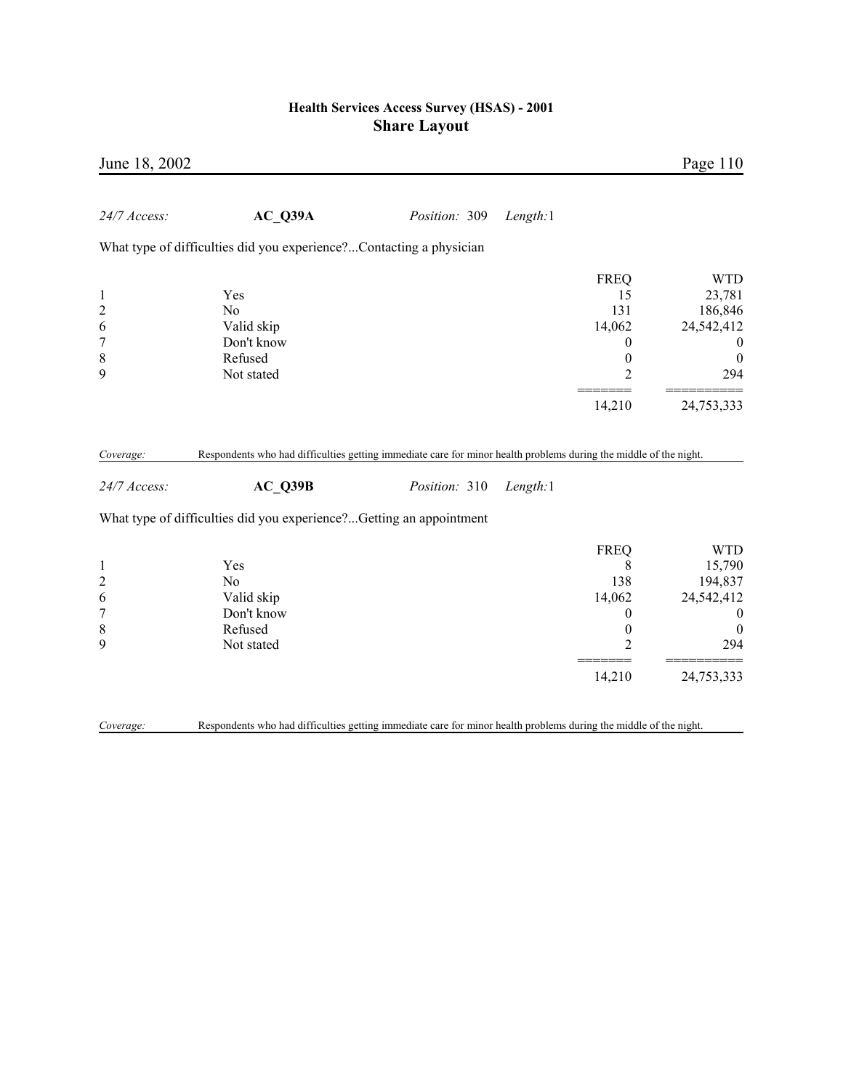| June 18, 2002                                                           |                                                                                                                   |               |          |                                                                                                | Page 110                                                                                               |
|-------------------------------------------------------------------------|-------------------------------------------------------------------------------------------------------------------|---------------|----------|------------------------------------------------------------------------------------------------|--------------------------------------------------------------------------------------------------------|
| 24/7 Access:                                                            | AC Q39A                                                                                                           | Position: 309 | Length:1 |                                                                                                |                                                                                                        |
|                                                                         | What type of difficulties did you experience?Contacting a physician                                               |               |          |                                                                                                |                                                                                                        |
| $\mathbf{1}$<br>$\overline{c}$<br>6<br>$\overline{7}$<br>$\,$ $\,$<br>9 | Yes<br>N <sub>o</sub><br>Valid skip<br>Don't know<br>Refused<br>Not stated                                        |               |          | <b>FREQ</b><br>15<br>131<br>14,062<br>$\theta$<br>$\boldsymbol{0}$<br>$\overline{2}$<br>14,210 | <b>WTD</b><br>23,781<br>186,846<br>24,542,412<br>$\mathbf{0}$<br>$\boldsymbol{0}$<br>294<br>24,753,333 |
| Coverage:                                                               | Respondents who had difficulties getting immediate care for minor health problems during the middle of the night. |               |          |                                                                                                |                                                                                                        |
| 24/7 Access:                                                            | AC Q39B                                                                                                           | Position: 310 | Length:1 |                                                                                                |                                                                                                        |
|                                                                         | What type of difficulties did you experience?Getting an appointment                                               |               |          |                                                                                                |                                                                                                        |
| $\mathbf{1}$<br>$\overline{c}$<br>6<br>$\overline{7}$<br>8<br>9         | Yes<br>N <sub>0</sub><br>Valid skip<br>Don't know<br>Refused<br>Not stated                                        |               |          | <b>FREQ</b><br>8<br>138<br>14,062<br>$\boldsymbol{0}$<br>$\boldsymbol{0}$<br>$\overline{c}$    | <b>WTD</b><br>15,790<br>194,837<br>24,542,412<br>$\boldsymbol{0}$<br>$\boldsymbol{0}$<br>294           |
|                                                                         |                                                                                                                   |               |          | 14,210                                                                                         | 24,753,333                                                                                             |
| Coverage:                                                               | Respondents who had difficulties getting immediate care for minor health problems during the middle of the night. |               |          |                                                                                                |                                                                                                        |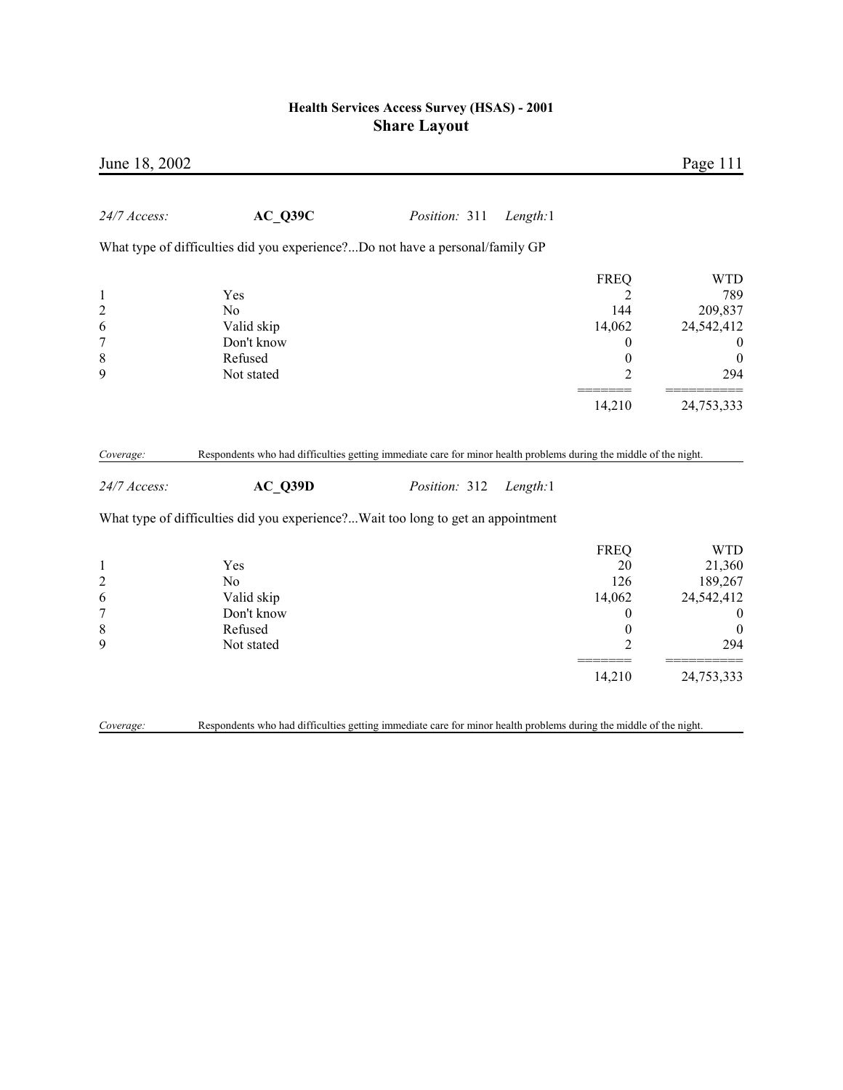| June 18, 2002             |                                                                                                                              |               |          |                  | Page 111         |
|---------------------------|------------------------------------------------------------------------------------------------------------------------------|---------------|----------|------------------|------------------|
| 24/7 Access:              | AC Q39C                                                                                                                      | Position: 311 | Length:1 |                  |                  |
|                           | What type of difficulties did you experience?Do not have a personal/family GP                                                |               |          |                  |                  |
|                           |                                                                                                                              |               |          | <b>FREQ</b>      | <b>WTD</b>       |
| $\mathbf{1}$              | Yes                                                                                                                          |               |          | 2                | 789              |
| $\overline{c}$            | N <sub>0</sub>                                                                                                               |               |          | 144              | 209,837          |
| 6                         | Valid skip                                                                                                                   |               |          | 14,062           | 24,542,412       |
| $\overline{7}$            | Don't know                                                                                                                   |               |          | 0                | $\boldsymbol{0}$ |
| $\,$ 8 $\,$               | Refused                                                                                                                      |               |          | $\overline{0}$   | $\boldsymbol{0}$ |
| 9                         | Not stated                                                                                                                   |               |          | $\overline{2}$   | 294              |
|                           |                                                                                                                              |               |          | 14,210           | 24,753,333       |
| Coverage:<br>24/7 Access: | Respondents who had difficulties getting immediate care for minor health problems during the middle of the night.<br>AC Q39D | Position: 312 | Length:1 |                  |                  |
|                           | What type of difficulties did you experience?Wait too long to get an appointment                                             |               |          |                  |                  |
|                           |                                                                                                                              |               |          | <b>FREQ</b>      | <b>WTD</b>       |
| $\mathbf{1}$              | Yes                                                                                                                          |               |          | 20               | 21,360           |
| $\overline{c}$            | N <sub>0</sub>                                                                                                               |               |          | 126              | 189,267          |
| 6                         | Valid skip                                                                                                                   |               |          | 14,062           | 24,542,412       |
| $\boldsymbol{7}$          | Don't know                                                                                                                   |               |          | $\boldsymbol{0}$ | $\boldsymbol{0}$ |
| $\,$ $\,$                 | Refused                                                                                                                      |               |          | $\boldsymbol{0}$ | $\boldsymbol{0}$ |
| 9                         | Not stated                                                                                                                   |               |          | $\overline{2}$   | 294              |
|                           |                                                                                                                              |               |          | 14,210           | 24,753,333       |
|                           |                                                                                                                              |               |          |                  |                  |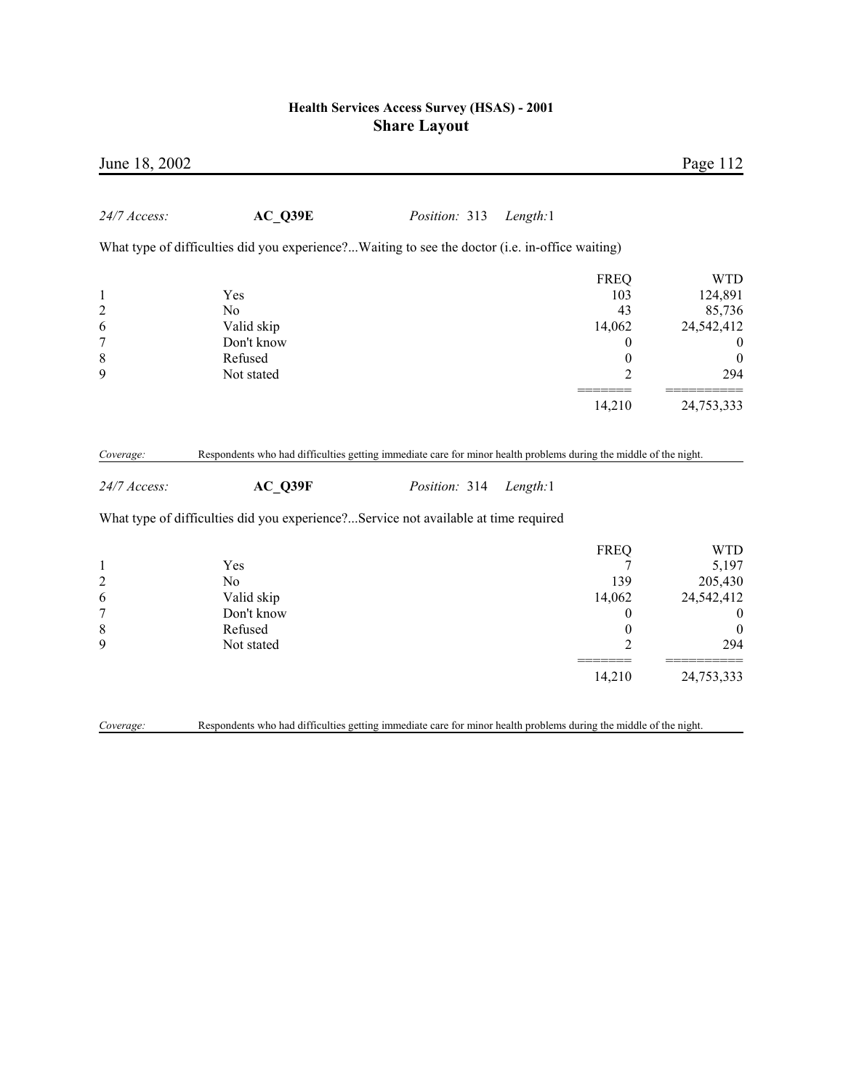| June 18, 2002                                                           |                                                                                                                   |               |                                                                                             | Page 112                                                                                     |
|-------------------------------------------------------------------------|-------------------------------------------------------------------------------------------------------------------|---------------|---------------------------------------------------------------------------------------------|----------------------------------------------------------------------------------------------|
| 24/7 Access:                                                            | AC Q39E                                                                                                           | Position: 313 | Length:1                                                                                    |                                                                                              |
|                                                                         | What type of difficulties did you experience?Waiting to see the doctor (i.e. in-office waiting)                   |               |                                                                                             |                                                                                              |
| $\mathbf{1}$<br>$\overline{c}$<br>6<br>$\overline{7}$<br>$\,$ $\,$<br>9 | Yes<br>N <sub>0</sub><br>Valid skip<br>Don't know<br>Refused<br>Not stated                                        |               | <b>FREQ</b><br>103<br>43<br>14,062<br>$\theta$<br>$\boldsymbol{0}$<br>$\overline{2}$        | <b>WTD</b><br>124,891<br>85,736<br>24,542,412<br>$\boldsymbol{0}$<br>$\boldsymbol{0}$<br>294 |
|                                                                         |                                                                                                                   |               | 14,210                                                                                      | 24,753,333                                                                                   |
| Coverage:                                                               | Respondents who had difficulties getting immediate care for minor health problems during the middle of the night. |               |                                                                                             |                                                                                              |
| 24/7 Access:                                                            | $AC_$ Q39F                                                                                                        | Position: 314 | Length:1                                                                                    |                                                                                              |
|                                                                         | What type of difficulties did you experience?Service not available at time required                               |               |                                                                                             |                                                                                              |
| $\mathbf{1}$<br>$\overline{c}$<br>6<br>$\overline{7}$<br>$\,$ $\,$<br>9 | Yes<br>N <sub>0</sub><br>Valid skip<br>Don't know<br>Refused<br>Not stated                                        |               | <b>FREQ</b><br>7<br>139<br>14,062<br>$\boldsymbol{0}$<br>$\boldsymbol{0}$<br>$\overline{2}$ | <b>WTD</b><br>5,197<br>205,430<br>24,542,412<br>$\boldsymbol{0}$<br>$\boldsymbol{0}$<br>294  |
|                                                                         |                                                                                                                   |               | 14,210                                                                                      | 24,753,333                                                                                   |
| Coverage:                                                               | Respondents who had difficulties getting immediate care for minor health problems during the middle of the night. |               |                                                                                             |                                                                                              |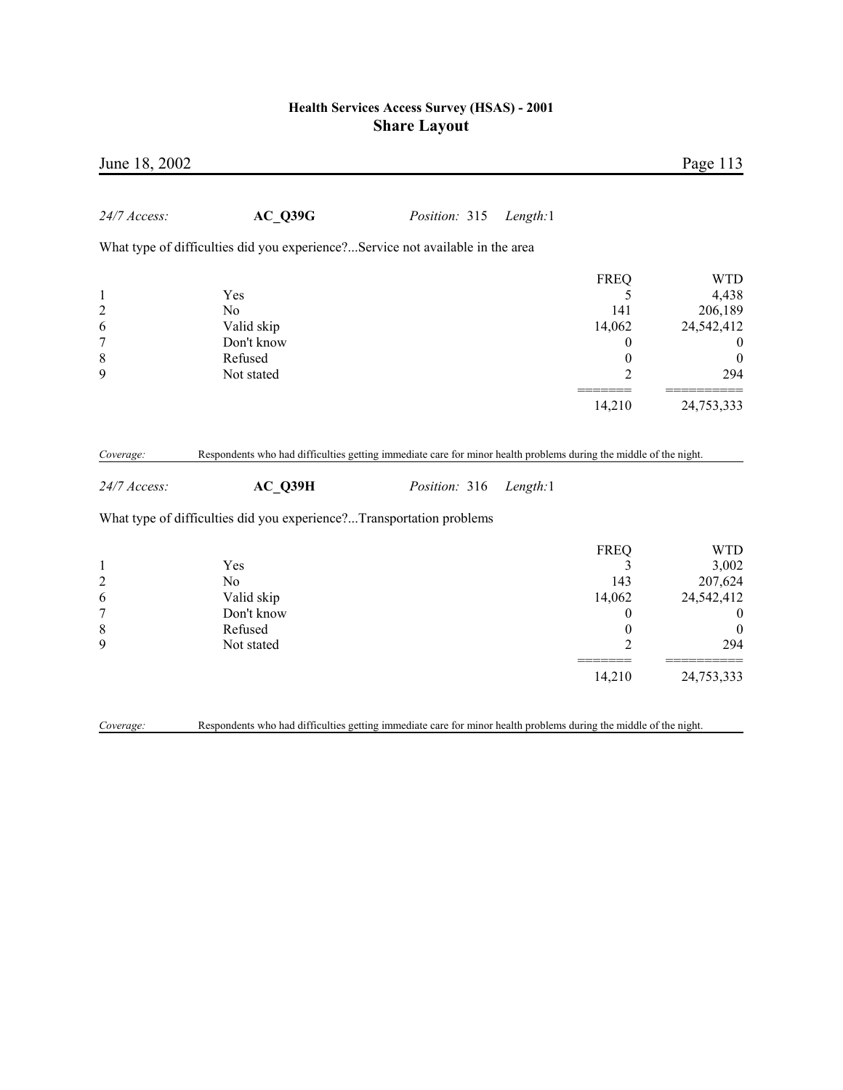| June 18, 2002             |                                                                                                                              |               |          |                  | Page 113         |
|---------------------------|------------------------------------------------------------------------------------------------------------------------------|---------------|----------|------------------|------------------|
| 24/7 Access:              | AC Q39G                                                                                                                      | Position: 315 | Length:1 |                  |                  |
|                           | What type of difficulties did you experience?Service not available in the area                                               |               |          |                  |                  |
|                           |                                                                                                                              |               |          | <b>FREQ</b>      | <b>WTD</b>       |
| $\mathbf{1}$              | Yes                                                                                                                          |               |          | 5                | 4,438            |
| $\overline{c}$            | N <sub>0</sub>                                                                                                               |               |          | 141              | 206,189          |
| 6                         | Valid skip                                                                                                                   |               |          | 14,062           | 24,542,412       |
| $\overline{7}$            | Don't know                                                                                                                   |               |          | 0                | $\mathbf{0}$     |
| 8                         | Refused                                                                                                                      |               |          | $\boldsymbol{0}$ | $\boldsymbol{0}$ |
| 9                         | Not stated                                                                                                                   |               |          | $\overline{c}$   | 294              |
|                           |                                                                                                                              |               |          | 14,210           | 24,753,333       |
| Coverage:<br>24/7 Access: | Respondents who had difficulties getting immediate care for minor health problems during the middle of the night.<br>AC_Q39H | Position: 316 | Length:1 |                  |                  |
|                           | What type of difficulties did you experience?Transportation problems                                                         |               |          |                  |                  |
|                           |                                                                                                                              |               |          | <b>FREQ</b>      | <b>WTD</b>       |
| $\mathbf{1}$              | Yes                                                                                                                          |               |          | 3                | 3,002            |
| $\overline{c}$            | No                                                                                                                           |               |          | 143              | 207,624          |
| 6                         | Valid skip                                                                                                                   |               |          | 14,062           | 24,542,412       |
| $\overline{7}$            | Don't know                                                                                                                   |               |          | 0                | $\boldsymbol{0}$ |
| $\,$ 8 $\,$               | Refused                                                                                                                      |               |          | $\boldsymbol{0}$ | $\boldsymbol{0}$ |
| 9                         | Not stated                                                                                                                   |               |          | $\overline{2}$   | 294              |
|                           |                                                                                                                              |               |          | 14,210           | 24,753,333       |
| Coverage:                 | Respondents who had difficulties getting immediate care for minor health problems during the middle of the night.            |               |          |                  |                  |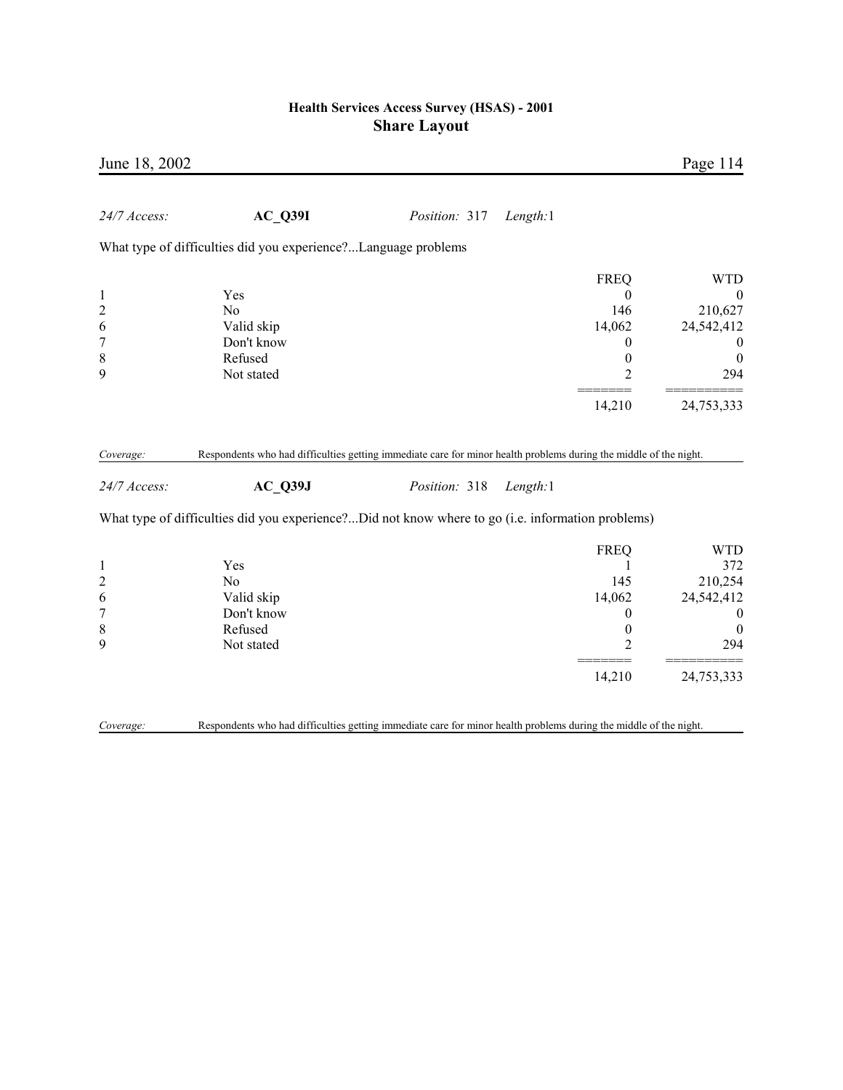| June 18, 2002                 |                                                                                                                                                                                                                                      |               |          |                       | Page 114                             |
|-------------------------------|--------------------------------------------------------------------------------------------------------------------------------------------------------------------------------------------------------------------------------------|---------------|----------|-----------------------|--------------------------------------|
| 24/7 Access:                  | $AC_$ Q39I                                                                                                                                                                                                                           | Position: 317 | Length:1 |                       |                                      |
|                               | What type of difficulties did you experience?Language problems                                                                                                                                                                       |               |          |                       |                                      |
|                               |                                                                                                                                                                                                                                      |               |          | <b>FREQ</b>           | <b>WTD</b>                           |
| $\mathbf{1}$                  | Yes                                                                                                                                                                                                                                  |               |          | $\boldsymbol{0}$      | $\boldsymbol{0}$                     |
| $\overline{c}$                | N <sub>o</sub>                                                                                                                                                                                                                       |               |          | 146                   | 210,627                              |
| 6                             | Valid skip                                                                                                                                                                                                                           |               |          | 14,062                | 24,542,412                           |
| $\overline{7}$<br>$\,$ 8 $\,$ | Don't know<br>Refused                                                                                                                                                                                                                |               |          | 0<br>$\boldsymbol{0}$ | $\boldsymbol{0}$<br>$\boldsymbol{0}$ |
| 9                             | Not stated                                                                                                                                                                                                                           |               |          | $\overline{2}$        | 294                                  |
|                               |                                                                                                                                                                                                                                      |               |          |                       |                                      |
|                               |                                                                                                                                                                                                                                      |               |          | 14,210                | 24,753,333                           |
| Coverage:<br>24/7 Access:     | Respondents who had difficulties getting immediate care for minor health problems during the middle of the night.<br>$AC_$ Q39J<br>What type of difficulties did you experience?Did not know where to go (i.e. information problems) | Position: 318 | Length:1 |                       |                                      |
|                               |                                                                                                                                                                                                                                      |               |          | <b>FREQ</b>           | <b>WTD</b>                           |
| $\mathbf{1}$                  | Yes                                                                                                                                                                                                                                  |               |          | 1                     | 372                                  |
| $\overline{c}$                | N <sub>0</sub>                                                                                                                                                                                                                       |               |          | 145                   | 210,254                              |
| 6                             | Valid skip                                                                                                                                                                                                                           |               |          | 14,062                | 24,542,412                           |
| $\boldsymbol{7}$              | Don't know                                                                                                                                                                                                                           |               |          | 0                     | $\boldsymbol{0}$                     |
| $\,$ 8 $\,$                   | Refused                                                                                                                                                                                                                              |               |          | $\boldsymbol{0}$      | $\boldsymbol{0}$                     |
| 9                             | Not stated                                                                                                                                                                                                                           |               |          | $\overline{2}$        | 294                                  |
|                               |                                                                                                                                                                                                                                      |               |          | 14,210                | 24,753,333                           |
| Coverage:                     | Respondents who had difficulties getting immediate care for minor health problems during the middle of the night.                                                                                                                    |               |          |                       |                                      |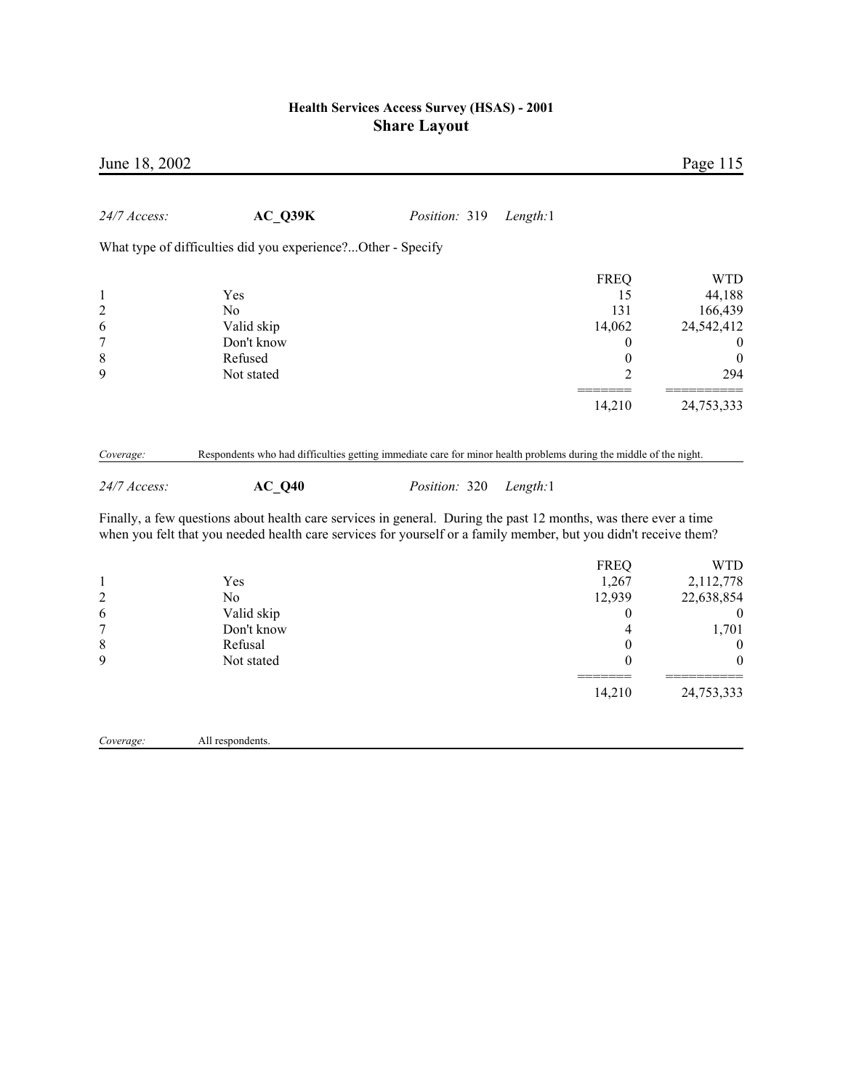| June 18, 2002                                      |                                                                            |                                                                                                                                                                                                                                                                                                                                                                                        |                                                                            | Page 115                                                                                           |
|----------------------------------------------------|----------------------------------------------------------------------------|----------------------------------------------------------------------------------------------------------------------------------------------------------------------------------------------------------------------------------------------------------------------------------------------------------------------------------------------------------------------------------------|----------------------------------------------------------------------------|----------------------------------------------------------------------------------------------------|
| 24/7 Access:                                       | AC Q39K                                                                    | Position: 319<br>Length:1                                                                                                                                                                                                                                                                                                                                                              |                                                                            |                                                                                                    |
|                                                    | What type of difficulties did you experience?Other - Specify               |                                                                                                                                                                                                                                                                                                                                                                                        |                                                                            |                                                                                                    |
| $\mathbf{1}$<br>$\overline{c}$<br>6<br>7<br>8      | Yes<br>N <sub>0</sub><br>Valid skip<br>Don't know<br>Refused               |                                                                                                                                                                                                                                                                                                                                                                                        | <b>FREQ</b><br>15<br>131<br>14,062<br>$\boldsymbol{0}$<br>$\boldsymbol{0}$ | <b>WTD</b><br>44,188<br>166,439<br>24,542,412<br>$\boldsymbol{0}$<br>$\boldsymbol{0}$              |
| 9                                                  | Not stated                                                                 |                                                                                                                                                                                                                                                                                                                                                                                        | $\overline{2}$                                                             | 294                                                                                                |
|                                                    |                                                                            |                                                                                                                                                                                                                                                                                                                                                                                        | 14,210                                                                     | 24,753,333                                                                                         |
| Coverage:<br>24/7 Access:                          | AC Q40                                                                     | Respondents who had difficulties getting immediate care for minor health problems during the middle of the night.<br>Position: 320<br>Length:1<br>Finally, a few questions about health care services in general. During the past 12 months, was there ever a time<br>when you felt that you needed health care services for yourself or a family member, but you didn't receive them? |                                                                            |                                                                                                    |
| $\mathbf{1}$<br>$\overline{c}$<br>6<br>7<br>8<br>9 | Yes<br>N <sub>0</sub><br>Valid skip<br>Don't know<br>Refusal<br>Not stated |                                                                                                                                                                                                                                                                                                                                                                                        | <b>FREQ</b><br>1,267<br>12,939<br>$\theta$<br>4<br>$\theta$<br>$\theta$    | <b>WTD</b><br>2,112,778<br>22,638,854<br>$\boldsymbol{0}$<br>1,701<br>$\boldsymbol{0}$<br>$\Omega$ |
|                                                    |                                                                            |                                                                                                                                                                                                                                                                                                                                                                                        | 14,210                                                                     | 24,753,333                                                                                         |

*Coverage:* All respondents.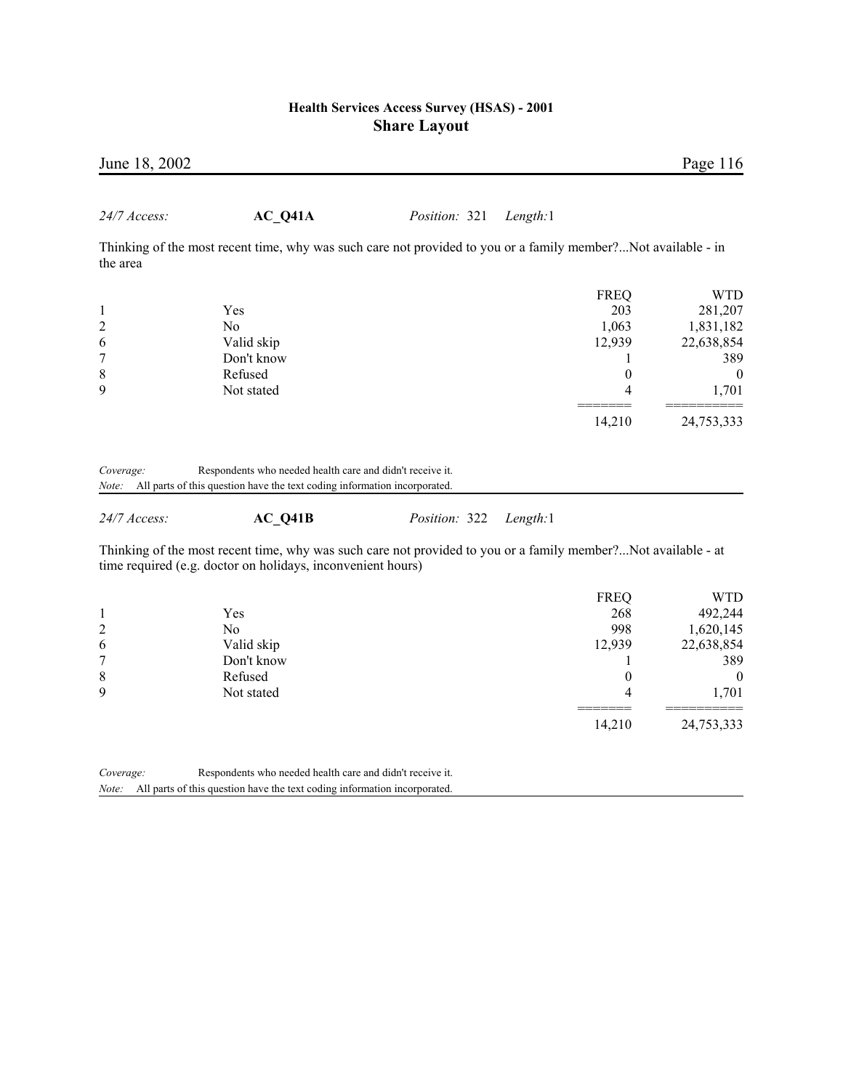| June 18, 2002         |                                                                                                                                                                              |               |          |                                                                     | Page 116                                                                     |
|-----------------------|------------------------------------------------------------------------------------------------------------------------------------------------------------------------------|---------------|----------|---------------------------------------------------------------------|------------------------------------------------------------------------------|
| 24/7 Access:          | AC Q41A                                                                                                                                                                      | Position: 321 | Length:1 |                                                                     |                                                                              |
| the area              | Thinking of the most recent time, why was such care not provided to you or a family member?Not available - in                                                                |               |          |                                                                     |                                                                              |
| 2<br>6<br>7<br>8<br>9 | Yes<br>N <sub>0</sub><br>Valid skip<br>Don't know<br>Refused<br>Not stated                                                                                                   |               |          | <b>FREQ</b><br>203<br>1,063<br>12,939<br>1<br>$\boldsymbol{0}$<br>4 | <b>WTD</b><br>281,207<br>1,831,182<br>22,638,854<br>389<br>$\theta$<br>1,701 |
| Coverage:             | Respondents who needed health care and didn't receive it.<br>Note: All parts of this question have the text coding information incorporated.                                 |               |          | 14,210                                                              | 24,753,333                                                                   |
| 24/7 Access:          | AC Q41B                                                                                                                                                                      | Position: 322 | Length:1 |                                                                     |                                                                              |
|                       | Thinking of the most recent time, why was such care not provided to you or a family member?Not available - at<br>time required (e.g. doctor on holidays, inconvenient hours) |               |          |                                                                     |                                                                              |
| 1                     | Yes                                                                                                                                                                          |               |          | <b>FREQ</b><br>268                                                  | <b>WTD</b><br>492,244                                                        |

|   |            | ----   |            |
|---|------------|--------|------------|
|   | Yes        | 268    | 492,244    |
| 2 | No         | 998    | 1,620,145  |
| 6 | Valid skip | 12,939 | 22,638,854 |
| 7 | Don't know |        | 389        |
| 8 | Refused    |        | $\theta$   |
| 9 | Not stated |        | 1,701      |
|   |            |        |            |
|   |            | 14,210 | 24,753,333 |

*Coverage:* Respondents who needed health care and didn't receive it. *Note:* All parts of this question have the text coding information incorporated.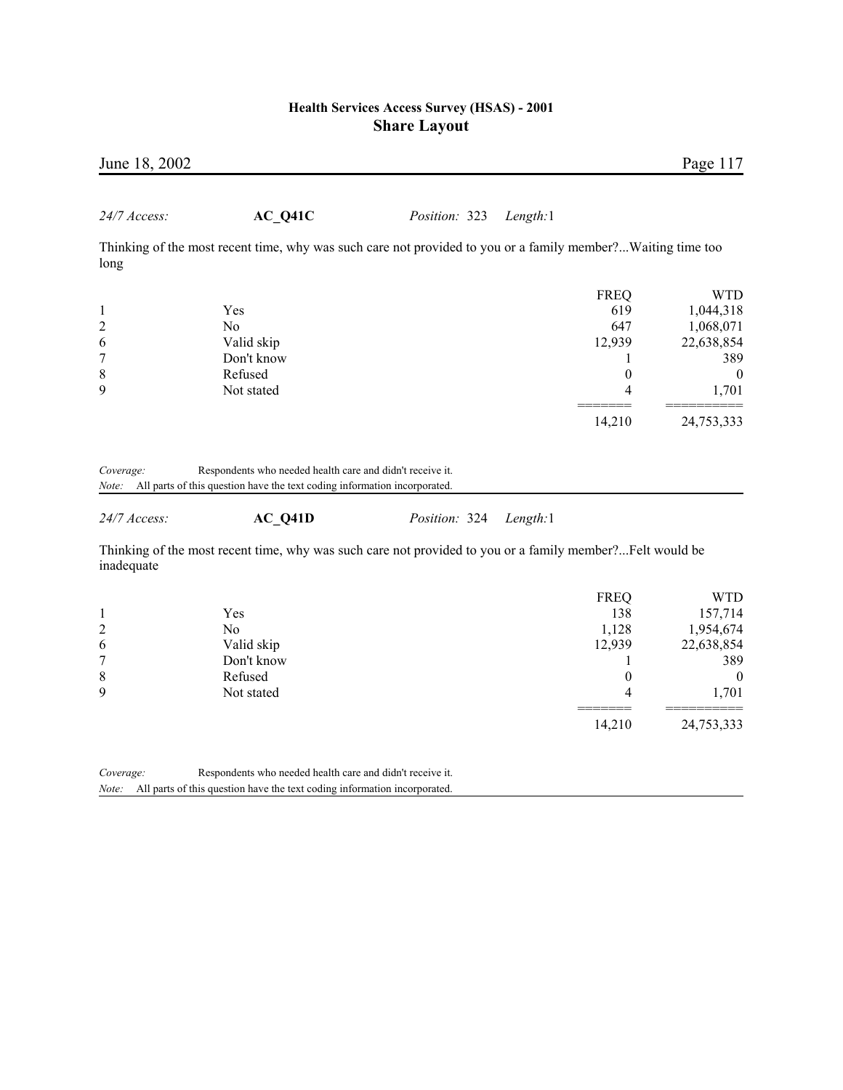|                    | June 18, 2002                                                                                                                          |               |             | Page 117             |
|--------------------|----------------------------------------------------------------------------------------------------------------------------------------|---------------|-------------|----------------------|
| $24/7$ Access:     | $AC_Q41C$                                                                                                                              | Position: 323 | Length:1    |                      |
| long               | Thinking of the most recent time, why was such care not provided to you or a family member?Waiting time too                            |               |             |                      |
|                    |                                                                                                                                        |               | <b>FREQ</b> | <b>WTD</b>           |
| 1                  | Yes                                                                                                                                    |               | 619         | 1,044,318            |
| $\overline{2}$     | N <sub>0</sub>                                                                                                                         |               | 647         | 1,068,071            |
| 6                  | Valid skip                                                                                                                             |               | 12,939      | 22,638,854           |
| 7                  | Don't know                                                                                                                             |               |             | 389                  |
| 8                  | Refused                                                                                                                                |               |             | $\theta$<br>$\theta$ |
| 9                  | Not stated                                                                                                                             |               |             | 1,701<br>4           |
|                    |                                                                                                                                        |               | 14,210      | 24,753,333           |
| Coverage:<br>Note: | Respondents who needed health care and didn't receive it.<br>All parts of this question have the text coding information incorporated. |               |             |                      |

*24/7 Access:* **AC\_Q41D** *Position:* 324 *Length:*1

Thinking of the most recent time, why was such care not provided to you or a family member?...Felt would be inadequate

|   |            | <b>FREQ</b> | WTD        |
|---|------------|-------------|------------|
|   | Yes        | 138         | 157,714    |
| 2 | No.        | 1,128       | 1,954,674  |
| 6 | Valid skip | 12,939      | 22,638,854 |
| 7 | Don't know |             | 389        |
| 8 | Refused    |             | 0          |
| 9 | Not stated | 4           | 1,701      |
|   |            | 14,210      | 24,753,333 |

*Coverage:* Respondents who needed health care and didn't receive it.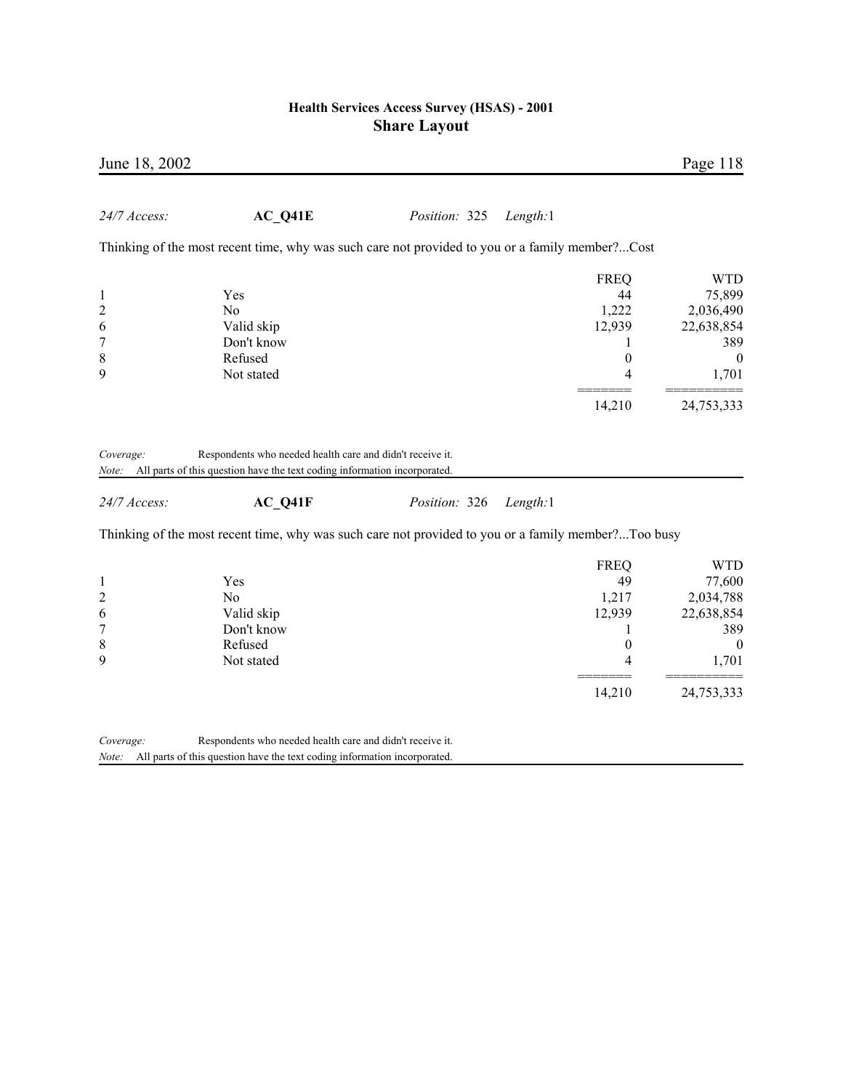| June 18, 2002  |                                                                                                     |               |          |                  | Page 118         |
|----------------|-----------------------------------------------------------------------------------------------------|---------------|----------|------------------|------------------|
| 24/7 Access:   | $AC_Q41E$                                                                                           | Position: 325 | Length:1 |                  |                  |
|                | Thinking of the most recent time, why was such care not provided to you or a family member?Cost     |               |          |                  |                  |
|                |                                                                                                     |               |          | <b>FREQ</b>      | <b>WTD</b>       |
| $\mathbf{1}$   | Yes                                                                                                 |               |          | 44               | 75,899           |
| $\overline{c}$ | N <sub>0</sub>                                                                                      |               |          | 1,222            | 2,036,490        |
| 6              | Valid skip                                                                                          |               |          | 12,939           | 22,638,854       |
| $\overline{7}$ | Don't know                                                                                          |               |          | 1                | 389              |
| $\,$ 8 $\,$    | Refused                                                                                             |               |          | $\boldsymbol{0}$ | $\boldsymbol{0}$ |
| 9              | Not stated                                                                                          |               |          | 4                | 1,701            |
|                |                                                                                                     |               |          | 14,210           | 24,753,333       |
| 24/7 Access:   | AC Q41F                                                                                             | Position: 326 | Length:1 |                  |                  |
|                | Thinking of the most recent time, why was such care not provided to you or a family member?Too busy |               |          |                  |                  |
|                |                                                                                                     |               |          | <b>FREQ</b>      | <b>WTD</b>       |
| $\mathbf{1}$   | Yes                                                                                                 |               |          | 49               | 77,600           |
| $\overline{c}$ | N <sub>0</sub>                                                                                      |               |          | 1,217            | 2,034,788        |
| 6              | Valid skip                                                                                          |               |          | 12,939           | 22,638,854       |
| 7              | Don't know                                                                                          |               |          | 1                | 389              |
| 8              | Refused                                                                                             |               |          | 0                | $\boldsymbol{0}$ |
| 9              | Not stated                                                                                          |               |          | 4                | 1,701            |
|                |                                                                                                     |               |          | 14,210           | 24,753,333       |
| Coverage:      | Respondents who needed health care and didn't receive it.                                           |               |          |                  |                  |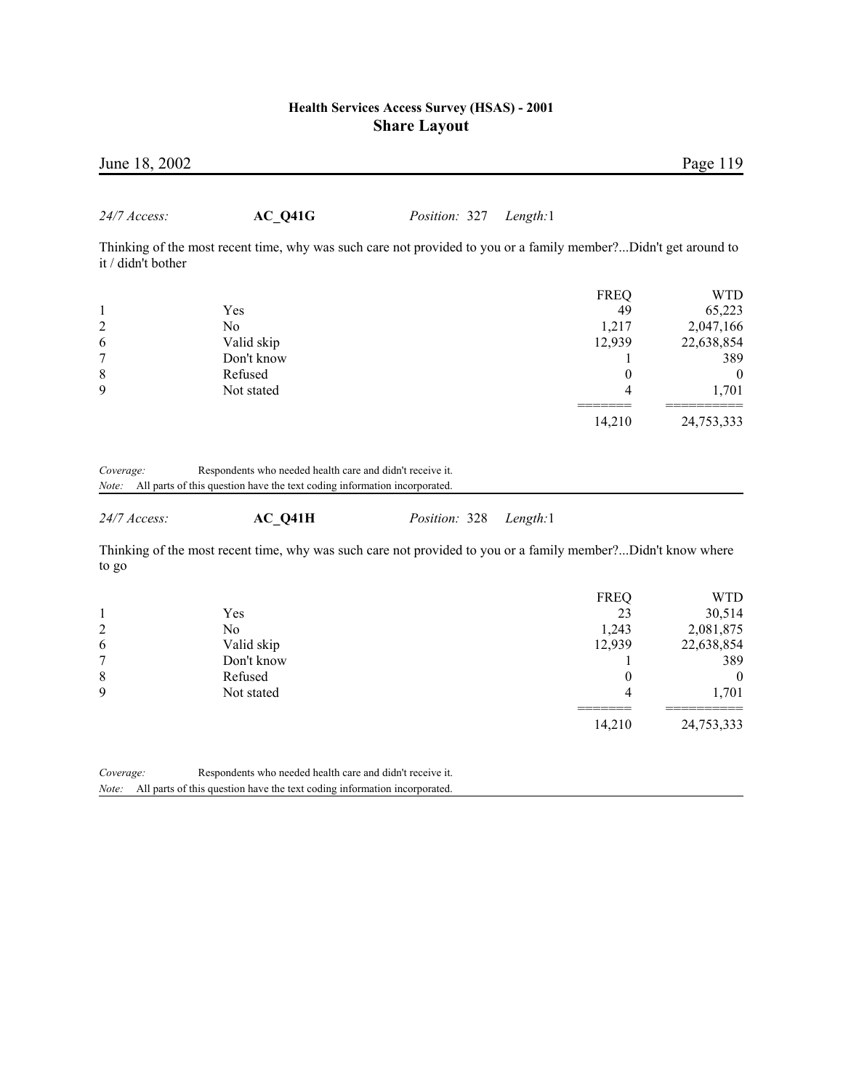| June 18, 2002                  |                                                                                                                 |               |             | Page 119       |
|--------------------------------|-----------------------------------------------------------------------------------------------------------------|---------------|-------------|----------------|
| 24/7 Access:                   | AC Q41G                                                                                                         | Position: 327 | Length:1    |                |
| it / didn't bother             | Thinking of the most recent time, why was such care not provided to you or a family member?Didn't get around to |               |             |                |
|                                |                                                                                                                 |               | <b>FREQ</b> | <b>WTD</b>     |
| 1                              | Yes                                                                                                             |               | 49          | 65,223         |
| $\overline{c}$                 | N <sub>0</sub>                                                                                                  |               | 1,217       | 2,047,166      |
| 6                              | Valid skip                                                                                                      |               | 12,939      | 22,638,854     |
| 7                              | Don't know                                                                                                      |               |             | 389            |
| 8                              | Refused                                                                                                         |               | 0           | $\overline{0}$ |
| 9                              | Not stated                                                                                                      |               | 4           | 1,701          |
|                                |                                                                                                                 |               | 14,210      | 24,753,333     |
| C <sub>ovov</sub> <sub>0</sub> | Decondents who needed health care and didn't receive it                                                         |               |             |                |

*Coverage:* Respondents who needed health care and didn't receive it. *Note:* All parts of this question have the text coding information incorporated.

*24/7 Access:* **AC\_Q41H** *Position:* 328 *Length:*1

Thinking of the most recent time, why was such care not provided to you or a family member?...Didn't know where to go

|   |            | <b>FREQ</b> | WTD          |
|---|------------|-------------|--------------|
|   | Yes        | 23          | 30,514       |
| 2 | No         | 1,243       | 2,081,875    |
| 6 | Valid skip | 12,939      | 22,638,854   |
| 7 | Don't know |             | 389          |
| 8 | Refused    |             | $\mathbf{0}$ |
| 9 | Not stated |             | 1,701        |
|   |            |             |              |
|   |            | 14,210      | 24,753,333   |

*Coverage:* Respondents who needed health care and didn't receive it.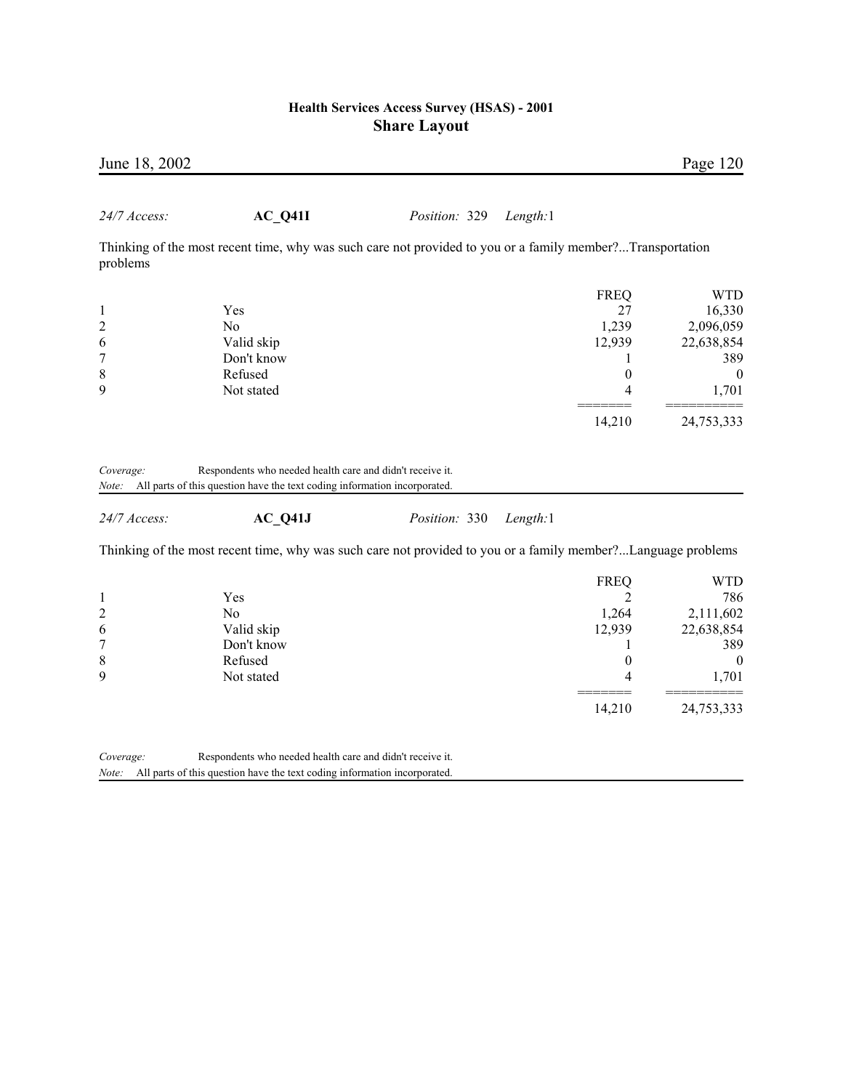| June 18, 2002           |                                                                                                              |               |          |                  | Page 120                            |
|-------------------------|--------------------------------------------------------------------------------------------------------------|---------------|----------|------------------|-------------------------------------|
| 24/7 Access:            | AC Q41I                                                                                                      | Position: 329 | Length:1 |                  |                                     |
| problems                | Thinking of the most recent time, why was such care not provided to you or a family member?Transportation    |               |          |                  |                                     |
|                         |                                                                                                              |               |          | <b>FREQ</b>      | <b>WTD</b>                          |
| $\mathbf{1}$            | Yes                                                                                                          |               |          | 27               | 16,330                              |
| $\overline{\mathbf{c}}$ | N <sub>o</sub>                                                                                               |               |          | 1,239            | 2,096,059                           |
| 6                       | Valid skip                                                                                                   |               |          | 12,939           | 22,638,854                          |
| 7                       | Don't know                                                                                                   |               |          | 1                | 389                                 |
| 8                       | Refused                                                                                                      |               |          | $\boldsymbol{0}$ | $\boldsymbol{0}$                    |
| 9                       | Not stated                                                                                                   |               |          | 4                | 1,701                               |
|                         |                                                                                                              |               |          | 14,210           | 24,753,333                          |
| 24/7 Access:            | $AC_Q41J$                                                                                                    | Position: 330 | Length:1 |                  |                                     |
|                         | Thinking of the most recent time, why was such care not provided to you or a family member?Language problems |               |          |                  |                                     |
|                         |                                                                                                              |               |          |                  |                                     |
|                         |                                                                                                              |               |          | <b>FREQ</b>      | <b>WTD</b>                          |
| 1                       | Yes                                                                                                          |               |          | $\overline{2}$   |                                     |
| $\overline{c}$          | No                                                                                                           |               |          | 1,264            |                                     |
| 6                       | Valid skip                                                                                                   |               |          | 12,939           | 22,638,854                          |
| 7                       | Don't know                                                                                                   |               |          | 1                |                                     |
| 8                       | Refused                                                                                                      |               |          | 0                | 786<br>2,111,602<br>389<br>$\theta$ |
| 9                       | Not stated                                                                                                   |               |          | 4                | 1,701                               |
|                         |                                                                                                              |               |          | 14,210           | 24,753,333                          |
| Coverage:               | Respondents who needed health care and didn't receive it.                                                    |               |          |                  |                                     |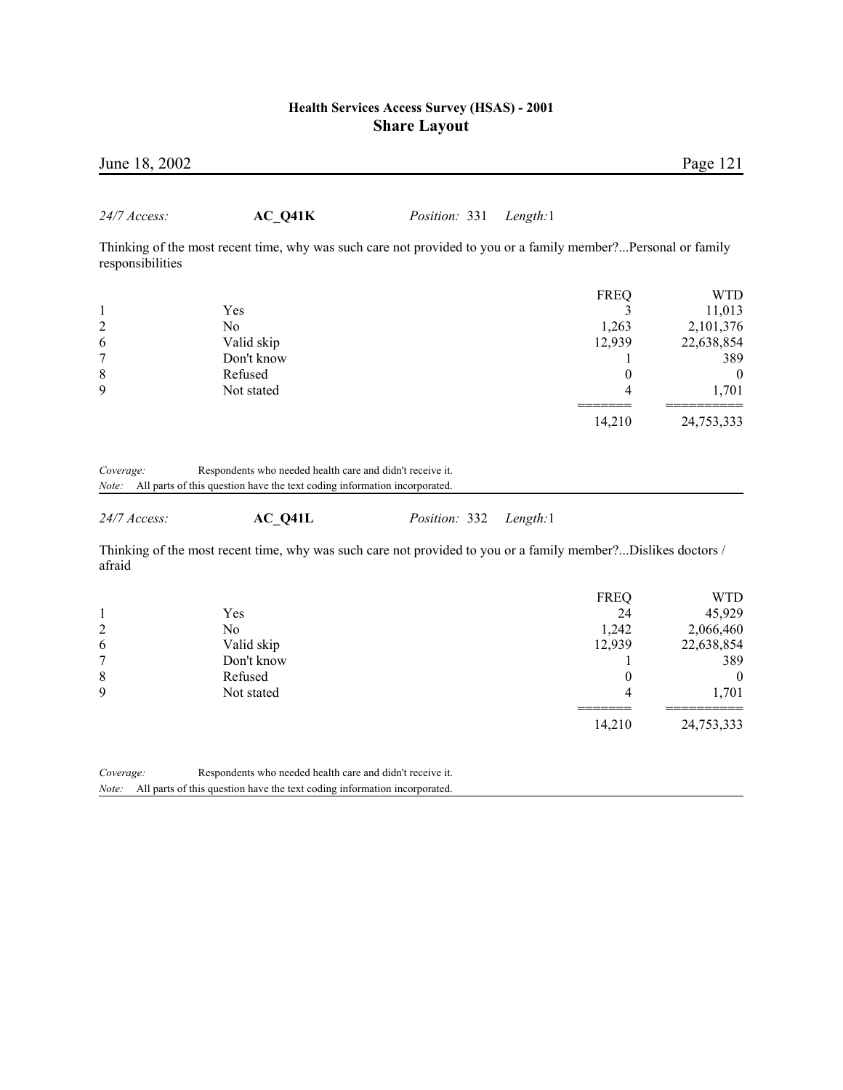| June 18, 2002           |                                                                                                               |               |             | Page 121       |
|-------------------------|---------------------------------------------------------------------------------------------------------------|---------------|-------------|----------------|
| <i>24/7 Access:</i>     | $AC_Q41K$                                                                                                     | Position: 331 | Length:1    |                |
| responsibilities        | Thinking of the most recent time, why was such care not provided to you or a family member?Personal or family |               |             |                |
|                         |                                                                                                               |               | <b>FREQ</b> | <b>WTD</b>     |
|                         | Yes                                                                                                           |               |             | 11,013         |
| $\overline{\mathbf{c}}$ | N <sub>0</sub>                                                                                                |               | 1,263       | 2,101,376      |
| 6                       | Valid skip                                                                                                    |               | 12,939      | 22,638,854     |
| 7                       | Don't know                                                                                                    |               |             | 389            |
| 8                       | Refused                                                                                                       |               | $\theta$    | $\overline{0}$ |
| 9                       | Not stated                                                                                                    |               | 4           | 1,701          |
|                         |                                                                                                               |               | 14,210      | 24,753,333     |
|                         |                                                                                                               |               |             |                |

| Coverage: | Respondents who needed health care and didn't receive it.                 |  |
|-----------|---------------------------------------------------------------------------|--|
| Note:     | All parts of this question have the text coding information incorporated. |  |

*24/7 Access:* **AC\_Q41L** *Position:* 332 *Length:*1

Thinking of the most recent time, why was such care not provided to you or a family member?...Dislikes doctors / afraid

| 45,929     |
|------------|
|            |
| 2,066,460  |
| 22,638,854 |
| 389        |
| 0          |
| 1,701      |
| 24,753,333 |
|            |

*Coverage:* Respondents who needed health care and didn't receive it. *Note:* All parts of this question have the text coding information incorporated.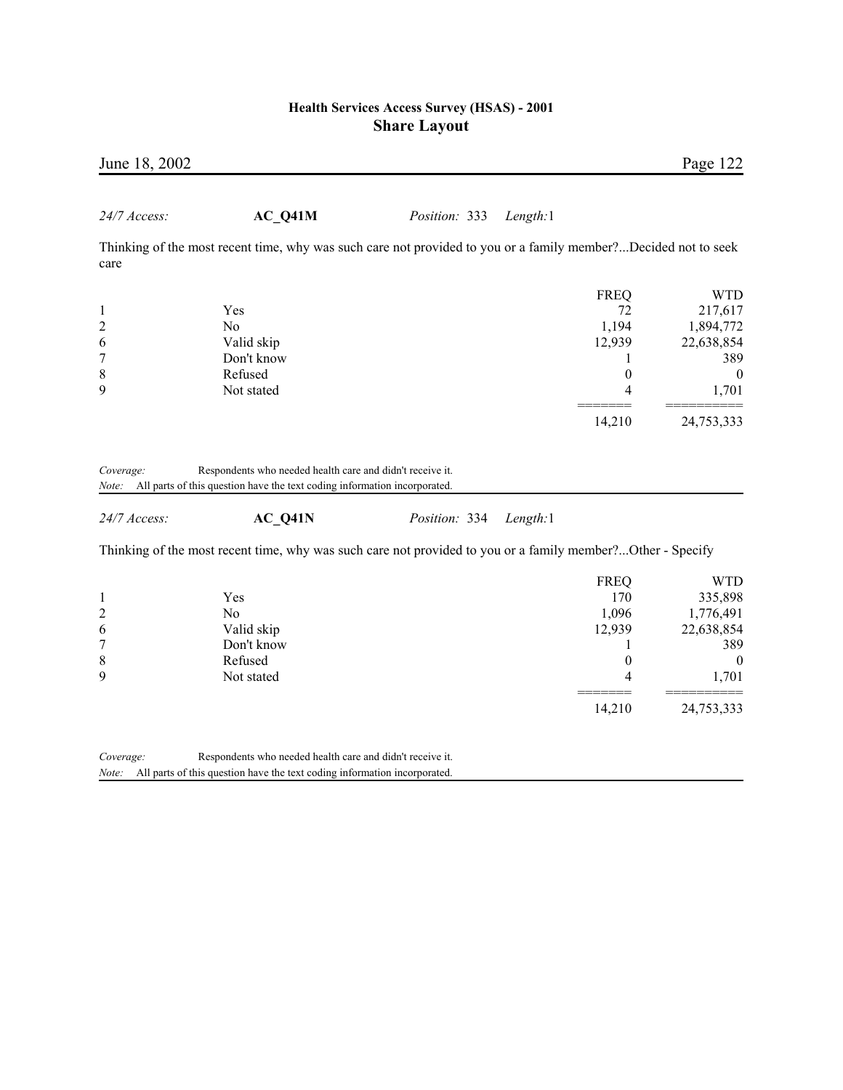| June 18, 2002 |                                                                                                                |               |          |                  | Page 122       |
|---------------|----------------------------------------------------------------------------------------------------------------|---------------|----------|------------------|----------------|
| 24/7 Access:  | AC Q41M                                                                                                        | Position: 333 | Length:1 |                  |                |
| care          | Thinking of the most recent time, why was such care not provided to you or a family member?Decided not to seek |               |          |                  |                |
|               |                                                                                                                |               |          | <b>FREQ</b>      | <b>WTD</b>     |
| $\mathbf{1}$  | Yes                                                                                                            |               |          | 72               | 217,617        |
|               | N <sub>o</sub>                                                                                                 |               |          | 1,194            | 1,894,772      |
| $\frac{2}{6}$ | Valid skip                                                                                                     |               |          | 12,939           | 22,638,854     |
| 7             | Don't know                                                                                                     |               |          | 1                | 389            |
| 8             | Refused                                                                                                        |               |          | $\theta$         | $\overline{0}$ |
| 9             | Not stated                                                                                                     |               |          | 4                | 1,701          |
|               |                                                                                                                |               |          | 14,210           | 24,753,333     |
| 24/7 Access:  | Note: All parts of this question have the text coding information incorporated.<br>AC Q41N                     | Position: 334 | Length:1 |                  |                |
|               | Thinking of the most recent time, why was such care not provided to you or a family member?Other - Specify     |               |          |                  |                |
|               |                                                                                                                |               |          | <b>FREQ</b>      | <b>WTD</b>     |
|               | Yes                                                                                                            |               |          | 170              | 335,898        |
| $\frac{2}{6}$ | N <sub>0</sub>                                                                                                 |               |          | 1,096            | 1,776,491      |
|               | Valid skip                                                                                                     |               |          | 12,939           | 22,638,854     |
| 7             | Don't know                                                                                                     |               |          | 1                | 389            |
| 8             | Refused                                                                                                        |               |          | $\boldsymbol{0}$ | $\overline{0}$ |
| 9             | Not stated                                                                                                     |               |          | 4                | 1,701          |
|               |                                                                                                                |               |          | 14,210           | 24,753,333     |
| Coverage:     | Respondents who needed health care and didn't receive it.                                                      |               |          |                  |                |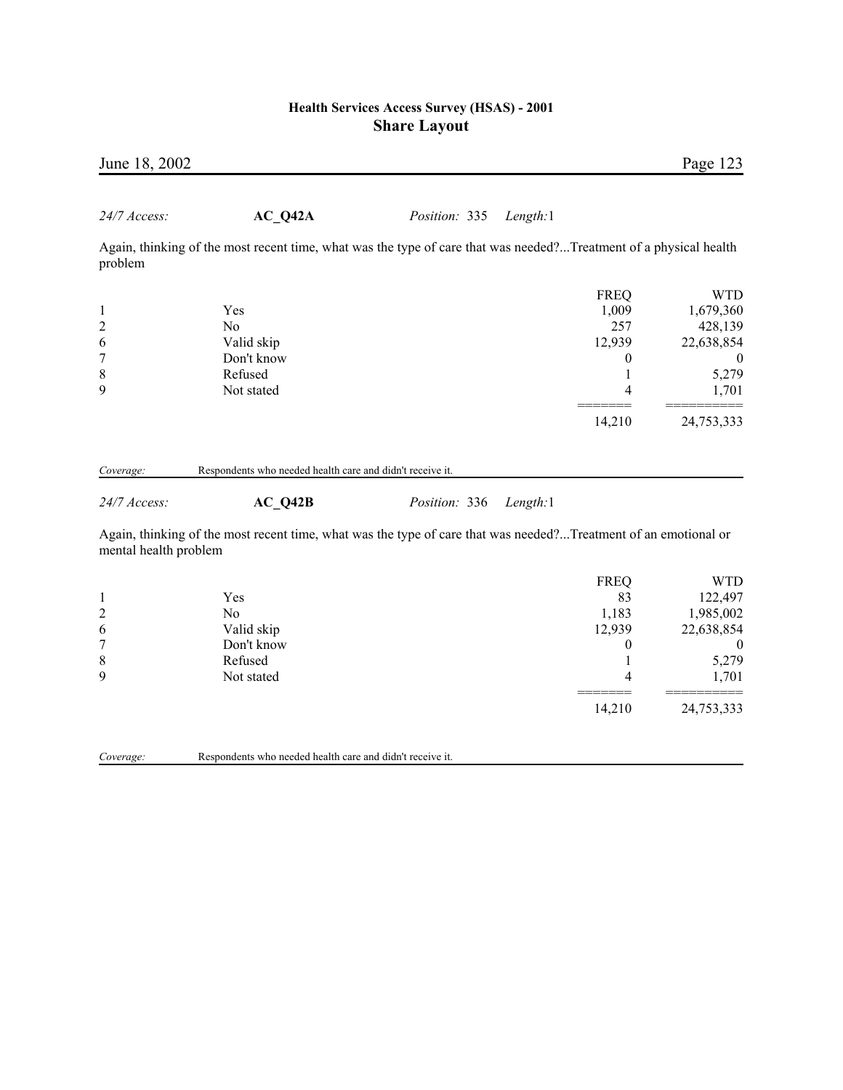| AC Q42A<br>Position: 335<br>Length:1<br>Again, thinking of the most recent time, what was the type of care that was needed?Treatment of a physical health<br>problem<br><b>FREQ</b><br><b>WTD</b><br>1,009<br>Yes<br>1,679,360<br>$\mathbf{1}$<br>$\overline{c}$<br>257<br>N <sub>0</sub><br>428,139<br>6<br>12,939<br>Valid skip<br>22,638,854<br>$\overline{7}$<br>Don't know<br>0<br>$\theta$<br>8<br>Refused<br>5,279<br>1<br>9<br>Not stated<br>1,701<br>4<br>14,210<br>24,753,333<br>Respondents who needed health care and didn't receive it.<br>Coverage:<br>AC Q42B<br>24/7 Access:<br>Position: 336<br>Length:1<br>Again, thinking of the most recent time, what was the type of care that was needed?Treatment of an emotional or<br>mental health problem<br><b>FREQ</b><br><b>WTD</b><br>83<br>122,497<br>Yes<br>1<br>$\overline{c}$<br>1,183<br>N <sub>o</sub><br>1,985,002<br>6<br>Valid skip<br>12,939<br>22,638,854<br>$\overline{7}$<br>Don't know<br>0<br>$\theta$<br>8<br>Refused<br>5,279<br>1<br>9<br>1,701<br>Not stated<br>4 | June 18, 2002 |  |  | Page 123 |
|------------------------------------------------------------------------------------------------------------------------------------------------------------------------------------------------------------------------------------------------------------------------------------------------------------------------------------------------------------------------------------------------------------------------------------------------------------------------------------------------------------------------------------------------------------------------------------------------------------------------------------------------------------------------------------------------------------------------------------------------------------------------------------------------------------------------------------------------------------------------------------------------------------------------------------------------------------------------------------------------------------------------------------------------------|---------------|--|--|----------|
|                                                                                                                                                                                                                                                                                                                                                                                                                                                                                                                                                                                                                                                                                                                                                                                                                                                                                                                                                                                                                                                      | 24/7 Access:  |  |  |          |
|                                                                                                                                                                                                                                                                                                                                                                                                                                                                                                                                                                                                                                                                                                                                                                                                                                                                                                                                                                                                                                                      |               |  |  |          |
|                                                                                                                                                                                                                                                                                                                                                                                                                                                                                                                                                                                                                                                                                                                                                                                                                                                                                                                                                                                                                                                      |               |  |  |          |
|                                                                                                                                                                                                                                                                                                                                                                                                                                                                                                                                                                                                                                                                                                                                                                                                                                                                                                                                                                                                                                                      |               |  |  |          |
|                                                                                                                                                                                                                                                                                                                                                                                                                                                                                                                                                                                                                                                                                                                                                                                                                                                                                                                                                                                                                                                      |               |  |  |          |
|                                                                                                                                                                                                                                                                                                                                                                                                                                                                                                                                                                                                                                                                                                                                                                                                                                                                                                                                                                                                                                                      |               |  |  |          |
|                                                                                                                                                                                                                                                                                                                                                                                                                                                                                                                                                                                                                                                                                                                                                                                                                                                                                                                                                                                                                                                      |               |  |  |          |
|                                                                                                                                                                                                                                                                                                                                                                                                                                                                                                                                                                                                                                                                                                                                                                                                                                                                                                                                                                                                                                                      |               |  |  |          |
|                                                                                                                                                                                                                                                                                                                                                                                                                                                                                                                                                                                                                                                                                                                                                                                                                                                                                                                                                                                                                                                      |               |  |  |          |
|                                                                                                                                                                                                                                                                                                                                                                                                                                                                                                                                                                                                                                                                                                                                                                                                                                                                                                                                                                                                                                                      |               |  |  |          |
|                                                                                                                                                                                                                                                                                                                                                                                                                                                                                                                                                                                                                                                                                                                                                                                                                                                                                                                                                                                                                                                      |               |  |  |          |
|                                                                                                                                                                                                                                                                                                                                                                                                                                                                                                                                                                                                                                                                                                                                                                                                                                                                                                                                                                                                                                                      |               |  |  |          |
|                                                                                                                                                                                                                                                                                                                                                                                                                                                                                                                                                                                                                                                                                                                                                                                                                                                                                                                                                                                                                                                      |               |  |  |          |
|                                                                                                                                                                                                                                                                                                                                                                                                                                                                                                                                                                                                                                                                                                                                                                                                                                                                                                                                                                                                                                                      |               |  |  |          |
|                                                                                                                                                                                                                                                                                                                                                                                                                                                                                                                                                                                                                                                                                                                                                                                                                                                                                                                                                                                                                                                      |               |  |  |          |
|                                                                                                                                                                                                                                                                                                                                                                                                                                                                                                                                                                                                                                                                                                                                                                                                                                                                                                                                                                                                                                                      |               |  |  |          |
|                                                                                                                                                                                                                                                                                                                                                                                                                                                                                                                                                                                                                                                                                                                                                                                                                                                                                                                                                                                                                                                      |               |  |  |          |
|                                                                                                                                                                                                                                                                                                                                                                                                                                                                                                                                                                                                                                                                                                                                                                                                                                                                                                                                                                                                                                                      |               |  |  |          |
|                                                                                                                                                                                                                                                                                                                                                                                                                                                                                                                                                                                                                                                                                                                                                                                                                                                                                                                                                                                                                                                      |               |  |  |          |
|                                                                                                                                                                                                                                                                                                                                                                                                                                                                                                                                                                                                                                                                                                                                                                                                                                                                                                                                                                                                                                                      |               |  |  |          |

14,210 24,753,333

*Coverage:* Respondents who needed health care and didn't receive it.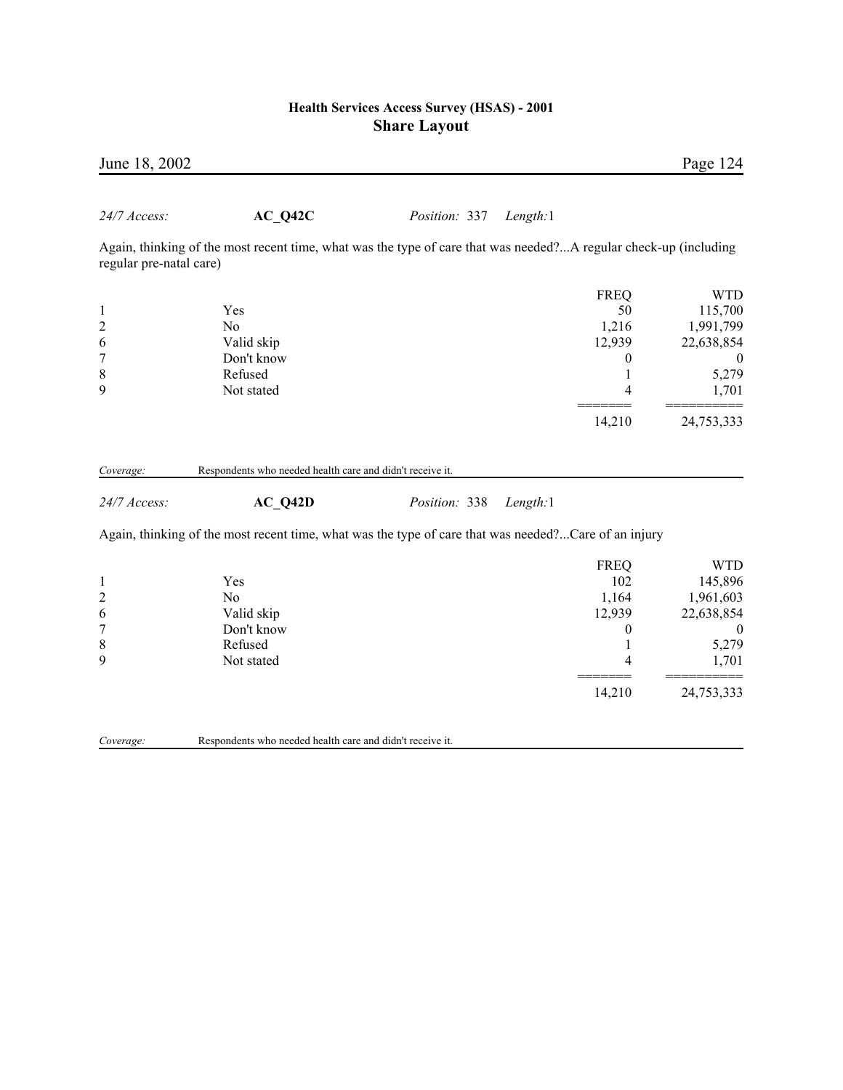| June 18, 2002           |                                                                                                                  |               |          |                  | Page 124         |
|-------------------------|------------------------------------------------------------------------------------------------------------------|---------------|----------|------------------|------------------|
| 24/7 Access:            | AC Q42C                                                                                                          | Position: 337 | Length:1 |                  |                  |
| regular pre-natal care) | Again, thinking of the most recent time, what was the type of care that was needed?A regular check-up (including |               |          |                  |                  |
|                         |                                                                                                                  |               |          | <b>FREQ</b>      | <b>WTD</b>       |
| $\mathbf{1}$            | Yes                                                                                                              |               |          | 50               | 115,700          |
| $\overline{c}$          | No                                                                                                               |               |          | 1,216            | 1,991,799        |
| 6                       | Valid skip                                                                                                       |               |          | 12,939           | 22,638,854       |
| 7                       | Don't know                                                                                                       |               |          | $\boldsymbol{0}$ |                  |
| 8<br>9                  | Refused                                                                                                          |               |          | 1                | 5,279            |
|                         | Not stated                                                                                                       |               |          | 4                | 1,701            |
|                         |                                                                                                                  |               |          | 14,210           | 24,753,333       |
|                         |                                                                                                                  |               |          |                  |                  |
| Coverage:               | Respondents who needed health care and didn't receive it.                                                        |               |          |                  |                  |
| 24/7 Access:            | AC Q42D                                                                                                          | Position: 338 | Length:1 |                  |                  |
|                         | Again, thinking of the most recent time, what was the type of care that was needed?Care of an injury             |               |          |                  |                  |
|                         |                                                                                                                  |               |          | <b>FREQ</b>      | <b>WTD</b>       |
| $\mathbf{1}$            | Yes                                                                                                              |               |          | 102              | 145,896          |
| $\overline{c}$          | N <sub>o</sub>                                                                                                   |               |          | 1,164            | 1,961,603        |
| 6                       | Valid skip                                                                                                       |               |          | 12,939           | 22,638,854       |
| 7                       | Don't know                                                                                                       |               |          | 0                | $\boldsymbol{0}$ |
| 8                       | Refused                                                                                                          |               |          | 1                | 5,279            |
| 9                       | Not stated                                                                                                       |               |          | 4                | 1,701            |
|                         |                                                                                                                  |               |          | 14,210           | 24,753,333       |
|                         |                                                                                                                  |               |          |                  |                  |

*Coverage:* Respondents who needed health care and didn't receive it.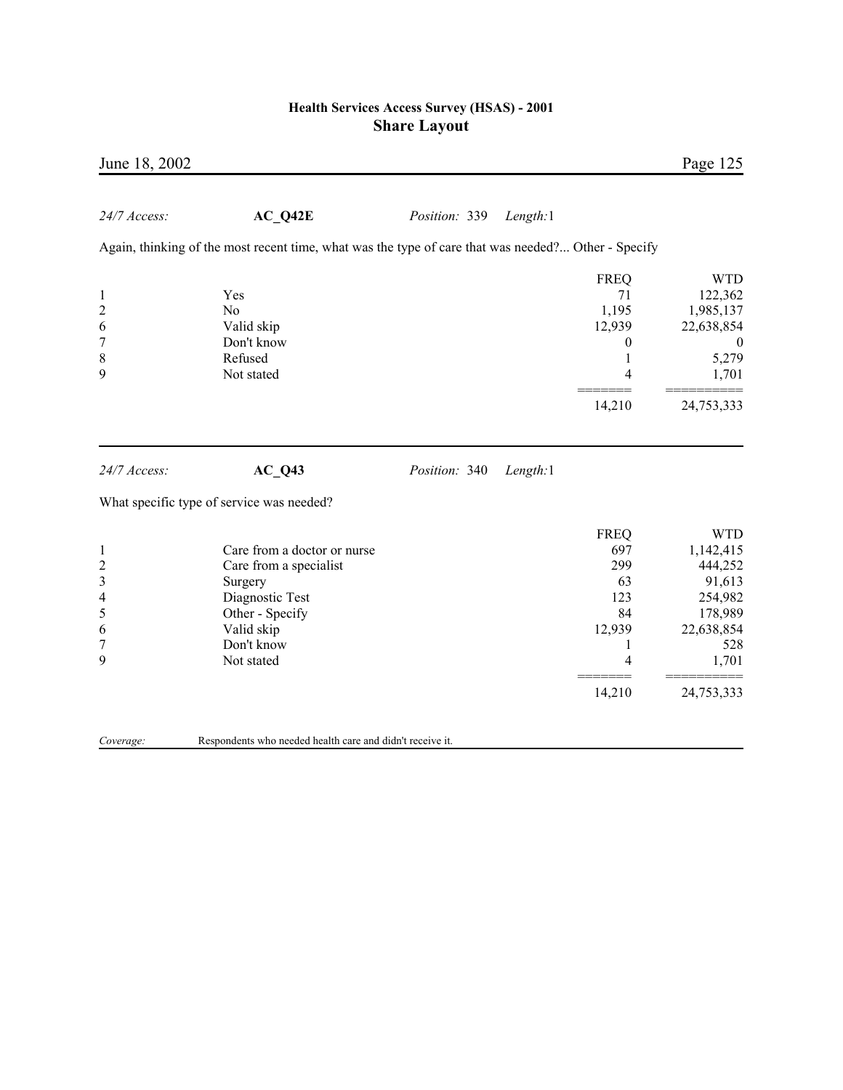| June 18, 2002                                                             |                                                                                                                                                  |               |          |                                                                            | Page 125                                                                                                       |
|---------------------------------------------------------------------------|--------------------------------------------------------------------------------------------------------------------------------------------------|---------------|----------|----------------------------------------------------------------------------|----------------------------------------------------------------------------------------------------------------|
| 24/7 Access:                                                              | AC Q42E                                                                                                                                          | Position: 339 | Length:1 |                                                                            |                                                                                                                |
|                                                                           | Again, thinking of the most recent time, what was the type of care that was needed? Other - Specify                                              |               |          |                                                                            |                                                                                                                |
| $\mathbf{1}$<br>$\overline{c}$<br>6<br>7<br>$\,$ 8 $\,$<br>9              | Yes<br>N <sub>0</sub><br>Valid skip<br>Don't know<br>Refused<br>Not stated                                                                       |               |          | <b>FREQ</b><br>71<br>1,195<br>12,939<br>$\boldsymbol{0}$<br>1<br>4         | <b>WTD</b><br>122,362<br>1,985,137<br>22,638,854<br>$\theta$<br>5,279<br>1,701                                 |
|                                                                           |                                                                                                                                                  |               |          | 14,210                                                                     | 24,753,333                                                                                                     |
| 24/7 Access:                                                              | $AC_Q43$                                                                                                                                         | Position: 340 | Length:1 |                                                                            |                                                                                                                |
|                                                                           | What specific type of service was needed?                                                                                                        |               |          |                                                                            |                                                                                                                |
| $\mathbf{1}$<br>$\overline{c}$<br>3<br>4<br>5<br>6<br>$\overline{7}$<br>9 | Care from a doctor or nurse<br>Care from a specialist<br>Surgery<br>Diagnostic Test<br>Other - Specify<br>Valid skip<br>Don't know<br>Not stated |               |          | <b>FREQ</b><br>697<br>299<br>63<br>123<br>84<br>12,939<br>1<br>4<br>14,210 | <b>WTD</b><br>1,142,415<br>444,252<br>91,613<br>254,982<br>178,989<br>22,638,854<br>528<br>1,701<br>24,753,333 |
| Coverage:                                                                 | Respondents who needed health care and didn't receive it.                                                                                        |               |          |                                                                            |                                                                                                                |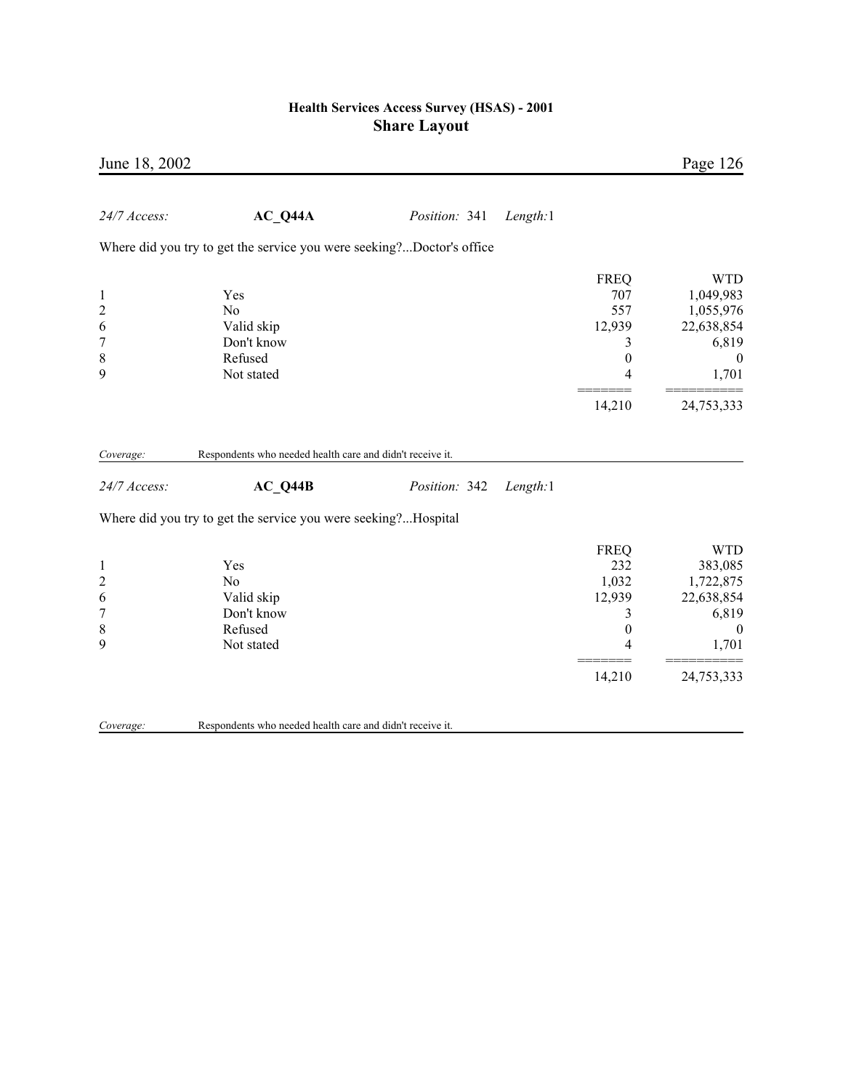| June 18, 2002                                                     |                                                                            |               |          |                                                                               | Page 126                                                                                               |
|-------------------------------------------------------------------|----------------------------------------------------------------------------|---------------|----------|-------------------------------------------------------------------------------|--------------------------------------------------------------------------------------------------------|
| 24/7 Access:                                                      | AC Q44A                                                                    | Position: 341 | Length:1 |                                                                               |                                                                                                        |
|                                                                   | Where did you try to get the service you were seeking?Doctor's office      |               |          |                                                                               |                                                                                                        |
| $\mathbf{1}$<br>$\overline{c}$<br>6<br>$\boldsymbol{7}$<br>8<br>9 | Yes<br>No<br>Valid skip<br>Don't know<br>Refused<br>Not stated             |               |          | <b>FREQ</b><br>707<br>557<br>12,939<br>3<br>$\boldsymbol{0}$<br>4<br>14,210   | <b>WTD</b><br>1,049,983<br>1,055,976<br>22,638,854<br>6,819<br>$\boldsymbol{0}$<br>1,701<br>24,753,333 |
| Coverage:                                                         | Respondents who needed health care and didn't receive it.                  |               |          |                                                                               |                                                                                                        |
| 24/7 Access:                                                      | AC Q44B                                                                    | Position: 342 | Length:1 |                                                                               |                                                                                                        |
|                                                                   | Where did you try to get the service you were seeking?Hospital             |               |          |                                                                               |                                                                                                        |
| $\mathbf{1}$<br>$\overline{c}$<br>6<br>$\overline{7}$<br>8<br>9   | Yes<br>N <sub>o</sub><br>Valid skip<br>Don't know<br>Refused<br>Not stated |               |          | <b>FREQ</b><br>232<br>1,032<br>12,939<br>3<br>$\boldsymbol{0}$<br>4<br>14,210 | <b>WTD</b><br>383,085<br>1,722,875<br>22,638,854<br>6,819<br>$\boldsymbol{0}$<br>1,701<br>24,753,333   |
| Coverage:                                                         | Respondents who needed health care and didn't receive it.                  |               |          |                                                                               |                                                                                                        |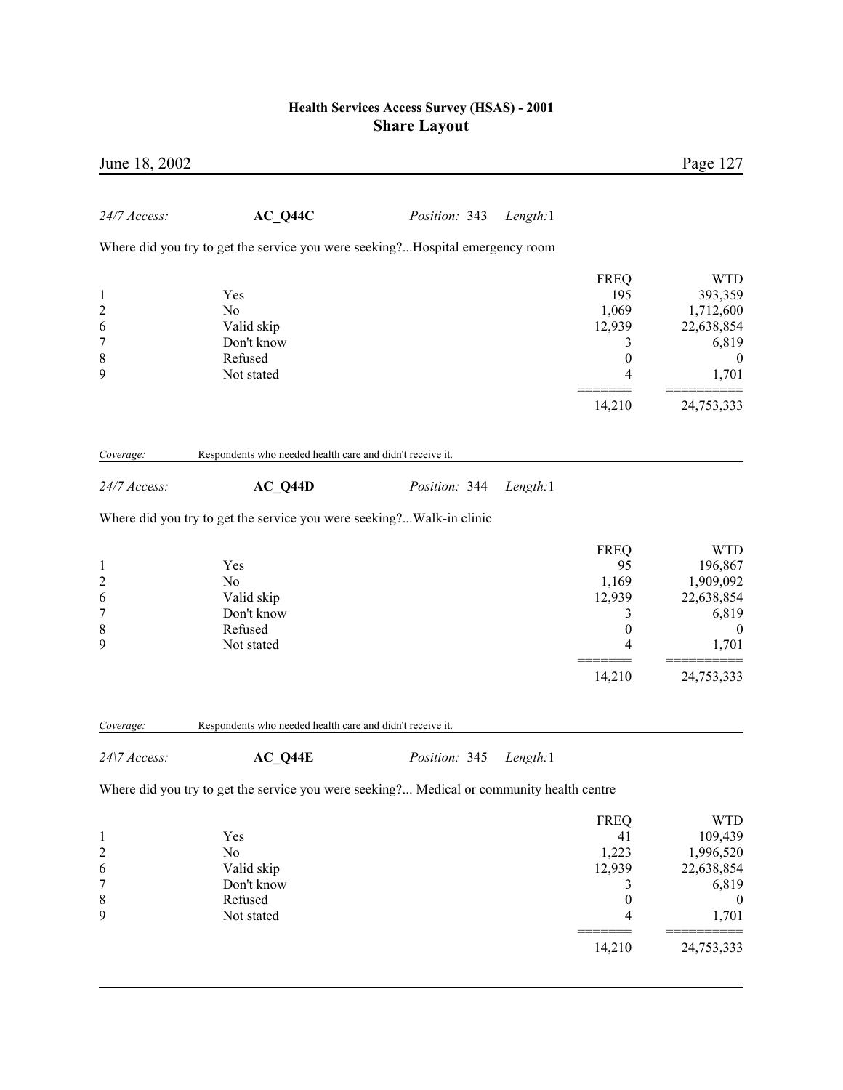| June 18, 2002           |                                                                                           |               |          |                  | Page 127         |
|-------------------------|-------------------------------------------------------------------------------------------|---------------|----------|------------------|------------------|
| 24/7 Access:            | $AC_Q44C$                                                                                 | Position: 343 | Length:1 |                  |                  |
|                         | Where did you try to get the service you were seeking?Hospital emergency room             |               |          |                  |                  |
|                         |                                                                                           |               |          | <b>FREQ</b>      | <b>WTD</b>       |
| $\mathbf{1}$            | Yes                                                                                       |               |          | 195              | 393,359          |
| $\overline{c}$          | N <sub>0</sub>                                                                            |               |          | 1,069            | 1,712,600        |
| 6                       | Valid skip                                                                                |               |          | 12,939           | 22,638,854       |
| $\overline{7}$          | Don't know                                                                                |               |          | 3                | 6,819            |
| 8                       | Refused                                                                                   |               |          | $\boldsymbol{0}$ | $\boldsymbol{0}$ |
| 9                       | Not stated                                                                                |               |          | 4                | 1,701            |
|                         |                                                                                           |               |          | 14,210           | 24,753,333       |
|                         | Respondents who needed health care and didn't receive it.                                 |               |          |                  |                  |
| Coverage:               |                                                                                           |               |          |                  |                  |
| 24/7 Access:            | $AC_Q44D$                                                                                 | Position: 344 | Length:1 |                  |                  |
|                         | Where did you try to get the service you were seeking?Walk-in clinic                      |               |          |                  |                  |
|                         |                                                                                           |               |          | <b>FREQ</b>      | <b>WTD</b>       |
| $\mathbf{1}$            | Yes                                                                                       |               |          | 95               | 196,867          |
| $\overline{c}$          | No                                                                                        |               |          | 1,169            | 1,909,092        |
| 6                       | Valid skip                                                                                |               |          | 12,939           | 22,638,854       |
| $\overline{7}$          | Don't know                                                                                |               |          | 3                | 6,819            |
| 8                       | Refused                                                                                   |               |          | $\boldsymbol{0}$ | $\boldsymbol{0}$ |
| 9                       | Not stated                                                                                |               |          | 4                | 1,701            |
|                         |                                                                                           |               |          | 14,210           | 24,753,333       |
|                         |                                                                                           |               |          |                  |                  |
| Coverage:               | Respondents who needed health care and didn't receive it.                                 |               |          |                  |                  |
| 24\7 Access:            | $AC_Q44E$                                                                                 | Position: 345 | Length:1 |                  |                  |
|                         | Where did you try to get the service you were seeking? Medical or community health centre |               |          |                  |                  |
|                         |                                                                                           |               |          | <b>FREQ</b>      | <b>WTD</b>       |
| $\mathbf{1}$            | Yes                                                                                       |               |          | 41               | 109,439          |
| $\overline{\mathbf{c}}$ | N <sub>o</sub>                                                                            |               |          | 1,223            | 1,996,520        |
| 6                       | Valid skip                                                                                |               |          | 12,939           | 22,638,854       |
| 7                       | Don't know                                                                                |               |          | 3                | 6,819            |
| 8                       | Refused                                                                                   |               |          | $\boldsymbol{0}$ | $\boldsymbol{0}$ |
| 9                       | Not stated                                                                                |               |          | 4                | 1,701            |
|                         |                                                                                           |               |          | 14,210           | 24,753,333       |
|                         |                                                                                           |               |          |                  |                  |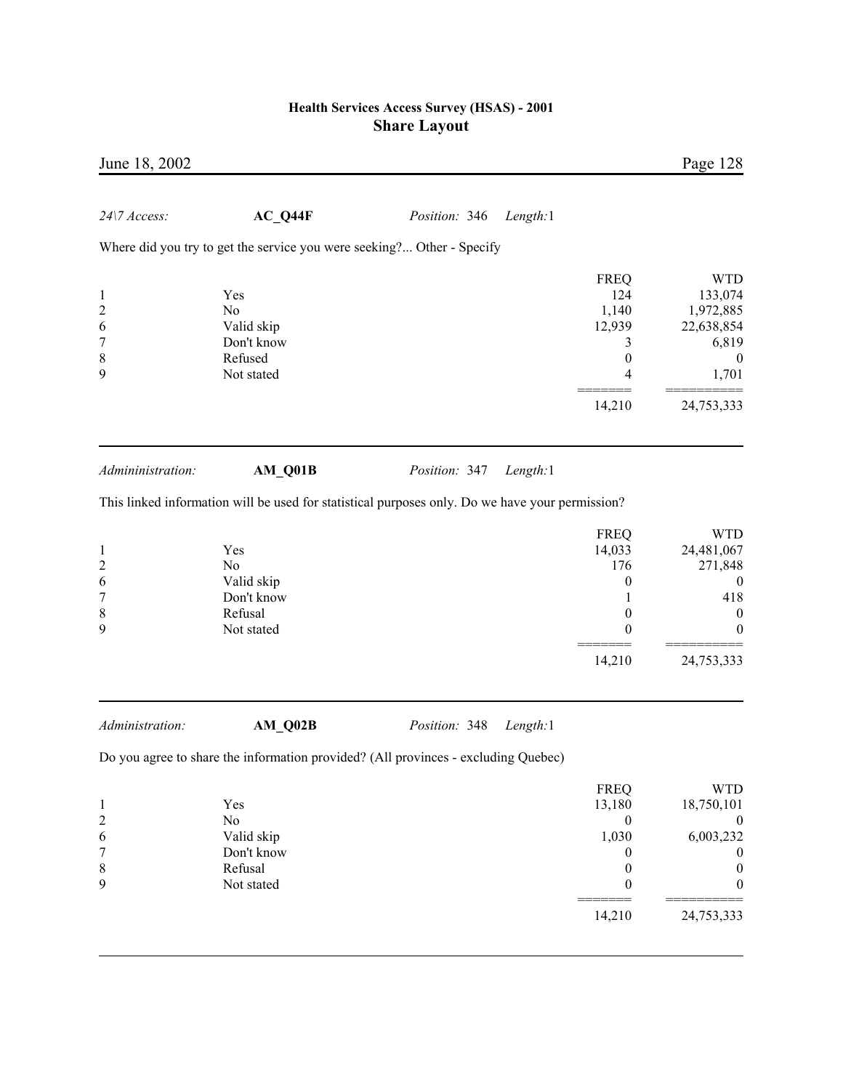| June 18, 2002           |                                                                        |                                                                                                 |                  | Page 128         |
|-------------------------|------------------------------------------------------------------------|-------------------------------------------------------------------------------------------------|------------------|------------------|
| 24\7 Access:            | $AC_Q44F$                                                              | Length:1<br>Position: 346                                                                       |                  |                  |
|                         | Where did you try to get the service you were seeking? Other - Specify |                                                                                                 |                  |                  |
|                         |                                                                        |                                                                                                 | <b>FREQ</b>      | <b>WTD</b>       |
| $\mathbf{1}$            | Yes                                                                    |                                                                                                 | 124              | 133,074          |
| $\overline{\mathbf{c}}$ | No                                                                     |                                                                                                 | 1,140            | 1,972,885        |
| 6                       | Valid skip                                                             |                                                                                                 | 12,939           | 22,638,854       |
| 7                       | Don't know                                                             |                                                                                                 | 3                | 6,819            |
| 8                       | Refused                                                                |                                                                                                 | $\boldsymbol{0}$ | $\boldsymbol{0}$ |
| 9                       | Not stated                                                             |                                                                                                 | 4                | 1,701            |
|                         |                                                                        |                                                                                                 | 14,210           | 24,753,333       |
|                         |                                                                        |                                                                                                 |                  |                  |
| Admininistration:       | AM_Q01B                                                                | Position: 347<br>Length:1                                                                       |                  |                  |
|                         |                                                                        | This linked information will be used for statistical purposes only. Do we have your permission? |                  |                  |
|                         |                                                                        |                                                                                                 | <b>FREQ</b>      | <b>WTD</b>       |
| $\mathbf{1}$            | Yes                                                                    |                                                                                                 | 14,033           | 24,481,067       |
| $\overline{\mathbf{c}}$ | No                                                                     |                                                                                                 | 176              | 271,848          |
| 6                       | Valid skip                                                             |                                                                                                 | 0                | $\boldsymbol{0}$ |
| 7                       | Don't know                                                             |                                                                                                 | 1                | 418              |
| 8                       | Refusal                                                                |                                                                                                 | 0                | $\boldsymbol{0}$ |
| 9                       | Not stated                                                             |                                                                                                 | 0                | 0                |
|                         |                                                                        |                                                                                                 | 14,210           | 24,753,333       |
| Administration:         | AM Q02B                                                                | Position: 348<br>Length:1                                                                       |                  |                  |
|                         |                                                                        | Do you agree to share the information provided? (All provinces - excluding Quebec)              |                  |                  |
|                         |                                                                        |                                                                                                 | <b>FREQ</b>      | <b>WTD</b>       |
| $\mathbf{1}$            | Yes                                                                    |                                                                                                 | 13,180           | 18,750,101       |
| $\overline{\mathbf{c}}$ | No                                                                     |                                                                                                 | $\boldsymbol{0}$ | $\boldsymbol{0}$ |
| 6                       | Valid skip                                                             |                                                                                                 | 1,030            | 6,003,232        |
| $\overline{7}$          | Don't know                                                             |                                                                                                 | 0                | $\boldsymbol{0}$ |
| 8                       | Refusal                                                                |                                                                                                 | $\boldsymbol{0}$ | $\boldsymbol{0}$ |

9 Not stated 0 0

 ======= ========== 14,210 24,753,333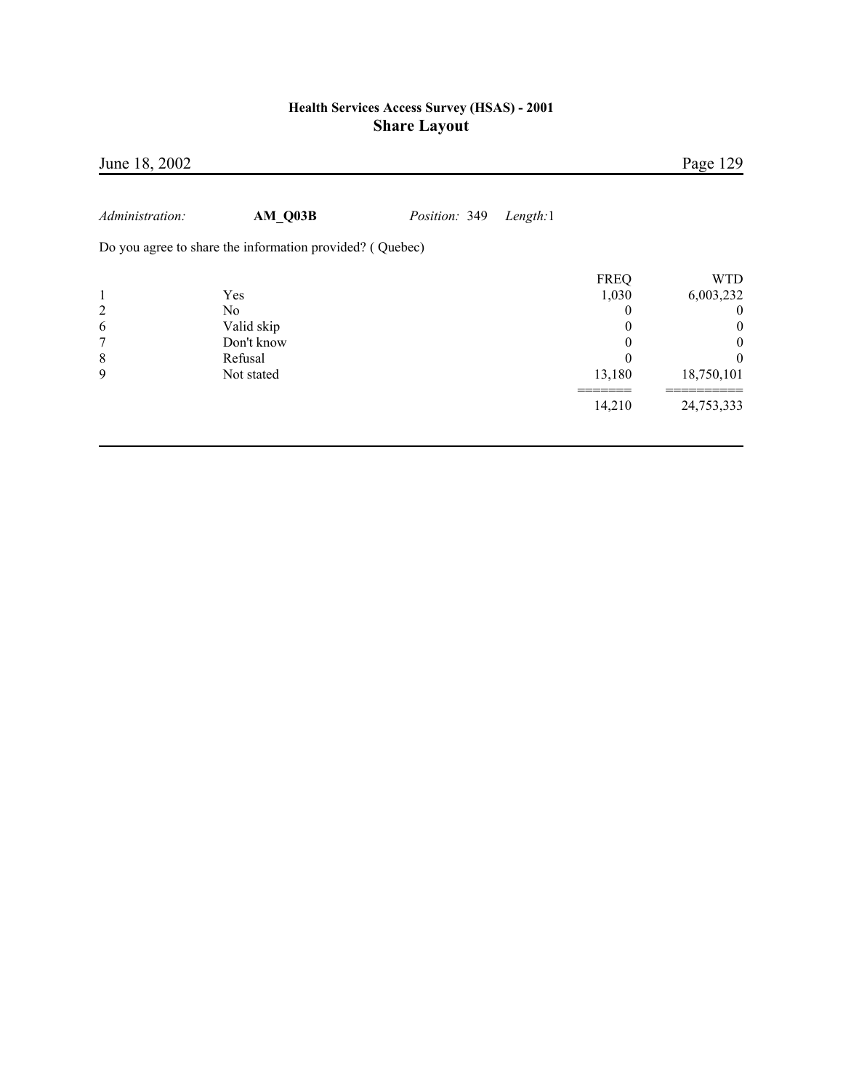| 0 | <b>WTD</b><br>6,003,232<br>$\theta$<br>$\overline{0}$<br>$\boldsymbol{0}$<br>$\theta$<br>18,750,101 |
|---|-----------------------------------------------------------------------------------------------------|
|   | 24,753,333                                                                                          |
|   | <b>FREQ</b><br>1,030<br>13,180<br>14,210                                                            |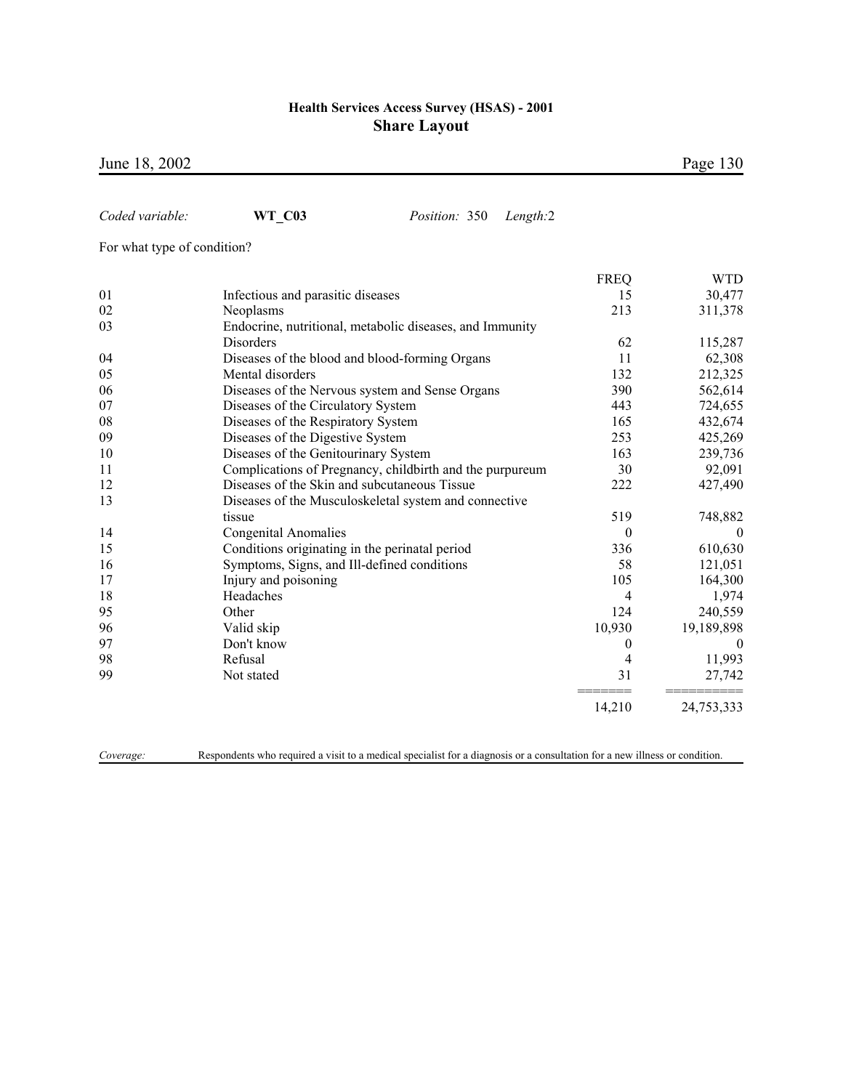June 18, 2002 Page 130

| Coded variable:             | <b>WT C03</b><br>Position: 350                           | Length:2       |            |
|-----------------------------|----------------------------------------------------------|----------------|------------|
| For what type of condition? |                                                          |                |            |
|                             |                                                          | <b>FREQ</b>    | <b>WTD</b> |
| 01                          | Infectious and parasitic diseases                        | 15             | 30,477     |
| 02                          | Neoplasms                                                | 213            | 311,378    |
| 03                          | Endocrine, nutritional, metabolic diseases, and Immunity |                |            |
|                             | Disorders                                                | 62             | 115,287    |
| 04                          | Diseases of the blood and blood-forming Organs           | 11             | 62,308     |
| 05                          | Mental disorders                                         | 132            | 212,325    |
| 06                          | Diseases of the Nervous system and Sense Organs          | 390            | 562,614    |
| 07                          | Diseases of the Circulatory System                       | 443            | 724,655    |
| 08                          | Diseases of the Respiratory System                       | 165            | 432,674    |
| 09                          | Diseases of the Digestive System                         | 253            | 425,269    |
| 10                          | Diseases of the Genitourinary System                     | 163            | 239,736    |
| 11                          | Complications of Pregnancy, childbirth and the purpureum | 30             | 92,091     |
| 12                          | Diseases of the Skin and subcutaneous Tissue             | 222            | 427,490    |
| 13                          | Diseases of the Musculoskeletal system and connective    |                |            |
|                             | tissue                                                   | 519            | 748,882    |
| 14                          | <b>Congenital Anomalies</b>                              | $\theta$       | $\theta$   |
| 15                          | Conditions originating in the perinatal period           | 336            | 610,630    |
| 16                          | Symptoms, Signs, and Ill-defined conditions              | 58             | 121,051    |
| 17                          | Injury and poisoning                                     | 105            | 164,300    |
| 18                          | Headaches                                                | $\overline{4}$ | 1,974      |
| 95                          | Other                                                    | 124            | 240,559    |
| 96                          | Valid skip                                               | 10,930         | 19,189,898 |
| 97                          | Don't know                                               | $\mathbf{0}$   | $\theta$   |
| 98                          | Refusal                                                  | 4              | 11,993     |
| 99                          | Not stated                                               | 31             | 27,742     |
|                             |                                                          | 14,210         | 24,753,333 |
|                             |                                                          |                |            |

*Coverage:* Respondents who required a visit to a medical specialist for a diagnosis or a consultation for a new illness or condition.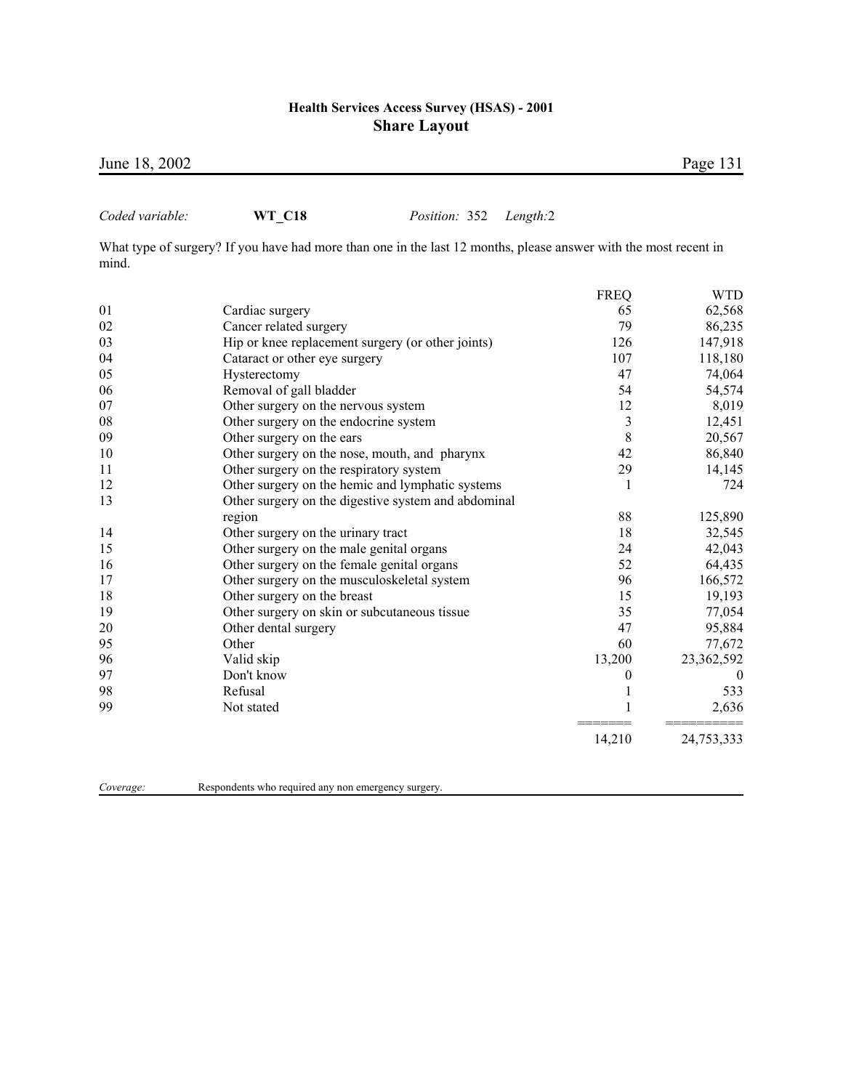June 18, 2002 Page 131

## *Coded variable:* **WT\_C18** *Position:* 352 *Length:*2

What type of surgery? If you have had more than one in the last 12 months, please answer with the most recent in mind.

|            |                                                     | <b>FREQ</b> | WTD.       |
|------------|-----------------------------------------------------|-------------|------------|
| 01         | Cardiac surgery                                     | 65          | 62,568     |
| 02         | Cancer related surgery                              | 79          | 86,235     |
| 03         | Hip or knee replacement surgery (or other joints)   | 126         | 147,918    |
| 04         | Cataract or other eye surgery                       | 107         | 118,180    |
| 05         | Hysterectomy                                        | 47          | 74,064     |
| 06         | Removal of gall bladder                             | 54          | 54,574     |
| 07         | Other surgery on the nervous system                 | 12          | 8,019      |
| ${\bf 08}$ | Other surgery on the endocrine system               | 3           | 12,451     |
| 09         | Other surgery on the ears                           | 8           | 20,567     |
| 10         | Other surgery on the nose, mouth, and pharynx       | 42          | 86,840     |
| 11         | Other surgery on the respiratory system             | 29          | 14,145     |
| 12         | Other surgery on the hemic and lymphatic systems    | 1           | 724        |
| 13         | Other surgery on the digestive system and abdominal |             |            |
|            | region                                              | 88          | 125,890    |
| 14         | Other surgery on the urinary tract                  | 18          | 32,545     |
| 15         | Other surgery on the male genital organs            | 24          | 42,043     |
| 16         | Other surgery on the female genital organs          | 52          | 64,435     |
| 17         | Other surgery on the musculoskeletal system         | 96          | 166,572    |
| 18         | Other surgery on the breast                         | 15          | 19,193     |
| 19         | Other surgery on skin or subcutaneous tissue        | 35          | 77,054     |
| 20         | Other dental surgery                                | 47          | 95,884     |
| 95         | Other                                               | 60          | 77,672     |
| 96         | Valid skip                                          | 13,200      | 23,362,592 |
| 97         | Don't know                                          | 0           | $\Omega$   |
| 98         | Refusal                                             |             | 533        |
| 99         | Not stated                                          |             | 2,636      |
|            |                                                     | 14,210      | 24,753,333 |

*Coverage:* Respondents who required any non emergency surgery.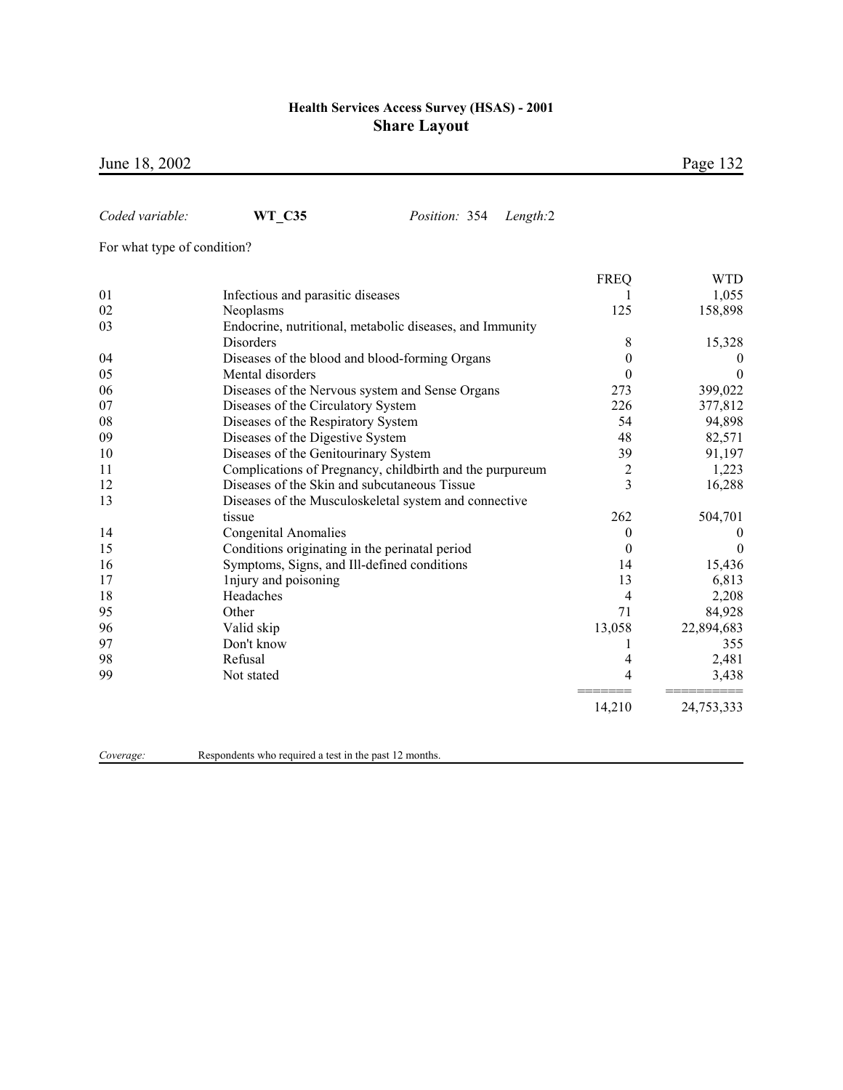June 18, 2002 Page 132

| Coded variable:             | <b>WT C35</b><br>Position: 354                           | Length:2 |                  |                  |
|-----------------------------|----------------------------------------------------------|----------|------------------|------------------|
| For what type of condition? |                                                          |          |                  |                  |
|                             |                                                          |          | <b>FREQ</b>      | WTD              |
| 01                          | Infectious and parasitic diseases                        |          |                  | 1,055            |
| 02                          | Neoplasms                                                |          | 125              | 158,898          |
| 03                          | Endocrine, nutritional, metabolic diseases, and Immunity |          |                  |                  |
|                             | Disorders                                                |          | 8                | 15,328           |
| 04                          | Diseases of the blood and blood-forming Organs           |          | $\boldsymbol{0}$ | 0                |
| 05                          | Mental disorders                                         |          | $\theta$         | $\boldsymbol{0}$ |
| 06                          | Diseases of the Nervous system and Sense Organs          |          | 273              | 399,022          |
| 07                          | Diseases of the Circulatory System                       |          | 226              | 377,812          |
| 08                          | Diseases of the Respiratory System                       |          | 54               | 94,898           |
| 09                          | Diseases of the Digestive System                         |          | 48               | 82,571           |
| 10                          | Diseases of the Genitourinary System                     |          | 39               | 91,197           |
| 11                          | Complications of Pregnancy, childbirth and the purpureum |          | $\overline{2}$   | 1,223            |
| 12                          | Diseases of the Skin and subcutaneous Tissue             |          | $\overline{3}$   | 16,288           |
| 13                          | Diseases of the Musculoskeletal system and connective    |          |                  |                  |
|                             | tissue                                                   |          | 262              | 504,701          |
| 14                          | <b>Congenital Anomalies</b>                              |          | $\mathbf{0}$     | $\boldsymbol{0}$ |
| 15                          | Conditions originating in the perinatal period           |          | $\theta$         | $\overline{0}$   |
| 16                          | Symptoms, Signs, and Ill-defined conditions              |          | 14               | 15,436           |
| 17                          | Injury and poisoning                                     |          | 13               | 6,813            |
| 18                          | Headaches                                                |          | 4                | 2,208            |
| 95                          | Other                                                    |          | 71               | 84,928           |
| 96                          | Valid skip                                               |          | 13,058           | 22,894,683       |
| 97                          | Don't know                                               |          | 1                | 355              |
| 98                          | Refusal                                                  |          | 4                | 2,481            |
| 99                          | Not stated                                               |          | 4                | 3,438            |
|                             |                                                          |          | 14,210           | 24,753,333       |
|                             |                                                          |          |                  |                  |

*Coverage:* Respondents who required a test in the past 12 months.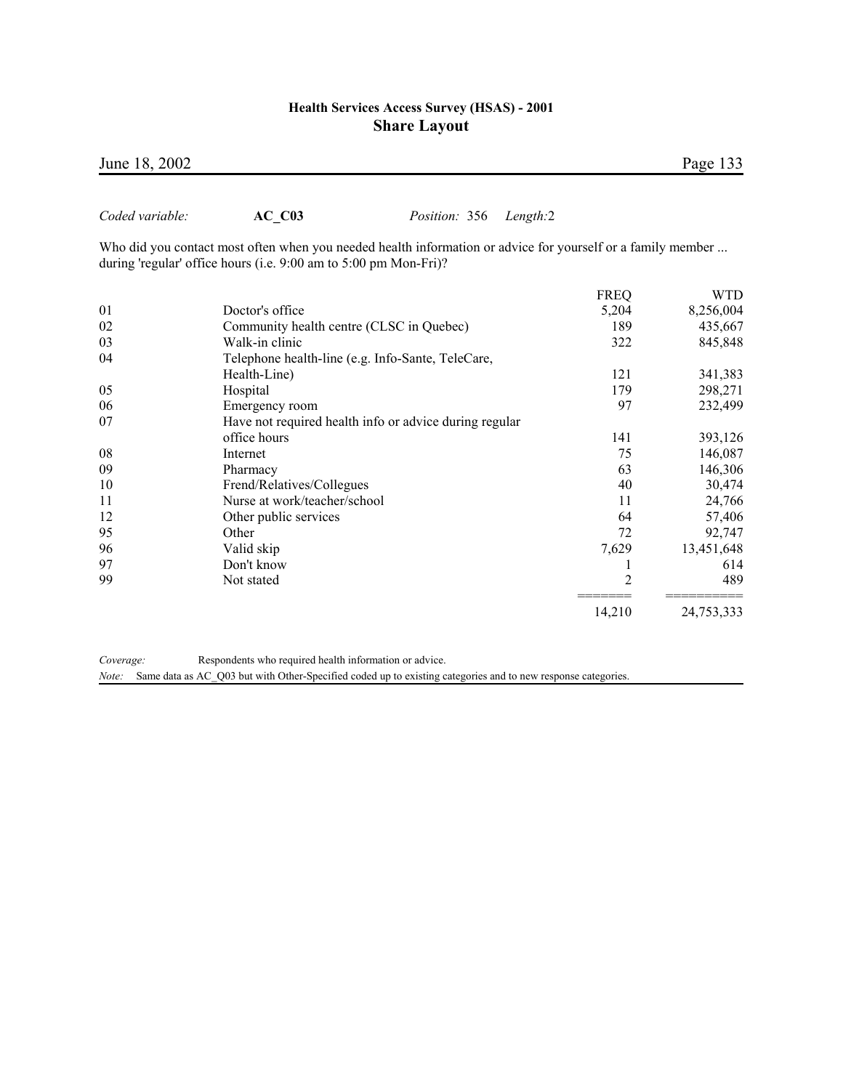Who did you contact most often when you needed health information or advice for yourself or a family member ...

|    | during 'regular' office hours (i.e. 9:00 am to 5:00 pm Mon-Fri)? |             |            |
|----|------------------------------------------------------------------|-------------|------------|
|    |                                                                  | <b>FREQ</b> | WTD        |
| 01 | Doctor's office                                                  | 5,204       | 8,256,004  |
| 02 | Community health centre (CLSC in Quebec)                         | 189         | 435,667    |
| 03 | Walk-in clinic                                                   | 322         | 845,848    |
| 04 | Telephone health-line (e.g. Info-Sante, TeleCare,                |             |            |
|    | Health-Line)                                                     | 121         | 341,383    |
| 05 | Hospital                                                         | 179         | 298,271    |
| 06 | Emergency room                                                   | 97          | 232,499    |
| 07 | Have not required health info or advice during regular           |             |            |
|    | office hours                                                     | 141         | 393,126    |
| 08 | Internet                                                         | 75          | 146,087    |
| 09 | Pharmacy                                                         | 63          | 146,306    |
| 10 | Frend/Relatives/Collegues                                        | 40          | 30,474     |
| 11 | Nurse at work/teacher/school                                     | 11          | 24,766     |
| 12 | Other public services                                            | 64          | 57,406     |
| 95 | Other                                                            | 72          | 92,747     |
| 96 | Valid skip                                                       | 7,629       | 13,451,648 |
| 97 | Don't know                                                       |             | 614        |
| 99 | Not stated                                                       | 2           | 489        |

*Coverage:* Respondents who required health information or advice. *Note:* Same data as AC\_Q03 but with Other-Specified coded up to existing categories and to new response categories.

14,210 24,753,333

## June 18, 2002 Page 133

*Coded variable:* **AC\_C03** *Position:* 356 *Length:*2

======= ==========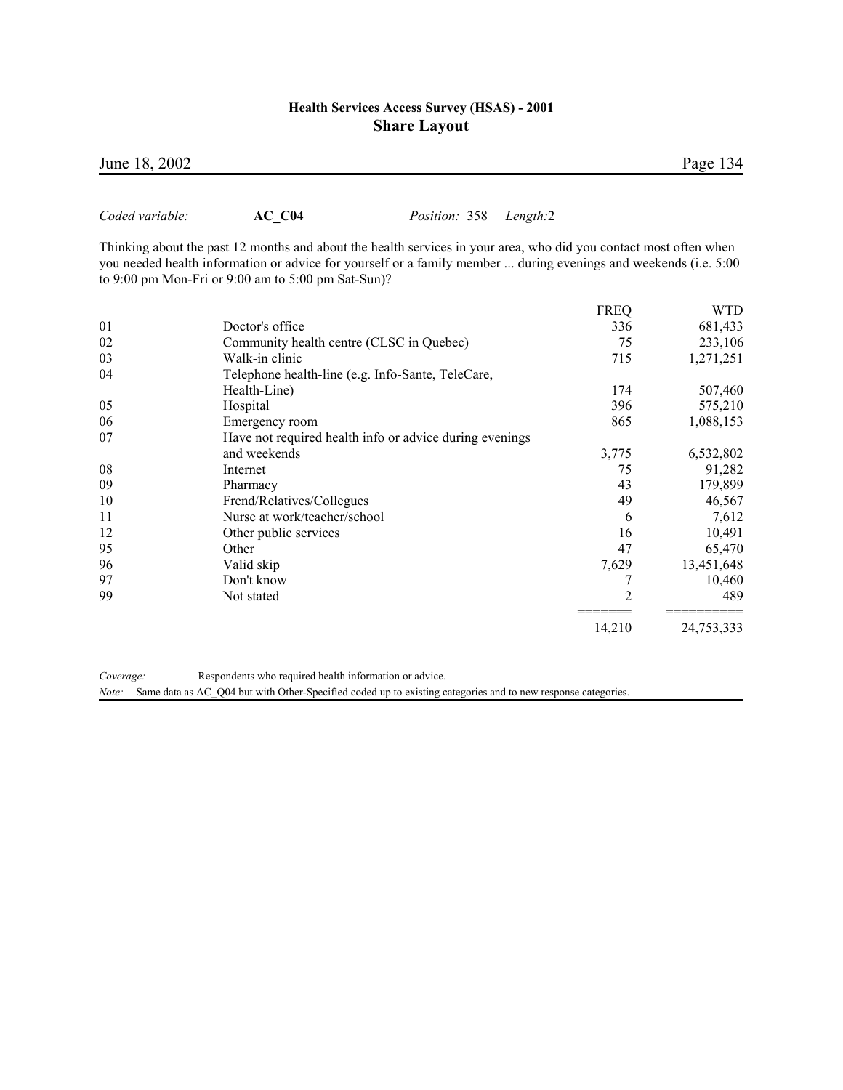*Coded variable:* **AC\_C04** *Position:* 358 *Length:*2

Thinking about the past 12 months and about the health services in your area, who did you contact most often when you needed health information or advice for yourself or a family member ... during evenings and weekends (i.e. 5:00 to 9:00 pm Mon-Fri or 9:00 am to 5:00 pm Sat-Sun)?

|    |                                                         | <b>FREQ</b> | <b>WTD</b> |
|----|---------------------------------------------------------|-------------|------------|
| 01 | Doctor's office                                         | 336         | 681,433    |
| 02 | Community health centre (CLSC in Quebec)                | 75          | 233,106    |
| 03 | Walk-in clinic                                          | 715         | 1,271,251  |
| 04 | Telephone health-line (e.g. Info-Sante, TeleCare,       |             |            |
|    | Health-Line)                                            | 174         | 507,460    |
| 05 | Hospital                                                | 396         | 575,210    |
| 06 | Emergency room                                          | 865         | 1,088,153  |
| 07 | Have not required health info or advice during evenings |             |            |
|    | and weekends                                            | 3,775       | 6,532,802  |
| 08 | Internet                                                | 75          | 91,282     |
| 09 | Pharmacy                                                | 43          | 179,899    |
| 10 | Frend/Relatives/Collegues                               | 49          | 46,567     |
| 11 | Nurse at work/teacher/school                            | 6           | 7,612      |
| 12 | Other public services                                   | 16          | 10,491     |
| 95 | Other                                                   | 47          | 65,470     |
| 96 | Valid skip                                              | 7,629       | 13,451,648 |
| 97 | Don't know                                              |             | 10,460     |
| 99 | Not stated                                              | 2           | 489        |
|    |                                                         | 14,210      | 24,753,333 |

*Coverage:* Respondents who required health information or advice.

*Note:* Same data as AC\_Q04 but with Other-Specified coded up to existing categories and to new response categories.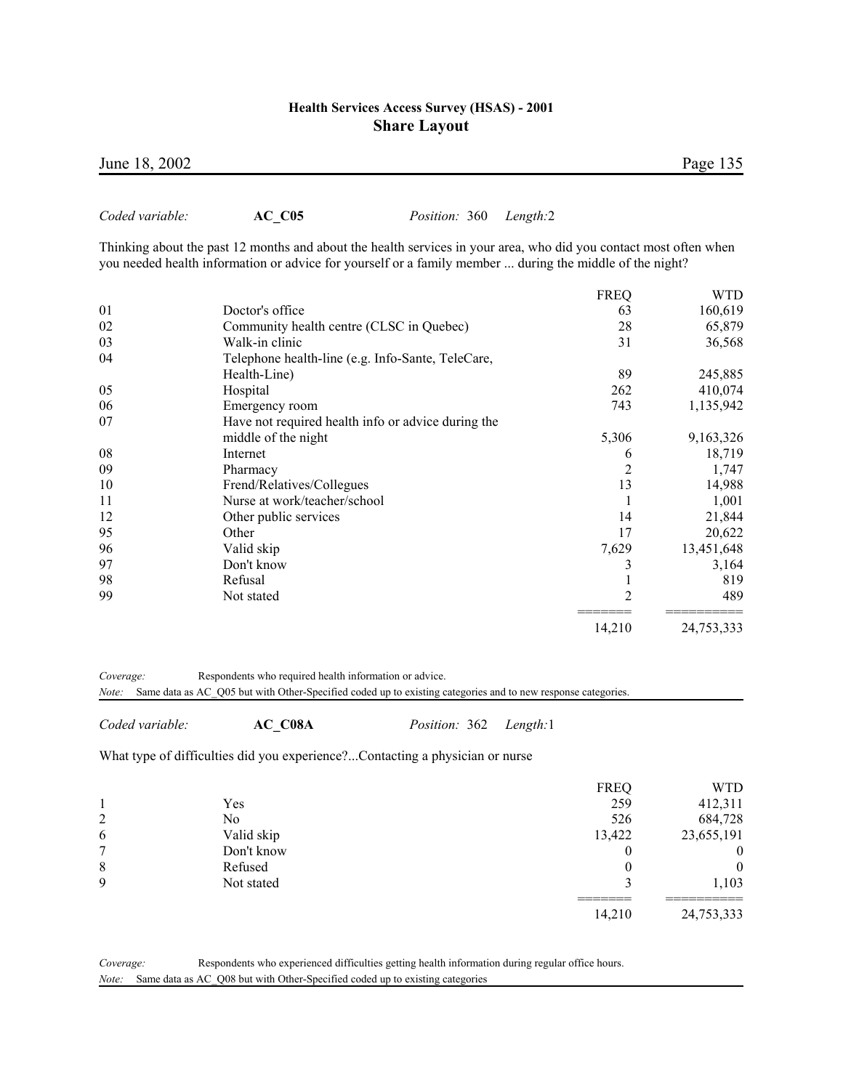| June 18, 2002 | Page 135 |  |
|---------------|----------|--|
|               |          |  |

*Coded variable:* **AC\_C05** *Position:* 360 *Length:*2

Thinking about the past 12 months and about the health services in your area, who did you contact most often when you needed health information or advice for yourself or a family member ... during the middle of the night?

|    |                                                    | <b>FREQ</b>    | <b>WTD</b> |
|----|----------------------------------------------------|----------------|------------|
| 01 | Doctor's office                                    | 63             | 160,619    |
| 02 | Community health centre (CLSC in Quebec)           | 28             | 65,879     |
| 03 | Walk-in clinic                                     | 31             | 36,568     |
| 04 | Telephone health-line (e.g. Info-Sante, TeleCare,  |                |            |
|    | Health-Line)                                       | 89             | 245,885    |
| 05 | Hospital                                           | 262            | 410,074    |
| 06 | Emergency room                                     | 743            | 1,135,942  |
| 07 | Have not required health info or advice during the |                |            |
|    | middle of the night                                | 5,306          | 9,163,326  |
| 08 | Internet                                           | 6              | 18,719     |
| 09 | Pharmacy                                           | 2              | 1,747      |
| 10 | Frend/Relatives/Collegues                          | 13             | 14,988     |
| 11 | Nurse at work/teacher/school                       |                | 1,001      |
| 12 | Other public services                              | 14             | 21,844     |
| 95 | Other                                              | 17             | 20,622     |
| 96 | Valid skip                                         | 7,629          | 13,451,648 |
| 97 | Don't know                                         | 3              | 3,164      |
| 98 | Refusal                                            |                | 819        |
| 99 | Not stated                                         | $\overline{2}$ | 489        |
|    |                                                    | 14,210         | 24,753,333 |

*Coverage:* Respondents who required health information or advice.

*Note:* Same data as AC\_Q05 but with Other-Specified coded up to existing categories and to new response categories.

*Coded variable:* **AC\_C08A** *Position:* 362 *Length:*1

What type of difficulties did you experience?...Contacting a physician or nurse

|                |            | <b>FREQ</b> | WTD        |
|----------------|------------|-------------|------------|
|                | Yes        | 259         | 412,311    |
| $\overline{2}$ | No         | 526         | 684,728    |
| 6              | Valid skip | 13,422      | 23,655,191 |
| 7              | Don't know |             | 0          |
| 8              | Refused    |             | 0          |
| 9              | Not stated |             | 1,103      |
|                |            | 14,210      | 24,753,333 |

*Coverage:* Respondents who experienced difficulties getting health information during regular office hours. *Note:* Same data as AC\_Q08 but with Other-Specified coded up to existing categories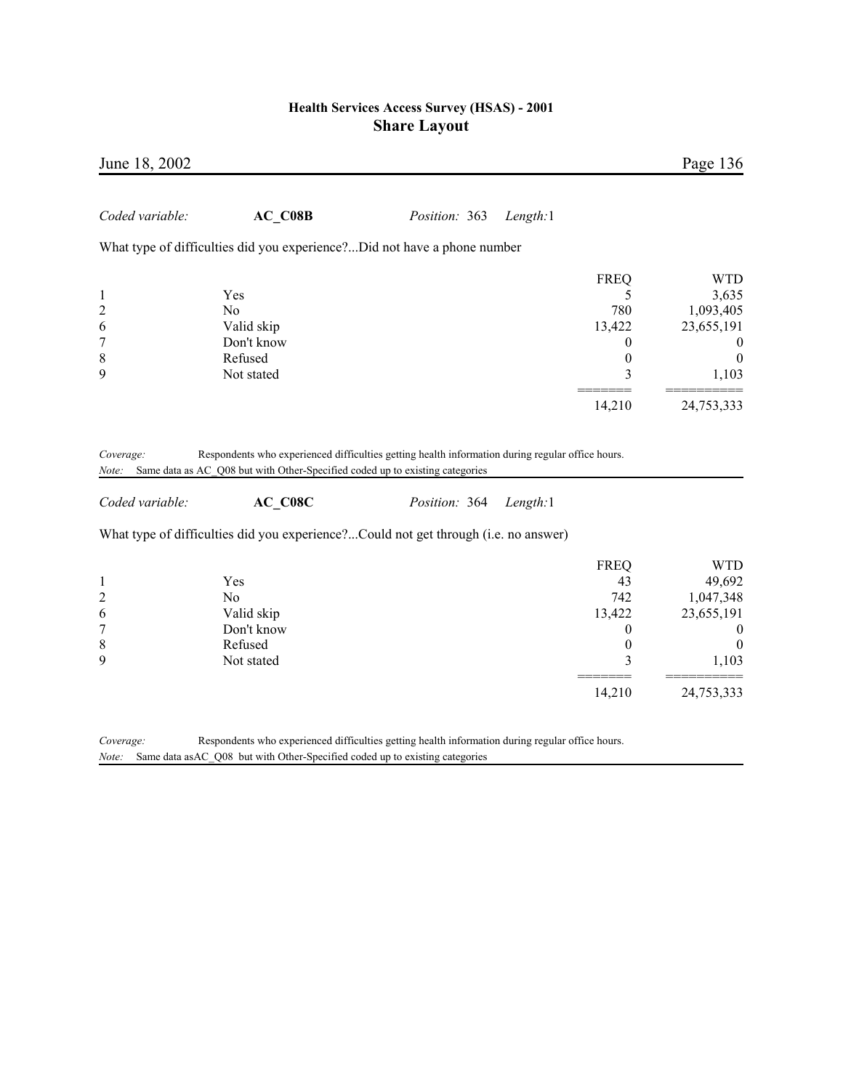| June 18, 2002                                                               |                                                                                                  |               |          |                                                                            | Page 136                                                                                                       |
|-----------------------------------------------------------------------------|--------------------------------------------------------------------------------------------------|---------------|----------|----------------------------------------------------------------------------|----------------------------------------------------------------------------------------------------------------|
| Coded variable:                                                             | AC C08B                                                                                          | Position: 363 | Length:1 |                                                                            |                                                                                                                |
|                                                                             | What type of difficulties did you experience?Did not have a phone number                         |               |          |                                                                            |                                                                                                                |
| $\mathbf{1}$<br>$\overline{\mathbf{c}}$<br>6<br>7<br>8<br>9                 | Yes<br>No<br>Valid skip<br>Don't know<br>Refused                                                 |               |          | <b>FREQ</b><br>5<br>780<br>13,422<br>$\theta$<br>$\boldsymbol{0}$<br>3     | <b>WTD</b><br>3,635<br>1,093,405<br>23,655,191<br>$\theta$<br>$\boldsymbol{0}$                                 |
|                                                                             | Not stated                                                                                       |               |          | 14,210                                                                     | 1,103<br>24,753,333                                                                                            |
| Note:<br>Coded variable:                                                    | Same data as AC_Q08 but with Other-Specified coded up to existing categories<br>AC C08C          | Position: 364 | Length:1 |                                                                            |                                                                                                                |
|                                                                             | What type of difficulties did you experience?Could not get through (i.e. no answer)              |               |          |                                                                            |                                                                                                                |
| $\mathbf{1}$<br>$\overline{c}$<br>6<br>$\boldsymbol{7}$<br>$\,$ 8 $\,$<br>9 | Yes<br>No<br>Valid skip<br>Don't know<br>Refused<br>Not stated                                   |               |          | <b>FREQ</b><br>43<br>742<br>13,422<br>0<br>$\boldsymbol{0}$<br>3<br>14,210 | <b>WTD</b><br>49,692<br>1,047,348<br>23,655,191<br>$\boldsymbol{0}$<br>$\boldsymbol{0}$<br>1,103<br>24,753,333 |
| Coverage:                                                                   | Respondents who experienced difficulties getting health information during regular office hours. |               |          |                                                                            |                                                                                                                |

*Note:* Same data asAC\_Q08 but with Other-Specified coded up to existing categories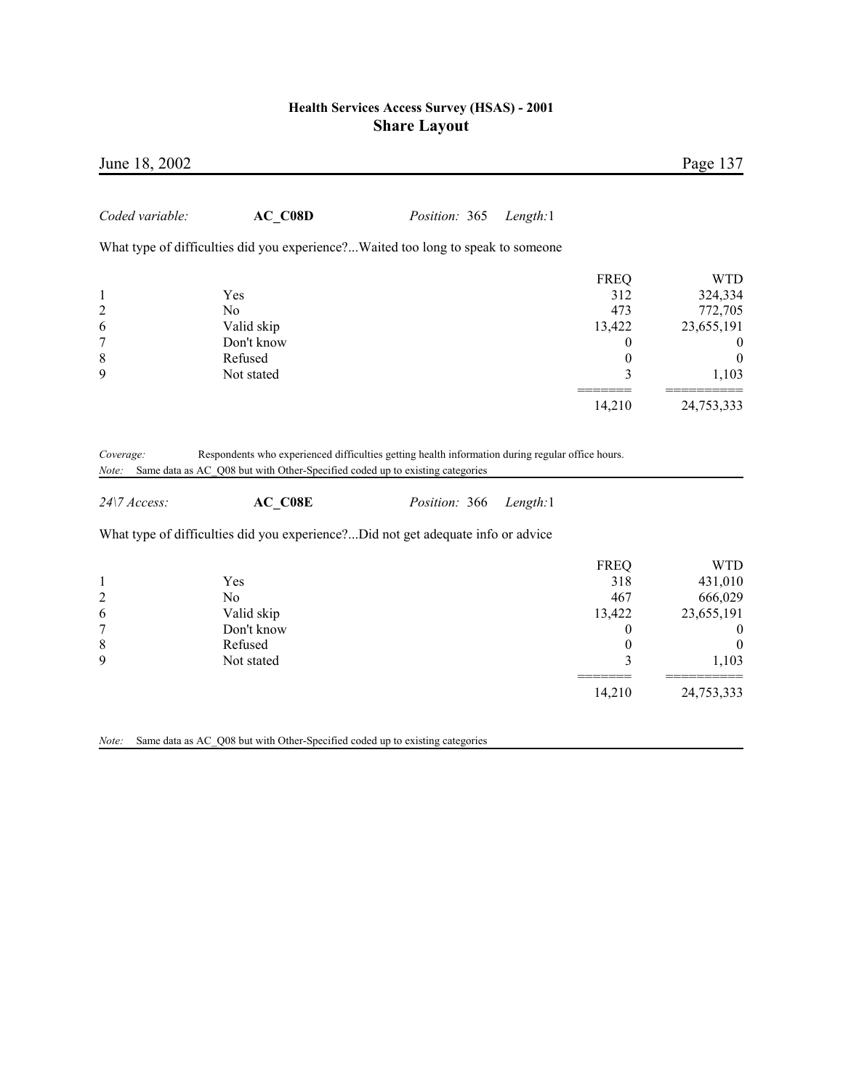| June 18, 2002                |                                                                                                                                                                                  |                      |          |                  | Page 137       |
|------------------------------|----------------------------------------------------------------------------------------------------------------------------------------------------------------------------------|----------------------|----------|------------------|----------------|
| Coded variable:              | $AC\_C08D$                                                                                                                                                                       | <i>Position:</i> 365 | Length:1 |                  |                |
|                              | What type of difficulties did you experience?Waited too long to speak to someone                                                                                                 |                      |          |                  |                |
|                              |                                                                                                                                                                                  |                      |          | <b>FREQ</b>      | <b>WTD</b>     |
| 1                            | Yes                                                                                                                                                                              |                      |          | 312              | 324,334        |
| 2                            | N <sub>0</sub>                                                                                                                                                                   |                      |          | 473              | 772,705        |
| 6                            | Valid skip                                                                                                                                                                       |                      |          | 13,422           | 23,655,191     |
| 7                            | Don't know                                                                                                                                                                       |                      |          | 0                | $\overline{0}$ |
| $\,$ 8 $\,$                  | Refused                                                                                                                                                                          |                      |          | $\boldsymbol{0}$ | $\theta$       |
| 9                            | Not stated                                                                                                                                                                       |                      |          | 3                | 1,103          |
|                              |                                                                                                                                                                                  |                      |          | 14,210           | 24,753,333     |
| Coverage:<br>Note:           | Respondents who experienced difficulties getting health information during regular office hours.<br>Same data as AC_Q08 but with Other-Specified coded up to existing categories |                      |          |                  |                |
| $24$ <sup>\7</sup> $Access:$ | $AC$ <sub>C08E</sub>                                                                                                                                                             | Position: 366        | Length:1 |                  |                |
|                              | What type of difficulties did you experience?Did not get adequate info or advice                                                                                                 |                      |          |                  |                |
|                              |                                                                                                                                                                                  |                      |          | <b>FREQ</b>      | <b>WTD</b>     |
| 1                            | Yes                                                                                                                                                                              |                      |          | 318              | 431,010        |
| $\overline{c}$               | N <sub>0</sub>                                                                                                                                                                   |                      |          | 467              | 666,029        |
| 6                            | Valid skip                                                                                                                                                                       |                      |          | 13,422           | 23,655,191     |
| $\boldsymbol{7}$             | Don't know                                                                                                                                                                       |                      |          | 0                | $\bf{0}$       |
| 8                            | Refused                                                                                                                                                                          |                      |          | $\boldsymbol{0}$ | $\theta$       |
| 9                            | Not stated                                                                                                                                                                       |                      |          | $\overline{3}$   | 1,103          |

======= ==========

14,210 24,753,333

*Note:* Same data as AC\_Q08 but with Other-Specified coded up to existing categories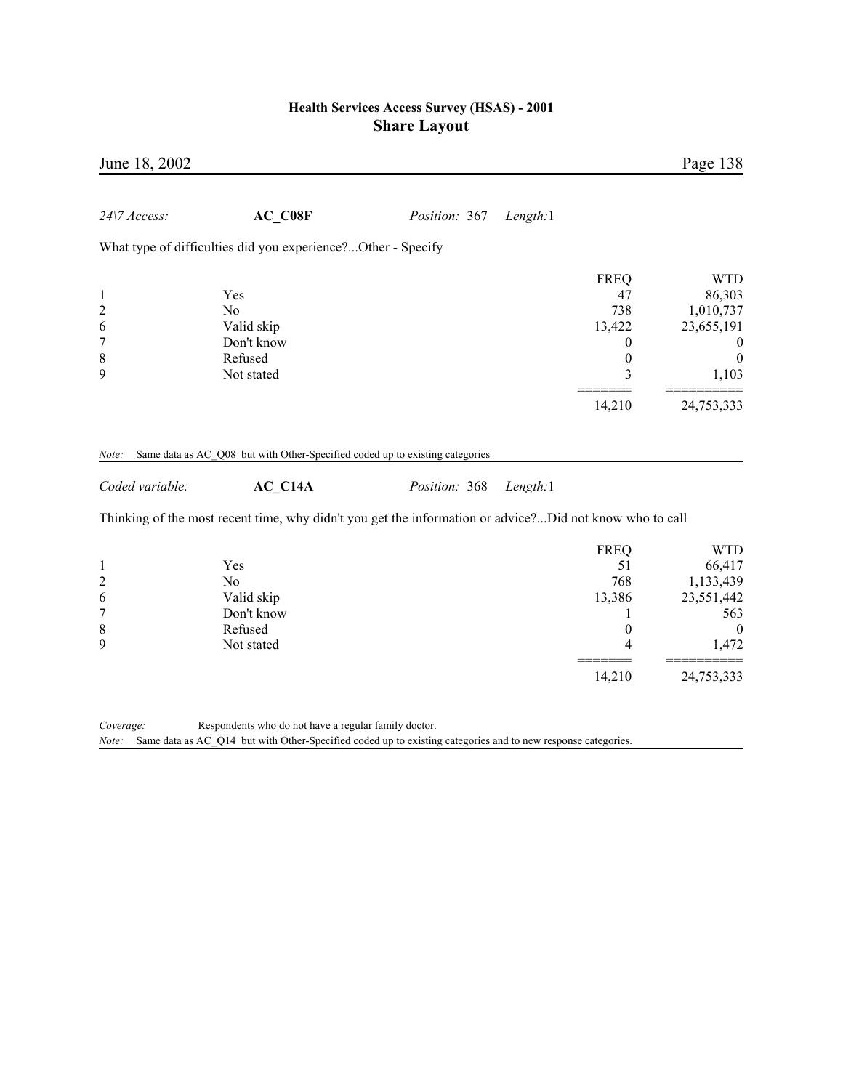| June 18, 2002                           |                                                                                                         |               |          |                                                                  | Page 138                                                                                 |
|-----------------------------------------|---------------------------------------------------------------------------------------------------------|---------------|----------|------------------------------------------------------------------|------------------------------------------------------------------------------------------|
| 24\7 Access:                            | $AC$ <sub>C08F</sub>                                                                                    | Position: 367 | Length:1 |                                                                  |                                                                                          |
|                                         | What type of difficulties did you experience?Other - Specify                                            |               |          |                                                                  |                                                                                          |
| 1<br>$\overline{c}$<br>6<br>7<br>8<br>9 | Yes<br>No<br>Valid skip<br>Don't know<br>Refused<br>Not stated                                          |               |          | <b>FREQ</b><br>47<br>738<br>13,422<br>0<br>$\boldsymbol{0}$<br>3 | <b>WTD</b><br>86,303<br>1,010,737<br>23,655,191<br>$\theta$<br>$\boldsymbol{0}$<br>1,103 |
|                                         |                                                                                                         |               |          | 14,210                                                           | 24,753,333                                                                               |
| Note:<br>Coded variable:                | Same data as AC_Q08 but with Other-Specified coded up to existing categories<br>AC C14A                 | Position: 368 | Length:1 |                                                                  |                                                                                          |
|                                         | Thinking of the most recent time, why didn't you get the information or advice?Did not know who to call |               |          |                                                                  |                                                                                          |
| 1<br>$\overline{c}$<br>6<br>7<br>8<br>9 | Yes<br>N <sub>0</sub><br>Valid skip<br>Don't know<br>Refused<br>Not stated                              |               |          | <b>FREQ</b><br>51<br>768<br>13,386<br>$\theta$<br>4              | <b>WTD</b><br>66,417<br>1,133,439<br>23,551,442<br>563<br>$\mathbf{0}$<br>1,472          |
|                                         |                                                                                                         |               |          | 14,210                                                           | 24,753,333                                                                               |

*Coverage:* Respondents who do not have a regular family doctor.

*Note:* Same data as AC\_Q14 but with Other-Specified coded up to existing categories and to new response categories.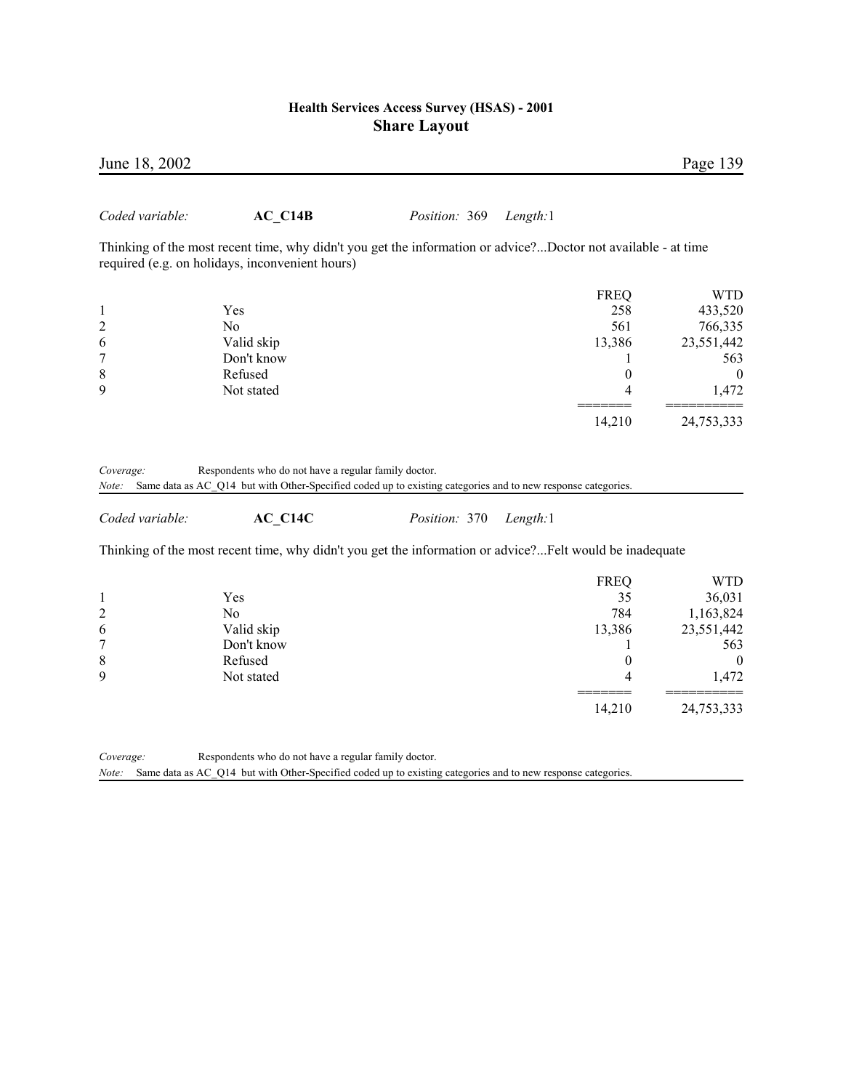| June 18, 2002                           |                                                                                                                                                                      |               |          |                                                                          | Page 139                                                                                  |
|-----------------------------------------|----------------------------------------------------------------------------------------------------------------------------------------------------------------------|---------------|----------|--------------------------------------------------------------------------|-------------------------------------------------------------------------------------------|
| Coded variable:                         | AC C14B                                                                                                                                                              | Position: 369 | Length:1 |                                                                          |                                                                                           |
|                                         | Thinking of the most recent time, why didn't you get the information or advice?Doctor not available - at time<br>required (e.g. on holidays, inconvenient hours)     |               |          |                                                                          |                                                                                           |
| 1<br>$\overline{c}$<br>6                | Yes<br>No<br>Valid skip                                                                                                                                              |               |          | <b>FREQ</b><br>258<br>561<br>13,386                                      | <b>WTD</b><br>433,520<br>766,335<br>23,551,442                                            |
| 7<br>8<br>9                             | Don't know<br>Refused<br>Not stated                                                                                                                                  |               |          | 1<br>$\theta$<br>4                                                       | 563<br>$\mathbf{0}$<br>1,472                                                              |
|                                         |                                                                                                                                                                      |               |          | 14,210                                                                   | 24,753,333                                                                                |
| Coded variable:                         | AC C14C                                                                                                                                                              | Position: 370 | Length:1 |                                                                          |                                                                                           |
|                                         | Thinking of the most recent time, why didn't you get the information or advice?Felt would be inadequate                                                              |               |          |                                                                          |                                                                                           |
| 1<br>$\overline{c}$<br>6<br>7<br>8<br>9 | Yes<br>N <sub>0</sub><br>Valid skip<br>Don't know<br>Refused<br>Not stated                                                                                           |               |          | <b>FREQ</b><br>35<br>784<br>13,386<br>1<br>$\overline{0}$<br>4<br>14,210 | <b>WTD</b><br>36,031<br>1,163,824<br>23,551,442<br>563<br>$\theta$<br>1,472<br>24,753,333 |
| Coverage:<br>Note:                      | Respondents who do not have a regular family doctor.<br>Same data as AC_Q14 but with Other-Specified coded up to existing categories and to new response categories. |               |          |                                                                          |                                                                                           |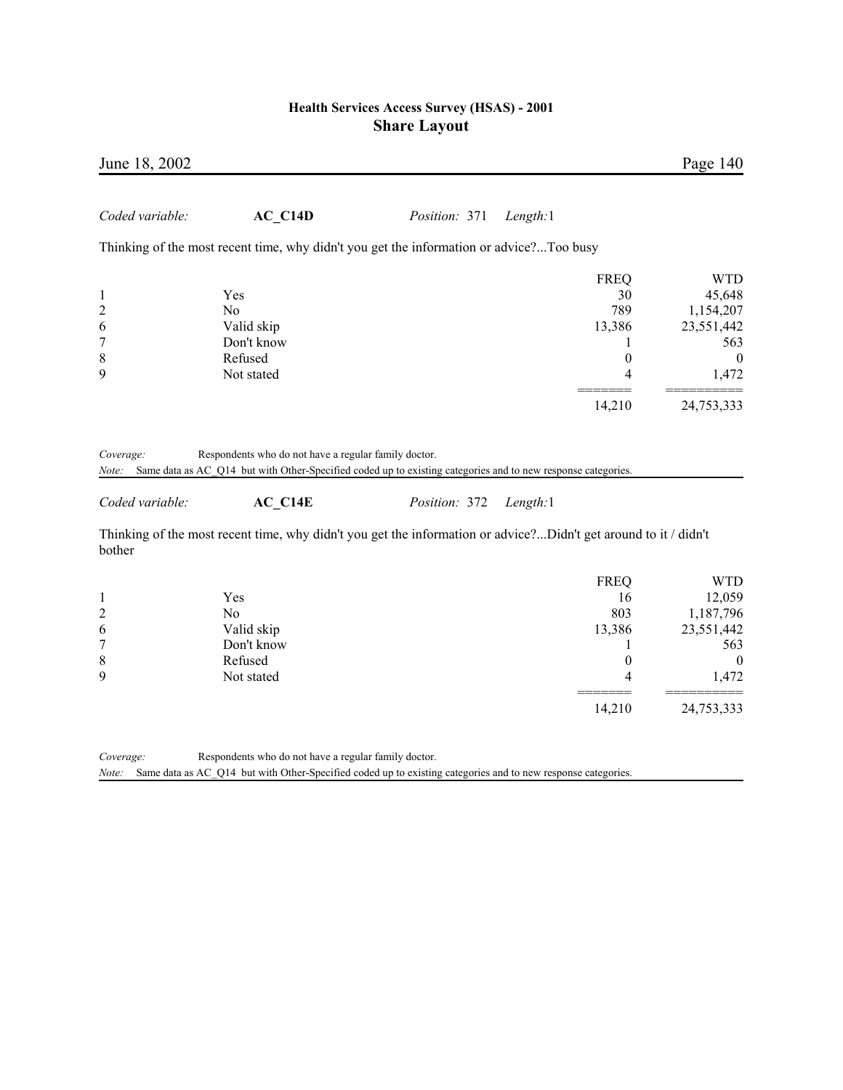| June 18, 2002                                     |                                                                                                                                                                                 |                      |          |                                                          | Page 140                                                                        |
|---------------------------------------------------|---------------------------------------------------------------------------------------------------------------------------------------------------------------------------------|----------------------|----------|----------------------------------------------------------|---------------------------------------------------------------------------------|
| Coded variable:                                   | AC C14D                                                                                                                                                                         | <i>Position:</i> 371 | Length:1 |                                                          |                                                                                 |
|                                                   | Thinking of the most recent time, why didn't you get the information or advice?Too busy                                                                                         |                      |          |                                                          |                                                                                 |
| 1<br>$\overline{c}$<br>6<br>7<br>$\,$ 8 $\,$<br>9 | Yes<br>N <sub>o</sub><br>Valid skip<br>Don't know<br>Refused<br>Not stated                                                                                                      |                      |          | <b>FREQ</b><br>30<br>789<br>13,386<br>L<br>$\theta$<br>4 | <b>WTD</b><br>45,648<br>1,154,207<br>23,551,442<br>563<br>$\mathbf{0}$<br>1,472 |
|                                                   |                                                                                                                                                                                 |                      |          | 14,210                                                   | 24,753,333                                                                      |
| Coverage:<br>Note:<br>Coded variable:             | Respondents who do not have a regular family doctor.<br>Same data as AC_Q14 but with Other-Specified coded up to existing categories and to new response categories.<br>AC C14E | Position: 372        | Length:1 |                                                          |                                                                                 |
| bother                                            | Thinking of the most recent time, why didn't you get the information or advice?Didn't get around to it / didn't                                                                 |                      |          |                                                          |                                                                                 |
| 1<br>$\overline{c}$<br>6<br>7                     | Yes<br>N <sub>o</sub><br>Valid skip<br>Don't know                                                                                                                               |                      |          | <b>FREQ</b><br>16<br>803<br>13,386<br>1                  | <b>WTD</b><br>12,059<br>1,187,796<br>23,551,442<br>563                          |
| $\,$ $\,$<br>9                                    | Refused<br>Not stated                                                                                                                                                           |                      |          | $\boldsymbol{0}$<br>4                                    | $\mathbf{0}$<br>1,472                                                           |

======= ==========

14,210 24,753,333

*Coverage:* Respondents who do not have a regular family doctor. *Note:* Same data as AC\_Q14 but with Other-Specified coded up to existing categories and to new response categories.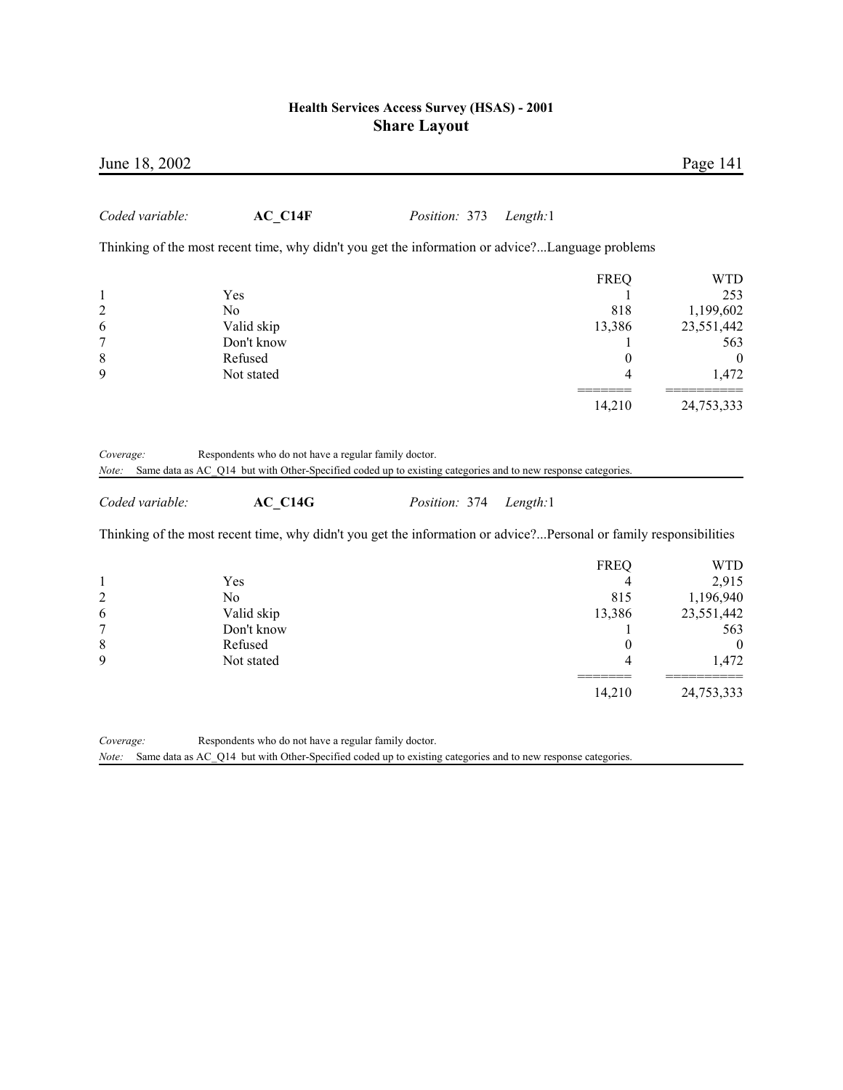| June 18, 2002                                                                      |                                                                                                                         |               |          |                                                                       | Page 141                                                                                         |
|------------------------------------------------------------------------------------|-------------------------------------------------------------------------------------------------------------------------|---------------|----------|-----------------------------------------------------------------------|--------------------------------------------------------------------------------------------------|
| Coded variable:                                                                    | $AC_C14F$                                                                                                               | Position: 373 | Length:1 |                                                                       |                                                                                                  |
|                                                                                    | Thinking of the most recent time, why didn't you get the information or advice?Language problems                        |               |          |                                                                       |                                                                                                  |
| $\mathbf{1}$<br>$\overline{c}$<br>6<br>7<br>8<br>9                                 | Yes<br>N <sub>o</sub><br>Valid skip<br>Don't know<br>Refused<br>Not stated                                              |               |          | <b>FREQ</b><br>818<br>13,386<br>1<br>$\theta$<br>4                    | <b>WTD</b><br>253<br>1,199,602<br>23,551,442<br>563<br>$\boldsymbol{0}$<br>1,472                 |
|                                                                                    |                                                                                                                         |               |          | 14,210                                                                | 24,753,333                                                                                       |
| Note:<br>Coded variable:                                                           | Same data as AC_Q14 but with Other-Specified coded up to existing categories and to new response categories.<br>AC C14G | Position: 374 | Length:1 |                                                                       |                                                                                                  |
|                                                                                    | Thinking of the most recent time, why didn't you get the information or advice?Personal or family responsibilities      |               |          |                                                                       |                                                                                                  |
| $\mathbf{1}$<br>$\overline{\mathbf{c}}$<br>6<br>$\overline{7}$<br>$\,$ 8 $\,$<br>9 | Yes<br>N <sub>o</sub><br>Valid skip<br>Don't know<br>Refused<br>Not stated                                              |               |          | <b>FREQ</b><br>4<br>815<br>13,386<br>1<br>$\mathbf{0}$<br>4<br>14,210 | <b>WTD</b><br>2,915<br>1,196,940<br>23,551,442<br>563<br>$\boldsymbol{0}$<br>1,472<br>24,753,333 |

*Coverage:* Respondents who do not have a regular family doctor. *Note:* Same data as AC\_Q14 but with Other-Specified coded up to existing categories and to new response categories.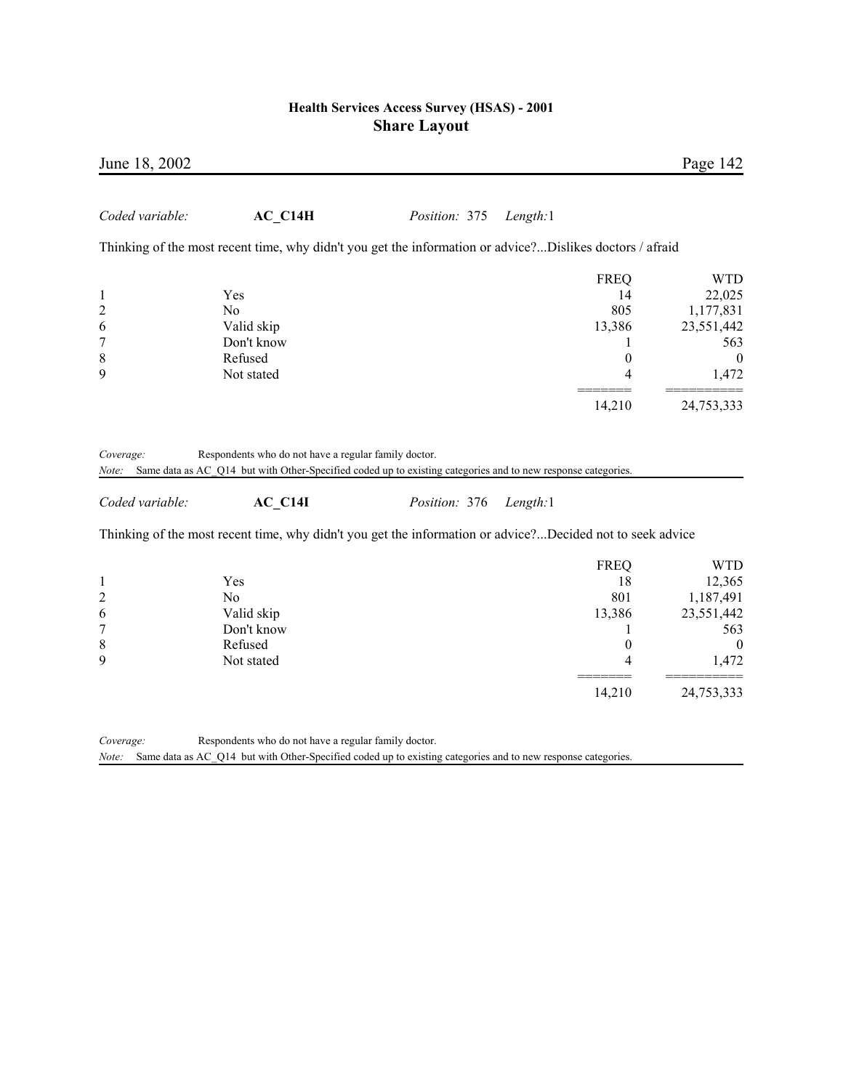| June 18, 2002           |                                                                                                           |               |          |                  | Page 142         |
|-------------------------|-----------------------------------------------------------------------------------------------------------|---------------|----------|------------------|------------------|
| Coded variable:         | $AC_C14H$                                                                                                 | Position: 375 | Length:1 |                  |                  |
|                         | Thinking of the most recent time, why didn't you get the information or advice?Dislikes doctors / afraid  |               |          |                  |                  |
|                         |                                                                                                           |               |          | <b>FREQ</b>      | <b>WTD</b>       |
| $\mathbf{1}$            | Yes                                                                                                       |               |          | 14               | 22,025           |
| $\overline{\mathbf{c}}$ | N <sub>0</sub>                                                                                            |               |          | 805              | 1,177,831        |
| 6                       | Valid skip                                                                                                |               |          | 13,386           | 23,551,442       |
| 7                       | Don't know                                                                                                |               |          | 1                | 563              |
| 8                       | Refused                                                                                                   |               |          | $\boldsymbol{0}$ | $\boldsymbol{0}$ |
| 9                       | Not stated                                                                                                |               |          | 4                | 1,472            |
|                         |                                                                                                           |               |          | 14,210           | 24,753,333       |
| Coded variable:         | AC C14I                                                                                                   | Position: 376 | Length:1 |                  |                  |
|                         | Thinking of the most recent time, why didn't you get the information or advice?Decided not to seek advice |               |          |                  |                  |
|                         |                                                                                                           |               |          | <b>FREQ</b>      | <b>WTD</b>       |
| $\mathbf{1}$            | Yes                                                                                                       |               |          | 18               | 12,365           |
| $\overline{\mathbf{c}}$ | No                                                                                                        |               |          | 801              | 1,187,491        |
| 6                       | Valid skip                                                                                                |               |          | 13,386           | 23,551,442       |
| $\overline{7}$          | Don't know                                                                                                |               |          | 1                | 563              |
| 8                       | Refused                                                                                                   |               |          | $\boldsymbol{0}$ | $\boldsymbol{0}$ |
| 9                       | Not stated                                                                                                |               |          | 4                | 1,472            |
|                         |                                                                                                           |               |          | 14,210           | 24,753,333       |
| Coverage:               | Respondents who do not have a regular family doctor.                                                      |               |          |                  |                  |

*Note:* Same data as AC\_Q14 but with Other-Specified coded up to existing categories and to new response categories.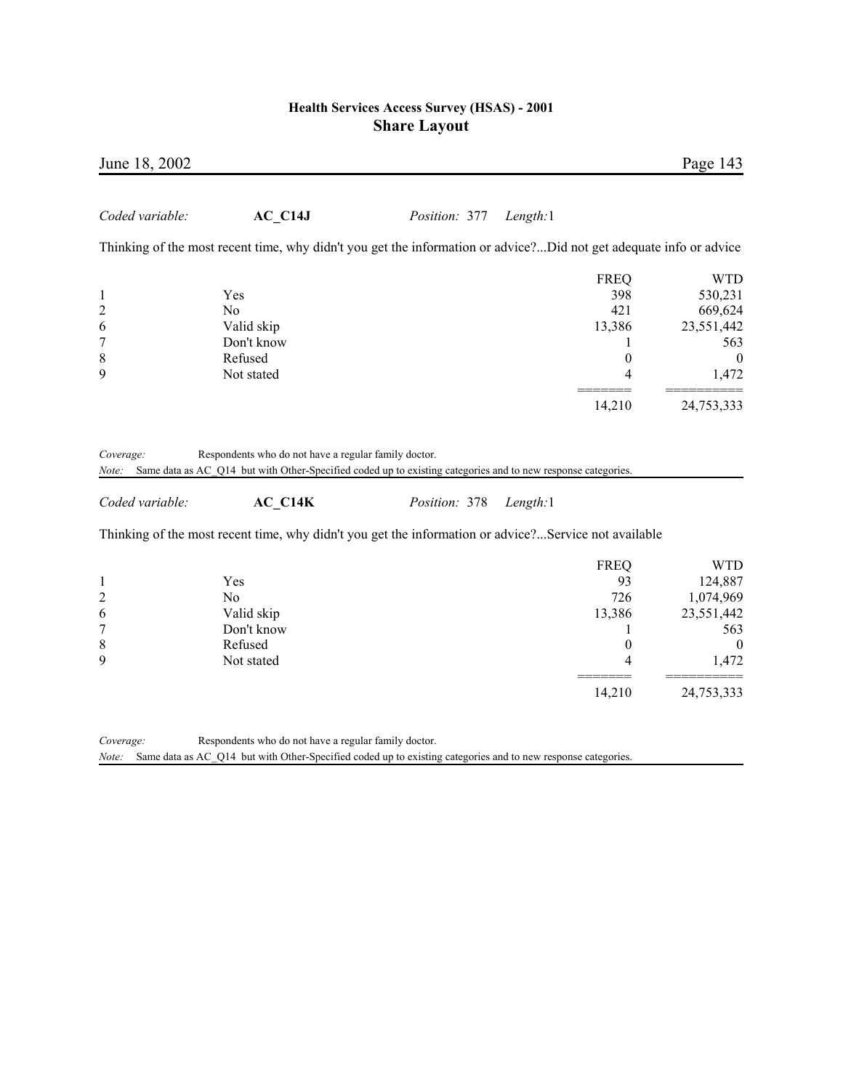| June 18, 2002                                                   |                                                                                                                                                                                                                                                                                           |               |          |                                                                            | Page 143                                                                                           |
|-----------------------------------------------------------------|-------------------------------------------------------------------------------------------------------------------------------------------------------------------------------------------------------------------------------------------------------------------------------------------|---------------|----------|----------------------------------------------------------------------------|----------------------------------------------------------------------------------------------------|
| Coded variable:                                                 | $AC_C14J$                                                                                                                                                                                                                                                                                 | Position: 377 | Length:1 |                                                                            |                                                                                                    |
|                                                                 | Thinking of the most recent time, why didn't you get the information or advice?Did not get adequate info or advice                                                                                                                                                                        |               |          |                                                                            |                                                                                                    |
| $\mathbf{1}$<br>$\overline{c}$<br>6<br>$\overline{7}$<br>8<br>9 | Yes<br>N <sub>o</sub><br>Valid skip<br>Don't know<br>Refused<br>Not stated                                                                                                                                                                                                                |               |          | <b>FREQ</b><br>398<br>421<br>13,386<br>1<br>$\boldsymbol{0}$<br>4          | <b>WTD</b><br>530,231<br>669,624<br>23,551,442<br>563<br>$\boldsymbol{0}$<br>1,472                 |
|                                                                 |                                                                                                                                                                                                                                                                                           |               |          | 14,210                                                                     | 24,753,333                                                                                         |
| Coverage:<br>Note:<br>Coded variable:                           | Respondents who do not have a regular family doctor.<br>Same data as AC_Q14 but with Other-Specified coded up to existing categories and to new response categories.<br>$AC_C14K$<br>Thinking of the most recent time, why didn't you get the information or advice?Service not available | Position: 378 | Length:1 |                                                                            |                                                                                                    |
|                                                                 |                                                                                                                                                                                                                                                                                           |               |          |                                                                            |                                                                                                    |
| 1<br>$\overline{c}$<br>6<br>$\overline{7}$<br>$\,$ 8 $\,$<br>9  | Yes<br>N <sub>0</sub><br>Valid skip<br>Don't know<br>Refused<br>Not stated                                                                                                                                                                                                                |               |          | <b>FREQ</b><br>93<br>726<br>13,386<br>1<br>$\boldsymbol{0}$<br>4<br>14,210 | <b>WTD</b><br>124,887<br>1,074,969<br>23,551,442<br>563<br>$\boldsymbol{0}$<br>1,472<br>24,753,333 |
|                                                                 |                                                                                                                                                                                                                                                                                           |               |          |                                                                            |                                                                                                    |

*Coverage:* Respondents who do not have a regular family doctor. *Note:* Same data as AC\_Q14 but with Other-Specified coded up to existing categories and to new response categories.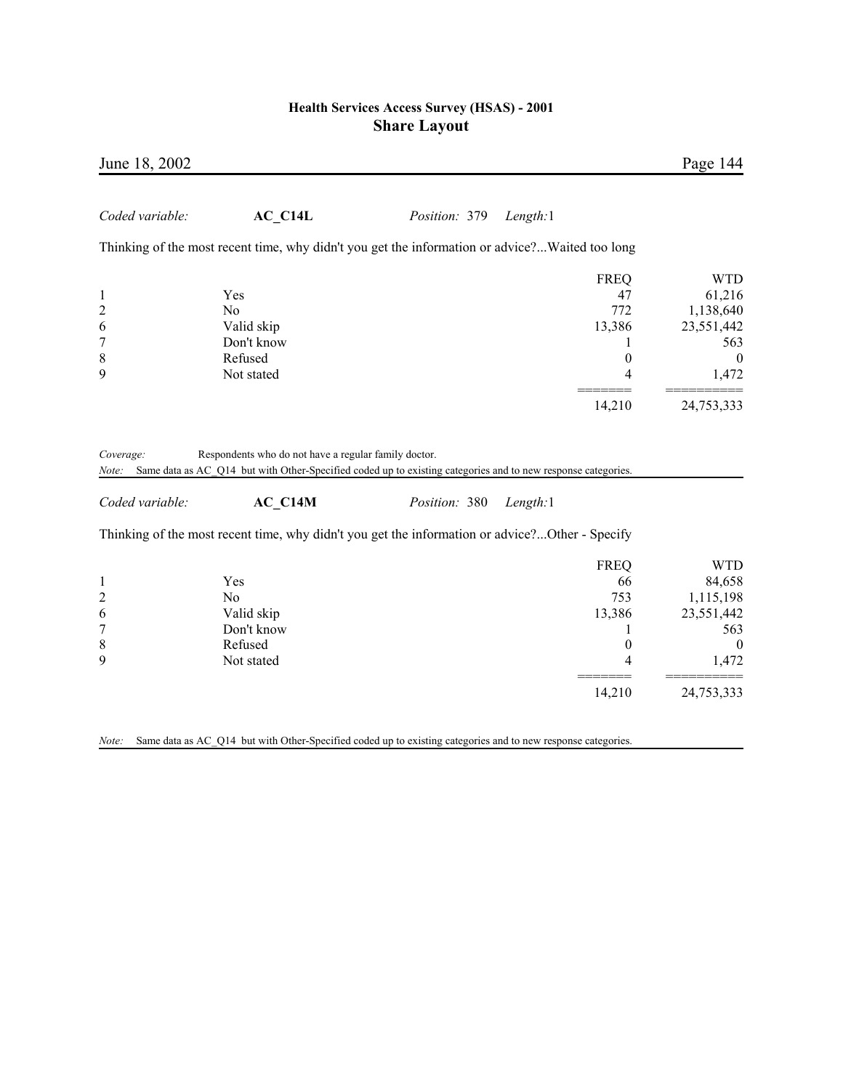| June 18, 2002                         |                                                                                                                                                                                 |               |                  | Page 144         |
|---------------------------------------|---------------------------------------------------------------------------------------------------------------------------------------------------------------------------------|---------------|------------------|------------------|
| Coded variable:                       | AC C14L                                                                                                                                                                         | Position: 379 | Length:1         |                  |
|                                       | Thinking of the most recent time, why didn't you get the information or advice?Waited too long                                                                                  |               |                  |                  |
|                                       |                                                                                                                                                                                 |               | <b>FREQ</b>      | <b>WTD</b>       |
| $\mathbf{1}$                          | Yes                                                                                                                                                                             |               | 47               | 61,216           |
| $\overline{c}$                        | No                                                                                                                                                                              |               | 772              | 1,138,640        |
| 6                                     | Valid skip                                                                                                                                                                      |               | 13,386           | 23,551,442       |
| $\overline{7}$                        | Don't know                                                                                                                                                                      |               | T                | 563              |
| 8                                     | Refused                                                                                                                                                                         |               | $\boldsymbol{0}$ | $\boldsymbol{0}$ |
| 9                                     | Not stated                                                                                                                                                                      |               | 4                | 1,472            |
|                                       |                                                                                                                                                                                 |               | 14,210           | 24,753,333       |
| Coverage:<br>Note:<br>Coded variable: | Respondents who do not have a regular family doctor.<br>Same data as AC_Q14 but with Other-Specified coded up to existing categories and to new response categories.<br>AC C14M | Position: 380 | Length:1         |                  |
|                                       | Thinking of the most recent time, why didn't you get the information or advice?Other - Specify                                                                                  |               |                  |                  |
|                                       |                                                                                                                                                                                 |               | <b>FREQ</b>      | <b>WTD</b>       |
| $\mathbf{1}$                          | Yes                                                                                                                                                                             |               | 66               | 84,658           |
| $\overline{c}$                        | N <sub>0</sub>                                                                                                                                                                  |               | 753              | 1,115,198        |
| 6                                     | Valid skip                                                                                                                                                                      |               | 13,386           | 23,551,442       |
| $\overline{7}$                        | Don't know                                                                                                                                                                      |               | 1                | 563              |
| 8                                     | Refused                                                                                                                                                                         |               | $\boldsymbol{0}$ | $\boldsymbol{0}$ |
| 9                                     | Not stated                                                                                                                                                                      |               | 4                | 1,472            |
|                                       |                                                                                                                                                                                 |               | 14,210           | 24,753,333       |

*Note:* Same data as AC\_Q14 but with Other-Specified coded up to existing categories and to new response categories.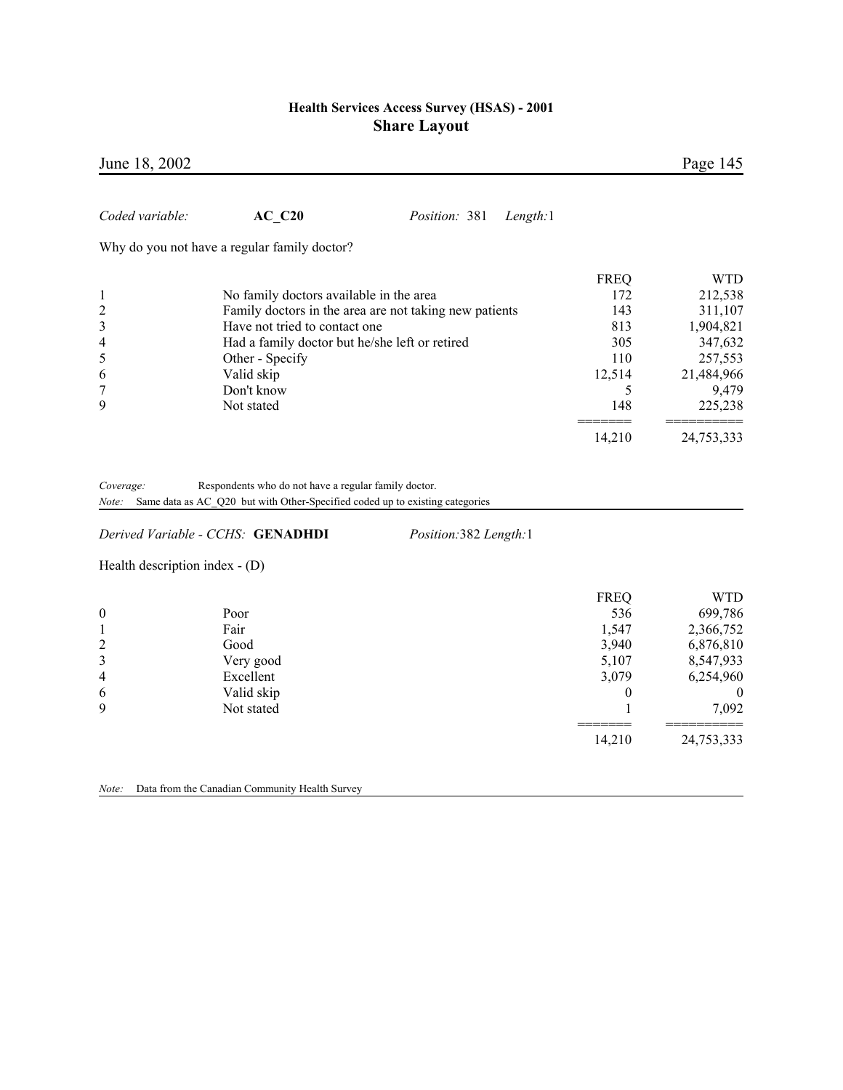|                                                                            |                                                                                                                     |                                                                                                                                                                                                                                                                                                                              | Page 145                                                                                              |
|----------------------------------------------------------------------------|---------------------------------------------------------------------------------------------------------------------|------------------------------------------------------------------------------------------------------------------------------------------------------------------------------------------------------------------------------------------------------------------------------------------------------------------------------|-------------------------------------------------------------------------------------------------------|
| <b>AC C20</b>                                                              | Position: 381<br>Length:1                                                                                           |                                                                                                                                                                                                                                                                                                                              |                                                                                                       |
|                                                                            |                                                                                                                     |                                                                                                                                                                                                                                                                                                                              |                                                                                                       |
| Other - Specify<br>Valid skip<br>Don't know<br>Not stated                  |                                                                                                                     | <b>FREQ</b><br>172<br>143<br>813<br>305<br>110<br>12,514<br>5<br>148                                                                                                                                                                                                                                                         | <b>WTD</b><br>212,538<br>311,107<br>1,904,821<br>347,632<br>257,553<br>21,484,966<br>9,479<br>225,238 |
|                                                                            |                                                                                                                     | 14,210                                                                                                                                                                                                                                                                                                                       | 24,753,333                                                                                            |
|                                                                            | Position:382 Length:1                                                                                               |                                                                                                                                                                                                                                                                                                                              |                                                                                                       |
|                                                                            |                                                                                                                     |                                                                                                                                                                                                                                                                                                                              |                                                                                                       |
| Poor<br>Fair<br>Good<br>Very good<br>Excellent<br>Valid skip<br>Not stated |                                                                                                                     | <b>FREQ</b><br>536<br>1,547<br>3,940<br>5,107<br>3,079<br>$\boldsymbol{0}$<br>1                                                                                                                                                                                                                                              | <b>WTD</b><br>699,786<br>2,366,752<br>6,876,810<br>8,547,933<br>6,254,960<br>$\theta$<br>7,092        |
|                                                                            | Why do you not have a regular family doctor?<br>Derived Variable - CCHS: GENADHDI<br>Health description index - (D) | No family doctors available in the area<br>Family doctors in the area are not taking new patients<br>Have not tried to contact one<br>Had a family doctor but he/she left or retired<br>Respondents who do not have a regular family doctor.<br>Same data as AC_Q20 but with Other-Specified coded up to existing categories |                                                                                                       |

14,210 24,753,333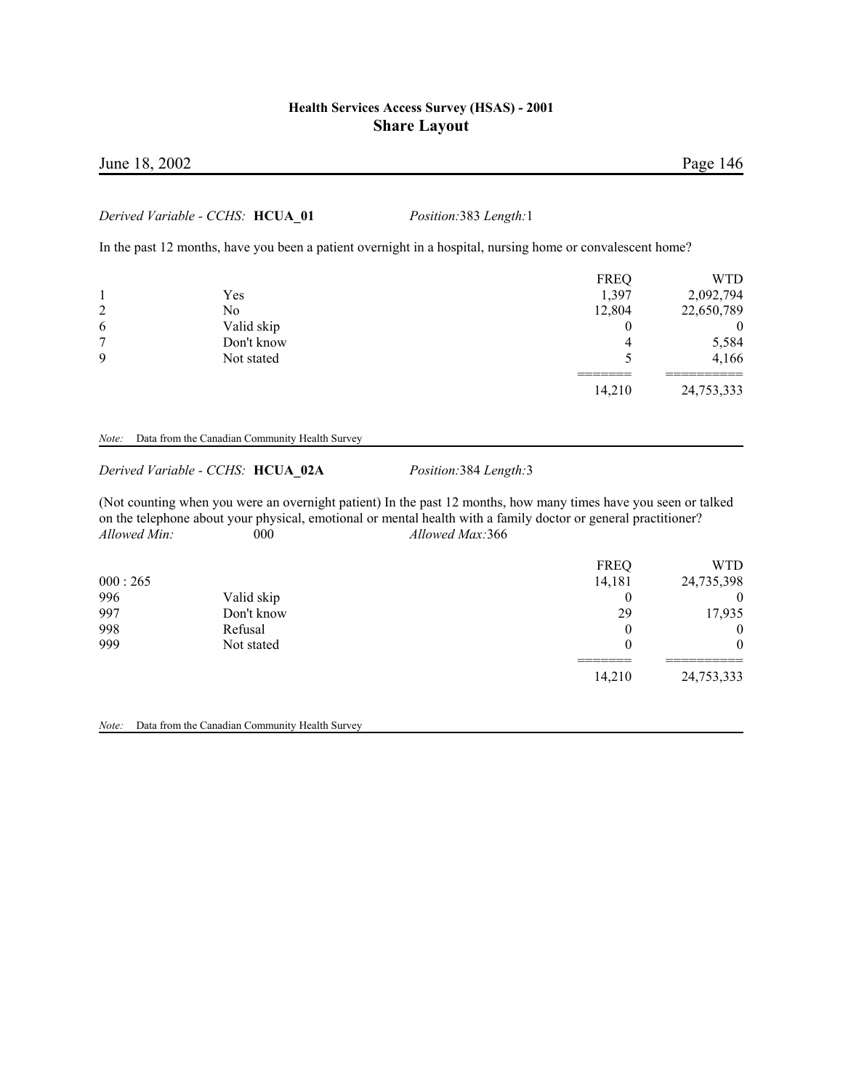# June 18, 2002 Page 146

#### *Derived Variable - CCHS:* **HCUA\_01** *Position:*383 *Length:*1

In the past 12 months, have you been a patient overnight in a hospital, nursing home or convalescent home?

|              |            | <b>FREQ</b> | WTD        |
|--------------|------------|-------------|------------|
|              | Yes        | 1,397       | 2,092,794  |
| 2            | No         | 12,804      | 22,650,789 |
| 6            | Valid skip |             | 0          |
| $\mathbf{r}$ | Don't know |             | 5,584      |
| 9            | Not stated |             | 4,166      |
|              |            | 14,210      | 24,753,333 |

#### *Note:* Data from the Canadian Community Health Survey

#### *Derived Variable - CCHS:* **HCUA\_02A** *Position:*384 *Length:*3

(Not counting when you were an overnight patient) In the past 12 months, how many times have you seen or talked on the telephone about your physical, emotional or mental health with a family doctor or general practitioner? *Allowed Min:* 000 *Allowed Max:*366

|         |            | <b>FREQ</b> | <b>WTD</b> |
|---------|------------|-------------|------------|
| 000:265 |            | 14,181      | 24,735,398 |
| 996     | Valid skip | 0           | $\theta$   |
| 997     | Don't know | 29          | 17,935     |
| 998     | Refusal    | $\theta$    | $\theta$   |
| 999     | Not stated |             | $\theta$   |
|         |            | 14,210      | 24,753,333 |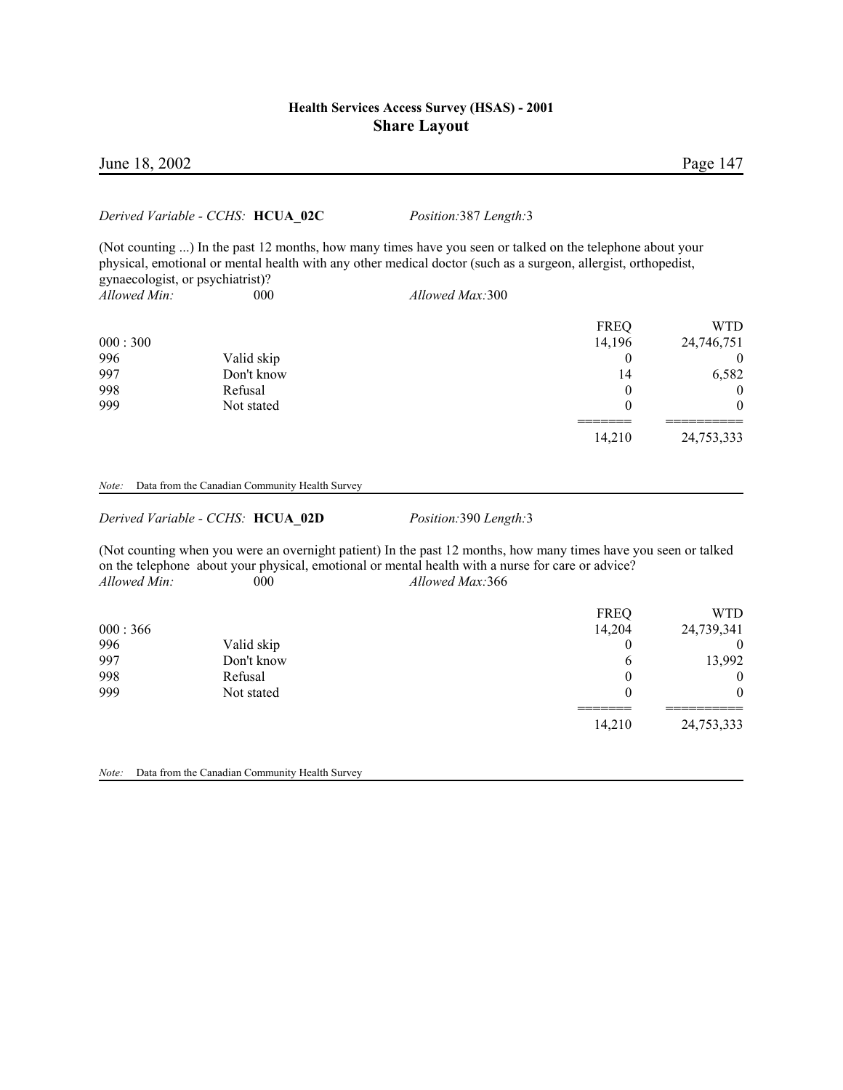#### June 18, 2002 Page 147

#### *Derived Variable - CCHS:* **HCUA\_02C** *Position:*387 *Length:*3

(Not counting ...) In the past 12 months, how many times have you seen or talked on the telephone about your physical, emotional or mental health with any other medical doctor (such as a surgeon, allergist, orthopedist, gynaecologist, or psychiatrist)? *Allowed Min:* 000 *Allowed Max:*300

|         |            | <b>FREQ</b> | WTD              |
|---------|------------|-------------|------------------|
| 000:300 |            | 14,196      | 24,746,751       |
| 996     | Valid skip | 0           | $\theta$         |
| 997     | Don't know | 14          | 6,582            |
| 998     | Refusal    | 0           | $\boldsymbol{0}$ |
| 999     | Not stated |             | 0                |
|         |            |             |                  |
|         |            | 14,210      | 24,753,333       |

*Note:* Data from the Canadian Community Health Survey

*Derived Variable - CCHS:* **HCUA\_02D** *Position:*390 *Length:*3

(Not counting when you were an overnight patient) In the past 12 months, how many times have you seen or talked on the telephone about your physical, emotional or mental health with a nurse for care or advice? *Allowed Min:* 000 *Allowed Max:*366

| 000:366 |            | <b>FREQ</b><br>14,204 | WTD<br>24,739,341 |
|---------|------------|-----------------------|-------------------|
| 996     | Valid skip |                       | $\theta$          |
| 997     | Don't know | 6                     | 13,992            |
| 998     | Refusal    |                       | $\theta$          |
| 999     | Not stated |                       | 0                 |
|         |            | 14,210                | 24,753,333        |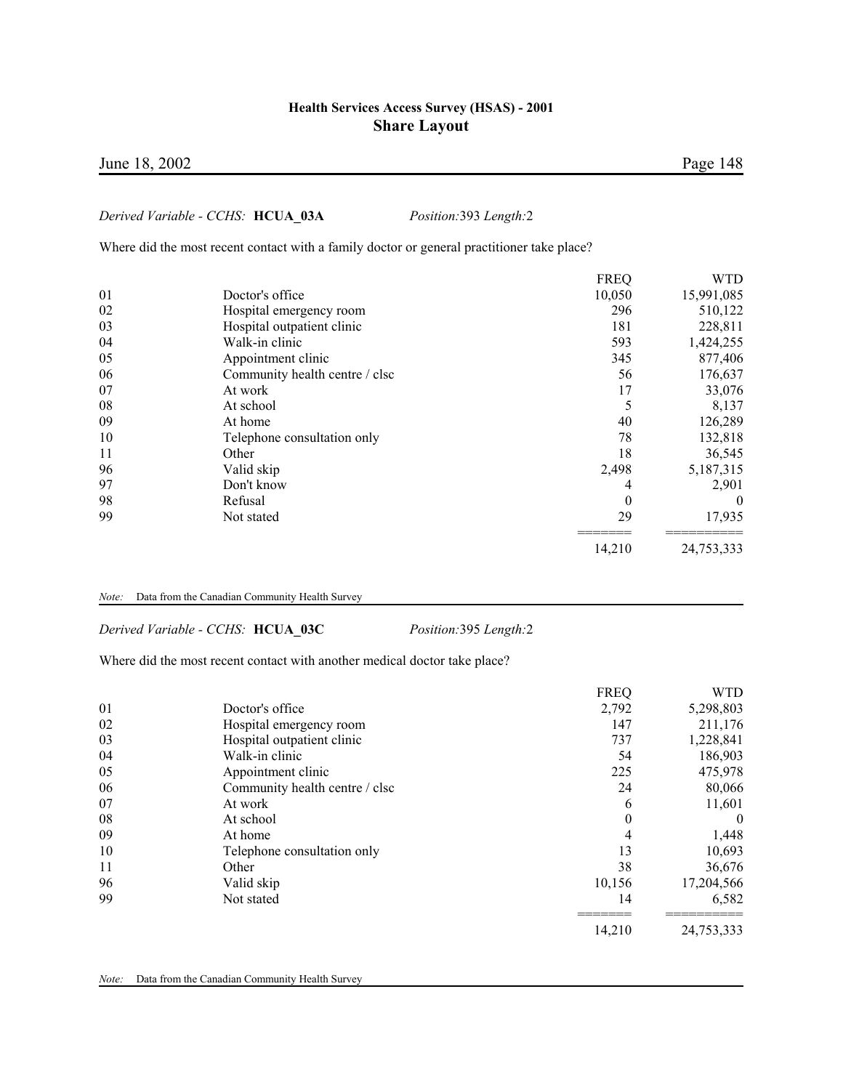### June 18, 2002 Page 148

#### *Derived Variable - CCHS:* **HCUA\_03A** *Position:*393 *Length:*2

Where did the most recent contact with a family doctor or general practitioner take place?

|    |                                | <b>FREQ</b> | <b>WTD</b> |
|----|--------------------------------|-------------|------------|
| 01 | Doctor's office                | 10,050      | 15,991,085 |
| 02 | Hospital emergency room        | 296         | 510,122    |
| 03 | Hospital outpatient clinic     | 181         | 228,811    |
| 04 | Walk-in clinic                 | 593         | 1,424,255  |
| 05 | Appointment clinic             | 345         | 877,406    |
| 06 | Community health centre / clsc | 56          | 176,637    |
| 07 | At work                        | 17          | 33,076     |
| 08 | At school                      |             | 8,137      |
| 09 | At home                        | 40          | 126,289    |
| 10 | Telephone consultation only    | 78          | 132,818    |
| 11 | Other                          | 18          | 36,545     |
| 96 | Valid skip                     | 2,498       | 5,187,315  |
| 97 | Don't know                     | 4           | 2,901      |
| 98 | Refusal                        | $\theta$    | $\theta$   |
| 99 | Not stated                     | 29          | 17,935     |
|    |                                | 14,210      | 24,753,333 |
|    |                                |             |            |

#### *Note:* Data from the Canadian Community Health Survey

*Derived Variable - CCHS:* **HCUA\_03C** *Position:*395 *Length:*2

Where did the most recent contact with another medical doctor take place?

|    |                                | <b>FREQ</b> | <b>WTD</b> |
|----|--------------------------------|-------------|------------|
| 01 | Doctor's office                | 2,792       | 5,298,803  |
| 02 | Hospital emergency room        | 147         | 211,176    |
| 03 | Hospital outpatient clinic     | 737         | 1,228,841  |
| 04 | Walk-in clinic                 | 54          | 186,903    |
| 05 | Appointment clinic             | 225         | 475,978    |
| 06 | Community health centre / clsc | 24          | 80,066     |
| 07 | At work                        | 6           | 11,601     |
| 08 | At school                      | $\theta$    | $\bf{0}$   |
| 09 | At home                        | 4           | 1,448      |
| 10 | Telephone consultation only    | 13          | 10,693     |
| 11 | Other                          | 38          | 36,676     |
| 96 | Valid skip                     | 10,156      | 17,204,566 |
| 99 | Not stated                     | 14          | 6,582      |
|    |                                | 14,210      | 24,753,333 |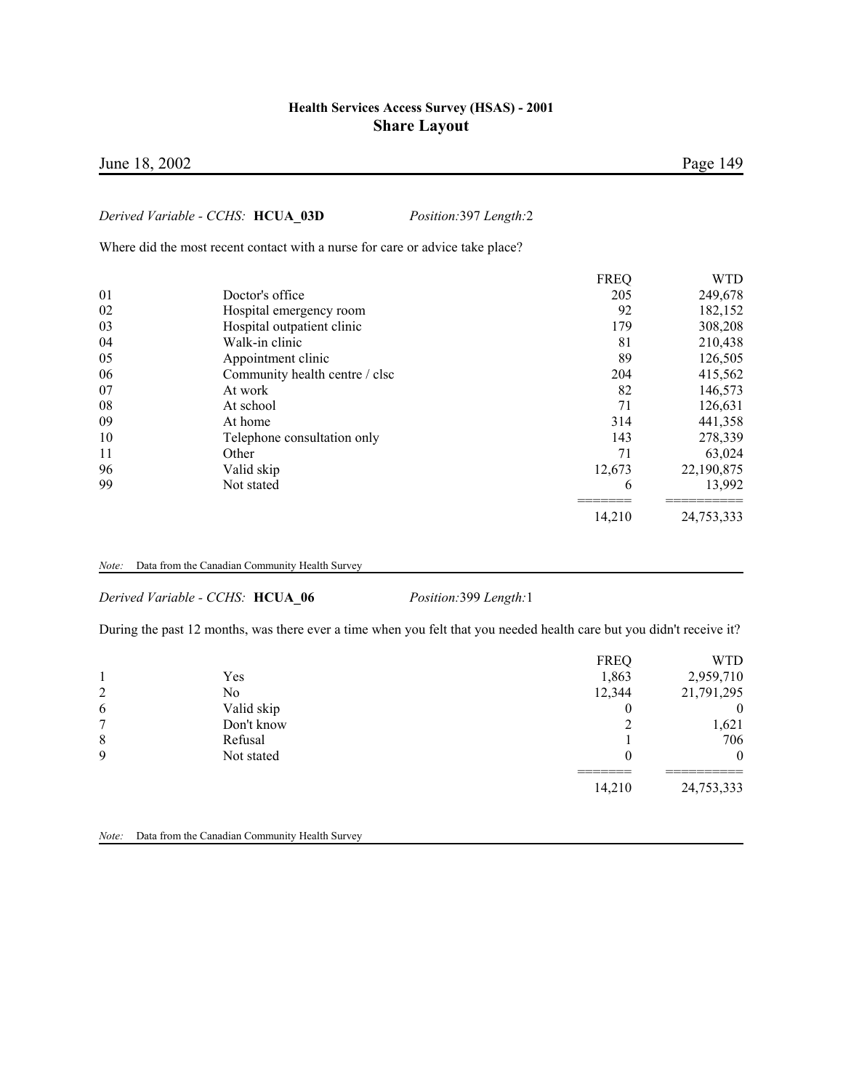### June 18, 2002 Page 149

### *Derived Variable - CCHS:* **HCUA\_03D** *Position:*397 *Length:*2

Where did the most recent contact with a nurse for care or advice take place?

|    |                                | <b>FREQ</b> | <b>WTD</b> |
|----|--------------------------------|-------------|------------|
| 01 | Doctor's office                | 205         | 249,678    |
| 02 | Hospital emergency room        | 92          | 182,152    |
| 03 | Hospital outpatient clinic     | 179         | 308,208    |
| 04 | Walk-in clinic                 | 81          | 210,438    |
| 05 | Appointment clinic             | 89          | 126,505    |
| 06 | Community health centre / clsc | 204         | 415,562    |
| 07 | At work                        | 82          | 146,573    |
| 08 | At school                      | 71          | 126,631    |
| 09 | At home                        | 314         | 441,358    |
| 10 | Telephone consultation only    | 143         | 278,339    |
| 11 | Other                          | 71          | 63,024     |
| 96 | Valid skip                     | 12,673      | 22,190,875 |
| 99 | Not stated                     | 6           | 13,992     |
|    |                                | 14,210      | 24,753,333 |

*Note:* Data from the Canadian Community Health Survey

*Derived Variable - CCHS:* **HCUA\_06** *Position:*399 *Length:*1

During the past 12 months, was there ever a time when you felt that you needed health care but you didn't receive it?

| 2 | Yes<br>No  | <b>FREQ</b><br>1,863<br>12,344 | WTD<br>2,959,710<br>21,791,295 |
|---|------------|--------------------------------|--------------------------------|
| 6 | Valid skip |                                | $\overline{0}$                 |
| ⇁ | Don't know |                                | 1,621                          |
| 8 | Refusal    |                                | 706                            |
| 9 | Not stated |                                | $\theta$                       |
|   |            | 14,210                         | 24,753,333                     |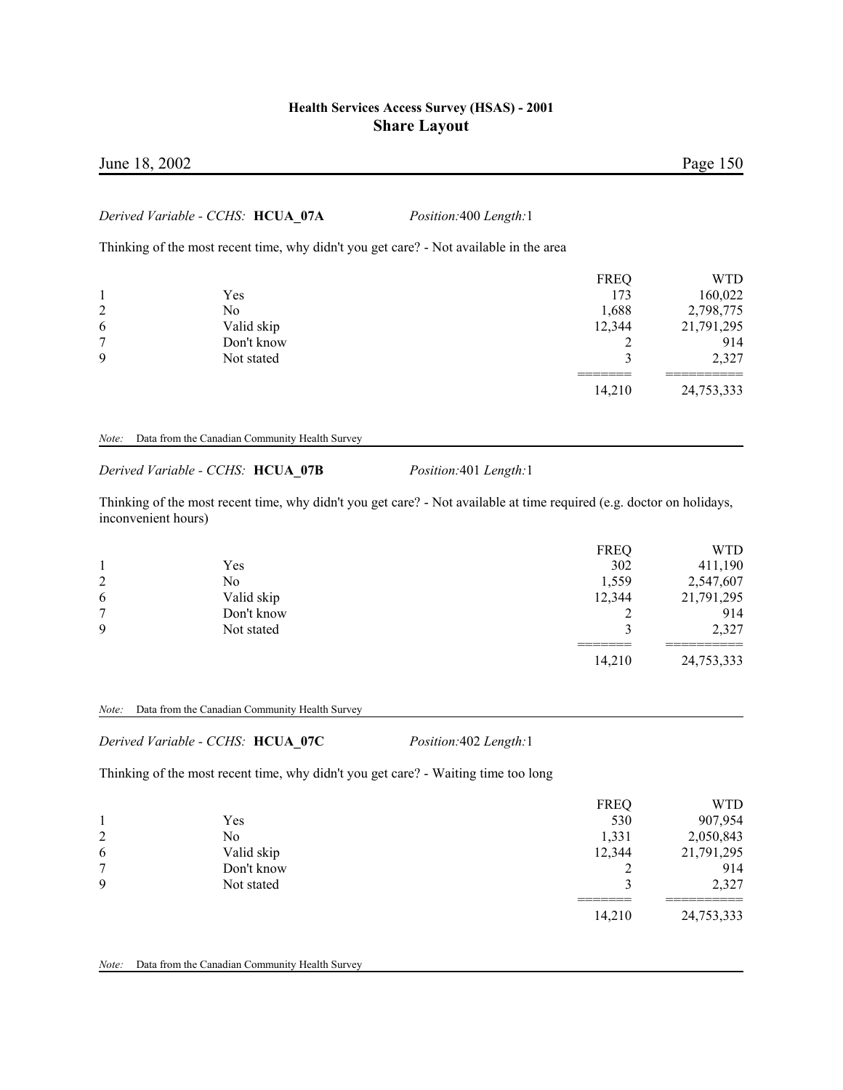### *Derived Variable - CCHS:* **HCUA\_07A** *Position:*400 *Length:*1

Thinking of the most recent time, why didn't you get care? - Not available in the area

|   |            | <b>FREQ</b> | WTD        |
|---|------------|-------------|------------|
|   | Yes        | 173         | 160,022    |
| 2 | No         | 1,688       | 2,798,775  |
| 6 | Valid skip | 12,344      | 21,791,295 |
| ⇁ | Don't know |             | 914        |
| 9 | Not stated |             | 2,327      |
|   |            | 14,210      | 24,753,333 |

#### *Note:* Data from the Canadian Community Health Survey

*Derived Variable - CCHS:* **HCUA\_07B** *Position:*401 *Length:*1

Thinking of the most recent time, why didn't you get care? - Not available at time required (e.g. doctor on holidays, inconvenient hours)

|             |            | <b>FREQ</b> | WTD        |
|-------------|------------|-------------|------------|
|             | Yes        | 302         | 411,190    |
| 2           | No         | 1,559       | 2,547,607  |
| 6           | Valid skip | 12,344      | 21,791,295 |
| ⇁           | Don't know |             | 914        |
| $\mathbf Q$ | Not stated |             | 2,327      |
|             |            | 14,210      | 24,753,333 |

#### *Note:* Data from the Canadian Community Health Survey

*Derived Variable - CCHS:* **HCUA\_07C** *Position:*402 *Length:*1

Thinking of the most recent time, why didn't you get care? - Waiting time too long

|   |            | <b>FREQ</b> | WTD        |
|---|------------|-------------|------------|
|   | Yes        | 530         | 907,954    |
| 2 | No         | 1,331       | 2,050,843  |
| 6 | Valid skip | 12,344      | 21,791,295 |
| 7 | Don't know |             | 914        |
| 9 | Not stated |             | 2,327      |
|   |            | 14,210      | 24,753,333 |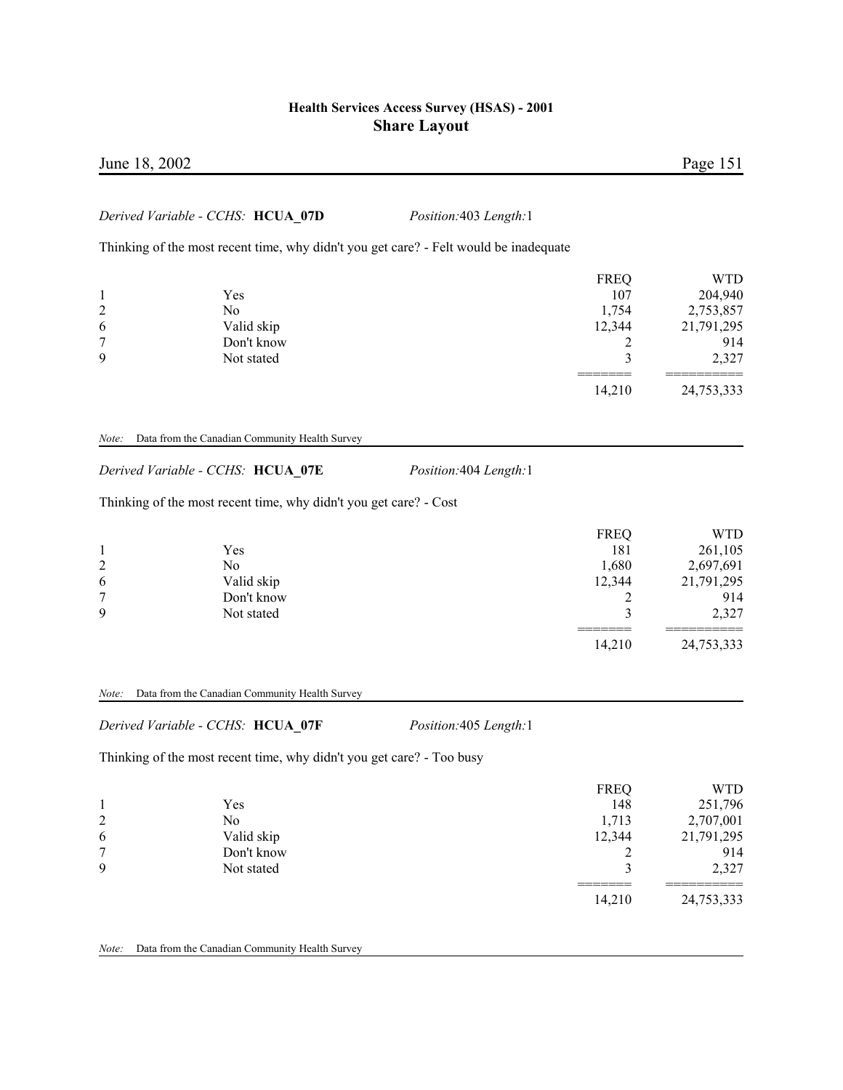| June 18, 2002       |                                                                                                        |                                                                                       |                       | Page 151              |
|---------------------|--------------------------------------------------------------------------------------------------------|---------------------------------------------------------------------------------------|-----------------------|-----------------------|
|                     | Derived Variable - CCHS: HCUA 07D                                                                      | Position:403 Length:1                                                                 |                       |                       |
|                     |                                                                                                        | Thinking of the most recent time, why didn't you get care? - Felt would be inadequate |                       |                       |
|                     |                                                                                                        |                                                                                       |                       |                       |
| $\mathbf{1}$        | Yes                                                                                                    |                                                                                       | <b>FREQ</b><br>107    | <b>WTD</b><br>204,940 |
| $\overline{c}$      | N <sub>o</sub>                                                                                         |                                                                                       | 1,754                 | 2,753,857             |
| 6                   | Valid skip                                                                                             |                                                                                       | 12,344                | 21,791,295            |
| 7                   | Don't know                                                                                             |                                                                                       | 2                     | 914                   |
| 9                   | Not stated                                                                                             |                                                                                       | 3                     | 2,327                 |
|                     |                                                                                                        |                                                                                       | 14,210                | 24,753,333            |
|                     | Derived Variable - CCHS: HCUA_07E<br>Thinking of the most recent time, why didn't you get care? - Cost | Position: 404 Length: 1                                                               |                       |                       |
|                     |                                                                                                        |                                                                                       | <b>FREQ</b>           | <b>WTD</b>            |
| $\mathbf{1}$        | Yes                                                                                                    |                                                                                       | 181                   | 261,105               |
| $\overline{c}$<br>6 | N <sub>o</sub><br>Valid skip                                                                           |                                                                                       | 1,680                 | 2,697,691             |
| $\overline{7}$      | Don't know                                                                                             |                                                                                       | 12,344<br>2           | 21,791,295<br>914     |
| 9                   | Not stated                                                                                             |                                                                                       | 3                     | 2,327                 |
|                     |                                                                                                        |                                                                                       | $=$ $=$ $=$<br>14,210 | 24,753,333            |
| Note:               | Data from the Canadian Community Health Survey                                                         |                                                                                       |                       |                       |
|                     | Derived Variable - CCHS: HCUA 07F                                                                      | Position:405 Length:1                                                                 |                       |                       |
|                     | Thinking of the most recent time, why didn't you get care? - Too busy                                  |                                                                                       |                       |                       |

|                |            | <b>FREQ</b> | WTD        |
|----------------|------------|-------------|------------|
|                | Yes        | 148         | 251,796    |
| $\overline{2}$ | No         | 1,713       | 2,707,001  |
| 6              | Valid skip | 12,344      | 21,791,295 |
| $\mathbf{r}$   | Don't know |             | 914        |
| 9              | Not stated |             | 2,327      |
|                |            | 14,210      | 24,753,333 |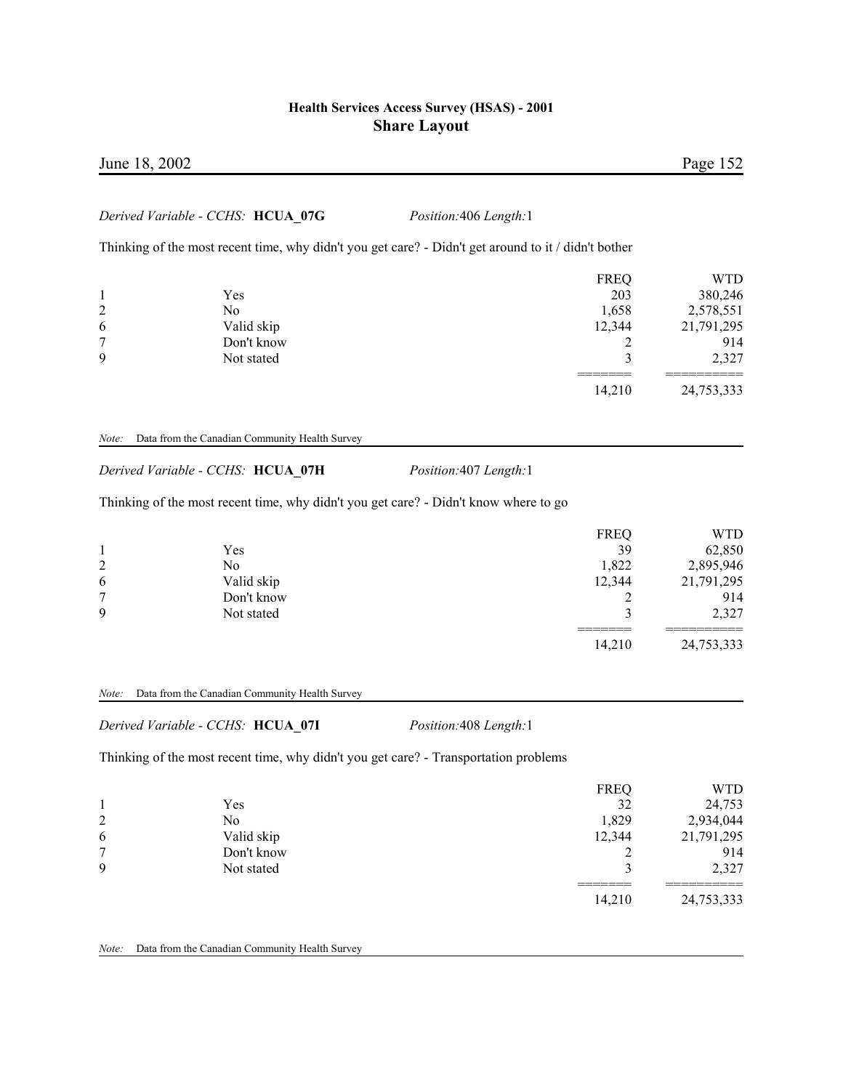# June 18, 2002 Page 152

#### *Derived Variable - CCHS:* **HCUA\_07G** *Position:*406 *Length:*1

Thinking of the most recent time, why didn't you get care? - Didn't get around to it / didn't bother

|                |            | <b>FREQ</b> | <b>WTD</b> |
|----------------|------------|-------------|------------|
|                | Yes        | 203         | 380,246    |
| $\overline{2}$ | No         | 1,658       | 2,578,551  |
| 6              | Valid skip | 12,344      | 21,791,295 |
| 7              | Don't know |             | 914        |
| 9              | Not stated |             | 2,327      |
|                |            | 14,210      | 24,753,333 |

#### *Note:* Data from the Canadian Community Health Survey

*Derived Variable - CCHS:* **HCUA\_07H** *Position:*407 *Length:*1

Thinking of the most recent time, why didn't you get care? - Didn't know where to go

|                |            | <b>FREQ</b> | WTD        |
|----------------|------------|-------------|------------|
|                | Yes        | 39          | 62,850     |
| $\overline{2}$ | No         | 1,822       | 2,895,946  |
| 6              | Valid skip | 12,344      | 21,791,295 |
| 7              | Don't know |             | 914        |
| 9              | Not stated |             | 2,327      |
|                |            | 14,210      | 24,753,333 |

#### *Note:* Data from the Canadian Community Health Survey

*Derived Variable - CCHS:* **HCUA\_07I** *Position:*408 *Length:*1

Thinking of the most recent time, why didn't you get care? - Transportation problems

|                |            | <b>FREQ</b> | WTD        |
|----------------|------------|-------------|------------|
|                | Yes        | 32          | 24,753     |
| $\overline{2}$ | No         | 1,829       | 2,934,044  |
| 6              | Valid skip | 12,344      | 21,791,295 |
| 7              | Don't know |             | 914        |
| 9              | Not stated |             | 2,327      |
|                |            |             |            |
|                |            | 14,210      | 24,753,333 |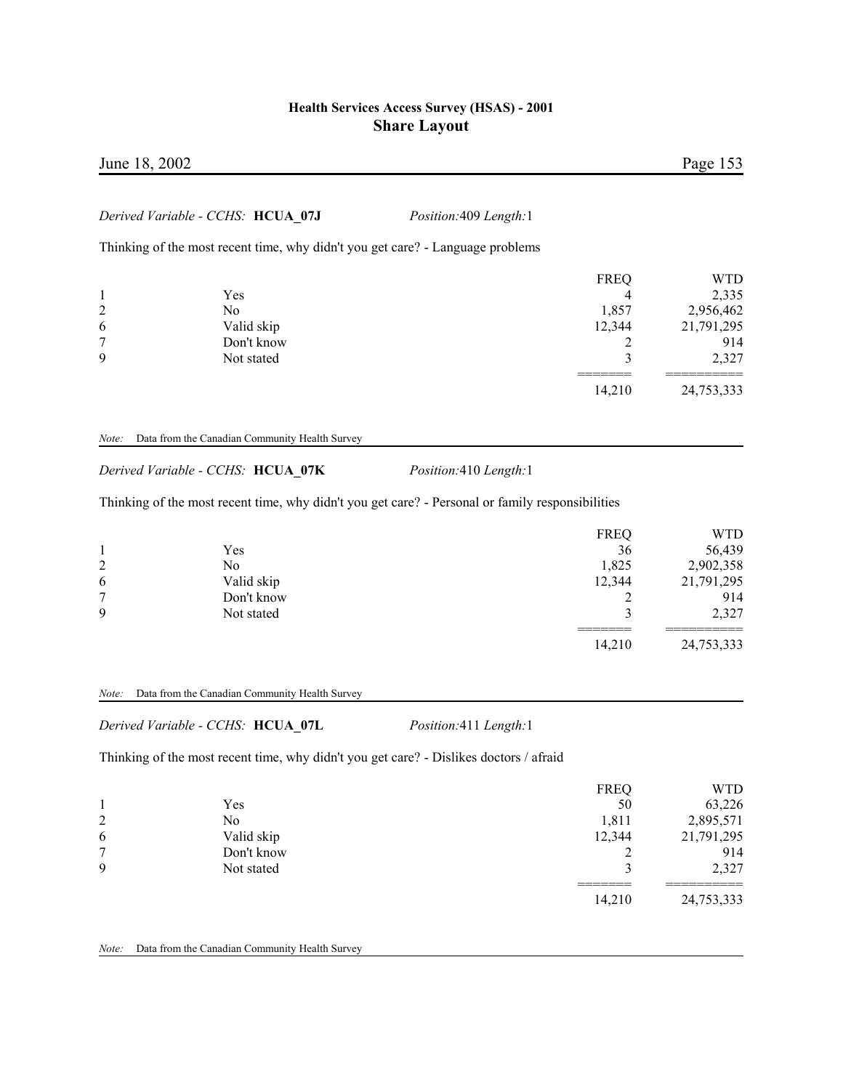| June 18, 2002             |                                                                                |                              |                           | Page 153                         |
|---------------------------|--------------------------------------------------------------------------------|------------------------------|---------------------------|----------------------------------|
|                           | Derived Variable - CCHS: HCUA 07J                                              | <i>Position:409 Length:1</i> |                           |                                  |
|                           | Thinking of the most recent time, why didn't you get care? - Language problems |                              |                           |                                  |
| $\mathbf{1}$<br>2         | Yes<br>N <sub>0</sub>                                                          |                              | <b>FREQ</b><br>4<br>1,857 | <b>WTD</b><br>2,335<br>2,956,462 |
| 6<br>$7\phantom{.0}$<br>9 | Valid skip<br>Don't know<br>Not stated                                         |                              | 12,344<br>3               | 21,791,295<br>914<br>2,327       |
|                           |                                                                                |                              | 14,210                    | 24,753,333                       |

#### *Note:* Data from the Canadian Community Health Survey

*Derived Variable - CCHS:* **HCUA\_07K** *Position:*410 *Length:*1

Thinking of the most recent time, why didn't you get care? - Personal or family responsibilities

|                |            | <b>FREQ</b> | WTD        |
|----------------|------------|-------------|------------|
|                | Yes        | 36          | 56,439     |
| $\overline{c}$ | No         | 1,825       | 2,902,358  |
| 6              | Valid skip | 12,344      | 21,791,295 |
| 7              | Don't know |             | 914        |
| 9              | Not stated |             | 2,327      |
|                |            | 14,210      | 24,753,333 |

#### *Note:* Data from the Canadian Community Health Survey

*Derived Variable - CCHS:* **HCUA\_07L** *Position:*411 *Length:*1

Thinking of the most recent time, why didn't you get care? - Dislikes doctors / afraid

|   |            | <b>FREQ</b> | <b>WTD</b> |
|---|------------|-------------|------------|
|   | Yes        | 50          | 63,226     |
| 2 | No         | 1,811       | 2,895,571  |
| 6 | Valid skip | 12,344      | 21,791,295 |
| 7 | Don't know |             | 914        |
| 9 | Not stated |             | 2,327      |
|   |            | 14,210      | 24,753,333 |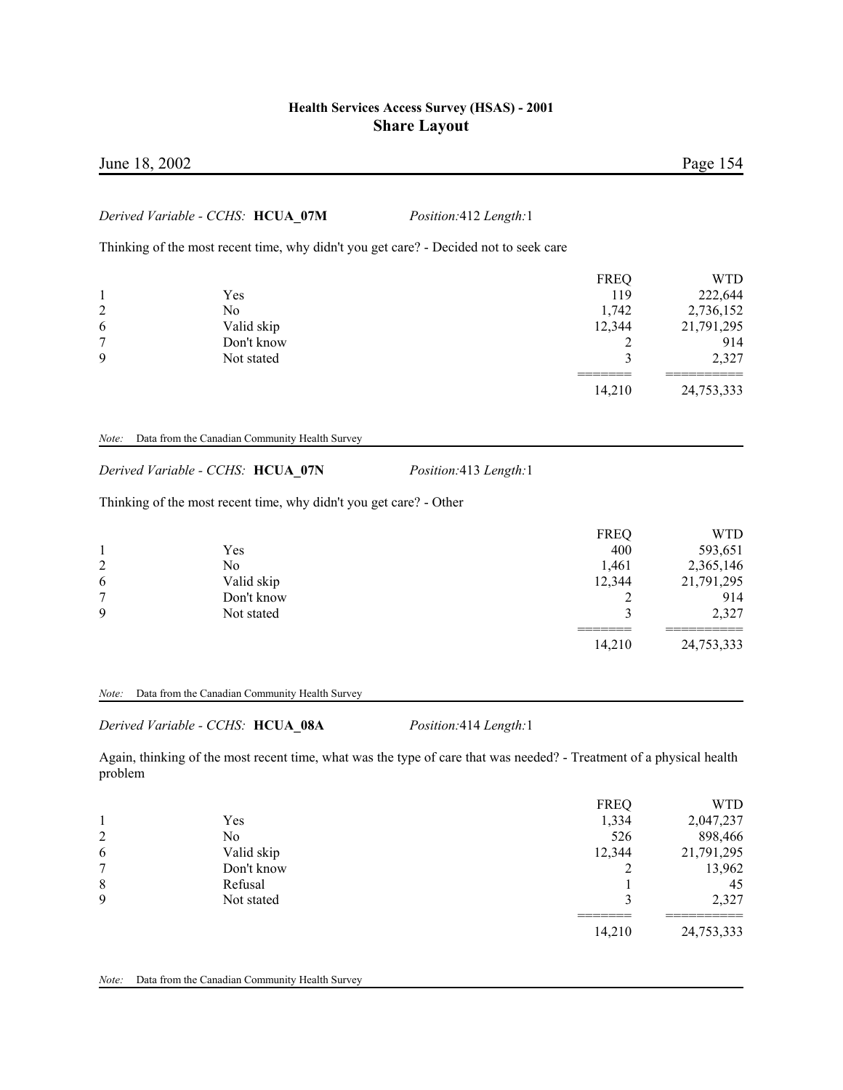| June 18, 2002         |                                                                                       |                       |                                                 | Page 154                                                         |
|-----------------------|---------------------------------------------------------------------------------------|-----------------------|-------------------------------------------------|------------------------------------------------------------------|
|                       | Derived Variable - CCHS: HCUA_07M                                                     | Position:412 Length:1 |                                                 |                                                                  |
|                       | Thinking of the most recent time, why didn't you get care? - Decided not to seek care |                       |                                                 |                                                                  |
| 1<br>2<br>6<br>7<br>9 | Yes<br>N <sub>0</sub><br>Valid skip<br>Don't know<br>Not stated                       |                       | <b>FREQ</b><br>119<br>1,742<br>12,344<br>2<br>3 | <b>WTD</b><br>222,644<br>2,736,152<br>21,791,295<br>914<br>2,327 |
|                       |                                                                                       |                       | 14,210                                          | 24,753,333                                                       |
| Note:                 | Data from the Canadian Community Health Survey                                        |                       |                                                 |                                                                  |
|                       | Derived Variable - CCHS: HCUA_07N                                                     | Position:413 Length:1 |                                                 |                                                                  |
|                       | Thinking of the most recent time, why didn't you get care? - Other                    |                       |                                                 |                                                                  |
| 2<br>6<br>7<br>9      | Yes<br>N <sub>0</sub><br>Valid skip<br>Don't know<br>Not stated                       |                       | <b>FREQ</b><br>400<br>1,461<br>12,344<br>2<br>3 | <b>WTD</b><br>593,651<br>2,365,146<br>21,791,295<br>914<br>2,327 |
|                       |                                                                                       |                       | 14,210                                          | 24,753,333                                                       |

*Note:* Data from the Canadian Community Health Survey

*Derived Variable - CCHS:* **HCUA\_08A** *Position:*414 *Length:*1

Again, thinking of the most recent time, what was the type of care that was needed? - Treatment of a physical health problem

|   |            | <b>FREQ</b> | WTD        |
|---|------------|-------------|------------|
|   | Yes        | 1,334       | 2,047,237  |
| 2 | No         | 526         | 898,466    |
| 6 | Valid skip | 12,344      | 21,791,295 |
| 7 | Don't know |             | 13,962     |
| 8 | Refusal    |             | 45         |
| 9 | Not stated |             | 2,327      |
|   |            | 14,210      | 24,753,333 |
|   |            |             |            |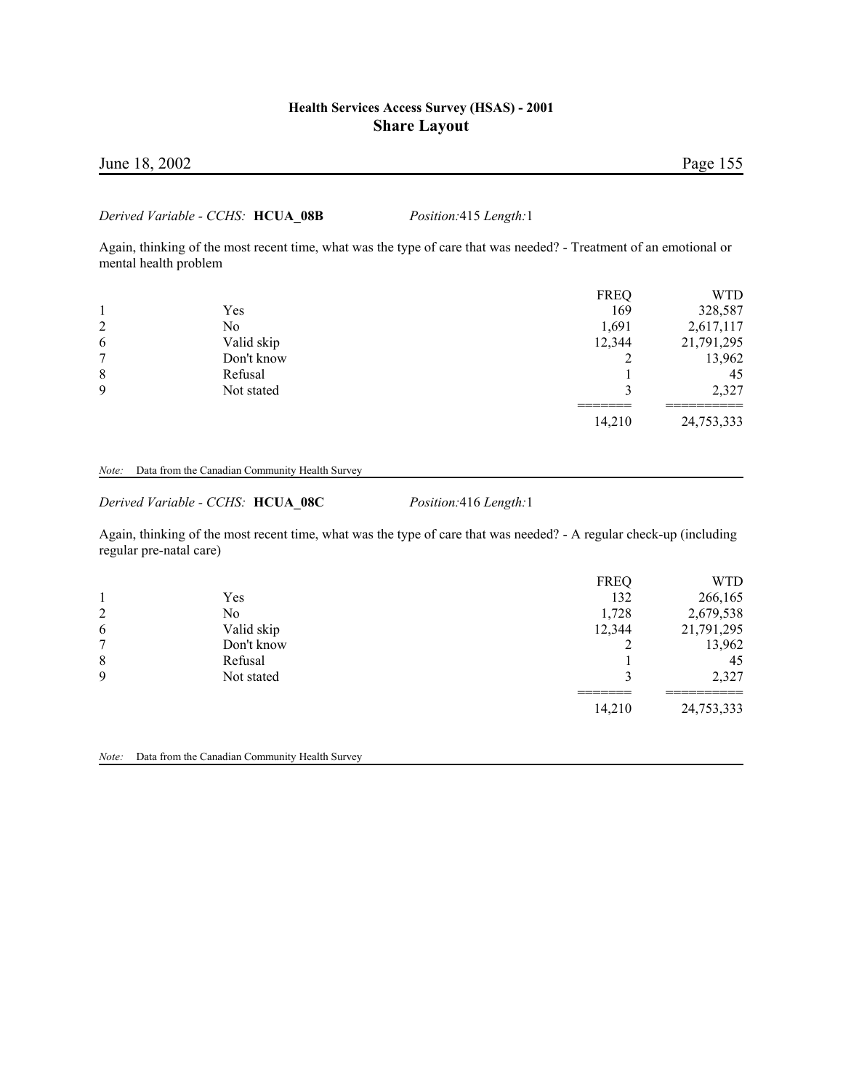# June 18, 2002 Page 155

#### *Derived Variable - CCHS:* **HCUA\_08B** *Position:*415 *Length:*1

Again, thinking of the most recent time, what was the type of care that was needed? - Treatment of an emotional or mental health problem

|                |            | <b>FREQ</b> | WTD        |
|----------------|------------|-------------|------------|
|                | Yes        | 169         | 328,587    |
| $\overline{2}$ | No         | 1,691       | 2,617,117  |
| 6              | Valid skip | 12,344      | 21,791,295 |
| 7              | Don't know |             | 13,962     |
| 8              | Refusal    |             | 45         |
| 9              | Not stated |             | 2,327      |
|                |            | 14,210      | 24,753,333 |

#### *Note:* Data from the Canadian Community Health Survey

*Derived Variable - CCHS:* **HCUA\_08C** *Position:*416 *Length:*1

Again, thinking of the most recent time, what was the type of care that was needed? - A regular check-up (including regular pre-natal care)

|                |            | <b>FREQ</b> | WTD        |
|----------------|------------|-------------|------------|
|                | Yes        | 132         | 266,165    |
| $\overline{2}$ | No         | 1,728       | 2,679,538  |
| 6              | Valid skip | 12,344      | 21,791,295 |
| 7              | Don't know |             | 13,962     |
| 8              | Refusal    |             | 45         |
| 9              | Not stated |             | 2,327      |
|                |            | 14,210      | 24,753,333 |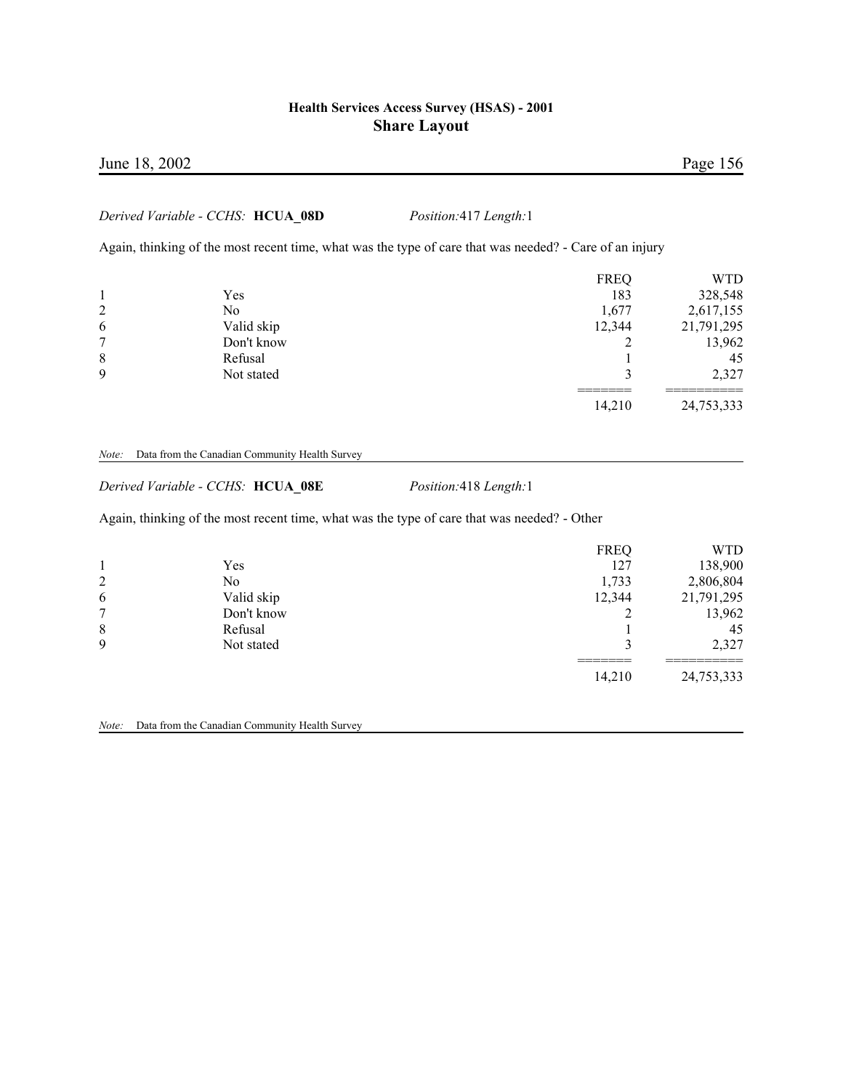### June 18, 2002 Page 156

### *Derived Variable - CCHS:* **HCUA\_08D** *Position:*417 *Length:*1

Again, thinking of the most recent time, what was the type of care that was needed? - Care of an injury

|                |            | <b>FREQ</b> | WTD        |
|----------------|------------|-------------|------------|
|                | Yes        | 183         | 328,548    |
| $\overline{2}$ | No         | 1,677       | 2,617,155  |
| 6              | Valid skip | 12,344      | 21,791,295 |
| 7              | Don't know |             | 13,962     |
| 8              | Refusal    |             | 45         |
| 9              | Not stated |             | 2,327      |
|                |            | 14,210      | 24,753,333 |

#### *Note:* Data from the Canadian Community Health Survey

*Derived Variable - CCHS:* **HCUA\_08E** *Position:*418 *Length:*1

Again, thinking of the most recent time, what was the type of care that was needed? - Other

| $\overline{2}$<br>6<br>7<br>8 | Yes<br>No<br>Valid skip<br>Don't know<br>Refusal | <b>FREQ</b><br>127<br>1,733<br>12,344 | <b>WTD</b><br>138,900<br>2,806,804<br>21,791,295<br>13,962<br>45 |
|-------------------------------|--------------------------------------------------|---------------------------------------|------------------------------------------------------------------|
| 9                             | Not stated                                       |                                       | 2,327                                                            |
|                               |                                                  | 14,210                                | ______<br>24,753,333                                             |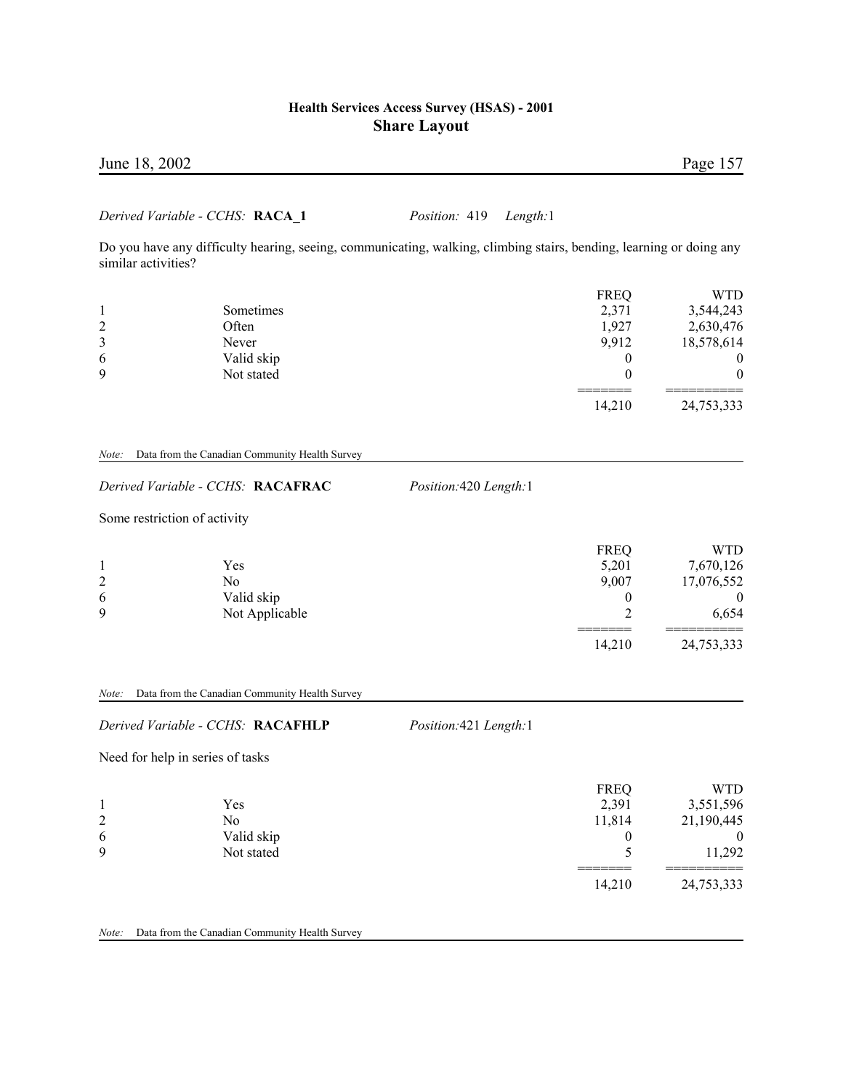| June 18, 2002                   |                                      | Page 157 |
|---------------------------------|--------------------------------------|----------|
| Derived Variable - CCHS: RACA 1 | <i>Position:</i> 419 <i>Length:1</i> |          |

Do you have any difficulty hearing, seeing, communicating, walking, climbing stairs, bending, learning or doing any similar activities?

|   |            | <b>FREQ</b> | <b>WTD</b> |
|---|------------|-------------|------------|
|   | Sometimes  | 2,371       | 3,544,243  |
| 2 | Often      | 1,927       | 2,630,476  |
| 3 | Never      | 9,912       | 18,578,614 |
| 6 | Valid skip |             | $\theta$   |
| 9 | Not stated |             | 0          |
|   |            | 14,210      | 24,753,333 |

#### *Note:* Data from the Canadian Community Health Survey

| Derived Variable - CCHS: RACAFRAC |  |  |  |  |  |
|-----------------------------------|--|--|--|--|--|
|-----------------------------------|--|--|--|--|--|

*Derived Variable - CCHS:* **RACAFRAC** *Position:*420 *Length:*1

Some restriction of activity

|   |                | <b>FREQ</b> | WTD            |
|---|----------------|-------------|----------------|
|   | Yes            | 5,201       | 7,670,126      |
| 2 | No             | 9.007       | 17,076,552     |
| 6 | Valid skip     | $\theta$    | $\overline{0}$ |
| 9 | Not Applicable |             | 6,654          |
|   |                |             |                |
|   |                | 14,210      | 24,753,333     |

#### *Note:* Data from the Canadian Community Health Survey

#### *Derived Variable - CCHS:* **RACAFHLP** *Position:*421 *Length:*1

Need for help in series of tasks

|   |            | <b>FREQ</b> | WTD        |
|---|------------|-------------|------------|
|   | Yes        | 2,391       | 3,551,596  |
| 2 | No         | 11,814      | 21,190,445 |
| 6 | Valid skip |             |            |
| 9 | Not stated |             | 11,292     |
|   |            | 14,210      | 24,753,333 |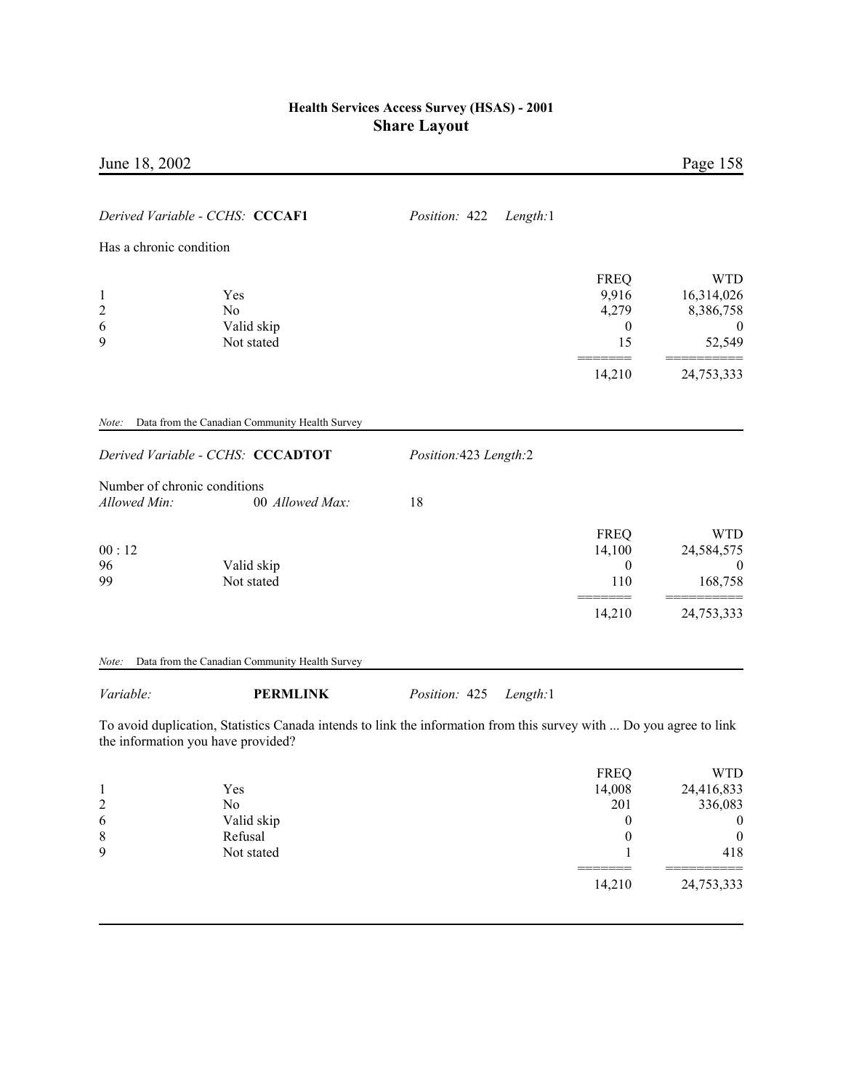| June 18, 2002                                |                                                                                     |                           |                                                         | Page 158                                                            |
|----------------------------------------------|-------------------------------------------------------------------------------------|---------------------------|---------------------------------------------------------|---------------------------------------------------------------------|
|                                              | Derived Variable - CCHS: CCCAF1                                                     | Length:1<br>Position: 422 |                                                         |                                                                     |
| Has a chronic condition                      |                                                                                     |                           |                                                         |                                                                     |
| $\mathbf{1}$<br>$\overline{c}$<br>6<br>9     | Yes<br>N <sub>0</sub><br>Valid skip<br>Not stated                                   |                           | <b>FREQ</b><br>9,916<br>4,279<br>$\boldsymbol{0}$<br>15 | <b>WTD</b><br>16,314,026<br>8,386,758<br>$\boldsymbol{0}$<br>52,549 |
|                                              |                                                                                     |                           | 14,210                                                  | 24,753,333                                                          |
| Note:                                        | Data from the Canadian Community Health Survey<br>Derived Variable - CCHS: CCCADTOT | Position: 423 Length: 2   |                                                         |                                                                     |
| Number of chronic conditions<br>Allowed Min: | 00 Allowed Max:                                                                     | 18                        |                                                         |                                                                     |
| 00:12<br>96<br>99                            | Valid skip<br>Not stated                                                            |                           | <b>FREQ</b><br>14,100<br>$\boldsymbol{0}$<br>110        | <b>WTD</b><br>24,584,575<br>$\overline{0}$<br>168,758               |
|                                              |                                                                                     |                           | 14,210                                                  | 24,753,333                                                          |
| Note:                                        | Data from the Canadian Community Health Survey                                      |                           |                                                         |                                                                     |

# *Variable:* **PERMLINK** *Position:* 425 *Length:*1

To avoid duplication, Statistics Canada intends to link the information from this survey with ... Do you agree to link the information you have provided?

|   |            | <b>FREQ</b> | WTD          |
|---|------------|-------------|--------------|
|   | Yes        | 14,008      | 24,416,833   |
| 2 | No         | 201         | 336,083      |
| 6 | Valid skip | $\theta$    | $\theta$     |
| 8 | Refusal    | 0           | $\mathbf{0}$ |
| 9 | Not stated |             | 418          |
|   |            |             |              |
|   |            | 14,210      | 24,753,333   |
|   |            |             |              |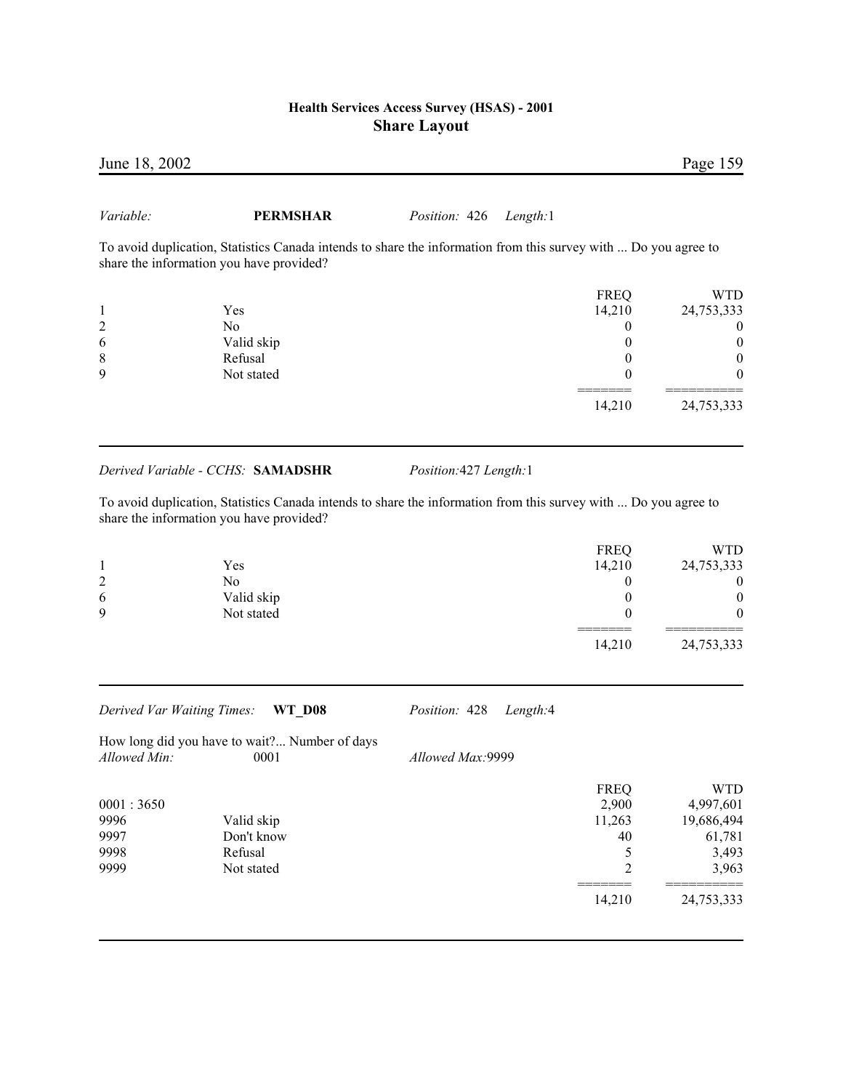| June 18, 2002  |                                                                                                                                                             |                      |             | Page 159         |
|----------------|-------------------------------------------------------------------------------------------------------------------------------------------------------------|----------------------|-------------|------------------|
| Variable:      | <b>PERMSHAR</b>                                                                                                                                             | <i>Position:</i> 426 | Length:1    |                  |
|                | To avoid duplication, Statistics Canada intends to share the information from this survey with  Do you agree to<br>share the information you have provided? |                      |             |                  |
|                |                                                                                                                                                             |                      | <b>FREQ</b> | <b>WTD</b>       |
| 1              | <b>Yes</b>                                                                                                                                                  |                      | 14,210      | 24,753,333       |
| $\overline{2}$ | No.                                                                                                                                                         |                      |             | $\boldsymbol{0}$ |
| 6              | Valid skip                                                                                                                                                  |                      |             | $\theta$         |
| 8              | Refusal                                                                                                                                                     |                      |             | $\boldsymbol{0}$ |
| 9              | Not stated                                                                                                                                                  |                      |             | $\theta$         |
|                |                                                                                                                                                             |                      |             |                  |

### *Derived Variable - CCHS:* **SAMADSHR** *Position:*427 *Length:*1

To avoid duplication, Statistics Canada intends to share the information from this survey with ... Do you agree to share the information you have provided?

|   |            | <b>FREQ</b> | <b>WTD</b>       |
|---|------------|-------------|------------------|
|   | Yes        | 14,210      | 24,753,333       |
| 2 | No         |             | $\boldsymbol{0}$ |
| 6 | Valid skip |             | 0                |
| 9 | Not stated |             | $\boldsymbol{0}$ |
|   |            | 14,210      | 24,753,333       |

*Derived Var Waiting Times:* **WT\_D08** *Position:* 428 *Length:*4

How long did you have to wait?... Number of days *Allowed Min*: 0001

*Allowed Min:* 0001 *Allowed Max:*9999

| <b>FREQ</b><br>2,900 | WTD<br>4,997,601 |
|----------------------|------------------|
|                      | 19,686,494       |
| 40                   | 61,781           |
|                      | 3,493            |
|                      | 3,963            |
| 14,210               | 24,753,333       |
|                      | 11,263           |

14,210 24,753,333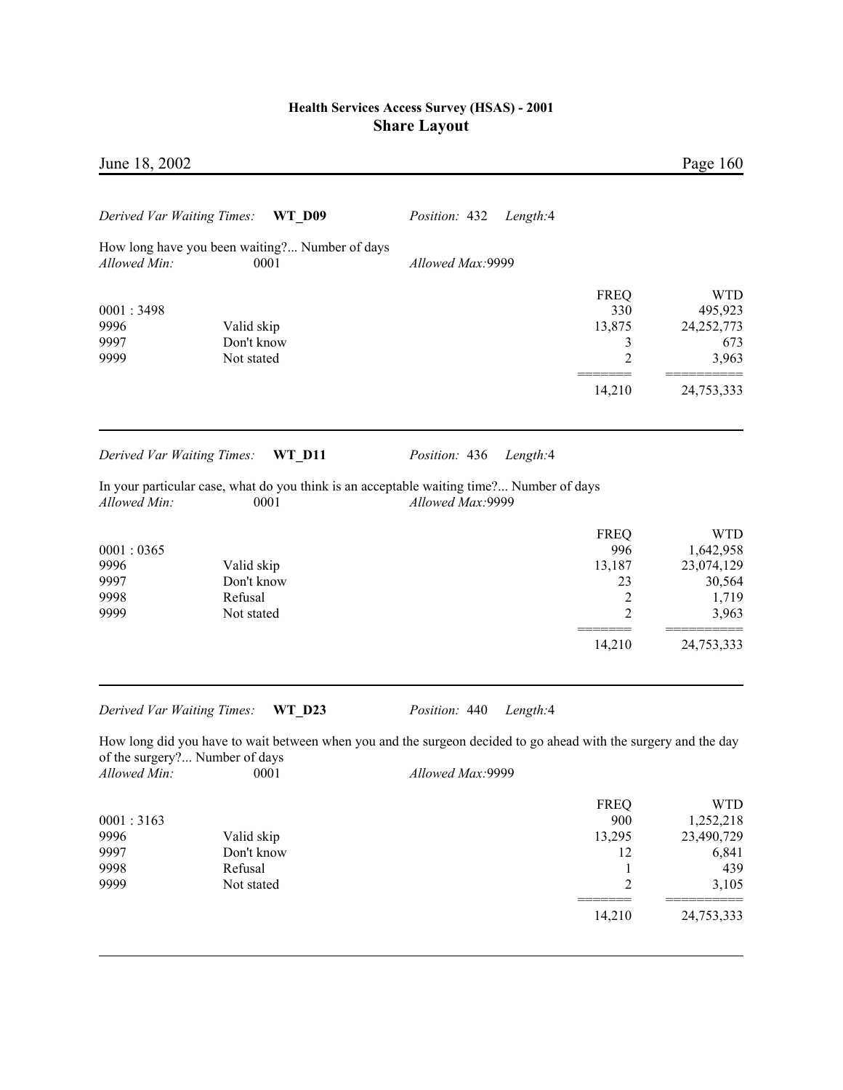| June 18, 2002                             |                                                        |                                                                                                                                     |                                                                                | Page 160                                                                     |
|-------------------------------------------|--------------------------------------------------------|-------------------------------------------------------------------------------------------------------------------------------------|--------------------------------------------------------------------------------|------------------------------------------------------------------------------|
| Derived Var Waiting Times:                | <b>WT D09</b>                                          | Position: 432<br>Length:4                                                                                                           |                                                                                |                                                                              |
| Allowed Min:                              | How long have you been waiting? Number of days<br>0001 | Allowed Max:9999                                                                                                                    |                                                                                |                                                                              |
| 0001:3498<br>9996<br>9997<br>9999         | Valid skip<br>Don't know<br>Not stated                 |                                                                                                                                     | <b>FREQ</b><br>330<br>13,875<br>3<br>$\overline{c}$                            | <b>WTD</b><br>495,923<br>24,252,773<br>673<br>3,963                          |
|                                           |                                                        |                                                                                                                                     | 14,210                                                                         | 24,753,333                                                                   |
| Derived Var Waiting Times:                | <b>WT_D11</b>                                          | Position: 436<br>Length:4                                                                                                           |                                                                                |                                                                              |
| Allowed Min:                              | 0001                                                   | In your particular case, what do you think is an acceptable waiting time? Number of days<br>Allowed Max:9999                        |                                                                                |                                                                              |
| 0001:0365<br>9996<br>9997<br>9998<br>9999 | Valid skip<br>Don't know<br>Refusal<br>Not stated      |                                                                                                                                     | <b>FREQ</b><br>996<br>13,187<br>23<br>$\overline{2}$<br>2                      | <b>WTD</b><br>1,642,958<br>23,074,129<br>30,564<br>1,719<br>3,963            |
|                                           |                                                        |                                                                                                                                     | 14,210                                                                         | 24,753,333                                                                   |
| Derived Var Waiting Times:                | <b>WT D23</b>                                          | Position: 440<br>Length:4                                                                                                           |                                                                                |                                                                              |
| Allowed Min:                              | of the surgery? Number of days<br>0001                 | How long did you have to wait between when you and the surgeon decided to go ahead with the surgery and the day<br>Allowed Max:9999 |                                                                                |                                                                              |
| 0001:3163<br>9996<br>9997<br>9998<br>9999 | Valid skip<br>Don't know<br>Refusal<br>Not stated      |                                                                                                                                     | <b>FREQ</b><br>900<br>13,295<br>12<br>$\mathbf{1}$<br>$\overline{c}$<br>14,210 | <b>WTD</b><br>1,252,218<br>23,490,729<br>6,841<br>439<br>3,105<br>24,753,333 |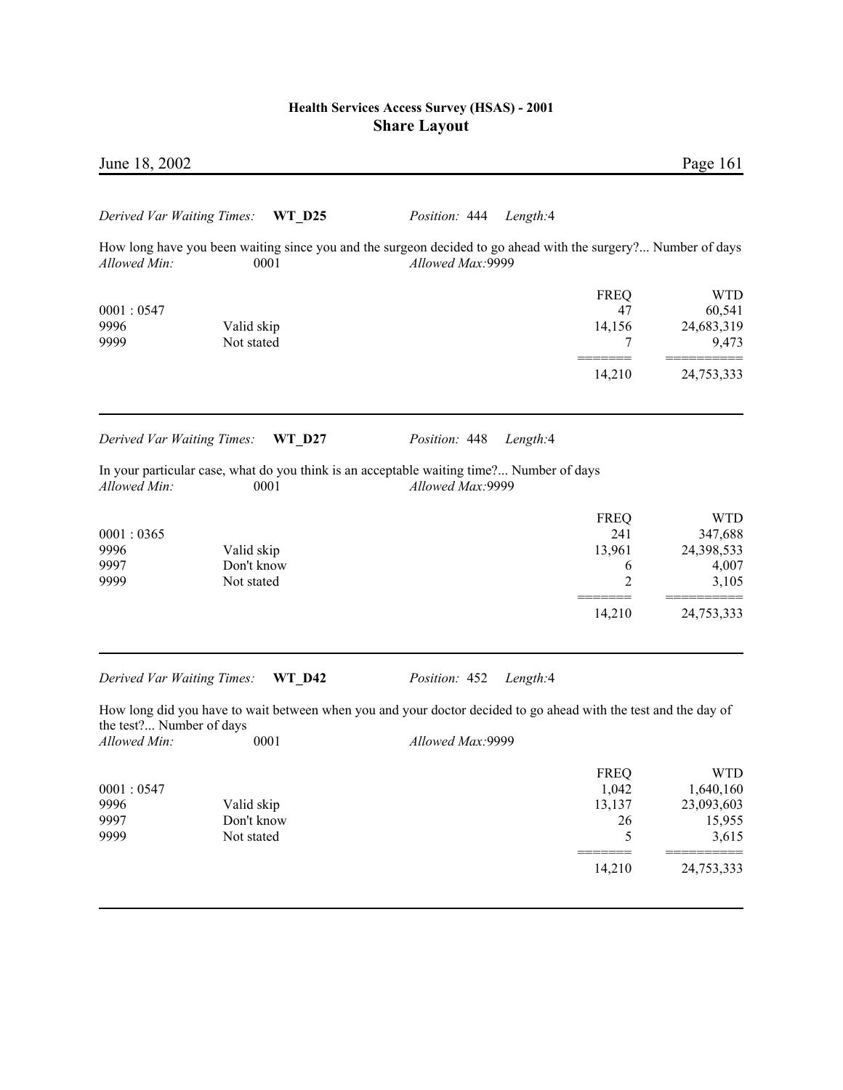| June 18, 2002              |               |                                                                                                                 |             | Page 161   |
|----------------------------|---------------|-----------------------------------------------------------------------------------------------------------------|-------------|------------|
| Derived Var Waiting Times: | <b>WT D25</b> | Position: 444<br>Length:4                                                                                       |             |            |
|                            |               | How long have you been waiting since you and the surgeon decided to go ahead with the surgery? Number of days   |             |            |
| Allowed Min:               | 0001          | Allowed Max: 9999                                                                                               |             |            |
|                            |               |                                                                                                                 | <b>FREQ</b> | <b>WTD</b> |
| 0001:0547                  |               |                                                                                                                 | 47          | 60,541     |
| 9996                       | Valid skip    |                                                                                                                 | 14,156      | 24,683,319 |
| 9999                       | Not stated    |                                                                                                                 | 7           | 9,473      |
|                            |               |                                                                                                                 | 14,210      | 24,753,333 |
| Derived Var Waiting Times: | <b>WT D27</b> | Position: 448<br>Length:4                                                                                       |             |            |
| Allowed Min:               | 0001          | In your particular case, what do you think is an acceptable waiting time? Number of days<br>Allowed Max: 9999   |             |            |
|                            |               |                                                                                                                 | <b>FREQ</b> | <b>WTD</b> |
| 0001:0365                  |               |                                                                                                                 | 241         | 347,688    |
| 9996                       | Valid skip    |                                                                                                                 | 13,961      | 24,398,533 |
| 9997                       | Don't know    |                                                                                                                 | 6           | 4,007      |
| 9999                       | Not stated    |                                                                                                                 | 2           | 3,105      |
|                            |               |                                                                                                                 | 14,210      | 24,753,333 |
|                            |               |                                                                                                                 |             |            |
| Derived Var Waiting Times: | <b>WT D42</b> | Position: 452<br>Length:4                                                                                       |             |            |
| the test? Number of days   |               | How long did you have to wait between when you and your doctor decided to go ahead with the test and the day of |             |            |
| Allowed Min:               | 0001          | Allowed Max: 9999                                                                                               |             |            |
|                            |               |                                                                                                                 | <b>FREQ</b> | <b>WTD</b> |
| 0001:0547                  |               |                                                                                                                 | 1,042       | 1,640,160  |
| 9996                       | Valid skip    |                                                                                                                 | 13,137      | 23,093,603 |
| 9997                       | Don't know    |                                                                                                                 | 26          | 15,955     |
| 9999                       | Not stated    |                                                                                                                 | 5           | 3,615      |
|                            |               |                                                                                                                 | 14,210      | 24,753,333 |
|                            |               |                                                                                                                 |             |            |